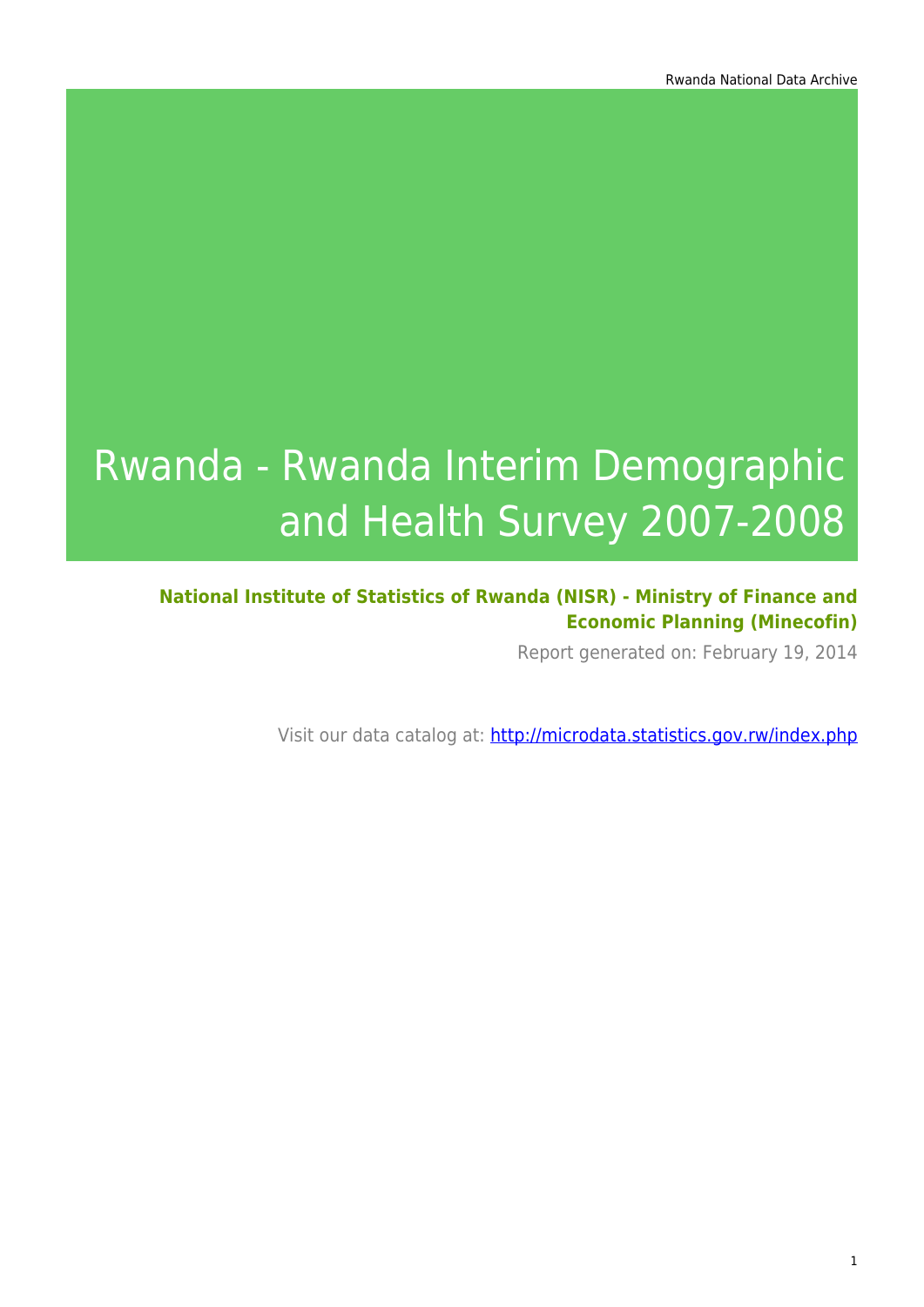# Rwanda - Rwanda Interim Demographic and Health Survey 2007-2008

### **National Institute of Statistics of Rwanda (NISR) - Ministry of Finance and Economic Planning (Minecofin)**

Report generated on: February 19, 2014

Visit our data catalog at: http://microdata.statistics.gov.rw/index.php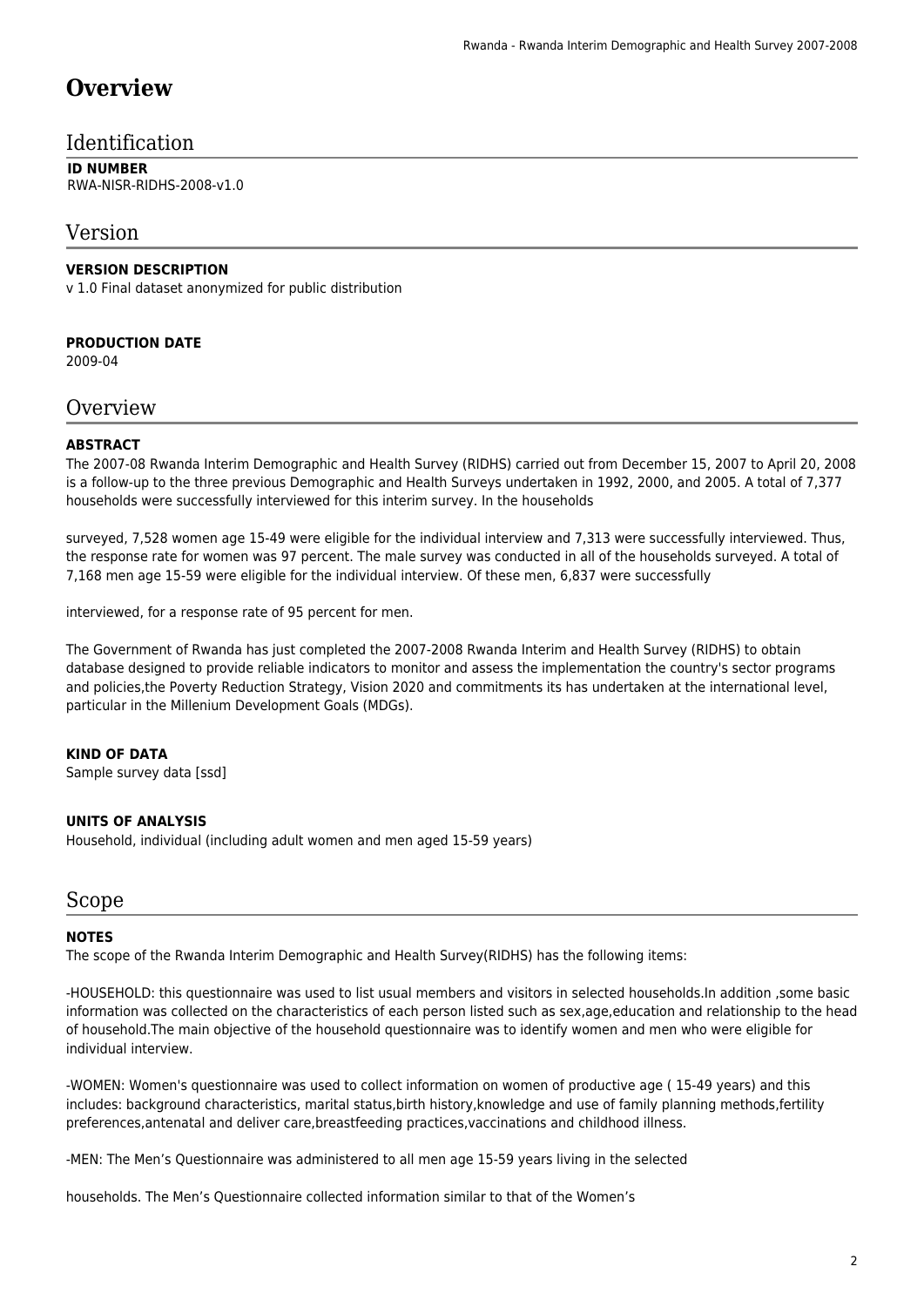## **Overview**

### Identification

#### **ID NUMBER** RWA-NISR-RIDHS-2008-v1.0

### Version

### **VERSION DESCRIPTION**

v 1.0 Final dataset anonymized for public distribution

#### **PRODUCTION DATE**

2009-04

### **Overview**

### **ABSTRACT**

The 2007-08 Rwanda Interim Demographic and Health Survey (RIDHS) carried out from December 15, 2007 to April 20, 2008 is a follow-up to the three previous Demographic and Health Surveys undertaken in 1992, 2000, and 2005. A total of 7,377 households were successfully interviewed for this interim survey. In the households

surveyed, 7,528 women age 15-49 were eligible for the individual interview and 7,313 were successfully interviewed. Thus, the response rate for women was 97 percent. The male survey was conducted in all of the households surveyed. A total of 7,168 men age 15-59 were eligible for the individual interview. Of these men, 6,837 were successfully

interviewed, for a response rate of 95 percent for men.

The Government of Rwanda has just completed the 2007-2008 Rwanda Interim and Health Survey (RIDHS) to obtain database designed to provide reliable indicators to monitor and assess the implementation the country's sector programs and policies,the Poverty Reduction Strategy, Vision 2020 and commitments its has undertaken at the international level, particular in the Millenium Development Goals (MDGs).

#### **KIND OF DATA**

Sample survey data [ssd]

#### **UNITS OF ANALYSIS**

Household, individual (including adult women and men aged 15-59 years)

### Scope

#### **NOTES**

The scope of the Rwanda Interim Demographic and Health Survey(RIDHS) has the following items:

-HOUSEHOLD: this questionnaire was used to list usual members and visitors in selected households.In addition ,some basic information was collected on the characteristics of each person listed such as sex,age,education and relationship to the head of household.The main objective of the household questionnaire was to identify women and men who were eligible for individual interview.

-WOMEN: Women's questionnaire was used to collect information on women of productive age ( 15-49 years) and this includes: background characteristics, marital status,birth history,knowledge and use of family planning methods,fertility preferences,antenatal and deliver care,breastfeeding practices,vaccinations and childhood illness.

-MEN: The Men's Questionnaire was administered to all men age 15-59 years living in the selected

households. The Men's Questionnaire collected information similar to that of the Women's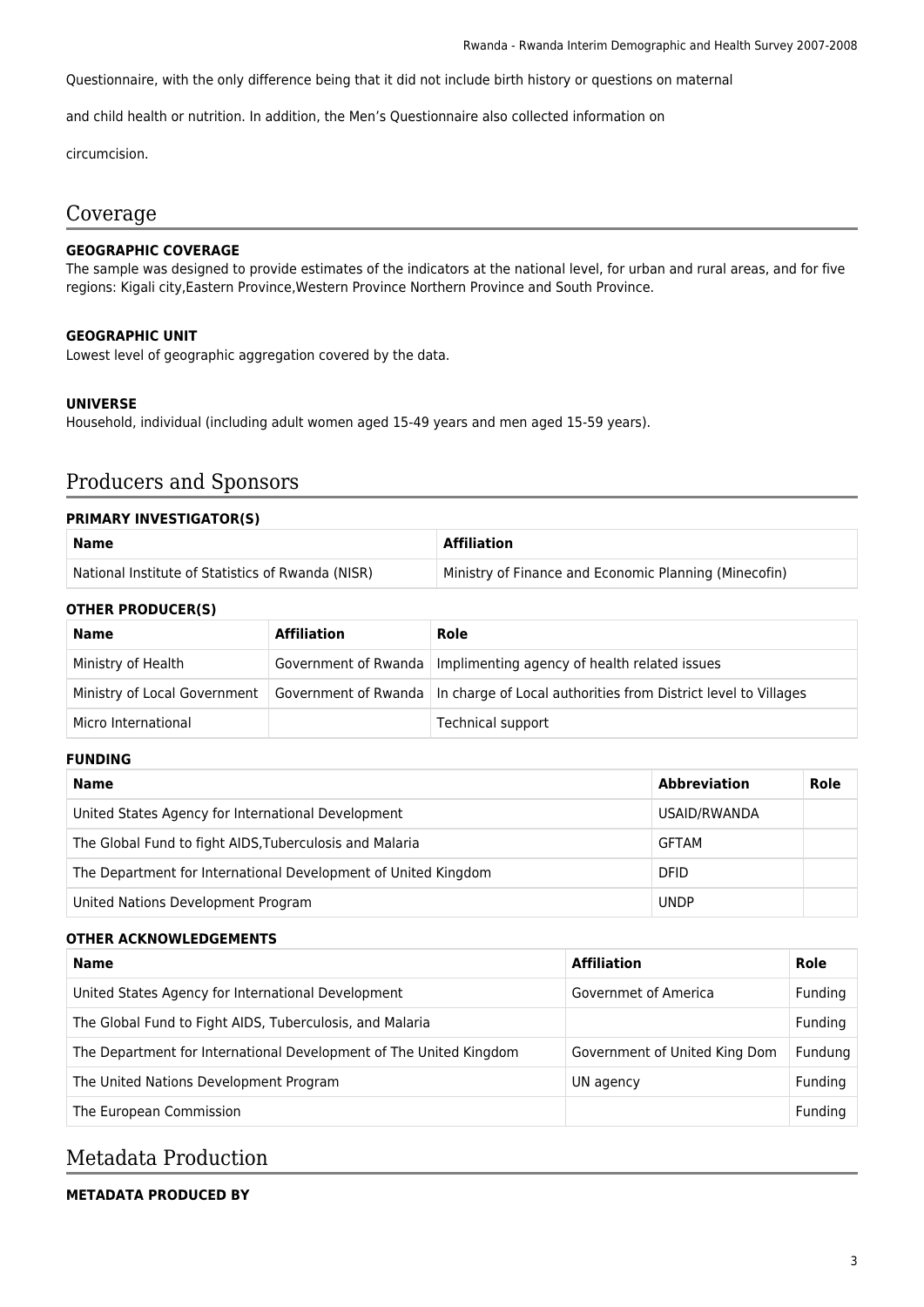Questionnaire, with the only difference being that it did not include birth history or questions on maternal

and child health or nutrition. In addition, the Men's Questionnaire also collected information on

circumcision.

### Coverage

#### **GEOGRAPHIC COVERAGE**

The sample was designed to provide estimates of the indicators at the national level, for urban and rural areas, and for five regions: Kigali city,Eastern Province,Western Province Northern Province and South Province.

#### **GEOGRAPHIC UNIT**

Lowest level of geographic aggregation covered by the data.

#### **UNIVERSE**

Household, individual (including adult women aged 15-49 years and men aged 15-59 years).

### Producers and Sponsors

#### **PRIMARY INVESTIGATOR(S)**

| <b>Name</b>                                       | <b>Affiliation</b>                                    |  |  |  |
|---------------------------------------------------|-------------------------------------------------------|--|--|--|
| National Institute of Statistics of Rwanda (NISR) | Ministry of Finance and Economic Planning (Minecofin) |  |  |  |

#### **OTHER PRODUCER(S)**

| <b>Name</b>         | <b>Affiliation</b> | Role                                                                                                                 |
|---------------------|--------------------|----------------------------------------------------------------------------------------------------------------------|
| Ministry of Health  |                    | Government of Rwanda   Implimenting agency of health related issues                                                  |
|                     |                    | Ministry of Local Government   Government of Rwanda   In charge of Local authorities from District level to Villages |
| Micro International |                    | Technical support                                                                                                    |

#### **FUNDING**

| <b>Name</b>                                                    | <b>Abbreviation</b> | Role |
|----------------------------------------------------------------|---------------------|------|
| United States Agency for International Development             | USAID/RWANDA        |      |
| The Global Fund to fight AIDS, Tuberculosis and Malaria        | GFTAM               |      |
| The Department for International Development of United Kingdom | <b>DFID</b>         |      |
| United Nations Development Program                             | <b>UNDP</b>         |      |

#### **OTHER ACKNOWLEDGEMENTS**

| <b>Name</b>                                                        | <b>Affiliation</b>            | Role    |
|--------------------------------------------------------------------|-------------------------------|---------|
| United States Agency for International Development                 | Governmet of America          | Funding |
| The Global Fund to Fight AIDS, Tuberculosis, and Malaria           |                               | Funding |
| The Department for International Development of The United Kingdom | Government of United King Dom | Fundung |
| The United Nations Development Program                             | UN agency                     | Funding |
| The European Commission                                            |                               | Funding |

### Metadata Production

#### **METADATA PRODUCED BY**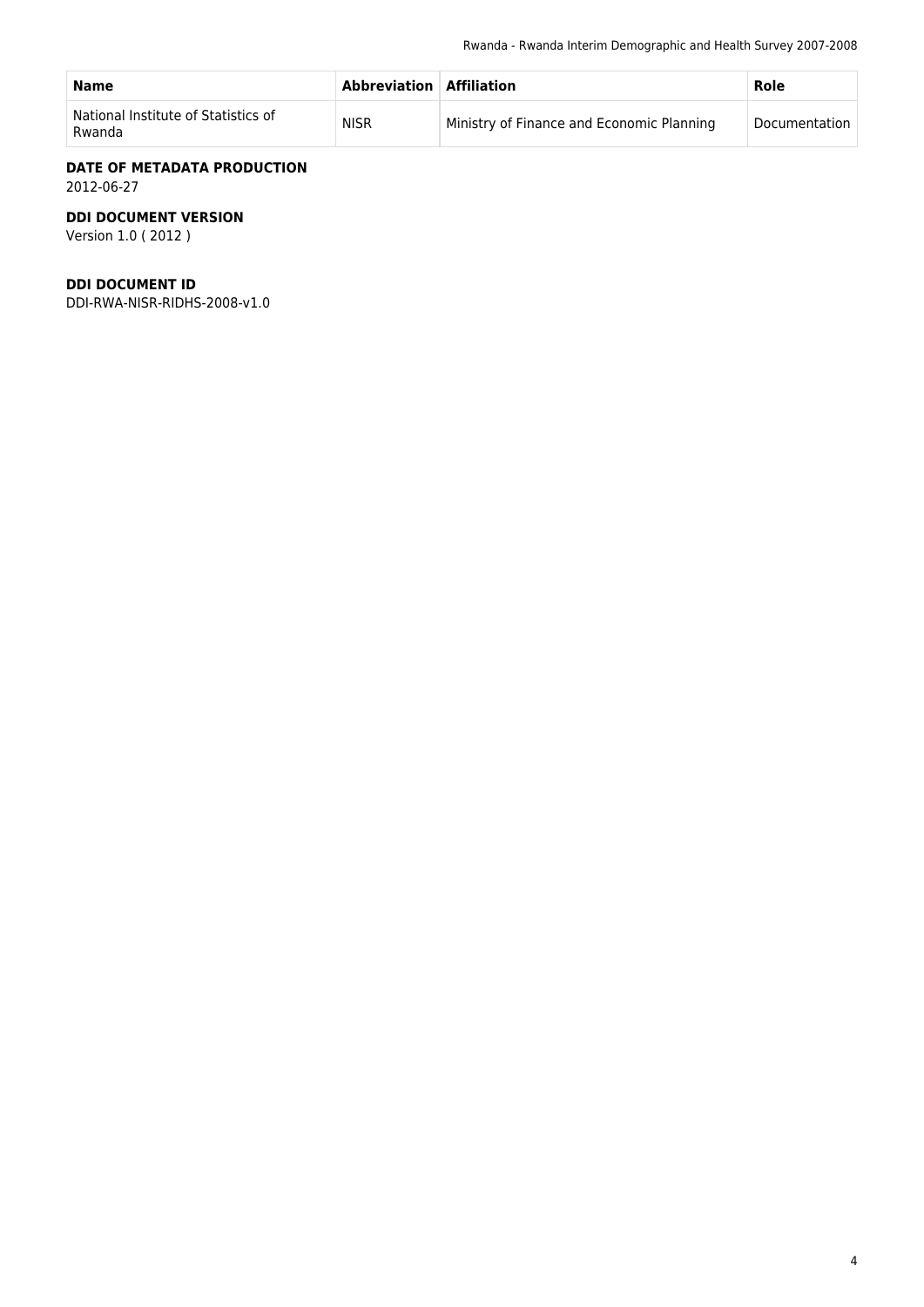| <b>Name</b>                                   | Abbreviation   Affiliation |                                           | Role          |
|-----------------------------------------------|----------------------------|-------------------------------------------|---------------|
| National Institute of Statistics of<br>Rwanda | <b>NISR</b>                | Ministry of Finance and Economic Planning | Documentation |

#### **DATE OF METADATA PRODUCTION** 2012-06-27

#### **DDI DOCUMENT VERSION**

Version 1.0 ( 2012 )

#### **DDI DOCUMENT ID**

DDI-RWA-NISR-RIDHS-2008-v1.0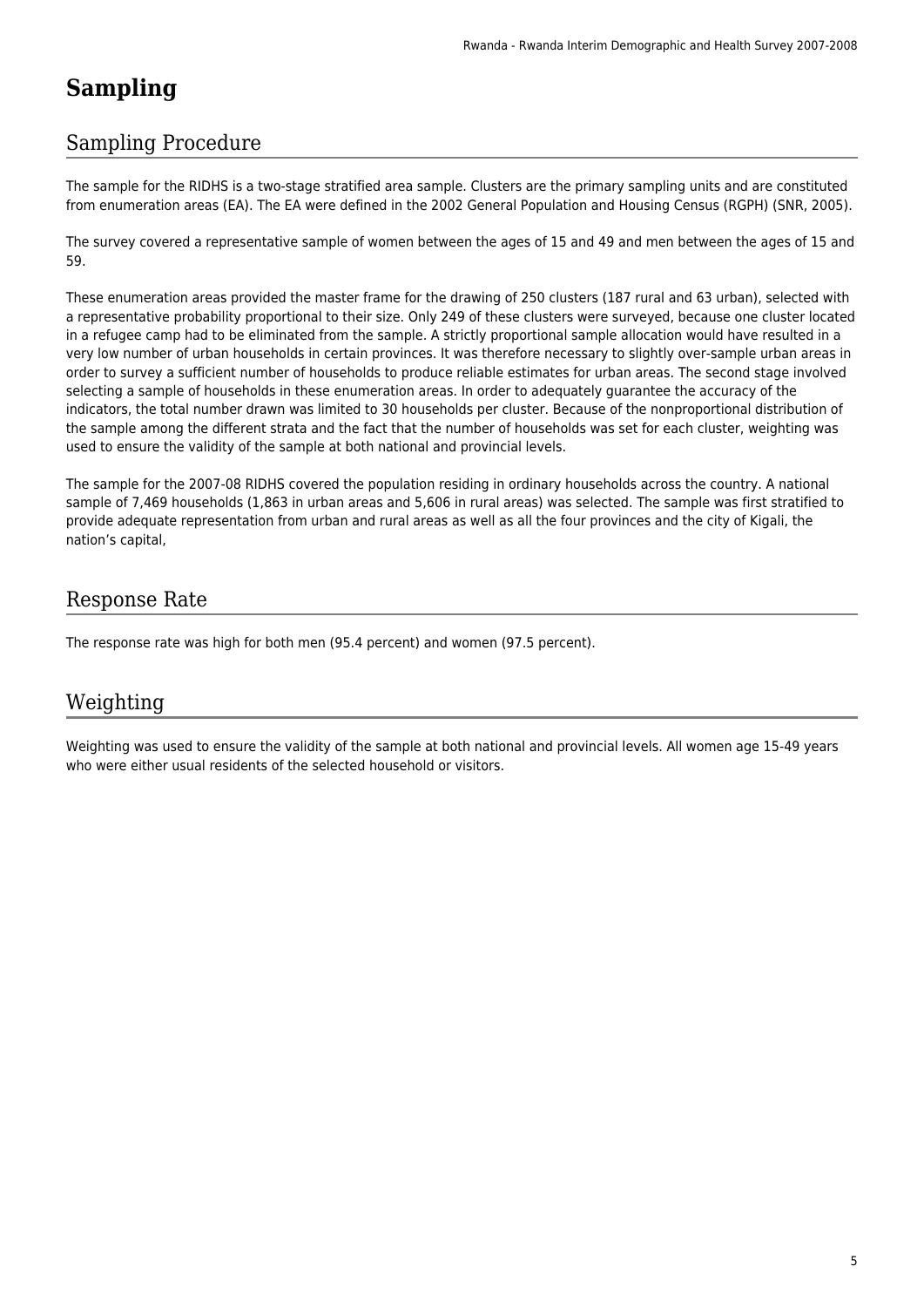## **Sampling**

## Sampling Procedure

The sample for the RIDHS is a two-stage stratified area sample. Clusters are the primary sampling units and are constituted from enumeration areas (EA). The EA were defined in the 2002 General Population and Housing Census (RGPH) (SNR, 2005).

The survey covered a representative sample of women between the ages of 15 and 49 and men between the ages of 15 and 59.

These enumeration areas provided the master frame for the drawing of 250 clusters (187 rural and 63 urban), selected with a representative probability proportional to their size. Only 249 of these clusters were surveyed, because one cluster located in a refugee camp had to be eliminated from the sample. A strictly proportional sample allocation would have resulted in a very low number of urban households in certain provinces. It was therefore necessary to slightly over-sample urban areas in order to survey a sufficient number of households to produce reliable estimates for urban areas. The second stage involved selecting a sample of households in these enumeration areas. In order to adequately guarantee the accuracy of the indicators, the total number drawn was limited to 30 households per cluster. Because of the nonproportional distribution of the sample among the different strata and the fact that the number of households was set for each cluster, weighting was used to ensure the validity of the sample at both national and provincial levels.

The sample for the 2007-08 RIDHS covered the population residing in ordinary households across the country. A national sample of 7,469 households (1,863 in urban areas and 5,606 in rural areas) was selected. The sample was first stratified to provide adequate representation from urban and rural areas as well as all the four provinces and the city of Kigali, the nation's capital,

## Response Rate

The response rate was high for both men (95.4 percent) and women (97.5 percent).

## Weighting

Weighting was used to ensure the validity of the sample at both national and provincial levels. All women age 15-49 years who were either usual residents of the selected household or visitors.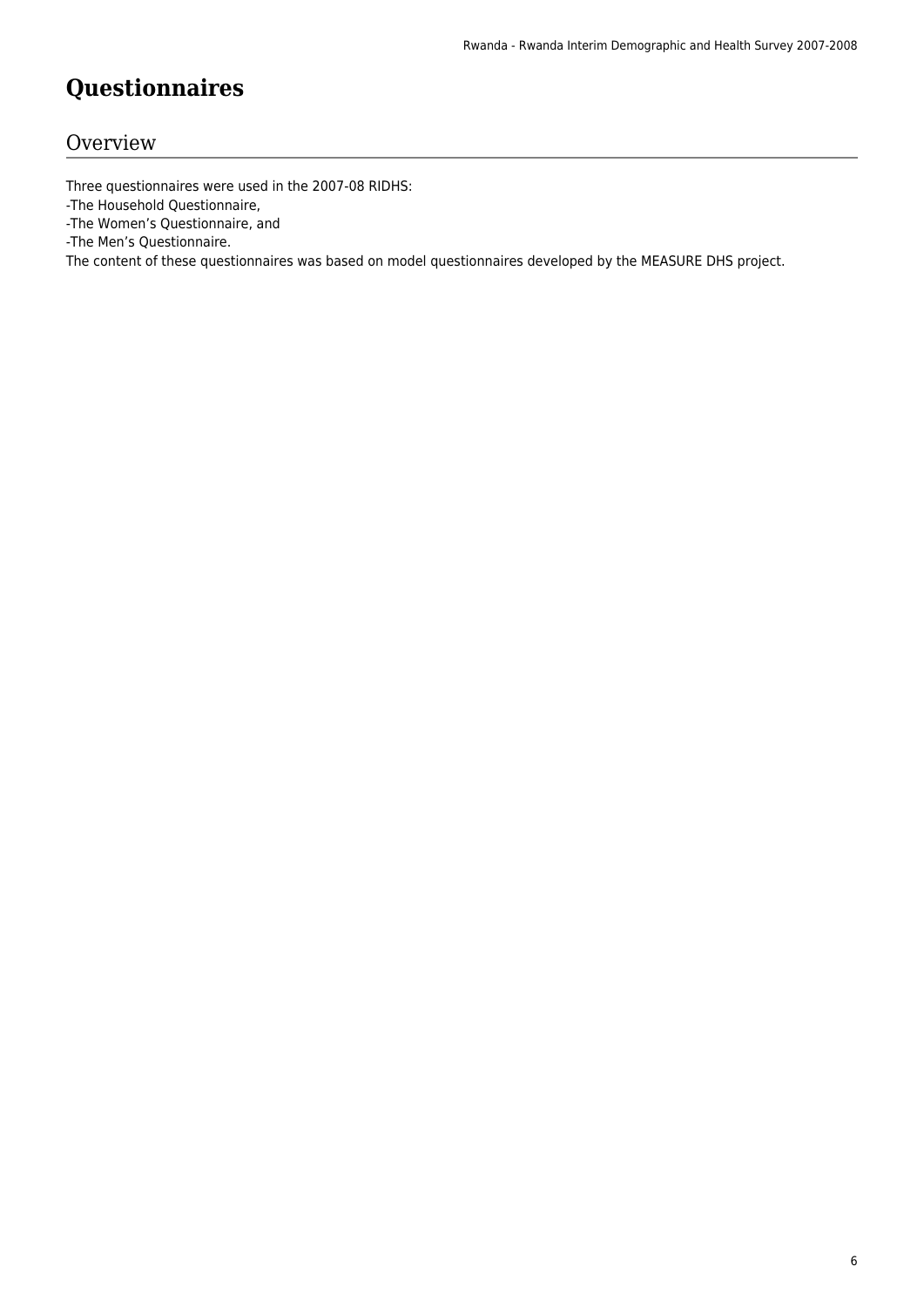## **Questionnaires**

### **Overview**

Three questionnaires were used in the 2007-08 RIDHS:

-The Household Questionnaire,

-The Women's Questionnaire, and

-The Men's Questionnaire.

The content of these questionnaires was based on model questionnaires developed by the MEASURE DHS project.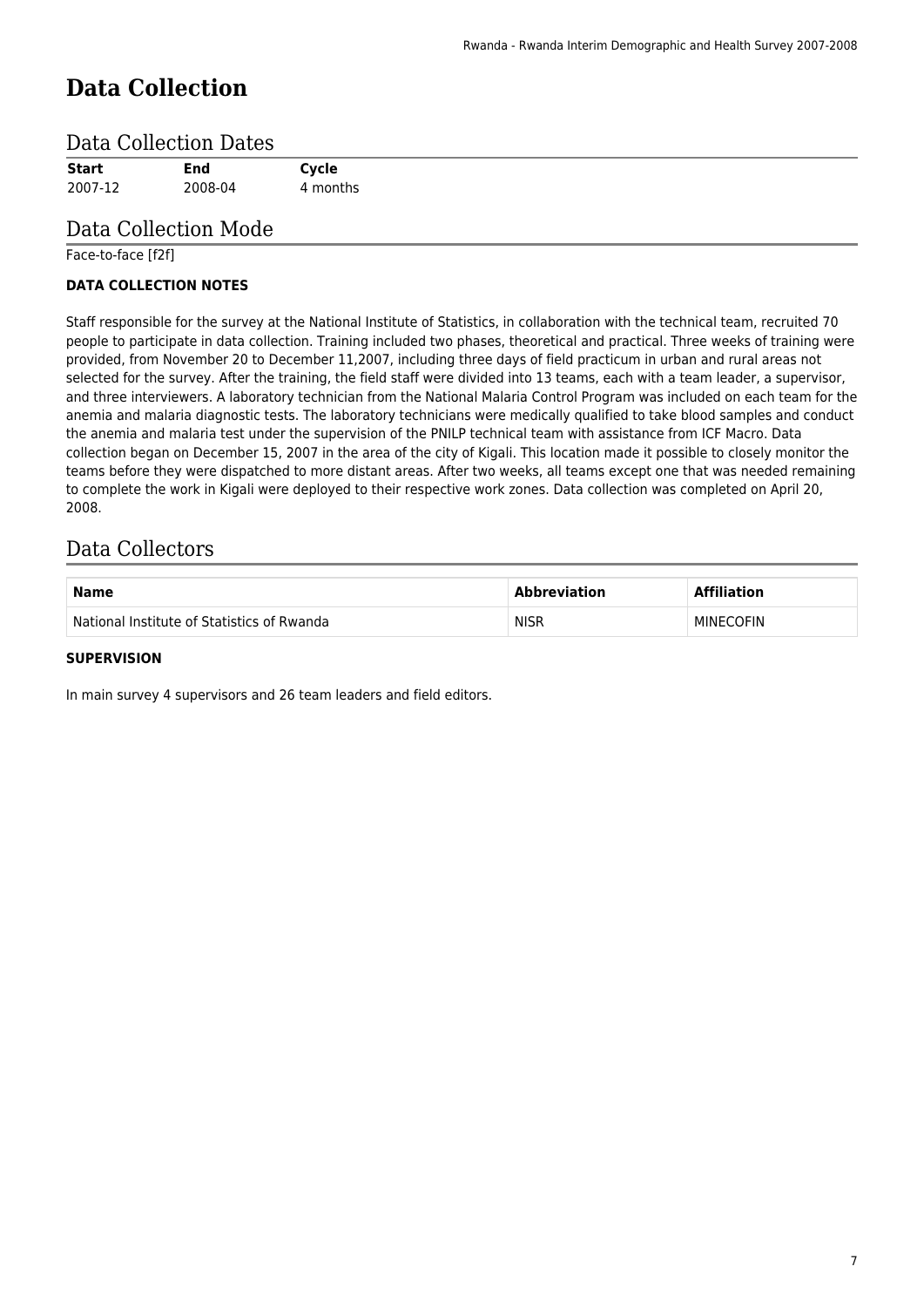## **Data Collection**

### Data Collection Dates

| <b>Start</b> | <b>End</b> | Cycle    |
|--------------|------------|----------|
| 2007-12      | 2008-04    | 4 months |
|              |            |          |

### Data Collection Mode

Face-to-face [f2f]

#### **DATA COLLECTION NOTES**

Staff responsible for the survey at the National Institute of Statistics, in collaboration with the technical team, recruited 70 people to participate in data collection. Training included two phases, theoretical and practical. Three weeks of training were provided, from November 20 to December 11,2007, including three days of field practicum in urban and rural areas not selected for the survey. After the training, the field staff were divided into 13 teams, each with a team leader, a supervisor, and three interviewers. A laboratory technician from the National Malaria Control Program was included on each team for the anemia and malaria diagnostic tests. The laboratory technicians were medically qualified to take blood samples and conduct the anemia and malaria test under the supervision of the PNILP technical team with assistance from ICF Macro. Data collection began on December 15, 2007 in the area of the city of Kigali. This location made it possible to closely monitor the teams before they were dispatched to more distant areas. After two weeks, all teams except one that was needed remaining to complete the work in Kigali were deployed to their respective work zones. Data collection was completed on April 20, 2008.

### Data Collectors

| <b>Name</b>                                | <b>Abbreviation</b> | <b>Affiliation</b> |
|--------------------------------------------|---------------------|--------------------|
| National Institute of Statistics of Rwanda | <b>NISR</b>         | MINECOFIN          |

#### **SUPERVISION**

In main survey 4 supervisors and 26 team leaders and field editors.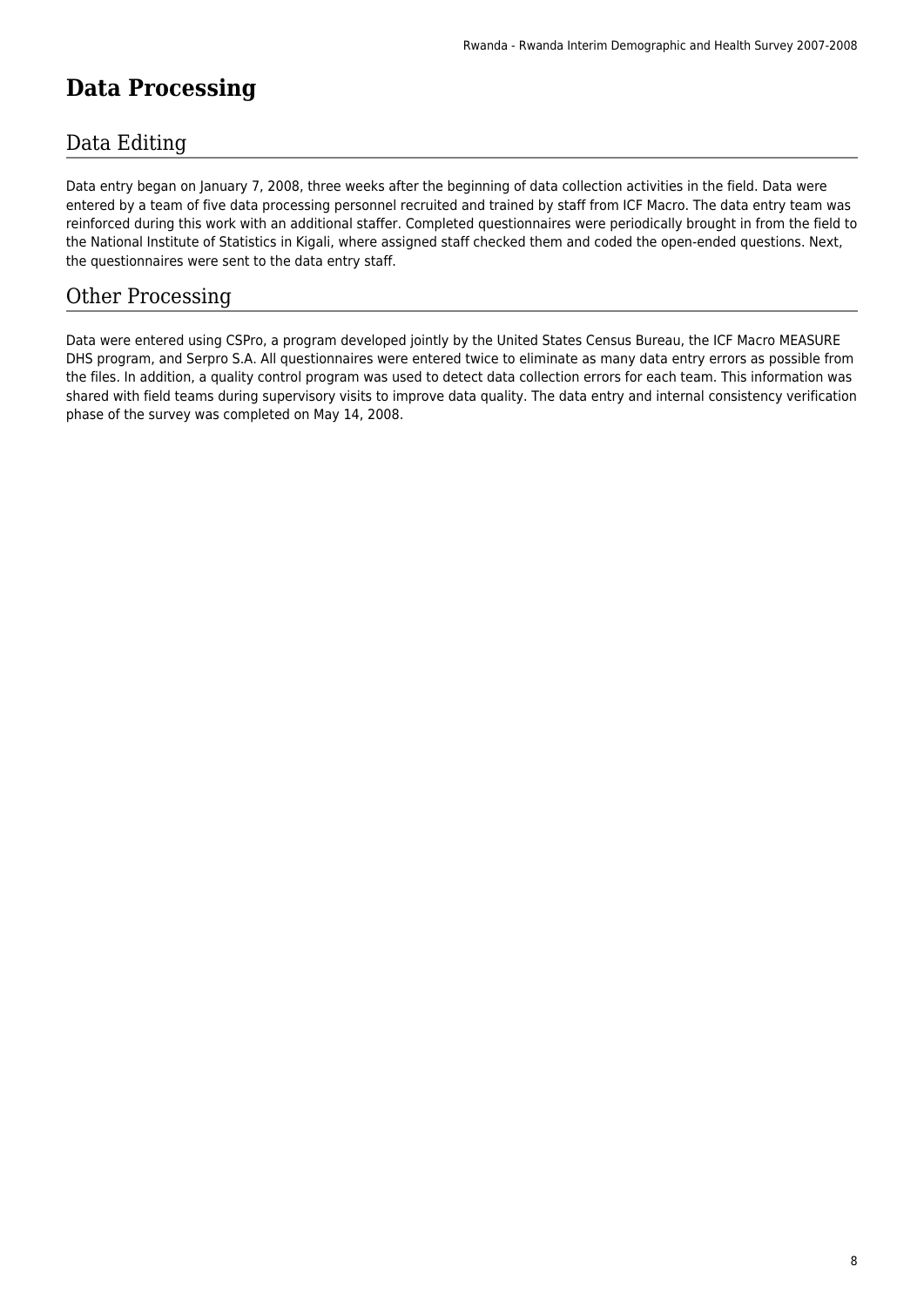## **Data Processing**

## Data Editing

Data entry began on January 7, 2008, three weeks after the beginning of data collection activities in the field. Data were entered by a team of five data processing personnel recruited and trained by staff from ICF Macro. The data entry team was reinforced during this work with an additional staffer. Completed questionnaires were periodically brought in from the field to the National Institute of Statistics in Kigali, where assigned staff checked them and coded the open-ended questions. Next, the questionnaires were sent to the data entry staff.

## Other Processing

Data were entered using CSPro, a program developed jointly by the United States Census Bureau, the ICF Macro MEASURE DHS program, and Serpro S.A. All questionnaires were entered twice to eliminate as many data entry errors as possible from the files. In addition, a quality control program was used to detect data collection errors for each team. This information was shared with field teams during supervisory visits to improve data quality. The data entry and internal consistency verification phase of the survey was completed on May 14, 2008.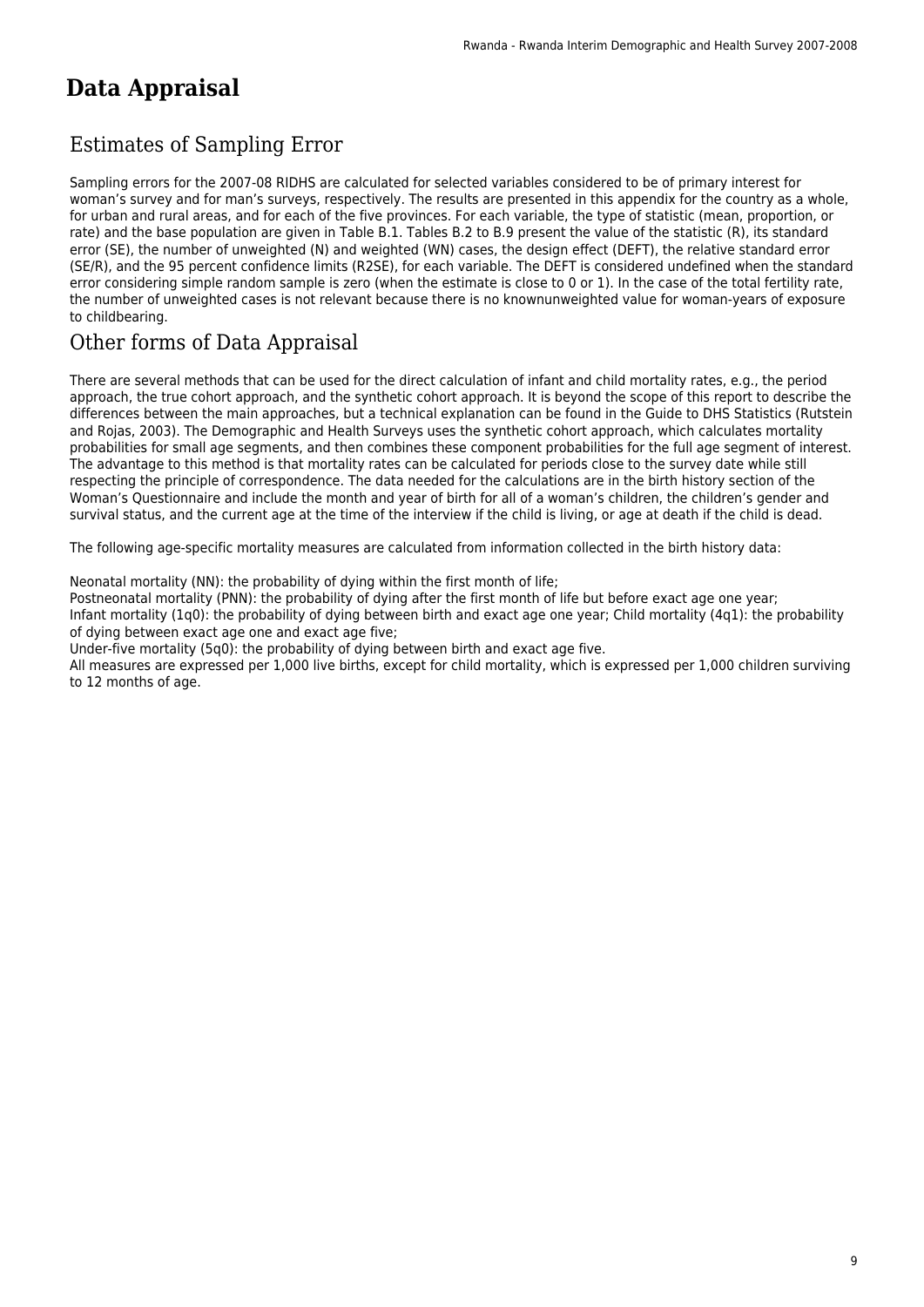## **Data Appraisal**

## Estimates of Sampling Error

Sampling errors for the 2007-08 RIDHS are calculated for selected variables considered to be of primary interest for woman's survey and for man's surveys, respectively. The results are presented in this appendix for the country as a whole, for urban and rural areas, and for each of the five provinces. For each variable, the type of statistic (mean, proportion, or rate) and the base population are given in Table B.1. Tables B.2 to B.9 present the value of the statistic (R), its standard error (SE), the number of unweighted (N) and weighted (WN) cases, the design effect (DEFT), the relative standard error (SE/R), and the 95 percent confidence limits (R2SE), for each variable. The DEFT is considered undefined when the standard error considering simple random sample is zero (when the estimate is close to 0 or 1). In the case of the total fertility rate, the number of unweighted cases is not relevant because there is no knownunweighted value for woman-years of exposure to childbearing.

## Other forms of Data Appraisal

There are several methods that can be used for the direct calculation of infant and child mortality rates, e.g., the period approach, the true cohort approach, and the synthetic cohort approach. It is beyond the scope of this report to describe the differences between the main approaches, but a technical explanation can be found in the Guide to DHS Statistics (Rutstein and Rojas, 2003). The Demographic and Health Surveys uses the synthetic cohort approach, which calculates mortality probabilities for small age segments, and then combines these component probabilities for the full age segment of interest. The advantage to this method is that mortality rates can be calculated for periods close to the survey date while still respecting the principle of correspondence. The data needed for the calculations are in the birth history section of the Woman's Questionnaire and include the month and year of birth for all of a woman's children, the children's gender and survival status, and the current age at the time of the interview if the child is living, or age at death if the child is dead.

The following age-specific mortality measures are calculated from information collected in the birth history data:

Neonatal mortality (NN): the probability of dying within the first month of life;

Postneonatal mortality (PNN): the probability of dying after the first month of life but before exact age one year;

Infant mortality (1q0): the probability of dying between birth and exact age one year; Child mortality (4q1): the probability of dying between exact age one and exact age five;

Under-five mortality (5q0): the probability of dying between birth and exact age five.

All measures are expressed per 1,000 live births, except for child mortality, which is expressed per 1,000 children surviving to 12 months of age.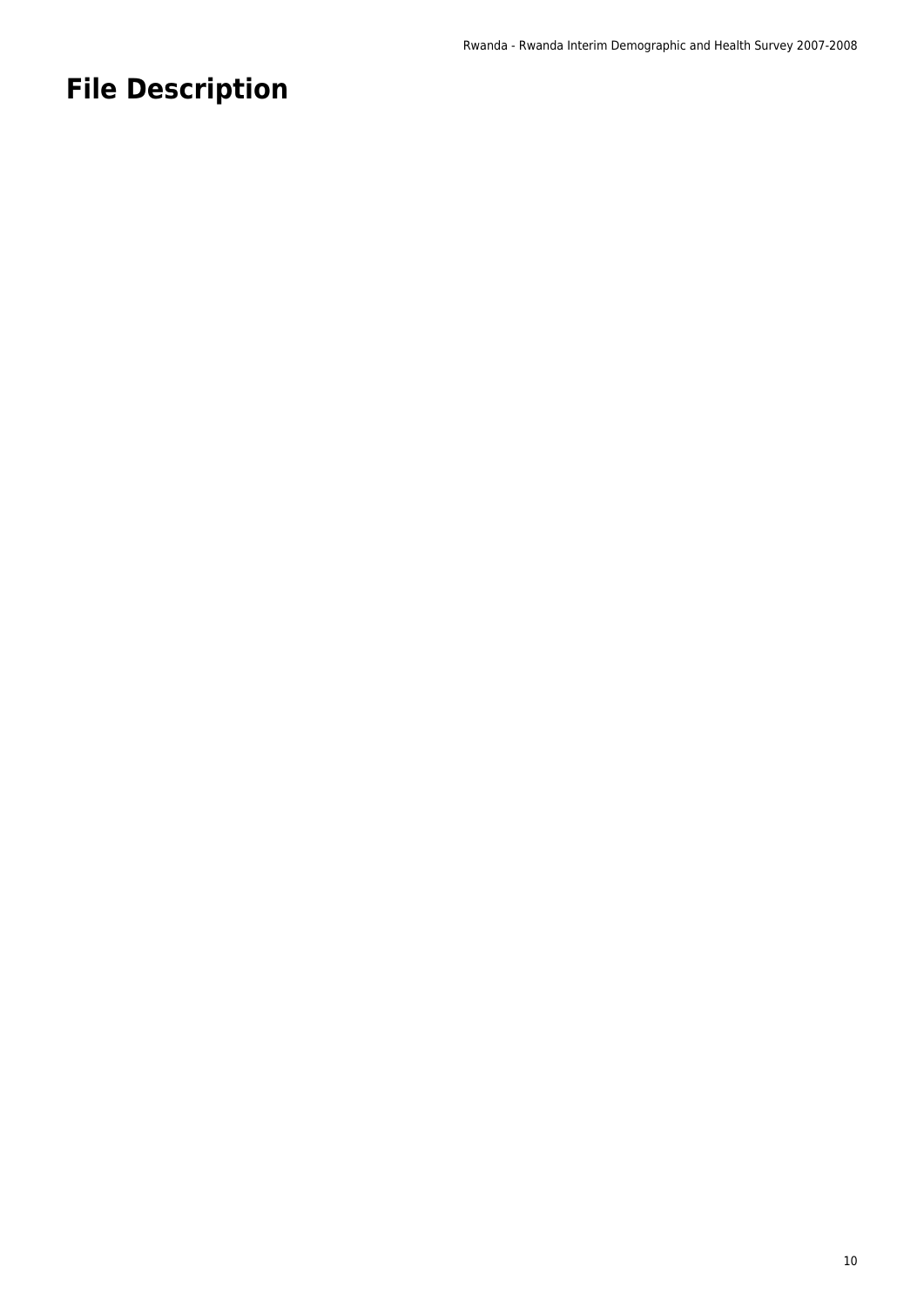## **File Description**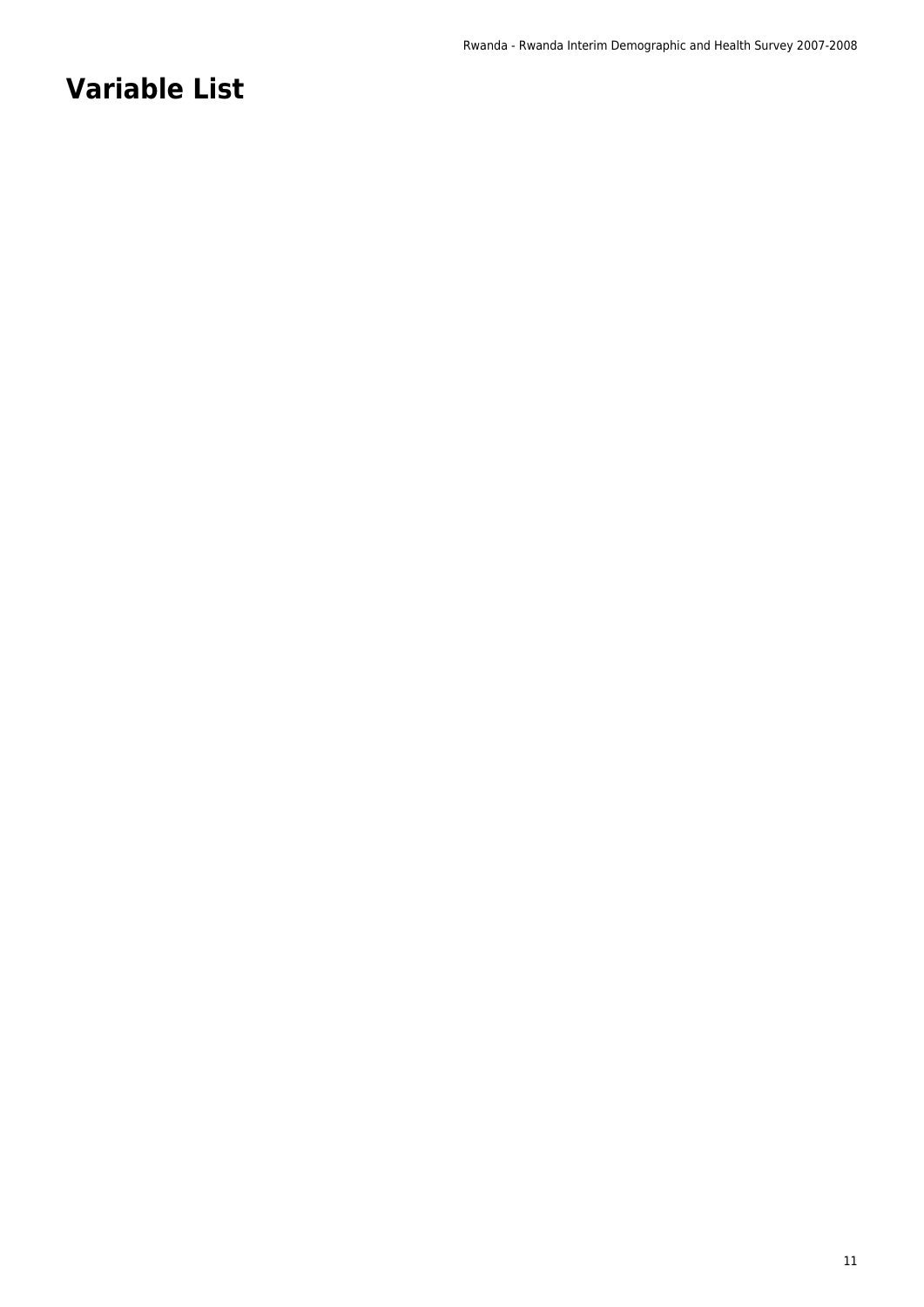## **Variable List**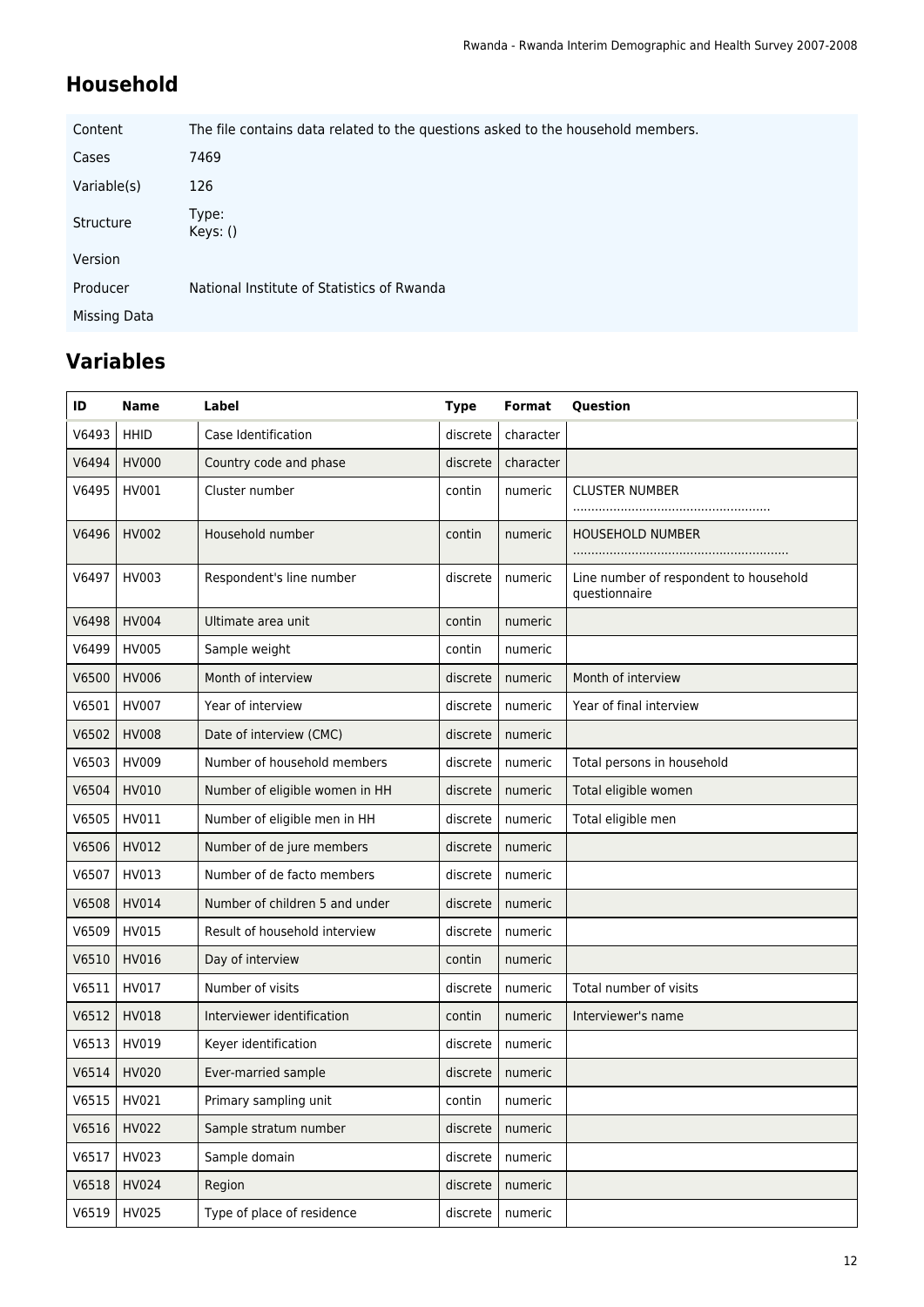## **Household**

| Content      | The file contains data related to the questions asked to the household members. |
|--------------|---------------------------------------------------------------------------------|
| Cases        | 7469                                                                            |
| Variable(s)  | 126                                                                             |
| Structure    | Type:<br>Keys: ()                                                               |
| Version      |                                                                                 |
| Producer     | National Institute of Statistics of Rwanda                                      |
| Missing Data |                                                                                 |

| ID    | <b>Name</b>  | Label                          | <b>Type</b> | Format    | Question                                                |
|-------|--------------|--------------------------------|-------------|-----------|---------------------------------------------------------|
| V6493 | <b>HHID</b>  | Case Identification            | discrete    | character |                                                         |
| V6494 | <b>HV000</b> | Country code and phase         | discrete    | character |                                                         |
| V6495 | HV001        | Cluster number                 | contin      | numeric   | <b>CLUSTER NUMBER</b>                                   |
| V6496 | <b>HV002</b> | Household number               | contin      | numeric   | <b>HOUSEHOLD NUMBER</b>                                 |
| V6497 | HV003        | Respondent's line number       | discrete    | numeric   | Line number of respondent to household<br>questionnaire |
| V6498 | <b>HV004</b> | Ultimate area unit             | contin      | numeric   |                                                         |
| V6499 | HV005        | Sample weight                  | contin      | numeric   |                                                         |
| V6500 | <b>HV006</b> | Month of interview             | discrete    | numeric   | Month of interview                                      |
| V6501 | HV007        | Year of interview              | discrete    | numeric   | Year of final interview                                 |
| V6502 | <b>HV008</b> | Date of interview (CMC)        | discrete    | numeric   |                                                         |
| V6503 | HV009        | Number of household members    | discrete    | numeric   | Total persons in household                              |
| V6504 | HV010        | Number of eligible women in HH | discrete    | numeric   | Total eligible women                                    |
| V6505 | HV011        | Number of eligible men in HH   | discrete    | numeric   | Total eligible men                                      |
| V6506 | HV012        | Number of de jure members      | discrete    | numeric   |                                                         |
| V6507 | HV013        | Number of de facto members     | discrete    | numeric   |                                                         |
| V6508 | HV014        | Number of children 5 and under | discrete    | numeric   |                                                         |
| V6509 | HV015        | Result of household interview  | discrete    | numeric   |                                                         |
| V6510 | HV016        | Day of interview               | contin      | numeric   |                                                         |
| V6511 | HV017        | Number of visits               | discrete    | numeric   | Total number of visits                                  |
| V6512 | HV018        | Interviewer identification     | contin      | numeric   | Interviewer's name                                      |
| V6513 | HV019        | Keyer identification           | discrete    | numeric   |                                                         |
| V6514 | HV020        | Ever-married sample            | discrete    | numeric   |                                                         |
| V6515 | HV021        | Primary sampling unit          | contin      | numeric   |                                                         |
| V6516 | <b>HV022</b> | Sample stratum number          | discrete    | numeric   |                                                         |
| V6517 | HV023        | Sample domain                  | discrete    | numeric   |                                                         |
| V6518 | HV024        | Region                         | discrete    | numeric   |                                                         |
| V6519 | HV025        | Type of place of residence     | discrete    | numeric   |                                                         |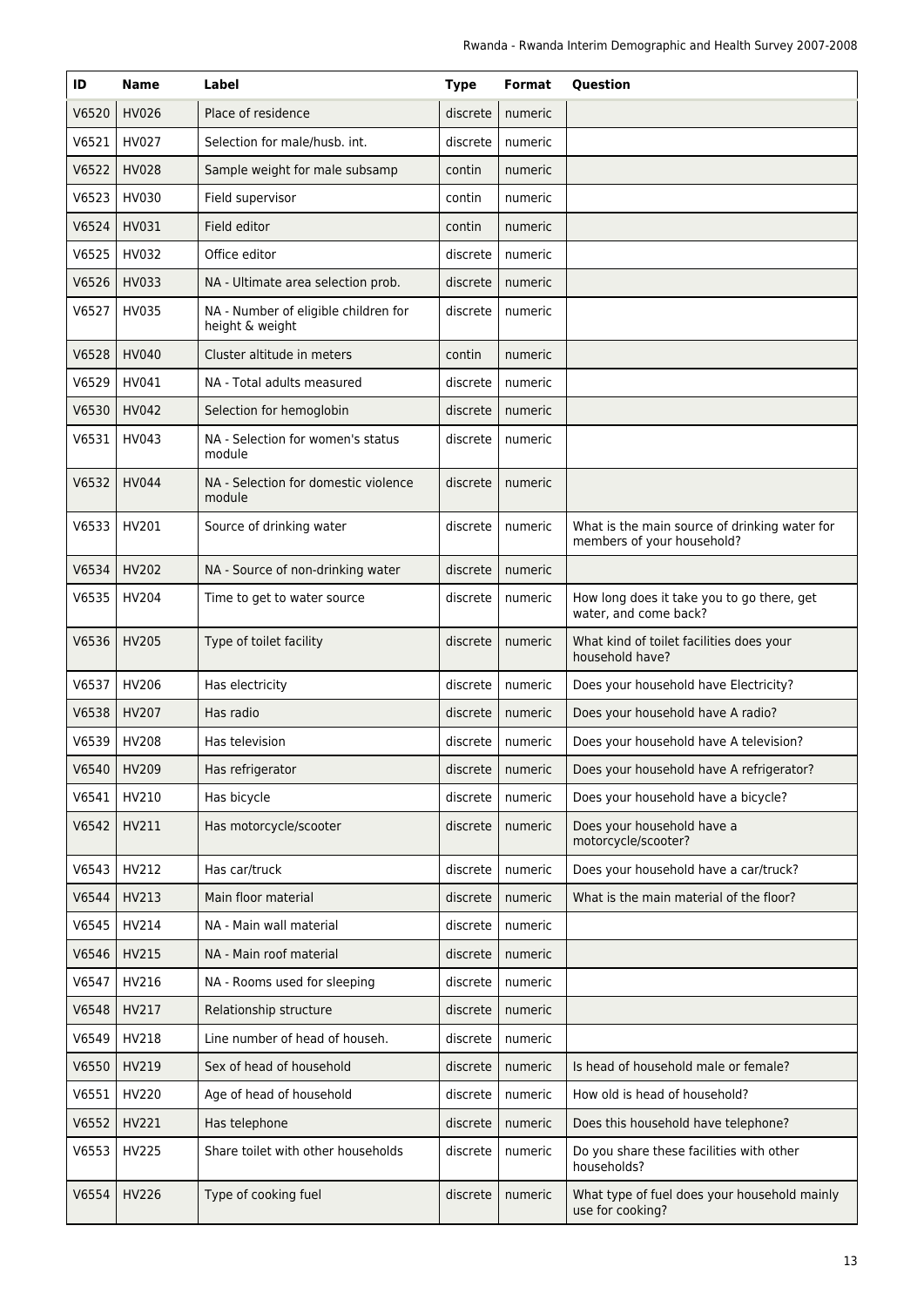| ID    | <b>Name</b>  | Label                                                   | <b>Type</b> | Format             | <b>Ouestion</b>                                                             |
|-------|--------------|---------------------------------------------------------|-------------|--------------------|-----------------------------------------------------------------------------|
| V6520 | <b>HV026</b> | Place of residence                                      | discrete    | numeric            |                                                                             |
| V6521 | HV027        | Selection for male/husb. int.                           | discrete    | numeric            |                                                                             |
| V6522 | <b>HV028</b> | Sample weight for male subsamp                          | contin      | numeric            |                                                                             |
| V6523 | HV030        | Field supervisor                                        | contin      | numeric            |                                                                             |
| V6524 | HV031        | Field editor                                            | contin      | numeric            |                                                                             |
| V6525 | HV032        | Office editor                                           | discrete    | numeric            |                                                                             |
| V6526 | HV033        | NA - Ultimate area selection prob.                      | discrete    | numeric            |                                                                             |
| V6527 | HV035        | NA - Number of eligible children for<br>height & weight | discrete    | numeric            |                                                                             |
| V6528 | <b>HV040</b> | Cluster altitude in meters                              | contin      | numeric            |                                                                             |
| V6529 | HV041        | NA - Total adults measured                              | discrete    | numeric            |                                                                             |
| V6530 | <b>HV042</b> | Selection for hemoglobin                                | discrete    | numeric            |                                                                             |
| V6531 | HV043        | NA - Selection for women's status<br>module             | discrete    | numeric            |                                                                             |
| V6532 | <b>HV044</b> | NA - Selection for domestic violence<br>module          | discrete    | numeric            |                                                                             |
| V6533 | HV201        | Source of drinking water                                | discrete    | numeric            | What is the main source of drinking water for<br>members of your household? |
| V6534 | HV202        | NA - Source of non-drinking water                       | discrete    | numeric            |                                                                             |
| V6535 | HV204        | Time to get to water source                             | discrete    | numeric            | How long does it take you to go there, get<br>water, and come back?         |
| V6536 | <b>HV205</b> | Type of toilet facility                                 | discrete    | numeric            | What kind of toilet facilities does your<br>household have?                 |
| V6537 | HV206        | Has electricity                                         | discrete    | numeric            | Does your household have Electricity?                                       |
| V6538 | <b>HV207</b> | Has radio                                               | discrete    | numeric            | Does your household have A radio?                                           |
| V6539 | <b>HV208</b> | Has television                                          | discrete    | numeric            | Does your household have A television?                                      |
| V6540 | HV209        | Has refrigerator                                        |             | discrete   numeric | Does your household have A refrigerator?                                    |
| V6541 | HV210        | Has bicycle                                             | discrete    | numeric            | Does your household have a bicycle?                                         |
| V6542 | HV211        | Has motorcycle/scooter                                  | discrete    | numeric            | Does your household have a<br>motorcycle/scooter?                           |
| V6543 | HV212        | Has car/truck                                           | discrete    | numeric            | Does your household have a car/truck?                                       |
| V6544 | HV213        | Main floor material                                     | discrete    | numeric            | What is the main material of the floor?                                     |
| V6545 | HV214        | NA - Main wall material                                 | discrete    | numeric            |                                                                             |
| V6546 | HV215        | NA - Main roof material                                 | discrete    | numeric            |                                                                             |
| V6547 | HV216        | NA - Rooms used for sleeping                            | discrete    | numeric            |                                                                             |
| V6548 | HV217        | Relationship structure                                  | discrete    | numeric            |                                                                             |
| V6549 | HV218        | Line number of head of househ.                          | discrete    | numeric            |                                                                             |
| V6550 | HV219        | Sex of head of household                                | discrete    | numeric            | Is head of household male or female?                                        |
| V6551 | HV220        | Age of head of household                                | discrete    | numeric            | How old is head of household?                                               |
| V6552 | HV221        | Has telephone                                           | discrete    | numeric            | Does this household have telephone?                                         |
| V6553 | HV225        | Share toilet with other households                      | discrete    | numeric            | Do you share these facilities with other<br>households?                     |
| V6554 | HV226        | Type of cooking fuel                                    | discrete    | numeric            | What type of fuel does your household mainly<br>use for cooking?            |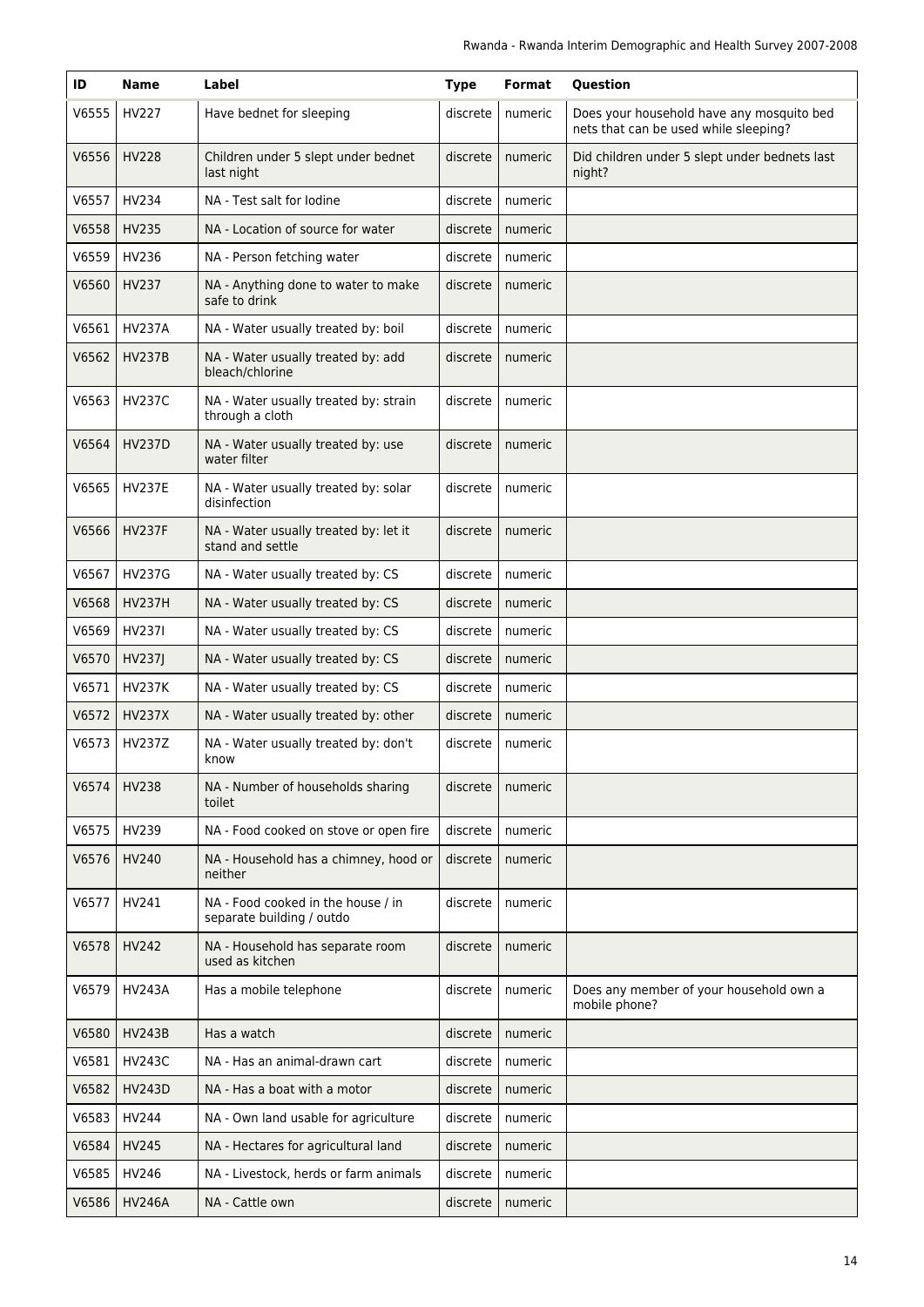| ID    | <b>Name</b>   | Label                                                           | <b>Type</b> | Format  | <b>Question</b>                                                                    |
|-------|---------------|-----------------------------------------------------------------|-------------|---------|------------------------------------------------------------------------------------|
| V6555 | HV227         | Have bednet for sleeping                                        | discrete    | numeric | Does your household have any mosquito bed<br>nets that can be used while sleeping? |
| V6556 | <b>HV228</b>  | Children under 5 slept under bednet<br>last night               | discrete    | numeric | Did children under 5 slept under bednets last<br>night?                            |
| V6557 | HV234         | NA - Test salt for Iodine                                       | discrete    | numeric |                                                                                    |
| V6558 | HV235         | NA - Location of source for water                               | discrete    | numeric |                                                                                    |
| V6559 | HV236         | NA - Person fetching water                                      | discrete    | numeric |                                                                                    |
| V6560 | HV237         | NA - Anything done to water to make<br>safe to drink            | discrete    | numeric |                                                                                    |
| V6561 | <b>HV237A</b> | NA - Water usually treated by: boil                             | discrete    | numeric |                                                                                    |
| V6562 | <b>HV237B</b> | NA - Water usually treated by: add<br>bleach/chlorine           | discrete    | numeric |                                                                                    |
| V6563 | <b>HV237C</b> | NA - Water usually treated by: strain<br>through a cloth        | discrete    | numeric |                                                                                    |
| V6564 | <b>HV237D</b> | NA - Water usually treated by: use<br>water filter              | discrete    | numeric |                                                                                    |
| V6565 | <b>HV237E</b> | NA - Water usually treated by: solar<br>disinfection            | discrete    | numeric |                                                                                    |
| V6566 | <b>HV237F</b> | NA - Water usually treated by: let it<br>stand and settle       | discrete    | numeric |                                                                                    |
| V6567 | <b>HV237G</b> | NA - Water usually treated by: CS                               | discrete    | numeric |                                                                                    |
| V6568 | <b>HV237H</b> | NA - Water usually treated by: CS                               | discrete    | numeric |                                                                                    |
| V6569 | <b>HV237I</b> | NA - Water usually treated by: CS                               | discrete    | numeric |                                                                                    |
| V6570 | HV237J        | NA - Water usually treated by: CS                               | discrete    | numeric |                                                                                    |
| V6571 | <b>HV237K</b> | NA - Water usually treated by: CS                               | discrete    | numeric |                                                                                    |
| V6572 | <b>HV237X</b> | NA - Water usually treated by: other                            | discrete    | numeric |                                                                                    |
| V6573 | <b>HV237Z</b> | NA - Water usually treated by: don't<br>know                    | discrete    | numeric |                                                                                    |
| V6574 | HV238         | NA - Number of households sharing<br>toilet                     | discrete    | numeric |                                                                                    |
| V6575 | HV239         | NA - Food cooked on stove or open fire                          | discrete    | numeric |                                                                                    |
| V6576 | HV240         | NA - Household has a chimney, hood or<br>neither                | discrete    | numeric |                                                                                    |
| V6577 | HV241         | NA - Food cooked in the house / in<br>separate building / outdo | discrete    | numeric |                                                                                    |
| V6578 | HV242         | NA - Household has separate room<br>used as kitchen             | discrete    | numeric |                                                                                    |
| V6579 | <b>HV243A</b> | Has a mobile telephone                                          | discrete    | numeric | Does any member of your household own a<br>mobile phone?                           |
| V6580 | <b>HV243B</b> | Has a watch                                                     | discrete    | numeric |                                                                                    |
| V6581 | <b>HV243C</b> | NA - Has an animal-drawn cart                                   | discrete    | numeric |                                                                                    |
| V6582 | <b>HV243D</b> | NA - Has a boat with a motor                                    | discrete    | numeric |                                                                                    |
| V6583 | HV244         | NA - Own land usable for agriculture                            | discrete    | numeric |                                                                                    |
| V6584 | HV245         | NA - Hectares for agricultural land                             | discrete    | numeric |                                                                                    |
| V6585 | HV246         | NA - Livestock, herds or farm animals                           | discrete    | numeric |                                                                                    |
| V6586 | <b>HV246A</b> | NA - Cattle own                                                 | discrete    | numeric |                                                                                    |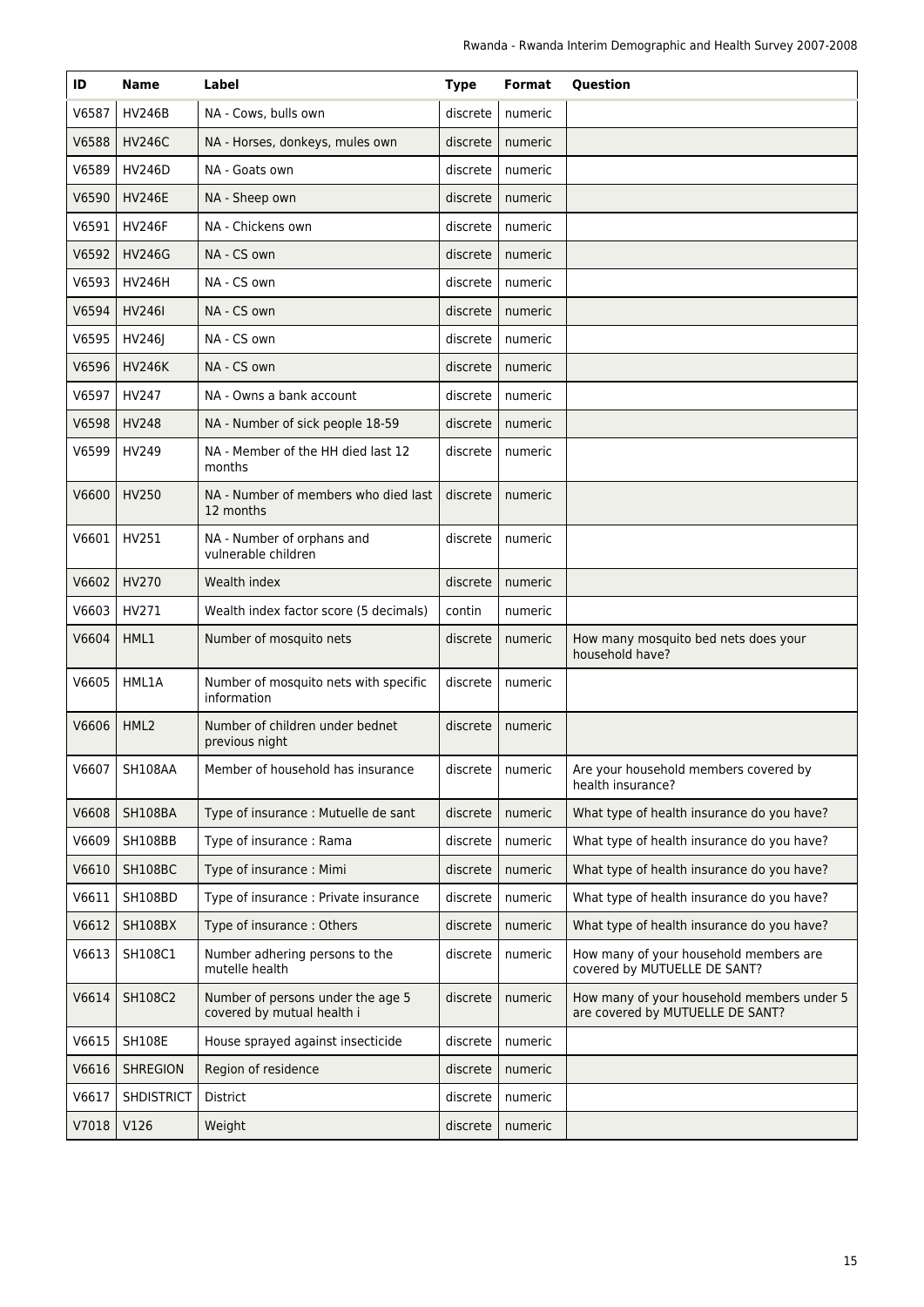| ID    | <b>Name</b>       | Label                                                           | <b>Type</b> | Format  | Question                                                                       |
|-------|-------------------|-----------------------------------------------------------------|-------------|---------|--------------------------------------------------------------------------------|
| V6587 | <b>HV246B</b>     | NA - Cows, bulls own                                            | discrete    | numeric |                                                                                |
| V6588 | <b>HV246C</b>     | NA - Horses, donkeys, mules own                                 | discrete    | numeric |                                                                                |
| V6589 | <b>HV246D</b>     | NA - Goats own                                                  | discrete    | numeric |                                                                                |
| V6590 | <b>HV246E</b>     | NA - Sheep own                                                  | discrete    | numeric |                                                                                |
| V6591 | <b>HV246F</b>     | NA - Chickens own                                               | discrete    | numeric |                                                                                |
| V6592 | <b>HV246G</b>     | NA - CS own                                                     | discrete    | numeric |                                                                                |
| V6593 | <b>HV246H</b>     | NA - CS own                                                     | discrete    | numeric |                                                                                |
| V6594 | <b>HV246I</b>     | NA - CS own                                                     | discrete    | numeric |                                                                                |
| V6595 | HV246J            | NA - CS own                                                     | discrete    | numeric |                                                                                |
| V6596 | <b>HV246K</b>     | NA - CS own                                                     | discrete    | numeric |                                                                                |
| V6597 | HV247             | NA - Owns a bank account                                        | discrete    | numeric |                                                                                |
| V6598 | <b>HV248</b>      | NA - Number of sick people 18-59                                | discrete    | numeric |                                                                                |
| V6599 | HV249             | NA - Member of the HH died last 12<br>months                    | discrete    | numeric |                                                                                |
| V6600 | HV250             | NA - Number of members who died last<br>12 months               | discrete    | numeric |                                                                                |
| V6601 | HV251             | NA - Number of orphans and<br>vulnerable children               | discrete    | numeric |                                                                                |
| V6602 | HV270             | Wealth index                                                    | discrete    | numeric |                                                                                |
| V6603 | HV271             | Wealth index factor score (5 decimals)                          | contin      | numeric |                                                                                |
| V6604 | HML1              | Number of mosquito nets                                         | discrete    | numeric | How many mosquito bed nets does your<br>household have?                        |
| V6605 | HML1A             | Number of mosquito nets with specific<br>information            | discrete    | numeric |                                                                                |
| V6606 | HML2              | Number of children under bednet<br>previous night               | discrete    | numeric |                                                                                |
| V6607 | <b>SH108AA</b>    | Member of household has insurance                               | discrete    | numeric | Are your household members covered by<br>health insurance?                     |
| V6608 | SH108BA           | Type of insurance : Mutuelle de sant                            | discrete    | numeric | What type of health insurance do you have?                                     |
| V6609 | SH108BB           | Type of insurance : Rama                                        | discrete    | numeric | What type of health insurance do you have?                                     |
| V6610 | SH108BC           | Type of insurance : Mimi                                        | discrete    | numeric | What type of health insurance do you have?                                     |
| V6611 | SH108BD           | Type of insurance : Private insurance                           | discrete    | numeric | What type of health insurance do you have?                                     |
| V6612 | <b>SH108BX</b>    | Type of insurance: Others                                       | discrete    | numeric | What type of health insurance do you have?                                     |
| V6613 | SH108C1           | Number adhering persons to the<br>mutelle health                | discrete    | numeric | How many of your household members are<br>covered by MUTUELLE DE SANT?         |
| V6614 | SH108C2           | Number of persons under the age 5<br>covered by mutual health i | discrete    | numeric | How many of your household members under 5<br>are covered by MUTUELLE DE SANT? |
| V6615 | <b>SH108E</b>     | House sprayed against insecticide                               | discrete    | numeric |                                                                                |
| V6616 | <b>SHREGION</b>   | Region of residence                                             | discrete    | numeric |                                                                                |
| V6617 | <b>SHDISTRICT</b> | District                                                        | discrete    | numeric |                                                                                |
| V7018 | V126              | Weight                                                          | discrete    | numeric |                                                                                |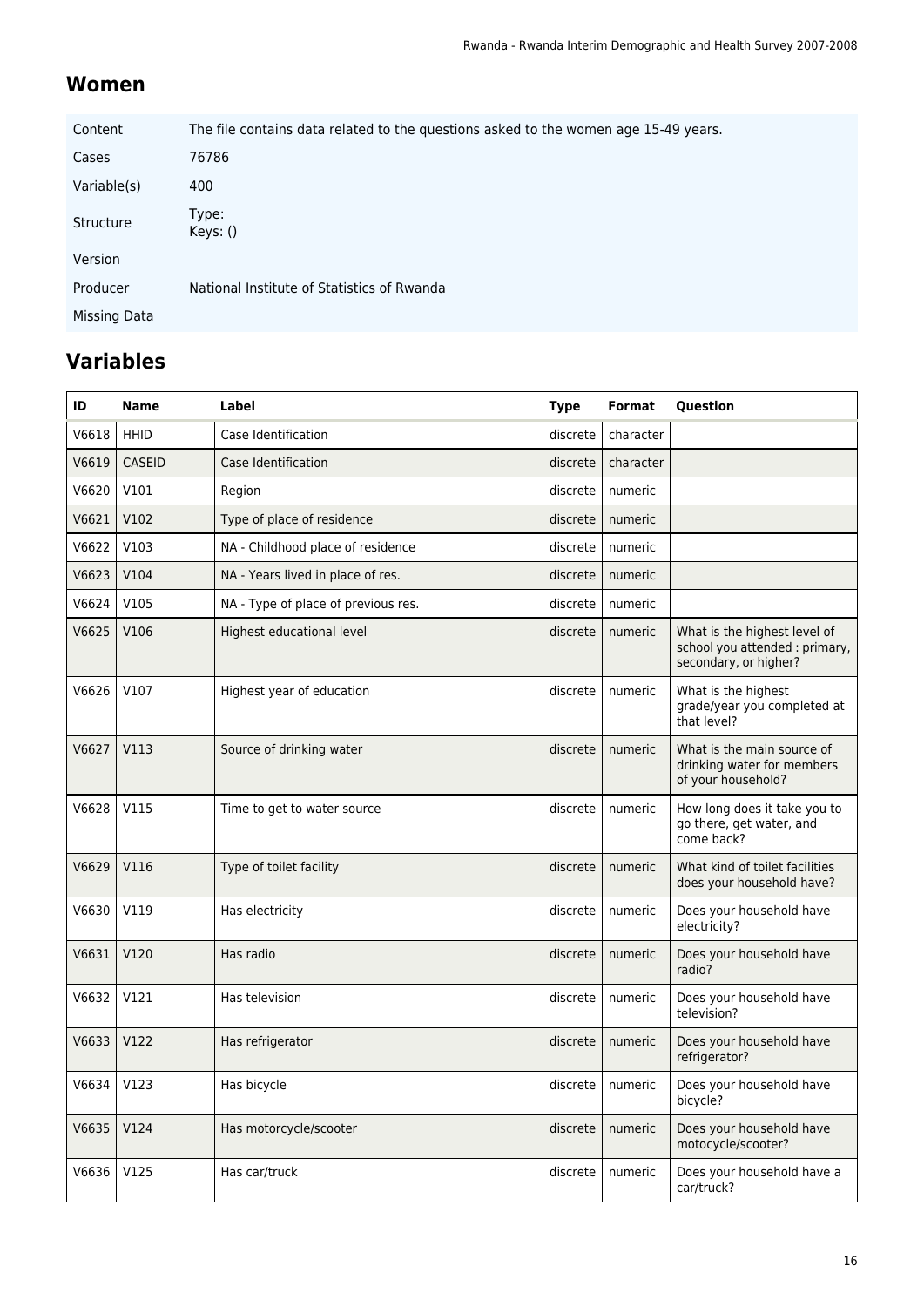## **Women**

| Content      | The file contains data related to the questions asked to the women age 15-49 years. |
|--------------|-------------------------------------------------------------------------------------|
| Cases        | 76786                                                                               |
| Variable(s)  | 400                                                                                 |
| Structure    | Type:<br>Keys: ()                                                                   |
| Version      |                                                                                     |
| Producer     | National Institute of Statistics of Rwanda                                          |
| Missing Data |                                                                                     |

| ID    | <b>Name</b>   | Label                               | <b>Type</b> | Format    | Question                                                                                |
|-------|---------------|-------------------------------------|-------------|-----------|-----------------------------------------------------------------------------------------|
| V6618 | <b>HHID</b>   | Case Identification                 | discrete    | character |                                                                                         |
| V6619 | <b>CASEID</b> | Case Identification                 | discrete    | character |                                                                                         |
| V6620 | V101          | Region                              | discrete    | numeric   |                                                                                         |
| V6621 | V102          | Type of place of residence          | discrete    | numeric   |                                                                                         |
| V6622 | V103          | NA - Childhood place of residence   | discrete    | numeric   |                                                                                         |
| V6623 | V104          | NA - Years lived in place of res.   | discrete    | numeric   |                                                                                         |
| V6624 | V105          | NA - Type of place of previous res. | discrete    | numeric   |                                                                                         |
| V6625 | V106          | Highest educational level           | discrete    | numeric   | What is the highest level of<br>school you attended : primary,<br>secondary, or higher? |
| V6626 | V107          | Highest year of education           | discrete    | numeric   | What is the highest<br>grade/year you completed at<br>that level?                       |
| V6627 | V113          | Source of drinking water            | discrete    | numeric   | What is the main source of<br>drinking water for members<br>of your household?          |
| V6628 | V115          | Time to get to water source         | discrete    | numeric   | How long does it take you to<br>go there, get water, and<br>come back?                  |
| V6629 | V116          | Type of toilet facility             | discrete    | numeric   | What kind of toilet facilities<br>does your household have?                             |
| V6630 | V119          | Has electricity                     | discrete    | numeric   | Does your household have<br>electricity?                                                |
| V6631 | V120          | Has radio                           | discrete    | numeric   | Does your household have<br>radio?                                                      |
| V6632 | V121          | Has television                      | discrete    | numeric   | Does your household have<br>television?                                                 |
| V6633 | V122          | Has refrigerator                    | discrete    | numeric   | Does your household have<br>refrigerator?                                               |
| V6634 | V123          | Has bicycle                         | discrete    | numeric   | Does your household have<br>bicycle?                                                    |
| V6635 | V124          | Has motorcycle/scooter              | discrete    | numeric   | Does your household have<br>motocycle/scooter?                                          |
| V6636 | V125          | Has car/truck                       | discrete    | numeric   | Does your household have a<br>car/truck?                                                |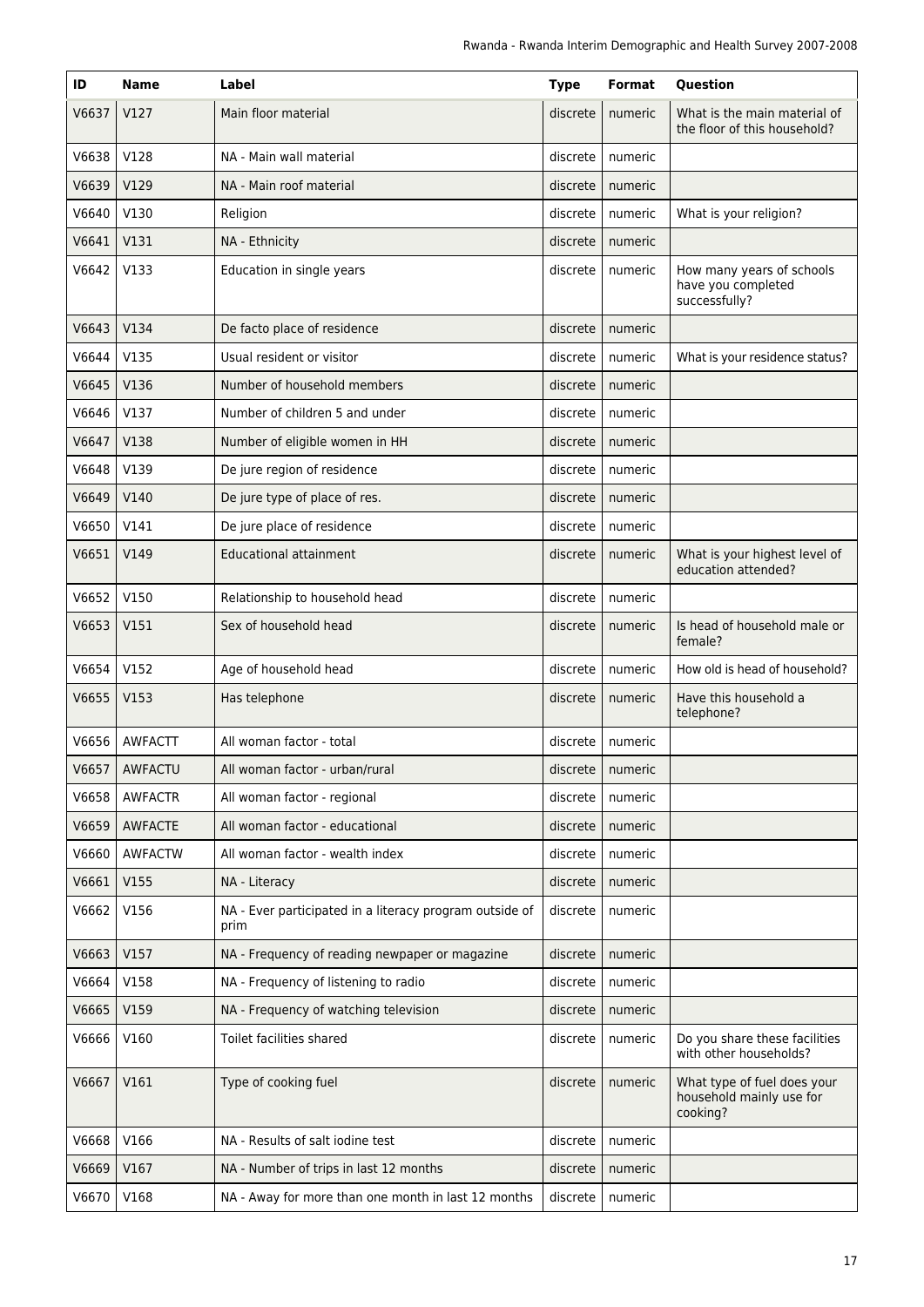| ID    | <b>Name</b>     | Label                                                           | <b>Type</b> | Format  | <b>Ouestion</b>                                                     |
|-------|-----------------|-----------------------------------------------------------------|-------------|---------|---------------------------------------------------------------------|
| V6637 | V127            | Main floor material                                             | discrete    | numeric | What is the main material of<br>the floor of this household?        |
| V6638 | V128            | NA - Main wall material                                         | discrete    | numeric |                                                                     |
| V6639 | V129            | NA - Main roof material                                         | discrete    | numeric |                                                                     |
| V6640 | V130            | Religion                                                        | discrete    | numeric | What is your religion?                                              |
| V6641 | V131            | NA - Ethnicity                                                  | discrete    | numeric |                                                                     |
| V6642 | V133            | Education in single years                                       | discrete    | numeric | How many years of schools<br>have you completed<br>successfully?    |
| V6643 | V134            | De facto place of residence                                     | discrete    | numeric |                                                                     |
| V6644 | V135            | Usual resident or visitor                                       | discrete    | numeric | What is your residence status?                                      |
| V6645 | V136            | Number of household members                                     | discrete    | numeric |                                                                     |
| V6646 | V137            | Number of children 5 and under                                  | discrete    | numeric |                                                                     |
| V6647 | V138            | Number of eligible women in HH                                  | discrete    | numeric |                                                                     |
| V6648 | V139            | De jure region of residence                                     | discrete    | numeric |                                                                     |
| V6649 | V140            | De jure type of place of res.                                   | discrete    | numeric |                                                                     |
| V6650 | V141            | De jure place of residence                                      | discrete    | numeric |                                                                     |
| V6651 | V149            | <b>Educational attainment</b>                                   | discrete    | numeric | What is your highest level of<br>education attended?                |
| V6652 | V150            | Relationship to household head                                  | discrete    | numeric |                                                                     |
| V6653 | V151            | Sex of household head                                           | discrete    | numeric | Is head of household male or<br>female?                             |
| V6654 | V152            | Age of household head                                           | discrete    | numeric | How old is head of household?                                       |
| V6655 | V153            | Has telephone                                                   | discrete    | numeric | Have this household a<br>telephone?                                 |
| V6656 | AWFACTT         | All woman factor - total                                        | discrete    | numeric |                                                                     |
|       | V6657   AWFACTU | All woman factor - urban/rural                                  | discrete    | numeric |                                                                     |
| V6658 | <b>AWFACTR</b>  | All woman factor - regional                                     | discrete    | numeric |                                                                     |
| V6659 | <b>AWFACTE</b>  | All woman factor - educational                                  | discrete    | numeric |                                                                     |
| V6660 | <b>AWFACTW</b>  | All woman factor - wealth index                                 | discrete    | numeric |                                                                     |
| V6661 | V155            | NA - Literacy                                                   | discrete    | numeric |                                                                     |
| V6662 | V156            | NA - Ever participated in a literacy program outside of<br>prim | discrete    | numeric |                                                                     |
| V6663 | V157            | NA - Frequency of reading newpaper or magazine                  | discrete    | numeric |                                                                     |
| V6664 | V158            | NA - Frequency of listening to radio                            | discrete    | numeric |                                                                     |
| V6665 | V159            | NA - Frequency of watching television                           | discrete    | numeric |                                                                     |
| V6666 | V160            | Toilet facilities shared                                        | discrete    | numeric | Do you share these facilities<br>with other households?             |
| V6667 | V161            | Type of cooking fuel                                            | discrete    | numeric | What type of fuel does your<br>household mainly use for<br>cooking? |
| V6668 | V166            | NA - Results of salt iodine test                                | discrete    | numeric |                                                                     |
| V6669 | V167            | NA - Number of trips in last 12 months                          | discrete    | numeric |                                                                     |
| V6670 | V168            | NA - Away for more than one month in last 12 months             | discrete    | numeric |                                                                     |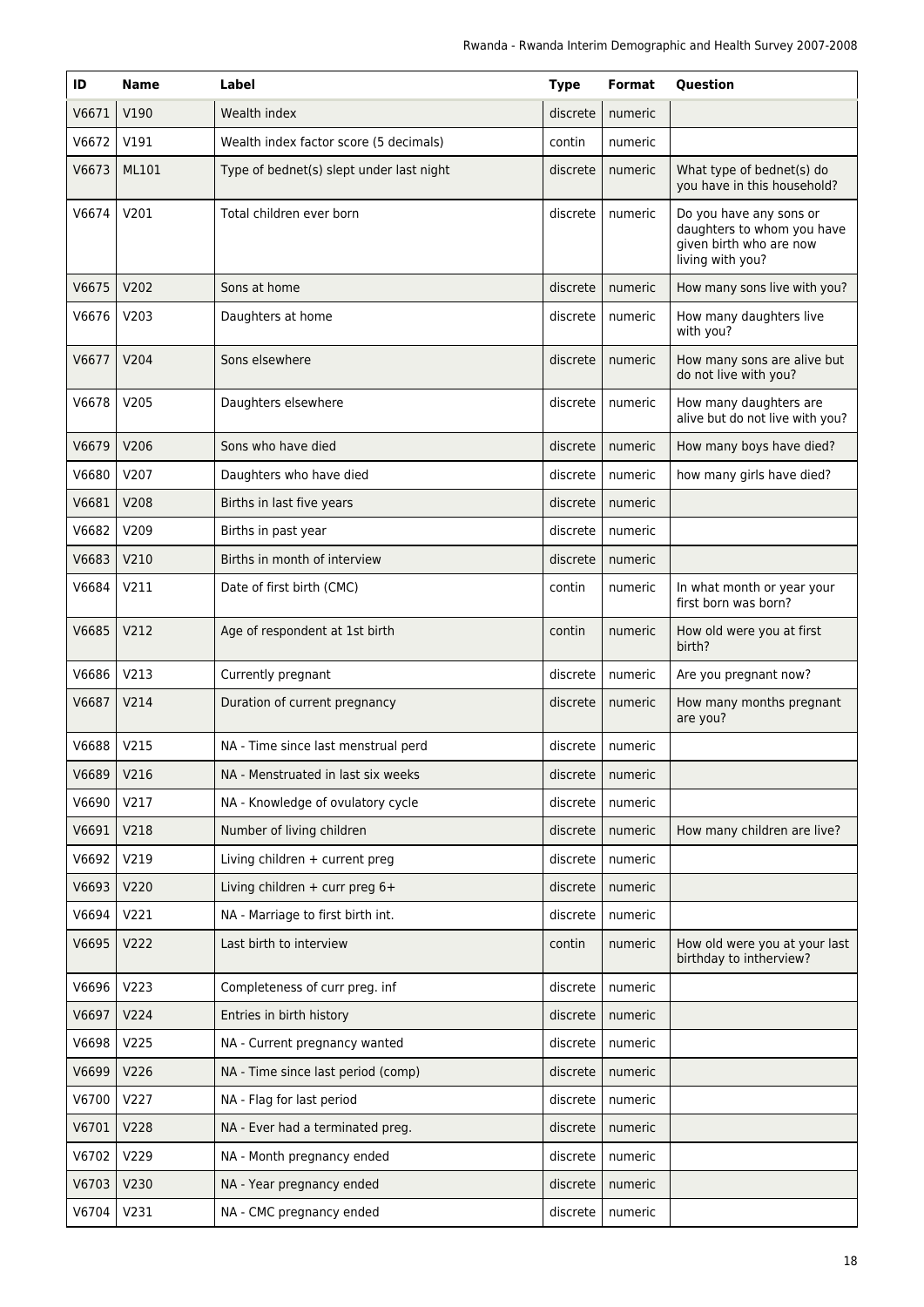| ID    | <b>Name</b> | Label                                    | <b>Type</b> | <b>Format</b> | <b>Question</b>                                                                                      |
|-------|-------------|------------------------------------------|-------------|---------------|------------------------------------------------------------------------------------------------------|
| V6671 | V190        | Wealth index                             | discrete    | numeric       |                                                                                                      |
| V6672 | V191        | Wealth index factor score (5 decimals)   | contin      | numeric       |                                                                                                      |
| V6673 | ML101       | Type of bednet(s) slept under last night | discrete    | numeric       | What type of bednet(s) do<br>you have in this household?                                             |
| V6674 | V201        | Total children ever born                 | discrete    | numeric       | Do you have any sons or<br>daughters to whom you have<br>given birth who are now<br>living with you? |
| V6675 | V202        | Sons at home                             | discrete    | numeric       | How many sons live with you?                                                                         |
| V6676 | V203        | Daughters at home                        | discrete    | numeric       | How many daughters live<br>with you?                                                                 |
| V6677 | V204        | Sons elsewhere                           | discrete    | numeric       | How many sons are alive but<br>do not live with you?                                                 |
| V6678 | V205        | Daughters elsewhere                      | discrete    | numeric       | How many daughters are<br>alive but do not live with you?                                            |
| V6679 | V206        | Sons who have died                       | discrete    | numeric       | How many boys have died?                                                                             |
| V6680 | V207        | Daughters who have died                  | discrete    | numeric       | how many girls have died?                                                                            |
| V6681 | V208        | Births in last five years                | discrete    | numeric       |                                                                                                      |
| V6682 | V209        | Births in past year                      | discrete    | numeric       |                                                                                                      |
| V6683 | V210        | Births in month of interview             | discrete    | numeric       |                                                                                                      |
| V6684 | V211        | Date of first birth (CMC)                | contin      | numeric       | In what month or year your<br>first born was born?                                                   |
| V6685 | V212        | Age of respondent at 1st birth           | contin      | numeric       | How old were you at first<br>birth?                                                                  |
| V6686 | V213        | Currently pregnant                       | discrete    | numeric       | Are you pregnant now?                                                                                |
| V6687 | V214        | Duration of current pregnancy            | discrete    | numeric       | How many months pregnant<br>are you?                                                                 |
| V6688 | V215        | NA - Time since last menstrual perd      | discrete    | numeric       |                                                                                                      |
| V6689 | V216        | NA - Menstruated in last six weeks       | discrete    | numeric       |                                                                                                      |
| V6690 | V217        | NA - Knowledge of ovulatory cycle        | discrete    | numeric       |                                                                                                      |
| V6691 | V218        | Number of living children                | discrete    | numeric       | How many children are live?                                                                          |
| V6692 | V219        | Living children + current preg           | discrete    | numeric       |                                                                                                      |
| V6693 | V220        | Living children $+$ curr preg $6+$       | discrete    | numeric       |                                                                                                      |
| V6694 | V221        | NA - Marriage to first birth int.        | discrete    | numeric       |                                                                                                      |
| V6695 | V222        | Last birth to interview                  | contin      | numeric       | How old were you at your last<br>birthday to intherview?                                             |
| V6696 | V223        | Completeness of curr preg. inf           | discrete    | numeric       |                                                                                                      |
| V6697 | V224        | Entries in birth history                 | discrete    | numeric       |                                                                                                      |
| V6698 | V225        | NA - Current pregnancy wanted            | discrete    | numeric       |                                                                                                      |
| V6699 | V226        | NA - Time since last period (comp)       | discrete    | numeric       |                                                                                                      |
| V6700 | V227        | NA - Flag for last period                | discrete    | numeric       |                                                                                                      |
| V6701 | V228        | NA - Ever had a terminated preg.         | discrete    | numeric       |                                                                                                      |
| V6702 | V229        | NA - Month pregnancy ended               | discrete    | numeric       |                                                                                                      |
| V6703 | V230        | NA - Year pregnancy ended                | discrete    | numeric       |                                                                                                      |
| V6704 | V231        | NA - CMC pregnancy ended                 | discrete    | numeric       |                                                                                                      |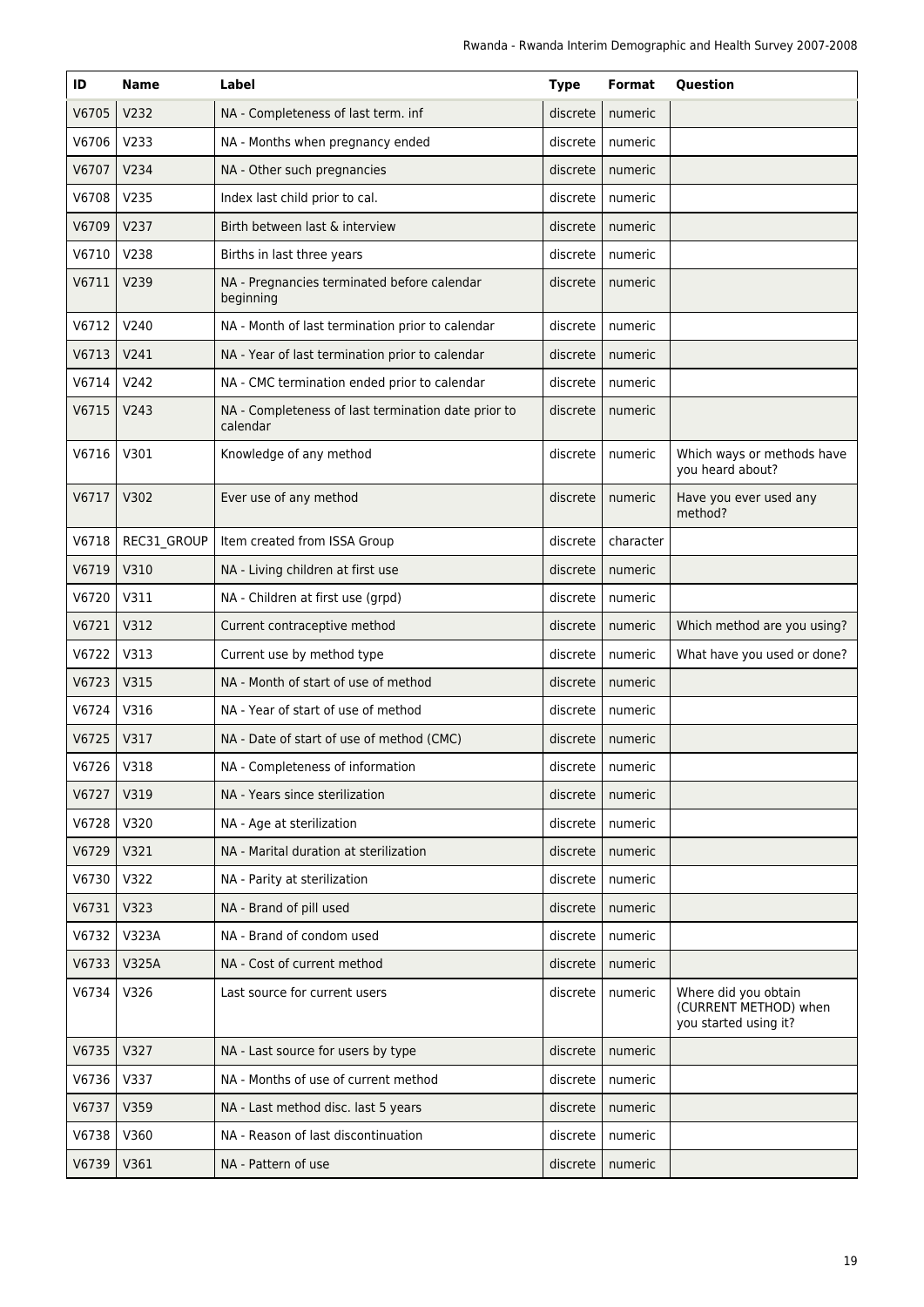| ID    | <b>Name</b> | Label                                                           | <b>Type</b> | Format    | Question                                                               |
|-------|-------------|-----------------------------------------------------------------|-------------|-----------|------------------------------------------------------------------------|
| V6705 | V232        | NA - Completeness of last term. inf                             | discrete    | numeric   |                                                                        |
| V6706 | V233        | NA - Months when pregnancy ended                                | discrete    | numeric   |                                                                        |
| V6707 | V234        | NA - Other such pregnancies                                     | discrete    | numeric   |                                                                        |
| V6708 | V235        | Index last child prior to cal.                                  | discrete    | numeric   |                                                                        |
| V6709 | V237        | Birth between last & interview                                  | discrete    | numeric   |                                                                        |
| V6710 | V238        | Births in last three years                                      | discrete    | numeric   |                                                                        |
| V6711 | V239        | NA - Pregnancies terminated before calendar<br>beginning        | discrete    | numeric   |                                                                        |
| V6712 | V240        | NA - Month of last termination prior to calendar                | discrete    | numeric   |                                                                        |
| V6713 | V241        | NA - Year of last termination prior to calendar                 | discrete    | numeric   |                                                                        |
| V6714 | V242        | NA - CMC termination ended prior to calendar                    | discrete    | numeric   |                                                                        |
| V6715 | V243        | NA - Completeness of last termination date prior to<br>calendar | discrete    | numeric   |                                                                        |
| V6716 | V301        | Knowledge of any method                                         | discrete    | numeric   | Which ways or methods have<br>you heard about?                         |
| V6717 | V302        | Ever use of any method                                          | discrete    | numeric   | Have you ever used any<br>method?                                      |
| V6718 | REC31_GROUP | Item created from ISSA Group                                    | discrete    | character |                                                                        |
| V6719 | V310        | NA - Living children at first use                               | discrete    | numeric   |                                                                        |
| V6720 | V311        | NA - Children at first use (grpd)                               | discrete    | numeric   |                                                                        |
| V6721 | V312        | Current contraceptive method                                    | discrete    | numeric   | Which method are you using?                                            |
| V6722 | V313        | Current use by method type                                      | discrete    | numeric   | What have you used or done?                                            |
| V6723 | V315        | NA - Month of start of use of method                            | discrete    | numeric   |                                                                        |
| V6724 | V316        | NA - Year of start of use of method                             | discrete    | numeric   |                                                                        |
| V6725 | V317        | NA - Date of start of use of method (CMC)                       | discrete    | numeric   |                                                                        |
| V6726 | V318        | NA - Completeness of information                                | discrete    | numeric   |                                                                        |
| V6727 | V319        | NA - Years since sterilization                                  | discrete    | numeric   |                                                                        |
| V6728 | V320        | NA - Age at sterilization                                       | discrete    | numeric   |                                                                        |
| V6729 | V321        | NA - Marital duration at sterilization                          | discrete    | numeric   |                                                                        |
| V6730 | V322        | NA - Parity at sterilization                                    | discrete    | numeric   |                                                                        |
| V6731 | V323        | NA - Brand of pill used                                         | discrete    | numeric   |                                                                        |
| V6732 | V323A       | NA - Brand of condom used                                       | discrete    | numeric   |                                                                        |
| V6733 | V325A       | NA - Cost of current method                                     | discrete    | numeric   |                                                                        |
| V6734 | V326        | Last source for current users                                   | discrete    | numeric   | Where did you obtain<br>(CURRENT METHOD) when<br>you started using it? |
| V6735 | V327        | NA - Last source for users by type                              | discrete    | numeric   |                                                                        |
| V6736 | V337        | NA - Months of use of current method                            | discrete    | numeric   |                                                                        |
| V6737 | V359        | NA - Last method disc. last 5 years                             | discrete    | numeric   |                                                                        |
| V6738 | V360        | NA - Reason of last discontinuation                             | discrete    | numeric   |                                                                        |
| V6739 | V361        | NA - Pattern of use                                             | discrete    | numeric   |                                                                        |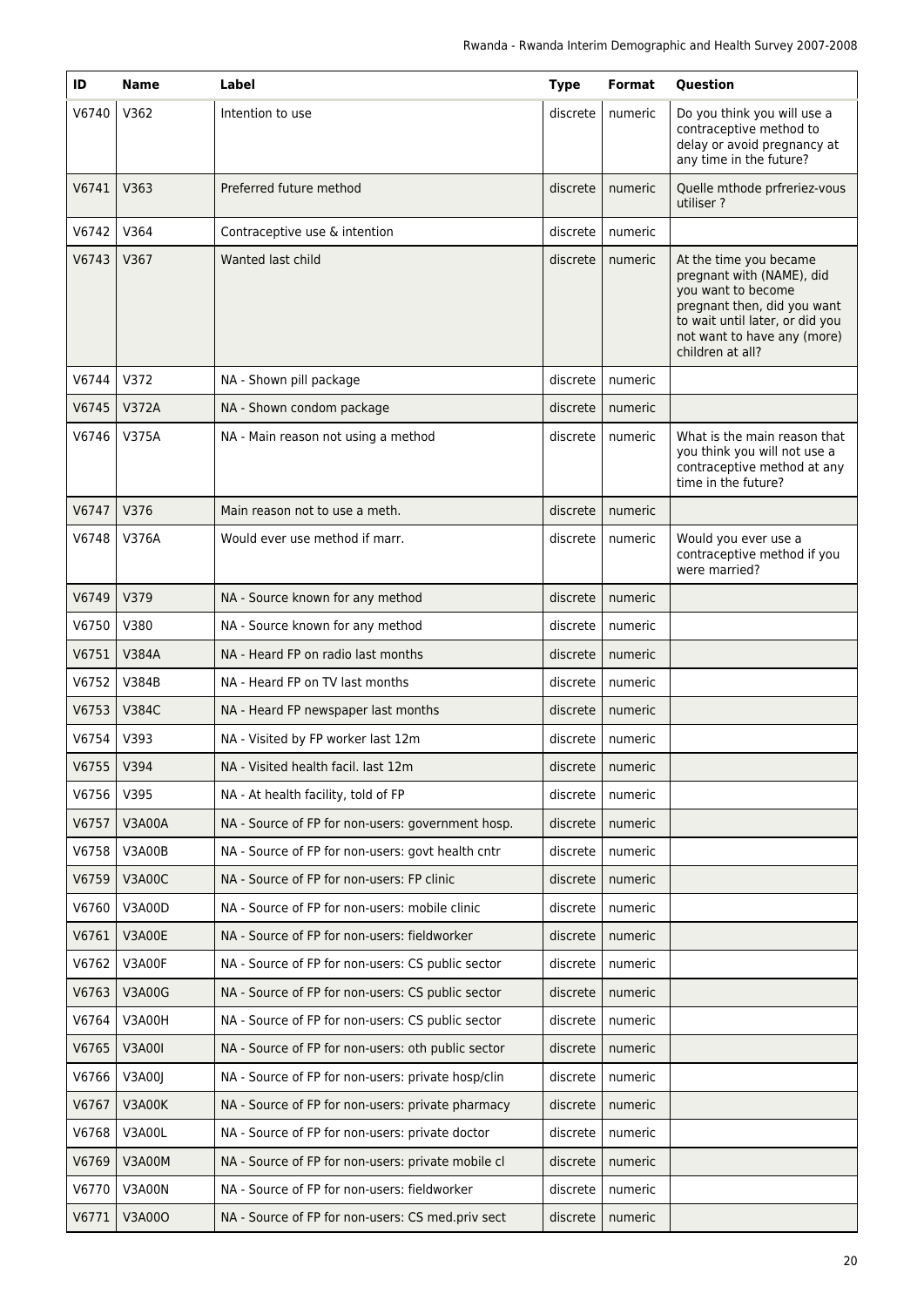| ID         | <b>Name</b>   | Label                                              | <b>Type</b> | <b>Format</b>      | <b>Ouestion</b>                                                                                                                                                                                |
|------------|---------------|----------------------------------------------------|-------------|--------------------|------------------------------------------------------------------------------------------------------------------------------------------------------------------------------------------------|
| V6740      | V362          | Intention to use                                   | discrete    | numeric            | Do you think you will use a<br>contraceptive method to<br>delay or avoid pregnancy at<br>any time in the future?                                                                               |
| V6741      | V363          | Preferred future method                            | discrete    | numeric            | Quelle mthode prfreriez-vous<br>utiliser?                                                                                                                                                      |
| V6742      | V364          | Contraceptive use & intention                      | discrete    | numeric            |                                                                                                                                                                                                |
| V6743      | V367          | Wanted last child                                  | discrete    | numeric            | At the time you became<br>pregnant with (NAME), did<br>you want to become<br>pregnant then, did you want<br>to wait until later, or did you<br>not want to have any (more)<br>children at all? |
| V6744      | V372          | NA - Shown pill package                            | discrete    | numeric            |                                                                                                                                                                                                |
| V6745      | V372A         | NA - Shown condom package                          | discrete    | numeric            |                                                                                                                                                                                                |
| V6746      | V375A         | NA - Main reason not using a method                | discrete    | numeric            | What is the main reason that<br>you think you will not use a<br>contraceptive method at any<br>time in the future?                                                                             |
| V6747      | V376          | Main reason not to use a meth.                     | discrete    | numeric            |                                                                                                                                                                                                |
| V6748      | V376A         | Would ever use method if marr.                     | discrete    | numeric            | Would you ever use a<br>contraceptive method if you<br>were married?                                                                                                                           |
| V6749      | V379          | NA - Source known for any method                   | discrete    | numeric            |                                                                                                                                                                                                |
| V6750      | V380          | NA - Source known for any method                   | discrete    | numeric            |                                                                                                                                                                                                |
| V6751      | <b>V384A</b>  | NA - Heard FP on radio last months                 | discrete    | numeric            |                                                                                                                                                                                                |
| V6752      | V384B         | NA - Heard FP on TV last months                    | discrete    | numeric            |                                                                                                                                                                                                |
| V6753      | <b>V384C</b>  | NA - Heard FP newspaper last months                | discrete    | numeric            |                                                                                                                                                                                                |
| V6754      | V393          | NA - Visited by FP worker last 12m                 | discrete    | numeric            |                                                                                                                                                                                                |
| V6755 V394 |               | NA - Visited health facil. last 12m                |             | discrete   numeric |                                                                                                                                                                                                |
| V6756      | V395          | NA - At health facility, told of FP                | discrete    | numeric            |                                                                                                                                                                                                |
| V6757      | <b>V3A00A</b> | NA - Source of FP for non-users: government hosp.  | discrete    | numeric            |                                                                                                                                                                                                |
| V6758      | V3A00B        | NA - Source of FP for non-users: govt health cntr  | discrete    | numeric            |                                                                                                                                                                                                |
| V6759      | V3A00C        | NA - Source of FP for non-users: FP clinic         | discrete    | numeric            |                                                                                                                                                                                                |
| V6760      | V3A00D        | NA - Source of FP for non-users: mobile clinic     | discrete    | numeric            |                                                                                                                                                                                                |
| V6761      | V3A00E        | NA - Source of FP for non-users: fieldworker       | discrete    | numeric            |                                                                                                                                                                                                |
| V6762      | V3A00F        | NA - Source of FP for non-users: CS public sector  | discrete    | numeric            |                                                                                                                                                                                                |
| V6763      | <b>V3A00G</b> | NA - Source of FP for non-users: CS public sector  | discrete    | numeric            |                                                                                                                                                                                                |
| V6764      | V3A00H        | NA - Source of FP for non-users: CS public sector  | discrete    | numeric            |                                                                                                                                                                                                |
| V6765      | <b>V3A00I</b> | NA - Source of FP for non-users: oth public sector | discrete    | numeric            |                                                                                                                                                                                                |
| V6766      | V3A00J        | NA - Source of FP for non-users: private hosp/clin | discrete    | numeric            |                                                                                                                                                                                                |
| V6767      | V3A00K        | NA - Source of FP for non-users: private pharmacy  | discrete    | numeric            |                                                                                                                                                                                                |
| V6768      | V3A00L        | NA - Source of FP for non-users: private doctor    | discrete    | numeric            |                                                                                                                                                                                                |
| V6769      | V3A00M        | NA - Source of FP for non-users: private mobile cl | discrete    | numeric            |                                                                                                                                                                                                |
| V6770      | V3A00N        | NA - Source of FP for non-users: fieldworker       | discrete    | numeric            |                                                                                                                                                                                                |
| V6771      | V3A00O        | NA - Source of FP for non-users: CS med.priv sect  | discrete    | numeric            |                                                                                                                                                                                                |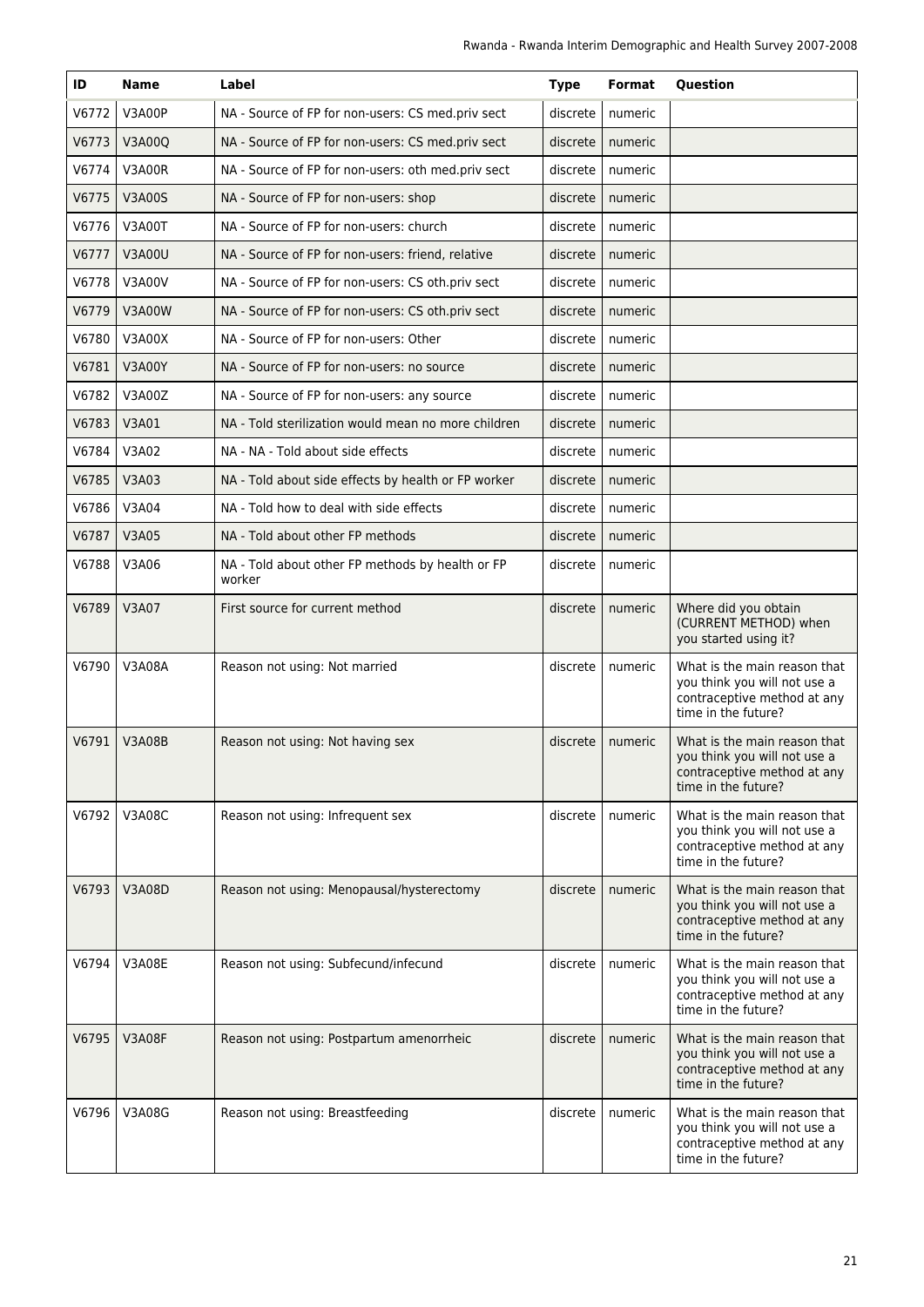| ID    | <b>Name</b>   | Label                                                      | <b>Type</b> | Format  | Question                                                                                                           |
|-------|---------------|------------------------------------------------------------|-------------|---------|--------------------------------------------------------------------------------------------------------------------|
| V6772 | <b>V3A00P</b> | NA - Source of FP for non-users: CS med.priv sect          | discrete    | numeric |                                                                                                                    |
| V6773 | V3A00Q        | NA - Source of FP for non-users: CS med.priv sect          | discrete    | numeric |                                                                                                                    |
| V6774 | <b>V3A00R</b> | NA - Source of FP for non-users: oth med.priv sect         | discrete    | numeric |                                                                                                                    |
| V6775 | <b>V3A00S</b> | NA - Source of FP for non-users: shop                      | discrete    | numeric |                                                                                                                    |
| V6776 | <b>V3A00T</b> | NA - Source of FP for non-users: church                    | discrete    | numeric |                                                                                                                    |
| V6777 | V3A00U        | NA - Source of FP for non-users: friend, relative          | discrete    | numeric |                                                                                                                    |
| V6778 | <b>V3A00V</b> | NA - Source of FP for non-users: CS oth.priv sect          | discrete    | numeric |                                                                                                                    |
| V6779 | V3A00W        | NA - Source of FP for non-users: CS oth.priv sect          | discrete    | numeric |                                                                                                                    |
| V6780 | V3A00X        | NA - Source of FP for non-users: Other                     | discrete    | numeric |                                                                                                                    |
| V6781 | <b>V3A00Y</b> | NA - Source of FP for non-users: no source                 | discrete    | numeric |                                                                                                                    |
| V6782 | V3A00Z        | NA - Source of FP for non-users: any source                | discrete    | numeric |                                                                                                                    |
| V6783 | V3A01         | NA - Told sterilization would mean no more children        | discrete    | numeric |                                                                                                                    |
| V6784 | V3A02         | NA - NA - Told about side effects                          | discrete    | numeric |                                                                                                                    |
| V6785 | V3A03         | NA - Told about side effects by health or FP worker        | discrete    | numeric |                                                                                                                    |
| V6786 | V3A04         | NA - Told how to deal with side effects                    | discrete    | numeric |                                                                                                                    |
| V6787 | V3A05         | NA - Told about other FP methods                           | discrete    | numeric |                                                                                                                    |
| V6788 | V3A06         | NA - Told about other FP methods by health or FP<br>worker | discrete    | numeric |                                                                                                                    |
| V6789 | V3A07         | First source for current method                            | discrete    | numeric | Where did you obtain<br>(CURRENT METHOD) when<br>you started using it?                                             |
| V6790 | <b>V3A08A</b> | Reason not using: Not married                              | discrete    | numeric | What is the main reason that<br>you think you will not use a<br>contraceptive method at any<br>time in the future? |
| V6791 | <b>V3A08B</b> | Reason not using: Not having sex                           | discrete    | numeric | What is the main reason that<br>you think you will not use a<br>contraceptive method at any<br>time in the future? |
| V6792 | <b>V3A08C</b> | Reason not using: Infrequent sex                           | discrete    | numeric | What is the main reason that<br>you think you will not use a<br>contraceptive method at any<br>time in the future? |
| V6793 | <b>V3A08D</b> | Reason not using: Menopausal/hysterectomy                  | discrete    | numeric | What is the main reason that<br>you think you will not use a<br>contraceptive method at any<br>time in the future? |
| V6794 | V3A08E        | Reason not using: Subfecund/infecund                       | discrete    | numeric | What is the main reason that<br>you think you will not use a<br>contraceptive method at any<br>time in the future? |
| V6795 | <b>V3A08F</b> | Reason not using: Postpartum amenorrheic                   | discrete    | numeric | What is the main reason that<br>you think you will not use a<br>contraceptive method at any<br>time in the future? |
| V6796 | <b>V3A08G</b> | Reason not using: Breastfeeding                            | discrete    | numeric | What is the main reason that<br>you think you will not use a<br>contraceptive method at any<br>time in the future? |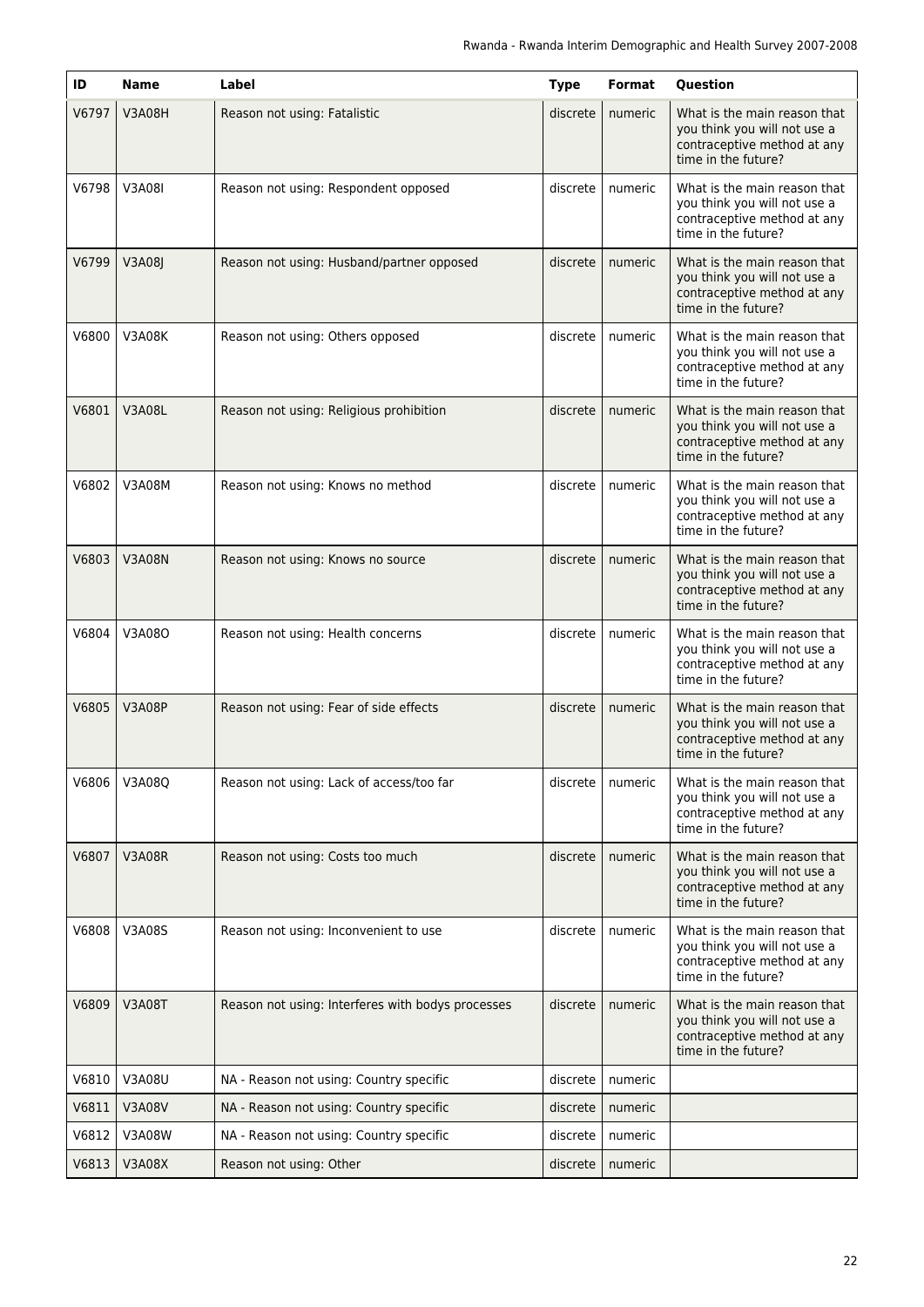| ID    | Name          | Label                                             | <b>Type</b> | Format  | <b>Ouestion</b>                                                                                                    |
|-------|---------------|---------------------------------------------------|-------------|---------|--------------------------------------------------------------------------------------------------------------------|
| V6797 | <b>V3A08H</b> | Reason not using: Fatalistic                      | discrete    | numeric | What is the main reason that<br>you think you will not use a<br>contraceptive method at any<br>time in the future? |
| V6798 | V3A08I        | Reason not using: Respondent opposed              | discrete    | numeric | What is the main reason that<br>you think you will not use a<br>contraceptive method at any<br>time in the future? |
| V6799 | V3A08J        | Reason not using: Husband/partner opposed         | discrete    | numeric | What is the main reason that<br>you think you will not use a<br>contraceptive method at any<br>time in the future? |
| V6800 | <b>V3A08K</b> | Reason not using: Others opposed                  | discrete    | numeric | What is the main reason that<br>you think you will not use a<br>contraceptive method at any<br>time in the future? |
| V6801 | <b>V3A08L</b> | Reason not using: Religious prohibition           | discrete    | numeric | What is the main reason that<br>you think you will not use a<br>contraceptive method at any<br>time in the future? |
| V6802 | <b>V3A08M</b> | Reason not using: Knows no method                 | discrete    | numeric | What is the main reason that<br>you think you will not use a<br>contraceptive method at any<br>time in the future? |
| V6803 | <b>V3A08N</b> | Reason not using: Knows no source                 | discrete    | numeric | What is the main reason that<br>you think you will not use a<br>contraceptive method at any<br>time in the future? |
| V6804 | V3A08O        | Reason not using: Health concerns                 | discrete    | numeric | What is the main reason that<br>you think you will not use a<br>contraceptive method at any<br>time in the future? |
| V6805 | <b>V3A08P</b> | Reason not using: Fear of side effects            | discrete    | numeric | What is the main reason that<br>you think you will not use a<br>contraceptive method at any<br>time in the future? |
| V6806 | V3A08Q        | Reason not using: Lack of access/too far          | discrete    | numeric | What is the main reason that<br>you think you will not use a<br>contraceptive method at any<br>time in the future? |
| V6807 | <b>V3A08R</b> | Reason not using: Costs too much                  | discrete    | numeric | What is the main reason that<br>you think you will not use a<br>contraceptive method at any<br>time in the future? |
| V6808 | V3A08S        | Reason not using: Inconvenient to use             | discrete    | numeric | What is the main reason that<br>you think you will not use a<br>contraceptive method at any<br>time in the future? |
| V6809 | <b>V3A08T</b> | Reason not using: Interferes with bodys processes | discrete    | numeric | What is the main reason that<br>you think you will not use a<br>contraceptive method at any<br>time in the future? |
| V6810 | V3A08U        | NA - Reason not using: Country specific           | discrete    | numeric |                                                                                                                    |
| V6811 | <b>V3A08V</b> | NA - Reason not using: Country specific           | discrete    | numeric |                                                                                                                    |
| V6812 | V3A08W        | NA - Reason not using: Country specific           | discrete    | numeric |                                                                                                                    |
| V6813 | <b>V3A08X</b> | Reason not using: Other                           | discrete    | numeric |                                                                                                                    |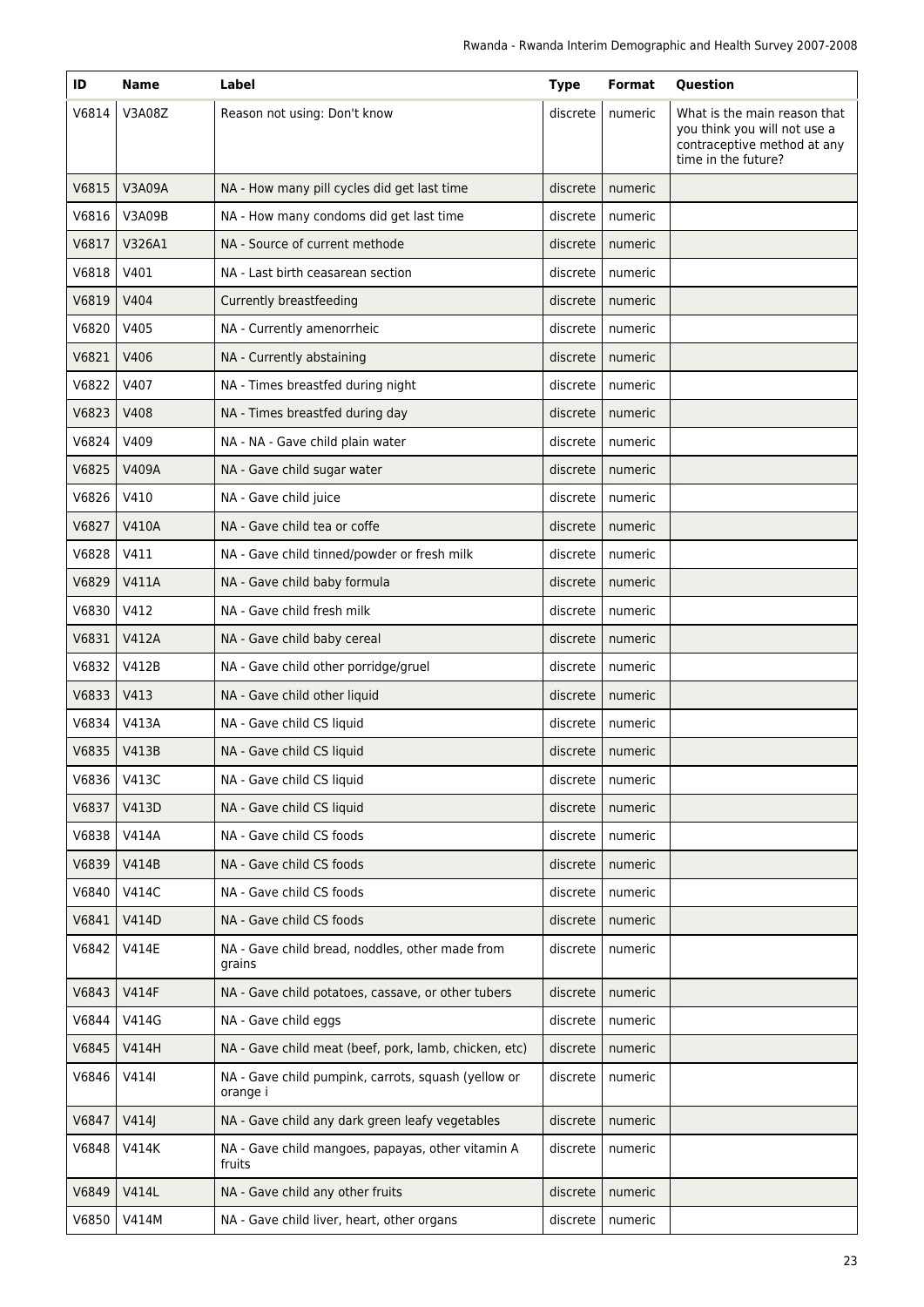| ID    | <b>Name</b>   | Label                                                           | <b>Type</b> | <b>Format</b> | <b>Ouestion</b>                                                                                                    |
|-------|---------------|-----------------------------------------------------------------|-------------|---------------|--------------------------------------------------------------------------------------------------------------------|
| V6814 | V3A08Z        | Reason not using: Don't know                                    | discrete    | numeric       | What is the main reason that<br>you think you will not use a<br>contraceptive method at any<br>time in the future? |
| V6815 | <b>V3A09A</b> | NA - How many pill cycles did get last time                     | discrete    | numeric       |                                                                                                                    |
| V6816 | <b>V3A09B</b> | NA - How many condoms did get last time                         | discrete    | numeric       |                                                                                                                    |
| V6817 | V326A1        | NA - Source of current methode                                  | discrete    | numeric       |                                                                                                                    |
| V6818 | V401          | NA - Last birth ceasarean section                               | discrete    | numeric       |                                                                                                                    |
| V6819 | V404          | Currently breastfeeding                                         | discrete    | numeric       |                                                                                                                    |
| V6820 | V405          | NA - Currently amenorrheic                                      | discrete    | numeric       |                                                                                                                    |
| V6821 | V406          | NA - Currently abstaining                                       | discrete    | numeric       |                                                                                                                    |
| V6822 | V407          | NA - Times breastfed during night                               | discrete    | numeric       |                                                                                                                    |
| V6823 | V408          | NA - Times breastfed during day                                 | discrete    | numeric       |                                                                                                                    |
| V6824 | V409          | NA - NA - Gave child plain water                                | discrete    | numeric       |                                                                                                                    |
| V6825 | V409A         | NA - Gave child sugar water                                     | discrete    | numeric       |                                                                                                                    |
| V6826 | V410          | NA - Gave child juice                                           | discrete    | numeric       |                                                                                                                    |
| V6827 | V410A         | NA - Gave child tea or coffe                                    | discrete    | numeric       |                                                                                                                    |
| V6828 | V411          | NA - Gave child tinned/powder or fresh milk                     | discrete    | numeric       |                                                                                                                    |
| V6829 | <b>V411A</b>  | NA - Gave child baby formula                                    | discrete    | numeric       |                                                                                                                    |
| V6830 | V412          | NA - Gave child fresh milk                                      | discrete    | numeric       |                                                                                                                    |
| V6831 | V412A         | NA - Gave child baby cereal                                     | discrete    | numeric       |                                                                                                                    |
| V6832 | <b>V412B</b>  | NA - Gave child other porridge/gruel                            | discrete    | numeric       |                                                                                                                    |
| V6833 | V413          | NA - Gave child other liquid                                    | discrete    | numeric       |                                                                                                                    |
| V6834 | V413A         | NA - Gave child CS liquid                                       | discrete    | numeric       |                                                                                                                    |
| V6835 | <b>V413B</b>  | NA - Gave child CS liquid                                       | discrete    | numeric       |                                                                                                                    |
| V6836 | V413C         | NA - Gave child CS liquid                                       | discrete    | numeric       |                                                                                                                    |
| V6837 | V413D         | NA - Gave child CS liquid                                       | discrete    | numeric       |                                                                                                                    |
| V6838 | V414A         | NA - Gave child CS foods                                        | discrete    | numeric       |                                                                                                                    |
| V6839 | V414B         | NA - Gave child CS foods                                        | discrete    | numeric       |                                                                                                                    |
| V6840 | V414C         | NA - Gave child CS foods                                        | discrete    | numeric       |                                                                                                                    |
| V6841 | V414D         | NA - Gave child CS foods                                        | discrete    | numeric       |                                                                                                                    |
| V6842 | V414E         | NA - Gave child bread, noddles, other made from<br>grains       | discrete    | numeric       |                                                                                                                    |
| V6843 | V414F         | NA - Gave child potatoes, cassave, or other tubers              | discrete    | numeric       |                                                                                                                    |
| V6844 | V414G         | NA - Gave child eggs                                            | discrete    | numeric       |                                                                                                                    |
| V6845 | V414H         | NA - Gave child meat (beef, pork, lamb, chicken, etc)           | discrete    | numeric       |                                                                                                                    |
| V6846 | V414I         | NA - Gave child pumpink, carrots, squash (yellow or<br>orange i | discrete    | numeric       |                                                                                                                    |
| V6847 | V414          | NA - Gave child any dark green leafy vegetables                 | discrete    | numeric       |                                                                                                                    |
| V6848 | V414K         | NA - Gave child mangoes, papayas, other vitamin A<br>fruits     | discrete    | numeric       |                                                                                                                    |
| V6849 | V414L         | NA - Gave child any other fruits                                | discrete    | numeric       |                                                                                                                    |
| V6850 | V414M         | NA - Gave child liver, heart, other organs                      | discrete    | numeric       |                                                                                                                    |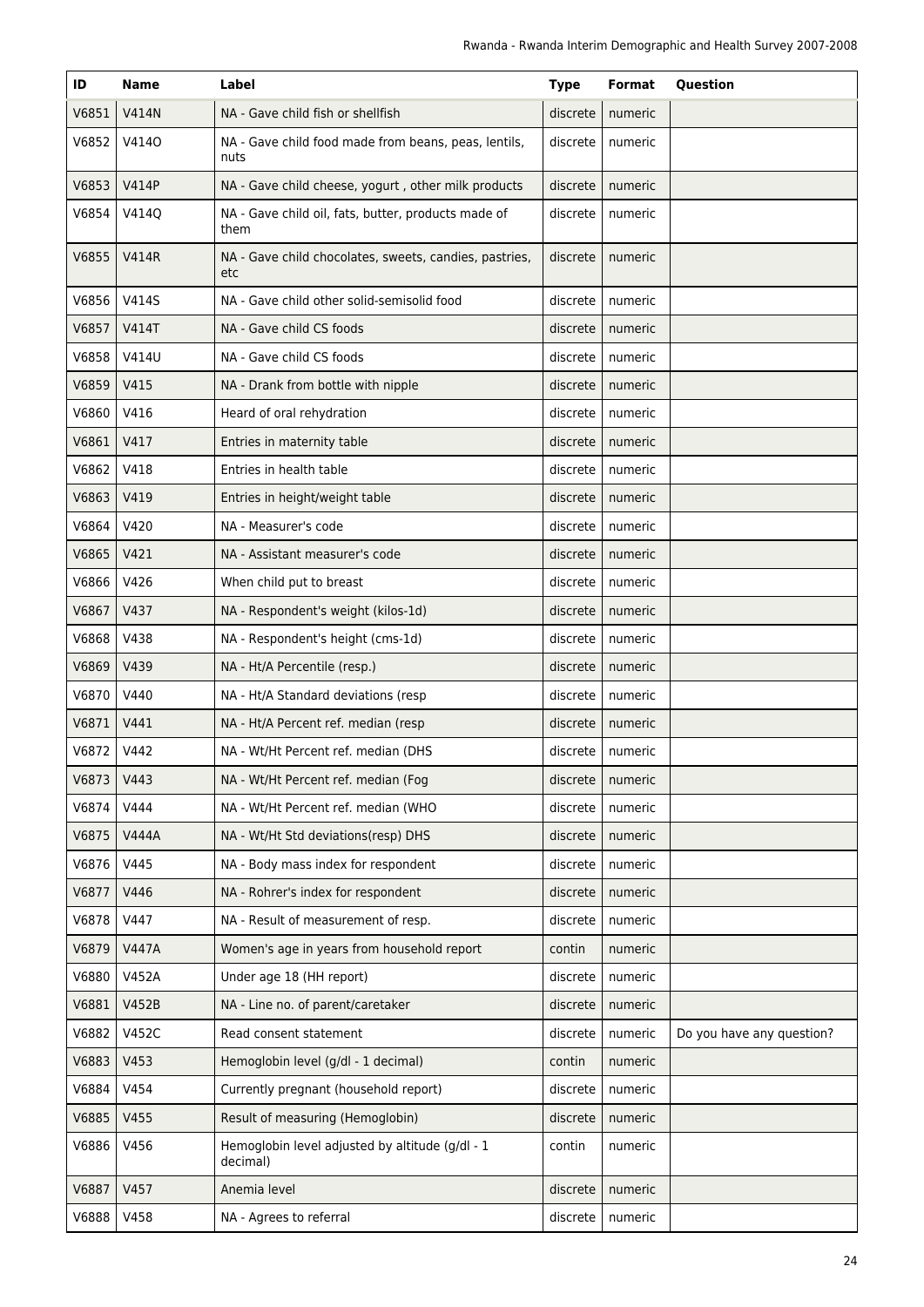| ID    | <b>Name</b>  | Label                                                         | <b>Type</b> | Format  | <b>Question</b>           |
|-------|--------------|---------------------------------------------------------------|-------------|---------|---------------------------|
| V6851 | <b>V414N</b> | NA - Gave child fish or shellfish                             | discrete    | numeric |                           |
| V6852 | V4140        | NA - Gave child food made from beans, peas, lentils,<br>nuts  | discrete    | numeric |                           |
| V6853 | <b>V414P</b> | NA - Gave child cheese, yogurt, other milk products           | discrete    | numeric |                           |
| V6854 | V4140        | NA - Gave child oil, fats, butter, products made of<br>them   | discrete    | numeric |                           |
| V6855 | <b>V414R</b> | NA - Gave child chocolates, sweets, candies, pastries,<br>etc | discrete    | numeric |                           |
| V6856 | V414S        | NA - Gave child other solid-semisolid food                    | discrete    | numeric |                           |
| V6857 | <b>V414T</b> | NA - Gave child CS foods                                      | discrete    | numeric |                           |
| V6858 | V414U        | NA - Gave child CS foods                                      | discrete    | numeric |                           |
| V6859 | V415         | NA - Drank from bottle with nipple                            | discrete    | numeric |                           |
| V6860 | V416         | Heard of oral rehydration                                     | discrete    | numeric |                           |
| V6861 | V417         | Entries in maternity table                                    | discrete    | numeric |                           |
| V6862 | V418         | Entries in health table                                       | discrete    | numeric |                           |
| V6863 | V419         | Entries in height/weight table                                | discrete    | numeric |                           |
| V6864 | V420         | NA - Measurer's code                                          | discrete    | numeric |                           |
| V6865 | V421         | NA - Assistant measurer's code                                | discrete    | numeric |                           |
| V6866 | V426         | When child put to breast                                      | discrete    | numeric |                           |
| V6867 | V437         | NA - Respondent's weight (kilos-1d)                           | discrete    | numeric |                           |
| V6868 | V438         | NA - Respondent's height (cms-1d)                             | discrete    | numeric |                           |
| V6869 | V439         | NA - Ht/A Percentile (resp.)                                  | discrete    | numeric |                           |
| V6870 | V440         | NA - Ht/A Standard deviations (resp                           | discrete    | numeric |                           |
| V6871 | V441         | NA - Ht/A Percent ref. median (resp                           | discrete    | numeric |                           |
| V6872 | V442         | NA - Wt/Ht Percent ref. median (DHS                           | discrete    | numeric |                           |
| V6873 | V443         | NA - Wt/Ht Percent ref. median (Fog                           | discrete    | numeric |                           |
| V6874 | V444         | NA - Wt/Ht Percent ref. median (WHO                           | discrete    | numeric |                           |
| V6875 | <b>V444A</b> | NA - Wt/Ht Std deviations(resp) DHS                           | discrete    | numeric |                           |
| V6876 | V445         | NA - Body mass index for respondent                           | discrete    | numeric |                           |
| V6877 | V446         | NA - Rohrer's index for respondent                            | discrete    | numeric |                           |
| V6878 | V447         | NA - Result of measurement of resp.                           | discrete    | numeric |                           |
| V6879 | <b>V447A</b> | Women's age in years from household report                    | contin      | numeric |                           |
| V6880 | V452A        | Under age 18 (HH report)                                      | discrete    | numeric |                           |
| V6881 | V452B        | NA - Line no. of parent/caretaker                             | discrete    | numeric |                           |
| V6882 | V452C        | Read consent statement                                        | discrete    | numeric | Do you have any question? |
| V6883 | V453         | Hemoglobin level (g/dl - 1 decimal)                           | contin      | numeric |                           |
| V6884 | V454         | Currently pregnant (household report)                         | discrete    | numeric |                           |
| V6885 | V455         | Result of measuring (Hemoglobin)                              | discrete    | numeric |                           |
| V6886 | V456         | Hemoglobin level adjusted by altitude (g/dl - 1<br>decimal)   | contin      | numeric |                           |
| V6887 | V457         | Anemia level                                                  | discrete    | numeric |                           |
| V6888 | V458         | NA - Agrees to referral                                       | discrete    | numeric |                           |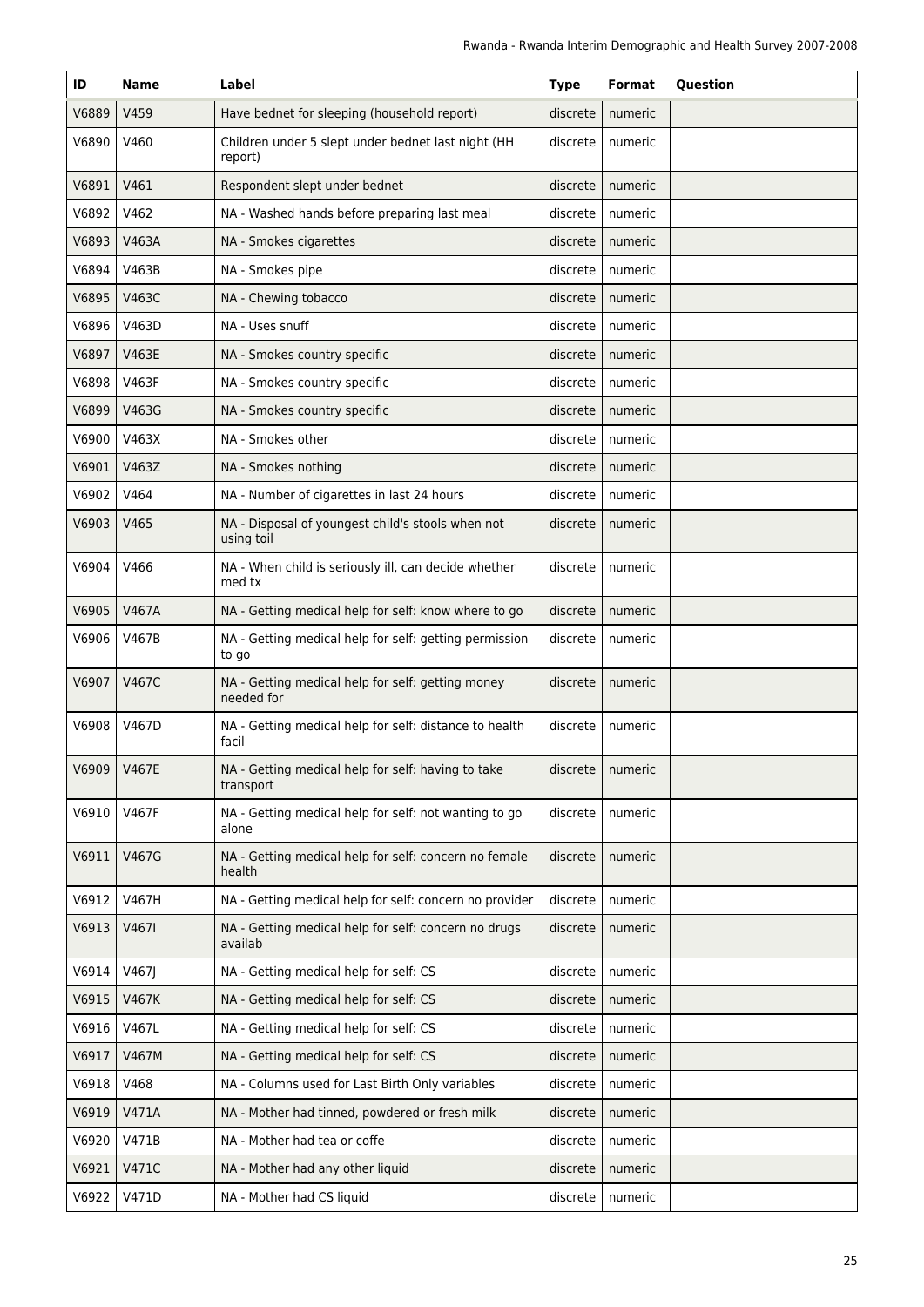| ID            | <b>Name</b> | Label                                                           | <b>Type</b> | Format             | Question |
|---------------|-------------|-----------------------------------------------------------------|-------------|--------------------|----------|
| V6889         | V459        | Have bednet for sleeping (household report)                     | discrete    | numeric            |          |
| V6890         | V460        | Children under 5 slept under bednet last night (HH<br>report)   | discrete    | numeric            |          |
| V6891         | V461        | Respondent slept under bednet                                   | discrete    | numeric            |          |
| V6892         | V462        | NA - Washed hands before preparing last meal                    | discrete    | numeric            |          |
| V6893         | V463A       | NA - Smokes cigarettes                                          | discrete    | numeric            |          |
| V6894         | V463B       | NA - Smokes pipe                                                | discrete    | numeric            |          |
| V6895         | V463C       | NA - Chewing tobacco                                            | discrete    | numeric            |          |
| V6896         | V463D       | NA - Uses snuff                                                 | discrete    | numeric            |          |
| V6897         | V463E       | NA - Smokes country specific                                    | discrete    | numeric            |          |
| V6898         | V463F       | NA - Smokes country specific                                    | discrete    | numeric            |          |
| V6899         | V463G       | NA - Smokes country specific                                    | discrete    | numeric            |          |
| V6900         | V463X       | NA - Smokes other                                               | discrete    | numeric            |          |
| V6901         | V463Z       | NA - Smokes nothing                                             | discrete    | numeric            |          |
| V6902         | V464        | NA - Number of cigarettes in last 24 hours                      | discrete    | numeric            |          |
| V6903         | V465        | NA - Disposal of youngest child's stools when not<br>using toil | discrete    | numeric            |          |
| V6904         | V466        | NA - When child is seriously ill, can decide whether<br>med tx  | discrete    | numeric            |          |
| V6905         | V467A       | NA - Getting medical help for self: know where to go            | discrete    | numeric            |          |
| V6906         | V467B       | NA - Getting medical help for self: getting permission<br>to go | discrete    | numeric            |          |
| V6907         | V467C       | NA - Getting medical help for self: getting money<br>needed for | discrete    | numeric            |          |
| V6908         | V467D       | NA - Getting medical help for self: distance to health<br>facil | discrete    | numeric            |          |
| V6909   V467E |             | NA - Getting medical help for self: having to take<br>transport |             | discrete   numeric |          |
| V6910         | V467F       | NA - Getting medical help for self: not wanting to go<br>alone  | discrete    | numeric            |          |
| V6911         | V467G       | NA - Getting medical help for self: concern no female<br>health | discrete    | numeric            |          |
| V6912         | V467H       | NA - Getting medical help for self: concern no provider         | discrete    | numeric            |          |
| V6913         | V467I       | NA - Getting medical help for self: concern no drugs<br>availab | discrete    | numeric            |          |
| V6914         | V467        | NA - Getting medical help for self: CS                          | discrete    | numeric            |          |
| V6915         | V467K       | NA - Getting medical help for self: CS                          | discrete    | numeric            |          |
| V6916         | V467L       | NA - Getting medical help for self: CS                          | discrete    | numeric            |          |
| V6917         | V467M       | NA - Getting medical help for self: CS                          | discrete    | numeric            |          |
| V6918         | V468        | NA - Columns used for Last Birth Only variables                 | discrete    | numeric            |          |
| V6919         | V471A       | NA - Mother had tinned, powdered or fresh milk                  | discrete    | numeric            |          |
| V6920         | V471B       | NA - Mother had tea or coffe                                    | discrete    | numeric            |          |
| V6921         | V471C       | NA - Mother had any other liquid                                | discrete    | numeric            |          |
| V6922         | V471D       | NA - Mother had CS liquid                                       | discrete    | numeric            |          |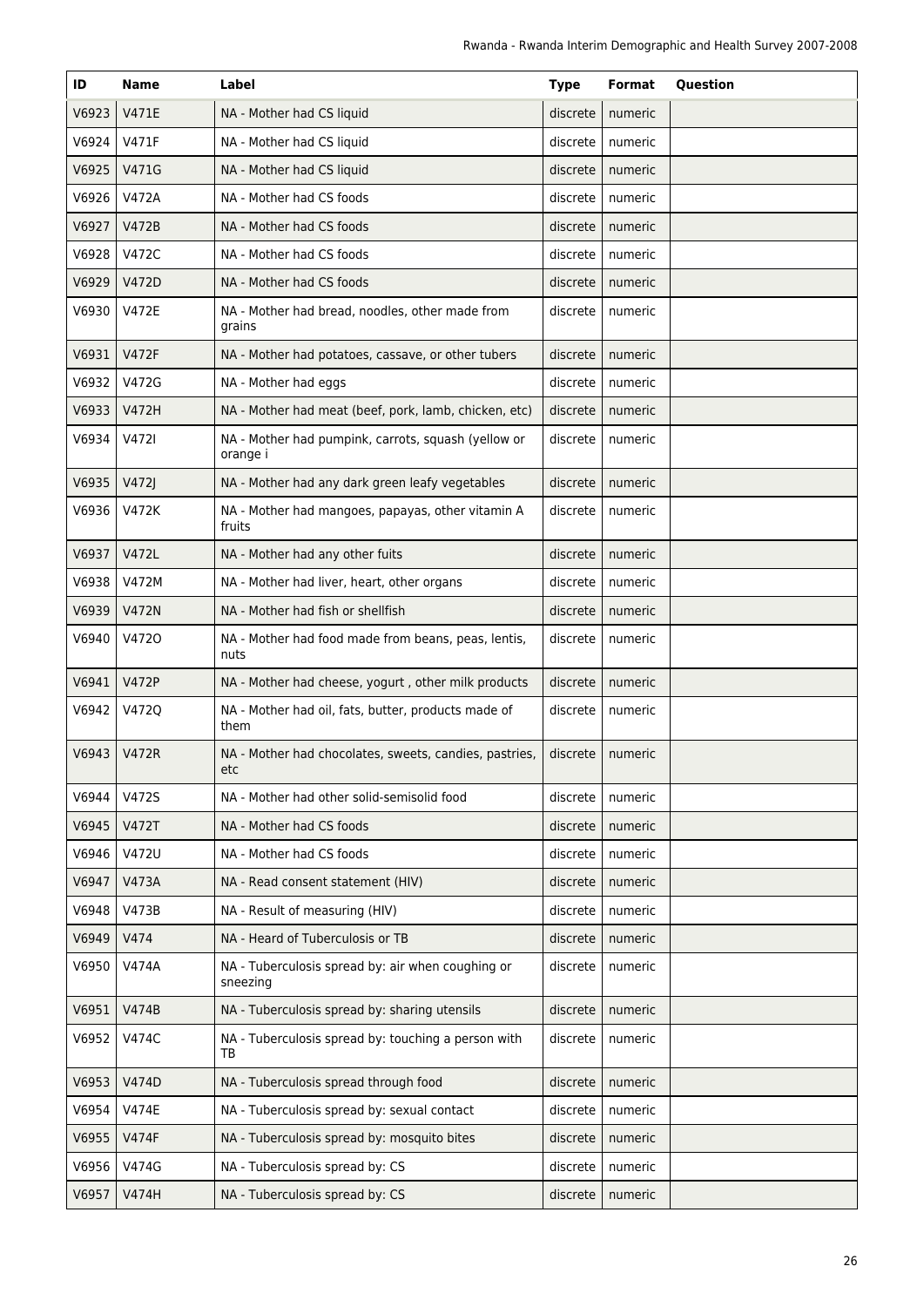| ID    | <b>Name</b>  | Label                                                           | <b>Type</b> | Format  | Question |
|-------|--------------|-----------------------------------------------------------------|-------------|---------|----------|
| V6923 | V471E        | NA - Mother had CS liquid                                       | discrete    | numeric |          |
| V6924 | V471F        | NA - Mother had CS liquid                                       | discrete    | numeric |          |
| V6925 | V471G        | NA - Mother had CS liquid                                       | discrete    | numeric |          |
| V6926 | V472A        | NA - Mother had CS foods                                        | discrete    | numeric |          |
| V6927 | <b>V472B</b> | NA - Mother had CS foods                                        | discrete    | numeric |          |
| V6928 | V472C        | NA - Mother had CS foods                                        | discrete    | numeric |          |
| V6929 | V472D        | NA - Mother had CS foods                                        | discrete    | numeric |          |
| V6930 | V472E        | NA - Mother had bread, noodles, other made from<br>grains       | discrete    | numeric |          |
| V6931 | V472F        | NA - Mother had potatoes, cassave, or other tubers              | discrete    | numeric |          |
| V6932 | V472G        | NA - Mother had eggs                                            | discrete    | numeric |          |
| V6933 | V472H        | NA - Mother had meat (beef, pork, lamb, chicken, etc)           | discrete    | numeric |          |
| V6934 | V4721        | NA - Mother had pumpink, carrots, squash (yellow or<br>orange i | discrete    | numeric |          |
| V6935 | V472         | NA - Mother had any dark green leafy vegetables                 | discrete    | numeric |          |
| V6936 | <b>V472K</b> | NA - Mother had mangoes, papayas, other vitamin A<br>fruits     | discrete    | numeric |          |
| V6937 | V472L        | NA - Mother had any other fuits                                 | discrete    | numeric |          |
| V6938 | V472M        | NA - Mother had liver, heart, other organs                      | discrete    | numeric |          |
| V6939 | <b>V472N</b> | NA - Mother had fish or shellfish                               | discrete    | numeric |          |
| V6940 | V4720        | NA - Mother had food made from beans, peas, lentis,<br>nuts     | discrete    | numeric |          |
| V6941 | <b>V472P</b> | NA - Mother had cheese, yogurt, other milk products             | discrete    | numeric |          |
| V6942 | V472Q        | NA - Mother had oil, fats, butter, products made of<br>them     | discrete    | numeric |          |
| V6943 | <b>V472R</b> | NA - Mother had chocolates, sweets, candies, pastries,<br>etc   | discrete    | numeric |          |
| V6944 | V472S        | NA - Mother had other solid-semisolid food                      | discrete    | numeric |          |
| V6945 | <b>V472T</b> | NA - Mother had CS foods                                        | discrete    | numeric |          |
| V6946 | V472U        | NA - Mother had CS foods                                        | discrete    | numeric |          |
| V6947 | V473A        | NA - Read consent statement (HIV)                               | discrete    | numeric |          |
| V6948 | V473B        | NA - Result of measuring (HIV)                                  | discrete    | numeric |          |
| V6949 | V474         | NA - Heard of Tuberculosis or TB                                | discrete    | numeric |          |
| V6950 | <b>V474A</b> | NA - Tuberculosis spread by: air when coughing or<br>sneezing   | discrete    | numeric |          |
| V6951 | V474B        | NA - Tuberculosis spread by: sharing utensils                   | discrete    | numeric |          |
| V6952 | <b>V474C</b> | NA - Tuberculosis spread by: touching a person with<br>TB       | discrete    | numeric |          |
| V6953 | V474D        | NA - Tuberculosis spread through food                           | discrete    | numeric |          |
| V6954 | V474E        | NA - Tuberculosis spread by: sexual contact                     | discrete    | numeric |          |
| V6955 | <b>V474F</b> | NA - Tuberculosis spread by: mosquito bites                     | discrete    | numeric |          |
| V6956 | V474G        | NA - Tuberculosis spread by: CS                                 | discrete    | numeric |          |
| V6957 | V474H        | NA - Tuberculosis spread by: CS                                 | discrete    | numeric |          |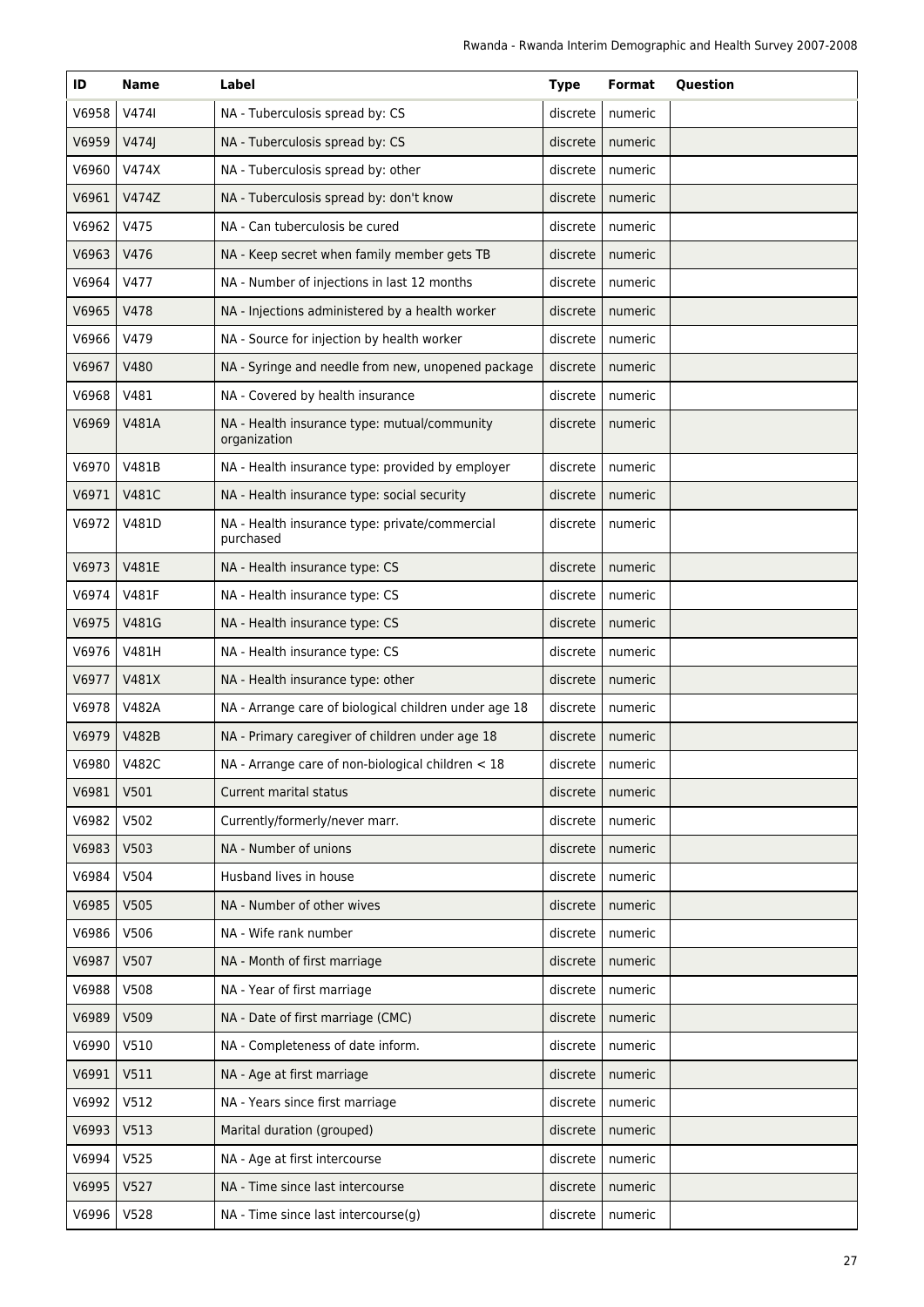| ID    | <b>Name</b>  | Label                                                        | <b>Type</b> | <b>Format</b> | Question |
|-------|--------------|--------------------------------------------------------------|-------------|---------------|----------|
| V6958 | V474I        | NA - Tuberculosis spread by: CS                              | discrete    | numeric       |          |
| V6959 | V474         | NA - Tuberculosis spread by: CS                              | discrete    | numeric       |          |
| V6960 | V474X        | NA - Tuberculosis spread by: other                           | discrete    | numeric       |          |
| V6961 | V474Z        | NA - Tuberculosis spread by: don't know                      | discrete    | numeric       |          |
| V6962 | V475         | NA - Can tuberculosis be cured                               | discrete    | numeric       |          |
| V6963 | V476         | NA - Keep secret when family member gets TB                  | discrete    | numeric       |          |
| V6964 | V477         | NA - Number of injections in last 12 months                  | discrete    | numeric       |          |
| V6965 | V478         | NA - Injections administered by a health worker              | discrete    | numeric       |          |
| V6966 | V479         | NA - Source for injection by health worker                   | discrete    | numeric       |          |
| V6967 | V480         | NA - Syringe and needle from new, unopened package           | discrete    | numeric       |          |
| V6968 | V481         | NA - Covered by health insurance                             | discrete    | numeric       |          |
| V6969 | V481A        | NA - Health insurance type: mutual/community<br>organization | discrete    | numeric       |          |
| V6970 | V481B        | NA - Health insurance type: provided by employer             | discrete    | numeric       |          |
| V6971 | <b>V481C</b> | NA - Health insurance type: social security                  | discrete    | numeric       |          |
| V6972 | V481D        | NA - Health insurance type: private/commercial<br>purchased  | discrete    | numeric       |          |
| V6973 | <b>V481E</b> | NA - Health insurance type: CS                               | discrete    | numeric       |          |
| V6974 | V481F        | NA - Health insurance type: CS                               | discrete    | numeric       |          |
| V6975 | V481G        | NA - Health insurance type: CS                               | discrete    | numeric       |          |
| V6976 | V481H        | NA - Health insurance type: CS                               | discrete    | numeric       |          |
| V6977 | V481X        | NA - Health insurance type: other                            | discrete    | numeric       |          |
| V6978 | V482A        | NA - Arrange care of biological children under age 18        | discrete    | numeric       |          |
| V6979 | V482B        | NA - Primary caregiver of children under age 18              | discrete    | numeric       |          |
| V6980 | V482C        | NA - Arrange care of non-biological children < 18            | discrete    | numeric       |          |
| V6981 | V501         | Current marital status                                       | discrete    | numeric       |          |
| V6982 | V502         | Currently/formerly/never marr.                               | discrete    | numeric       |          |
| V6983 | V503         | NA - Number of unions                                        | discrete    | numeric       |          |
| V6984 | V504         | Husband lives in house                                       | discrete    | numeric       |          |
| V6985 | V505         | NA - Number of other wives                                   | discrete    | numeric       |          |
| V6986 | V506         | NA - Wife rank number                                        | discrete    | numeric       |          |
| V6987 | V507         | NA - Month of first marriage                                 | discrete    | numeric       |          |
| V6988 | V508         | NA - Year of first marriage                                  | discrete    | numeric       |          |
| V6989 | V509         | NA - Date of first marriage (CMC)                            | discrete    | numeric       |          |
| V6990 | V510         | NA - Completeness of date inform.                            | discrete    | numeric       |          |
| V6991 | V511         | NA - Age at first marriage                                   | discrete    | numeric       |          |
| V6992 | V512         | NA - Years since first marriage                              | discrete    | numeric       |          |
| V6993 | V513         | Marital duration (grouped)                                   | discrete    | numeric       |          |
| V6994 | V525         | NA - Age at first intercourse                                | discrete    | numeric       |          |
| V6995 | V527         | NA - Time since last intercourse                             | discrete    | numeric       |          |
| V6996 | V528         | NA - Time since last intercourse(g)                          | discrete    | numeric       |          |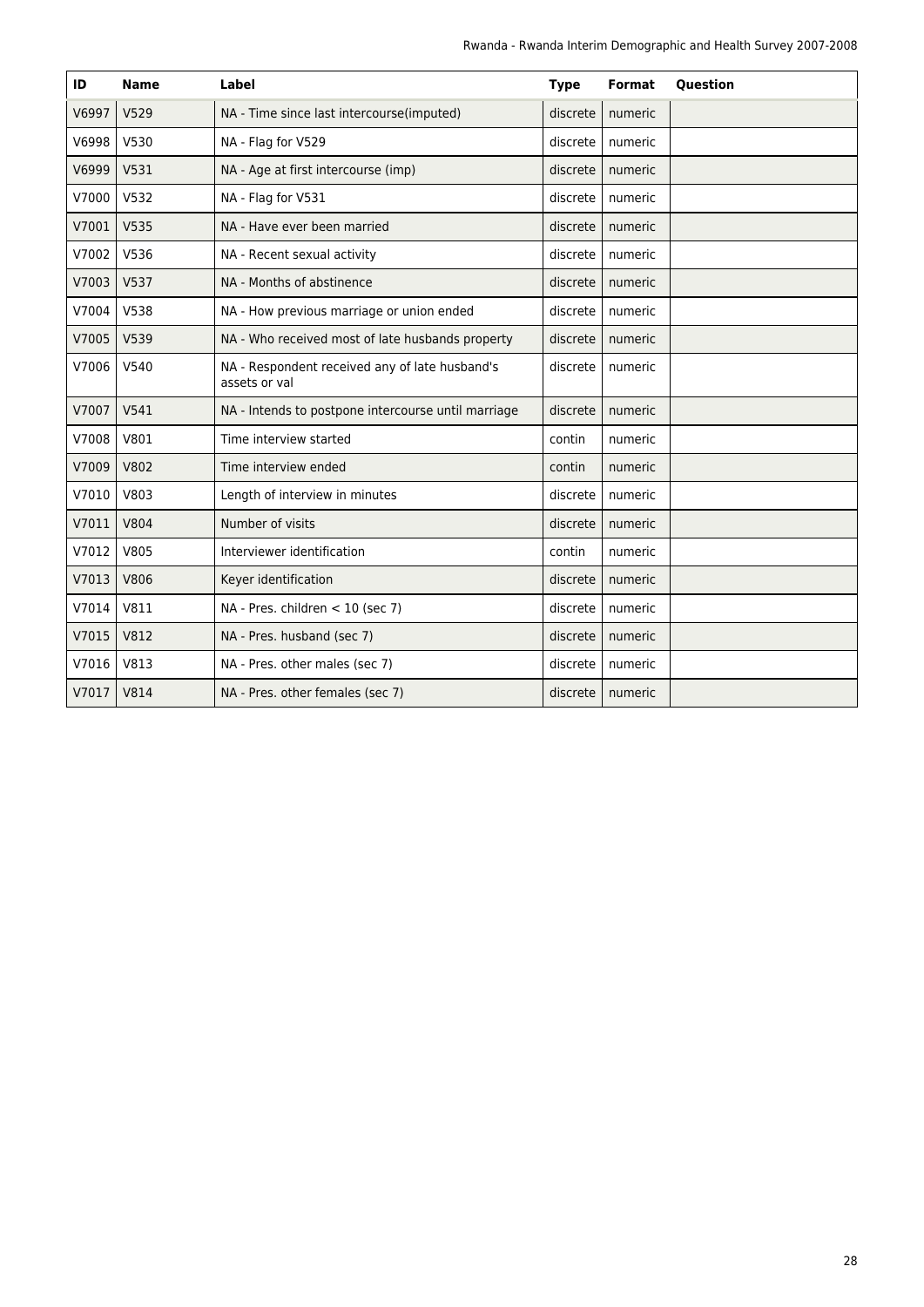| ID    | <b>Name</b> | Label                                                           | <b>Type</b> | <b>Format</b> | Question |
|-------|-------------|-----------------------------------------------------------------|-------------|---------------|----------|
| V6997 | V529        | NA - Time since last intercourse(imputed)                       | discrete    | numeric       |          |
| V6998 | V530        | NA - Flag for V529                                              | discrete    | numeric       |          |
| V6999 | V531        | NA - Age at first intercourse (imp)                             | discrete    | numeric       |          |
| V7000 | V532        | NA - Flag for V531                                              | discrete    | numeric       |          |
| V7001 | V535        | NA - Have ever been married                                     | discrete    | numeric       |          |
| V7002 | V536        | NA - Recent sexual activity                                     | discrete    | numeric       |          |
| V7003 | V537        | NA - Months of abstinence                                       | discrete    | numeric       |          |
| V7004 | V538        | NA - How previous marriage or union ended                       | discrete    | numeric       |          |
| V7005 | V539        | NA - Who received most of late husbands property                | discrete    | numeric       |          |
| V7006 | V540        | NA - Respondent received any of late husband's<br>assets or val | discrete    | numeric       |          |
| V7007 | V541        | NA - Intends to postpone intercourse until marriage             | discrete    | numeric       |          |
| V7008 | V801        | Time interview started                                          | contin      | numeric       |          |
| V7009 | V802        | Time interview ended                                            | contin      | numeric       |          |
| V7010 | V803        | Length of interview in minutes                                  | discrete    | numeric       |          |
| V7011 | V804        | Number of visits                                                | discrete    | numeric       |          |
| V7012 | V805        | Interviewer identification                                      | contin      | numeric       |          |
| V7013 | V806        | Keyer identification                                            | discrete    | numeric       |          |
| V7014 | V811        | $NA$ - Pres. children < 10 (sec 7)                              | discrete    | numeric       |          |
| V7015 | V812        | NA - Pres. husband (sec 7)                                      | discrete    | numeric       |          |
| V7016 | V813        | NA - Pres. other males (sec 7)                                  | discrete    | numeric       |          |
| V7017 | V814        | NA - Pres. other females (sec 7)                                | discrete    | numeric       |          |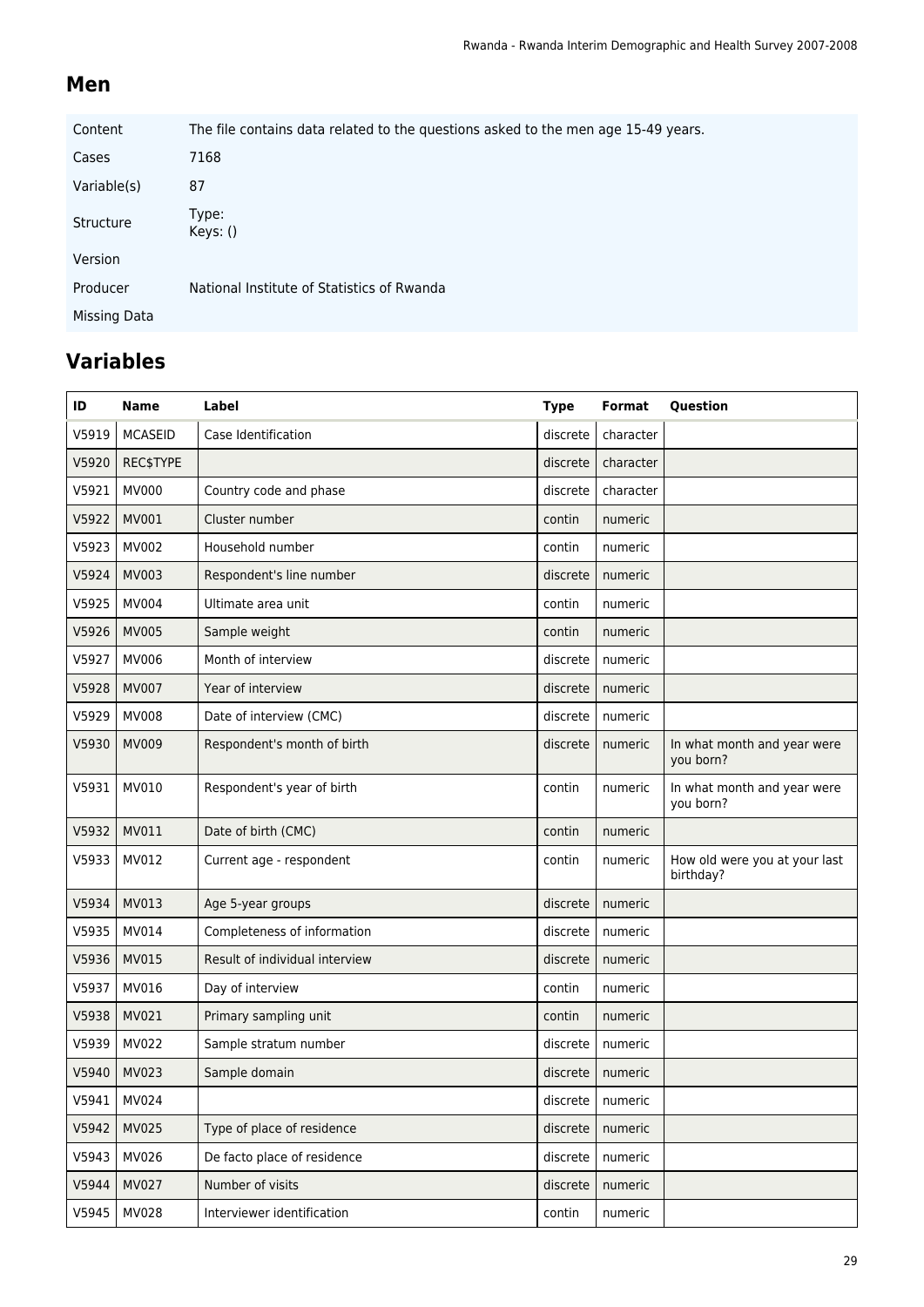## **Men**

| Content      | The file contains data related to the questions asked to the men age 15-49 years. |
|--------------|-----------------------------------------------------------------------------------|
| Cases        | 7168                                                                              |
| Variable(s)  | 87                                                                                |
| Structure    | Type:<br>Keys: ()                                                                 |
| Version      |                                                                                   |
| Producer     | National Institute of Statistics of Rwanda                                        |
| Missing Data |                                                                                   |

| ID    | <b>Name</b>    | Label                          | <b>Type</b> | Format    | Question                                   |
|-------|----------------|--------------------------------|-------------|-----------|--------------------------------------------|
| V5919 | <b>MCASEID</b> | Case Identification            | discrete    | character |                                            |
| V5920 | REC\$TYPE      |                                | discrete    | character |                                            |
| V5921 | <b>MV000</b>   | Country code and phase         | discrete    | character |                                            |
| V5922 | MV001          | Cluster number                 | contin      | numeric   |                                            |
| V5923 | MV002          | Household number               | contin      | numeric   |                                            |
| V5924 | MV003          | Respondent's line number       | discrete    | numeric   |                                            |
| V5925 | MV004          | Ultimate area unit             | contin      | numeric   |                                            |
| V5926 | <b>MV005</b>   | Sample weight                  | contin      | numeric   |                                            |
| V5927 | MV006          | Month of interview             | discrete    | numeric   |                                            |
| V5928 | <b>MV007</b>   | Year of interview              | discrete    | numeric   |                                            |
| V5929 | <b>MV008</b>   | Date of interview (CMC)        | discrete    | numeric   |                                            |
| V5930 | MV009          | Respondent's month of birth    | discrete    | numeric   | In what month and year were<br>you born?   |
| V5931 | MV010          | Respondent's year of birth     | contin      | numeric   | In what month and year were<br>you born?   |
| V5932 | MV011          | Date of birth (CMC)            | contin      | numeric   |                                            |
| V5933 | MV012          | Current age - respondent       | contin      | numeric   | How old were you at your last<br>birthday? |
| V5934 | MV013          | Age 5-year groups              | discrete    | numeric   |                                            |
| V5935 | MV014          | Completeness of information    | discrete    | numeric   |                                            |
| V5936 | MV015          | Result of individual interview | discrete    | numeric   |                                            |
| V5937 | MV016          | Day of interview               | contin      | numeric   |                                            |
| V5938 | MV021          | Primary sampling unit          | contin      | numeric   |                                            |
| V5939 | MV022          | Sample stratum number          | discrete    | numeric   |                                            |
| V5940 | MV023          | Sample domain                  | discrete    | numeric   |                                            |
| V5941 | MV024          |                                | discrete    | numeric   |                                            |
| V5942 | MV025          | Type of place of residence     | discrete    | numeric   |                                            |
| V5943 | MV026          | De facto place of residence    | discrete    | numeric   |                                            |
| V5944 | MV027          | Number of visits               | discrete    | numeric   |                                            |
| V5945 | MV028          | Interviewer identification     | contin      | numeric   |                                            |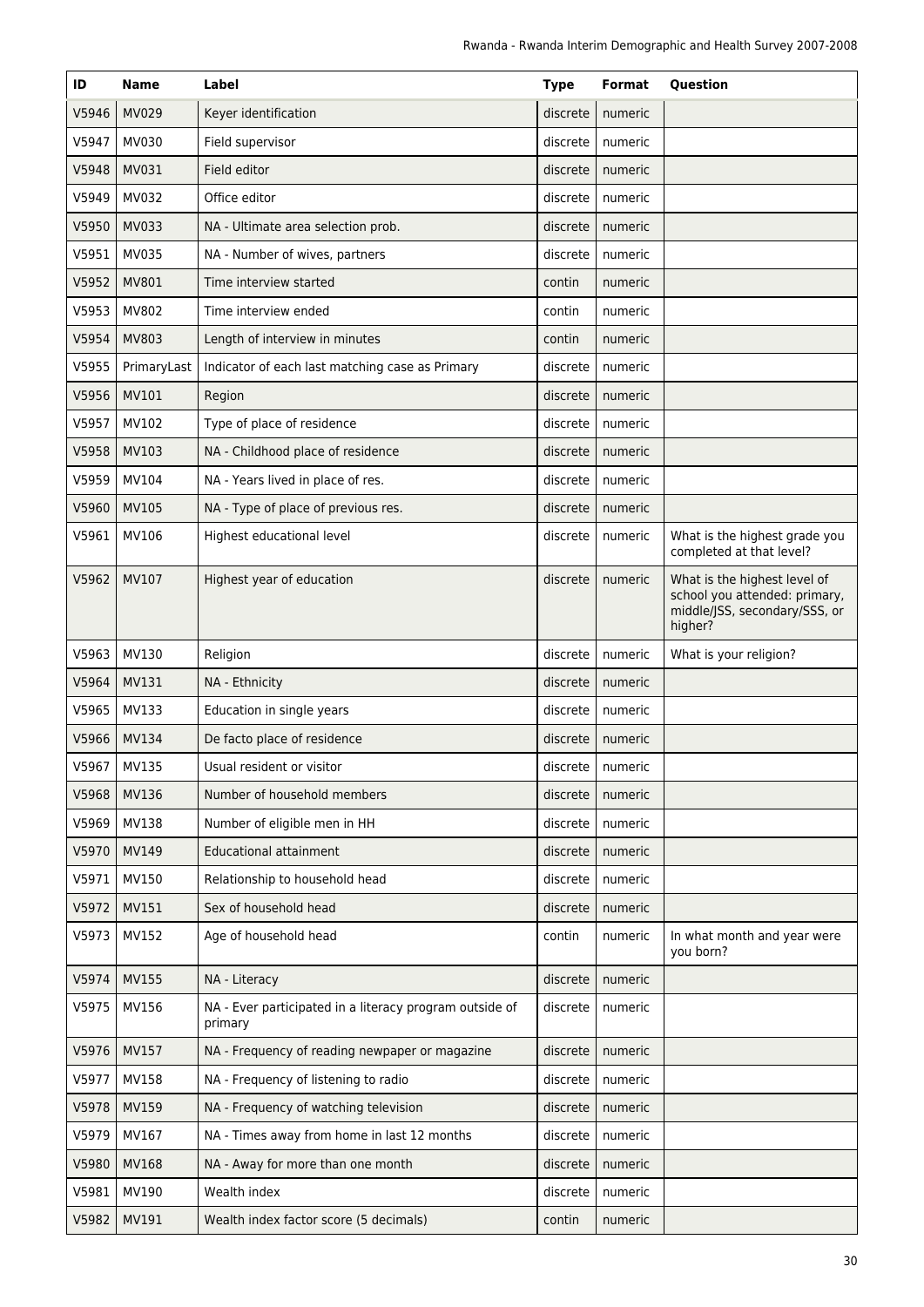| ID    | <b>Name</b>  | Label                                                              | <b>Type</b> | <b>Format</b> | <b>Question</b>                                                                                           |
|-------|--------------|--------------------------------------------------------------------|-------------|---------------|-----------------------------------------------------------------------------------------------------------|
| V5946 | MV029        | Keyer identification                                               | discrete    | numeric       |                                                                                                           |
| V5947 | MV030        | Field supervisor                                                   | discrete    | numeric       |                                                                                                           |
| V5948 | MV031        | Field editor                                                       | discrete    | numeric       |                                                                                                           |
| V5949 | MV032        | Office editor                                                      | discrete    | numeric       |                                                                                                           |
| V5950 | MV033        | NA - Ultimate area selection prob.                                 | discrete    | numeric       |                                                                                                           |
| V5951 | MV035        | NA - Number of wives, partners                                     | discrete    | numeric       |                                                                                                           |
| V5952 | MV801        | Time interview started                                             | contin      | numeric       |                                                                                                           |
| V5953 | MV802        | Time interview ended                                               | contin      | numeric       |                                                                                                           |
| V5954 | MV803        | Length of interview in minutes                                     | contin      | numeric       |                                                                                                           |
| V5955 | PrimaryLast  | Indicator of each last matching case as Primary                    | discrete    | numeric       |                                                                                                           |
| V5956 | MV101        | Region                                                             | discrete    | numeric       |                                                                                                           |
| V5957 | MV102        | Type of place of residence                                         | discrete    | numeric       |                                                                                                           |
| V5958 | MV103        | NA - Childhood place of residence                                  | discrete    | numeric       |                                                                                                           |
| V5959 | MV104        | NA - Years lived in place of res.                                  | discrete    | numeric       |                                                                                                           |
| V5960 | <b>MV105</b> | NA - Type of place of previous res.                                | discrete    | numeric       |                                                                                                           |
| V5961 | MV106        | Highest educational level                                          | discrete    | numeric       | What is the highest grade you<br>completed at that level?                                                 |
| V5962 | <b>MV107</b> | Highest year of education                                          | discrete    | numeric       | What is the highest level of<br>school you attended: primary,<br>middle/JSS, secondary/SSS, or<br>higher? |
| V5963 | MV130        | Religion                                                           | discrete    | numeric       | What is your religion?                                                                                    |
| V5964 | MV131        | NA - Ethnicity                                                     | discrete    | numeric       |                                                                                                           |
| V5965 | MV133        | Education in single years                                          | discrete    | numeric       |                                                                                                           |
| V5966 | MV134        | De facto place of residence                                        | discrete    | numeric       |                                                                                                           |
| V5967 | MV135        | Usual resident or visitor                                          | discrete    | numeric       |                                                                                                           |
| V5968 | MV136        | Number of household members                                        | discrete    | numeric       |                                                                                                           |
| V5969 | MV138        | Number of eligible men in HH                                       | discrete    | numeric       |                                                                                                           |
| V5970 | MV149        | <b>Educational attainment</b>                                      | discrete    | numeric       |                                                                                                           |
| V5971 | MV150        | Relationship to household head                                     | discrete    | numeric       |                                                                                                           |
| V5972 | MV151        | Sex of household head                                              | discrete    | numeric       |                                                                                                           |
| V5973 | MV152        | Age of household head                                              | contin      | numeric       | In what month and year were<br>you born?                                                                  |
| V5974 | MV155        | NA - Literacy                                                      | discrete    | numeric       |                                                                                                           |
| V5975 | MV156        | NA - Ever participated in a literacy program outside of<br>primary | discrete    | numeric       |                                                                                                           |
| V5976 | MV157        | NA - Frequency of reading newpaper or magazine                     | discrete    | numeric       |                                                                                                           |
| V5977 | MV158        | NA - Frequency of listening to radio                               | discrete    | numeric       |                                                                                                           |
| V5978 | MV159        | NA - Frequency of watching television                              | discrete    | numeric       |                                                                                                           |
| V5979 | MV167        | NA - Times away from home in last 12 months                        | discrete    | numeric       |                                                                                                           |
| V5980 | MV168        | NA - Away for more than one month                                  | discrete    | numeric       |                                                                                                           |
| V5981 | MV190        | Wealth index                                                       | discrete    | numeric       |                                                                                                           |
| V5982 | MV191        | Wealth index factor score (5 decimals)                             | contin      | numeric       |                                                                                                           |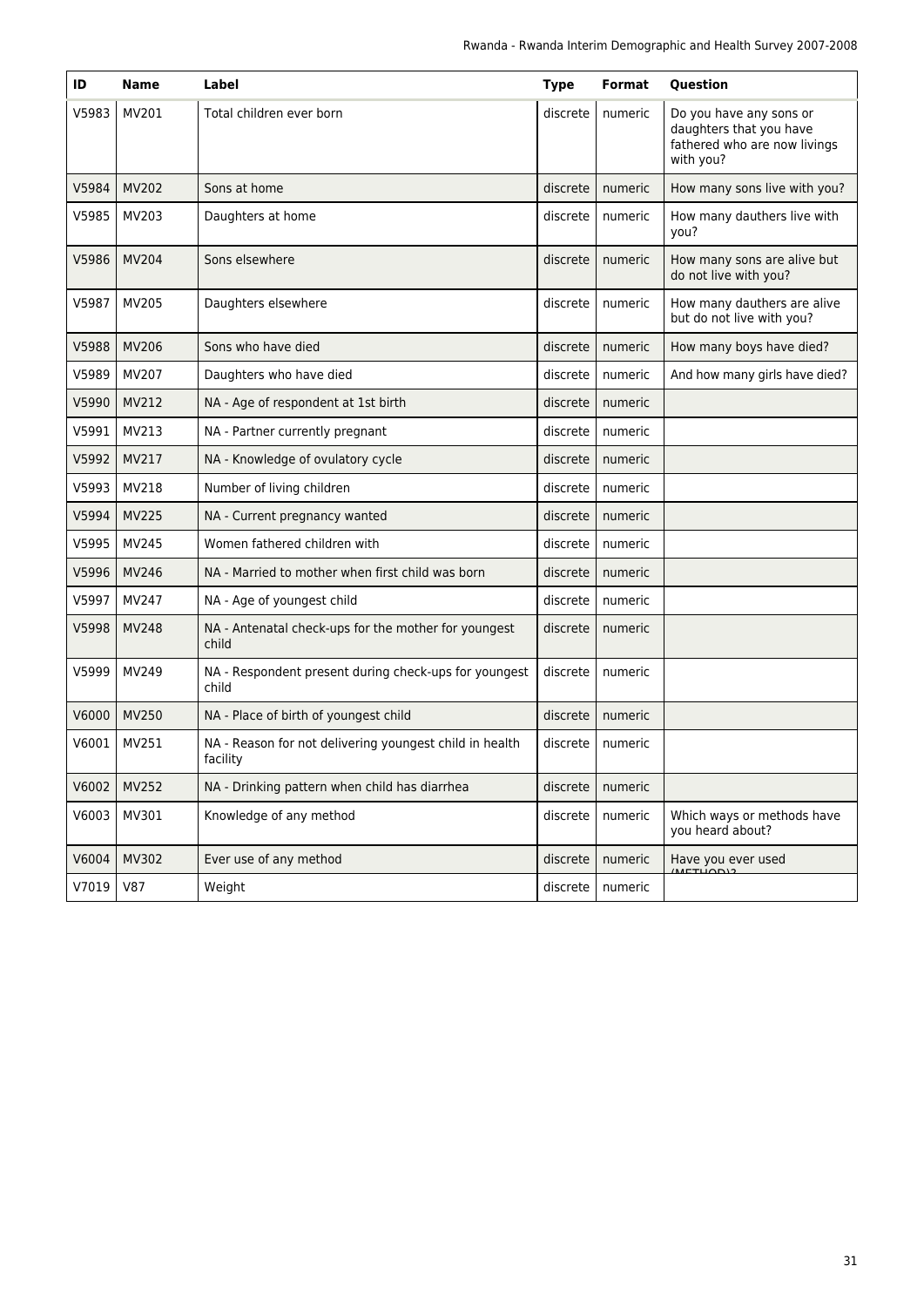| ID    | <b>Name</b>  | Label                                                               | <b>Type</b> | <b>Format</b> | <b>Ouestion</b>                                                                                 |
|-------|--------------|---------------------------------------------------------------------|-------------|---------------|-------------------------------------------------------------------------------------------------|
| V5983 | MV201        | Total children ever born                                            | discrete    | numeric       | Do you have any sons or<br>daughters that you have<br>fathered who are now livings<br>with you? |
| V5984 | MV202        | Sons at home                                                        | discrete    | numeric       | How many sons live with you?                                                                    |
| V5985 | MV203        | Daughters at home                                                   | discrete    | numeric       | How many dauthers live with<br>you?                                                             |
| V5986 | MV204        | Sons elsewhere                                                      | discrete    | numeric       | How many sons are alive but<br>do not live with you?                                            |
| V5987 | MV205        | Daughters elsewhere                                                 | discrete    | numeric       | How many dauthers are alive<br>but do not live with you?                                        |
| V5988 | MV206        | Sons who have died                                                  | discrete    | numeric       | How many boys have died?                                                                        |
| V5989 | MV207        | Daughters who have died                                             | discrete    | numeric       | And how many girls have died?                                                                   |
| V5990 | MV212        | NA - Age of respondent at 1st birth                                 | discrete    | numeric       |                                                                                                 |
| V5991 | MV213        | NA - Partner currently pregnant                                     | discrete    | numeric       |                                                                                                 |
| V5992 | MV217        | NA - Knowledge of ovulatory cycle                                   | discrete    | numeric       |                                                                                                 |
| V5993 | MV218        | Number of living children                                           | discrete    | numeric       |                                                                                                 |
| V5994 | MV225        | NA - Current pregnancy wanted                                       | discrete    | numeric       |                                                                                                 |
| V5995 | MV245        | Women fathered children with                                        | discrete    | numeric       |                                                                                                 |
| V5996 | MV246        | NA - Married to mother when first child was born                    | discrete    | numeric       |                                                                                                 |
| V5997 | MV247        | NA - Age of youngest child                                          | discrete    | numeric       |                                                                                                 |
| V5998 | <b>MV248</b> | NA - Antenatal check-ups for the mother for youngest<br>child       | discrete    | numeric       |                                                                                                 |
| V5999 | MV249        | NA - Respondent present during check-ups for youngest<br>child      | discrete    | numeric       |                                                                                                 |
| V6000 | MV250        | NA - Place of birth of youngest child                               | discrete    | numeric       |                                                                                                 |
| V6001 | MV251        | NA - Reason for not delivering youngest child in health<br>facility | discrete    | numeric       |                                                                                                 |
| V6002 | MV252        | NA - Drinking pattern when child has diarrhea                       | discrete    | numeric       |                                                                                                 |
| V6003 | MV301        | Knowledge of any method                                             | discrete    | numeric       | Which ways or methods have<br>you heard about?                                                  |
| V6004 | MV302        | Ever use of any method                                              | discrete    | numeric       | Have you ever used                                                                              |
| V7019 | <b>V87</b>   | Weight                                                              | discrete    | numeric       |                                                                                                 |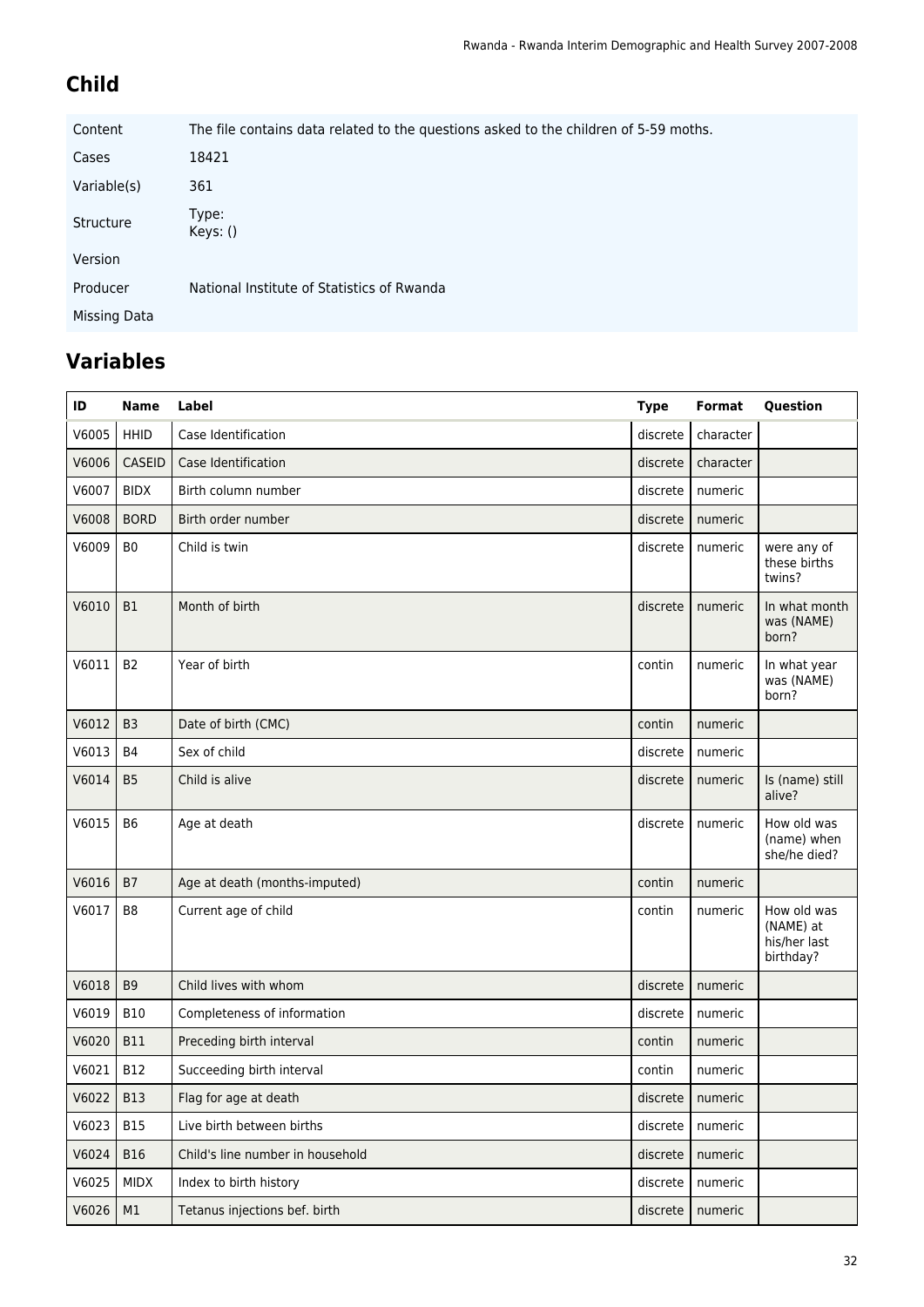## **Child**

| Content      | The file contains data related to the questions asked to the children of 5-59 moths. |
|--------------|--------------------------------------------------------------------------------------|
| Cases        | 18421                                                                                |
| Variable(s)  | 361                                                                                  |
| Structure    | Type:<br>Keys: ()                                                                    |
| Version      |                                                                                      |
| Producer     | National Institute of Statistics of Rwanda                                           |
| Missing Data |                                                                                      |

| ID    | <b>Name</b>    | Label                            | <b>Type</b> | <b>Format</b> | <b>Question</b>                                       |
|-------|----------------|----------------------------------|-------------|---------------|-------------------------------------------------------|
| V6005 | HHID           | Case Identification              | discrete    | character     |                                                       |
| V6006 | CASEID         | Case Identification              | discrete    | character     |                                                       |
| V6007 | <b>BIDX</b>    | Birth column number              | discrete    | numeric       |                                                       |
| V6008 | <b>BORD</b>    | Birth order number               | discrete    | numeric       |                                                       |
| V6009 | B <sub>0</sub> | Child is twin                    | discrete    | numeric       | were any of<br>these births<br>twins?                 |
| V6010 | <b>B1</b>      | Month of birth                   | discrete    | numeric       | In what month<br>was (NAME)<br>born?                  |
| V6011 | B <sub>2</sub> | Year of birth                    | contin      | numeric       | In what year<br>was (NAME)<br>born?                   |
| V6012 | B <sub>3</sub> | Date of birth (CMC)              | contin      | numeric       |                                                       |
| V6013 | <b>B4</b>      | Sex of child                     | discrete    | numeric       |                                                       |
| V6014 | <b>B5</b>      | Child is alive                   | discrete    | numeric       | Is (name) still<br>alive?                             |
| V6015 | B <sub>6</sub> | Age at death                     | discrete    | numeric       | How old was<br>(name) when<br>she/he died?            |
| V6016 | <b>B7</b>      | Age at death (months-imputed)    | contin      | numeric       |                                                       |
| V6017 | B <sub>8</sub> | Current age of child             | contin      | numeric       | How old was<br>(NAME) at<br>his/her last<br>birthday? |
| V6018 | <b>B9</b>      | Child lives with whom            | discrete    | numeric       |                                                       |
| V6019 | <b>B10</b>     | Completeness of information      | discrete    | numeric       |                                                       |
| V6020 | <b>B11</b>     | Preceding birth interval         | contin      | numeric       |                                                       |
| V6021 | <b>B12</b>     | Succeeding birth interval        | contin      | numeric       |                                                       |
| V6022 | <b>B13</b>     | Flag for age at death            | discrete    | numeric       |                                                       |
| V6023 | <b>B15</b>     | Live birth between births        | discrete    | numeric       |                                                       |
| V6024 | <b>B16</b>     | Child's line number in household | discrete    | numeric       |                                                       |
| V6025 | <b>MIDX</b>    | Index to birth history           | discrete    | numeric       |                                                       |
| V6026 | M1             | Tetanus injections bef. birth    | discrete    | numeric       |                                                       |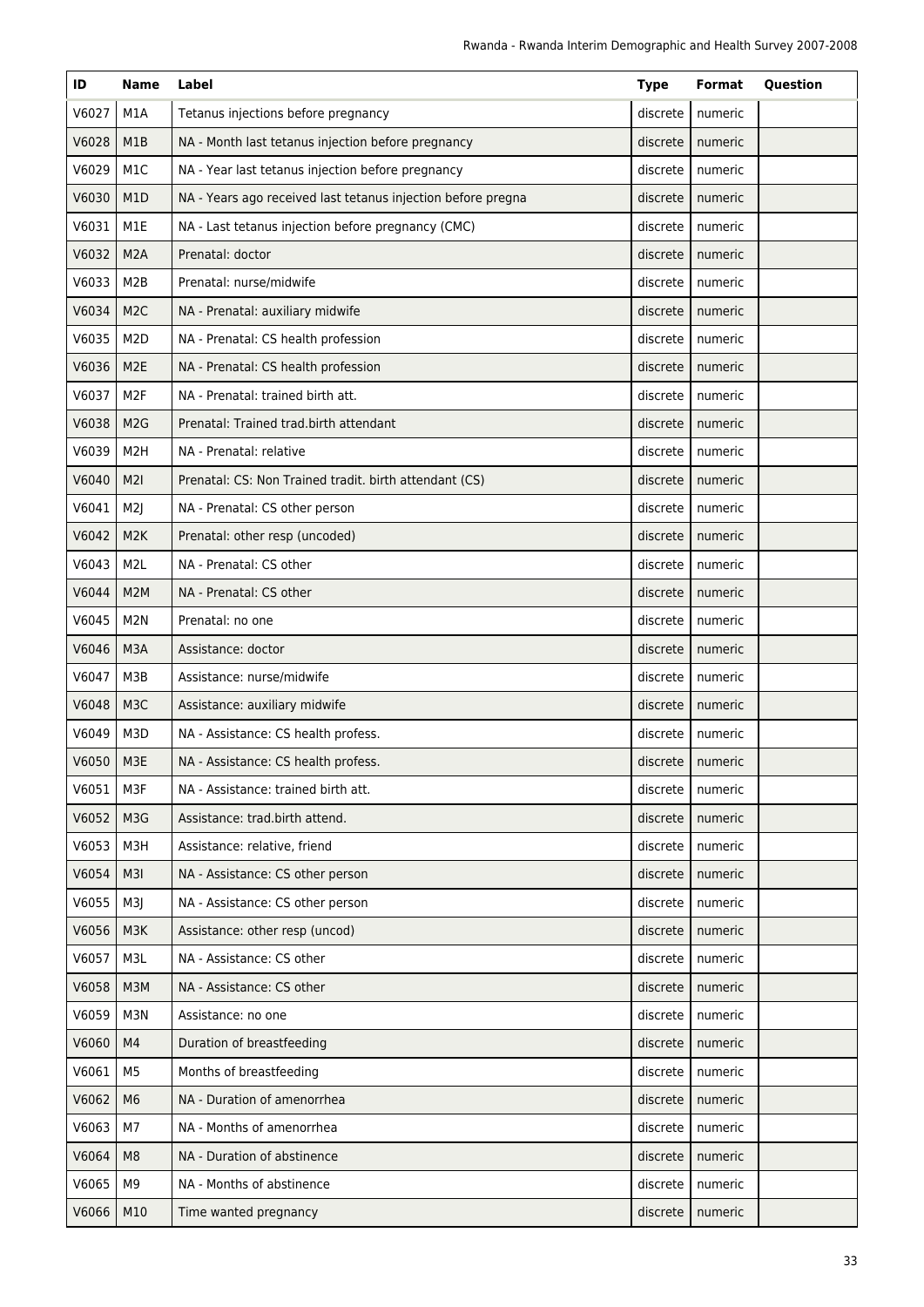| ID    | Name             | Label                                                        | <b>Type</b> | Format             | Question |
|-------|------------------|--------------------------------------------------------------|-------------|--------------------|----------|
| V6027 | M1A              | Tetanus injections before pregnancy                          | discrete    | numeric            |          |
| V6028 | M1B              | NA - Month last tetanus injection before pregnancy           | discrete    | numeric            |          |
| V6029 | M <sub>1</sub> C | NA - Year last tetanus injection before pregnancy            | discrete    | numeric            |          |
| V6030 | M <sub>1</sub> D | NA - Years ago received last tetanus injection before pregna | discrete    | numeric            |          |
| V6031 | M1E              | NA - Last tetanus injection before pregnancy (CMC)           | discrete    | numeric            |          |
| V6032 | M <sub>2</sub> A | Prenatal: doctor                                             | discrete    | numeric            |          |
| V6033 | M2B              | Prenatal: nurse/midwife                                      | discrete    | numeric            |          |
| V6034 | M <sub>2</sub> C | NA - Prenatal: auxiliary midwife                             | discrete    | numeric            |          |
| V6035 | M <sub>2</sub> D | NA - Prenatal: CS health profession                          | discrete    | numeric            |          |
| V6036 | M <sub>2E</sub>  | NA - Prenatal: CS health profession                          | discrete    | numeric            |          |
| V6037 | M2F              | NA - Prenatal: trained birth att.                            | discrete    | numeric            |          |
| V6038 | M <sub>2</sub> G | Prenatal: Trained trad.birth attendant                       | discrete    | numeric            |          |
| V6039 | M <sub>2</sub> H | NA - Prenatal: relative                                      | discrete    | numeric            |          |
| V6040 | M2I              | Prenatal: CS: Non Trained tradit. birth attendant (CS)       | discrete    | numeric            |          |
| V6041 | M2J              | NA - Prenatal: CS other person                               | discrete    | numeric            |          |
| V6042 | M <sub>2</sub> K | Prenatal: other resp (uncoded)                               | discrete    | numeric            |          |
| V6043 | M <sub>2L</sub>  | NA - Prenatal: CS other                                      | discrete    | numeric            |          |
| V6044 | M2M              | NA - Prenatal: CS other                                      | discrete    | numeric            |          |
| V6045 | M <sub>2N</sub>  | Prenatal: no one                                             | discrete    | numeric            |          |
| V6046 | M3A              | Assistance: doctor                                           | discrete    | numeric            |          |
| V6047 | M3B              | Assistance: nurse/midwife                                    | discrete    | numeric            |          |
| V6048 | M <sub>3</sub> C | Assistance: auxiliary midwife                                | discrete    | numeric            |          |
| V6049 | M3D              | NA - Assistance: CS health profess.                          | discrete    | numeric            |          |
| V6050 | M3E              | NA - Assistance: CS health profess.                          |             | discrete   numeric |          |
| V6051 | M3F              | NA - Assistance: trained birth att.                          | discrete    | numeric            |          |
| V6052 | M <sub>3</sub> G | Assistance: trad.birth attend.                               | discrete    | numeric            |          |
| V6053 | M3H              | Assistance: relative, friend                                 | discrete    | numeric            |          |
| V6054 | M3I              | NA - Assistance: CS other person                             | discrete    | numeric            |          |
| V6055 | M <sub>3</sub>   | NA - Assistance: CS other person                             | discrete    | numeric            |          |
| V6056 | M3K              | Assistance: other resp (uncod)                               | discrete    | numeric            |          |
| V6057 | M3L              | NA - Assistance: CS other                                    | discrete    | numeric            |          |
| V6058 | M3M              | NA - Assistance: CS other                                    | discrete    | numeric            |          |
| V6059 | M3N              | Assistance: no one                                           | discrete    | numeric            |          |
| V6060 | M4               | Duration of breastfeeding                                    | discrete    | numeric            |          |
| V6061 | M <sub>5</sub>   | Months of breastfeeding                                      | discrete    | numeric            |          |
| V6062 | M <sub>6</sub>   | NA - Duration of amenorrhea                                  | discrete    | numeric            |          |
| V6063 | M7               | NA - Months of amenorrhea                                    | discrete    | numeric            |          |
| V6064 | M <sub>8</sub>   | NA - Duration of abstinence                                  | discrete    | numeric            |          |
| V6065 | M <sub>9</sub>   | NA - Months of abstinence                                    | discrete    | numeric            |          |
| V6066 | M10              | Time wanted pregnancy                                        | discrete    | numeric            |          |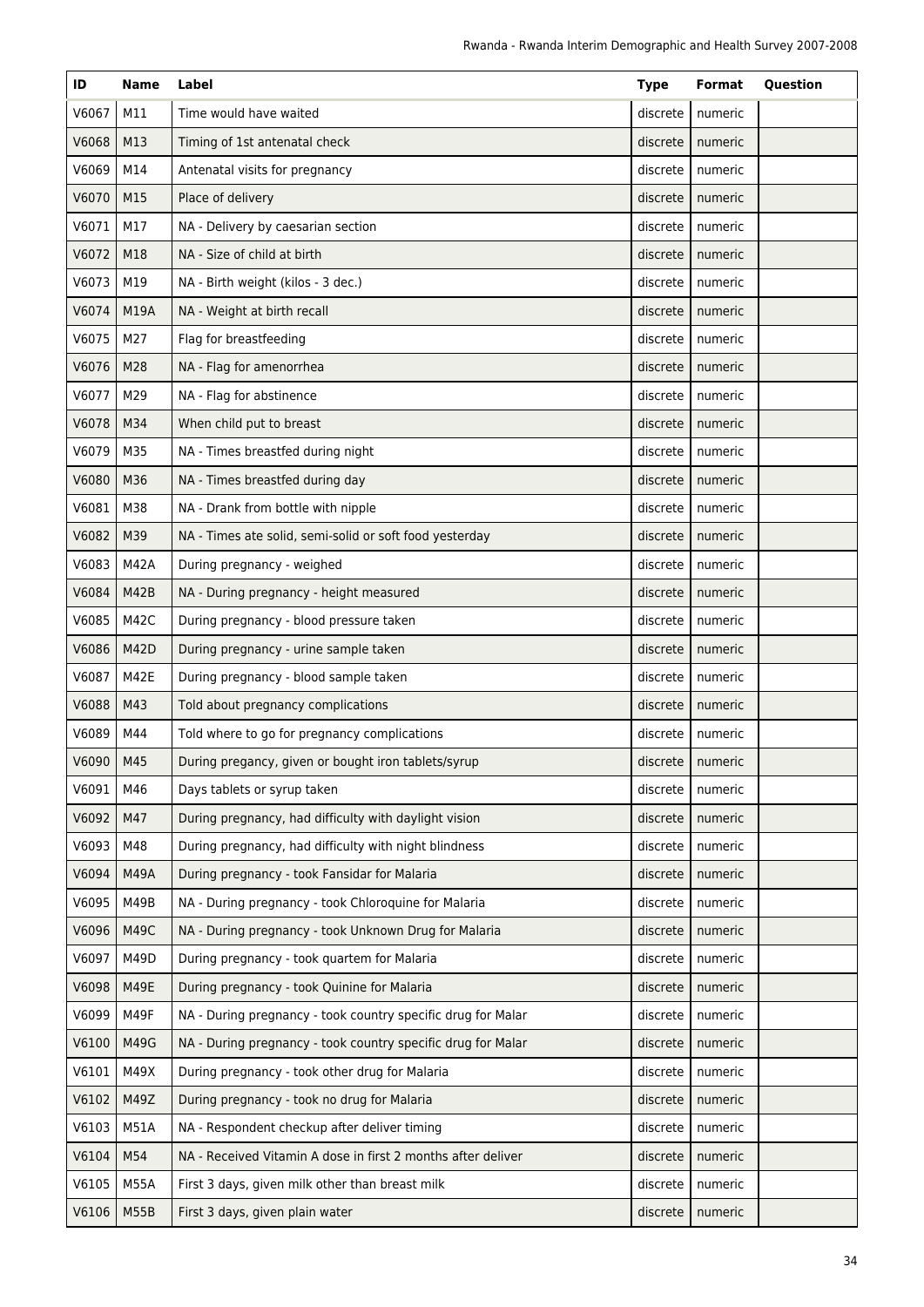| ID    | <b>Name</b> | Label                                                        | <b>Type</b> | Format             | Question |
|-------|-------------|--------------------------------------------------------------|-------------|--------------------|----------|
| V6067 | M11         | Time would have waited                                       | discrete    | numeric            |          |
| V6068 | M13         | Timing of 1st antenatal check                                | discrete    | numeric            |          |
| V6069 | M14         | Antenatal visits for pregnancy                               | discrete    | numeric            |          |
| V6070 | M15         | Place of delivery                                            | discrete    | numeric            |          |
| V6071 | M17         | NA - Delivery by caesarian section                           | discrete    | numeric            |          |
| V6072 | M18         | NA - Size of child at birth                                  | discrete    | numeric            |          |
| V6073 | M19         | NA - Birth weight (kilos - 3 dec.)                           | discrete    | numeric            |          |
| V6074 | <b>M19A</b> | NA - Weight at birth recall                                  | discrete    | numeric            |          |
| V6075 | M27         | Flag for breastfeeding                                       | discrete    | numeric            |          |
| V6076 | M28         | NA - Flag for amenorrhea                                     | discrete    | numeric            |          |
| V6077 | M29         | NA - Flag for abstinence                                     | discrete    | numeric            |          |
| V6078 | M34         | When child put to breast                                     | discrete    | numeric            |          |
| V6079 | M35         | NA - Times breastfed during night                            | discrete    | numeric            |          |
| V6080 | M36         | NA - Times breastfed during day                              | discrete    | numeric            |          |
| V6081 | M38         | NA - Drank from bottle with nipple                           | discrete    | numeric            |          |
| V6082 | M39         | NA - Times ate solid, semi-solid or soft food yesterday      | discrete    | numeric            |          |
| V6083 | <b>M42A</b> | During pregnancy - weighed                                   | discrete    | numeric            |          |
| V6084 | M42B        | NA - During pregnancy - height measured                      | discrete    | numeric            |          |
| V6085 | M42C        | During pregnancy - blood pressure taken                      | discrete    | numeric            |          |
| V6086 | M42D        | During pregnancy - urine sample taken                        | discrete    | numeric            |          |
| V6087 | M42E        | During pregnancy - blood sample taken                        | discrete    | numeric            |          |
| V6088 | M43         | Told about pregnancy complications                           | discrete    | numeric            |          |
| V6089 | M44         | Told where to go for pregnancy complications                 | discrete    | numeric            |          |
| V6090 | M45         | During pregancy, given or bought iron tablets/syrup          |             | discrete   numeric |          |
| V6091 | M46         | Days tablets or syrup taken                                  | discrete    | numeric            |          |
| V6092 | M47         | During pregnancy, had difficulty with daylight vision        | discrete    | numeric            |          |
| V6093 | M48         | During pregnancy, had difficulty with night blindness        | discrete    | numeric            |          |
| V6094 | <b>M49A</b> | During pregnancy - took Fansidar for Malaria                 | discrete    | numeric            |          |
| V6095 | M49B        | NA - During pregnancy - took Chloroquine for Malaria         | discrete    | numeric            |          |
| V6096 | M49C        | NA - During pregnancy - took Unknown Drug for Malaria        | discrete    | numeric            |          |
| V6097 | M49D        | During pregnancy - took quartem for Malaria                  | discrete    | numeric            |          |
| V6098 | M49E        | During pregnancy - took Quinine for Malaria                  | discrete    | numeric            |          |
| V6099 | M49F        | NA - During pregnancy - took country specific drug for Malar | discrete    | numeric            |          |
| V6100 | M49G        | NA - During pregnancy - took country specific drug for Malar | discrete    | numeric            |          |
| V6101 | M49X        | During pregnancy - took other drug for Malaria               | discrete    | numeric            |          |
| V6102 | M49Z        | During pregnancy - took no drug for Malaria                  | discrete    | numeric            |          |
| V6103 | <b>M51A</b> | NA - Respondent checkup after deliver timing                 | discrete    | numeric            |          |
| V6104 | M54         | NA - Received Vitamin A dose in first 2 months after deliver | discrete    | numeric            |          |
| V6105 | <b>M55A</b> | First 3 days, given milk other than breast milk              | discrete    | numeric            |          |
| V6106 | M55B        | First 3 days, given plain water                              | discrete    | numeric            |          |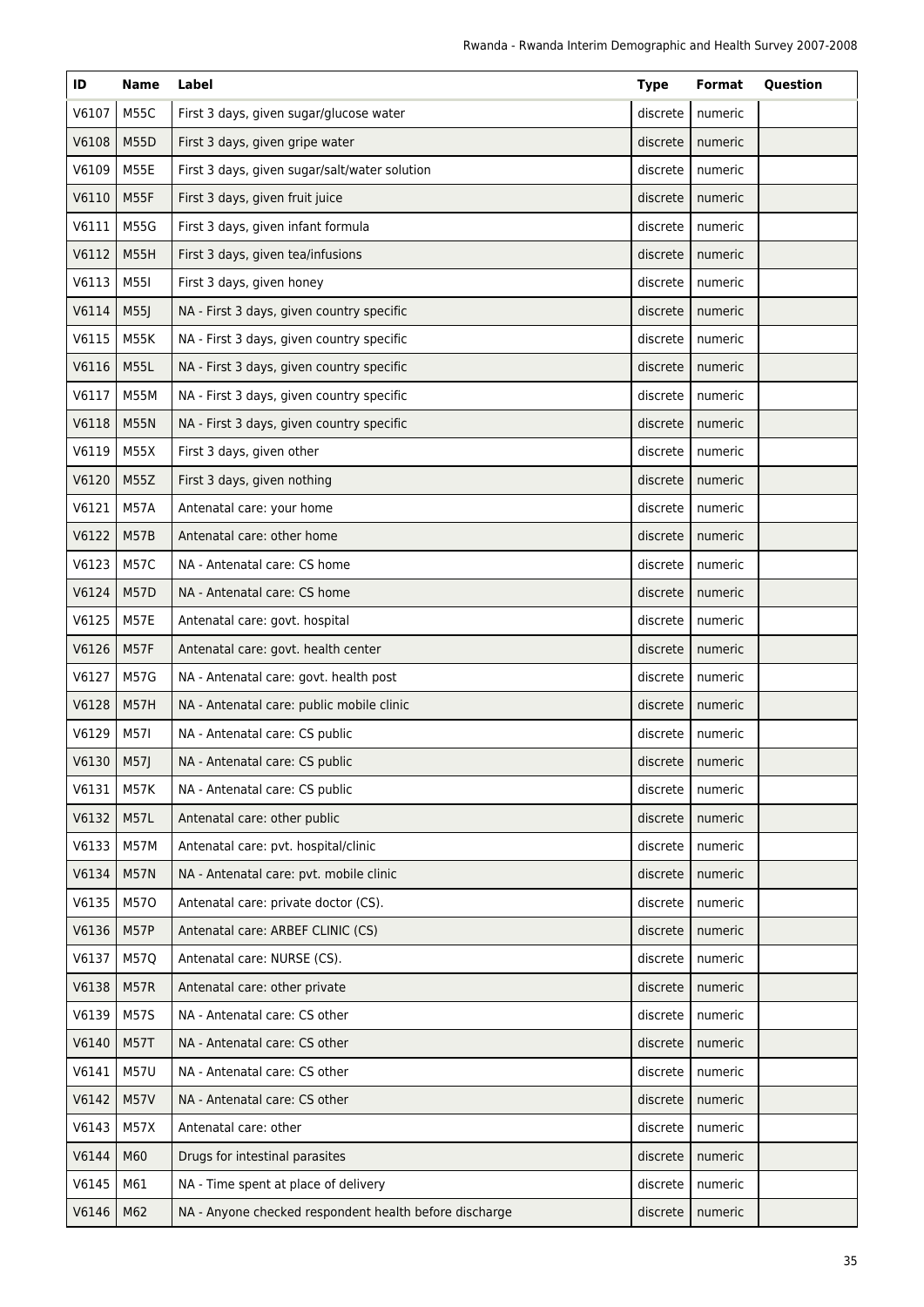| ID    | <b>Name</b> | Label                                                  | <b>Type</b> | Format  | Question |
|-------|-------------|--------------------------------------------------------|-------------|---------|----------|
| V6107 | M55C        | First 3 days, given sugar/glucose water                | discrete    | numeric |          |
| V6108 | <b>M55D</b> | First 3 days, given gripe water                        | discrete    | numeric |          |
| V6109 | <b>M55E</b> | First 3 days, given sugar/salt/water solution          | discrete    | numeric |          |
| V6110 | <b>M55F</b> | First 3 days, given fruit juice                        | discrete    | numeric |          |
| V6111 | <b>M55G</b> | First 3 days, given infant formula                     | discrete    | numeric |          |
| V6112 | <b>M55H</b> | First 3 days, given tea/infusions                      | discrete    | numeric |          |
| V6113 | M551        | First 3 days, given honey                              | discrete    | numeric |          |
| V6114 | M55         | NA - First 3 days, given country specific              | discrete    | numeric |          |
| V6115 | <b>M55K</b> | NA - First 3 days, given country specific              | discrete    | numeric |          |
| V6116 | <b>M55L</b> | NA - First 3 days, given country specific              | discrete    | numeric |          |
| V6117 | <b>M55M</b> | NA - First 3 days, given country specific              | discrete    | numeric |          |
| V6118 | <b>M55N</b> | NA - First 3 days, given country specific              | discrete    | numeric |          |
| V6119 | <b>M55X</b> | First 3 days, given other                              | discrete    | numeric |          |
| V6120 | <b>M55Z</b> | First 3 days, given nothing                            | discrete    | numeric |          |
| V6121 | <b>M57A</b> | Antenatal care: your home                              | discrete    | numeric |          |
| V6122 | <b>M57B</b> | Antenatal care: other home                             | discrete    | numeric |          |
| V6123 | <b>M57C</b> | NA - Antenatal care: CS home                           | discrete    | numeric |          |
| V6124 | <b>M57D</b> | NA - Antenatal care: CS home                           | discrete    | numeric |          |
| V6125 | <b>M57E</b> | Antenatal care: govt. hospital                         | discrete    | numeric |          |
| V6126 | M57F        | Antenatal care: govt. health center                    | discrete    | numeric |          |
| V6127 | <b>M57G</b> | NA - Antenatal care: govt. health post                 | discrete    | numeric |          |
| V6128 | <b>M57H</b> | NA - Antenatal care: public mobile clinic              | discrete    | numeric |          |
| V6129 | M57I        | NA - Antenatal care: CS public                         | discrete    | numeric |          |
| V6130 | M57J        | NA - Antenatal care: CS public                         | discrete    | numeric |          |
| V6131 | M57K        | NA - Antenatal care: CS public                         | discrete    | numeric |          |
| V6132 | <b>M57L</b> | Antenatal care: other public                           | discrete    | numeric |          |
| V6133 | <b>M57M</b> | Antenatal care: pvt. hospital/clinic                   | discrete    | numeric |          |
| V6134 | <b>M57N</b> | NA - Antenatal care: pvt. mobile clinic                | discrete    | numeric |          |
| V6135 | M570        | Antenatal care: private doctor (CS).                   | discrete    | numeric |          |
| V6136 | <b>M57P</b> | Antenatal care: ARBEF CLINIC (CS)                      | discrete    | numeric |          |
| V6137 | M57Q        | Antenatal care: NURSE (CS).                            | discrete    | numeric |          |
| V6138 | M57R        | Antenatal care: other private                          | discrete    | numeric |          |
| V6139 | <b>M57S</b> | NA - Antenatal care: CS other                          | discrete    | numeric |          |
| V6140 | <b>M57T</b> | NA - Antenatal care: CS other                          | discrete    | numeric |          |
| V6141 | <b>M57U</b> | NA - Antenatal care: CS other                          | discrete    | numeric |          |
| V6142 | <b>M57V</b> | NA - Antenatal care: CS other                          | discrete    | numeric |          |
| V6143 | M57X        | Antenatal care: other                                  | discrete    | numeric |          |
| V6144 | M60         | Drugs for intestinal parasites                         | discrete    | numeric |          |
| V6145 | M61         | NA - Time spent at place of delivery                   | discrete    | numeric |          |
| V6146 | M62         | NA - Anyone checked respondent health before discharge | discrete    | numeric |          |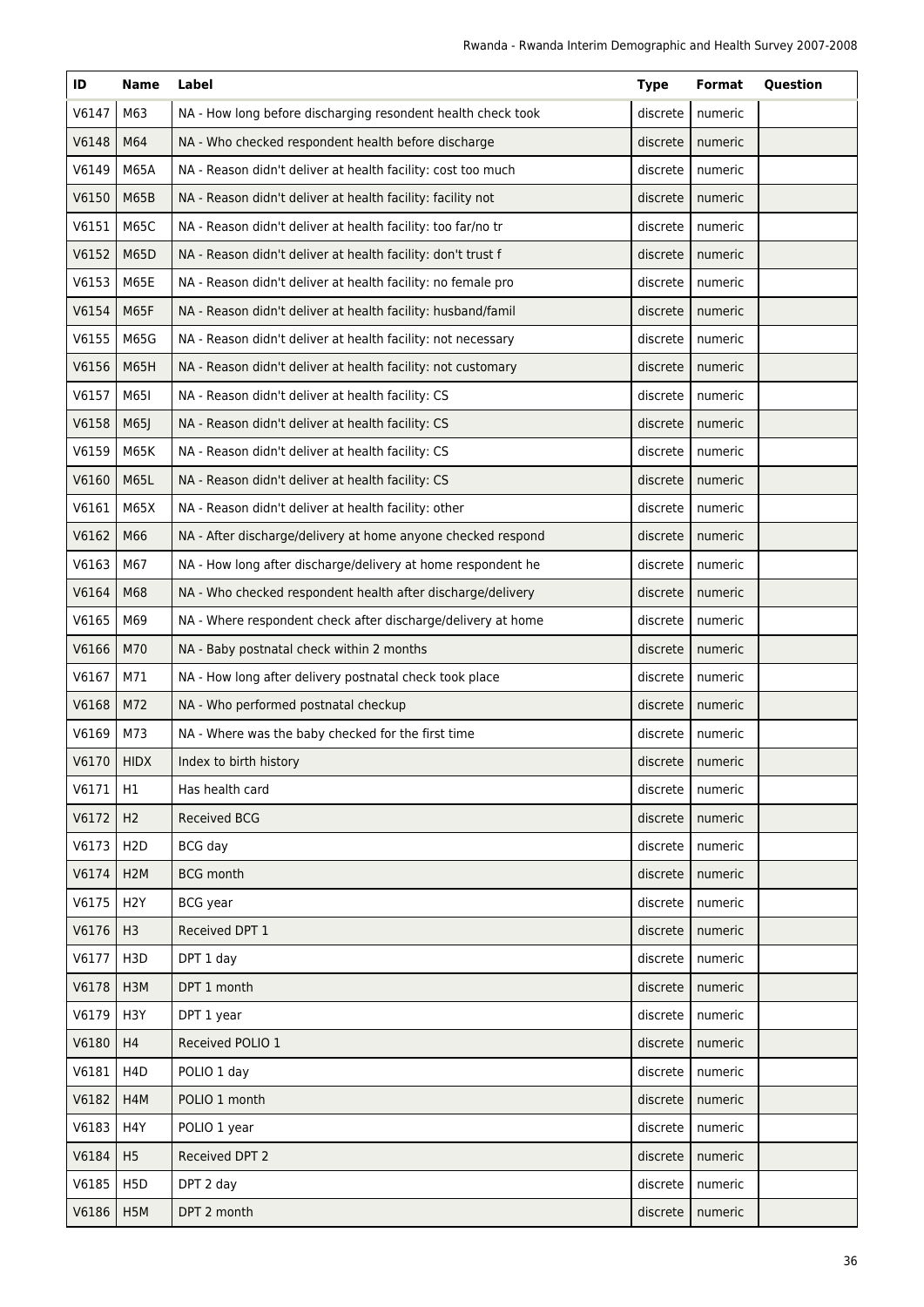| ID    | <b>Name</b>      | Label                                                        | <b>Type</b> | Format             | Question |
|-------|------------------|--------------------------------------------------------------|-------------|--------------------|----------|
| V6147 | M63              | NA - How long before discharging resondent health check took | discrete    | numeric            |          |
| V6148 | M64              | NA - Who checked respondent health before discharge          | discrete    | numeric            |          |
| V6149 | <b>M65A</b>      | NA - Reason didn't deliver at health facility: cost too much | discrete    | numeric            |          |
| V6150 | <b>M65B</b>      | NA - Reason didn't deliver at health facility: facility not  | discrete    | numeric            |          |
| V6151 | <b>M65C</b>      | NA - Reason didn't deliver at health facility: too far/no tr | discrete    | numeric            |          |
| V6152 | M65D             | NA - Reason didn't deliver at health facility: don't trust f | discrete    | numeric            |          |
| V6153 | <b>M65E</b>      | NA - Reason didn't deliver at health facility: no female pro | discrete    | numeric            |          |
| V6154 | M65F             | NA - Reason didn't deliver at health facility: husband/famil | discrete    | numeric            |          |
| V6155 | M65G             | NA - Reason didn't deliver at health facility: not necessary | discrete    | numeric            |          |
| V6156 | M65H             | NA - Reason didn't deliver at health facility: not customary | discrete    | numeric            |          |
| V6157 | M65I             | NA - Reason didn't deliver at health facility: CS            | discrete    | numeric            |          |
| V6158 | M65              | NA - Reason didn't deliver at health facility: CS            | discrete    | numeric            |          |
| V6159 | <b>M65K</b>      | NA - Reason didn't deliver at health facility: CS            | discrete    | numeric            |          |
| V6160 | M65L             | NA - Reason didn't deliver at health facility: CS            | discrete    | numeric            |          |
| V6161 | M65X             | NA - Reason didn't deliver at health facility: other         | discrete    | numeric            |          |
| V6162 | M66              | NA - After discharge/delivery at home anyone checked respond | discrete    | numeric            |          |
| V6163 | M67              | NA - How long after discharge/delivery at home respondent he | discrete    | numeric            |          |
| V6164 | M68              | NA - Who checked respondent health after discharge/delivery  | discrete    | numeric            |          |
| V6165 | M69              | NA - Where respondent check after discharge/delivery at home | discrete    | numeric            |          |
| V6166 | M70              | NA - Baby postnatal check within 2 months                    | discrete    | numeric            |          |
| V6167 | M71              | NA - How long after delivery postnatal check took place      | discrete    | numeric            |          |
| V6168 | M72              | NA - Who performed postnatal checkup                         | discrete    | numeric            |          |
| V6169 | M73              | NA - Where was the baby checked for the first time           | discrete    | numeric            |          |
| V6170 | <b>HIDX</b>      | Index to birth history                                       |             | discrete   numeric |          |
| V6171 | H1               | Has health card                                              | discrete    | numeric            |          |
| V6172 | H <sub>2</sub>   | <b>Received BCG</b>                                          | discrete    | numeric            |          |
| V6173 | H <sub>2</sub> D | BCG day                                                      | discrete    | numeric            |          |
| V6174 | H <sub>2</sub> M | <b>BCG</b> month                                             | discrete    | numeric            |          |
| V6175 | H <sub>2</sub> Y | <b>BCG</b> year                                              | discrete    | numeric            |          |
| V6176 | H <sub>3</sub>   | Received DPT 1                                               | discrete    | numeric            |          |
| V6177 | H <sub>3</sub> D | DPT 1 day                                                    | discrete    | numeric            |          |
| V6178 | H3M              | DPT 1 month                                                  | discrete    | numeric            |          |
| V6179 | H <sub>3</sub> Y | DPT 1 year                                                   | discrete    | numeric            |          |
| V6180 | H4               | Received POLIO 1                                             | discrete    | numeric            |          |
| V6181 | H <sub>4</sub> D | POLIO 1 day                                                  | discrete    | numeric            |          |
| V6182 | H4M              | POLIO 1 month                                                | discrete    | numeric            |          |
| V6183 | H4Y              | POLIO 1 year                                                 | discrete    | numeric            |          |
| V6184 | H <sub>5</sub>   | Received DPT 2                                               | discrete    | numeric            |          |
| V6185 | H <sub>5</sub> D | DPT 2 day                                                    | discrete    | numeric            |          |
| V6186 | H <sub>5</sub> M | DPT 2 month                                                  | discrete    | numeric            |          |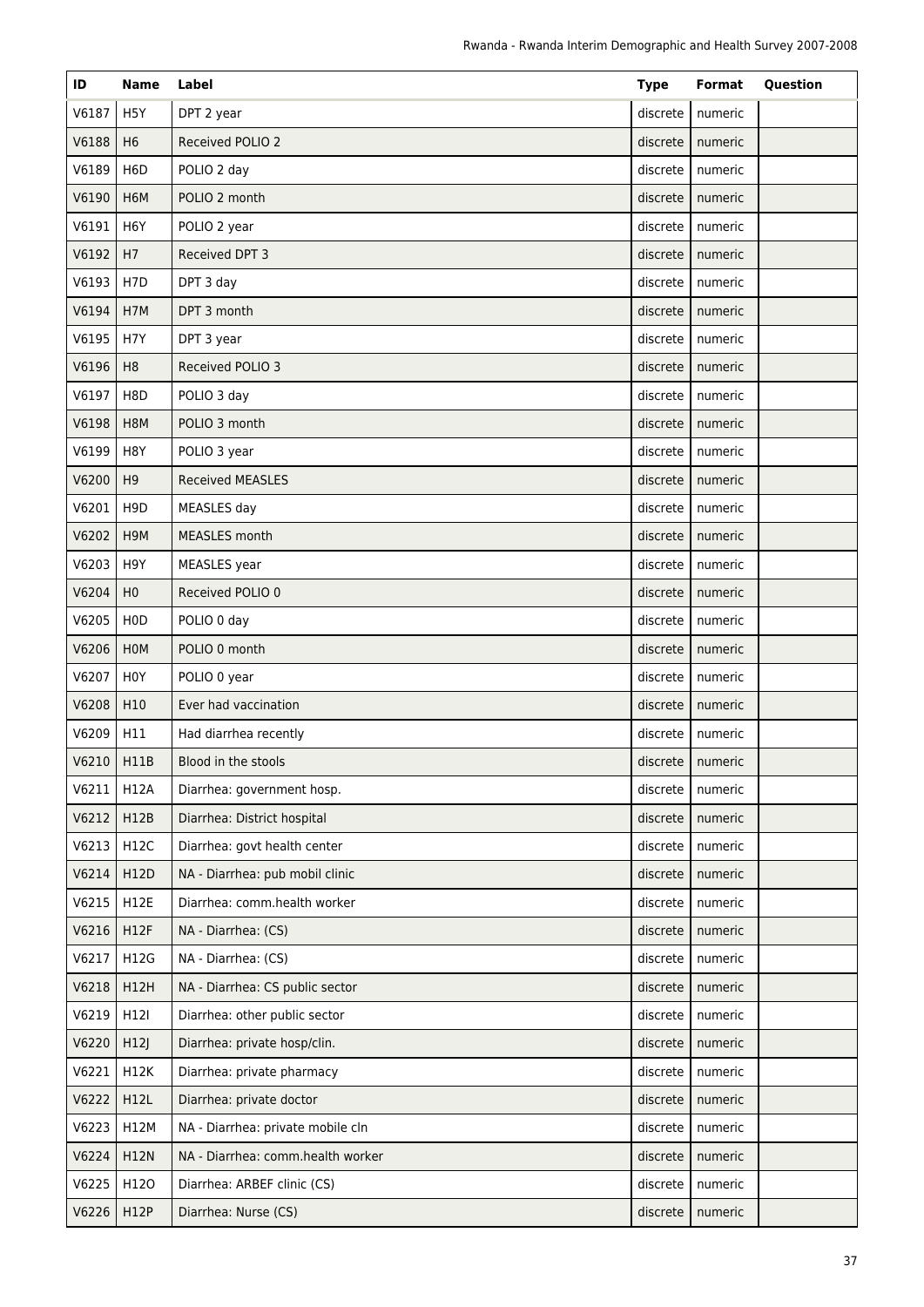| ID           | <b>Name</b>      | Label                             | <b>Type</b> | Format  | <b>Question</b> |
|--------------|------------------|-----------------------------------|-------------|---------|-----------------|
| V6187        | H <sub>5</sub> Y | DPT 2 year                        | discrete    | numeric |                 |
| V6188        | H <sub>6</sub>   | Received POLIO 2                  | discrete    | numeric |                 |
| V6189        | H <sub>6</sub> D | POLIO 2 day                       | discrete    | numeric |                 |
| V6190        | H <sub>6</sub> M | POLIO 2 month                     | discrete    | numeric |                 |
| V6191        | H <sub>6</sub> Y | POLIO 2 year                      | discrete    | numeric |                 |
| V6192        | H7               | Received DPT 3                    | discrete    | numeric |                 |
| V6193        | H <sub>7</sub> D | DPT 3 day                         | discrete    | numeric |                 |
| V6194        | H7M              | DPT 3 month                       | discrete    | numeric |                 |
| V6195        | H <sub>7</sub> Y | DPT 3 year                        | discrete    | numeric |                 |
| V6196        | H <sub>8</sub>   | Received POLIO 3                  | discrete    | numeric |                 |
| V6197        | H8D              | POLIO 3 day                       | discrete    | numeric |                 |
| V6198        | H8M              | POLIO 3 month                     | discrete    | numeric |                 |
| V6199        | H8Y              | POLIO 3 year                      | discrete    | numeric |                 |
| V6200        | H <sub>9</sub>   | <b>Received MEASLES</b>           | discrete    | numeric |                 |
| V6201        | H <sub>9</sub> D | MEASLES day                       | discrete    | numeric |                 |
| V6202        | H9M              | MEASLES month                     | discrete    | numeric |                 |
| V6203        | H <sub>9</sub> Y | MEASLES year                      | discrete    | numeric |                 |
| V6204        | H <sub>0</sub>   | Received POLIO 0                  | discrete    | numeric |                 |
| V6205        | H <sub>0</sub> D | POLIO 0 day                       | discrete    | numeric |                 |
| V6206        | <b>HOM</b>       | POLIO 0 month                     | discrete    | numeric |                 |
| V6207        | H <sub>0</sub> Y | POLIO 0 year                      | discrete    | numeric |                 |
| V6208        | H10              | Ever had vaccination              | discrete    | numeric |                 |
| V6209        | H11              | Had diarrhea recently             | discrete    | numeric |                 |
| V6210   H11B |                  | Blood in the stools               | discrete    | numeric |                 |
| V6211        | <b>H12A</b>      | Diarrhea: government hosp.        | discrete    | numeric |                 |
| V6212        | H12B             | Diarrhea: District hospital       | discrete    | numeric |                 |
| V6213        | <b>H12C</b>      | Diarrhea: govt health center      | discrete    | numeric |                 |
| V6214        | H12D             | NA - Diarrhea: pub mobil clinic   | discrete    | numeric |                 |
| V6215        | H12E             | Diarrhea: comm.health worker      | discrete    | numeric |                 |
| V6216        | <b>H12F</b>      | NA - Diarrhea: (CS)               | discrete    | numeric |                 |
| V6217        | H12G             | NA - Diarrhea: (CS)               | discrete    | numeric |                 |
| V6218        | H12H             | NA - Diarrhea: CS public sector   | discrete    | numeric |                 |
| V6219        | H12I             | Diarrhea: other public sector     | discrete    | numeric |                 |
| V6220        | H12              | Diarrhea: private hosp/clin.      | discrete    | numeric |                 |
| V6221        | <b>H12K</b>      | Diarrhea: private pharmacy        | discrete    | numeric |                 |
| V6222        | H12L             | Diarrhea: private doctor          | discrete    | numeric |                 |
| V6223        | H12M             | NA - Diarrhea: private mobile cln | discrete    | numeric |                 |
| V6224        | <b>H12N</b>      | NA - Diarrhea: comm.health worker | discrete    | numeric |                 |
| V6225        | H120             | Diarrhea: ARBEF clinic (CS)       | discrete    | numeric |                 |
| V6226        | <b>H12P</b>      | Diarrhea: Nurse (CS)              | discrete    | numeric |                 |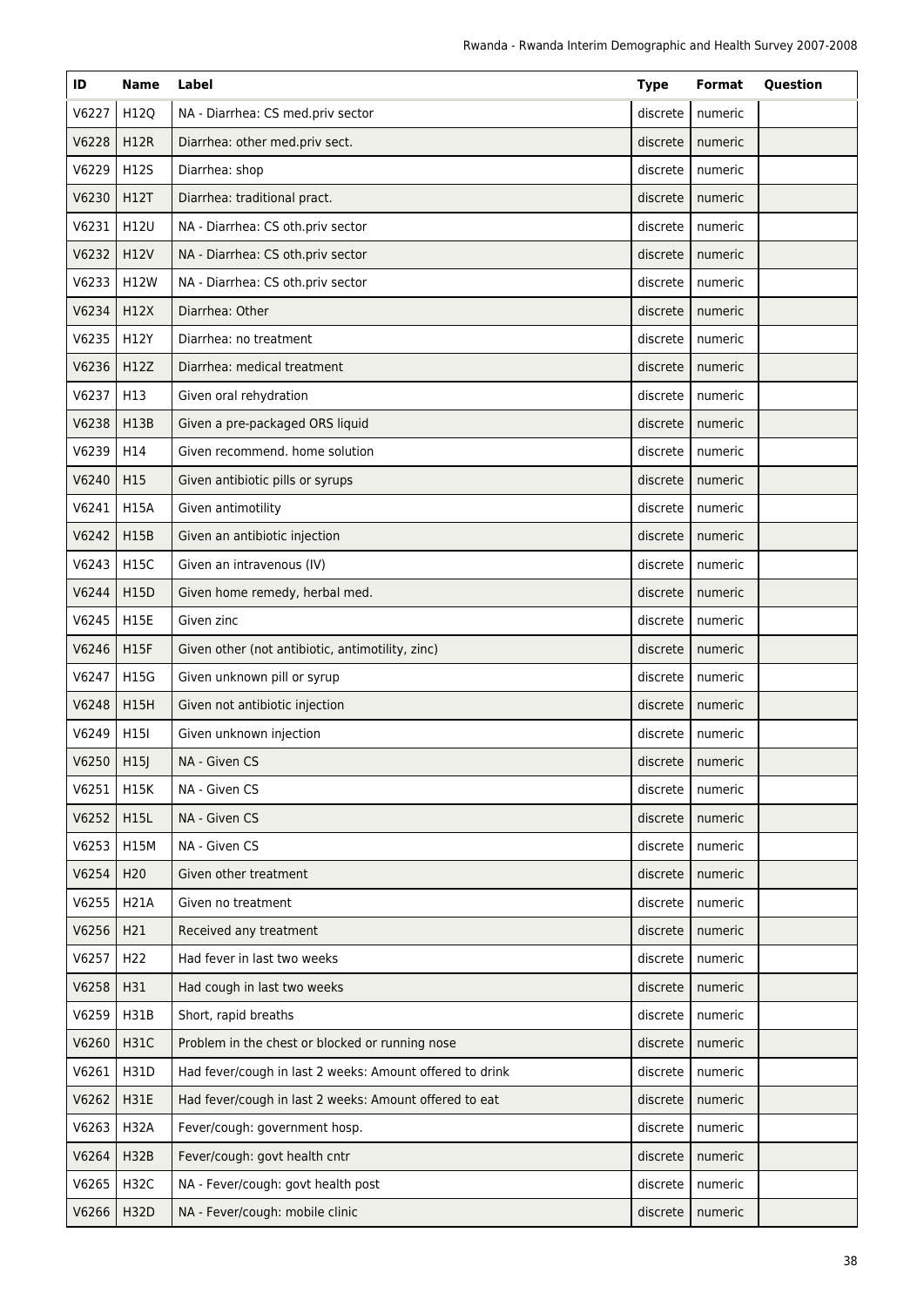| ID    | <b>Name</b>     | Label                                                    | <b>Type</b> | Format             | Question |
|-------|-----------------|----------------------------------------------------------|-------------|--------------------|----------|
| V6227 | H12Q            | NA - Diarrhea: CS med.priv sector                        | discrete    | numeric            |          |
| V6228 | <b>H12R</b>     | Diarrhea: other med.priv sect.                           | discrete    | numeric            |          |
| V6229 | H12S            | Diarrhea: shop                                           | discrete    | numeric            |          |
| V6230 | <b>H12T</b>     | Diarrhea: traditional pract.                             | discrete    | numeric            |          |
| V6231 | H12U            | NA - Diarrhea: CS oth.priv sector                        | discrete    | numeric            |          |
| V6232 | <b>H12V</b>     | NA - Diarrhea: CS oth.priv sector                        | discrete    | numeric            |          |
| V6233 | <b>H12W</b>     | NA - Diarrhea: CS oth.priv sector                        | discrete    | numeric            |          |
| V6234 | H12X            | Diarrhea: Other                                          | discrete    | numeric            |          |
| V6235 | H12Y            | Diarrhea: no treatment                                   | discrete    | numeric            |          |
| V6236 | H12Z            | Diarrhea: medical treatment                              | discrete    | numeric            |          |
| V6237 | H13             | Given oral rehydration                                   | discrete    | numeric            |          |
| V6238 | H13B            | Given a pre-packaged ORS liquid                          | discrete    | numeric            |          |
| V6239 | H14             | Given recommend. home solution                           | discrete    | numeric            |          |
| V6240 | H15             | Given antibiotic pills or syrups                         | discrete    | numeric            |          |
| V6241 | <b>H15A</b>     | Given antimotility                                       | discrete    | numeric            |          |
| V6242 | <b>H15B</b>     | Given an antibiotic injection                            | discrete    | numeric            |          |
| V6243 | <b>H15C</b>     | Given an intravenous (IV)                                | discrete    | numeric            |          |
| V6244 | <b>H15D</b>     | Given home remedy, herbal med.                           | discrete    | numeric            |          |
| V6245 | <b>H15E</b>     | Given zinc                                               | discrete    | numeric            |          |
| V6246 | <b>H15F</b>     | Given other (not antibiotic, antimotility, zinc)         | discrete    | numeric            |          |
| V6247 | <b>H15G</b>     | Given unknown pill or syrup                              | discrete    | numeric            |          |
| V6248 | <b>H15H</b>     | Given not antibiotic injection                           | discrete    | numeric            |          |
| V6249 | H15I            | Given unknown injection                                  | discrete    | numeric            |          |
| V6250 | H15             | NA - Given CS                                            |             | discrete   numeric |          |
| V6251 | <b>H15K</b>     | NA - Given CS                                            | discrete    | numeric            |          |
| V6252 | H15L            | NA - Given CS                                            | discrete    | numeric            |          |
| V6253 | <b>H15M</b>     | NA - Given CS                                            | discrete    | numeric            |          |
| V6254 | H <sub>20</sub> | Given other treatment                                    | discrete    | numeric            |          |
| V6255 | <b>H21A</b>     | Given no treatment                                       | discrete    | numeric            |          |
| V6256 | H21             | Received any treatment                                   | discrete    | numeric            |          |
| V6257 | H <sub>22</sub> | Had fever in last two weeks                              | discrete    | numeric            |          |
| V6258 | H31             | Had cough in last two weeks                              | discrete    | numeric            |          |
| V6259 | H31B            | Short, rapid breaths                                     | discrete    | numeric            |          |
| V6260 | <b>H31C</b>     | Problem in the chest or blocked or running nose          | discrete    | numeric            |          |
| V6261 | H31D            | Had fever/cough in last 2 weeks: Amount offered to drink | discrete    | numeric            |          |
| V6262 | <b>H31E</b>     | Had fever/cough in last 2 weeks: Amount offered to eat   | discrete    | numeric            |          |
| V6263 | <b>H32A</b>     | Fever/cough: government hosp.                            | discrete    | numeric            |          |
| V6264 | <b>H32B</b>     | Fever/cough: govt health cntr                            | discrete    | numeric            |          |
| V6265 | <b>H32C</b>     | NA - Fever/cough: govt health post                       | discrete    | numeric            |          |
| V6266 | <b>H32D</b>     | NA - Fever/cough: mobile clinic                          | discrete    | numeric            |          |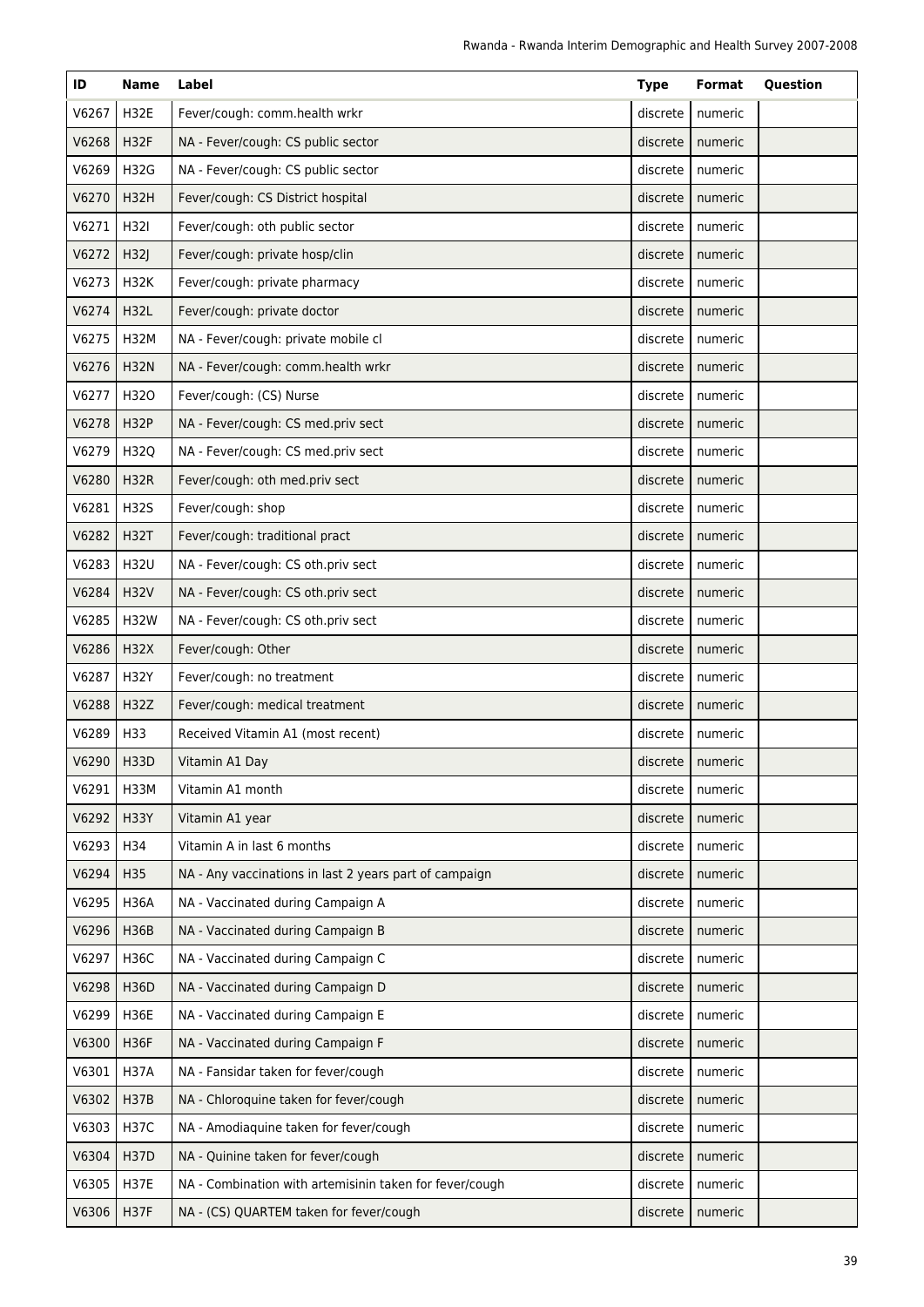| ID    | <b>Name</b>     | Label                                                   | <b>Type</b> | Format  | Question |
|-------|-----------------|---------------------------------------------------------|-------------|---------|----------|
| V6267 | <b>H32E</b>     | Fever/cough: comm.health wrkr                           | discrete    | numeric |          |
| V6268 | H32F            | NA - Fever/cough: CS public sector                      | discrete    | numeric |          |
| V6269 | <b>H32G</b>     | NA - Fever/cough: CS public sector                      | discrete    | numeric |          |
| V6270 | <b>H32H</b>     | Fever/cough: CS District hospital                       | discrete    | numeric |          |
| V6271 | H321            | Fever/cough: oth public sector                          | discrete    | numeric |          |
| V6272 | H <sub>32</sub> | Fever/cough: private hosp/clin                          | discrete    | numeric |          |
| V6273 | <b>H32K</b>     | Fever/cough: private pharmacy                           | discrete    | numeric |          |
| V6274 | H32L            | Fever/cough: private doctor                             | discrete    | numeric |          |
| V6275 | H32M            | NA - Fever/cough: private mobile cl                     | discrete    | numeric |          |
| V6276 | <b>H32N</b>     | NA - Fever/cough: comm.health wrkr                      | discrete    | numeric |          |
| V6277 | H320            | Fever/cough: (CS) Nurse                                 | discrete    | numeric |          |
| V6278 | <b>H32P</b>     | NA - Fever/cough: CS med.priv sect                      | discrete    | numeric |          |
| V6279 | H32Q            | NA - Fever/cough: CS med.priv sect                      | discrete    | numeric |          |
| V6280 | <b>H32R</b>     | Fever/cough: oth med.priv sect                          | discrete    | numeric |          |
| V6281 | H32S            | Fever/cough: shop                                       | discrete    | numeric |          |
| V6282 | <b>H32T</b>     | Fever/cough: traditional pract                          | discrete    | numeric |          |
| V6283 | <b>H32U</b>     | NA - Fever/cough: CS oth.priv sect                      | discrete    | numeric |          |
| V6284 | <b>H32V</b>     | NA - Fever/cough: CS oth.priv sect                      | discrete    | numeric |          |
| V6285 | <b>H32W</b>     | NA - Fever/cough: CS oth.priv sect                      | discrete    | numeric |          |
| V6286 | <b>H32X</b>     | Fever/cough: Other                                      | discrete    | numeric |          |
| V6287 | <b>H32Y</b>     | Fever/cough: no treatment                               | discrete    | numeric |          |
| V6288 | H32Z            | Fever/cough: medical treatment                          | discrete    | numeric |          |
| V6289 | H33             | Received Vitamin A1 (most recent)                       | discrete    | numeric |          |
| V6290 | <b>H33D</b>     | Vitamin A1 Day                                          | discrete    | numeric |          |
| V6291 | H33M            | Vitamin A1 month                                        | discrete    | numeric |          |
| V6292 | <b>H33Y</b>     | Vitamin A1 year                                         | discrete    | numeric |          |
| V6293 | H34             | Vitamin A in last 6 months                              | discrete    | numeric |          |
| V6294 | H35             | NA - Any vaccinations in last 2 years part of campaign  | discrete    | numeric |          |
| V6295 | <b>H36A</b>     | NA - Vaccinated during Campaign A                       | discrete    | numeric |          |
| V6296 | <b>H36B</b>     | NA - Vaccinated during Campaign B                       | discrete    | numeric |          |
| V6297 | <b>H36C</b>     | NA - Vaccinated during Campaign C                       | discrete    | numeric |          |
| V6298 | H36D            | NA - Vaccinated during Campaign D                       | discrete    | numeric |          |
| V6299 | <b>H36E</b>     | NA - Vaccinated during Campaign E                       | discrete    | numeric |          |
| V6300 | <b>H36F</b>     | NA - Vaccinated during Campaign F                       | discrete    | numeric |          |
| V6301 | <b>H37A</b>     | NA - Fansidar taken for fever/cough                     | discrete    | numeric |          |
| V6302 | H37B            | NA - Chloroquine taken for fever/cough                  | discrete    | numeric |          |
| V6303 | <b>H37C</b>     | NA - Amodiaquine taken for fever/cough                  | discrete    | numeric |          |
| V6304 | <b>H37D</b>     | NA - Quinine taken for fever/cough                      | discrete    | numeric |          |
| V6305 | <b>H37E</b>     | NA - Combination with artemisinin taken for fever/cough | discrete    | numeric |          |
| V6306 | H37F            | NA - (CS) QUARTEM taken for fever/cough                 | discrete    | numeric |          |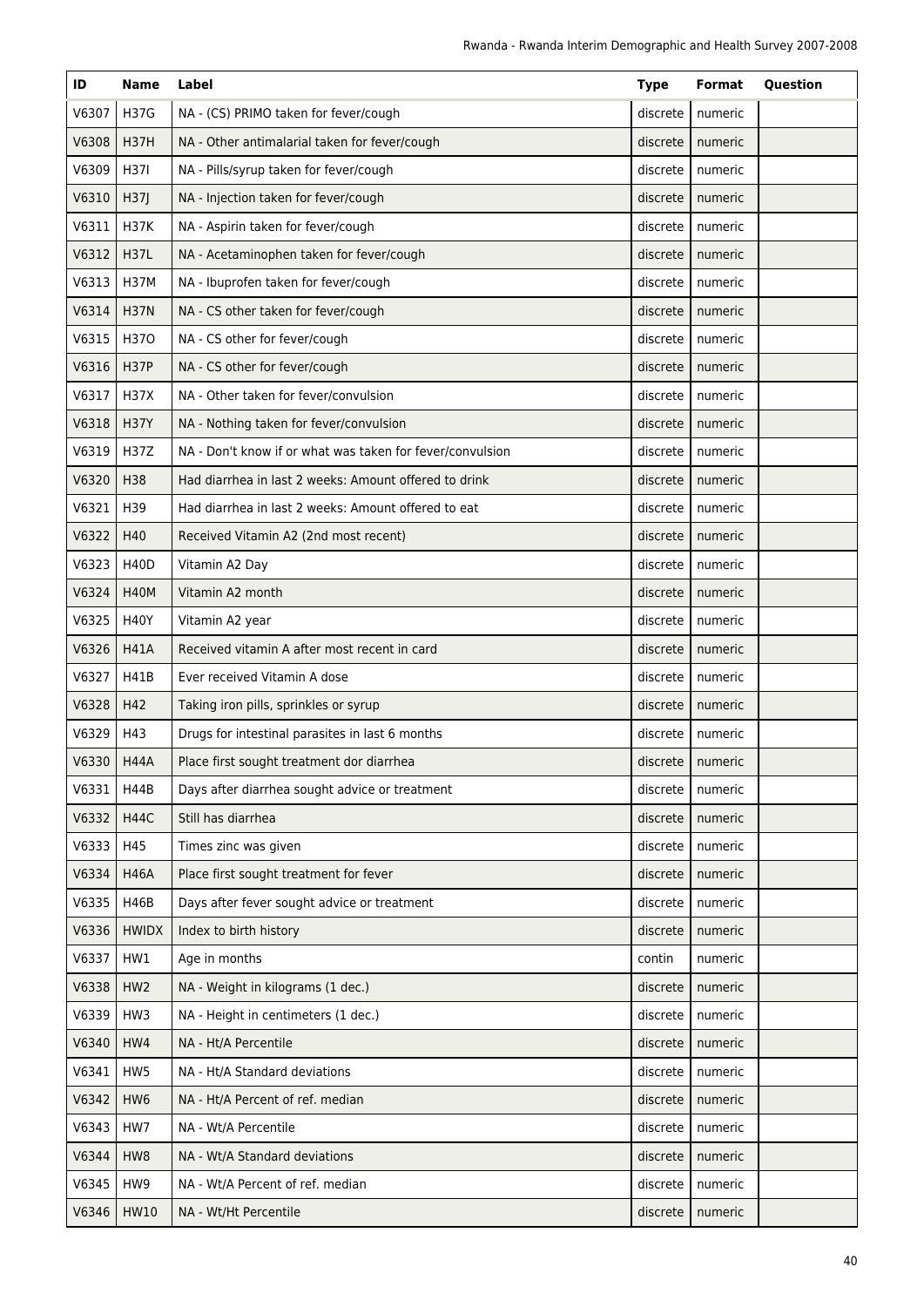| ID    | Name            | Label                                                     | <b>Type</b> | Format  | Question |
|-------|-----------------|-----------------------------------------------------------|-------------|---------|----------|
| V6307 | <b>H37G</b>     | NA - (CS) PRIMO taken for fever/cough                     | discrete    | numeric |          |
| V6308 | <b>H37H</b>     | NA - Other antimalarial taken for fever/cough             | discrete    | numeric |          |
| V6309 | <b>H37I</b>     | NA - Pills/syrup taken for fever/cough                    | discrete    | numeric |          |
| V6310 | H <sub>37</sub> | NA - Injection taken for fever/cough                      | discrete    | numeric |          |
| V6311 | <b>H37K</b>     | NA - Aspirin taken for fever/cough                        | discrete    | numeric |          |
| V6312 | <b>H37L</b>     | NA - Acetaminophen taken for fever/cough                  | discrete    | numeric |          |
| V6313 | <b>H37M</b>     | NA - Ibuprofen taken for fever/cough                      | discrete    | numeric |          |
| V6314 | <b>H37N</b>     | NA - CS other taken for fever/cough                       | discrete    | numeric |          |
| V6315 | <b>H370</b>     | NA - CS other for fever/cough                             | discrete    | numeric |          |
| V6316 | <b>H37P</b>     | NA - CS other for fever/cough                             | discrete    | numeric |          |
| V6317 | <b>H37X</b>     | NA - Other taken for fever/convulsion                     | discrete    | numeric |          |
| V6318 | <b>H37Y</b>     | NA - Nothing taken for fever/convulsion                   | discrete    | numeric |          |
| V6319 | <b>H37Z</b>     | NA - Don't know if or what was taken for fever/convulsion | discrete    | numeric |          |
| V6320 | H38             | Had diarrhea in last 2 weeks: Amount offered to drink     | discrete    | numeric |          |
| V6321 | H39             | Had diarrhea in last 2 weeks: Amount offered to eat       | discrete    | numeric |          |
| V6322 | H40             | Received Vitamin A2 (2nd most recent)                     | discrete    | numeric |          |
| V6323 | <b>H40D</b>     | Vitamin A2 Day                                            | discrete    | numeric |          |
| V6324 | <b>H40M</b>     | Vitamin A2 month                                          | discrete    | numeric |          |
| V6325 | <b>H40Y</b>     | Vitamin A2 year                                           | discrete    | numeric |          |
| V6326 | <b>H41A</b>     | Received vitamin A after most recent in card              | discrete    | numeric |          |
| V6327 | H41B            | Ever received Vitamin A dose                              | discrete    | numeric |          |
| V6328 | H42             | Taking iron pills, sprinkles or syrup                     | discrete    | numeric |          |
| V6329 | H43             | Drugs for intestinal parasites in last 6 months           | discrete    | numeric |          |
| V6330 | <b>H44A</b>     | Place first sought treatment dor diarrhea                 | discrete    | numeric |          |
| V6331 | <b>H44B</b>     | Days after diarrhea sought advice or treatment            | discrete    | numeric |          |
| V6332 | <b>H44C</b>     | Still has diarrhea                                        | discrete    | numeric |          |
| V6333 | H45             | Times zinc was given                                      | discrete    | numeric |          |
| V6334 | <b>H46A</b>     | Place first sought treatment for fever                    | discrete    | numeric |          |
| V6335 | H46B            | Days after fever sought advice or treatment               | discrete    | numeric |          |
| V6336 | <b>HWIDX</b>    | Index to birth history                                    | discrete    | numeric |          |
| V6337 | HW1             | Age in months                                             | contin      | numeric |          |
| V6338 | HW <sub>2</sub> | NA - Weight in kilograms (1 dec.)                         | discrete    | numeric |          |
| V6339 | HW3             | NA - Height in centimeters (1 dec.)                       | discrete    | numeric |          |
| V6340 | HW4             | NA - Ht/A Percentile                                      | discrete    | numeric |          |
| V6341 | HW5             | NA - Ht/A Standard deviations                             | discrete    | numeric |          |
| V6342 | HW6             | NA - Ht/A Percent of ref. median                          | discrete    | numeric |          |
| V6343 | HW7             | NA - Wt/A Percentile                                      | discrete    | numeric |          |
| V6344 | HW8             | NA - Wt/A Standard deviations                             | discrete    | numeric |          |
| V6345 | HW9             | NA - Wt/A Percent of ref. median                          | discrete    | numeric |          |
| V6346 | HW10            | NA - Wt/Ht Percentile                                     | discrete    | numeric |          |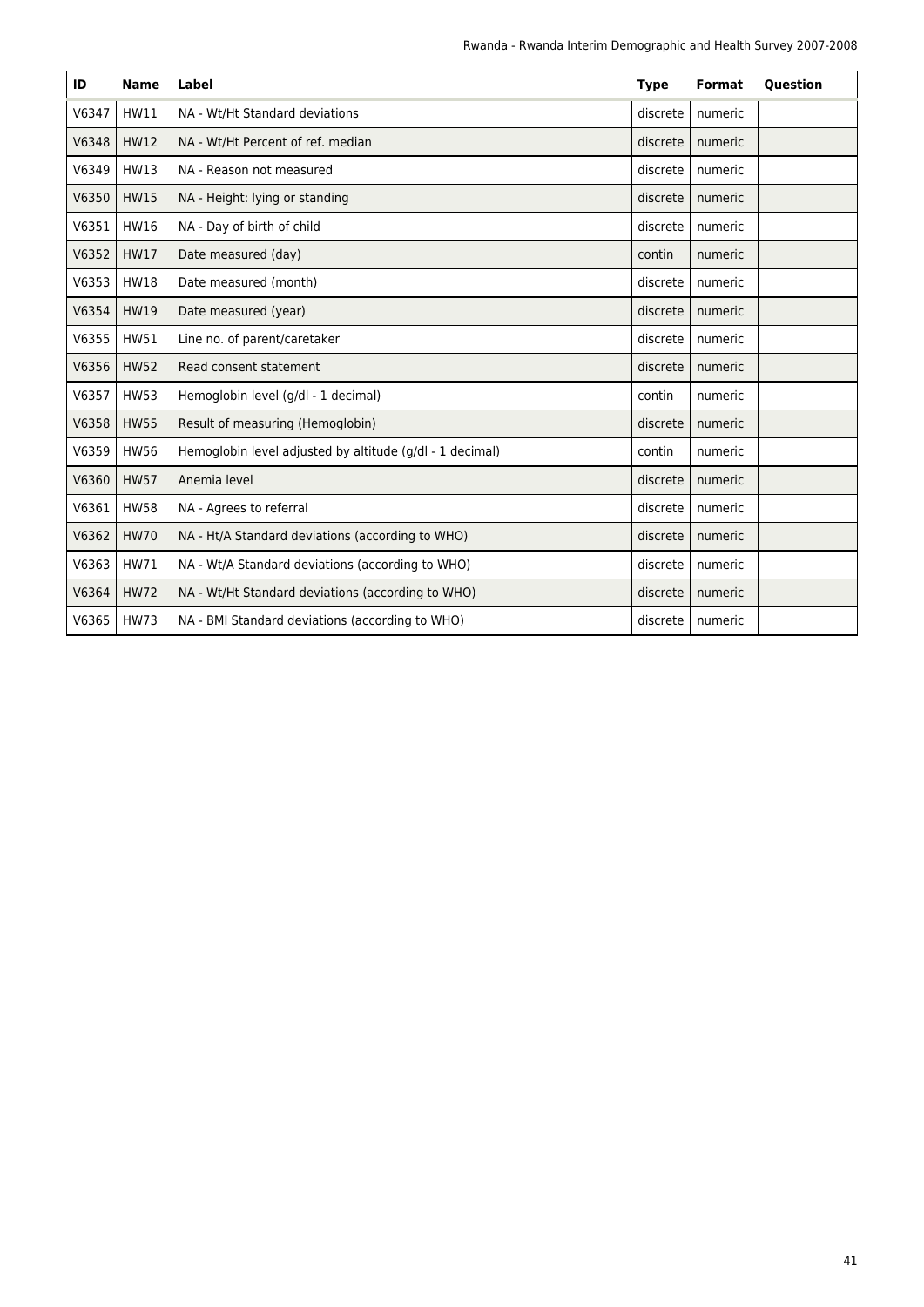| ID    | <b>Name</b> | Label                                                    | <b>Type</b> | <b>Format</b> | <b>Question</b> |
|-------|-------------|----------------------------------------------------------|-------------|---------------|-----------------|
| V6347 | HW11        | NA - Wt/Ht Standard deviations                           | discrete    | numeric       |                 |
| V6348 | <b>HW12</b> | NA - Wt/Ht Percent of ref. median                        | discrete    | numeric       |                 |
| V6349 | HW13        | NA - Reason not measured                                 | discrete    | numeric       |                 |
| V6350 | <b>HW15</b> | NA - Height: lying or standing                           | discrete    | numeric       |                 |
| V6351 | HW16        | NA - Day of birth of child                               | discrete    | numeric       |                 |
| V6352 | <b>HW17</b> | Date measured (day)                                      | contin      | numeric       |                 |
| V6353 | <b>HW18</b> | Date measured (month)                                    | discrete    | numeric       |                 |
| V6354 | <b>HW19</b> | Date measured (year)                                     | discrete    | numeric       |                 |
| V6355 | <b>HW51</b> | Line no. of parent/caretaker                             | discrete    | numeric       |                 |
| V6356 | <b>HW52</b> | Read consent statement                                   | discrete    | numeric       |                 |
| V6357 | <b>HW53</b> | Hemoglobin level (g/dl - 1 decimal)                      | contin      | numeric       |                 |
| V6358 | <b>HW55</b> | Result of measuring (Hemoglobin)                         | discrete    | numeric       |                 |
| V6359 | <b>HW56</b> | Hemoglobin level adjusted by altitude (g/dl - 1 decimal) | contin      | numeric       |                 |
| V6360 | <b>HW57</b> | Anemia level                                             | discrete    | numeric       |                 |
| V6361 | <b>HW58</b> | NA - Agrees to referral                                  | discrete    | numeric       |                 |
| V6362 | <b>HW70</b> | NA - Ht/A Standard deviations (according to WHO)         | discrete    | numeric       |                 |
| V6363 | HW71        | NA - Wt/A Standard deviations (according to WHO)         | discrete    | numeric       |                 |
| V6364 | <b>HW72</b> | NA - Wt/Ht Standard deviations (according to WHO)        | discrete    | numeric       |                 |
| V6365 | <b>HW73</b> | NA - BMI Standard deviations (according to WHO)          | discrete    | numeric       |                 |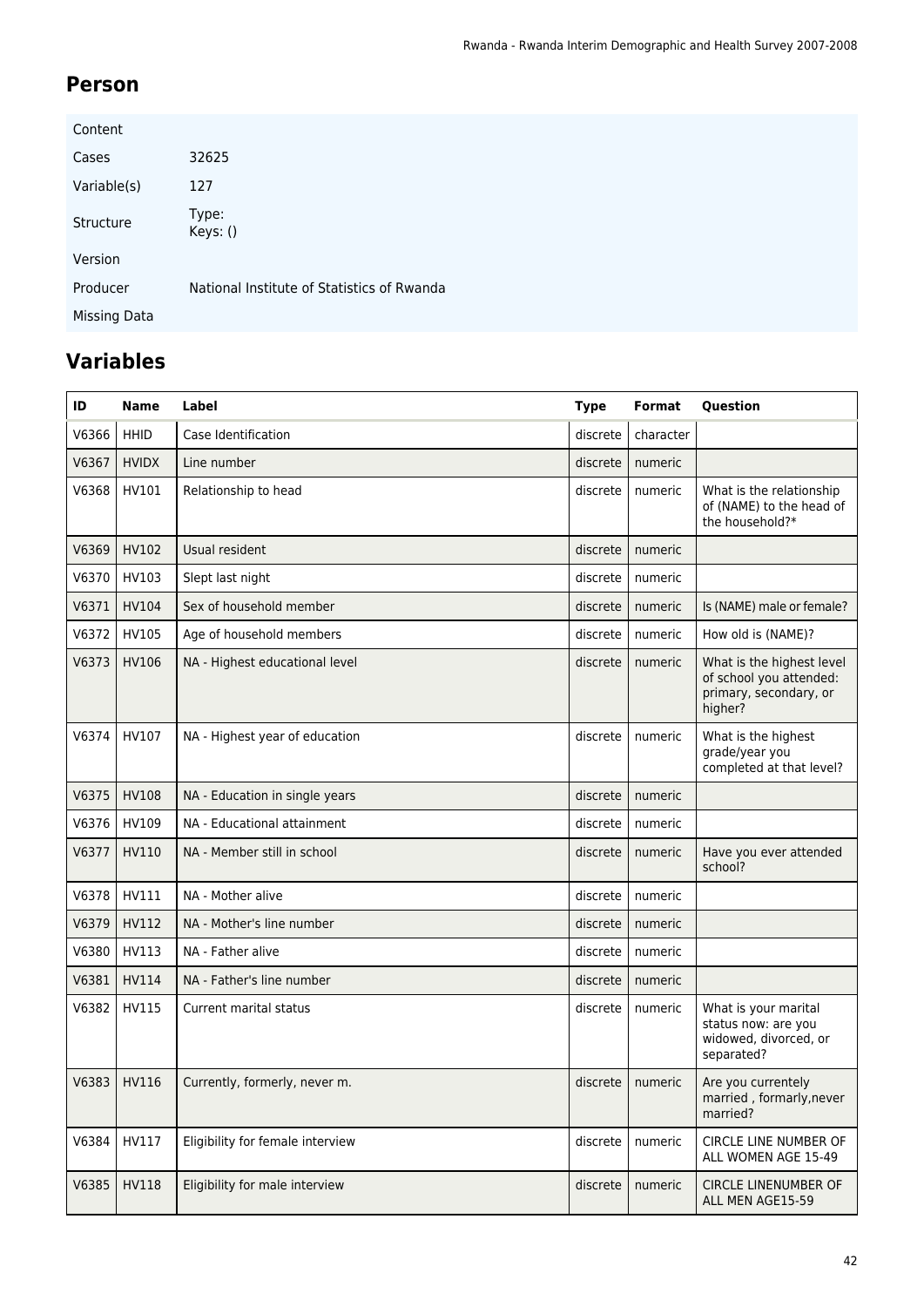### **Person**

| Content      |                                            |
|--------------|--------------------------------------------|
| Cases        | 32625                                      |
| Variable(s)  | 127                                        |
| Structure    | Type:<br>Keys: ()                          |
| Version      |                                            |
| Producer     | National Institute of Statistics of Rwanda |
| Missing Data |                                            |

## **Variables**

| ID    | <b>Name</b>  | Label                            | <b>Type</b> | Format    | Question                                                                                  |
|-------|--------------|----------------------------------|-------------|-----------|-------------------------------------------------------------------------------------------|
| V6366 | <b>HHID</b>  | Case Identification              | discrete    | character |                                                                                           |
| V6367 | <b>HVIDX</b> | Line number                      | discrete    | numeric   |                                                                                           |
| V6368 | HV101        | Relationship to head             | discrete    | numeric   | What is the relationship<br>of (NAME) to the head of<br>the household?*                   |
| V6369 | HV102        | Usual resident                   | discrete    | numeric   |                                                                                           |
| V6370 | HV103        | Slept last night                 | discrete    | numeric   |                                                                                           |
| V6371 | <b>HV104</b> | Sex of household member          | discrete    | numeric   | Is (NAME) male or female?                                                                 |
| V6372 | HV105        | Age of household members         | discrete    | numeric   | How old is (NAME)?                                                                        |
| V6373 | HV106        | NA - Highest educational level   | discrete    | numeric   | What is the highest level<br>of school you attended:<br>primary, secondary, or<br>higher? |
| V6374 | HV107        | NA - Highest year of education   | discrete    | numeric   | What is the highest<br>grade/year you<br>completed at that level?                         |
| V6375 | HV108        | NA - Education in single years   | discrete    | numeric   |                                                                                           |
| V6376 | HV109        | NA - Educational attainment      | discrete    | numeric   |                                                                                           |
| V6377 | HV110        | NA - Member still in school      | discrete    | numeric   | Have you ever attended<br>school?                                                         |
| V6378 | HV111        | NA - Mother alive                | discrete    | numeric   |                                                                                           |
| V6379 | HV112        | NA - Mother's line number        | discrete    | numeric   |                                                                                           |
| V6380 | HV113        | NA - Father alive                | discrete    | numeric   |                                                                                           |
| V6381 | HV114        | NA - Father's line number        | discrete    | numeric   |                                                                                           |
| V6382 | HV115        | Current marital status           | discrete    | numeric   | What is your marital<br>status now: are you<br>widowed, divorced, or<br>separated?        |
| V6383 | HV116        | Currently, formerly, never m.    | discrete    | numeric   | Are you currentely<br>married, formarly, never<br>married?                                |
| V6384 | HV117        | Eligibility for female interview | discrete    | numeric   | CIRCLE LINE NUMBER OF<br>ALL WOMEN AGE 15-49                                              |
| V6385 | <b>HV118</b> | Eligibility for male interview   | discrete    | numeric   | <b>CIRCLE LINENUMBER OF</b><br>ALL MEN AGE15-59                                           |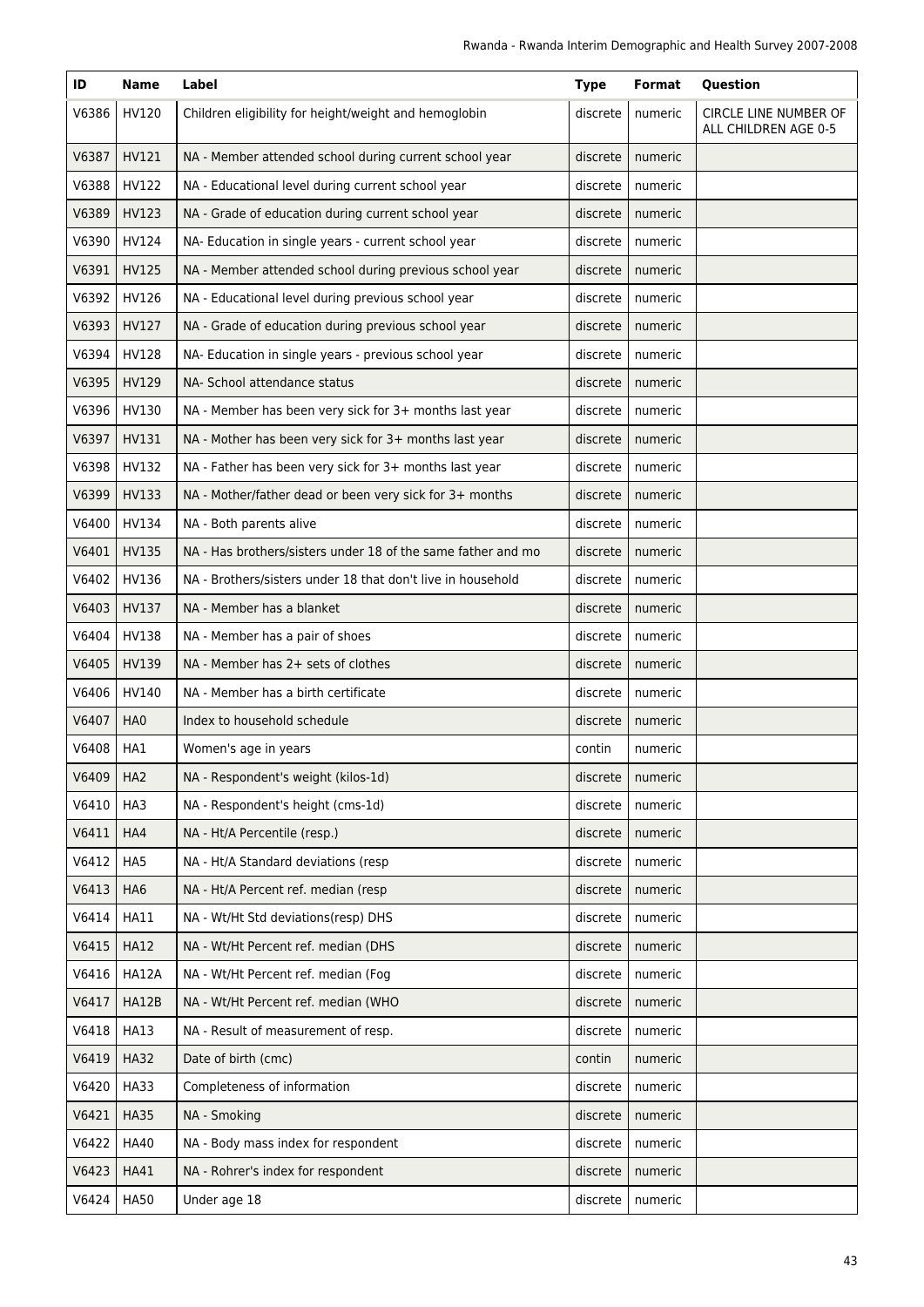| ID    | <b>Name</b>     | Label                                                        | <b>Type</b> | Format  | <b>Question</b>                               |
|-------|-----------------|--------------------------------------------------------------|-------------|---------|-----------------------------------------------|
| V6386 | HV120           | Children eligibility for height/weight and hemoglobin        | discrete    | numeric | CIRCLE LINE NUMBER OF<br>ALL CHILDREN AGE 0-5 |
| V6387 | HV121           | NA - Member attended school during current school year       | discrete    | numeric |                                               |
| V6388 | HV122           | NA - Educational level during current school year            | discrete    | numeric |                                               |
| V6389 | HV123           | NA - Grade of education during current school year           | discrete    | numeric |                                               |
| V6390 | HV124           | NA- Education in single years - current school year          | discrete    | numeric |                                               |
| V6391 | HV125           | NA - Member attended school during previous school year      | discrete    | numeric |                                               |
| V6392 | HV126           | NA - Educational level during previous school year           | discrete    | numeric |                                               |
| V6393 | HV127           | NA - Grade of education during previous school year          | discrete    | numeric |                                               |
| V6394 | HV128           | NA- Education in single years - previous school year         | discrete    | numeric |                                               |
| V6395 | HV129           | NA- School attendance status                                 | discrete    | numeric |                                               |
| V6396 | HV130           | NA - Member has been very sick for 3+ months last year       | discrete    | numeric |                                               |
| V6397 | HV131           | NA - Mother has been very sick for 3+ months last year       | discrete    | numeric |                                               |
| V6398 | HV132           | NA - Father has been very sick for 3+ months last year       | discrete    | numeric |                                               |
| V6399 | HV133           | NA - Mother/father dead or been very sick for 3+ months      | discrete    | numeric |                                               |
| V6400 | HV134           | NA - Both parents alive                                      | discrete    | numeric |                                               |
| V6401 | HV135           | NA - Has brothers/sisters under 18 of the same father and mo | discrete    | numeric |                                               |
| V6402 | HV136           | NA - Brothers/sisters under 18 that don't live in household  | discrete    | numeric |                                               |
| V6403 | <b>HV137</b>    | NA - Member has a blanket                                    | discrete    | numeric |                                               |
| V6404 | HV138           | NA - Member has a pair of shoes                              | discrete    | numeric |                                               |
| V6405 | HV139           | NA - Member has 2+ sets of clothes                           | discrete    | numeric |                                               |
| V6406 | HV140           | NA - Member has a birth certificate                          | discrete    | numeric |                                               |
| V6407 | HA0             | Index to household schedule                                  | discrete    | numeric |                                               |
| V6408 | HA1             | Women's age in years                                         | contin      | numeric |                                               |
| V6409 | HA <sub>2</sub> | NA - Respondent's weight (kilos-1d)                          | discrete    | numeric |                                               |
| V6410 | HA3             | NA - Respondent's height (cms-1d)                            | discrete    | numeric |                                               |
| V6411 | HA4             | NA - Ht/A Percentile (resp.)                                 | discrete    | numeric |                                               |
| V6412 | HA5             | NA - Ht/A Standard deviations (resp                          | discrete    | numeric |                                               |
| V6413 | HA6             | NA - Ht/A Percent ref. median (resp                          | discrete    | numeric |                                               |
| V6414 | HA11            | NA - Wt/Ht Std deviations(resp) DHS                          | discrete    | numeric |                                               |
| V6415 | <b>HA12</b>     | NA - Wt/Ht Percent ref. median (DHS                          | discrete    | numeric |                                               |
| V6416 | HA12A           | NA - Wt/Ht Percent ref. median (Fog                          | discrete    | numeric |                                               |
| V6417 | HA12B           | NA - Wt/Ht Percent ref. median (WHO                          | discrete    | numeric |                                               |
| V6418 | HA13            | NA - Result of measurement of resp.                          | discrete    | numeric |                                               |
| V6419 | <b>HA32</b>     | Date of birth (cmc)                                          | contin      | numeric |                                               |
| V6420 | HA33            | Completeness of information                                  | discrete    | numeric |                                               |
| V6421 | <b>HA35</b>     | NA - Smoking                                                 | discrete    | numeric |                                               |
| V6422 | <b>HA40</b>     | NA - Body mass index for respondent                          | discrete    | numeric |                                               |
| V6423 | HA41            | NA - Rohrer's index for respondent                           | discrete    | numeric |                                               |
| V6424 | <b>HA50</b>     | Under age 18                                                 | discrete    | numeric |                                               |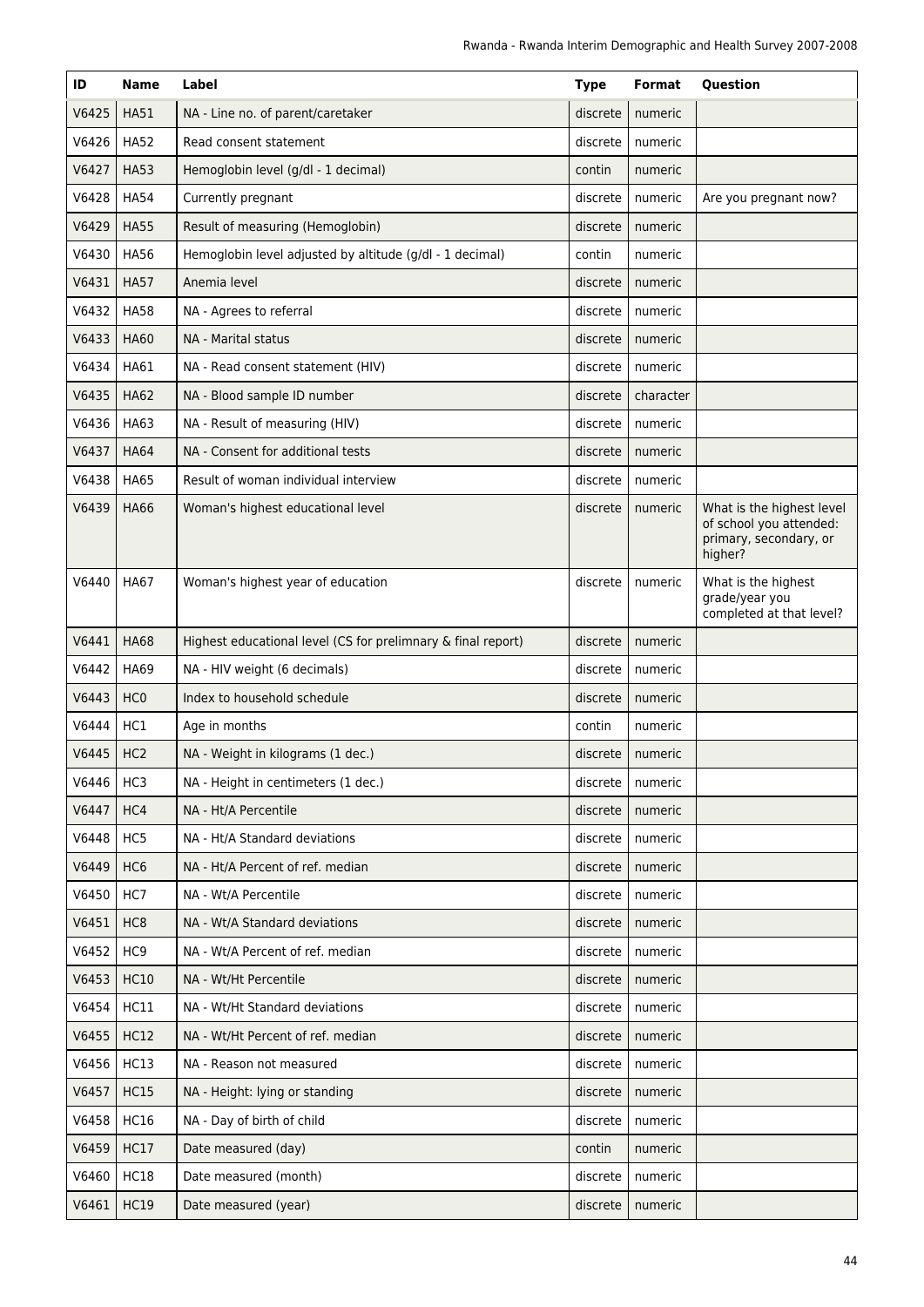| ID    | <b>Name</b>     | Label                                                        | <b>Type</b> | Format    | Question                                                                                  |
|-------|-----------------|--------------------------------------------------------------|-------------|-----------|-------------------------------------------------------------------------------------------|
| V6425 | <b>HA51</b>     | NA - Line no. of parent/caretaker                            | discrete    | numeric   |                                                                                           |
| V6426 | <b>HA52</b>     | Read consent statement                                       | discrete    | numeric   |                                                                                           |
| V6427 | <b>HA53</b>     | Hemoglobin level (g/dl - 1 decimal)                          | contin      | numeric   |                                                                                           |
| V6428 | <b>HA54</b>     | Currently pregnant                                           | discrete    | numeric   | Are you pregnant now?                                                                     |
| V6429 | <b>HA55</b>     | Result of measuring (Hemoglobin)                             | discrete    | numeric   |                                                                                           |
| V6430 | <b>HA56</b>     | Hemoglobin level adjusted by altitude (g/dl - 1 decimal)     | contin      | numeric   |                                                                                           |
| V6431 | <b>HA57</b>     | Anemia level                                                 | discrete    | numeric   |                                                                                           |
| V6432 | <b>HA58</b>     | NA - Agrees to referral                                      | discrete    | numeric   |                                                                                           |
| V6433 | <b>HA60</b>     | NA - Marital status                                          | discrete    | numeric   |                                                                                           |
| V6434 | HA61            | NA - Read consent statement (HIV)                            | discrete    | numeric   |                                                                                           |
| V6435 | <b>HA62</b>     | NA - Blood sample ID number                                  | discrete    | character |                                                                                           |
| V6436 | HA63            | NA - Result of measuring (HIV)                               | discrete    | numeric   |                                                                                           |
| V6437 | <b>HA64</b>     | NA - Consent for additional tests                            | discrete    | numeric   |                                                                                           |
| V6438 | <b>HA65</b>     | Result of woman individual interview                         | discrete    | numeric   |                                                                                           |
| V6439 | <b>HA66</b>     | Woman's highest educational level                            | discrete    | numeric   | What is the highest level<br>of school you attended:<br>primary, secondary, or<br>higher? |
| V6440 | <b>HA67</b>     | Woman's highest year of education                            | discrete    | numeric   | What is the highest<br>grade/year you<br>completed at that level?                         |
| V6441 | <b>HA68</b>     | Highest educational level (CS for prelimnary & final report) | discrete    | numeric   |                                                                                           |
| V6442 | <b>HA69</b>     | NA - HIV weight (6 decimals)                                 | discrete    | numeric   |                                                                                           |
| V6443 | HC <sub>0</sub> | Index to household schedule                                  | discrete    | numeric   |                                                                                           |
| V6444 | HC1             | Age in months                                                | contin      | numeric   |                                                                                           |
| V6445 | HC <sub>2</sub> | NA - Weight in kilograms (1 dec.)                            | discrete    | numeric   |                                                                                           |
| V6446 | HC3             | NA - Height in centimeters (1 dec.)                          | discrete    | numeric   |                                                                                           |
| V6447 | HC4             | NA - Ht/A Percentile                                         | discrete    | numeric   |                                                                                           |
| V6448 | HC5             | NA - Ht/A Standard deviations                                | discrete    | numeric   |                                                                                           |
| V6449 | HC <sub>6</sub> | NA - Ht/A Percent of ref. median                             | discrete    | numeric   |                                                                                           |
| V6450 | HC7             | NA - Wt/A Percentile                                         | discrete    | numeric   |                                                                                           |
| V6451 | HC <sub>8</sub> | NA - Wt/A Standard deviations                                | discrete    | numeric   |                                                                                           |
| V6452 | HC <sub>9</sub> | NA - Wt/A Percent of ref. median                             | discrete    | numeric   |                                                                                           |
| V6453 | <b>HC10</b>     | NA - Wt/Ht Percentile                                        | discrete    | numeric   |                                                                                           |
| V6454 | HC11            | NA - Wt/Ht Standard deviations                               | discrete    | numeric   |                                                                                           |
| V6455 | <b>HC12</b>     | NA - Wt/Ht Percent of ref. median                            | discrete    | numeric   |                                                                                           |
| V6456 | HC13            | NA - Reason not measured                                     | discrete    | numeric   |                                                                                           |
| V6457 | <b>HC15</b>     | NA - Height: lying or standing                               | discrete    | numeric   |                                                                                           |
| V6458 | <b>HC16</b>     | NA - Day of birth of child                                   | discrete    | numeric   |                                                                                           |
| V6459 | <b>HC17</b>     | Date measured (day)                                          | contin      | numeric   |                                                                                           |
| V6460 | <b>HC18</b>     | Date measured (month)                                        | discrete    | numeric   |                                                                                           |
| V6461 | <b>HC19</b>     | Date measured (year)                                         | discrete    | numeric   |                                                                                           |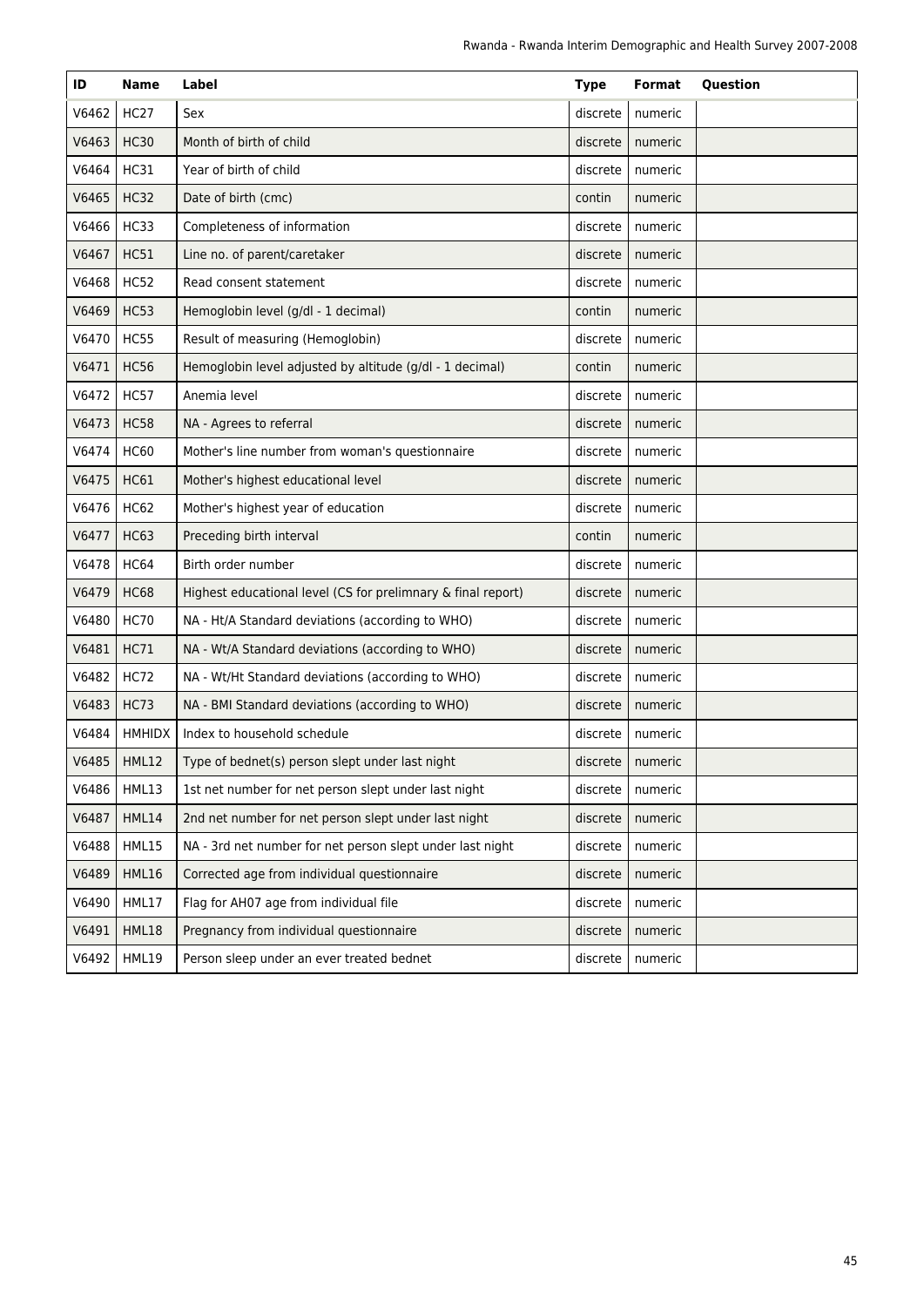| ID    | Name          | Label                                                        | <b>Type</b> | Format  | Question |
|-------|---------------|--------------------------------------------------------------|-------------|---------|----------|
| V6462 | <b>HC27</b>   | Sex                                                          | discrete    | numeric |          |
| V6463 | <b>HC30</b>   | Month of birth of child                                      | discrete    | numeric |          |
| V6464 | <b>HC31</b>   | Year of birth of child                                       | discrete    | numeric |          |
| V6465 | <b>HC32</b>   | Date of birth (cmc)                                          | contin      | numeric |          |
| V6466 | <b>HC33</b>   | Completeness of information                                  | discrete    | numeric |          |
| V6467 | <b>HC51</b>   | Line no. of parent/caretaker                                 | discrete    | numeric |          |
| V6468 | <b>HC52</b>   | Read consent statement                                       | discrete    | numeric |          |
| V6469 | <b>HC53</b>   | Hemoglobin level (g/dl - 1 decimal)                          | contin      | numeric |          |
| V6470 | <b>HC55</b>   | Result of measuring (Hemoglobin)                             | discrete    | numeric |          |
| V6471 | <b>HC56</b>   | Hemoglobin level adjusted by altitude (g/dl - 1 decimal)     | contin      | numeric |          |
| V6472 | <b>HC57</b>   | Anemia level                                                 | discrete    | numeric |          |
| V6473 | <b>HC58</b>   | NA - Agrees to referral                                      | discrete    | numeric |          |
| V6474 | <b>HC60</b>   | Mother's line number from woman's questionnaire              | discrete    | numeric |          |
| V6475 | <b>HC61</b>   | Mother's highest educational level                           | discrete    | numeric |          |
| V6476 | <b>HC62</b>   | Mother's highest year of education                           | discrete    | numeric |          |
| V6477 | <b>HC63</b>   | Preceding birth interval                                     | contin      | numeric |          |
| V6478 | <b>HC64</b>   | Birth order number                                           | discrete    | numeric |          |
| V6479 | <b>HC68</b>   | Highest educational level (CS for prelimnary & final report) | discrete    | numeric |          |
| V6480 | <b>HC70</b>   | NA - Ht/A Standard deviations (according to WHO)             | discrete    | numeric |          |
| V6481 | <b>HC71</b>   | NA - Wt/A Standard deviations (according to WHO)             | discrete    | numeric |          |
| V6482 | <b>HC72</b>   | NA - Wt/Ht Standard deviations (according to WHO)            | discrete    | numeric |          |
| V6483 | <b>HC73</b>   | NA - BMI Standard deviations (according to WHO)              | discrete    | numeric |          |
| V6484 | <b>HMHIDX</b> | Index to household schedule                                  | discrete    | numeric |          |
|       | V6485   HML12 | Type of bednet(s) person slept under last night              | discrete    | numeric |          |
| V6486 | HML13         | 1st net number for net person slept under last night         | discrete    | numeric |          |
| V6487 | HML14         | 2nd net number for net person slept under last night         | discrete    | numeric |          |
| V6488 | HML15         | NA - 3rd net number for net person slept under last night    | discrete    | numeric |          |
| V6489 | HML16         | Corrected age from individual questionnaire                  | discrete    | numeric |          |
| V6490 | HML17         | Flag for AH07 age from individual file                       | discrete    | numeric |          |
| V6491 | HML18         | Pregnancy from individual questionnaire                      | discrete    | numeric |          |
| V6492 | HML19         | Person sleep under an ever treated bednet                    | discrete    | numeric |          |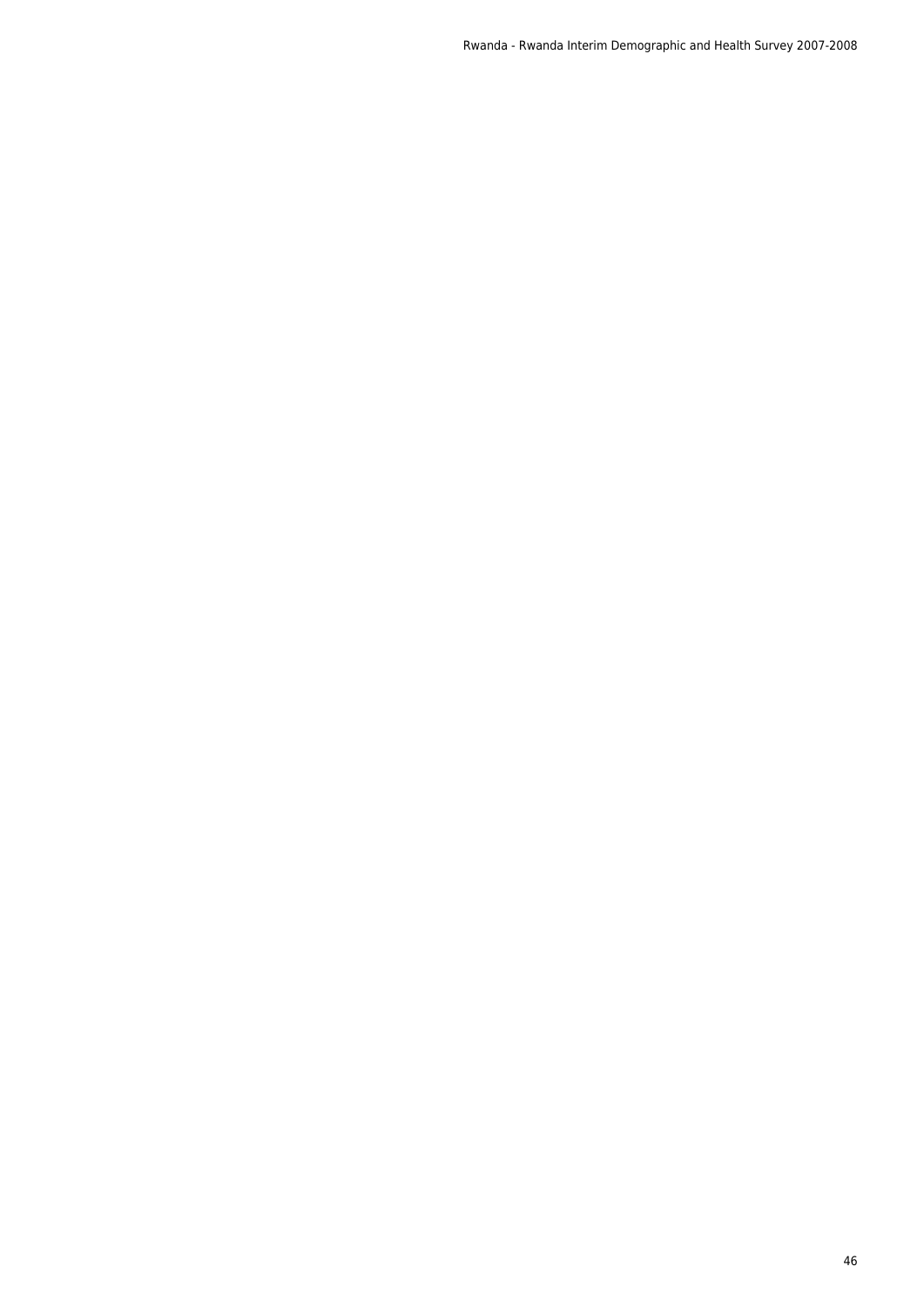Rwanda - Rwanda Interim Demographic and Health Survey 2007-2008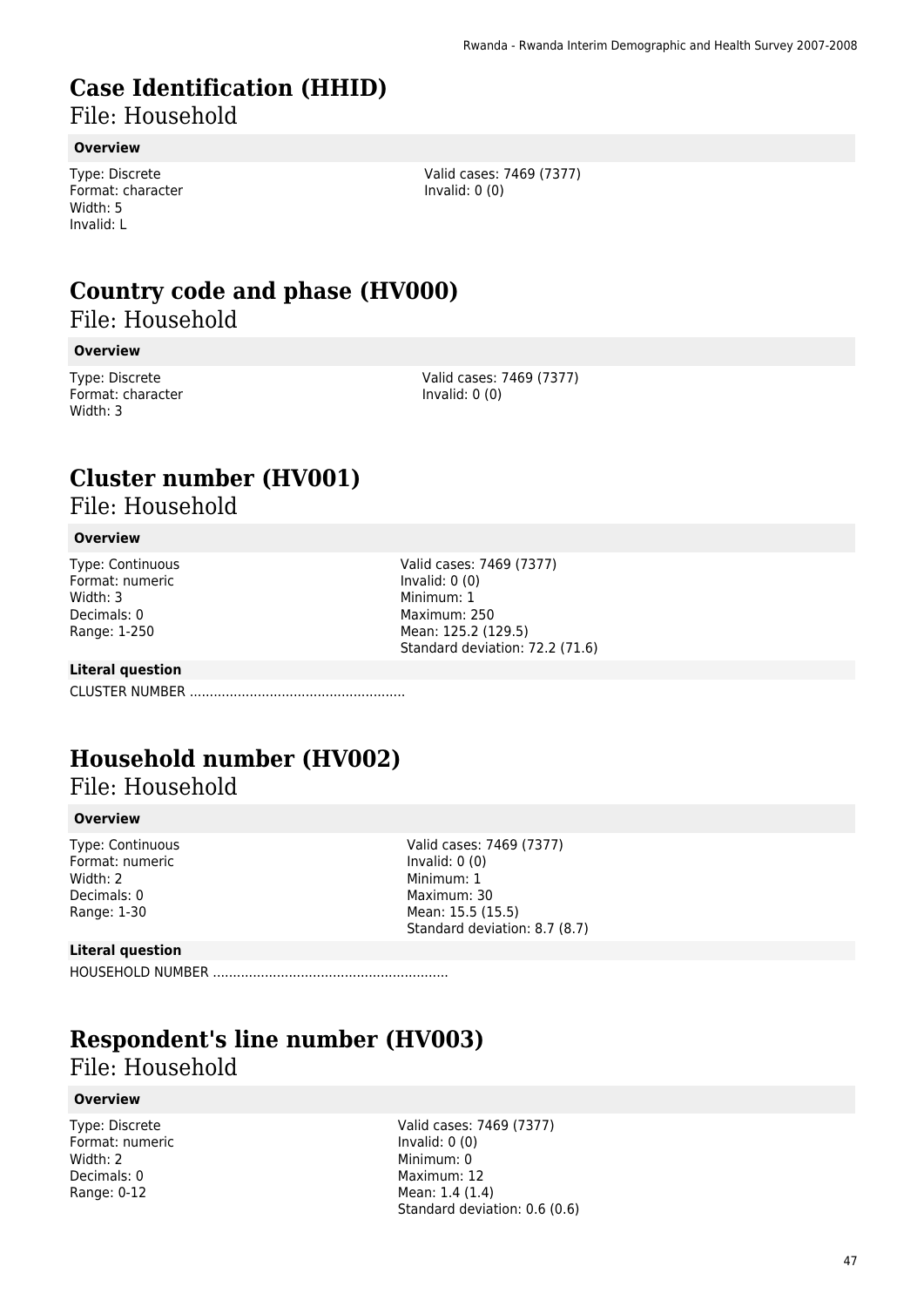## **Case Identification (HHID)**

File: Household

### **Overview**

Type: Discrete Format: character Width: 5 Invalid: L

Valid cases: 7469 (7377) Invalid: 0 (0)

## **Country code and phase (HV000)**

### File: Household

### **Overview**

Type: Discrete Format: character Width: 3

Valid cases: 7469 (7377) Invalid: 0 (0)

## **Cluster number (HV001)**

File: Household

### **Overview**

Type: Continuous Format: numeric Width: 3 Decimals: 0 Range: 1-250

Valid cases: 7469 (7377) Invalid: 0 (0) Minimum: 1 Maximum: 250 Mean: 125.2 (129.5) Standard deviation: 72.2 (71.6)

### **Literal question**

CLUSTER NUMBER ......................................................

# **Household number (HV002)**

### File: Household

### **Overview**

Type: Continuous Format: numeric Width: 2 Decimals: 0 Range: 1-30

Valid cases: 7469 (7377) Invalid: 0 (0) Minimum: 1 Maximum: 30 Mean: 15.5 (15.5) Standard deviation: 8.7 (8.7)

### **Literal question**

HOUSEHOLD NUMBER ...........................................................

## **Respondent's line number (HV003)**  File: Household

### **Overview**

Type: Discrete Format: numeric Width: 2 Decimals: 0 Range: 0-12

Valid cases: 7469 (7377) Invalid: 0 (0) Minimum: 0 Maximum: 12 Mean: 1.4 (1.4) Standard deviation: 0.6 (0.6)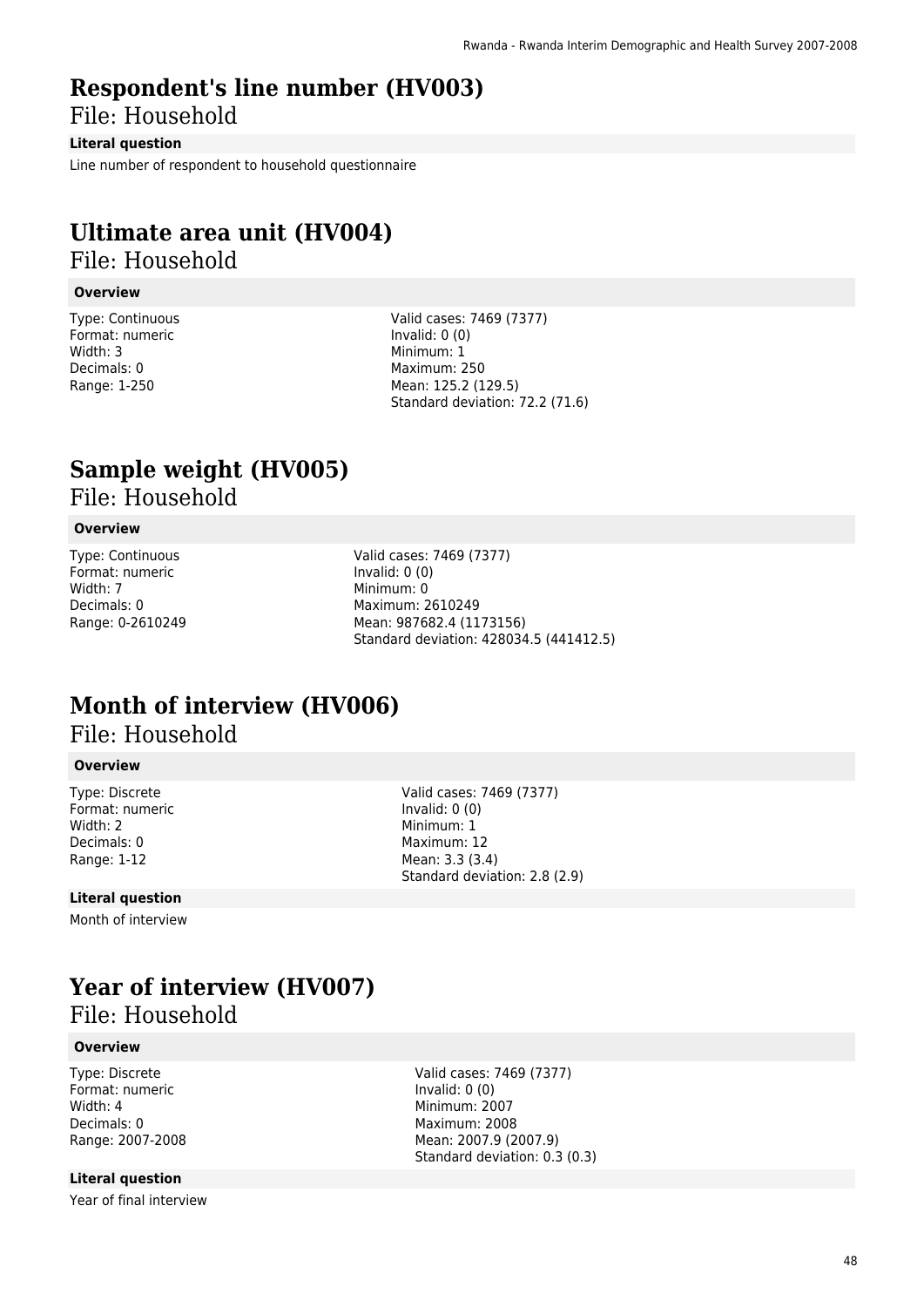## **Respondent's line number (HV003)**

File: Household

### **Literal question**

Line number of respondent to household questionnaire

# **Ultimate area unit (HV004)**

File: Household

### **Overview**

Type: Continuous Format: numeric Width: 3 Decimals: 0 Range: 1-250

Valid cases: 7469 (7377) Invalid: 0 (0) Minimum: 1 Maximum: 250 Mean: 125.2 (129.5) Standard deviation: 72.2 (71.6)

## **Sample weight (HV005)**  File: Household

#### **Overview**

Type: Continuous Format: numeric Width: 7 Decimals: 0 Range: 0-2610249

Valid cases: 7469 (7377) Invalid: 0 (0) Minimum: 0 Maximum: 2610249 Mean: 987682.4 (1173156) Standard deviation: 428034.5 (441412.5)

## **Month of interview (HV006)**  File: Household

### **Overview**

Type: Discrete Format: numeric Width: 2 Decimals: 0 Range: 1-12

Valid cases: 7469 (7377) Invalid: 0 (0) Minimum: 1 Maximum: 12 Mean: 3.3 (3.4) Standard deviation: 2.8 (2.9)

### **Literal question**

Month of interview

# **Year of interview (HV007)**

File: Household

### **Overview**

Type: Discrete Format: numeric Width: 4 Decimals: 0 Range: 2007-2008 Valid cases: 7469 (7377) Invalid: 0 (0) Minimum: 2007 Maximum: 2008 Mean: 2007.9 (2007.9) Standard deviation: 0.3 (0.3)

### **Literal question**

Year of final interview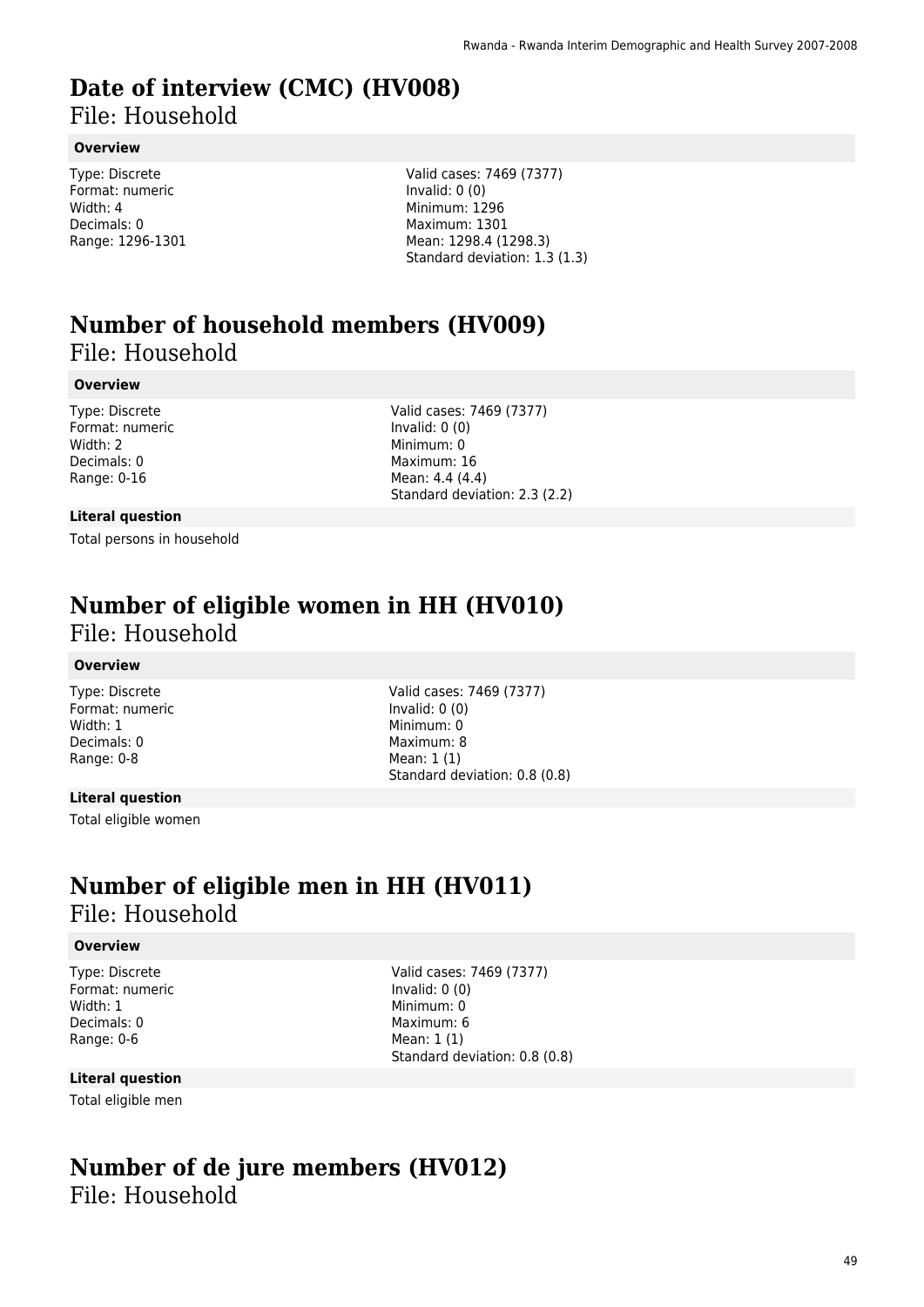### **Date of interview (CMC) (HV008)**  File: Household

### **Overview**

Type: Discrete Format: numeric Width: 4 Decimals: 0 Range: 1296-1301

Valid cases: 7469 (7377) Invalid: 0 (0) Minimum: 1296 Maximum: 1301 Mean: 1298.4 (1298.3) Standard deviation: 1.3 (1.3)

## **Number of household members (HV009)**  File: Household

### **Overview**

| Type: Discrete  |
|-----------------|
| Format: numeric |
| Width: 2        |
| Decimals: 0     |
| Range: 0-16     |

Valid cases: 7469 (7377) Invalid: 0 (0) Minimum: 0 Maximum: 16 Mean: 4.4 (4.4) Standard deviation: 2.3 (2.2)

### **Literal question**

Total persons in household

## **Number of eligible women in HH (HV010)**  File: Household

### **Overview**

Type: Discrete Format: numeric Width: 1 Decimals: 0 Range: 0-8

Valid cases: 7469 (7377) Invalid: 0 (0) Minimum: 0 Maximum: 8 Mean: 1 (1) Standard deviation: 0.8 (0.8)

#### **Literal question**

Total eligible women

### **Number of eligible men in HH (HV011)**  File: Household

#### **Overview**

Type: Discrete Format: numeric Width: 1 Decimals: 0 Range: 0-6

Valid cases: 7469 (7377) Invalid: 0 (0) Minimum: 0 Maximum: 6 Mean: 1 (1) Standard deviation: 0.8 (0.8)

### **Literal question**

Total eligible men

# **Number of de jure members (HV012)**

File: Household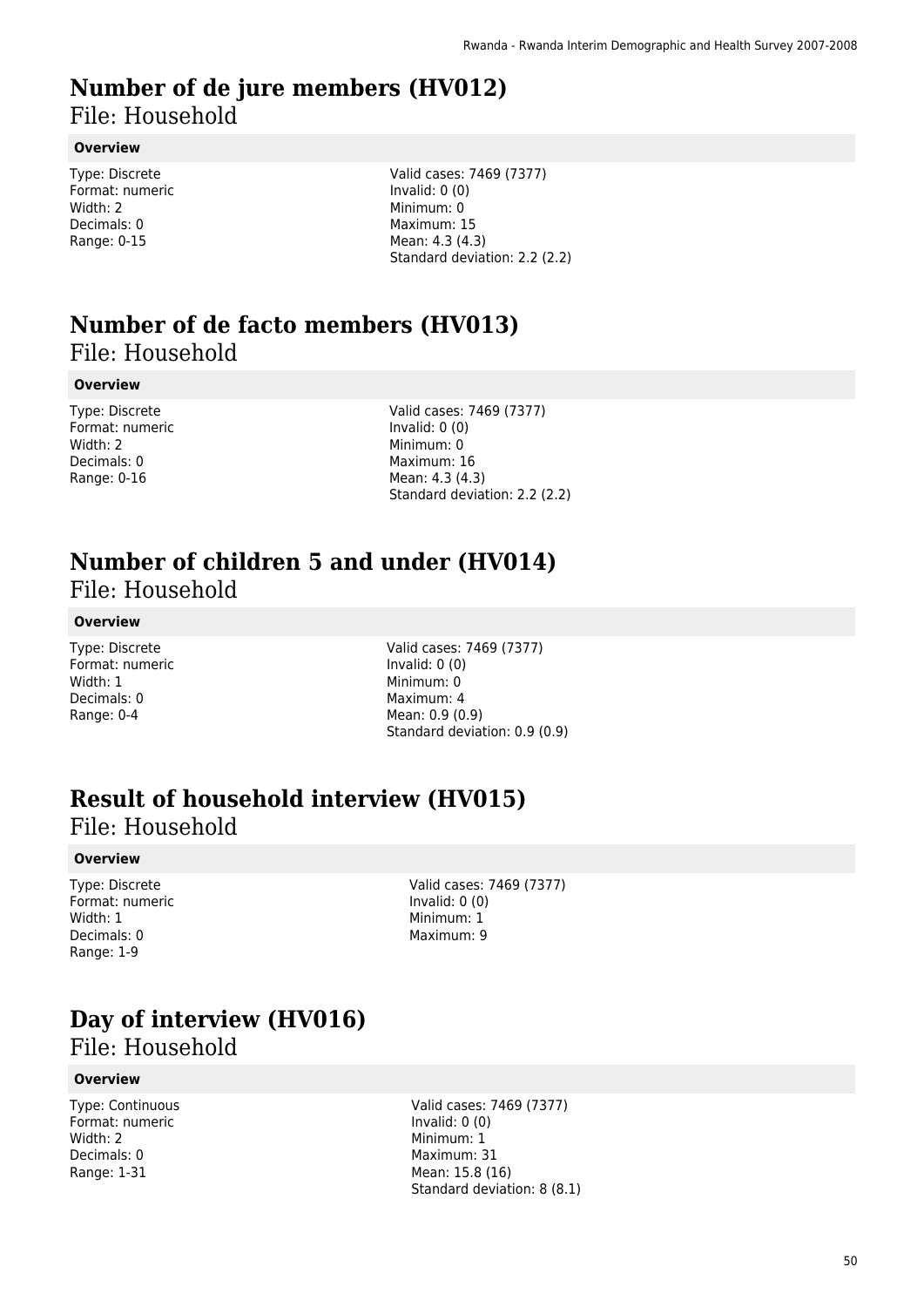### **Number of de jure members (HV012)**  File: Household

### **Overview**

Type: Discrete Format: numeric Width: 2 Decimals: 0 Range: 0-15

Valid cases: 7469 (7377) Invalid: 0 (0) Minimum: 0 Maximum: 15 Mean: 4.3 (4.3) Standard deviation: 2.2 (2.2)

## **Number of de facto members (HV013)**  File: Household

#### **Overview**

Type: Discrete Format: numeric Width: 2 Decimals: 0 Range: 0-16

Valid cases: 7469 (7377) Invalid: 0 (0) Minimum: 0 Maximum: 16 Mean: 4.3 (4.3) Standard deviation: 2.2 (2.2)

# **Number of children 5 and under (HV014)**

## File: Household

### **Overview**

Type: Discrete Format: numeric Width: 1 Decimals: 0 Range: 0-4

Valid cases: 7469 (7377) Invalid: 0 (0) Minimum: 0 Maximum: 4 Mean: 0.9 (0.9) Standard deviation: 0.9 (0.9)

# **Result of household interview (HV015)**

## File: Household

### **Overview**

Type: Discrete Format: numeric Width: 1 Decimals: 0 Range: 1-9

Valid cases: 7469 (7377) Invalid: 0 (0) Minimum: 1 Maximum: 9

## **Day of interview (HV016)**  File: Household

### **Overview**

Type: Continuous Format: numeric Width: 2 Decimals: 0 Range: 1-31

Valid cases: 7469 (7377) Invalid: 0 (0) Minimum: 1 Maximum: 31 Mean: 15.8 (16) Standard deviation: 8 (8.1)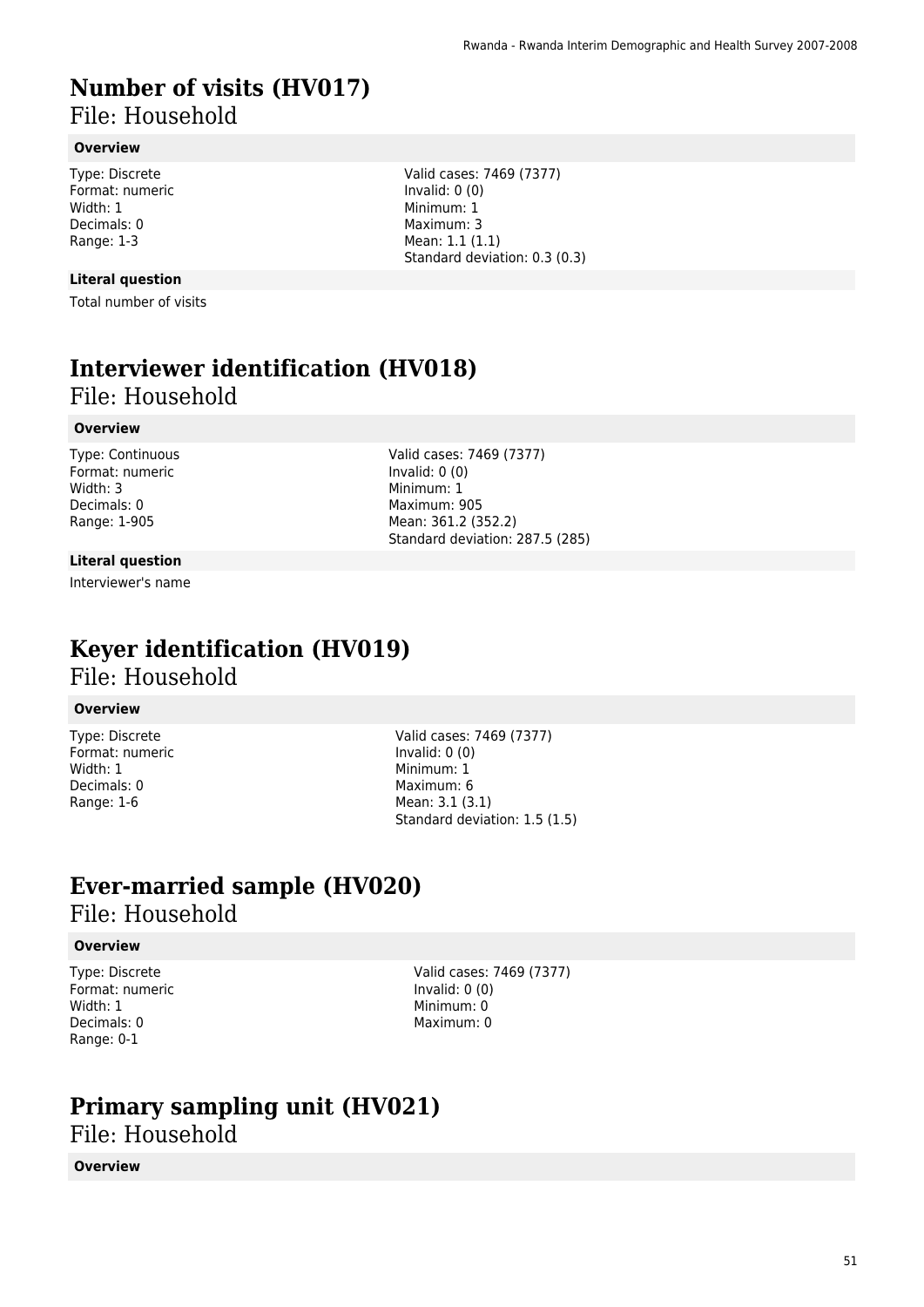# **Number of visits (HV017)**

File: Household

### **Overview**

Type: Discrete Format: numeric Width: 1 Decimals: 0 Range: 1-3

### **Literal question**

Total number of visits

**Interviewer identification (HV018)**  File: Household

### **Overview**

Type: Continuous Format: numeric Width: 3 Decimals: 0 Range: 1-905

**Literal question**

Interviewer's name

**Keyer identification (HV019)**  File: Household

### **Overview**

Type: Discrete Format: numeric Width: 1 Decimals: 0 Range: 1-6

Valid cases: 7469 (7377) Invalid: 0 (0) Minimum: 1 Maximum: 6 Mean: 3.1 (3.1) Standard deviation: 1.5 (1.5)

# **Ever-married sample (HV020)**

## File: Household

### **Overview**

Type: Discrete Format: numeric Width: 1 Decimals: 0 Range: 0-1

Valid cases: 7469 (7377) Invalid: 0 (0) Minimum: 0 Maximum: 0

## **Primary sampling unit (HV021)**

File: Household

### **Overview**

Valid cases: 7469 (7377) Invalid: 0 (0) Minimum: 1 Maximum: 3 Mean: 1.1 (1.1) Standard deviation: 0.3 (0.3)

Valid cases: 7469 (7377)

Standard deviation: 287.5 (285)

Invalid: 0 (0) Minimum: 1 Maximum: 905 Mean: 361.2 (352.2)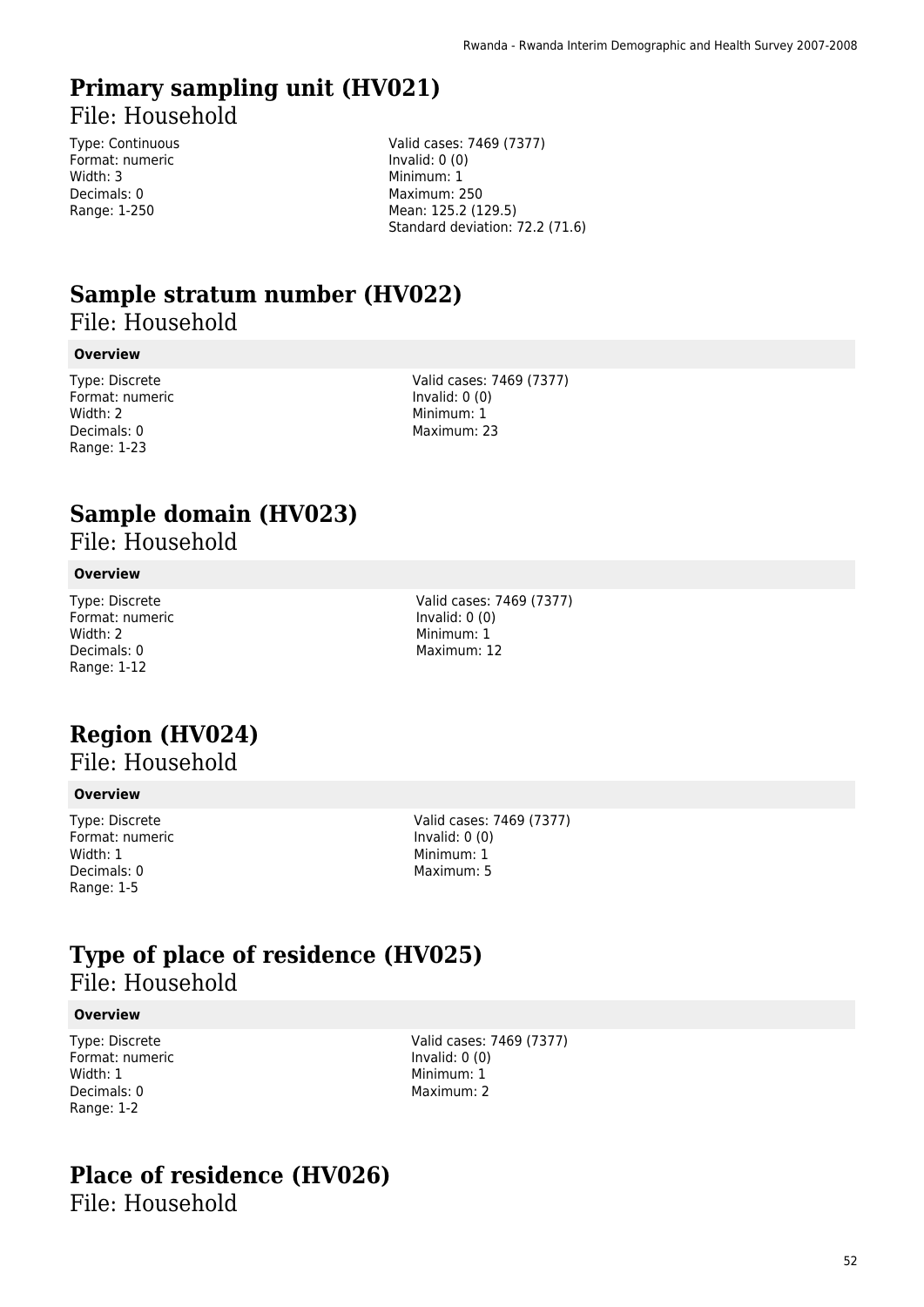# **Primary sampling unit (HV021)**

File: Household

Type: Continuous Format: numeric Width: 3 Decimals: 0 Range: 1-250

Valid cases: 7469 (7377) Invalid: 0 (0) Minimum: 1 Maximum: 250 Mean: 125.2 (129.5) Standard deviation: 72.2 (71.6)

### **Sample stratum number (HV022)**  File: Household

### **Overview**

Type: Discrete Format: numeric Width: 2 Decimals: 0 Range: 1-23

Valid cases: 7469 (7377) Invalid: 0 (0) Minimum: 1 Maximum: 23

## **Sample domain (HV023)**

File: Household

### **Overview**

Type: Discrete Format: numeric Width: 2 Decimals: 0 Range: 1-12

Valid cases: 7469 (7377) Invalid: 0 (0) Minimum: 1 Maximum: 12

# **Region (HV024)**

### File: Household

### **Overview**

Type: Discrete Format: numeric Width: 1 Decimals: 0 Range: 1-5

Valid cases: 7469 (7377) Invalid: 0 (0) Minimum: 1 Maximum: 5

### **Type of place of residence (HV025)**  File: Household

### **Overview**

Type: Discrete Format: numeric Width: 1 Decimals: 0 Range: 1-2

Valid cases: 7469 (7377) Invalid: 0 (0) Minimum: 1 Maximum: 2

## **Place of residence (HV026)**

File: Household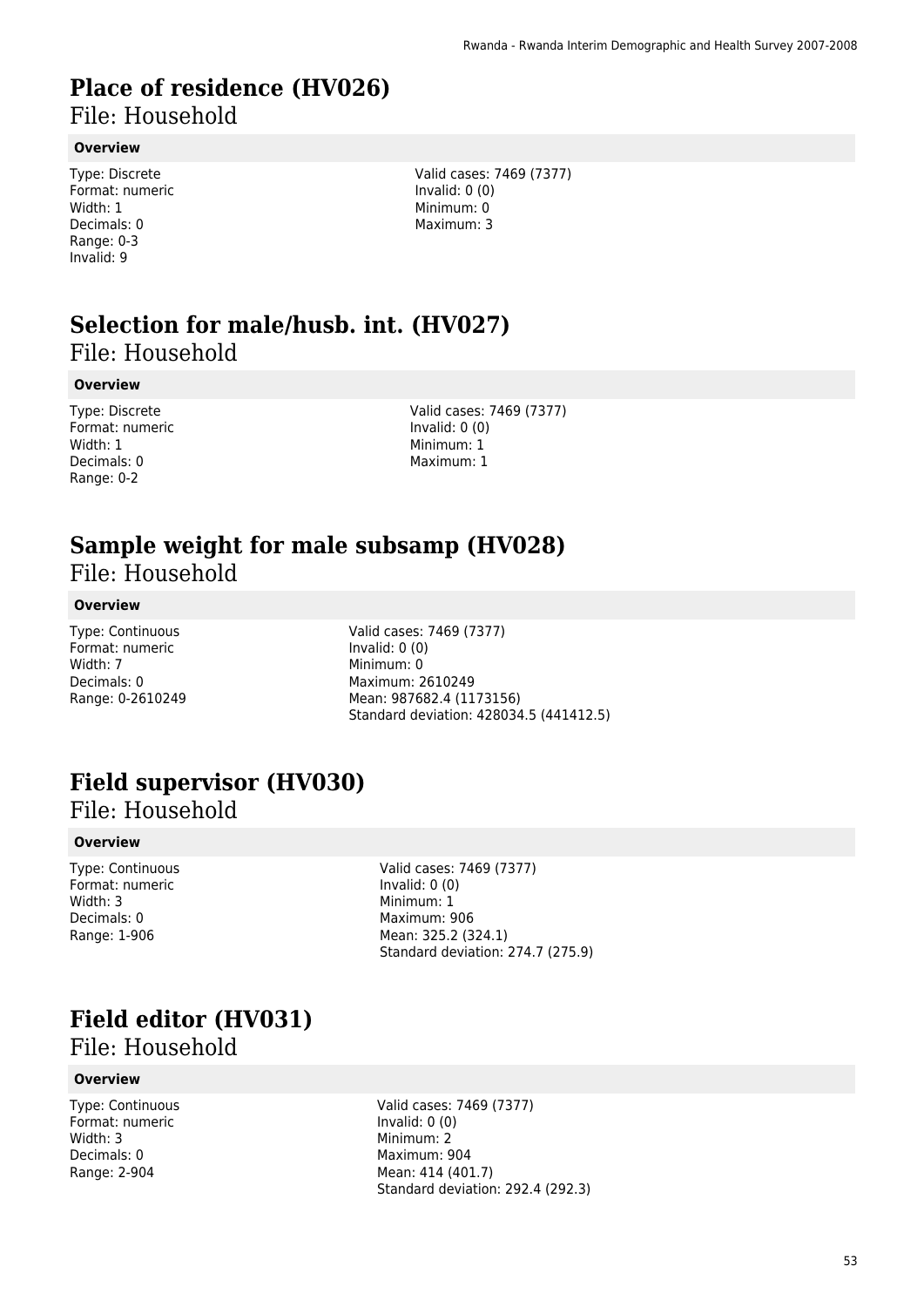# **Place of residence (HV026)**

File: Household

### **Overview**

Type: Discrete Format: numeric Width: 1 Decimals: 0 Range: 0-3 Invalid: 9

Valid cases: 7469 (7377) Invalid: 0 (0) Minimum: 0 Maximum: 3

## **Selection for male/husb. int. (HV027)**  File: Household

#### **Overview**

Valid cases: 7469 (7377) Invalid: 0 (0) Minimum: 1 Maximum: 1

## **Sample weight for male subsamp (HV028)**  File: Household

### **Overview**

Type: Continuous Format: numeric Width: 7 Decimals: 0 Range: 0-2610249 Valid cases: 7469 (7377) Invalid: 0 (0) Minimum: 0 Maximum: 2610249 Mean: 987682.4 (1173156) Standard deviation: 428034.5 (441412.5)

### **Field supervisor (HV030)**  File: Household

### **Overview**

Type: Continuous Format: numeric Width: 3 Decimals: 0 Range: 1-906

Valid cases: 7469 (7377) Invalid: 0 (0) Minimum: 1 Maximum: 906 Mean: 325.2 (324.1) Standard deviation: 274.7 (275.9)

# **Field editor (HV031)**

File: Household

### **Overview**

Type: Continuous Format: numeric Width: 3 Decimals: 0 Range: 2-904

Valid cases: 7469 (7377) Invalid: 0 (0) Minimum: 2 Maximum: 904 Mean: 414 (401.7) Standard deviation: 292.4 (292.3)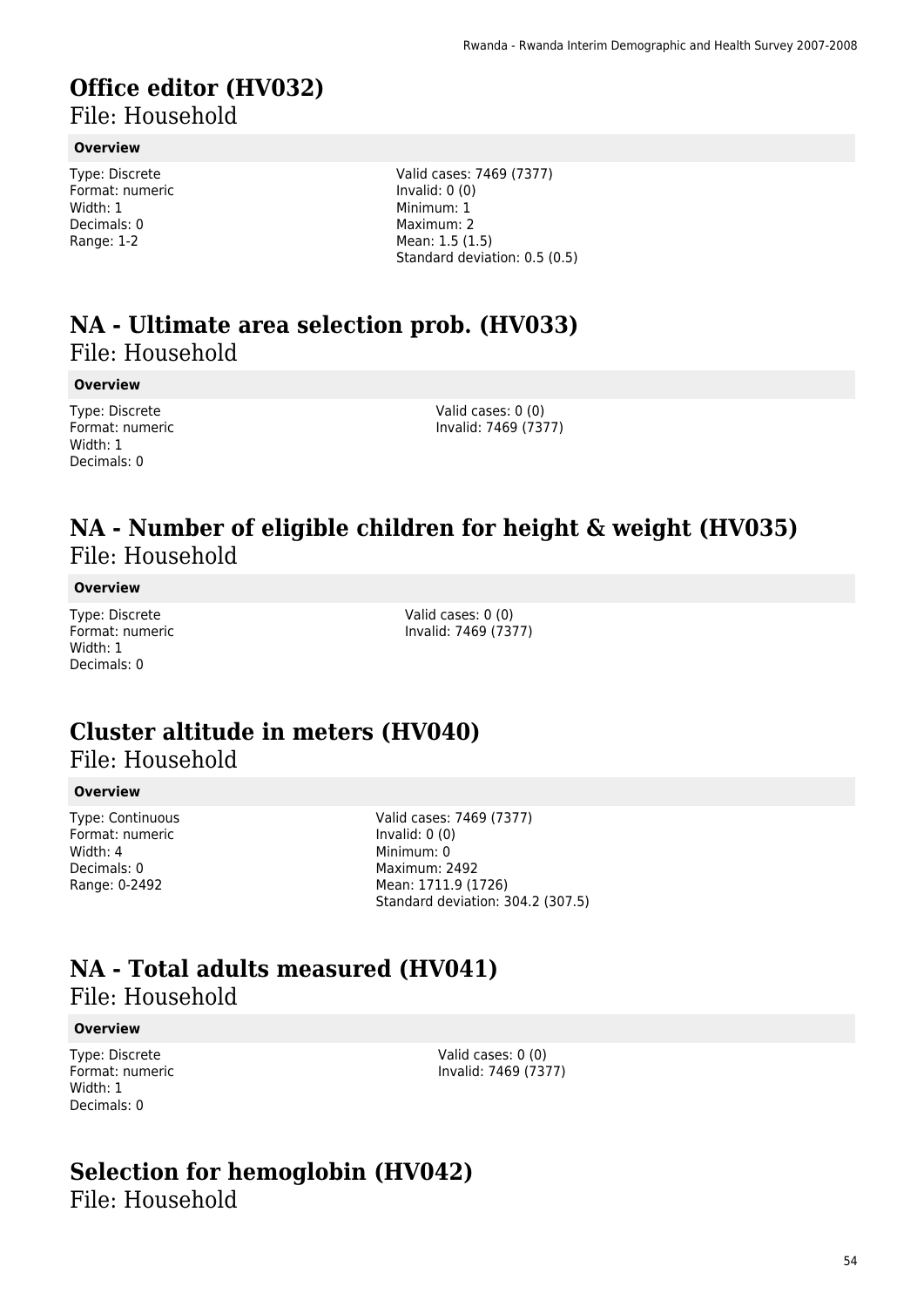### **Office editor (HV032)**  File: Household

### **Overview**

Type: Discrete Format: numeric Width: 1 Decimals: 0 Range: 1-2

Valid cases: 7469 (7377) Invalid: 0 (0) Minimum: 1 Maximum: 2 Mean: 1.5 (1.5) Standard deviation: 0.5 (0.5)

## **NA - Ultimate area selection prob. (HV033)**  File: Household

**Overview**

Type: Discrete Format: numeric Width: 1 Decimals: 0

Valid cases: 0 (0) Invalid: 7469 (7377)

### **NA - Number of eligible children for height & weight (HV035)**  File: Household

#### **Overview**

Type: Discrete Format: numeric Width: 1 Decimals: 0

Valid cases: 0 (0) Invalid: 7469 (7377)

# **Cluster altitude in meters (HV040)**

File: Household

### **Overview**

Type: Continuous Format: numeric Width: 4 Decimals: 0 Range: 0-2492

Valid cases: 7469 (7377) Invalid: 0 (0) Minimum: 0 Maximum: 2492 Mean: 1711.9 (1726) Standard deviation: 304.2 (307.5)

# **NA - Total adults measured (HV041)**

File: Household

#### **Overview**

Type: Discrete Format: numeric Width: 1 Decimals: 0

Valid cases: 0 (0) Invalid: 7469 (7377)

### **Selection for hemoglobin (HV042)**  File: Household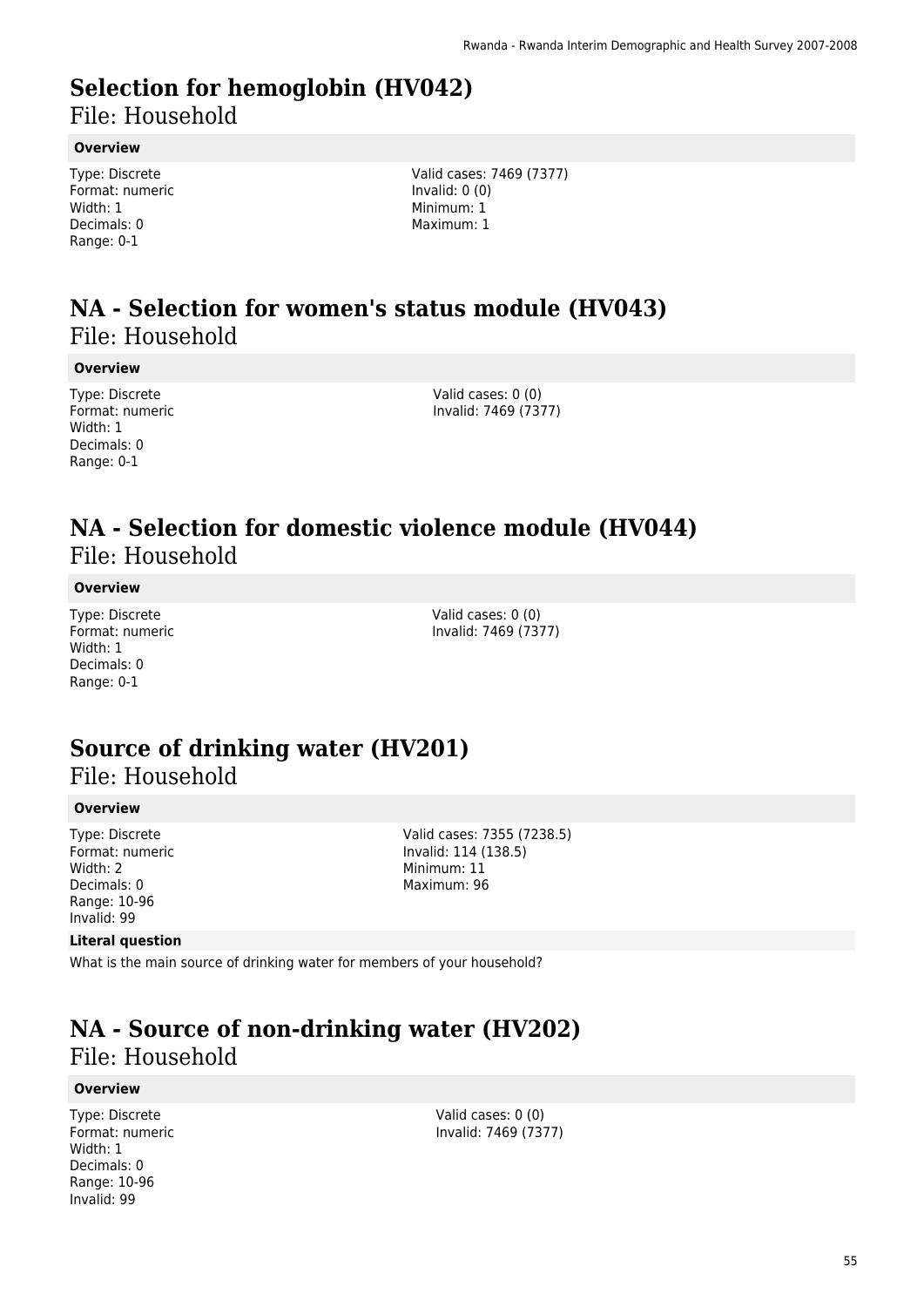# **Selection for hemoglobin (HV042)**

File: Household

### **Overview**

Type: Discrete Format: numeric Width: 1 Decimals: 0 Range: 0-1

Valid cases: 7469 (7377) Invalid: 0 (0) Minimum: 1 Maximum: 1

## **NA - Selection for women's status module (HV043)**  File: Household

**Overview**

Type: Discrete Format: numeric Width: 1 Decimals: 0 Range: 0-1

Valid cases: 0 (0) Invalid: 7469 (7377)

## **NA - Selection for domestic violence module (HV044)**  File: Household

### **Overview**

Type: Discrete Format: numeric Width: 1 Decimals: 0 Range: 0-1

Valid cases: 0 (0) Invalid: 7469 (7377)

### **Source of drinking water (HV201)**  File: Household

### **Overview**

Type: Discrete Format: numeric Width: 2 Decimals: 0 Range: 10-96 Invalid: 99

Valid cases: 7355 (7238.5) Invalid: 114 (138.5) Minimum: 11 Maximum: 96

### **Literal question**

What is the main source of drinking water for members of your household?

## **NA - Source of non-drinking water (HV202)**  File: Household

### **Overview**

Type: Discrete Format: numeric Width: 1 Decimals: 0 Range: 10-96 Invalid: 99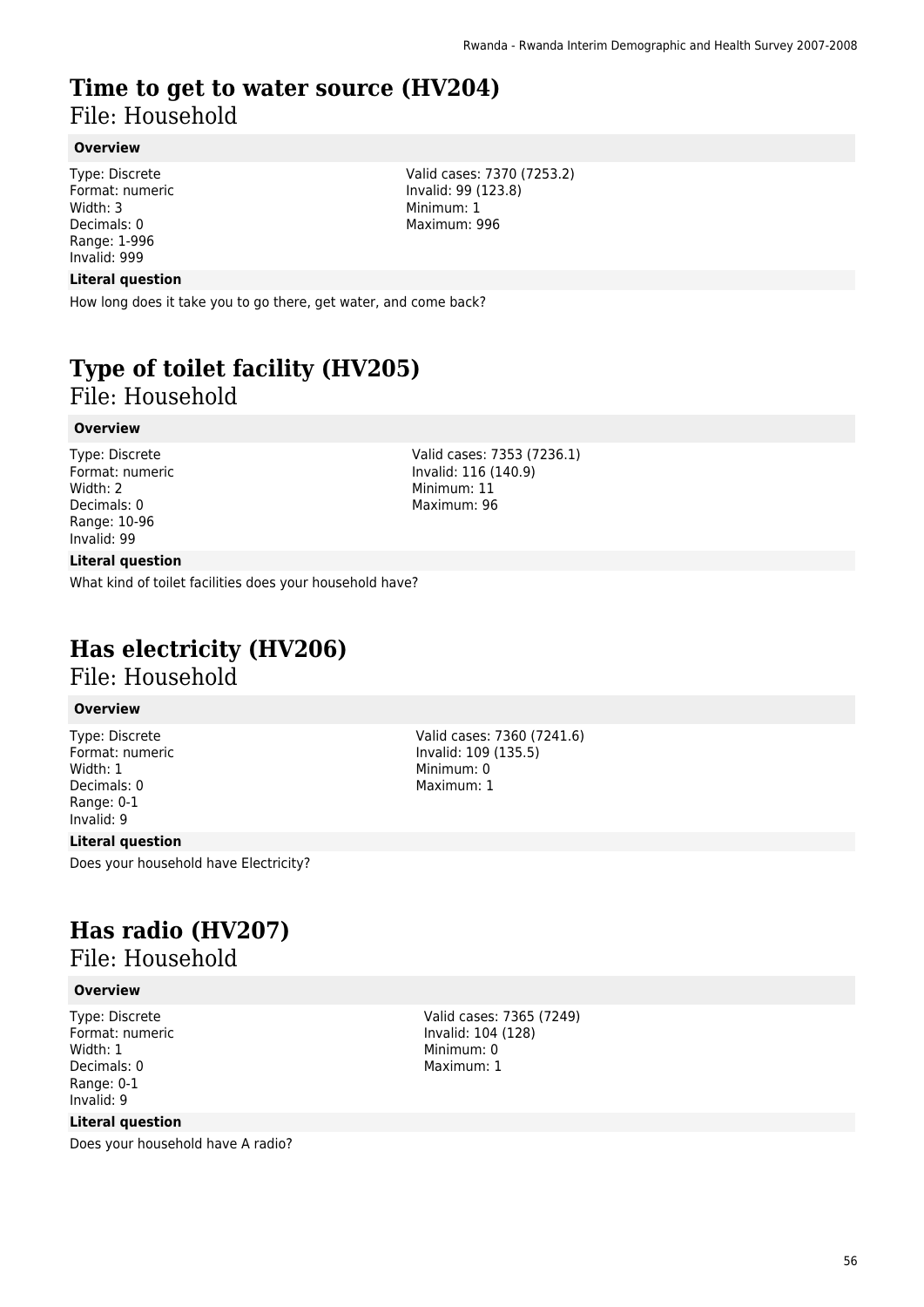### **Time to get to water source (HV204)**  File: Household

#### **Overview**

Type: Discrete Format: numeric Width: 3 Decimals: 0 Range: 1-996 Invalid: 999

Valid cases: 7370 (7253.2) Invalid: 99 (123.8) Minimum: 1 Maximum: 996

#### **Literal question**

How long does it take you to go there, get water, and come back?

## **Type of toilet facility (HV205)**  File: Household

#### **Overview**

Type: Discrete Format: numeric Width: 2 Decimals: 0 Range: 10-96 Invalid: 99

#### **Literal question**

What kind of toilet facilities does your household have?

### **Has electricity (HV206)**  File: Household

#### **Overview**

Type: Discrete Format: numeric Width: 1 Decimals: 0 Range: 0-1 Invalid: 9

### **Literal question**

Does your household have Electricity?

# **Has radio (HV207)**

File: Household

### **Overview**

Type: Discrete Format: numeric Width: 1 Decimals: 0 Range: 0-1 Invalid: 9

#### **Literal question**

Does your household have A radio?

Invalid: 116 (140.9) Minimum: 11 Maximum: 96

Valid cases: 7353 (7236.1)

Valid cases: 7360 (7241.6) Invalid: 109 (135.5) Minimum: 0 Maximum: 1

Valid cases: 7365 (7249) Invalid: 104 (128) Minimum: 0 Maximum: 1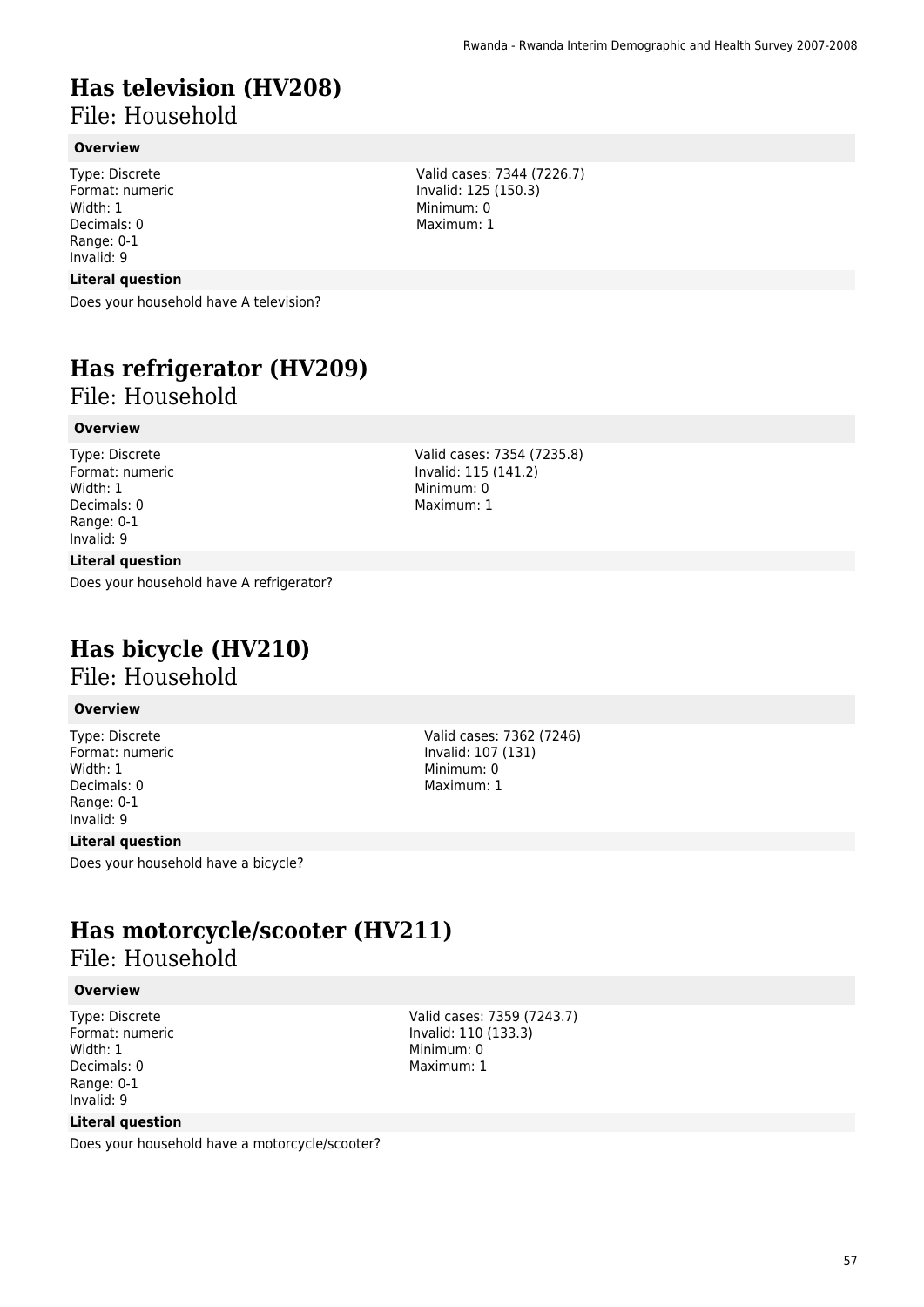### **Has television (HV208)**  File: Household

### **Overview**

Type: Discrete Format: numeric Width: 1 Decimals: 0 Range: 0-1 Invalid: 9

### **Literal question**

Does your household have A television?

## **Has refrigerator (HV209)**  File: Household

#### **Overview**

Type: Discrete Format: numeric Width: 1 Decimals: 0 Range: 0-1 Invalid: 9

### **Literal question**

Does your household have A refrigerator?

### **Has bicycle (HV210)**  File: Household

#### **Overview**

Type: Discrete Format: numeric Width: 1 Decimals: 0 Range: 0-1 Invalid: 9

### **Literal question**

Does your household have a bicycle?

## **Has motorcycle/scooter (HV211)**  File: Household

#### **Overview**

Type: Discrete Format: numeric Width: 1 Decimals: 0 Range: 0-1 Invalid: 9

Valid cases: 7359 (7243.7) Invalid: 110 (133.3) Minimum: 0 Maximum: 1

### **Literal question**

Does your household have a motorcycle/scooter?

Valid cases: 7344 (7226.7) Invalid: 125 (150.3) Minimum: 0 Maximum: 1

Valid cases: 7354 (7235.8) Invalid: 115 (141.2) Minimum: 0 Maximum: 1

Valid cases: 7362 (7246) Invalid: 107 (131) Minimum: 0 Maximum: 1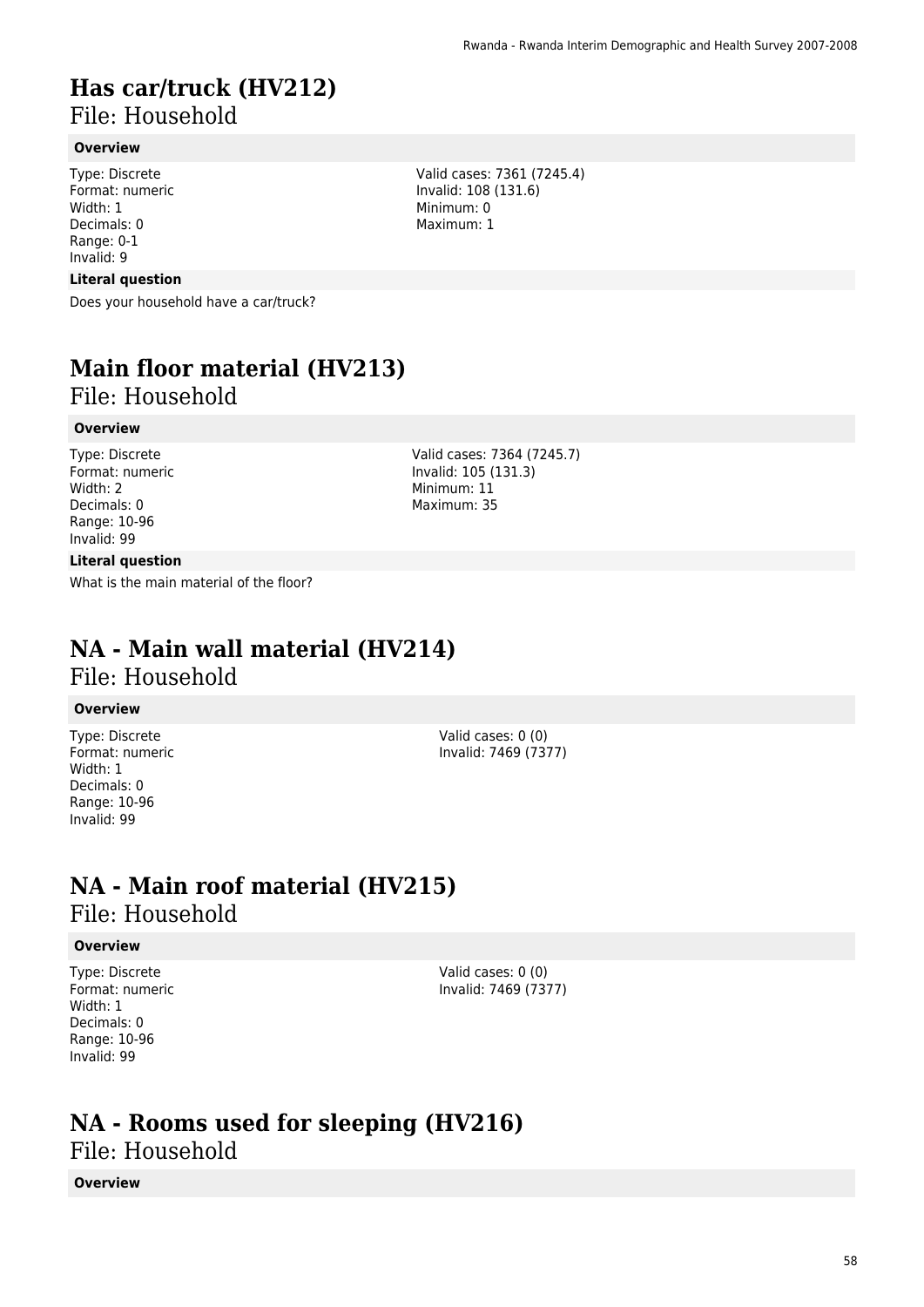# **Has car/truck (HV212)**

File: Household

### **Overview**

Type: Discrete Format: numeric Width: 1 Decimals: 0 Range: 0-1 Invalid: 9

#### **Literal question**

Does your household have a car/truck?

### **Main floor material (HV213)**  File: Household

#### **Overview**

Type: Discrete Format: numeric Width: 2 Decimals: 0 Range: 10-96 Invalid: 99

#### **Literal question**

What is the main material of the floor?

### **NA - Main wall material (HV214)**  File: Household

### **Overview**

Type: Discrete Format: numeric Width: 1 Decimals: 0 Range: 10-96 Invalid: 99

Valid cases: 0 (0) Invalid: 7469 (7377)

### **NA - Main roof material (HV215)**  File: Household

### **Overview**

Type: Discrete Format: numeric Width: 1 Decimals: 0 Range: 10-96 Invalid: 99

Valid cases: 0 (0) Invalid: 7469 (7377)

## **NA - Rooms used for sleeping (HV216)**

File: Household

### **Overview**

Valid cases: 7361 (7245.4) Invalid: 108 (131.6) Minimum: 0 Maximum: 1

Valid cases: 7364 (7245.7) Invalid: 105 (131.3) Minimum: 11 Maximum: 35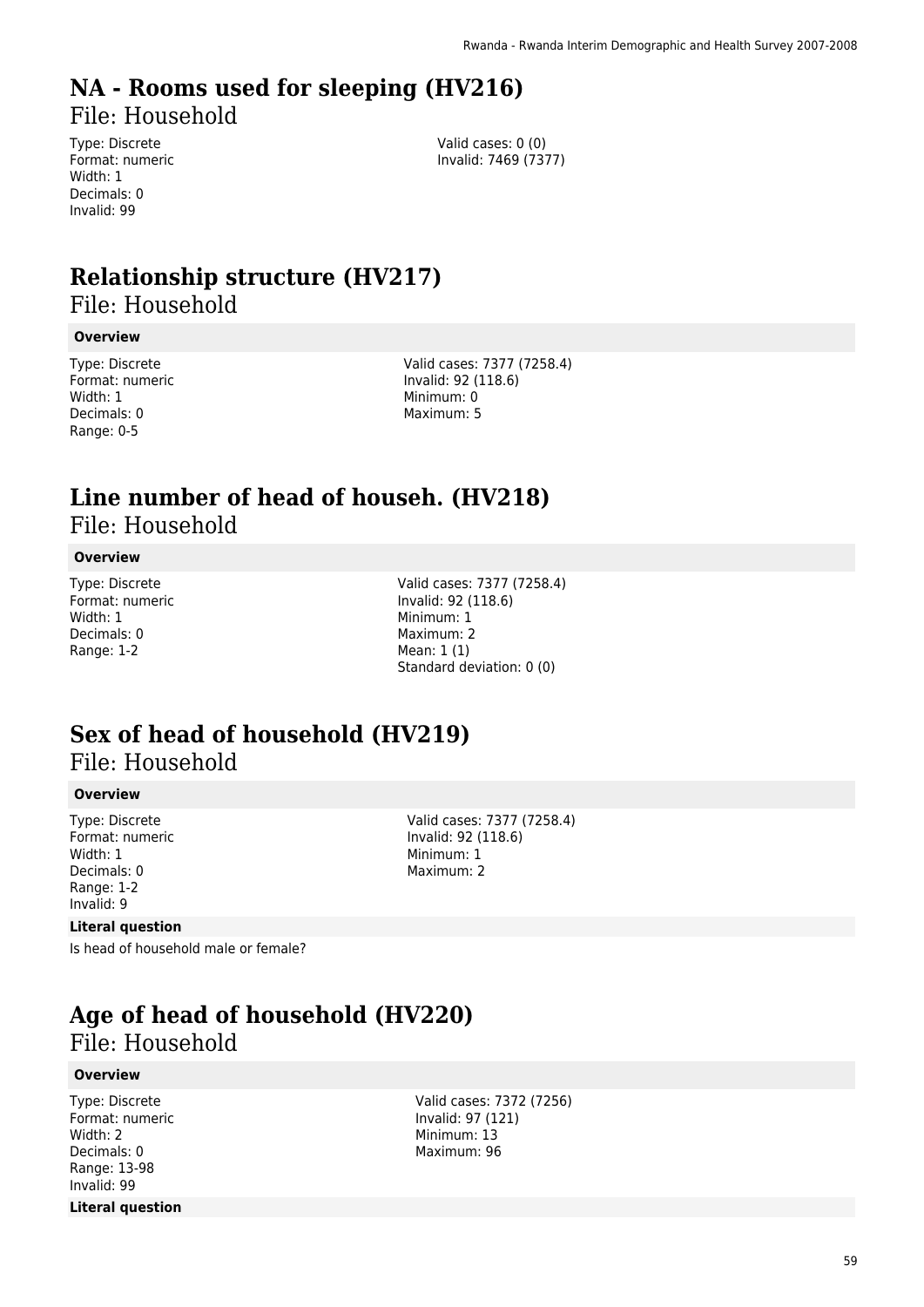# **NA - Rooms used for sleeping (HV216)**

File: Household

Type: Discrete Format: numeric Width: 1 Decimals: 0 Invalid: 99

Valid cases: 0 (0) Invalid: 7469 (7377)

## **Relationship structure (HV217)**  File: Household

### **Overview**

Type: Discrete Format: numeric Width: 1 Decimals: 0 Range: 0-5

Valid cases: 7377 (7258.4) Invalid: 92 (118.6) Minimum: 0 Maximum: 5

## **Line number of head of househ. (HV218)**  File: Household

### **Overview**

Type: Discrete Format: numeric Width: 1 Decimals: 0 Range: 1-2

Valid cases: 7377 (7258.4) Invalid: 92 (118.6) Minimum: 1 Maximum: 2 Mean: 1 (1) Standard deviation: 0 (0)

### **Sex of head of household (HV219)**  File: Household

### **Overview**

Type: Discrete Format: numeric Width: 1 Decimals: 0 Range: 1-2 Invalid: 9

### **Literal question**

Is head of household male or female?

### **Age of head of household (HV220)**  File: Household

### **Overview**

Type: Discrete Format: numeric Width: 2 Decimals: 0 Range: 13-98 Invalid: 99 **Literal question** Valid cases: 7377 (7258.4) Invalid: 92 (118.6) Minimum: 1 Maximum: 2

Valid cases: 7372 (7256) Invalid: 97 (121) Minimum: 13 Maximum: 96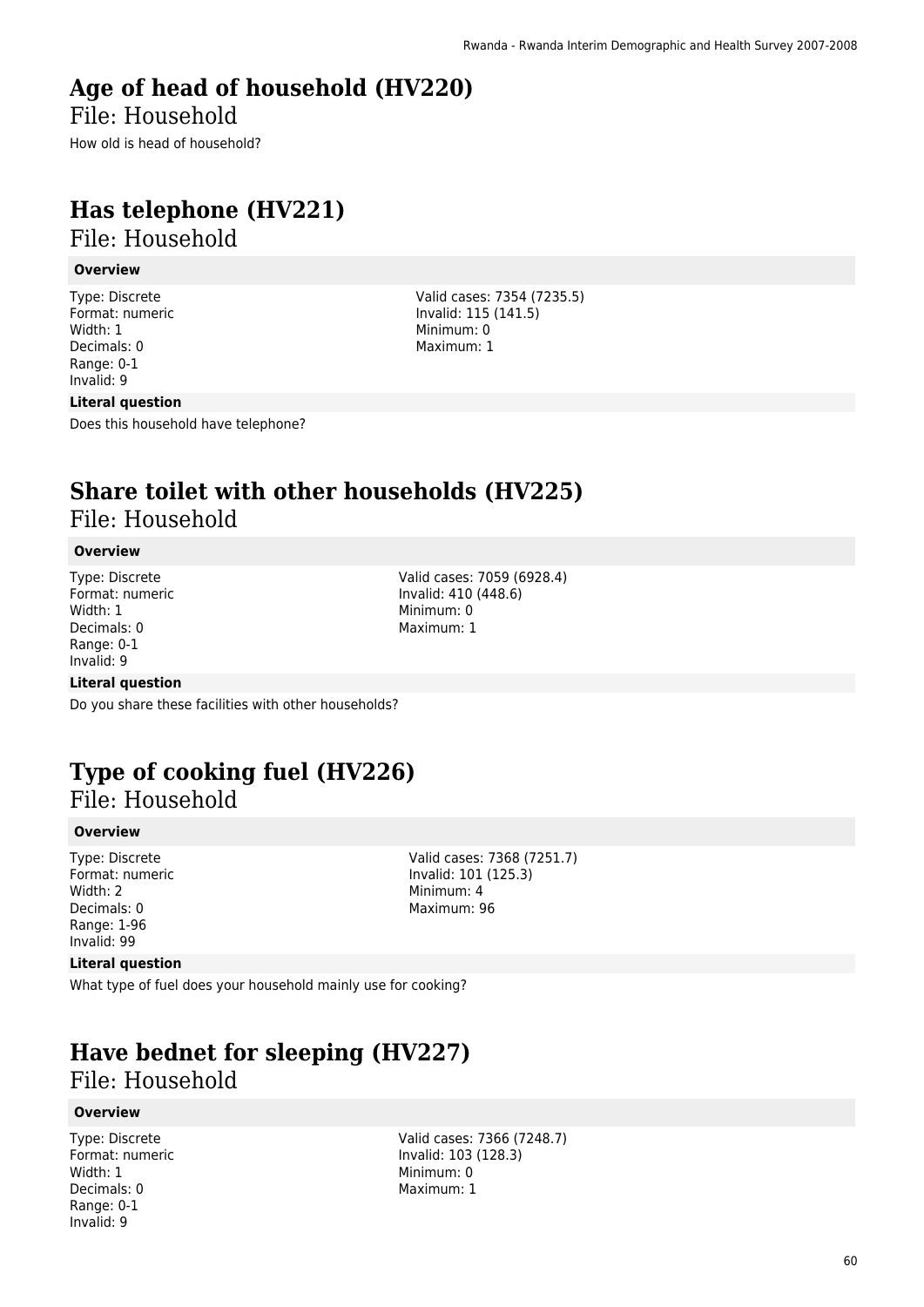# **Age of head of household (HV220)**

File: Household

How old is head of household?

### **Has telephone (HV221)**  File: Household

### **Overview**

Type: Discrete Format: numeric Width: 1 Decimals: 0 Range: 0-1 Invalid: 9

Valid cases: 7354 (7235.5) Invalid: 115 (141.5) Minimum: 0 Maximum: 1

Valid cases: 7059 (6928.4) Invalid: 410 (448.6) Minimum: 0 Maximum: 1

### **Literal question**

Does this household have telephone?

## **Share toilet with other households (HV225)**  File: Household

### **Overview**

Type: Discrete Format: numeric Width: 1 Decimals: 0 Range: 0-1 Invalid: 9

**Literal question**

Do you share these facilities with other households?

## **Type of cooking fuel (HV226)**  File: Household

### **Overview**

Type: Discrete Format: numeric Width: 2 Decimals: 0 Range: 1-96 Invalid: 99

Valid cases: 7368 (7251.7) Invalid: 101 (125.3) Minimum: 4 Maximum: 96

### **Literal question**

What type of fuel does your household mainly use for cooking?

## **Have bednet for sleeping (HV227)**

### File: Household

### **Overview**

Type: Discrete Format: numeric Width: 1 Decimals: 0 Range: 0-1 Invalid: 9

Valid cases: 7366 (7248.7) Invalid: 103 (128.3) Minimum: 0 Maximum: 1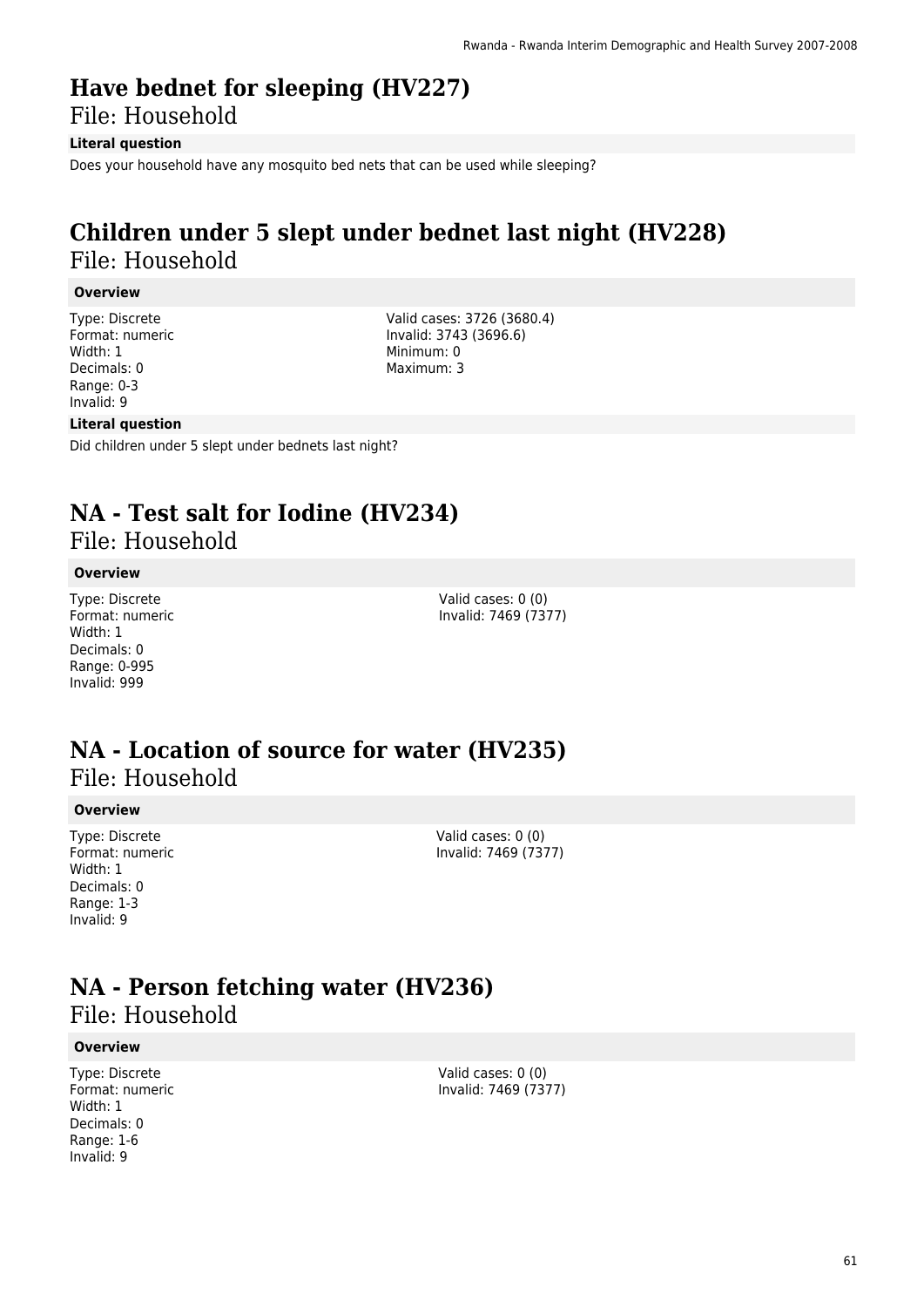## **Have bednet for sleeping (HV227)**

File: Household

### **Literal question**

Does your household have any mosquito bed nets that can be used while sleeping?

## **Children under 5 slept under bednet last night (HV228)**  File: Household

#### **Overview**

Type: Discrete Format: numeric Width: 1 Decimals: 0 Range: 0-3 Invalid: 9

Valid cases: 3726 (3680.4) Invalid: 3743 (3696.6) Minimum: 0 Maximum: 3

### **Literal question**

Did children under 5 slept under bednets last night?

### **NA - Test salt for Iodine (HV234)**  File: Household

#### **Overview**

Type: Discrete Format: numeric Width: 1 Decimals: 0 Range: 0-995 Invalid: 999

Valid cases: 0 (0) Invalid: 7469 (7377)

## **NA - Location of source for water (HV235)**  File: Household

### **Overview**

Type: Discrete Format: numeric Width: 1 Decimals: 0 Range: 1-3 Invalid: 9

Valid cases: 0 (0) Invalid: 7469 (7377)

### **NA - Person fetching water (HV236)**  File: Household

#### **Overview**

Type: Discrete Format: numeric Width: 1 Decimals: 0 Range: 1-6 Invalid: 9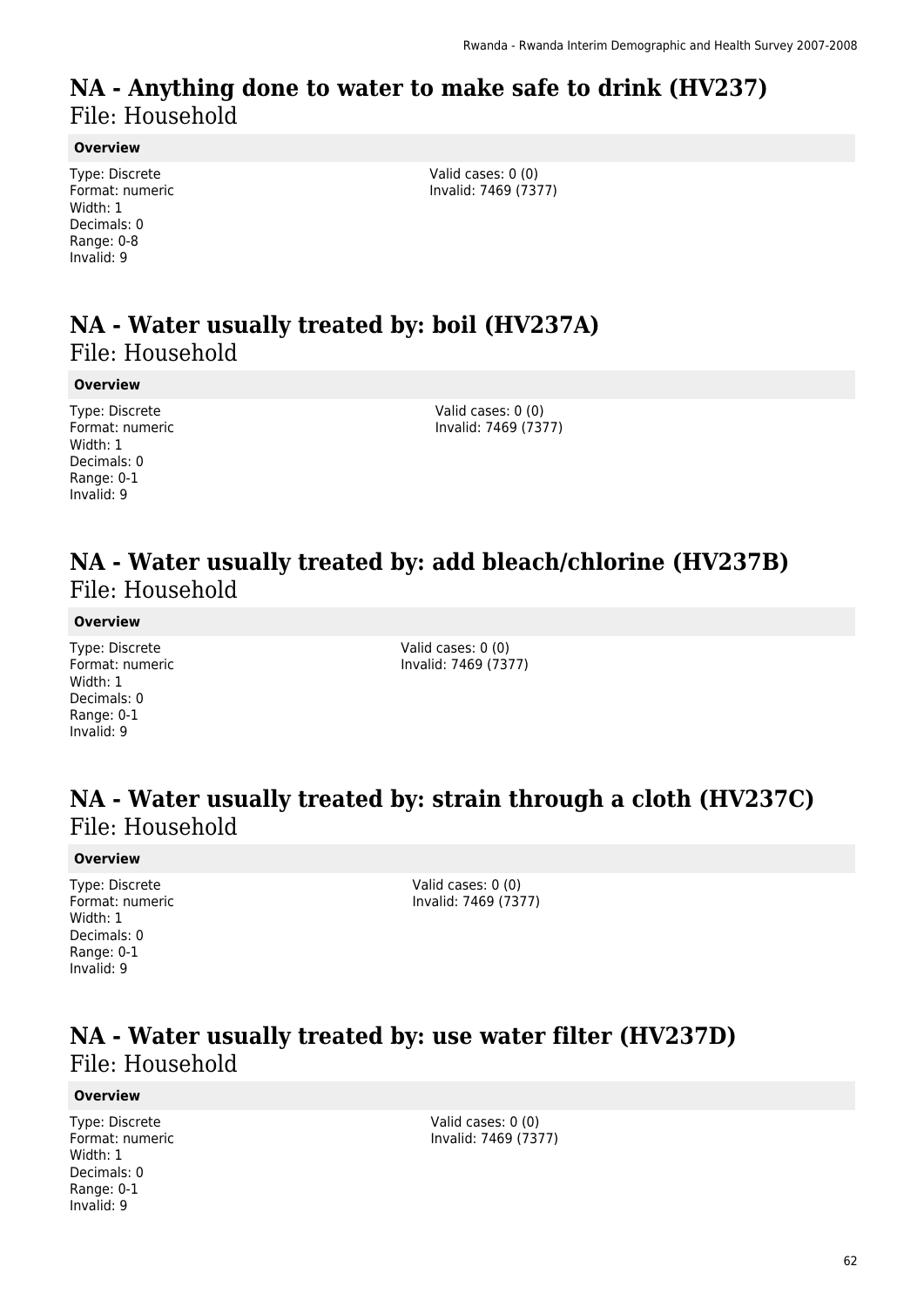## **NA - Anything done to water to make safe to drink (HV237)**  File: Household

### **Overview**

Type: Discrete Format: numeric Width: 1 Decimals: 0 Range: 0-8 Invalid: 9

Valid cases: 0 (0) Invalid: 7469 (7377)

## **NA - Water usually treated by: boil (HV237A)**  File: Household

#### **Overview**

Type: Discrete Format: numeric Width: 1 Decimals: 0 Range: 0-1 Invalid: 9

Valid cases: 0 (0) Invalid: 7469 (7377)

## **NA - Water usually treated by: add bleach/chlorine (HV237B)**  File: Household

#### **Overview**

Type: Discrete Format: numeric Width: 1 Decimals: 0 Range: 0-1 Invalid: 9

Valid cases: 0 (0) Invalid: 7469 (7377)

## **NA - Water usually treated by: strain through a cloth (HV237C)**  File: Household

### **Overview**

Type: Discrete Format: numeric Width: 1 Decimals: 0 Range: 0-1 Invalid: 9

Valid cases: 0 (0) Invalid: 7469 (7377)

## **NA - Water usually treated by: use water filter (HV237D)**  File: Household

### **Overview**

Type: Discrete Format: numeric Width: 1 Decimals: 0 Range: 0-1 Invalid: 9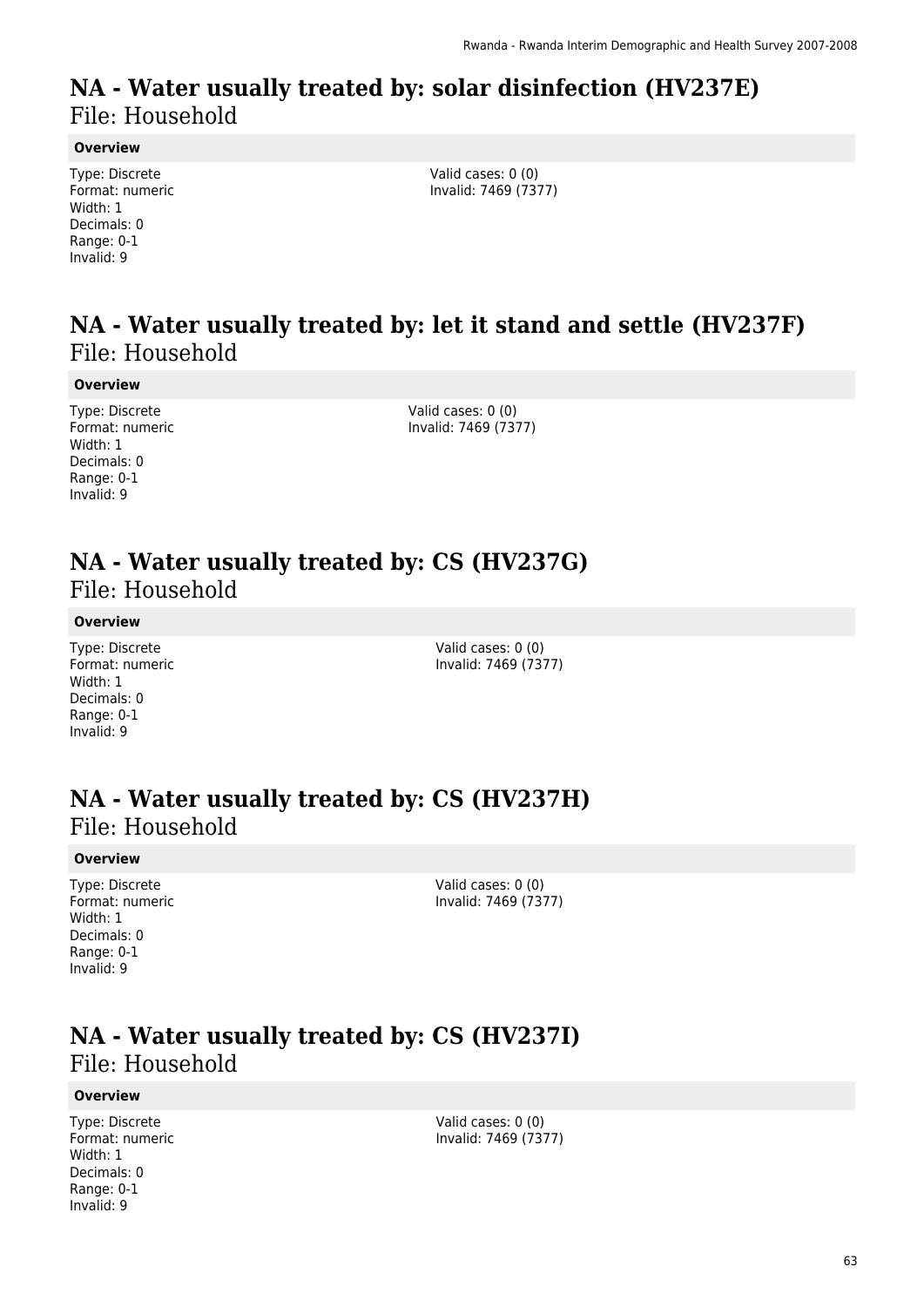## **NA - Water usually treated by: solar disinfection (HV237E)**  File: Household

### **Overview**

Type: Discrete Format: numeric Width: 1 Decimals: 0 Range: 0-1 Invalid: 9

Valid cases: 0 (0) Invalid: 7469 (7377)

## **NA - Water usually treated by: let it stand and settle (HV237F)**  File: Household

#### **Overview**

Type: Discrete Format: numeric Width: 1 Decimals: 0 Range: 0-1 Invalid: 9

Valid cases: 0 (0) Invalid: 7469 (7377)

## **NA - Water usually treated by: CS (HV237G)**  File: Household

#### **Overview**

Type: Discrete Format: numeric Width: 1 Decimals: 0 Range: 0-1 Invalid: 9

Valid cases: 0 (0) Invalid: 7469 (7377)

## **NA - Water usually treated by: CS (HV237H)**  File: Household

### **Overview**

Type: Discrete Format: numeric Width: 1 Decimals: 0 Range: 0-1 Invalid: 9

Valid cases: 0 (0) Invalid: 7469 (7377)

## **NA - Water usually treated by: CS (HV237I)**  File: Household

### **Overview**

Type: Discrete Format: numeric Width: 1 Decimals: 0 Range: 0-1 Invalid: 9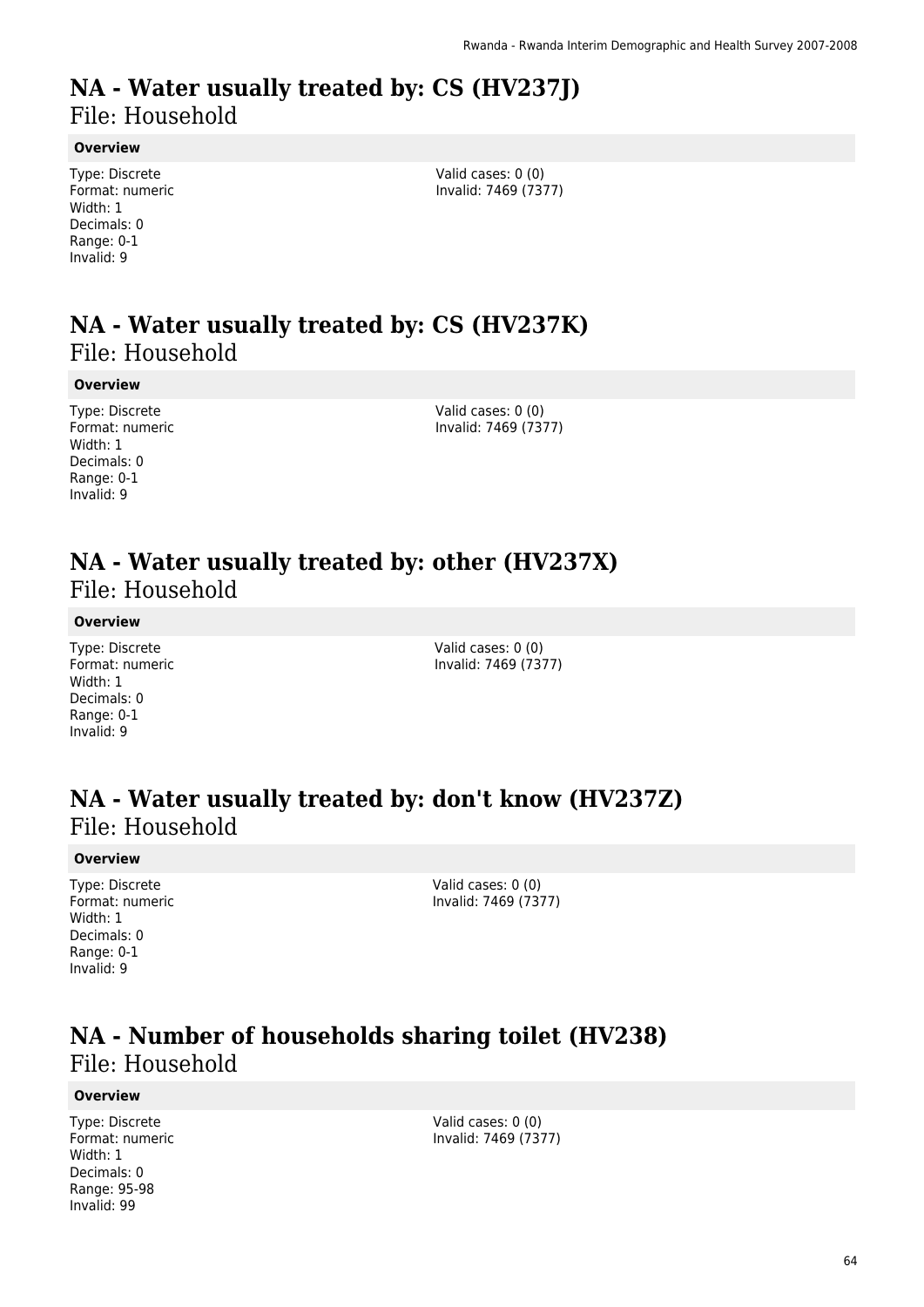### **NA - Water usually treated by: CS (HV237J)**  File: Household

### **Overview**

Type: Discrete Format: numeric Width: 1 Decimals: 0 Range: 0-1 Invalid: 9

Valid cases: 0 (0) Invalid: 7469 (7377)

## **NA - Water usually treated by: CS (HV237K)**  File: Household

#### **Overview**

Type: Discrete Format: numeric Width: 1 Decimals: 0 Range: 0-1 Invalid: 9

Valid cases: 0 (0) Invalid: 7469 (7377)

## **NA - Water usually treated by: other (HV237X)**  File: Household

#### **Overview**

Type: Discrete Format: numeric Width: 1 Decimals: 0 Range: 0-1 Invalid: 9

Valid cases: 0 (0) Invalid: 7469 (7377)

## **NA - Water usually treated by: don't know (HV237Z)**  File: Household

### **Overview**

Type: Discrete Format: numeric Width: 1 Decimals: 0 Range: 0-1 Invalid: 9

Valid cases: 0 (0) Invalid: 7469 (7377)

## **NA - Number of households sharing toilet (HV238)**  File: Household

### **Overview**

Type: Discrete Format: numeric Width: 1 Decimals: 0 Range: 95-98 Invalid: 99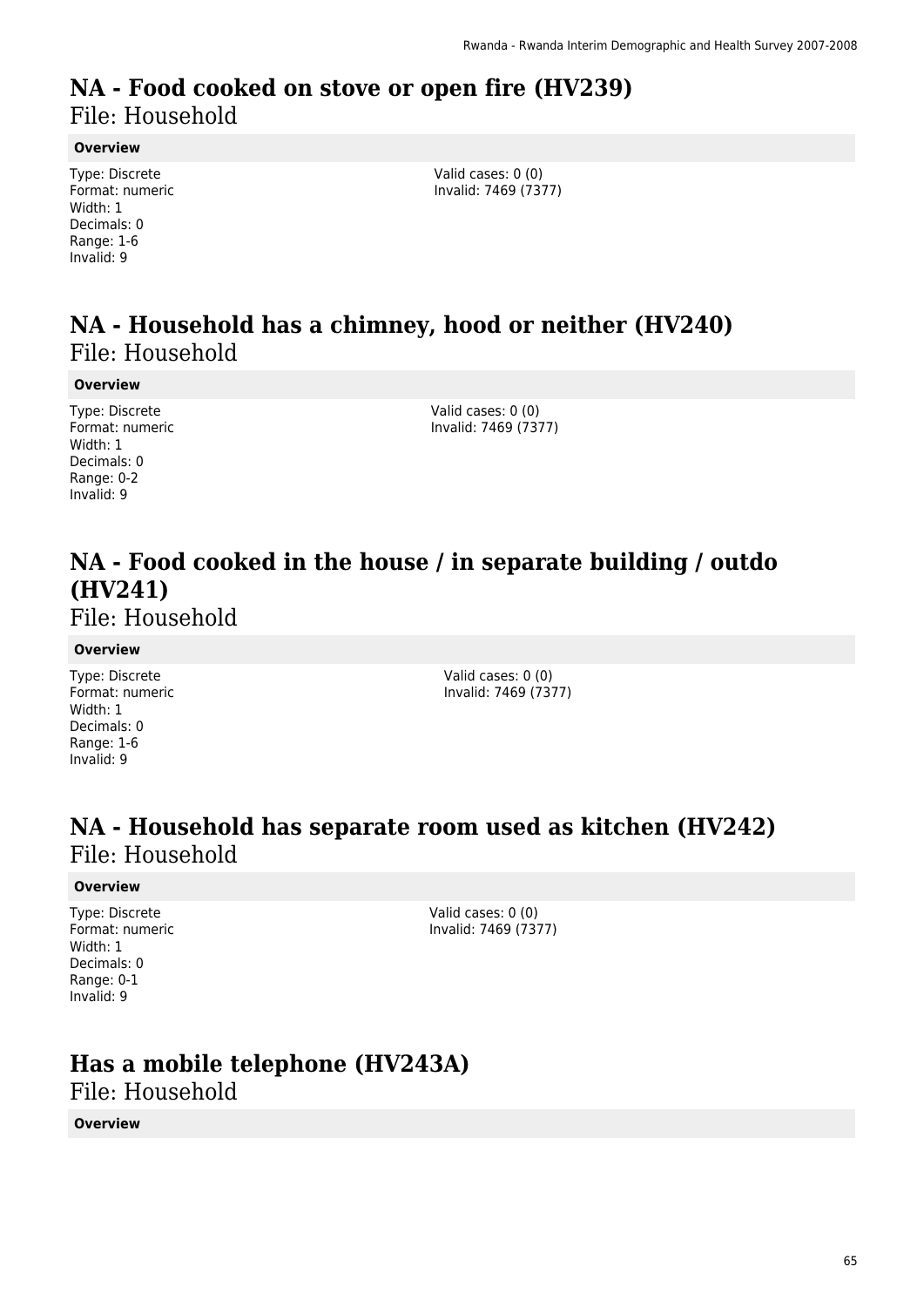### **NA - Food cooked on stove or open fire (HV239)**  File: Household

### **Overview**

Type: Discrete Format: numeric Width: 1 Decimals: 0 Range: 1-6 Invalid: 9

Valid cases: 0 (0) Invalid: 7469 (7377)

## **NA - Household has a chimney, hood or neither (HV240)**  File: Household

### **Overview**

Type: Discrete Format: numeric Width: 1 Decimals: 0 Range: 0-2 Invalid: 9

Valid cases: 0 (0) Invalid: 7469 (7377)

## **NA - Food cooked in the house / in separate building / outdo (HV241)**

File: Household

**Overview**

Type: Discrete Format: numeric Width: 1 Decimals: 0 Range: 1-6 Invalid: 9

Valid cases: 0 (0) Invalid: 7469 (7377)

## **NA - Household has separate room used as kitchen (HV242)**  File: Household

### **Overview**

Type: Discrete Format: numeric Width: 1 Decimals: 0 Range: 0-1 Invalid: 9

Valid cases: 0 (0) Invalid: 7469 (7377)

### **Has a mobile telephone (HV243A)**  File: Household

### **Overview**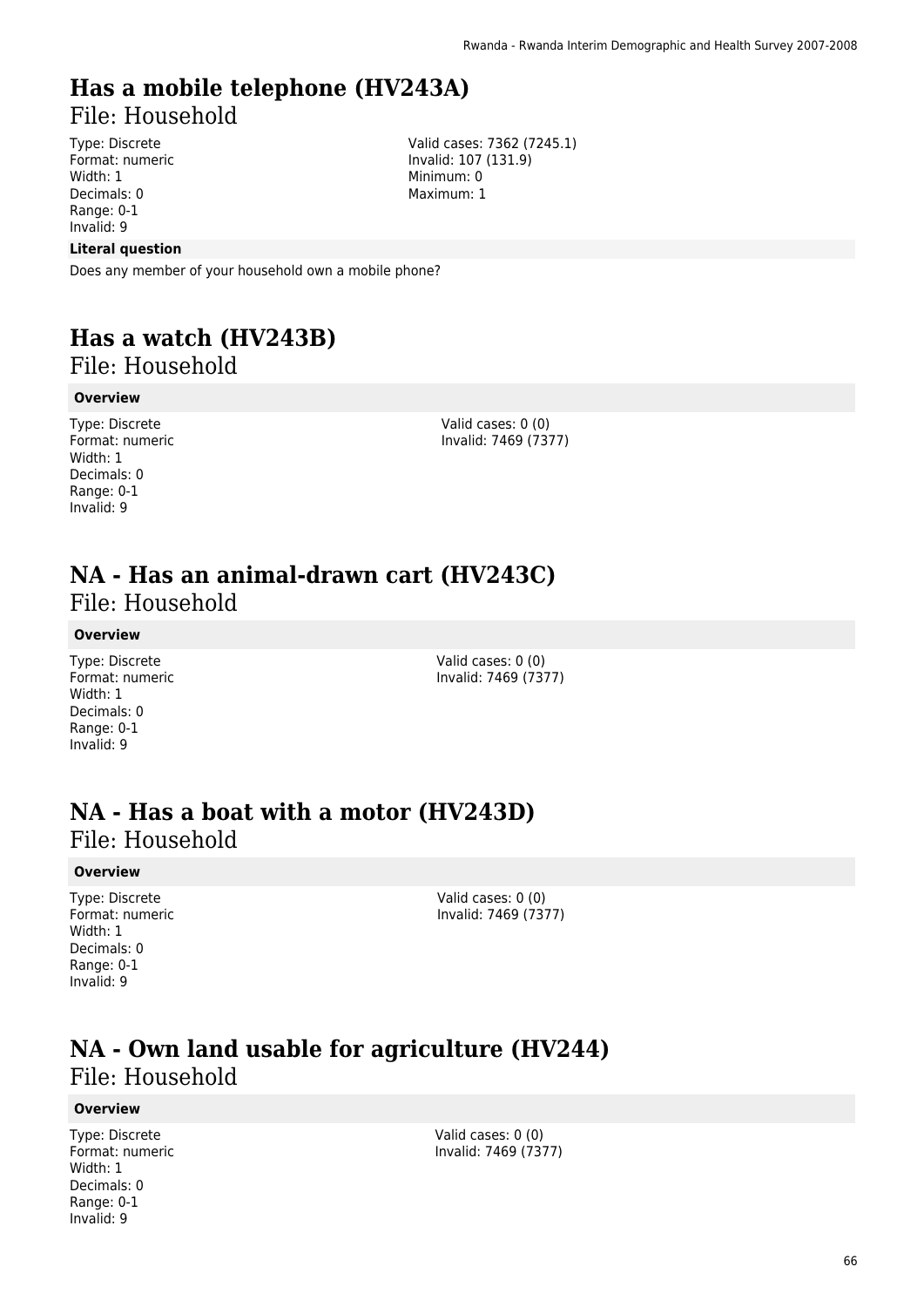# **Has a mobile telephone (HV243A)**

File: Household

Type: Discrete Format: numeric Width: 1 Decimals: 0 Range: 0-1 Invalid: 9

Valid cases: 7362 (7245.1) Invalid: 107 (131.9) Minimum: 0 Maximum: 1

### **Literal question**

Does any member of your household own a mobile phone?

### **Has a watch (HV243B)**  File: Household

### **Overview**

Type: Discrete Format: numeric Width: 1 Decimals: 0 Range: 0-1 Invalid: 9

Valid cases: 0 (0) Invalid: 7469 (7377)

## **NA - Has an animal-drawn cart (HV243C)**  File: Household

#### **Overview**

Type: Discrete Format: numeric Width: 1 Decimals: 0 Range: 0-1 Invalid: 9

Valid cases: 0 (0) Invalid: 7469 (7377)

### **NA - Has a boat with a motor (HV243D)**  File: Household

### **Overview**

Type: Discrete Format: numeric Width: 1 Decimals: 0 Range: 0-1 Invalid: 9

Valid cases: 0 (0) Invalid: 7469 (7377)

## **NA - Own land usable for agriculture (HV244)**  File: Household

### **Overview**

Type: Discrete Format: numeric Width: 1 Decimals: 0 Range: 0-1 Invalid: 9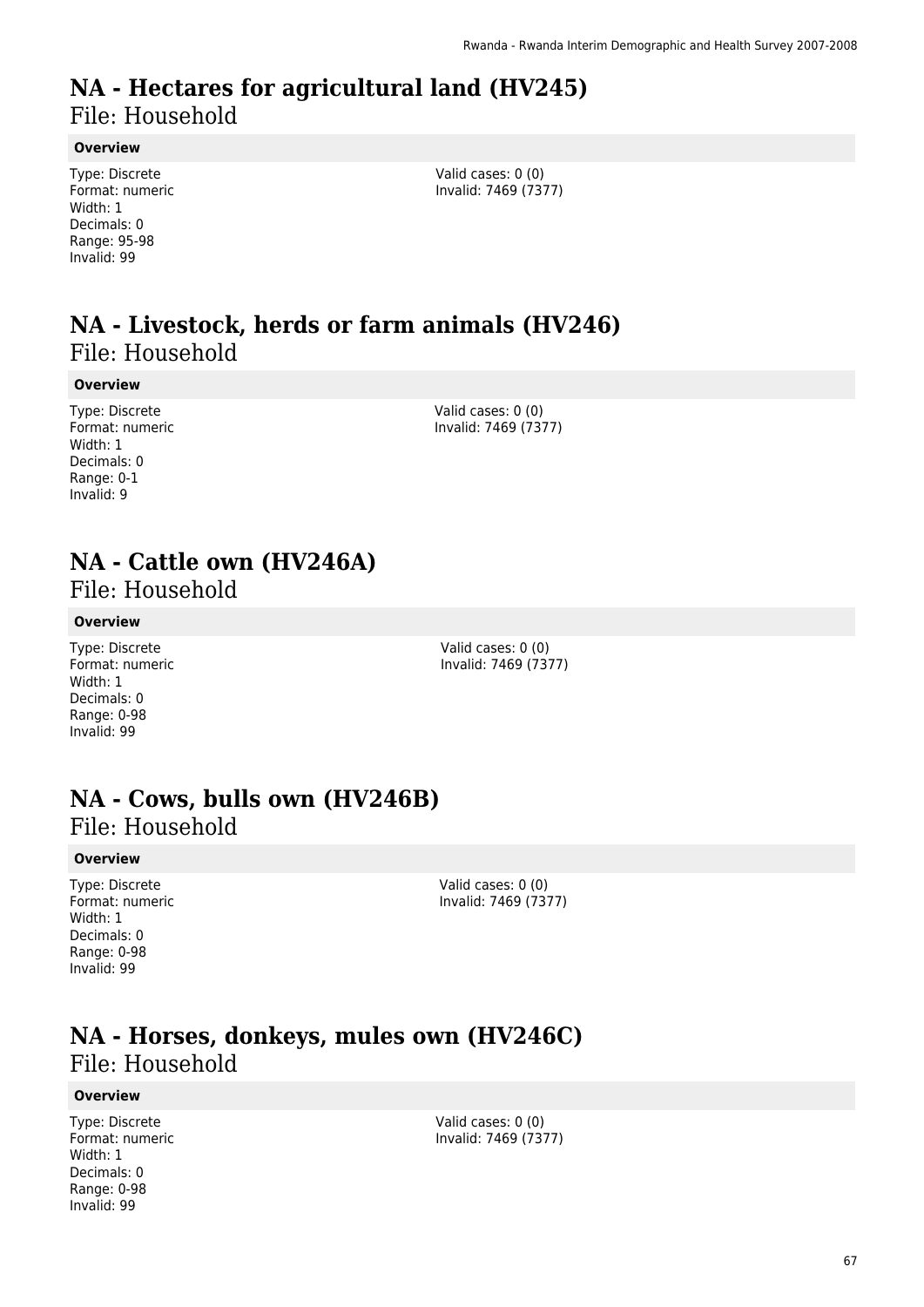### **NA - Hectares for agricultural land (HV245)**  File: Household

### **Overview**

Type: Discrete Format: numeric Width: 1 Decimals: 0 Range: 95-98 Invalid: 99

Valid cases: 0 (0) Invalid: 7469 (7377)

## **NA - Livestock, herds or farm animals (HV246)**  File: Household

#### **Overview**

Type: Discrete Format: numeric Width: 1 Decimals: 0 Range: 0-1 Invalid: 9

Valid cases: 0 (0) Invalid: 7469 (7377)

### **NA - Cattle own (HV246A)**  File: Household

#### **Overview**

Type: Discrete Format: numeric Width: 1 Decimals: 0 Range: 0-98 Invalid: 99

Valid cases: 0 (0) Invalid: 7469 (7377)

### **NA - Cows, bulls own (HV246B)**  File: Household

#### **Overview**

Type: Discrete Format: numeric Width: 1 Decimals: 0 Range: 0-98 Invalid: 99

Valid cases: 0 (0) Invalid: 7469 (7377)

## **NA - Horses, donkeys, mules own (HV246C)**  File: Household

### **Overview**

Type: Discrete Format: numeric Width: 1 Decimals: 0 Range: 0-98 Invalid: 99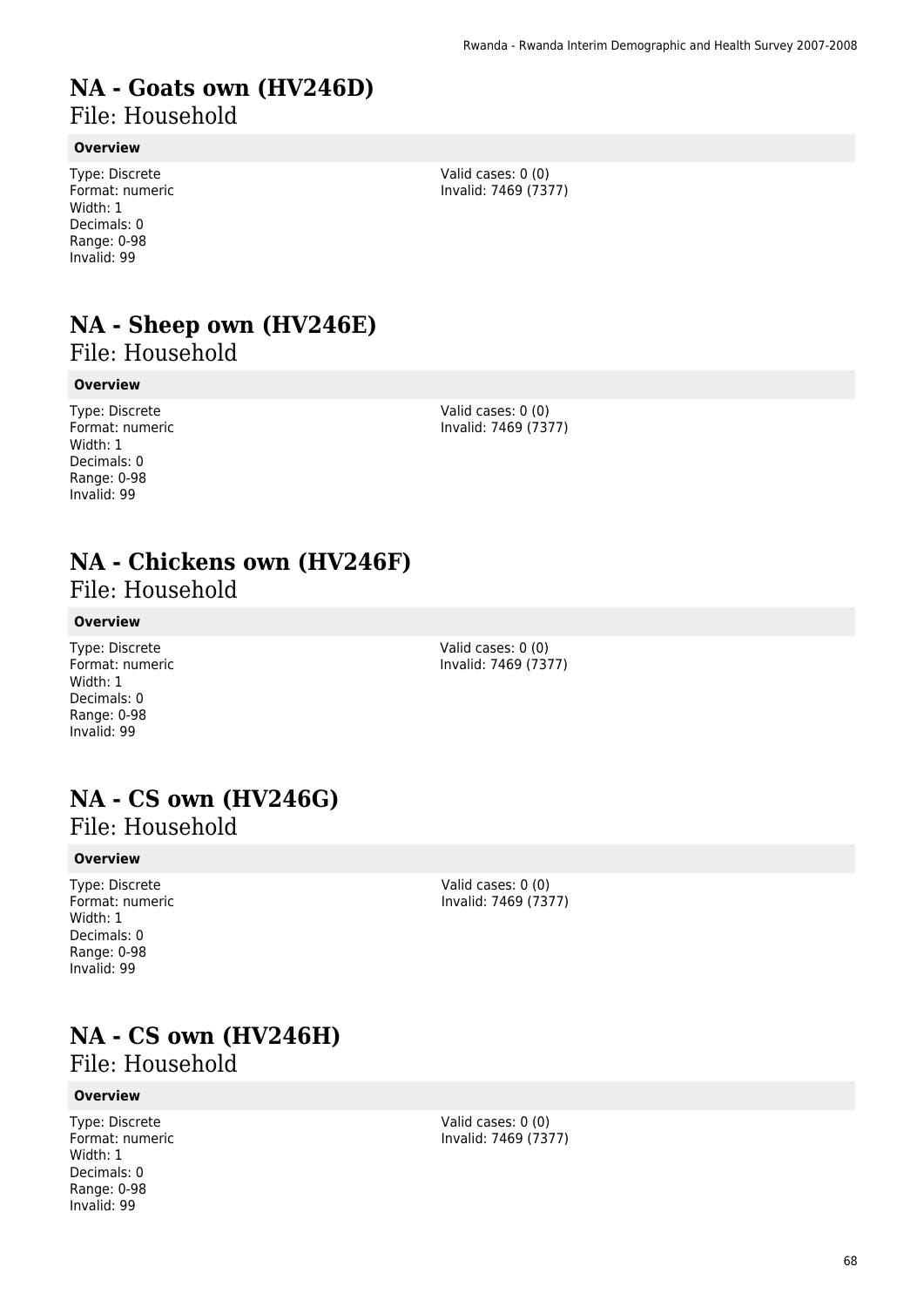### **NA - Goats own (HV246D)**  File: Household

#### **Overview**

Type: Discrete Format: numeric Width: 1 Decimals: 0 Range: 0-98 Invalid: 99

Valid cases: 0 (0) Invalid: 7469 (7377)

### **NA - Sheep own (HV246E)**  File: Household

#### **Overview**

Type: Discrete Format: numeric Width: 1 Decimals: 0 Range: 0-98 Invalid: 99

Valid cases: 0 (0) Invalid: 7469 (7377)

### **NA - Chickens own (HV246F)**  File: Household

#### **Overview**

Type: Discrete Format: numeric Width: 1 Decimals: 0 Range: 0-98 Invalid: 99

Valid cases: 0 (0) Invalid: 7469 (7377)

### **NA - CS own (HV246G)**  File: Household

#### **Overview**

Type: Discrete Format: numeric Width: 1 Decimals: 0 Range: 0-98 Invalid: 99

Valid cases: 0 (0) Invalid: 7469 (7377)

## **NA - CS own (HV246H)**  File: Household

### **Overview**

Type: Discrete Format: numeric Width: 1 Decimals: 0 Range: 0-98 Invalid: 99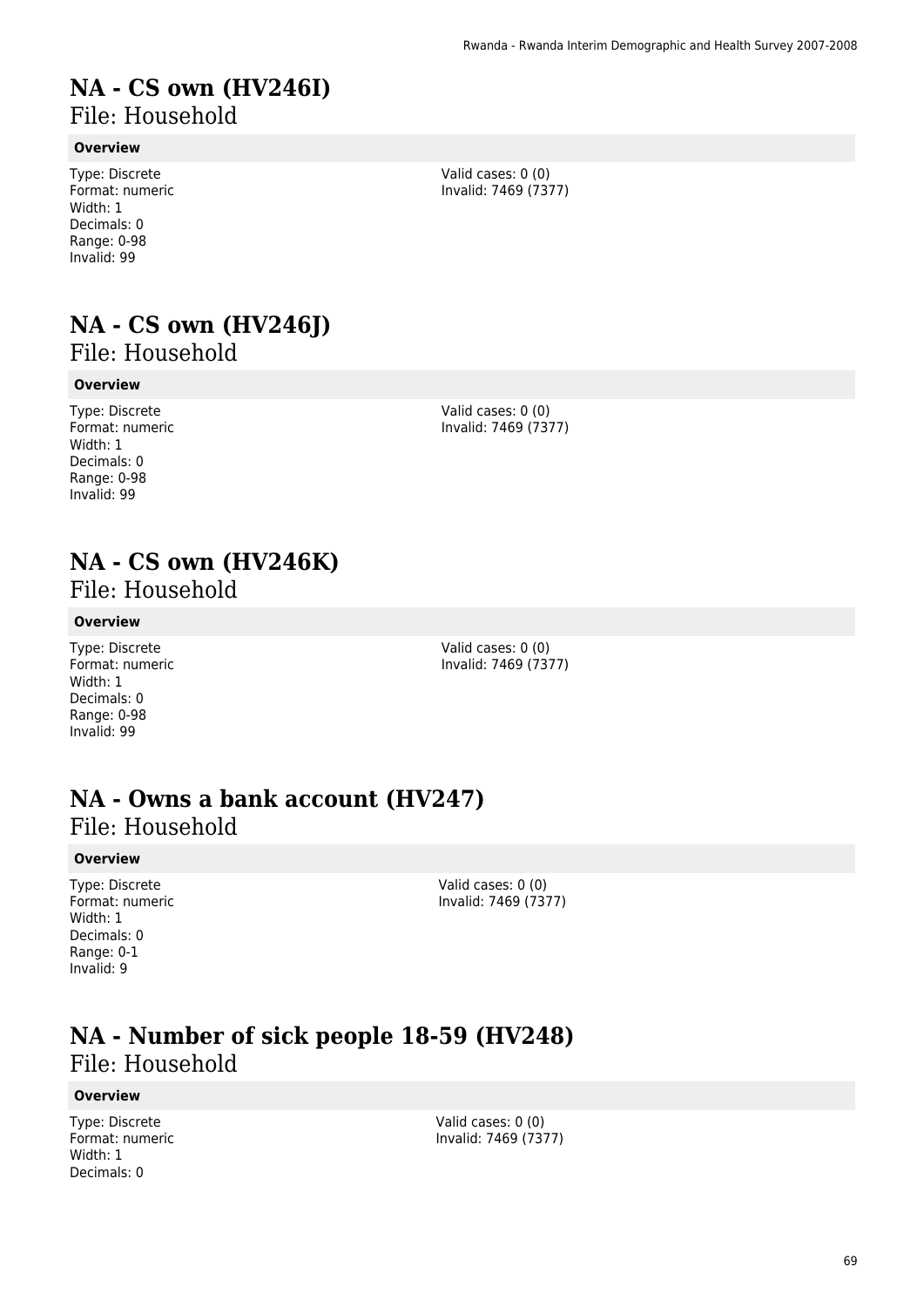### **NA - CS own (HV246I)**  File: Household

#### **Overview**

Type: Discrete Format: numeric Width: 1 Decimals: 0 Range: 0-98 Invalid: 99

Valid cases: 0 (0) Invalid: 7469 (7377)

### **NA - CS own (HV246J)**  File: Household

#### **Overview**

Type: Discrete Format: numeric Width: 1 Decimals: 0 Range: 0-98 Invalid: 99

Valid cases: 0 (0) Invalid: 7469 (7377)

### **NA - CS own (HV246K)**  File: Household

#### **Overview**

Type: Discrete Format: numeric Width: 1 Decimals: 0 Range: 0-98 Invalid: 99

Valid cases: 0 (0) Invalid: 7469 (7377)

### **NA - Owns a bank account (HV247)**  File: Household

#### **Overview**

Type: Discrete Format: numeric Width: 1 Decimals: 0 Range: 0-1 Invalid: 9

Valid cases: 0 (0) Invalid: 7469 (7377)

## **NA - Number of sick people 18-59 (HV248)**  File: Household

### **Overview**

Type: Discrete Format: numeric Width: 1 Decimals: 0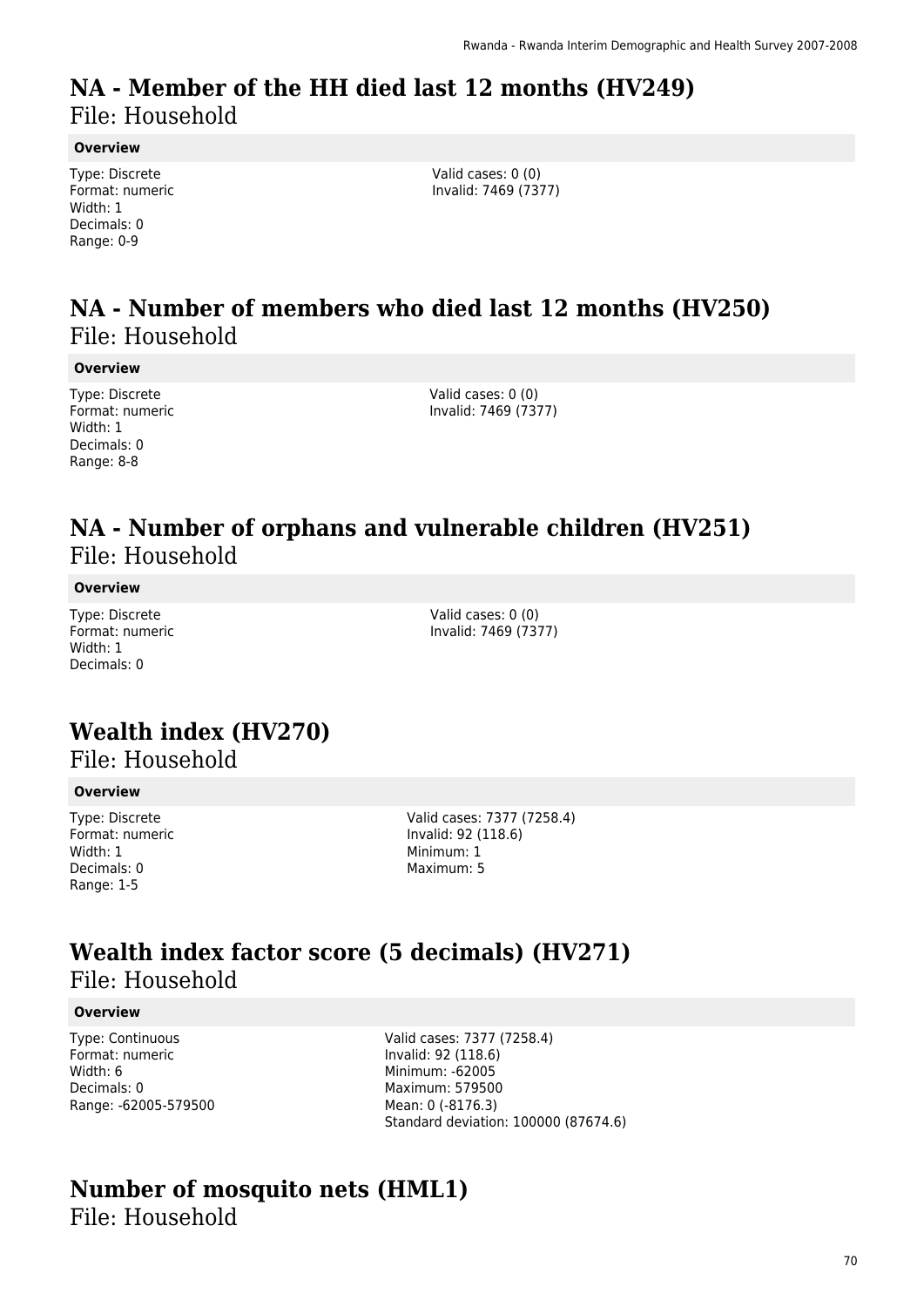### **NA - Member of the HH died last 12 months (HV249)**  File: Household

#### **Overview**

Type: Discrete Format: numeric Width: 1 Decimals: 0 Range: 0-9

Valid cases: 0 (0) Invalid: 7469 (7377)

## **NA - Number of members who died last 12 months (HV250)**  File: Household

**Overview**

Type: Discrete Format: numeric Width: 1 Decimals: 0 Range: 8-8

Valid cases: 0 (0) Invalid: 7469 (7377)

## **NA - Number of orphans and vulnerable children (HV251)**  File: Household

### **Overview**

Type: Discrete Format: numeric Width: 1 Decimals: 0

Valid cases: 0 (0) Invalid: 7469 (7377)

## **Wealth index (HV270)**

File: Household

### **Overview**

Type: Discrete Format: numeric Width: 1 Decimals: 0 Range: 1-5

Valid cases: 7377 (7258.4) Invalid: 92 (118.6) Minimum: 1 Maximum: 5

### **Wealth index factor score (5 decimals) (HV271)**  File: Household

#### **Overview**

Type: Continuous Format: numeric Width: 6 Decimals: 0 Range: -62005-579500

Valid cases: 7377 (7258.4) Invalid: 92 (118.6) Minimum: -62005 Maximum: 579500 Mean: 0 (-8176.3) Standard deviation: 100000 (87674.6)

## **Number of mosquito nets (HML1)**

File: Household

70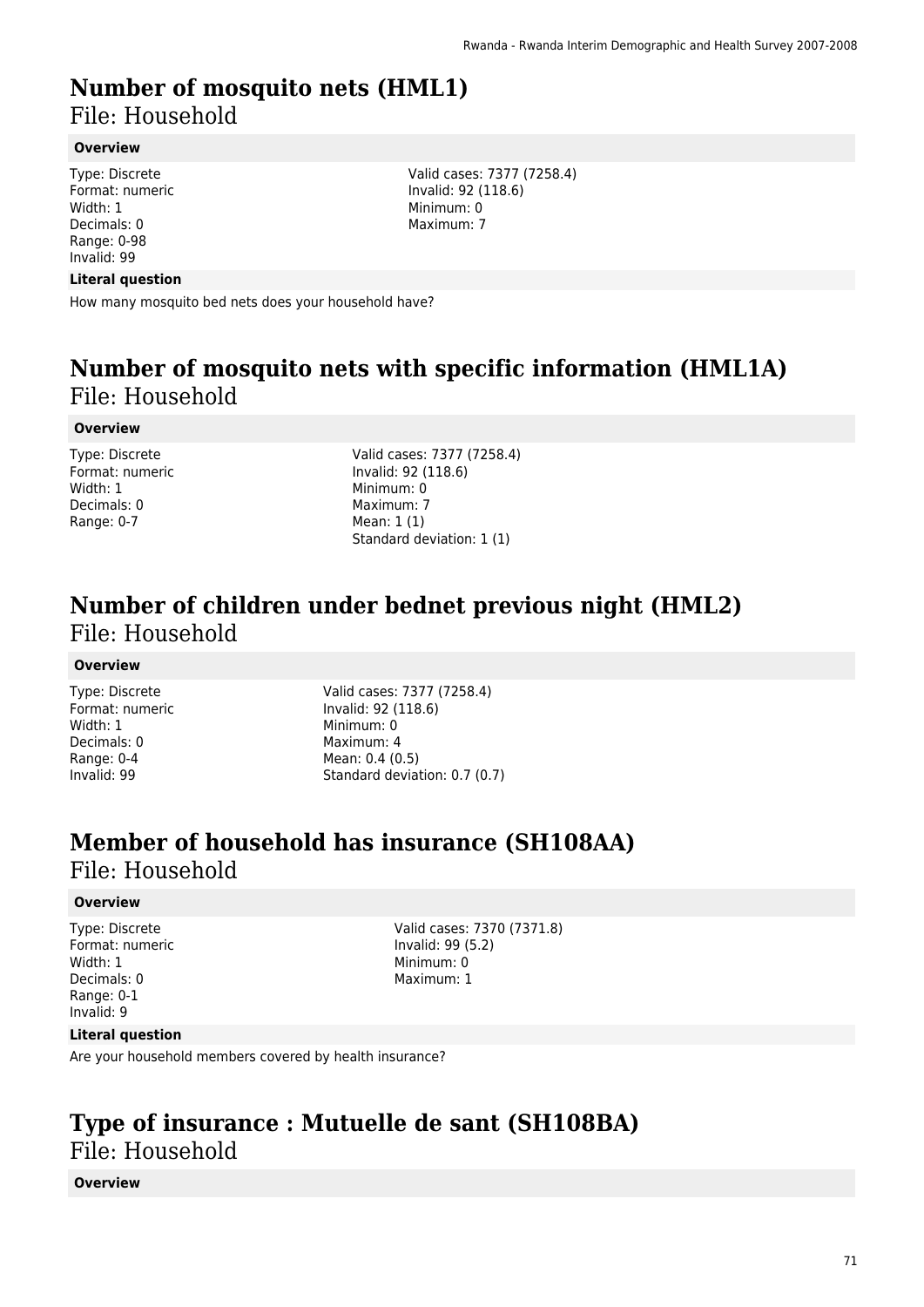# **Number of mosquito nets (HML1)**

File: Household

### **Overview**

Type: Discrete Format: numeric Width: 1 Decimals: 0 Range: 0-98 Invalid: 99

### **Literal question**

How many mosquito bed nets does your household have?

## **Number of mosquito nets with specific information (HML1A)**  File: Household

### **Overview**

Type: Discrete Format: numeric Width: 1 Decimals: 0 Range: 0-7

Valid cases: 7377 (7258.4) Invalid: 92 (118.6) Minimum: 0 Maximum: 7 Mean: 1 (1) Standard deviation: 1 (1)

## **Number of children under bednet previous night (HML2)**  File: Household

### **Overview**

Type: Discrete Format: numeric Width: 1 Decimals: 0 Range: 0-4 Invalid: 99

Valid cases: 7377 (7258.4) Invalid: 92 (118.6) Minimum: 0 Maximum: 4 Mean: 0.4 (0.5) Standard deviation: 0.7 (0.7)

### **Member of household has insurance (SH108AA)**  File: Household

### **Overview**

Type: Discrete Format: numeric Width: 1 Decimals: 0 Range: 0-1 Invalid: 9

Valid cases: 7370 (7371.8) Invalid: 99 (5.2) Minimum: 0 Maximum: 1

### **Literal question**

Are your household members covered by health insurance?

## **Type of insurance : Mutuelle de sant (SH108BA)**  File: Household

### **Overview**

Valid cases: 7377 (7258.4) Invalid: 92 (118.6) Minimum: 0 Maximum: 7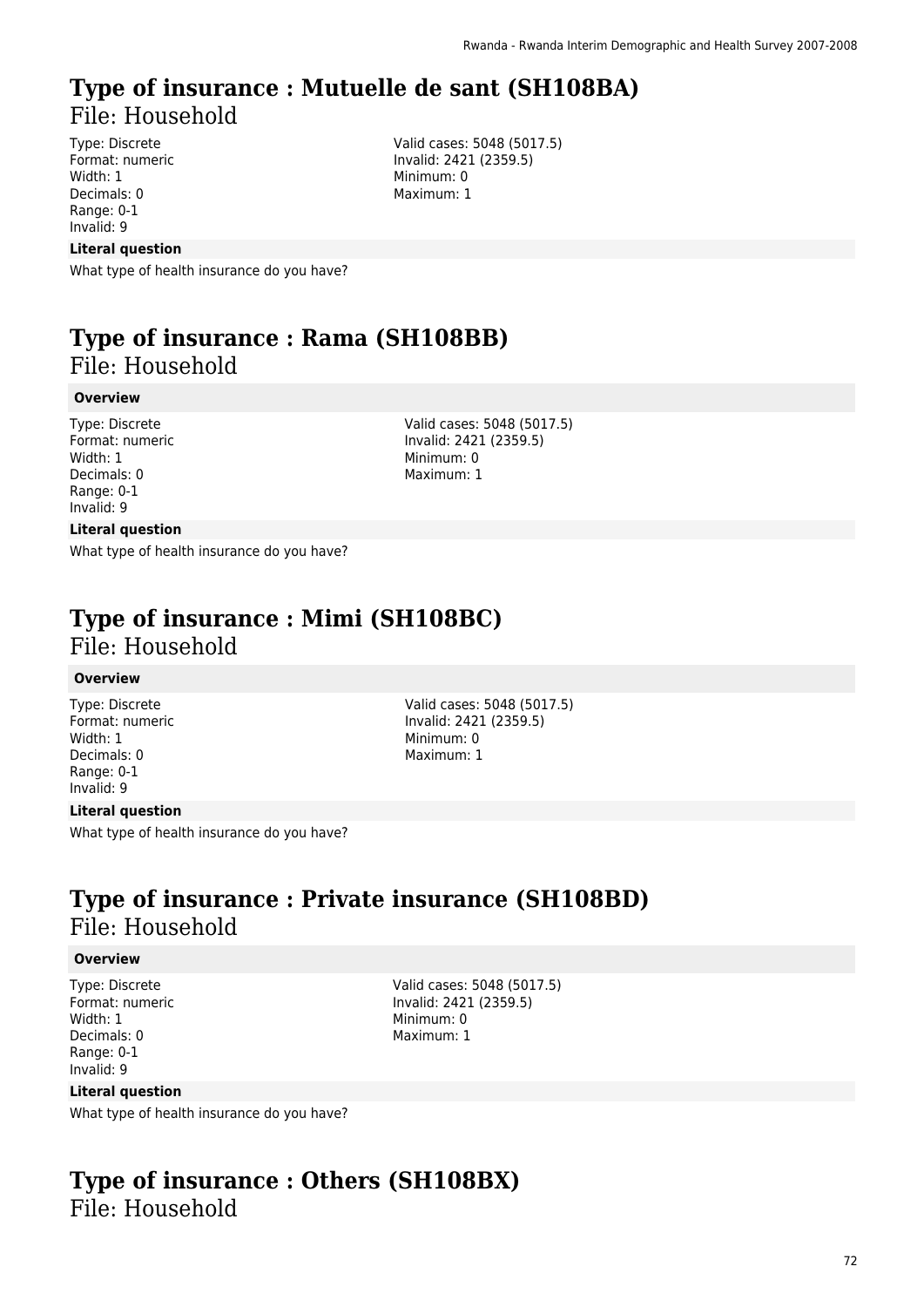### **Type of insurance : Mutuelle de sant (SH108BA)**  File: Household

Type: Discrete Format: numeric Width: 1 Decimals: 0 Range: 0-1 Invalid: 9

Valid cases: 5048 (5017.5) Invalid: 2421 (2359.5) Minimum: 0 Maximum: 1

### **Literal question**

What type of health insurance do you have?

## **Type of insurance : Rama (SH108BB)**  File: Household

#### **Overview**

Type: Discrete Format: numeric Width: 1 Decimals: 0 Range: 0-1 Invalid: 9

Valid cases: 5048 (5017.5) Invalid: 2421 (2359.5) Minimum: 0 Maximum: 1

#### **Literal question**

What type of health insurance do you have?

### **Type of insurance : Mimi (SH108BC)**  File: Household

### **Overview**

Type: Discrete Format: numeric Width: 1 Decimals: 0 Range: 0-1 Invalid: 9

Valid cases: 5048 (5017.5) Invalid: 2421 (2359.5) Minimum: 0 Maximum: 1

#### **Literal question**

What type of health insurance do you have?

## **Type of insurance : Private insurance (SH108BD)**  File: Household

### **Overview**

Type: Discrete Format: numeric Width: 1 Decimals: 0 Range: 0-1 Invalid: 9

Valid cases: 5048 (5017.5) Invalid: 2421 (2359.5) Minimum: 0 Maximum: 1

#### **Literal question**

What type of health insurance do you have?

### **Type of insurance : Others (SH108BX)**  File: Household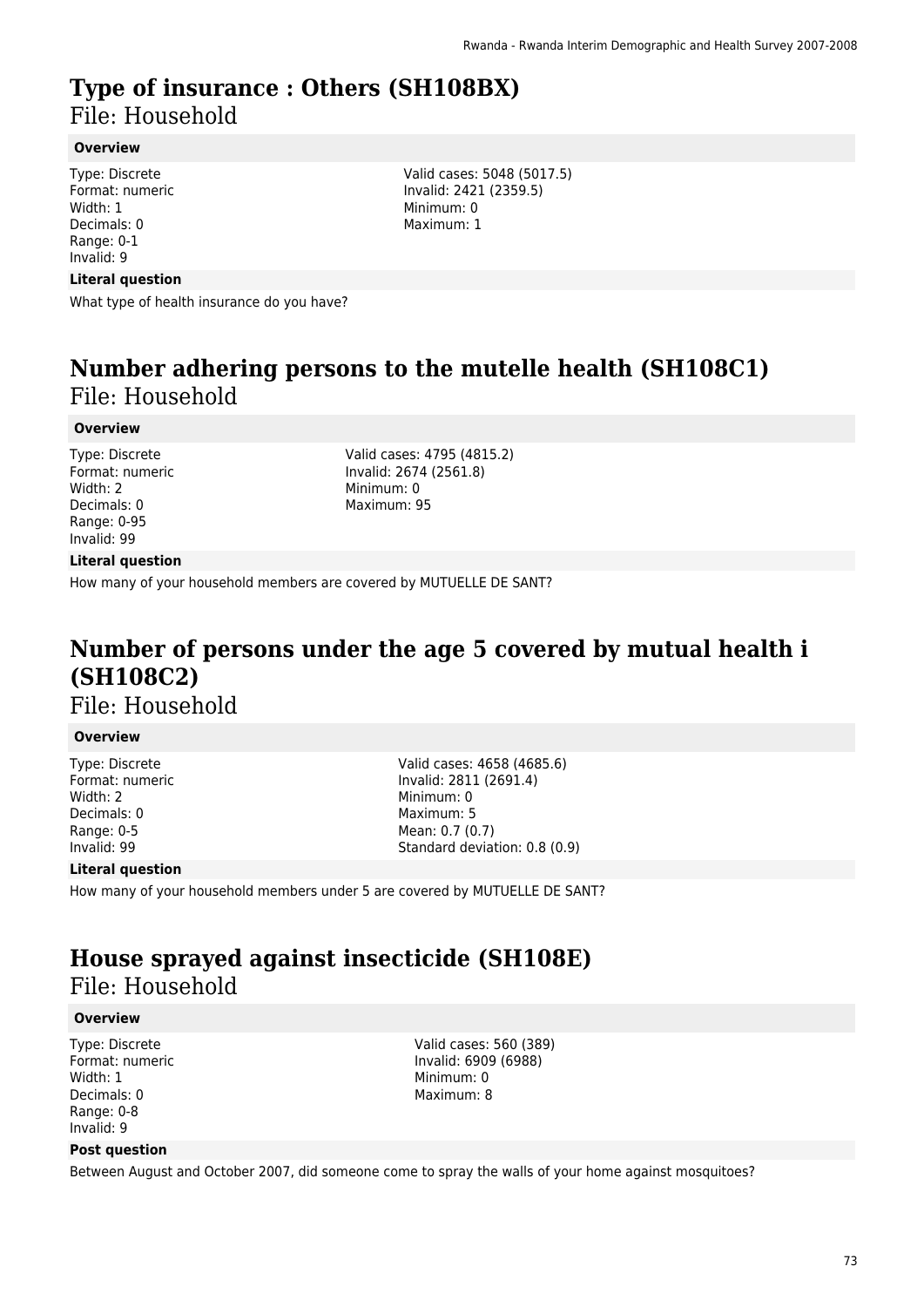### **Type of insurance : Others (SH108BX)**  File: Household

#### **Overview**

Type: Discrete Format: numeric Width: 1 Decimals: 0 Range: 0-1 Invalid: 9

#### **Literal question**

What type of health insurance do you have?

Valid cases: 5048 (5017.5) Invalid: 2421 (2359.5) Minimum: 0 Maximum: 1

### **Number adhering persons to the mutelle health (SH108C1)**  File: Household

#### **Overview**

Type: Discrete Format: numeric Width: 2 Decimals: 0 Range: 0-95 Invalid: 99

Valid cases: 4795 (4815.2) Invalid: 2674 (2561.8) Minimum: 0 Maximum: 95

#### **Literal question**

How many of your household members are covered by MUTUELLE DE SANT?

### **Number of persons under the age 5 covered by mutual health i (SH108C2)**  File: Household

#### **Overview**

Type: Discrete Format: numeric Width: 2 Decimals: 0 Range: 0-5 Invalid: 99

Valid cases: 4658 (4685.6) Invalid: 2811 (2691.4) Minimum: 0 Maximum: 5 Mean: 0.7 (0.7) Standard deviation: 0.8 (0.9)

#### **Literal question**

How many of your household members under 5 are covered by MUTUELLE DE SANT?

### **House sprayed against insecticide (SH108E)**  File: Household

#### **Overview**

Type: Discrete Format: numeric Width: 1 Decimals: 0 Range: 0-8 Invalid: 9

Valid cases: 560 (389) Invalid: 6909 (6988) Minimum: 0 Maximum: 8

#### **Post question**

Between August and October 2007, did someone come to spray the walls of your home against mosquitoes?

73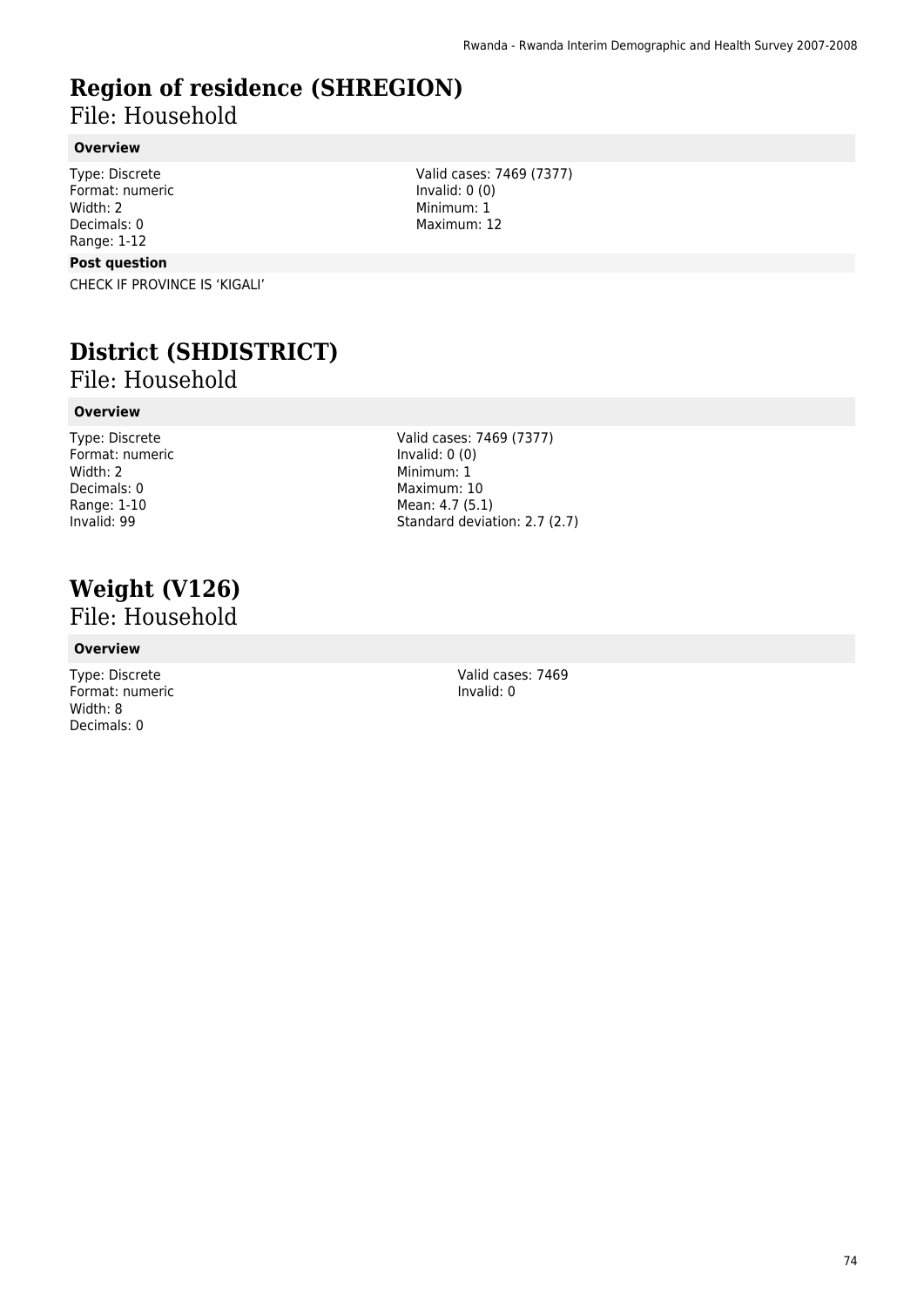# **Region of residence (SHREGION)**

File: Household

### **Overview**

Type: Discrete Format: numeric Width: 2 Decimals: 0 Range: 1-12

### **Post question**

CHECK IF PROVINCE IS 'KIGALI'

# **District (SHDISTRICT)**

File: Household

### **Overview**

Type: Discrete Format: numeric Width: 2 Decimals: 0 Range: 1-10 Invalid: 99

Valid cases: 7469 (7377) Invalid: 0 (0) Minimum: 1 Maximum: 10 Mean: 4.7 (5.1) Standard deviation: 2.7 (2.7)

Valid cases: 7469 (7377)

Invalid: 0 (0) Minimum: 1 Maximum: 12

# **Weight (V126)**

### File: Household

### **Overview**

Type: Discrete Format: numeric Width: 8 Decimals: 0

Valid cases: 7469 Invalid: 0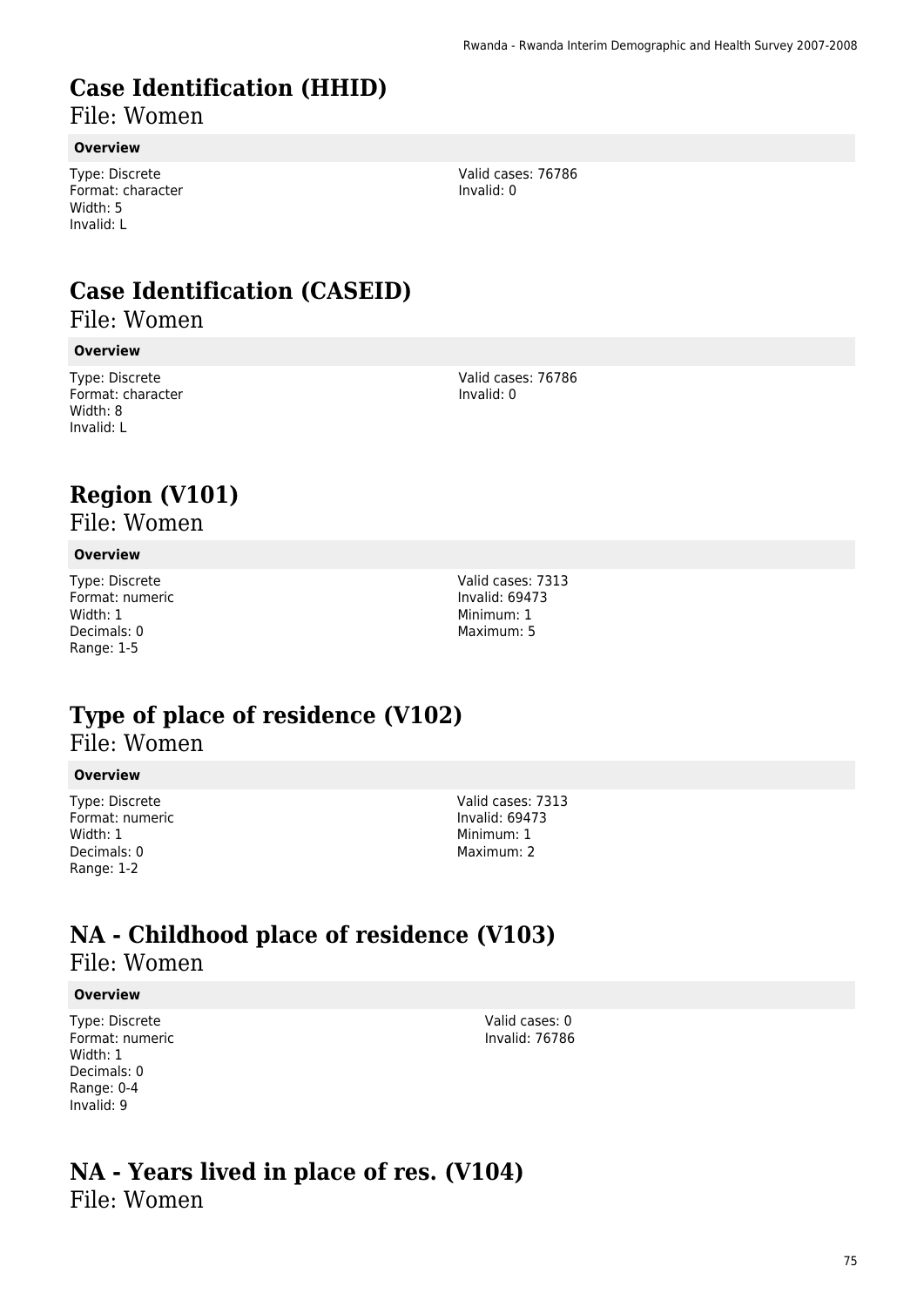# **Case Identification (HHID)**

File: Women

### **Overview**

Type: Discrete Format: character Width: 5 Invalid: L

Valid cases: 76786 Invalid: 0

# **Case Identification (CASEID)**

File: Women

### **Overview**

Type: Discrete Format: character Width: 8 Invalid: L

Valid cases: 76786 Invalid: 0

### **Region (V101)**  File: Women

#### **Overview**

Type: Discrete Format: numeric Width: 1 Decimals: 0 Range: 1-5

Valid cases: 7313 Invalid: 69473 Minimum: 1 Maximum: 5

# **Type of place of residence (V102)**  File: Women

### **Overview**

Type: Discrete Format: numeric Width: 1 Decimals: 0 Range: 1-2

Valid cases: 7313 Invalid: 69473 Minimum: 1 Maximum: 2

# **NA - Childhood place of residence (V103)**  File: Women

### **Overview**

Type: Discrete Format: numeric Width: 1 Decimals: 0 Range: 0-4 Invalid: 9

### **NA - Years lived in place of res. (V104)**  File: Women

Invalid: 76786

Valid cases: 0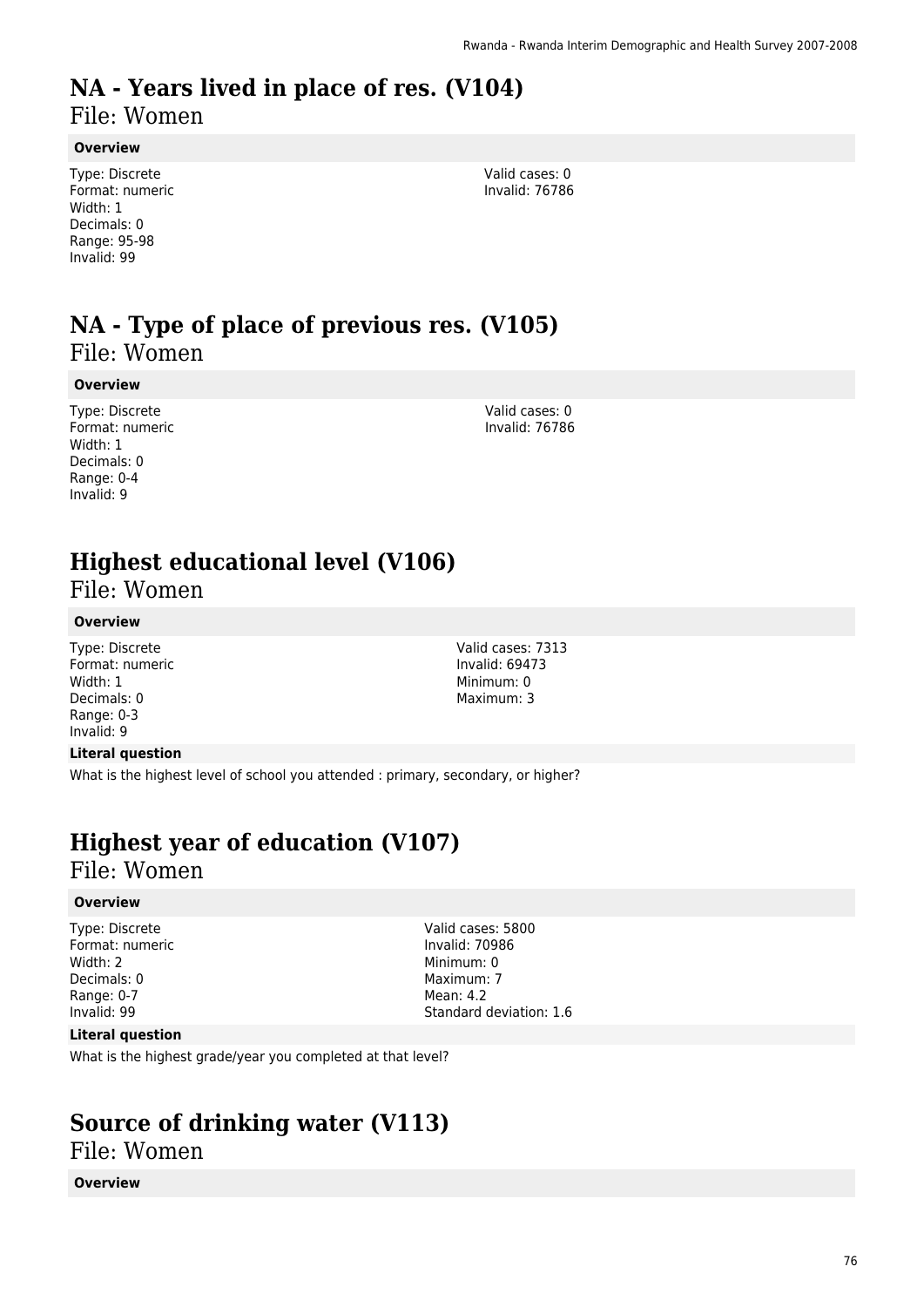### **NA - Years lived in place of res. (V104)**  File: Women

### **Overview**

Type: Discrete Format: numeric Width: 1 Decimals: 0 Range: 95-98 Invalid: 99

# **NA - Type of place of previous res. (V105)**  File: Women

#### **Overview**

Type: Discrete Format: numeric Width: 1 Decimals: 0 Range: 0-4 Invalid: 9

#### Valid cases: 0 Invalid: 76786

# **Highest educational level (V106)**

### File: Women

### **Overview**

Type: Discrete Format: numeric Width: 1 Decimals: 0 Range: 0-3 Invalid: 9

### **Literal question**

What is the highest level of school you attended : primary, secondary, or higher?

# **Highest year of education (V107)**

File: Women

### **Overview**

Type: Discrete Format: numeric Width: 2 Decimals: 0 Range: 0-7 Invalid: 99

Valid cases: 5800 Invalid: 70986 Minimum: 0 Maximum: 7 Mean: 4.2 Standard deviation: 1.6

### **Literal question**

What is the highest grade/year you completed at that level?

# **Source of drinking water (V113)**

File: Women

### **Overview**

Valid cases: 7313 Invalid: 69473 Minimum: 0 Maximum: 3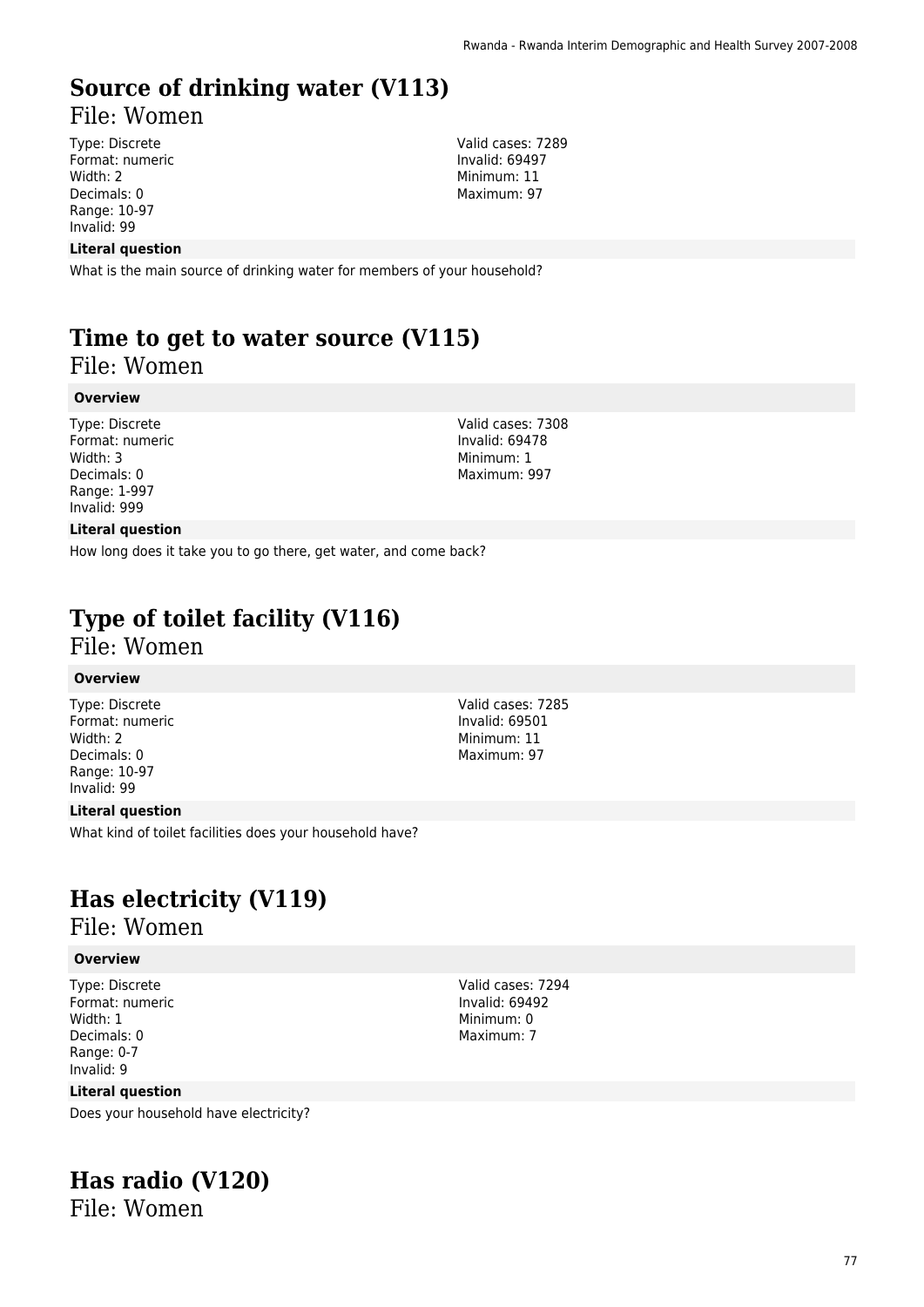### **Source of drinking water (V113)**  File: Women

Type: Discrete Format: numeric Width: 2 Decimals: 0 Range: 10-97 Invalid: 99

**Literal question**

What is the main source of drinking water for members of your household?

### **Time to get to water source (V115)**  File: Women

#### **Overview**

Type: Discrete Format: numeric Width: 3 Decimals: 0 Range: 1-997 Invalid: 999

### **Literal question**

How long does it take you to go there, get water, and come back?

# **Type of toilet facility (V116)**

File: Women

### **Overview**

Type: Discrete Format: numeric Width: 2 Decimals: 0 Range: 10-97 Invalid: 99

### **Literal question**

What kind of toilet facilities does your household have?

### **Has electricity (V119)**  File: Women

### **Overview**

Type: Discrete Format: numeric Width: 1 Decimals: 0 Range: 0-7 Invalid: 9

### **Literal question**

Does your household have electricity?

# **Has radio (V120)**

File: Women

Valid cases: 7285 Invalid: 69501 Minimum: 11 Maximum: 97

Valid cases: 7294 Invalid: 69492 Minimum: 0 Maximum: 7

Valid cases: 7289 Invalid: 69497 Minimum: 11 Maximum: 97

Valid cases: 7308 Invalid: 69478 Minimum: 1 Maximum: 997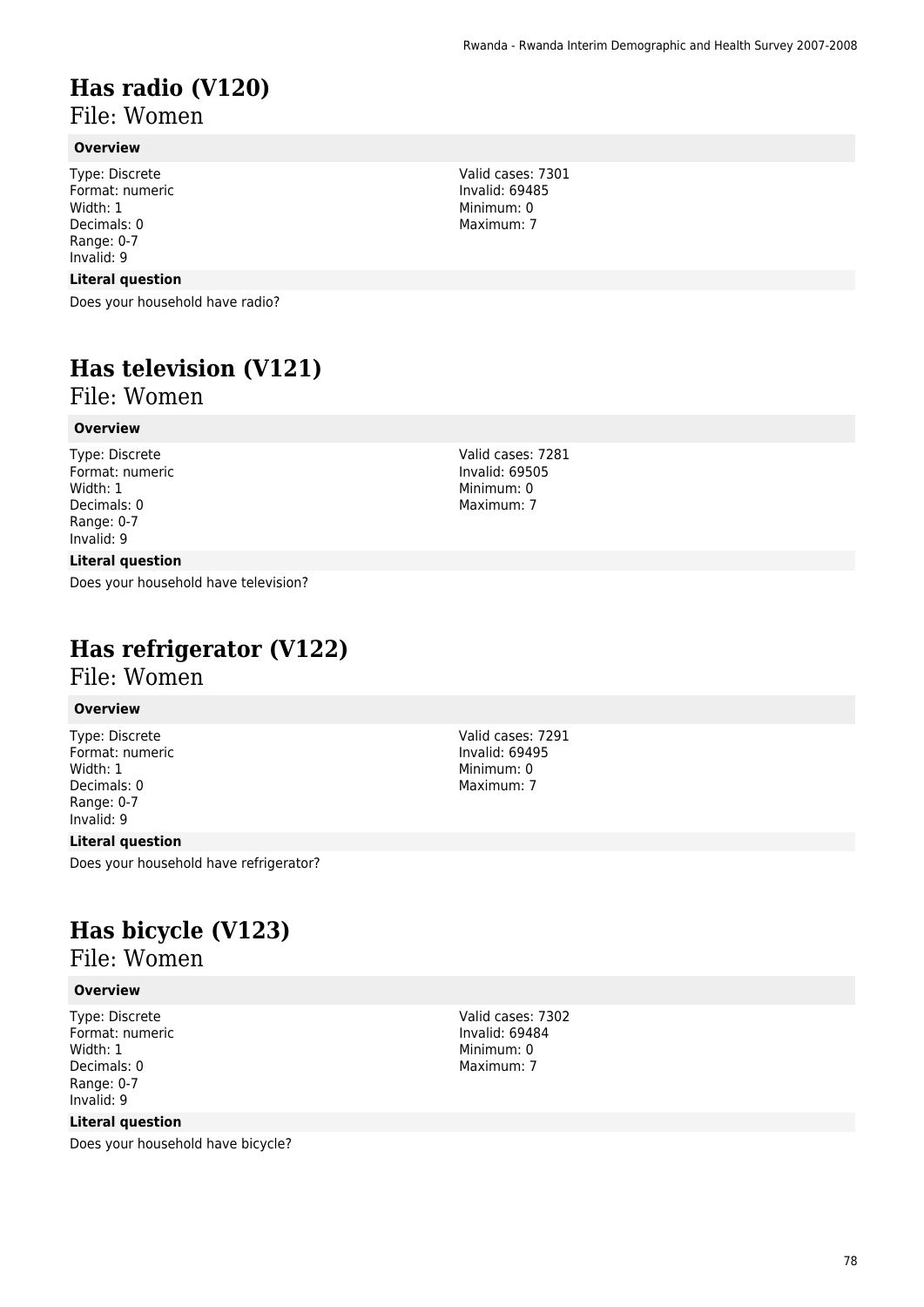# **Has radio (V120)**

# File: Women

### **Overview**

Type: Discrete Format: numeric Width: 1 Decimals: 0 Range: 0-7 Invalid: 9

#### **Literal question**

Does your household have radio?

### **Has television (V121)**  File: Women

#### **Overview**

Type: Discrete Format: numeric Width: 1 Decimals: 0 Range: 0-7 Invalid: 9

#### **Literal question**

Does your household have television?

### **Has refrigerator (V122)**  File: Women

#### **Overview**

Type: Discrete Format: numeric Width: 1 Decimals: 0 Range: 0-7 Invalid: 9

### **Literal question**

Does your household have refrigerator?

### **Has bicycle (V123)**  File: Women

#### **Overview**

Type: Discrete Format: numeric Width: 1 Decimals: 0 Range: 0-7 Invalid: 9

### **Literal question**

Does your household have bicycle?

Valid cases: 7301 Invalid: 69485 Minimum: 0 Maximum: 7

Valid cases: 7281 Invalid: 69505 Minimum: 0 Maximum: 7

Valid cases: 7291 Invalid: 69495 Minimum: 0 Maximum: 7

Valid cases: 7302 Invalid: 69484 Minimum: 0 Maximum: 7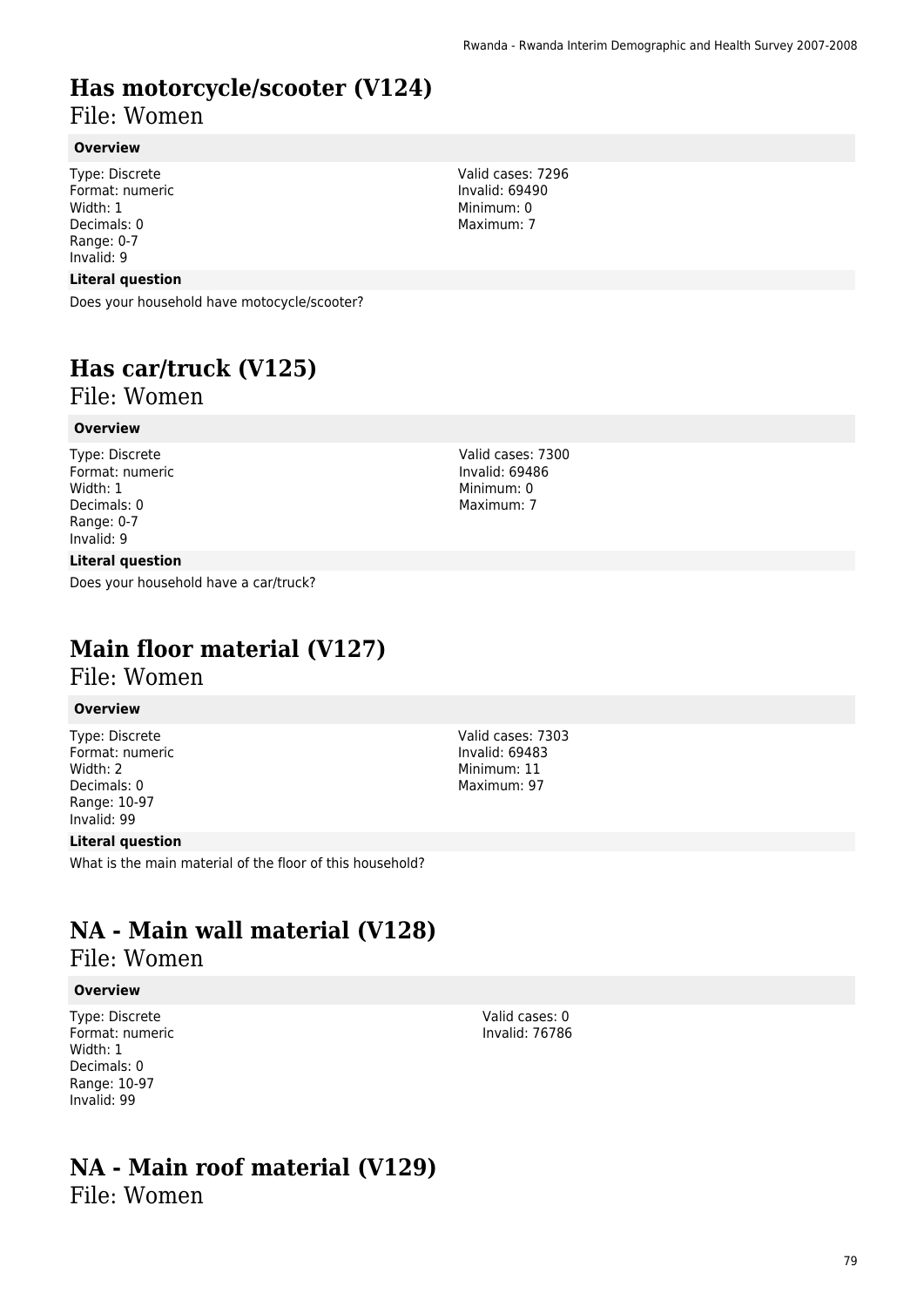# **Has motorcycle/scooter (V124)**

File: Women

### **Overview**

Type: Discrete Format: numeric Width: 1 Decimals: 0 Range: 0-7 Invalid: 9

### **Literal question**

Does your household have motocycle/scooter?

### **Has car/truck (V125)**  File: Women

### **Overview**

Type: Discrete Format: numeric Width: 1 Decimals: 0 Range: 0-7 Invalid: 9

### **Literal question**

Does your household have a car/truck?

## **Main floor material (V127)**  File: Women

### **Overview**

Type: Discrete Format: numeric Width: 2 Decimals: 0 Range: 10-97 Invalid: 99

### **Literal question**

What is the main material of the floor of this household?

### **NA - Main wall material (V128)**  File: Women

### **Overview**

Type: Discrete Format: numeric Width: 1 Decimals: 0 Range: 10-97 Invalid: 99

### **NA - Main roof material (V129)**  File: Women

Valid cases: 7296 Invalid: 69490 Minimum: 0 Maximum: 7

Valid cases: 7300 Invalid: 69486 Minimum: 0 Maximum: 7

Valid cases: 7303 Invalid: 69483 Minimum: 11 Maximum: 97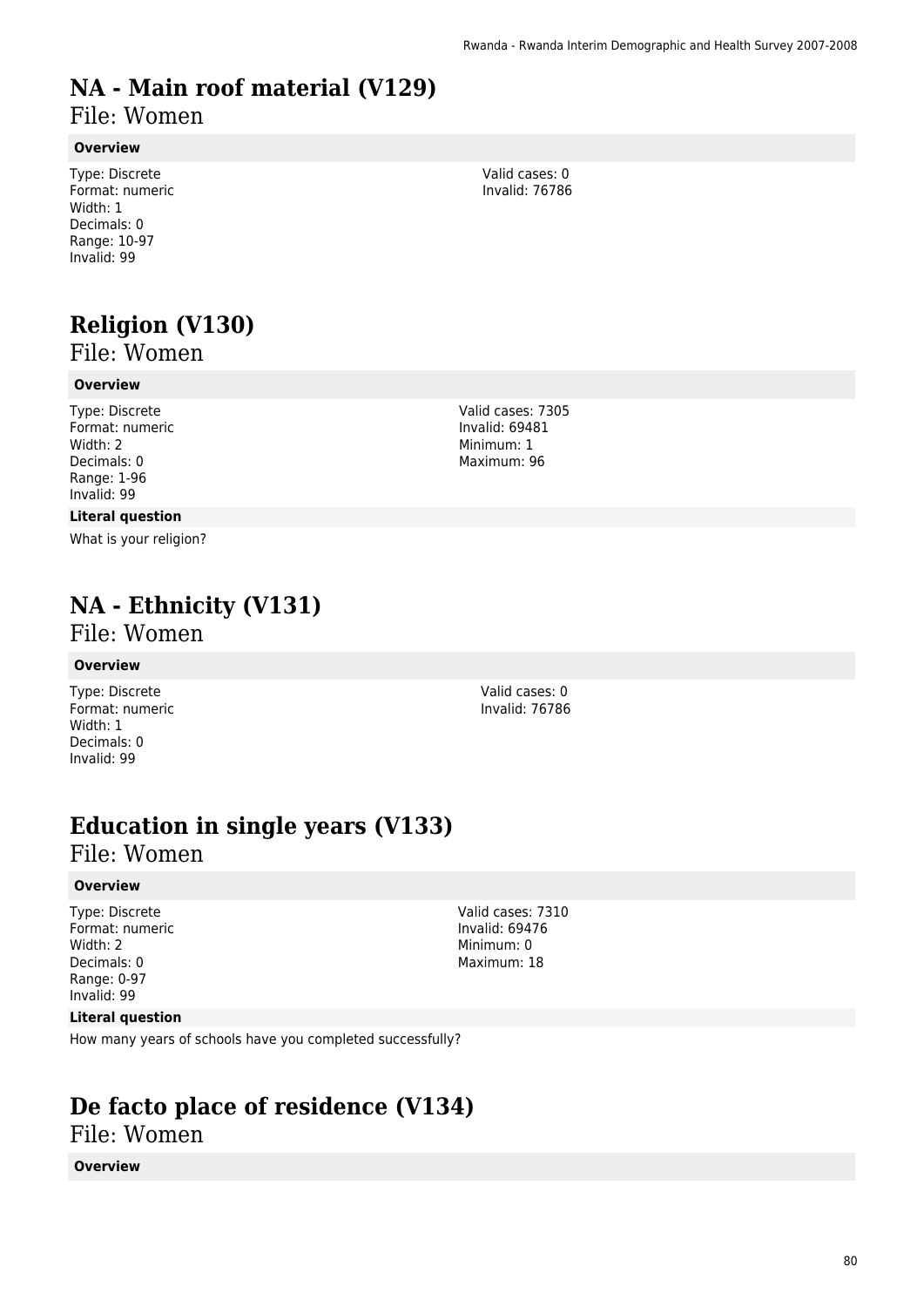# **NA - Main roof material (V129)**

File: Women

### **Overview**

Type: Discrete Format: numeric Width: 1 Decimals: 0 Range: 10-97 Invalid: 99

### **Religion (V130)**  File: Women

### **Overview**

Type: Discrete Format: numeric Width: 2 Decimals: 0 Range: 1-96 Invalid: 99

### **Literal question**

What is your religion?

### **NA - Ethnicity (V131)**  File: Women

### **Overview**

Type: Discrete Format: numeric Width: 1 Decimals: 0 Invalid: 99

### Valid cases: 0 Invalid: 76786

# **Education in single years (V133)**  File: Women

### **Overview**

Type: Discrete Format: numeric Width: 2 Decimals: 0 Range: 0-97 Invalid: 99

Valid cases: 7310 Invalid: 69476 Minimum: 0 Maximum: 18

### **Literal question**

How many years of schools have you completed successfully?

# **De facto place of residence (V134)**

### File: Women

### **Overview**

Valid cases: 0 Invalid: 76786

Valid cases: 7305 Invalid: 69481 Minimum: 1 Maximum: 96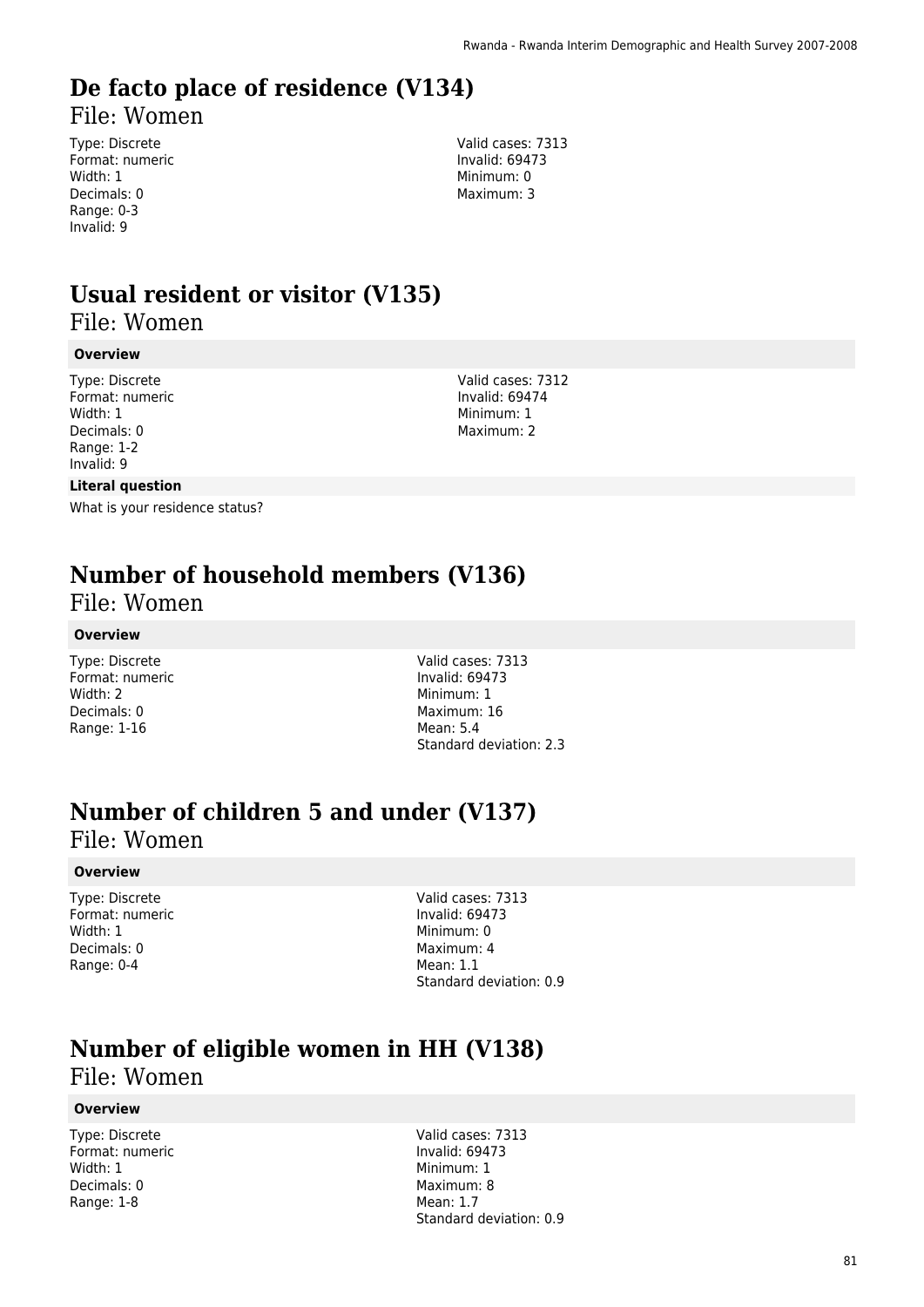## **De facto place of residence (V134)**  File: Women

Type: Discrete Format: numeric Width: 1 Decimals: 0 Range: 0-3 Invalid: 9

Valid cases: 7313 Invalid: 69473 Minimum: 0 Maximum: 3

Valid cases: 7312 Invalid: 69474 Minimum: 1 Maximum: 2

### **Usual resident or visitor (V135)**  File: Women

#### **Overview**

Type: Discrete Format: numeric Width: 1 Decimals: 0 Range: 1-2 Invalid: 9

#### **Literal question**

What is your residence status?

### **Number of household members (V136)**  File: Women

# **Overview**

Type: Discrete Format: numeric Width: 2 Decimals: 0 Range: 1-16

Valid cases: 7313 Invalid: 69473 Minimum: 1 Maximum: 16 Mean: 5.4 Standard deviation: 2.3

### **Number of children 5 and under (V137)**  File: Women

#### **Overview**

Type: Discrete Format: numeric Width: 1 Decimals: 0 Range: 0-4

Valid cases: 7313 Invalid: 69473 Minimum: 0 Maximum: 4  $Mean: 1.1$ Standard deviation: 0.9

# **Number of eligible women in HH (V138)**  File: Women

#### **Overview**

Type: Discrete Format: numeric Width: 1 Decimals: 0 Range: 1-8

Valid cases: 7313 Invalid: 69473 Minimum: 1 Maximum: 8 Mean: 1.7 Standard deviation: 0.9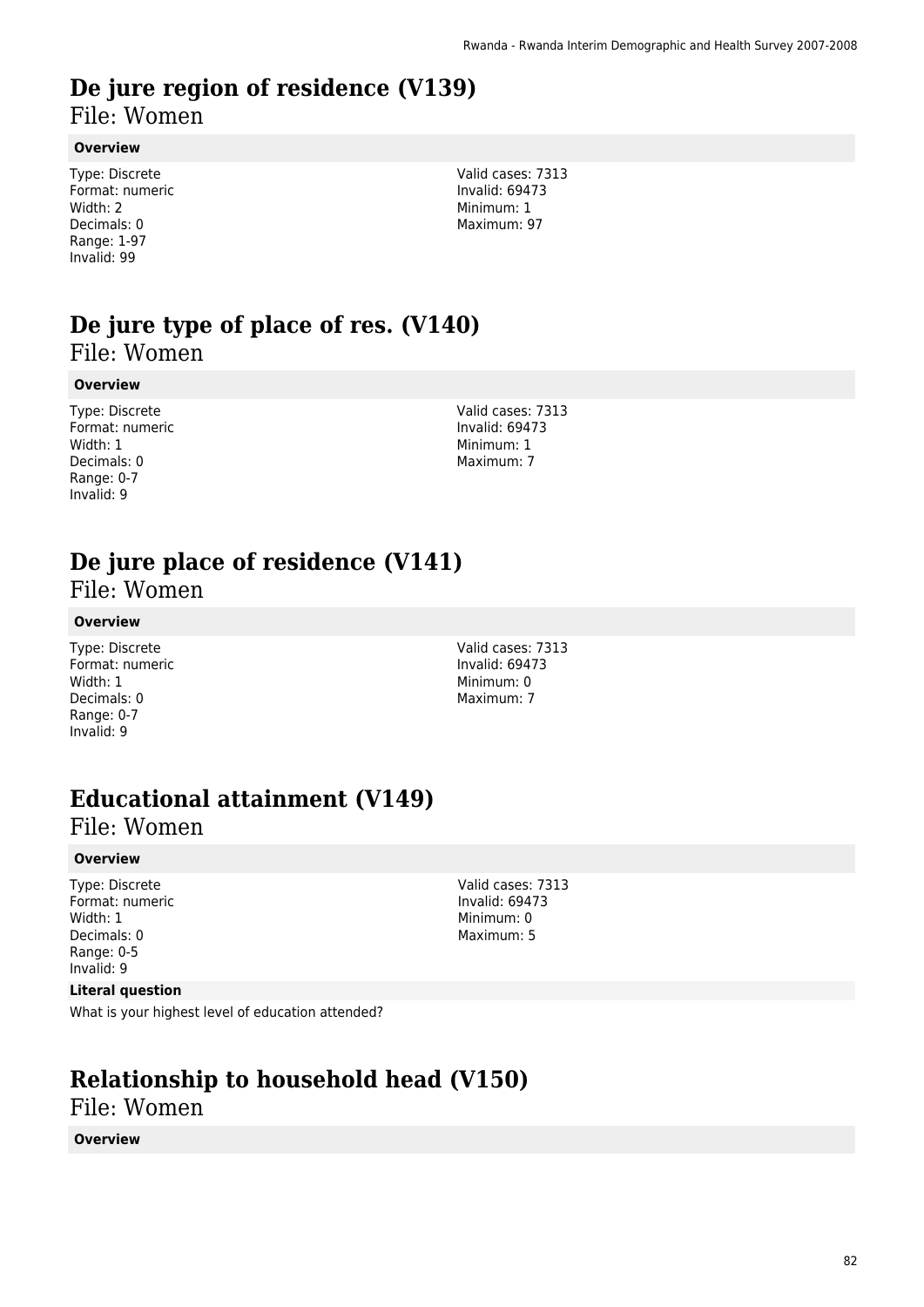### **De jure region of residence (V139)**  File: Women

#### **Overview**

Type: Discrete Format: numeric Width: 2 Decimals: 0 Range: 1-97 Invalid: 99

Valid cases: 7313 Invalid: 69473 Minimum: 1 Maximum: 97

# **De jure type of place of res. (V140)**  File: Women

#### **Overview**

Type: Discrete Format: numeric Width: 1 Decimals: 0 Range: 0-7 Invalid: 9

Valid cases: 7313 Invalid: 69473 Minimum: 1 Maximum: 7

### **De jure place of residence (V141)**  File: Women

### **Overview**

Type: Discrete Format: numeric Width: 1 Decimals: 0 Range: 0-7 Invalid: 9

#### Valid cases: 7313 Invalid: 69473 Minimum: 0 Maximum: 7

# **Educational attainment (V149)**

### File: Women

### **Overview**

Type: Discrete Format: numeric Width: 1 Decimals: 0 Range: 0-5 Invalid: 9

### **Literal question**

What is your highest level of education attended?

### **Relationship to household head (V150)**

File: Women

### **Overview**

Valid cases: 7313 Invalid: 69473 Minimum: 0 Maximum: 5

82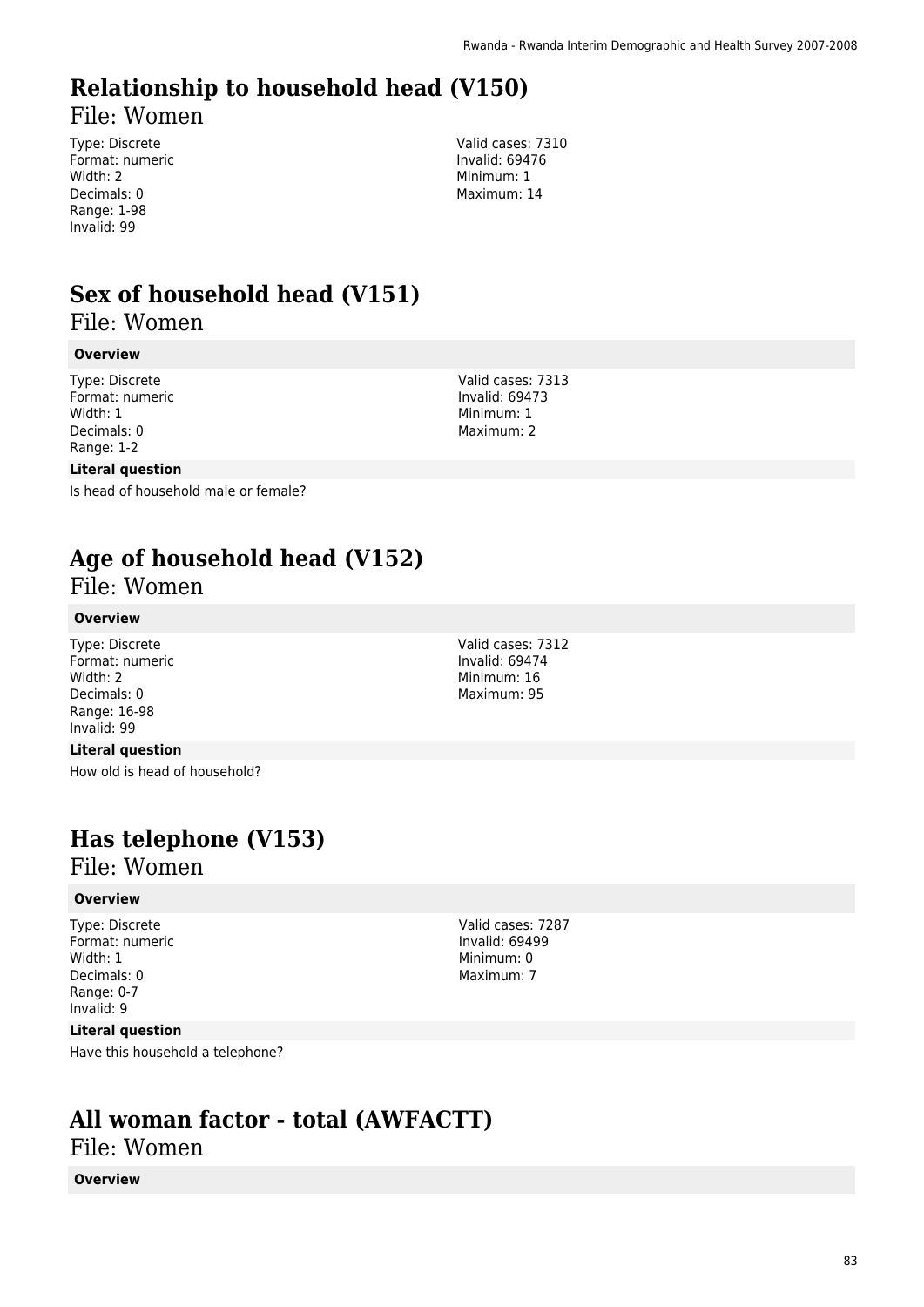# **Relationship to household head (V150)**

File: Women

Type: Discrete Format: numeric Width: 2 Decimals: 0 Range: 1-98 Invalid: 99

Valid cases: 7310 Invalid: 69476 Minimum: 1 Maximum: 14

Valid cases: 7313 Invalid: 69473 Minimum: 1 Maximum: 2

# **Sex of household head (V151)**

File: Women

### **Overview**

Type: Discrete Format: numeric Width: 1 Decimals: 0 Range: 1-2

### **Literal question**

Is head of household male or female?

### **Age of household head (V152)**  File: Women

### **Overview**

Type: Discrete Format: numeric Width: 2 Decimals: 0 Range: 16-98 Invalid: 99

### **Literal question**

How old is head of household?

# **Has telephone (V153)**

File: Women

### **Overview**

Type: Discrete Format: numeric Width: 1 Decimals: 0 Range: 0-7 Invalid: 9

Valid cases: 7287 Invalid: 69499 Minimum: 0 Maximum: 7

### **Literal question**

Have this household a telephone?

# **All woman factor - total (AWFACTT)**

### File: Women

### **Overview**

Valid cases: 7312 Invalid: 69474 Minimum: 16 Maximum: 95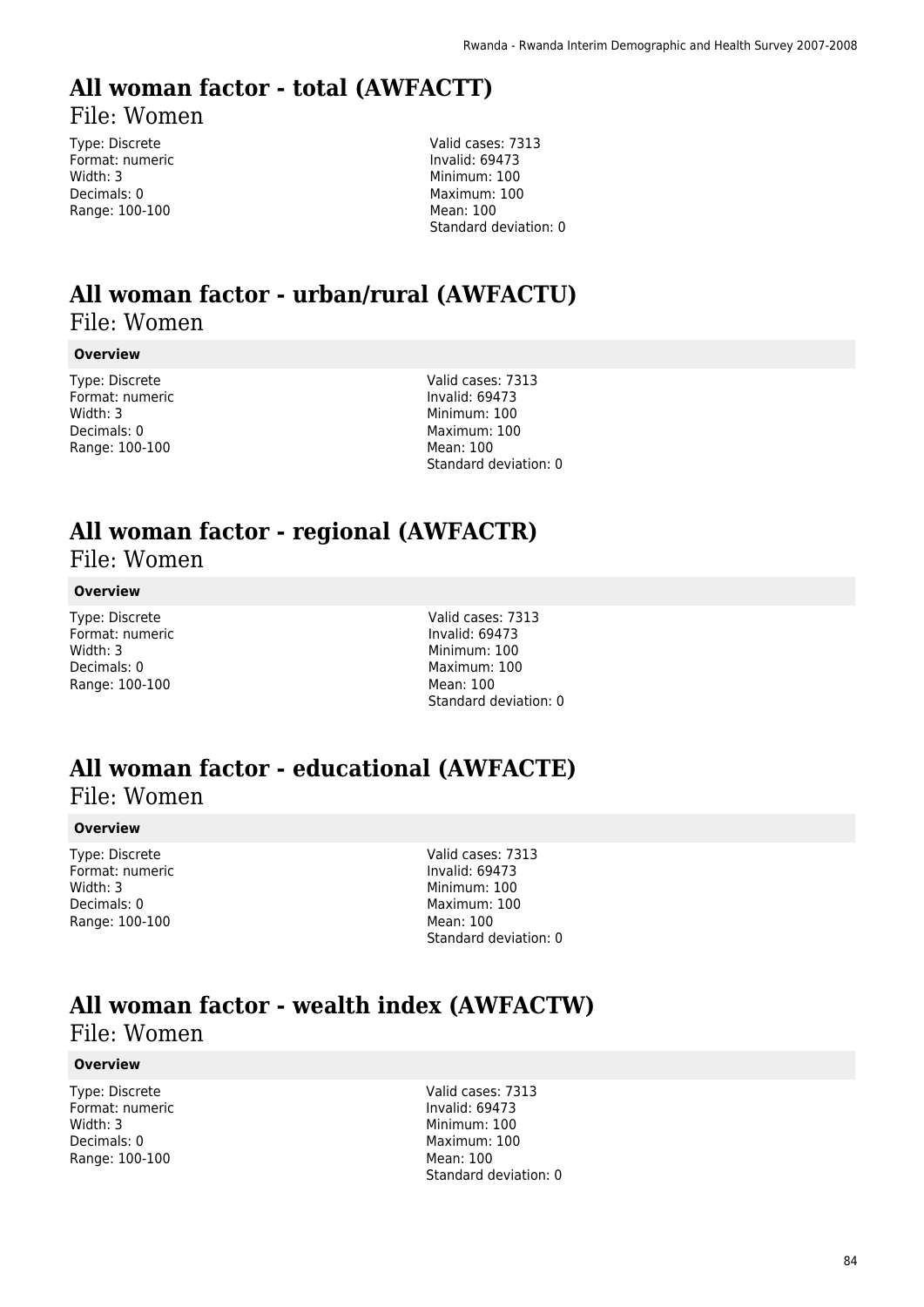### **All woman factor - total (AWFACTT)**  File: Women

Type: Discrete Format: numeric Width: 3 Decimals: 0 Range: 100-100

Valid cases: 7313 Invalid: 69473 Minimum: 100 Maximum: 100 Mean: 100 Standard deviation: 0

# **All woman factor - urban/rural (AWFACTU)**  File: Women

#### **Overview**

Type: Discrete Format: numeric Width: 3 Decimals: 0 Range: 100-100

Valid cases: 7313 Invalid: 69473 Minimum: 100 Maximum: 100 Mean: 100 Standard deviation: 0

# **All woman factor - regional (AWFACTR)**  File: Women

#### **Overview**

Type: Discrete Format: numeric Width: 3 Decimals: 0 Range: 100-100

Valid cases: 7313 Invalid: 69473 Minimum: 100 Maximum: 100 Mean: 100 Standard deviation: 0

# **All woman factor - educational (AWFACTE)**  File: Women

#### **Overview**

Type: Discrete Format: numeric Width: 3 Decimals: 0 Range: 100-100

Valid cases: 7313 Invalid: 69473 Minimum: 100 Maximum: 100 Mean: 100 Standard deviation: 0

### **All woman factor - wealth index (AWFACTW)**  File: Women

### **Overview**

Type: Discrete Format: numeric Width: 3 Decimals: 0 Range: 100-100

Valid cases: 7313 Invalid: 69473 Minimum: 100 Maximum: 100 Mean: 100 Standard deviation: 0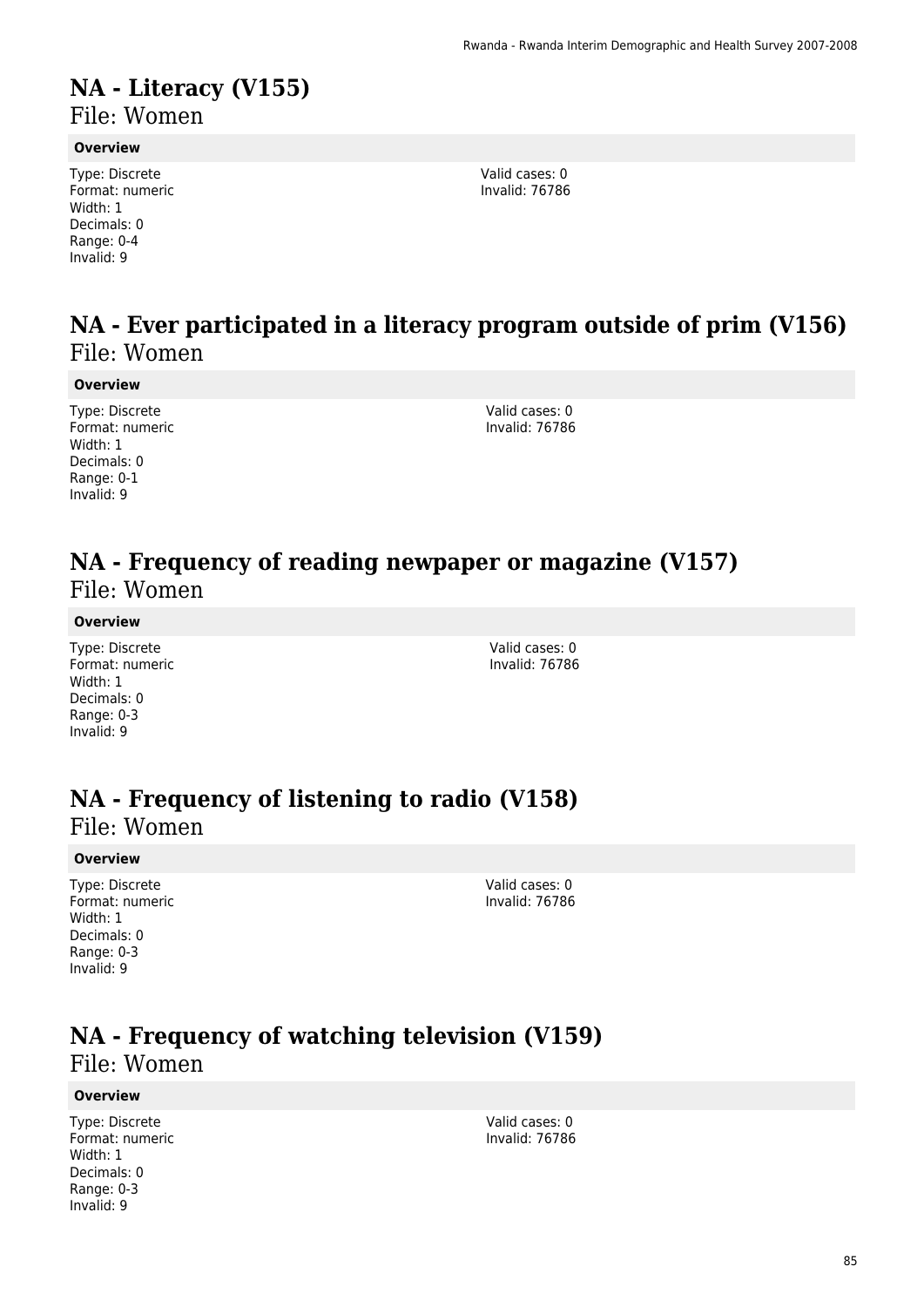### **NA - Literacy (V155)**  File: Women

#### **Overview**

Type: Discrete Format: numeric Width: 1 Decimals: 0 Range: 0-4 Invalid: 9

Valid cases: 0 Invalid: 76786

# **NA - Ever participated in a literacy program outside of prim (V156)**  File: Women

#### **Overview**

Type: Discrete Format: numeric Width: 1 Decimals: 0 Range: 0-1 Invalid: 9

Valid cases: 0 Invalid: 76786

### **NA - Frequency of reading newpaper or magazine (V157)**  File: Women

#### **Overview**

Type: Discrete Format: numeric Width: 1 Decimals: 0 Range: 0-3 Invalid: 9

Valid cases: 0 Invalid: 76786

# **NA - Frequency of listening to radio (V158)**  File: Women

### **Overview**

Type: Discrete Format: numeric Width: 1 Decimals: 0 Range: 0-3 Invalid: 9

Valid cases: 0 Invalid: 76786

### **NA - Frequency of watching television (V159)**  File: Women

### **Overview**

Type: Discrete Format: numeric Width: 1 Decimals: 0 Range: 0-3 Invalid: 9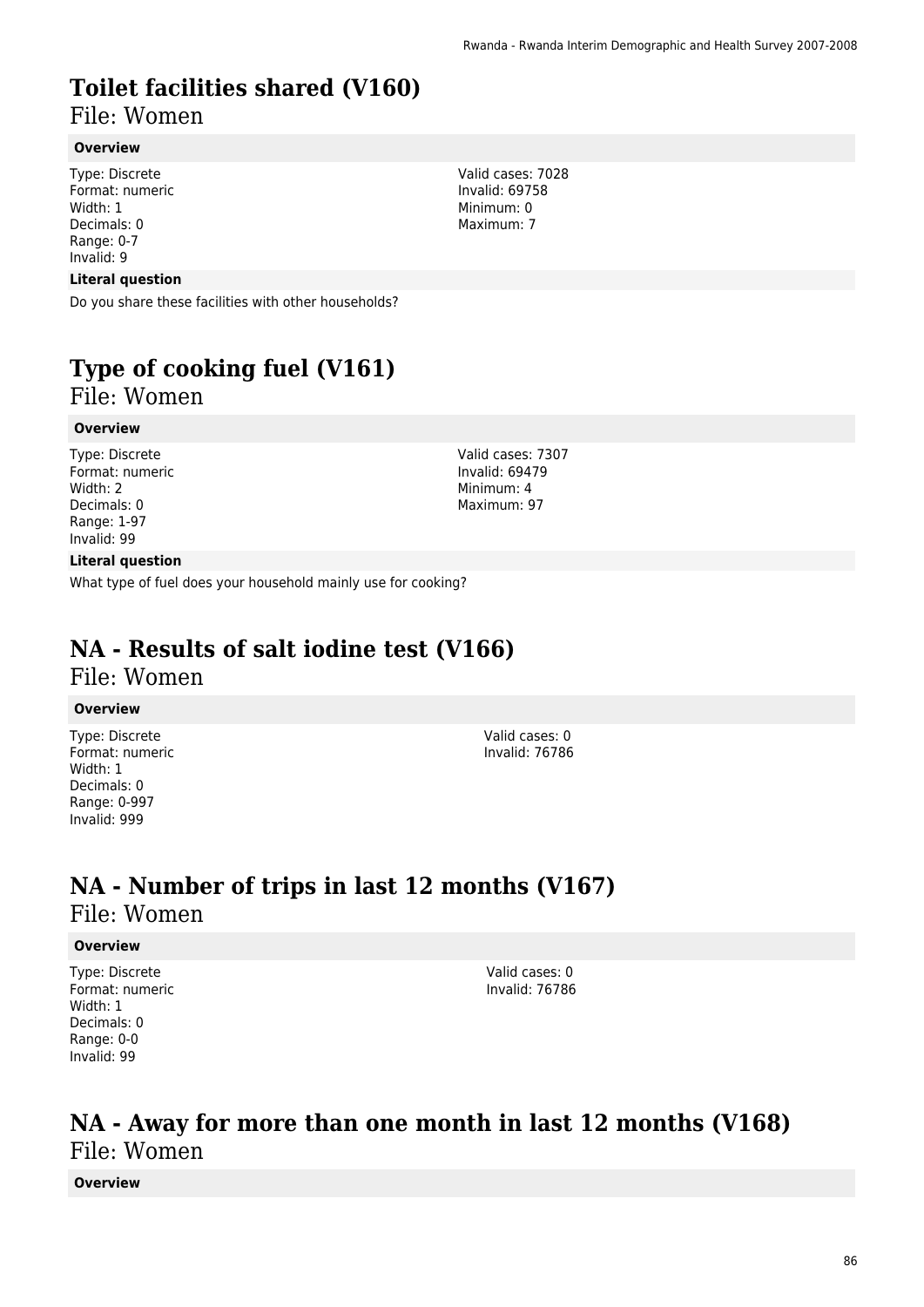# **Toilet facilities shared (V160)**

File: Women

### **Overview**

Type: Discrete Format: numeric Width: 1 Decimals: 0 Range: 0-7 Invalid: 9

### **Literal question**

Do you share these facilities with other households?

# **Type of cooking fuel (V161)**  File: Women

### **Overview**

Type: Discrete Format: numeric Width: 2 Decimals: 0 Range: 1-97 Invalid: 99

### **Literal question**

What type of fuel does your household mainly use for cooking?

### **NA - Results of salt iodine test (V166)**  File: Women

### **Overview**

Type: Discrete Format: numeric Width: 1 Decimals: 0 Range: 0-997 Invalid: 999

Valid cases: 0 Invalid: 76786

# **NA - Number of trips in last 12 months (V167)**  File: Women

### **Overview**

Type: Discrete Format: numeric Width: 1 Decimals: 0 Range: 0-0 Invalid: 99

Valid cases: 0 Invalid: 76786

# **NA - Away for more than one month in last 12 months (V168)**  File: Women

**Overview**

Valid cases: 7307 Invalid: 69479 Minimum: 4 Maximum: 97

Valid cases: 7028 Invalid: 69758 Minimum: 0 Maximum: 7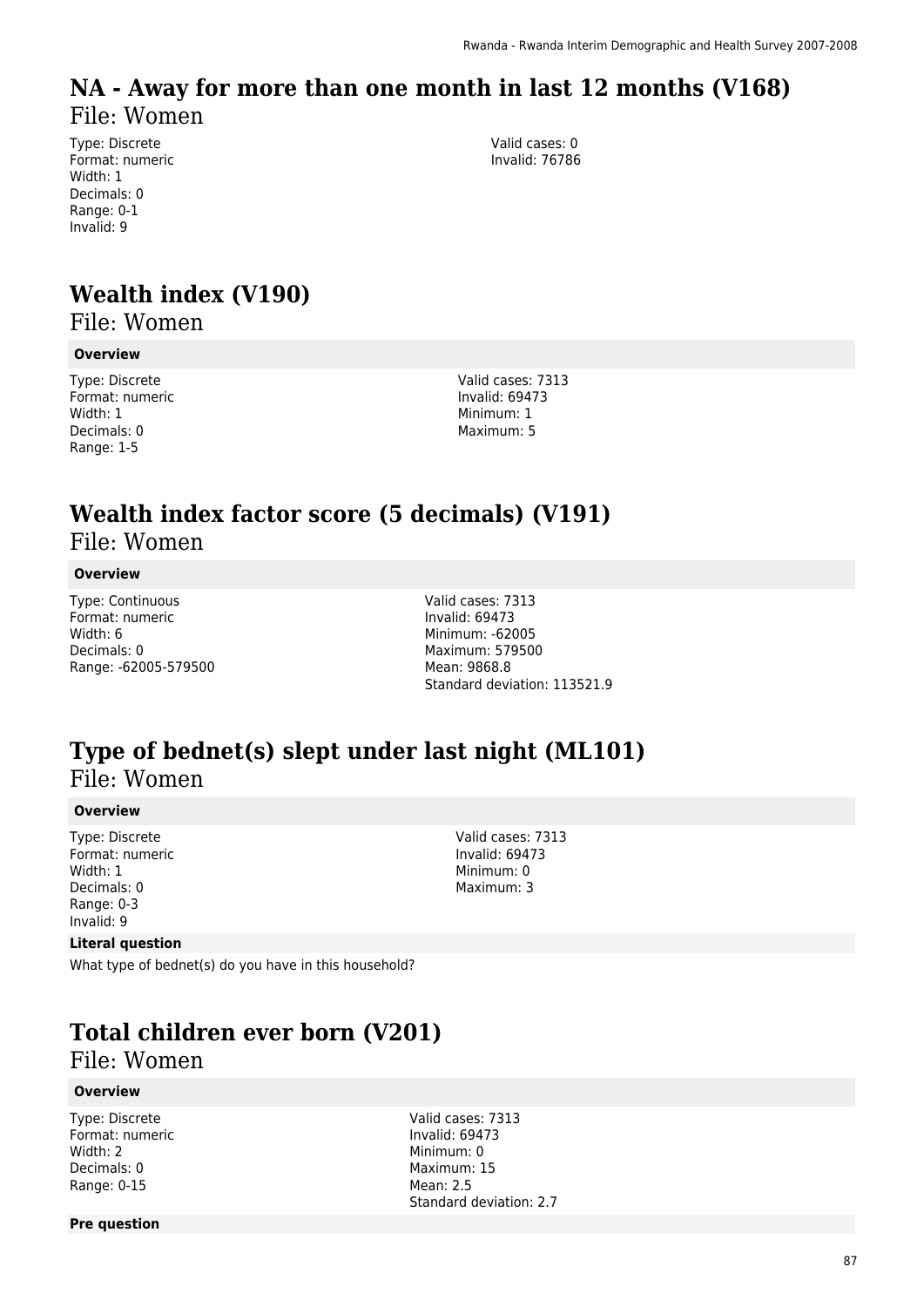### **NA - Away for more than one month in last 12 months (V168)**  File: Women

Type: Discrete Format: numeric Width: 1 Decimals: 0 Range: 0-1 Invalid: 9

Valid cases: 0 Invalid: 76786

# **Wealth index (V190)**

File: Women

### **Overview**

Type: Discrete Format: numeric Width: 1 Decimals: 0 Range: 1-5

Valid cases: 7313 Invalid: 69473 Minimum: 1 Maximum: 5

## **Wealth index factor score (5 decimals) (V191)**  File: Women

#### **Overview**

Type: Continuous Format: numeric Width: 6 Decimals: 0 Range: -62005-579500 Valid cases: 7313 Invalid: 69473 Minimum: -62005 Maximum: 579500 Mean: 9868.8 Standard deviation: 113521.9

### **Type of bednet(s) slept under last night (ML101)**  File: Women

### **Overview**

Type: Discrete Format: numeric Width: 1 Decimals: 0 Range: 0-3 Invalid: 9

### **Literal question**

What type of bednet(s) do you have in this household?

# **Total children ever born (V201)**  File: Women

#### **Overview**

Type: Discrete Format: numeric Width: 2 Decimals: 0 Range: 0-15

Invalid: 69473 Minimum: 0 Maximum: 3

Valid cases: 7313 Invalid: 69473 Minimum: 0 Maximum: 15 Mean: 2.5

Standard deviation: 2.7

Valid cases: 7313

**Pre question**

87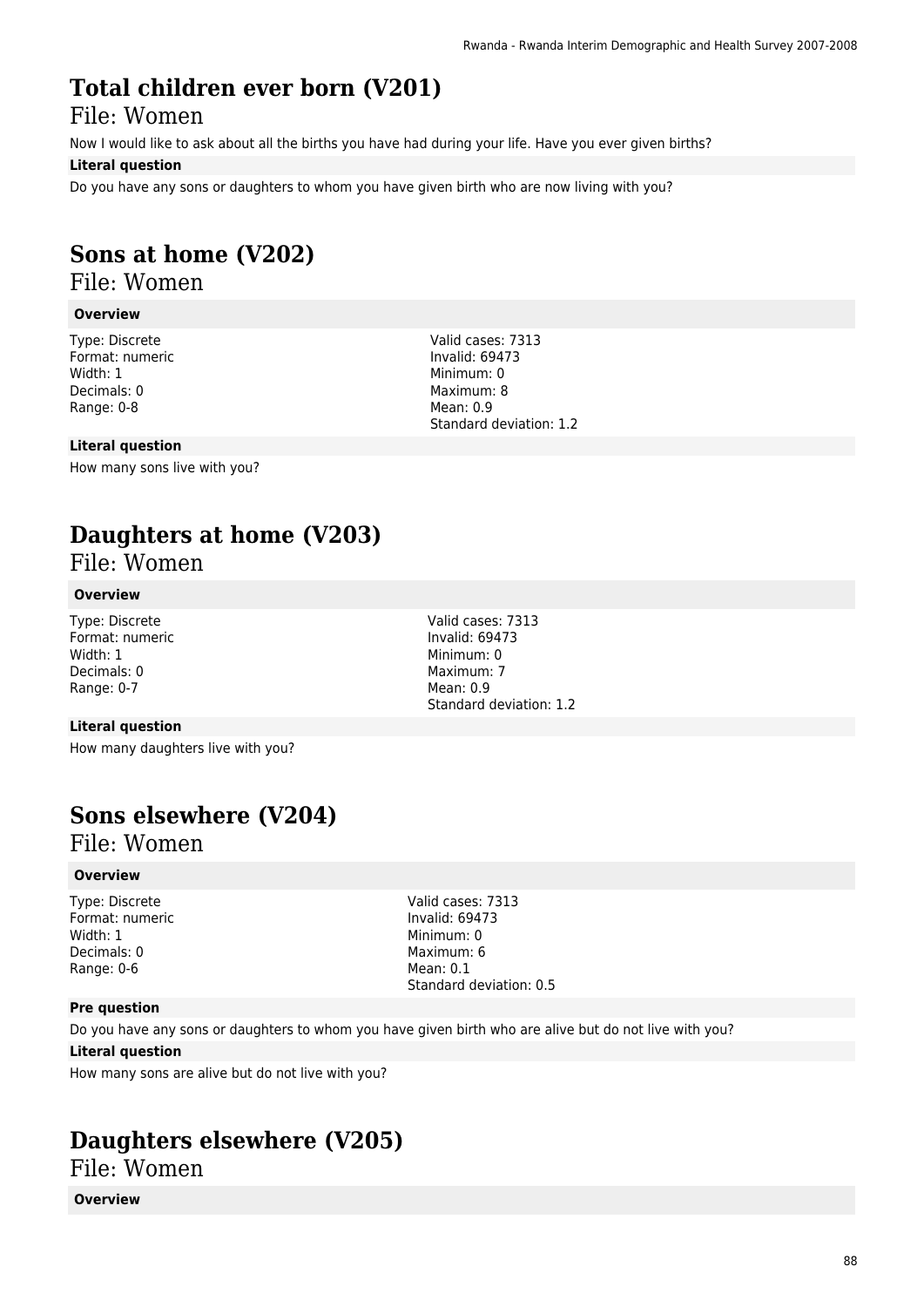# **Total children ever born (V201)**

### File: Women

Now I would like to ask about all the births you have had during your life. Have you ever given births?

#### **Literal question**

Do you have any sons or daughters to whom you have given birth who are now living with you?

# **Sons at home (V202)**

File: Women

### **Overview**

Type: Discrete Format: numeric Width: 1 Decimals: 0 Range: 0-8

Valid cases: 7313 Invalid: 69473 Minimum: 0 Maximum: 8 Mean: 0.9 Standard deviation: 1.2

### **Literal question**

How many sons live with you?

# **Daughters at home (V203)**

### File: Women

### **Overview**

Type: Discrete Format: numeric Width: 1 Decimals: 0 Range: 0-7

#### **Literal question**

How many daughters live with you?

### **Sons elsewhere (V204)**  File: Women

#### **Overview**

Type: Discrete Format: numeric Width: 1 Decimals: 0 Range: 0-6

Valid cases: 7313 Invalid: 69473 Minimum: 0 Maximum: 6 Mean: 0.1 Standard deviation: 0.5

### **Pre question**

Do you have any sons or daughters to whom you have given birth who are alive but do not live with you?

#### **Literal question**

How many sons are alive but do not live with you?

# **Daughters elsewhere (V205)**

### File: Women

**Overview**

Valid cases: 7313 Invalid: 69473 Minimum: 0 Maximum: 7 Mean: 0.9 Standard deviation: 1.2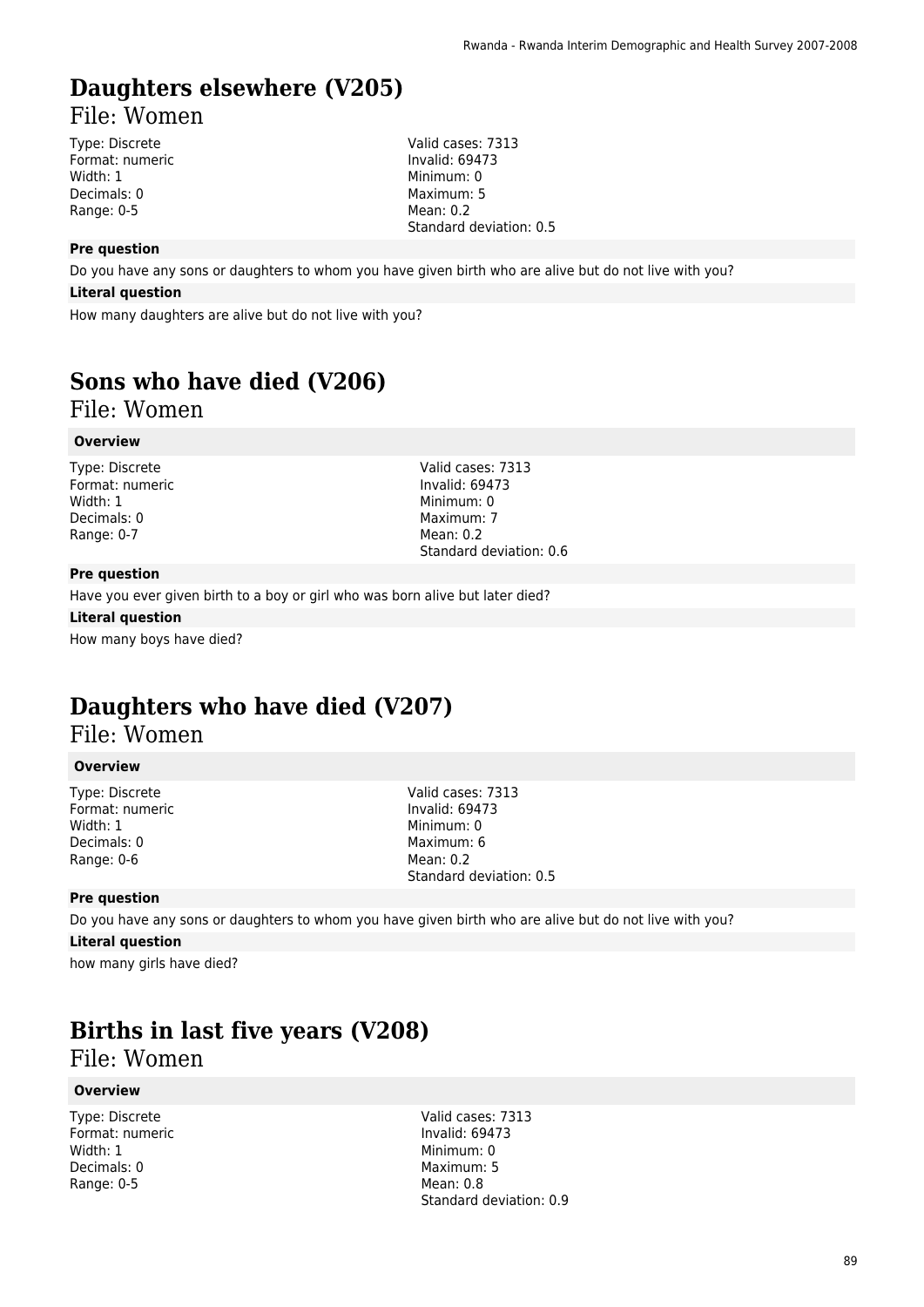# **Daughters elsewhere (V205)**

### File: Women

Type: Discrete Format: numeric Width: 1 Decimals: 0 Range: 0-5

Valid cases: 7313 Invalid: 69473 Minimum: 0 Maximum: 5 Mean: 0.2 Standard deviation: 0.5

#### **Pre question**

Do you have any sons or daughters to whom you have given birth who are alive but do not live with you?

#### **Literal question**

How many daughters are alive but do not live with you?

# **Sons who have died (V206)**  File: Women

#### **Overview**

Type: Discrete Format: numeric Width: 1 Decimals: 0 Range: 0-7

Valid cases: 7313 Invalid: 69473 Minimum: 0 Maximum: 7 Mean: 0.2 Standard deviation: 0.6

#### **Pre question**

Have you ever given birth to a boy or girl who was born alive but later died?

#### **Literal question**

How many boys have died?

### **Daughters who have died (V207)**  File: Women

#### **Overview**

Type: Discrete Format: numeric Width: 1 Decimals: 0 Range: 0-6

Valid cases: 7313 Invalid: 69473 Minimum: 0 Maximum: 6 Mean: 0.2 Standard deviation: 0.5

#### **Pre question**

Do you have any sons or daughters to whom you have given birth who are alive but do not live with you?

#### **Literal question**

how many girls have died?

### **Births in last five years (V208)**  File: Women

#### **Overview**

Type: Discrete Format: numeric Width: 1 Decimals: 0 Range: 0-5

Valid cases: 7313 Invalid: 69473 Minimum: 0 Maximum: 5 Mean: 0.8 Standard deviation: 0.9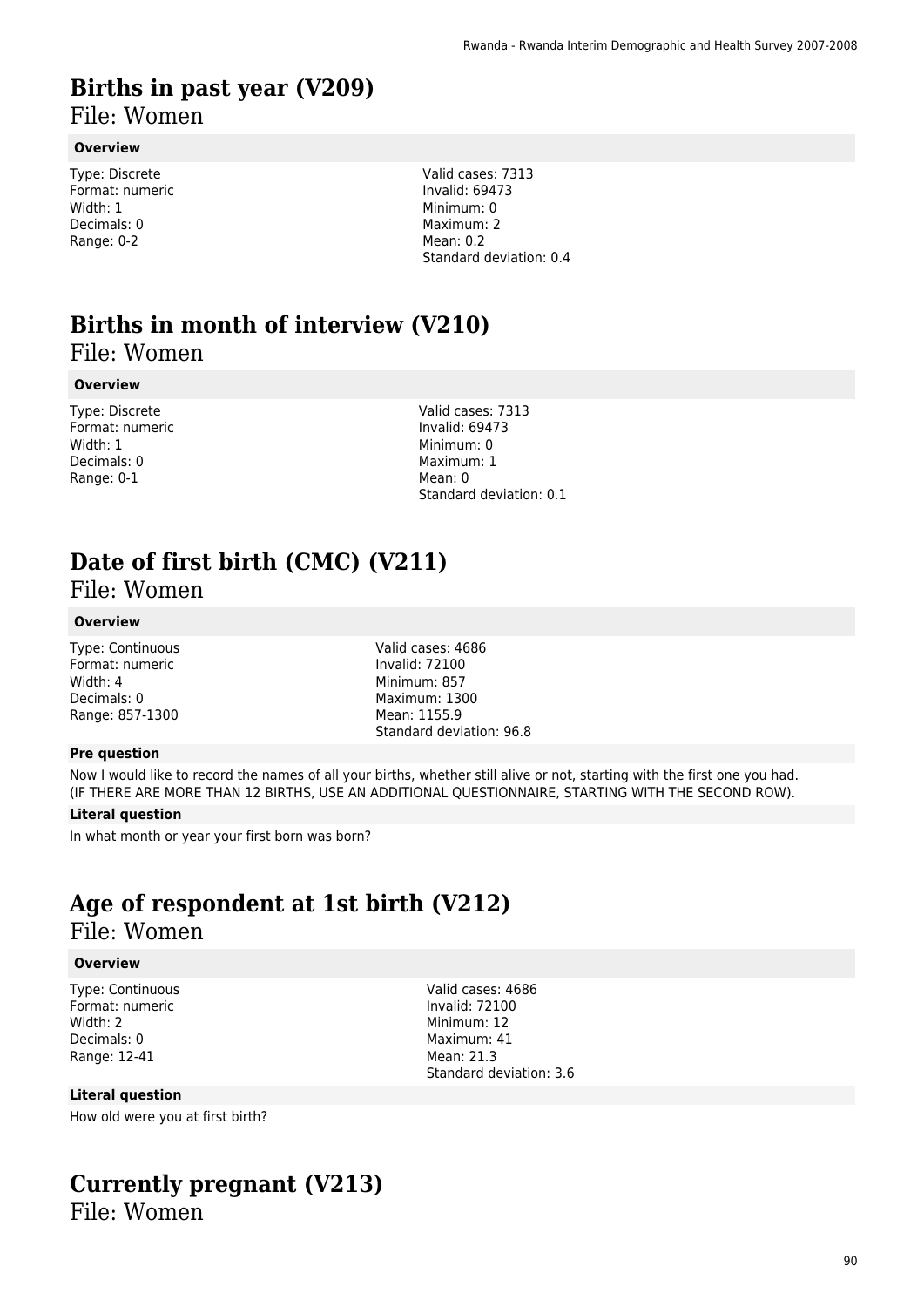### **Births in past year (V209)**  File: Women

#### **Overview**

Type: Discrete Format: numeric Width: 1 Decimals: 0 Range: 0-2

Valid cases: 7313 Invalid: 69473 Minimum: 0 Maximum: 2 Mean: 0.2 Standard deviation: 0.4

# **Births in month of interview (V210)**  File: Women

#### **Overview**

Type: Discrete Format: numeric Width: 1 Decimals: 0 Range: 0-1

Valid cases: 7313 Invalid: 69473 Minimum: 0 Maximum: 1 Mean: 0 Standard deviation: 0.1

# **Date of first birth (CMC) (V211)**

### File: Women

#### **Overview**

Type: Continuous Format: numeric Width: 4 Decimals: 0 Range: 857-1300

Valid cases: 4686 Invalid: 72100 Minimum: 857 Maximum: 1300 Mean: 1155.9 Standard deviation: 96.8

#### **Pre question**

Now I would like to record the names of all your births, whether still alive or not, starting with the first one you had. (IF THERE ARE MORE THAN 12 BIRTHS, USE AN ADDITIONAL QUESTIONNAIRE, STARTING WITH THE SECOND ROW).

### **Literal question**

In what month or year your first born was born?

# **Age of respondent at 1st birth (V212)**  File: Women

#### **Overview**

Type: Continuous Format: numeric Width: 2 Decimals: 0 Range: 12-41

Valid cases: 4686 Invalid: 72100 Minimum: 12 Maximum: 41 Mean: 21.3 Standard deviation: 3.6

#### **Literal question**

How old were you at first birth?

### **Currently pregnant (V213)**  File: Women

90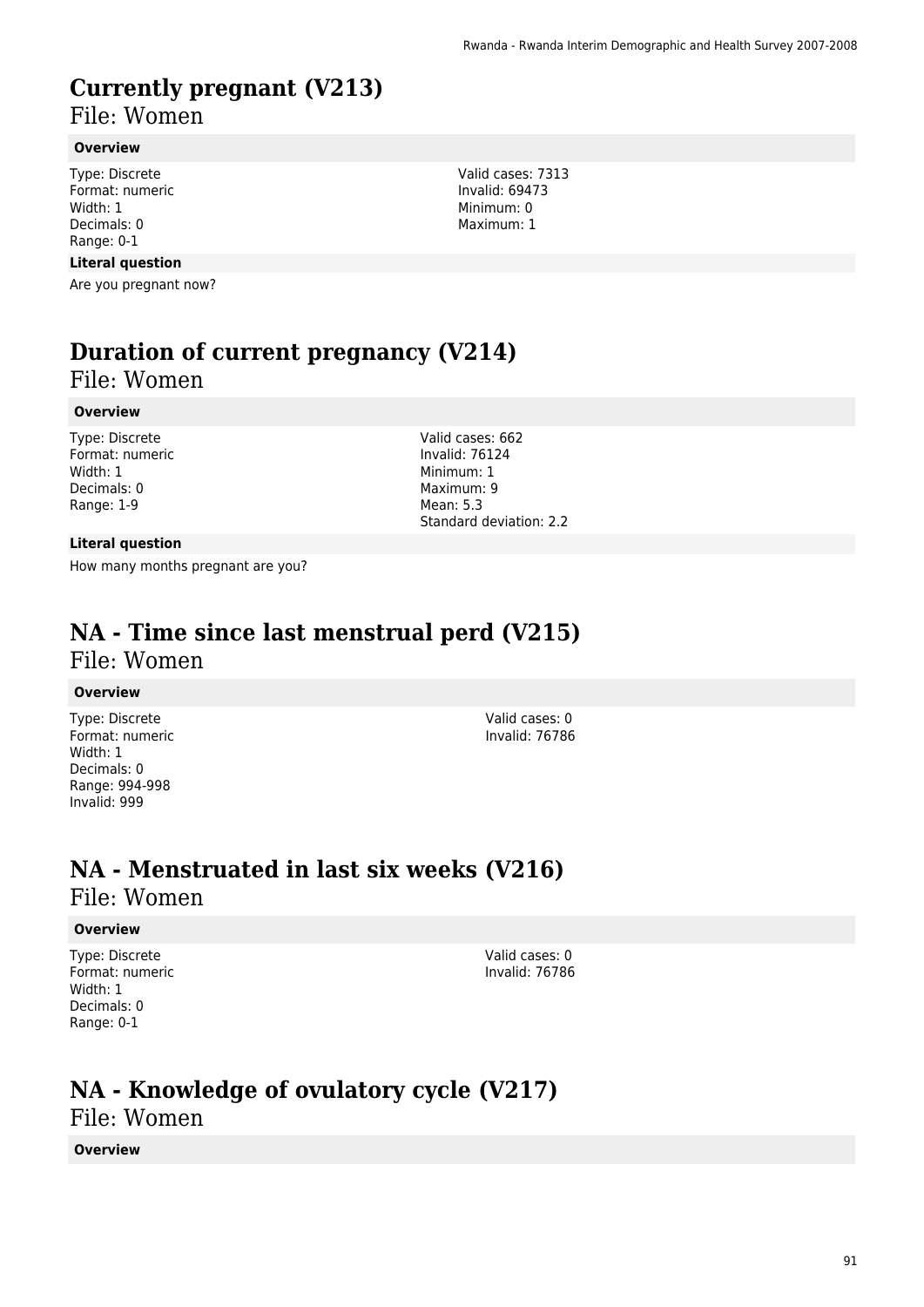# **Currently pregnant (V213)**

File: Women

### **Overview**

Type: Discrete Format: numeric Width: 1 Decimals: 0 Range: 0-1

#### **Literal question**

Are you pregnant now?

### **Duration of current pregnancy (V214)**  File: Women

#### **Overview**

Type: Discrete Format: numeric Width: 1 Decimals: 0 Range: 1-9

**Literal question**

How many months pregnant are you?

### **NA - Time since last menstrual perd (V215)**  File: Women

### **Overview**

Type: Discrete Format: numeric Width: 1 Decimals: 0 Range: 994-998 Invalid: 999

Valid cases: 0 Invalid: 76786

# **NA - Menstruated in last six weeks (V216)**  File: Women

### **Overview**

Type: Discrete Format: numeric Width: 1 Decimals: 0 Range: 0-1

Valid cases: 0 Invalid: 76786

# **NA - Knowledge of ovulatory cycle (V217)**  File: Women

### **Overview**

Valid cases: 7313 Invalid: 69473 Minimum: 0 Maximum: 1

Valid cases: 662 Invalid: 76124 Minimum: 1 Maximum: 9 Mean: 5.3

Standard deviation: 2.2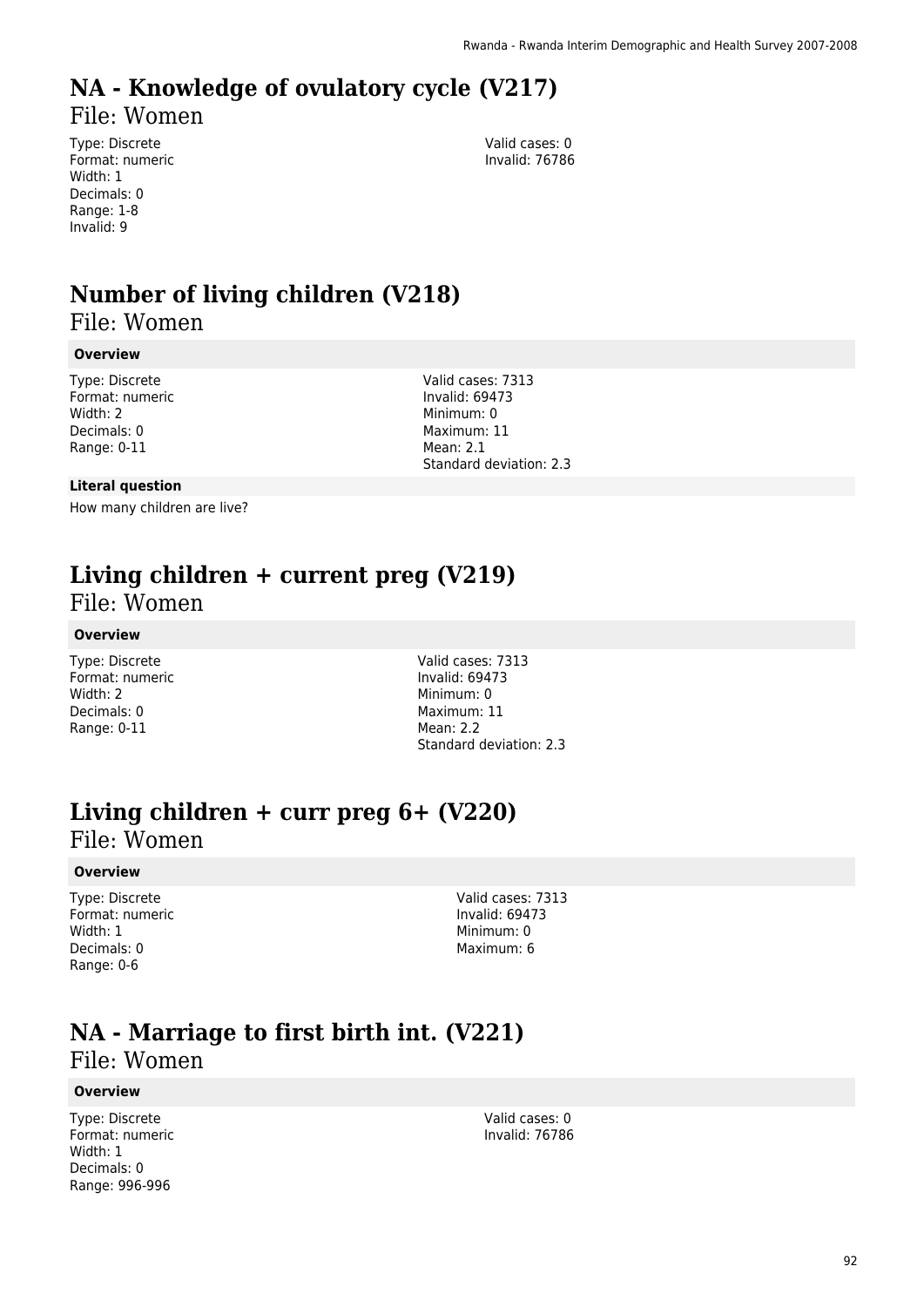# **NA - Knowledge of ovulatory cycle (V217)**  File: Women

Type: Discrete Format: numeric Width: 1 Decimals: 0 Range: 1-8 Invalid: 9

Valid cases: 0 Invalid: 76786

# **Number of living children (V218)**

### File: Women

### **Overview**

Type: Discrete Format: numeric Width: 2 Decimals: 0 Range: 0-11

Valid cases: 7313 Invalid: 69473 Minimum: 0 Maximum: 11 Mean: 2.1 Standard deviation: 2.3

### **Literal question**

How many children are live?

# **Living children + current preg (V219)**  File: Women

#### **Overview**

Type: Discrete Format: numeric Width: 2 Decimals: 0 Range: 0-11

Valid cases: 7313 Invalid: 69473 Minimum: 0 Maximum: 11 Mean: 2.2 Standard deviation: 2.3

# **Living children + curr preg 6+ (V220)**  File: Women

### **Overview**

Type: Discrete Format: numeric Width: 1 Decimals: 0 Range: 0-6

Valid cases: 7313 Invalid: 69473 Minimum: 0 Maximum: 6

### **NA - Marriage to first birth int. (V221)**  File: Women

### **Overview**

Type: Discrete Format: numeric Width: 1 Decimals: 0 Range: 996-996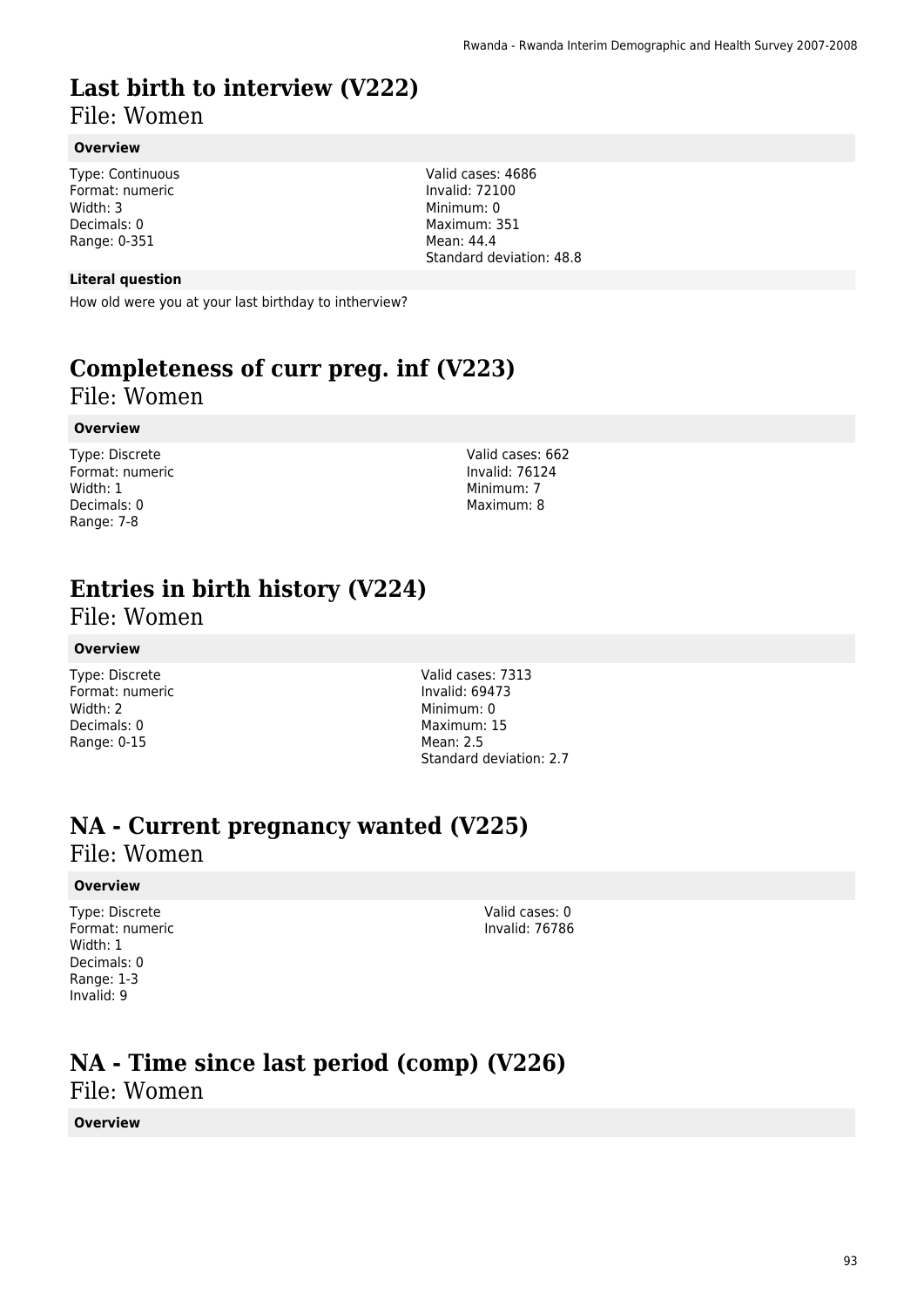# **Last birth to interview (V222)**

File: Women

### **Overview**

Type: Continuous Format: numeric Width: 3 Decimals: 0 Range: 0-351

Valid cases: 4686 Invalid: 72100 Minimum: 0 Maximum: 351 Mean: 44.4 Standard deviation: 48.8

### **Literal question**

How old were you at your last birthday to intherview?

### **Completeness of curr preg. inf (V223)**  File: Women

### **Overview**

Type: Discrete Format: numeric Width: 1 Decimals: 0 Range: 7-8

Valid cases: 662 Invalid: 76124 Minimum: 7 Maximum: 8

# **Entries in birth history (V224)**

### File: Women

### **Overview**

Type: Discrete Format: numeric Width: 2 Decimals: 0 Range: 0-15

Valid cases: 7313 Invalid: 69473 Minimum: 0 Maximum: 15 Mean: 2.5 Standard deviation: 2.7

# **NA - Current pregnancy wanted (V225)**  File: Women

### **Overview**

Type: Discrete Format: numeric Width: 1 Decimals: 0 Range: 1-3 Invalid: 9

Valid cases: 0 Invalid: 76786

### **NA - Time since last period (comp) (V226)**  File: Women

### **Overview**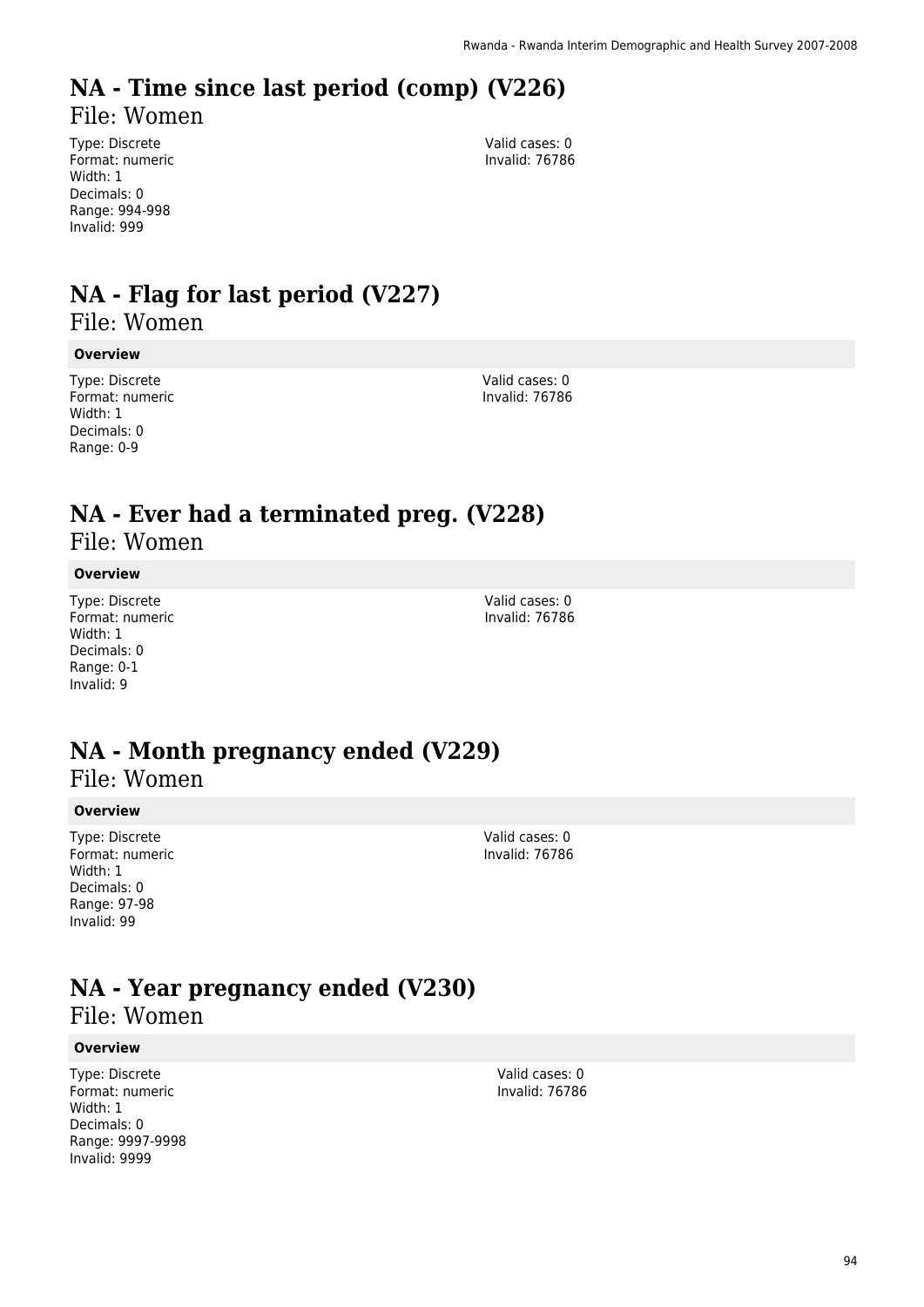## **NA - Time since last period (comp) (V226)**  File: Women

Type: Discrete Format: numeric Width: 1 Decimals: 0 Range: 994-998 Invalid: 999

Valid cases: 0

### **NA - Flag for last period (V227)**  File: Women

### **Overview**

Type: Discrete Format: numeric Width: 1 Decimals: 0 Range: 0-9

Valid cases: 0 Invalid: 76786

Valid cases: 0 Invalid: 76786

# **NA - Ever had a terminated preg. (V228)**  File: Women

### **Overview**

Type: Discrete Format: numeric Width: 1 Decimals: 0 Range: 0-1 Invalid: 9

### **NA - Month pregnancy ended (V229)**  File: Women

### **Overview**

Type: Discrete Format: numeric Width: 1 Decimals: 0 Range: 97-98 Invalid: 99

# **NA - Year pregnancy ended (V230)**  File: Women

### **Overview**

Type: Discrete Format: numeric Width: 1 Decimals: 0 Range: 9997-9998 Invalid: 9999

Valid cases: 0 Invalid: 76786

> Valid cases: 0 Invalid: 76786

Invalid: 76786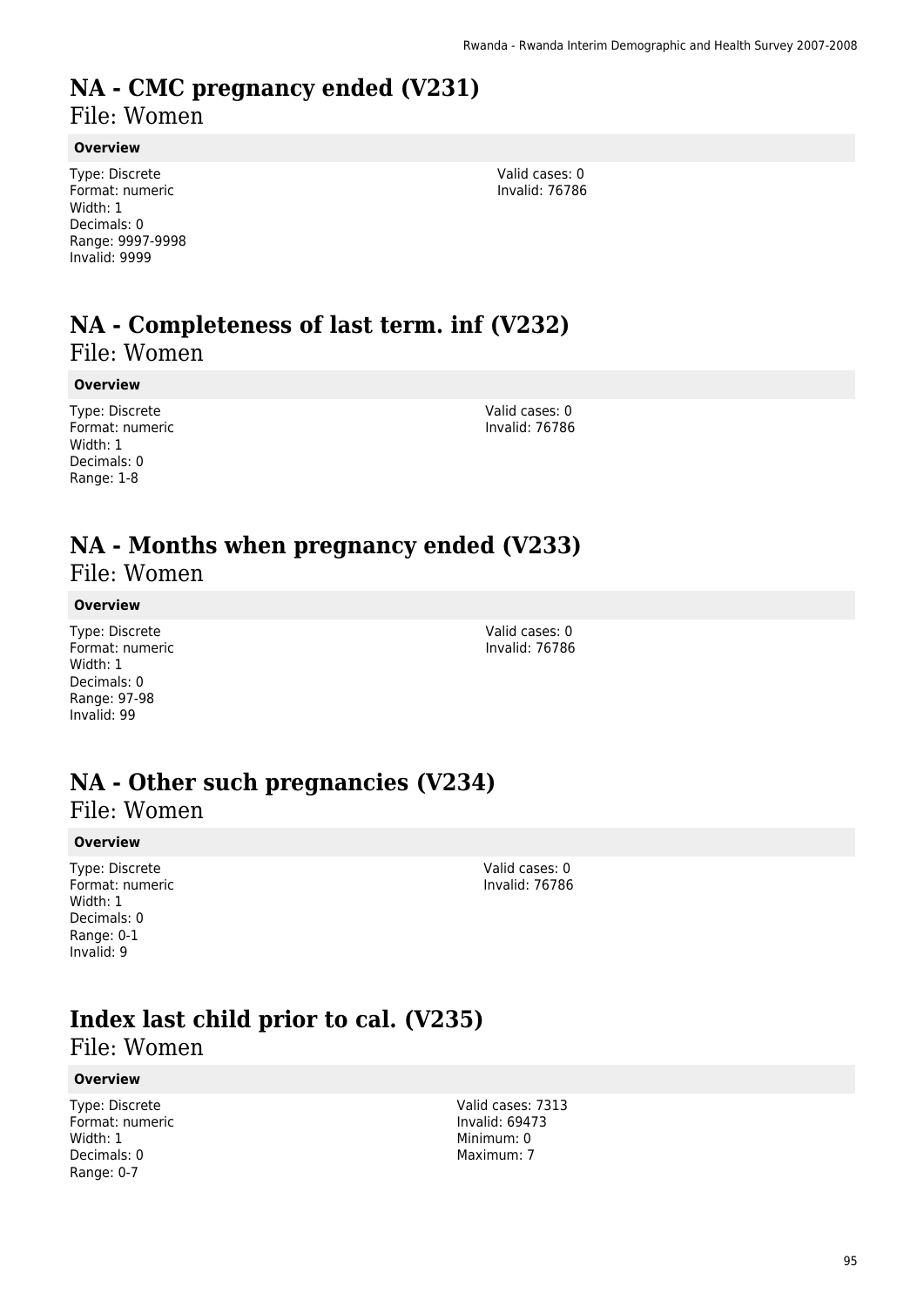# **NA - CMC pregnancy ended (V231)**

File: Women

#### **Overview**

Type: Discrete Format: numeric Width: 1 Decimals: 0 Range: 9997-9998 Invalid: 9999

### **NA - Completeness of last term. inf (V232)**  File: Women

#### **Overview**

Type: Discrete Format: numeric Width: 1 Decimals: 0 Range: 1-8

Valid cases: 0 Invalid: 76786

Valid cases: 0 Invalid: 76786

## **NA - Months when pregnancy ended (V233)**  File: Women

#### **Overview**

Type: Discrete Format: numeric Width: 1 Decimals: 0 Range: 97-98 Invalid: 99

Valid cases: 0 Invalid: 76786

### **NA - Other such pregnancies (V234)**  File: Women

#### **Overview**

Type: Discrete Format: numeric Width: 1 Decimals: 0 Range: 0-1 Invalid: 9

Valid cases: 0 Invalid: 76786

### **Index last child prior to cal. (V235)**  File: Women

### **Overview**

Type: Discrete Format: numeric Width: 1 Decimals: 0 Range: 0-7

Valid cases: 7313 Invalid: 69473 Minimum: 0 Maximum: 7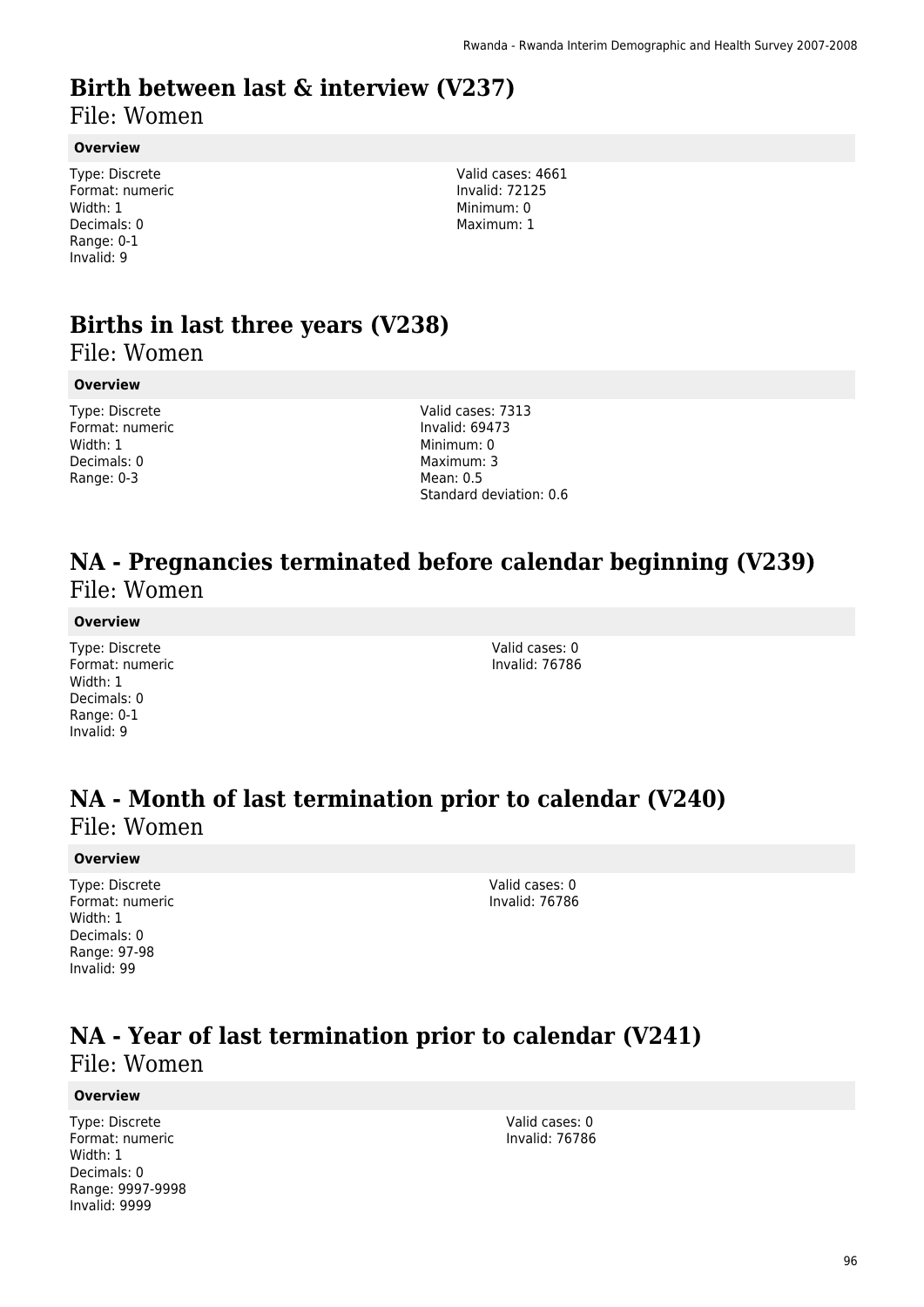### **Birth between last & interview (V237)**  File: Women

#### **Overview**

Type: Discrete Format: numeric Width: 1 Decimals: 0 Range: 0-1 Invalid: 9

Valid cases: 4661 Invalid: 72125 Minimum: 0 Maximum: 1

### **Births in last three years (V238)**  File: Women

#### **Overview**

Type: Discrete Format: numeric Width: 1 Decimals: 0 Range: 0-3

Valid cases: 7313 Invalid: 69473 Minimum: 0 Maximum: 3 Mean: 0.5 Standard deviation: 0.6

### **NA - Pregnancies terminated before calendar beginning (V239)**  File: Women

#### **Overview**

Type: Discrete Format: numeric Width: 1 Decimals: 0 Range: 0-1 Invalid: 9

Valid cases: 0 Invalid: 76786

## **NA - Month of last termination prior to calendar (V240)**  File: Women

#### **Overview**

Type: Discrete Format: numeric Width: 1 Decimals: 0 Range: 97-98 Invalid: 99

Valid cases: 0 Invalid: 76786

### **NA - Year of last termination prior to calendar (V241)**  File: Women

#### **Overview**

Type: Discrete Format: numeric Width: 1 Decimals: 0 Range: 9997-9998 Invalid: 9999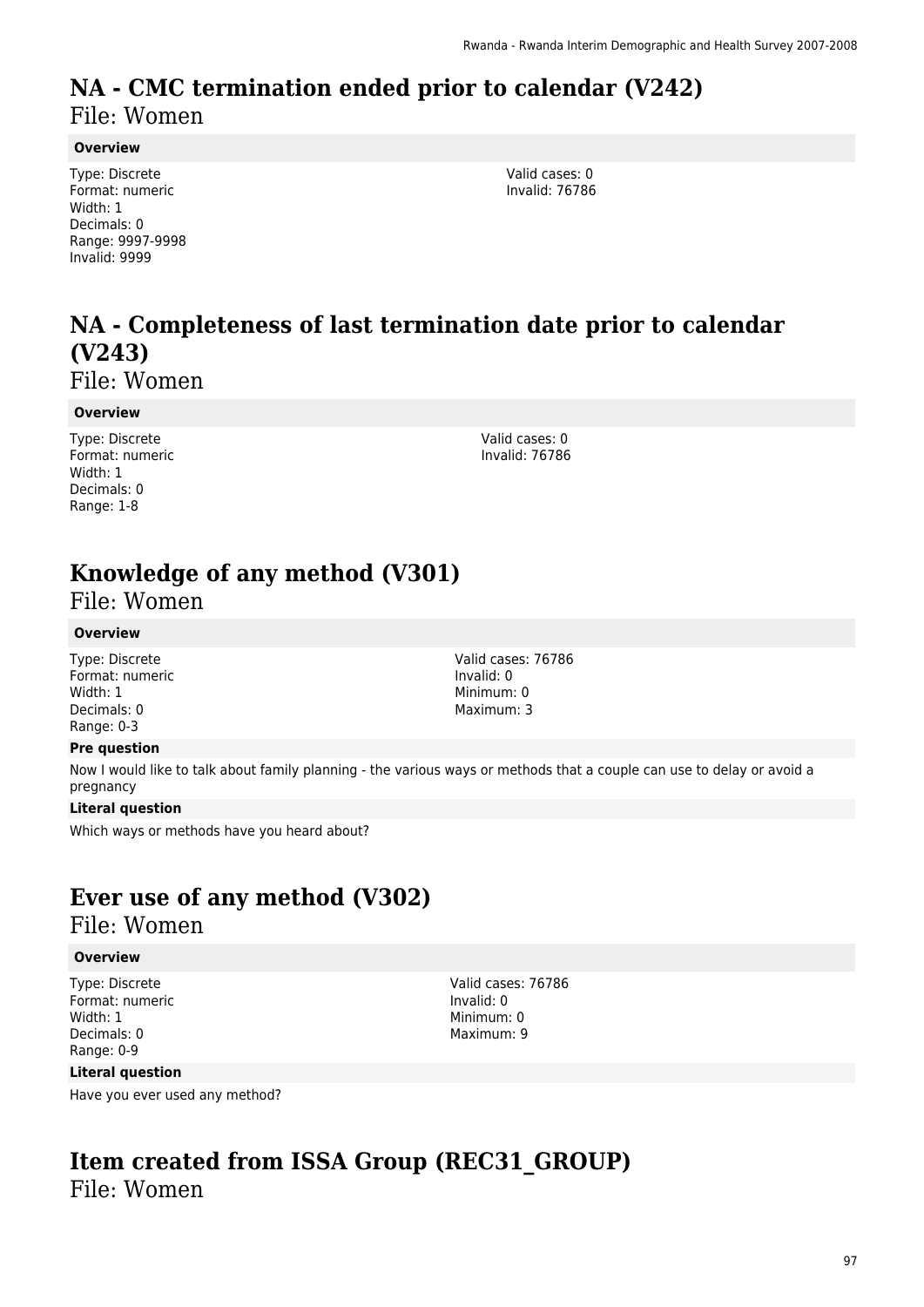### **NA - CMC termination ended prior to calendar (V242)**  File: Women

### **Overview**

Type: Discrete Format: numeric Width: 1 Decimals: 0 Range: 9997-9998 Invalid: 9999

Valid cases: 0 Invalid: 76786

### **NA - Completeness of last termination date prior to calendar (V243)**  File: Women

### **Overview**

Type: Discrete Format: numeric Width: 1 Decimals: 0 Range: 1-8

Valid cases: 0 Invalid: 76786

# **Knowledge of any method (V301)**

### File: Women

### **Overview**

Type: Discrete Format: numeric Width: 1 Decimals: 0 Range: 0-3

### **Pre question**

Now I would like to talk about family planning - the various ways or methods that a couple can use to delay or avoid a pregnancy

### **Literal question**

Which ways or methods have you heard about?

### **Ever use of any method (V302)**  File: Women

### **Overview**

Type: Discrete Format: numeric Width: 1 Decimals: 0 Range: 0-9

Valid cases: 76786 Invalid: 0 Minimum: 0 Maximum: 9

### **Literal question**

Have you ever used any method?

### **Item created from ISSA Group (REC31\_GROUP)**  File: Women

Valid cases: 76786 Invalid: 0 Minimum: 0 Maximum: 3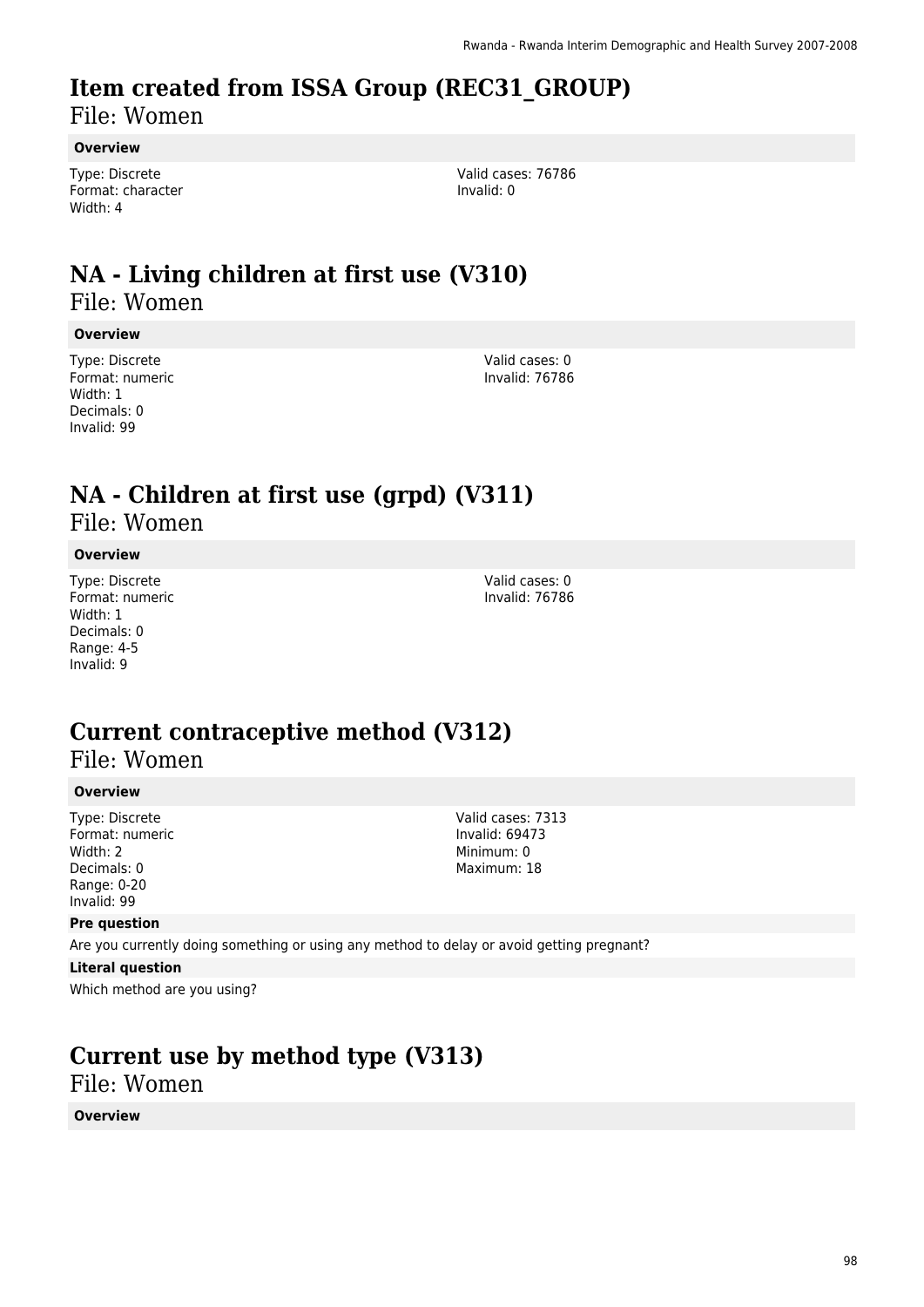# **Item created from ISSA Group (REC31\_GROUP)**

File: Women

### **Overview**

Type: Discrete Format: character Width: 4

Valid cases: 76786 Invalid: 0

# **NA - Living children at first use (V310)**  File: Women

### **Overview**

Type: Discrete Format: numeric Width: 1 Decimals: 0 Invalid: 99

Valid cases: 0 Invalid: 76786

# **NA - Children at first use (grpd) (V311)**  File: Women

#### **Overview**

Type: Discrete Format: numeric Width: 1 Decimals: 0 Range: 4-5 Invalid: 9

Valid cases: 0 Invalid: 76786

### **Current contraceptive method (V312)**  File: Women

### **Overview**

Type: Discrete Format: numeric Width: 2 Decimals: 0 Range: 0-20 Invalid: 99

### **Pre question**

Are you currently doing something or using any method to delay or avoid getting pregnant?

### **Literal question**

Which method are you using?

# **Current use by method type (V313)**

File: Women

**Overview**

Valid cases: 7313 Invalid: 69473 Minimum: 0 Maximum: 18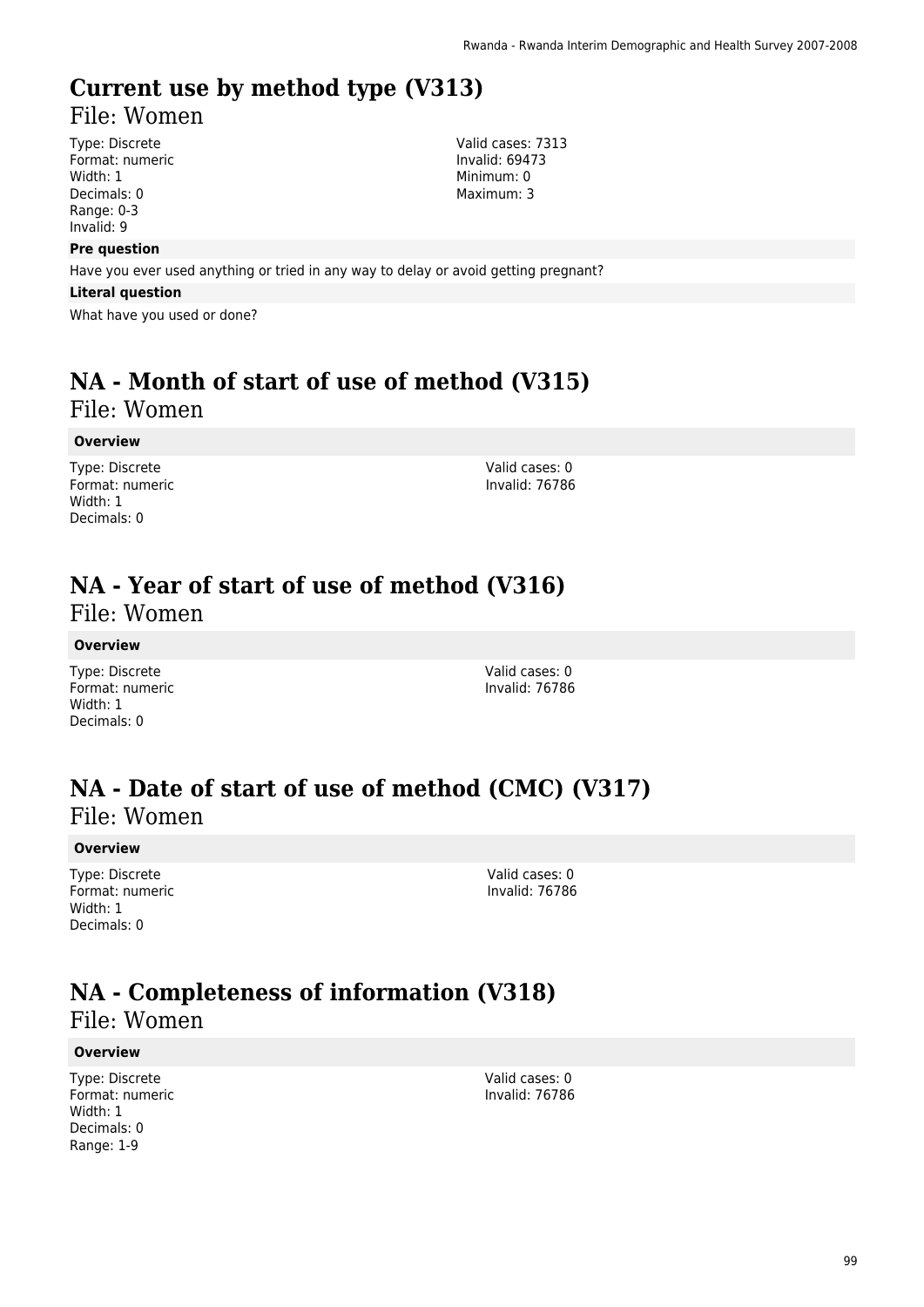### **Current use by method type (V313)**  File: Women

Type: Discrete Format: numeric Width: 1 Decimals: 0 Range: 0-3 Invalid: 9

#### **Pre question**

Have you ever used anything or tried in any way to delay or avoid getting pregnant?

#### **Literal question**

What have you used or done?

# **NA - Month of start of use of method (V315)**  File: Women

#### **Overview**

Type: Discrete Format: numeric Width: 1 Decimals: 0

Valid cases: 0 Invalid: 76786

Valid cases: 7313 Invalid: 69473 Minimum: 0 Maximum: 3

### **NA - Year of start of use of method (V316)**  File: Women

#### **Overview**

Type: Discrete Format: numeric Width: 1 Decimals: 0

Valid cases: 0 Invalid: 76786

### **NA - Date of start of use of method (CMC) (V317)**  File: Women

#### **Overview**

Type: Discrete Format: numeric Width: 1 Decimals: 0

Valid cases: 0 Invalid: 76786

# **NA - Completeness of information (V318)**  File: Women

#### **Overview**

Type: Discrete Format: numeric Width: 1 Decimals: 0 Range: 1-9

Valid cases: 0 Invalid: 76786

99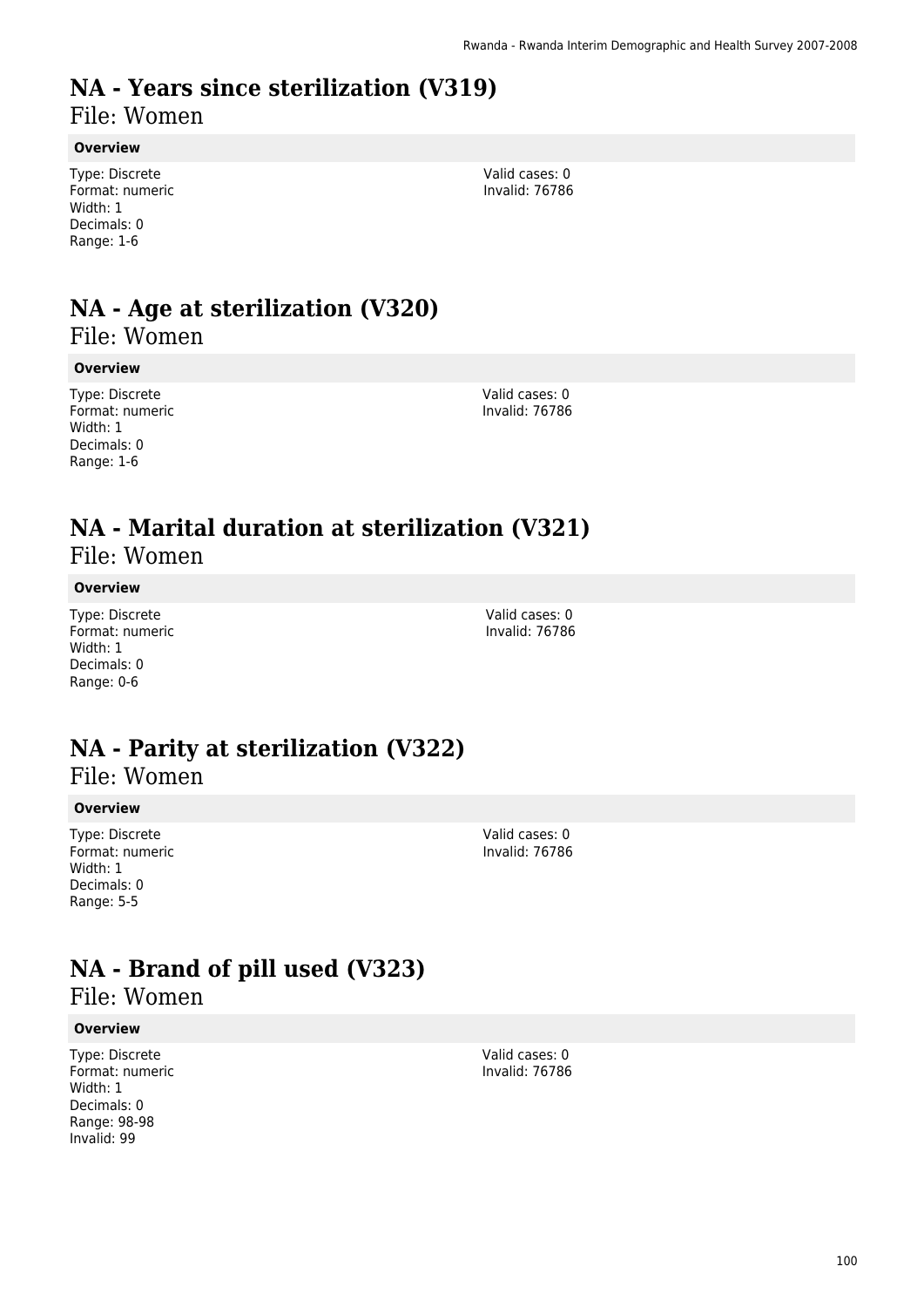### **NA - Years since sterilization (V319)**  File: Women

#### **Overview**

Type: Discrete Format: numeric Width: 1 Decimals: 0 Range: 1-6

# **NA - Age at sterilization (V320)**

### **Overview**

Type: Discrete Format: numeric Width: 1 Decimals: 0 Range: 1-6

# File: Women

Valid cases: 0 Invalid: 76786

## **NA - Marital duration at sterilization (V321)**  File: Women

### **Overview**

Type: Discrete Format: numeric Width: 1 Decimals: 0 Range: 0-6

### **NA - Parity at sterilization (V322)**  File: Women

#### **Overview**

Type: Discrete Format: numeric Width: 1 Decimals: 0 Range: 5-5

### **NA - Brand of pill used (V323)**  File: Women

#### **Overview**

Type: Discrete Format: numeric Width: 1 Decimals: 0 Range: 98-98 Invalid: 99

Valid cases: 0 Invalid: 76786

Valid cases: 0 Invalid: 76786

Valid cases: 0 Invalid: 76786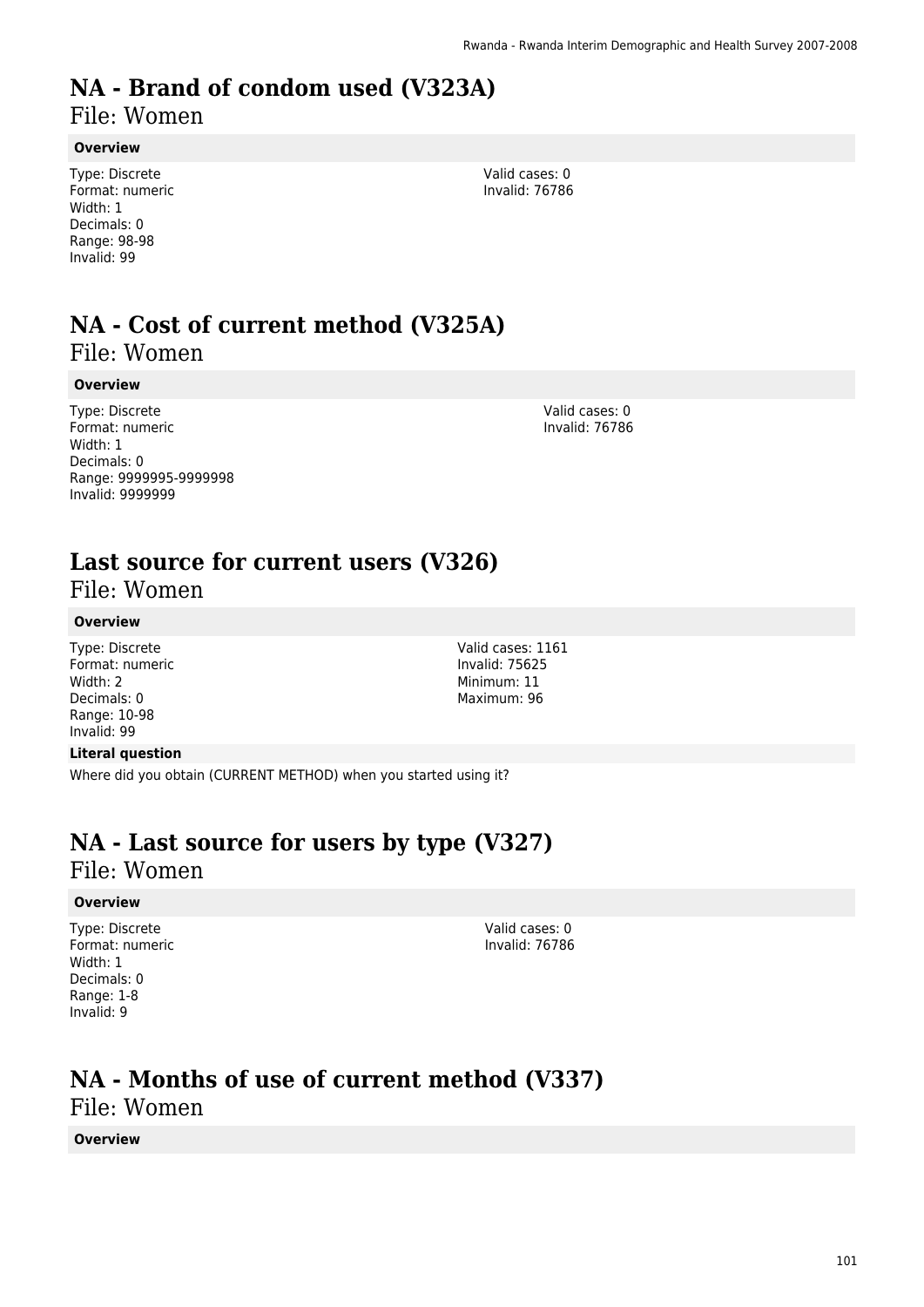# **NA - Brand of condom used (V323A)**

File: Women

### **Overview**

Type: Discrete Format: numeric Width: 1 Decimals: 0 Range: 98-98 Invalid: 99

# **NA - Cost of current method (V325A)**  File: Women

#### **Overview**

Type: Discrete Format: numeric Width: 1 Decimals: 0 Range: 9999995-9999998 Invalid: 9999999

Valid cases: 0 Invalid: 76786

Valid cases: 0 Invalid: 76786

### **Last source for current users (V326)**  File: Women

### **Overview**

Type: Discrete Format: numeric Width: 2 Decimals: 0 Range: 10-98 Invalid: 99

### **Literal question**

Where did you obtain (CURRENT METHOD) when you started using it?

### **NA - Last source for users by type (V327)**  File: Women

### **Overview**

Type: Discrete Format: numeric Width: 1 Decimals: 0 Range: 1-8 Invalid: 9

Valid cases: 0 Invalid: 76786

Valid cases: 1161 Invalid: 75625 Minimum: 11 Maximum: 96

### **NA - Months of use of current method (V337)**  File: Women

### **Overview**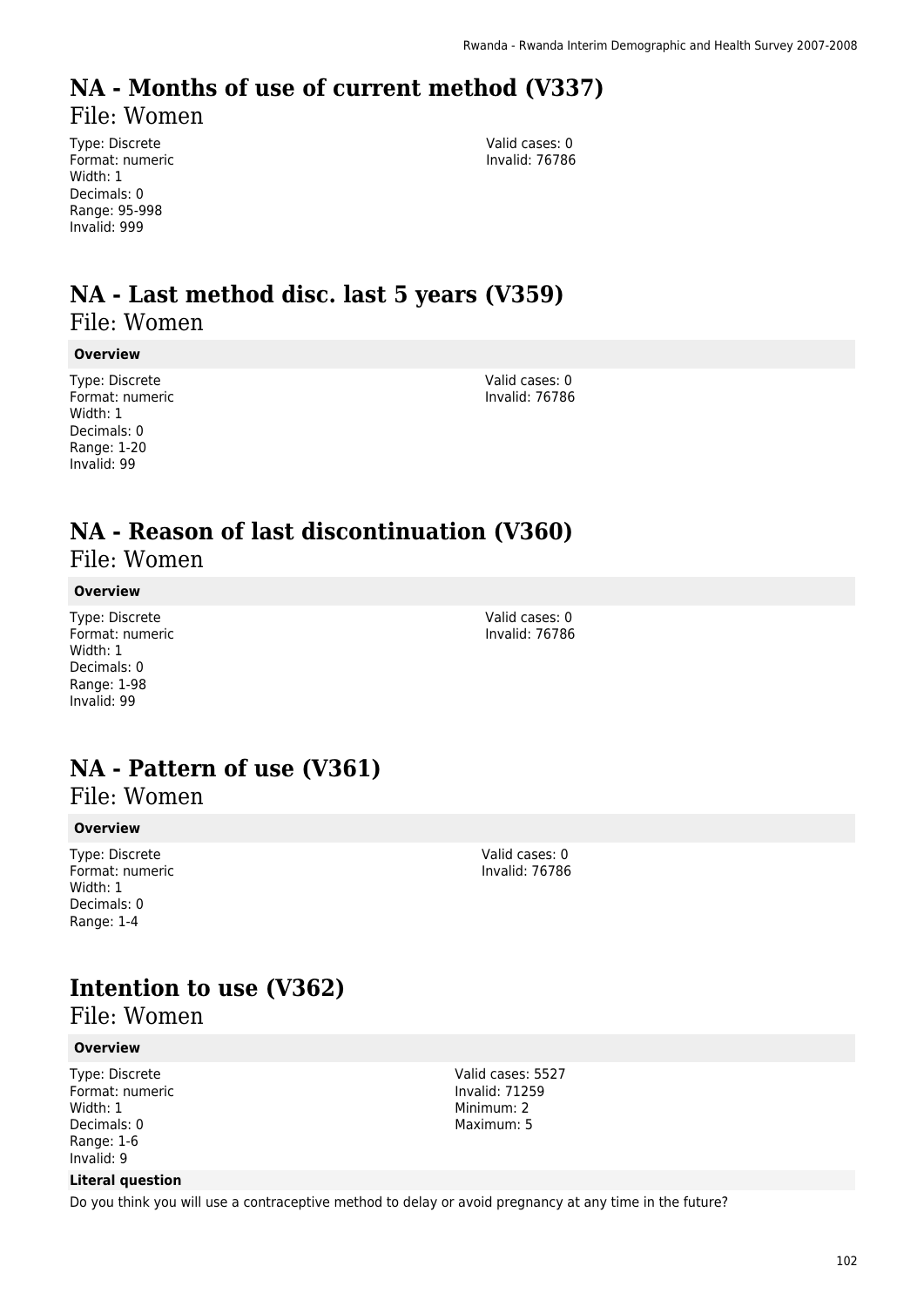### **NA - Months of use of current method (V337)**  File: Women

Type: Discrete Format: numeric Width: 1 Decimals: 0 Range: 95-998 Invalid: 999

# **NA - Last method disc. last 5 years (V359)**  File: Women

#### **Overview**

Type: Discrete Format: numeric Width: 1 Decimals: 0 Range: 1-20 Invalid: 99

Valid cases: 0 Invalid: 76786

### **NA - Reason of last discontinuation (V360)**  File: Women

#### **Overview**

Type: Discrete Format: numeric Width: 1 Decimals: 0 Range: 1-98 Invalid: 99

## **NA - Pattern of use (V361)**  File: Women

#### **Overview**

Type: Discrete Format: numeric Width: 1 Decimals: 0 Range: 1-4

### **Intention to use (V362)**  File: Women

#### **Overview**

Type: Discrete Format: numeric Width: 1 Decimals: 0 Range: 1-6 Invalid: 9

#### **Literal question**

Do you think you will use a contraceptive method to delay or avoid pregnancy at any time in the future?

Valid cases: 0 Invalid: 76786

Valid cases: 0 Invalid: 76786

Valid cases: 5527 Invalid: 71259 Minimum: 2 Maximum: 5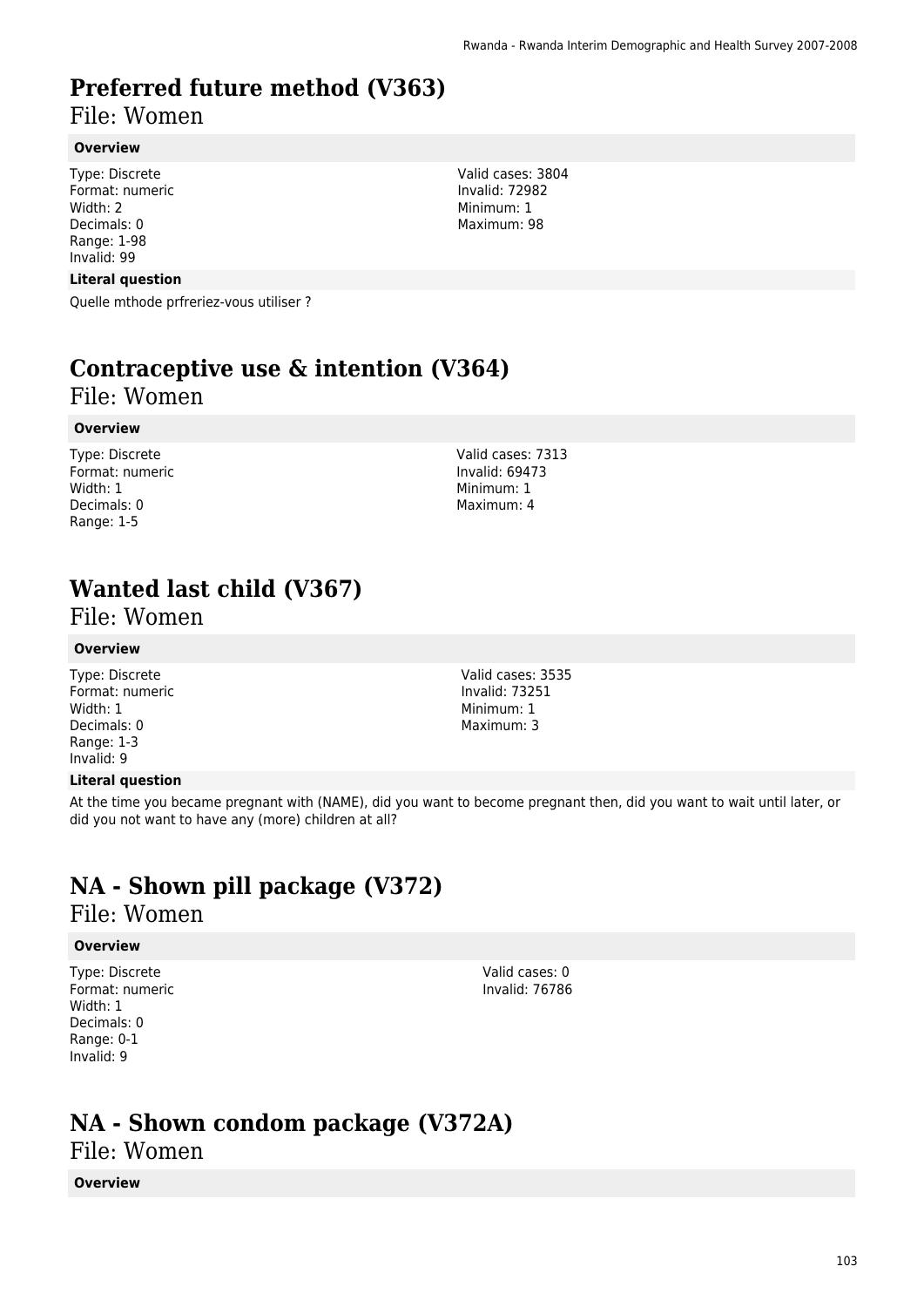# **Preferred future method (V363)**

File: Women

### **Overview**

Type: Discrete Format: numeric Width: 2 Decimals: 0 Range: 1-98 Invalid: 99

### **Literal question**

Quelle mthode prfreriez-vous utiliser ?

### **Contraceptive use & intention (V364)**  File: Women

### **Overview**

Type: Discrete Format: numeric Width: 1 Decimals: 0 Range: 1-5

# **Wanted last child (V367)**

### File: Women

#### **Overview**

Type: Discrete Format: numeric Width: 1 Decimals: 0 Range: 1-3 Invalid: 9

### **Literal question**

At the time you became pregnant with (NAME), did you want to become pregnant then, did you want to wait until later, or did you not want to have any (more) children at all?

# **NA - Shown pill package (V372)**

### File: Women

### **Overview**

Type: Discrete Format: numeric Width: 1 Decimals: 0 Range: 0-1 Invalid: 9

Valid cases: 0 Invalid: 76786

# **NA - Shown condom package (V372A)**

File: Women

**Overview**

Valid cases: 7313 Invalid: 69473 Minimum: 1 Maximum: 4

Valid cases: 3535 Invalid: 73251 Minimum: 1 Maximum: 3

Valid cases: 3804 Invalid: 72982 Minimum: 1 Maximum: 98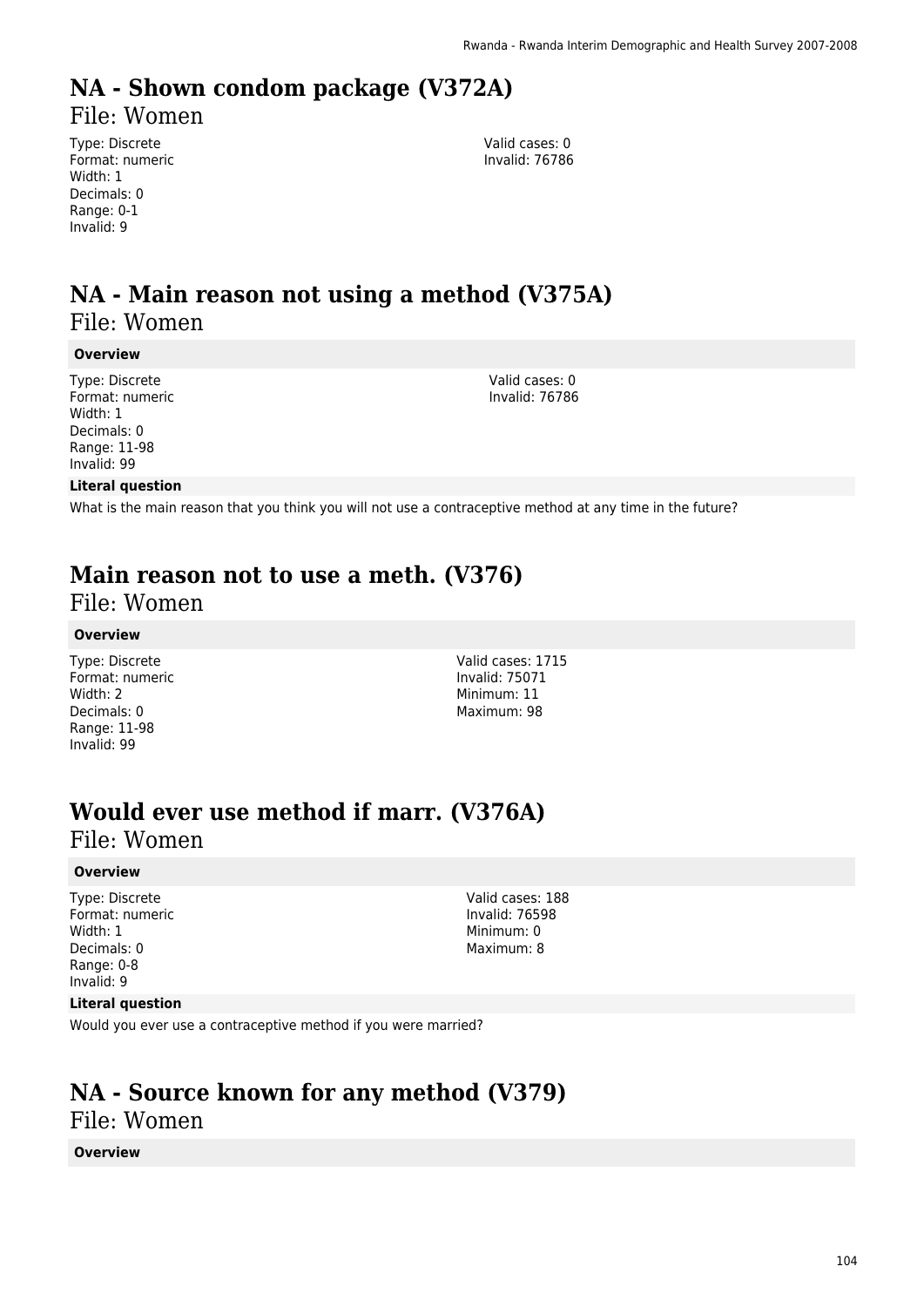### **NA - Shown condom package (V372A)**  File: Women

Type: Discrete Format: numeric Width: 1 Decimals: 0 Range: 0-1 Invalid: 9

# **NA - Main reason not using a method (V375A)**  File: Women

#### **Overview**

Type: Discrete Format: numeric Width: 1 Decimals: 0 Range: 11-98 Invalid: 99

Valid cases: 0 Invalid: 76786

Valid cases: 0 Invalid: 76786

### **Literal question**

What is the main reason that you think you will not use a contraceptive method at any time in the future?

# **Main reason not to use a meth. (V376)**

### File: Women

#### **Overview**

Type: Discrete Format: numeric Width: 2 Decimals: 0 Range: 11-98 Invalid: 99

Valid cases: 1715 Invalid: 75071 Minimum: 11 Maximum: 98

### **Would ever use method if marr. (V376A)**  File: Women

#### **Overview**

Type: Discrete Format: numeric Width: 1 Decimals: 0 Range: 0-8 Invalid: 9

Valid cases: 188 Invalid: 76598 Minimum: 0 Maximum: 8

#### **Literal question**

Would you ever use a contraceptive method if you were married?

### **NA - Source known for any method (V379)**  File: Women

#### **Overview**

104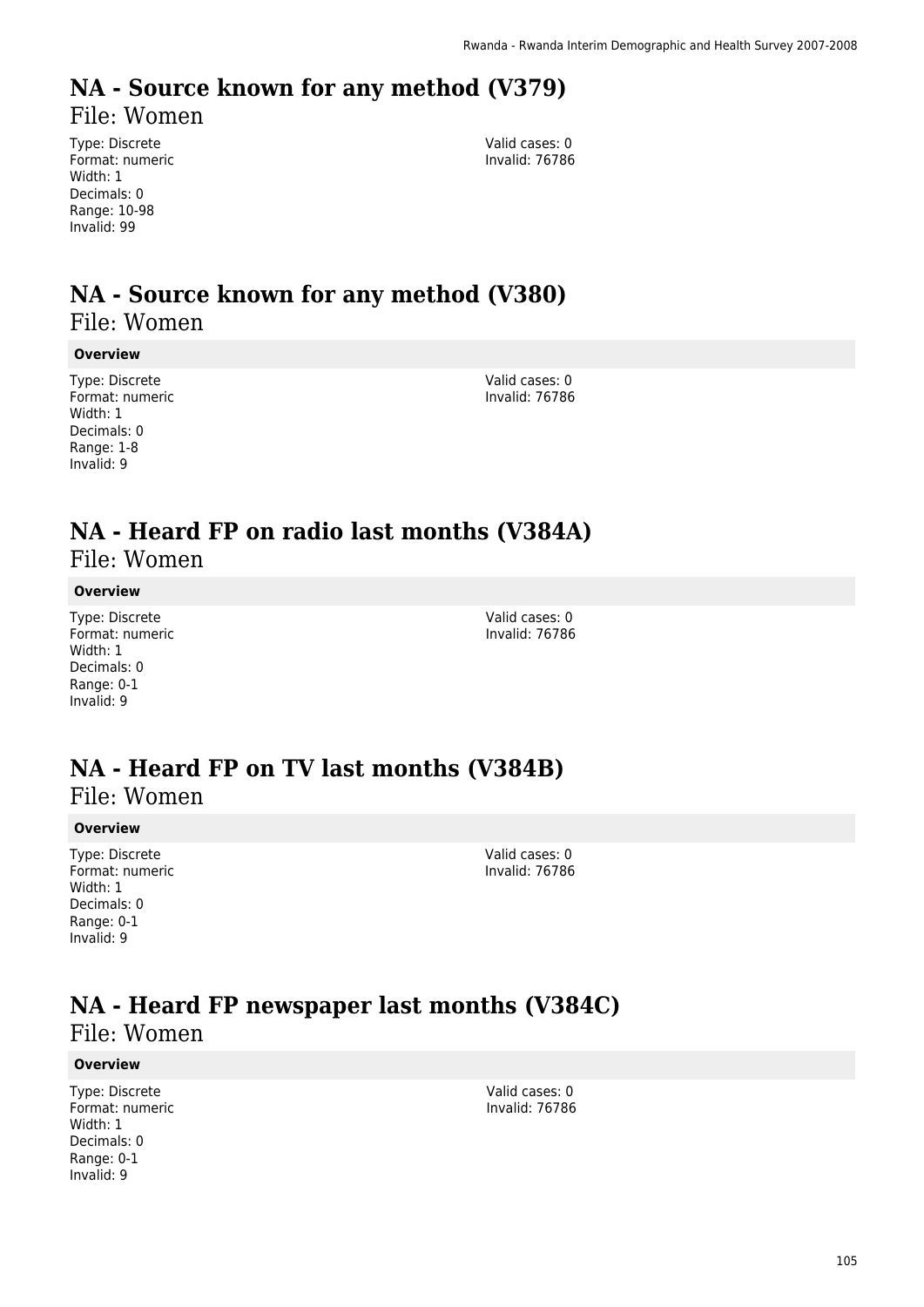### **NA - Source known for any method (V379)**  File: Women

Type: Discrete Format: numeric Width: 1 Decimals: 0 Range: 10-98 Invalid: 99

# **NA - Source known for any method (V380)**  File: Women

#### **Overview**

Type: Discrete Format: numeric Width: 1 Decimals: 0 Range: 1-8 Invalid: 9

Valid cases: 0 Invalid: 76786

## **NA - Heard FP on radio last months (V384A)**  File: Women

#### **Overview**

Type: Discrete Format: numeric Width: 1 Decimals: 0 Range: 0-1 Invalid: 9

Valid cases: 0 Invalid: 76786

# **NA - Heard FP on TV last months (V384B)**  File: Women

#### **Overview**

Type: Discrete Format: numeric Width: 1 Decimals: 0 Range: 0-1 Invalid: 9

Valid cases: 0 Invalid: 76786

### **NA - Heard FP newspaper last months (V384C)**  File: Women

### **Overview**

Type: Discrete Format: numeric Width: 1 Decimals: 0 Range: 0-1 Invalid: 9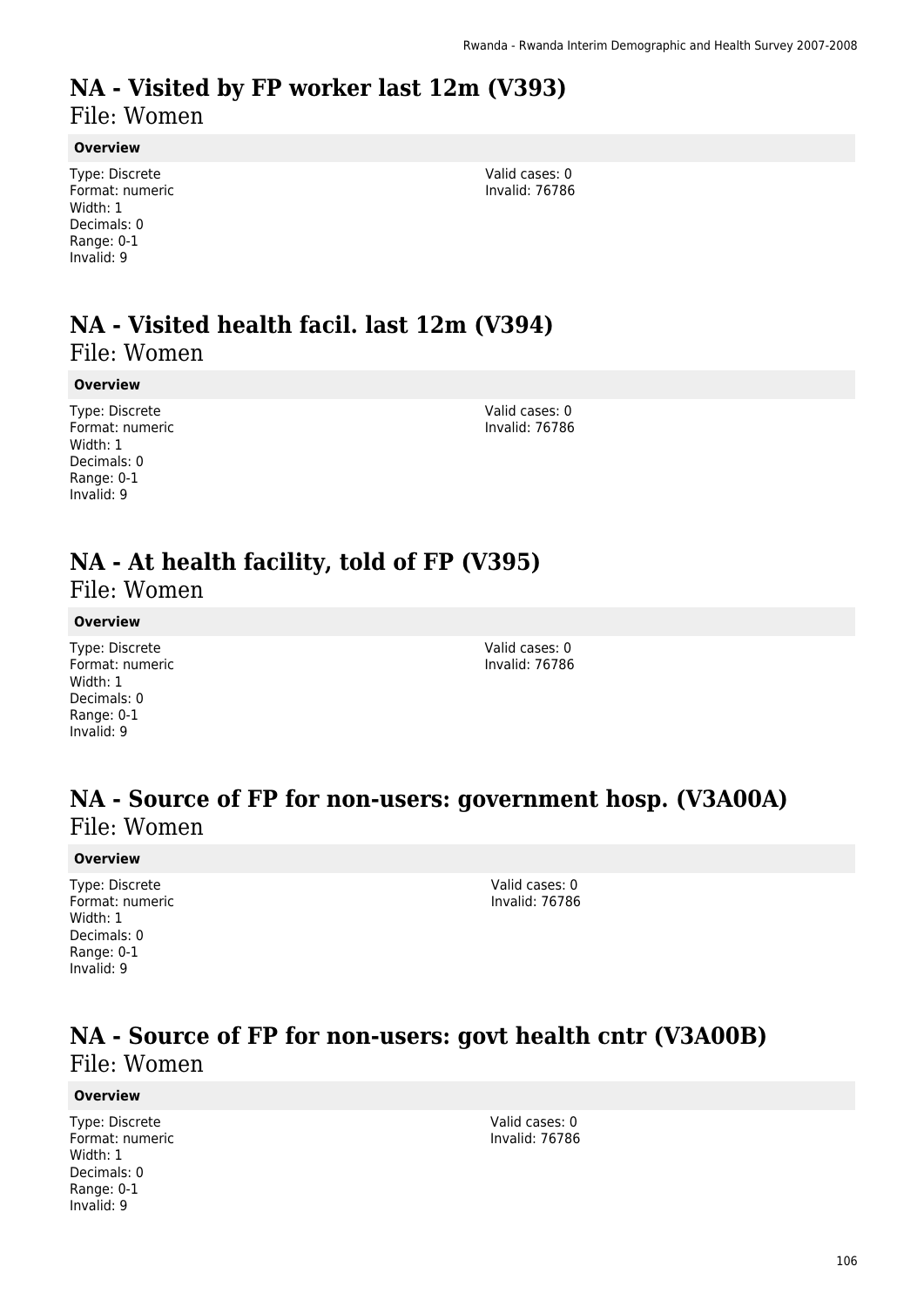### **NA - Visited by FP worker last 12m (V393)**  File: Women

#### **Overview**

Type: Discrete Format: numeric Width: 1 Decimals: 0 Range: 0-1 Invalid: 9

# **NA - Visited health facil. last 12m (V394)**  File: Women

#### **Overview**

Type: Discrete Format: numeric Width: 1 Decimals: 0 Range: 0-1 Invalid: 9

#### Valid cases: 0 Invalid: 76786

Valid cases: 0 Invalid: 76786

### **NA - At health facility, told of FP (V395)**  File: Women

#### **Overview**

Type: Discrete Format: numeric Width: 1 Decimals: 0 Range: 0-1 Invalid: 9

Valid cases: 0 Invalid: 76786

## **NA - Source of FP for non-users: government hosp. (V3A00A)**  File: Women

#### **Overview**

Type: Discrete Format: numeric Width: 1 Decimals: 0 Range: 0-1 Invalid: 9

Valid cases: 0 Invalid: 76786

### **NA - Source of FP for non-users: govt health cntr (V3A00B)**  File: Women

#### **Overview**

Type: Discrete Format: numeric Width: 1 Decimals: 0 Range: 0-1 Invalid: 9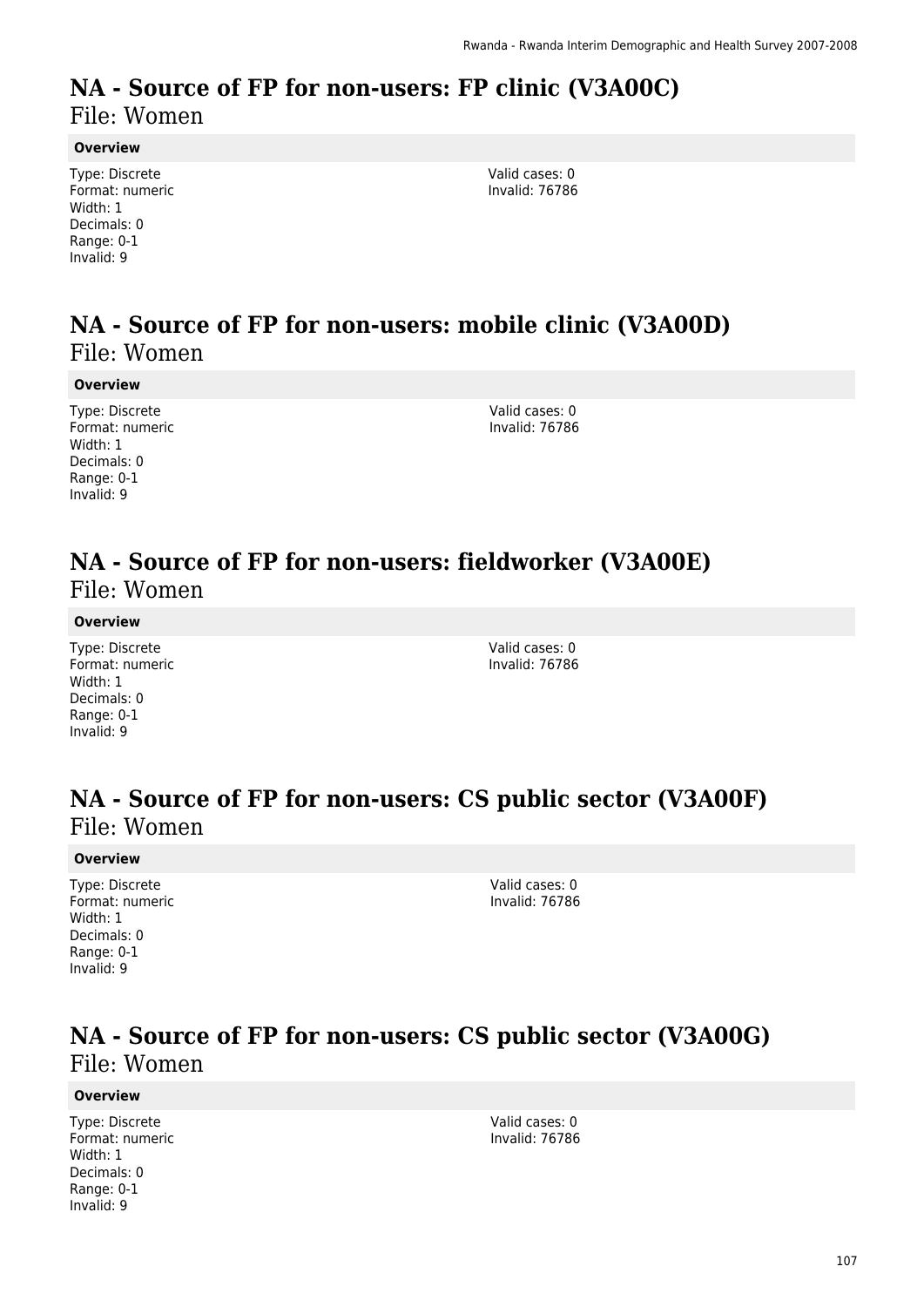### **NA - Source of FP for non-users: FP clinic (V3A00C)**  File: Women

#### **Overview**

Type: Discrete Format: numeric Width: 1 Decimals: 0 Range: 0-1 Invalid: 9

Valid cases: 0 Invalid: 76786

# **NA - Source of FP for non-users: mobile clinic (V3A00D)**  File: Women

#### **Overview**

Type: Discrete Format: numeric Width: 1 Decimals: 0 Range: 0-1 Invalid: 9

Valid cases: 0 Invalid: 76786

### **NA - Source of FP for non-users: fieldworker (V3A00E)**  File: Women

#### **Overview**

Type: Discrete Format: numeric Width: 1 Decimals: 0 Range: 0-1 Invalid: 9

Valid cases: 0 Invalid: 76786

### **NA - Source of FP for non-users: CS public sector (V3A00F)**  File: Women

### **Overview**

Type: Discrete Format: numeric Width: 1 Decimals: 0 Range: 0-1 Invalid: 9

Valid cases: 0 Invalid: 76786

# **NA - Source of FP for non-users: CS public sector (V3A00G)**  File: Women

### **Overview**

Type: Discrete Format: numeric Width: 1 Decimals: 0 Range: 0-1 Invalid: 9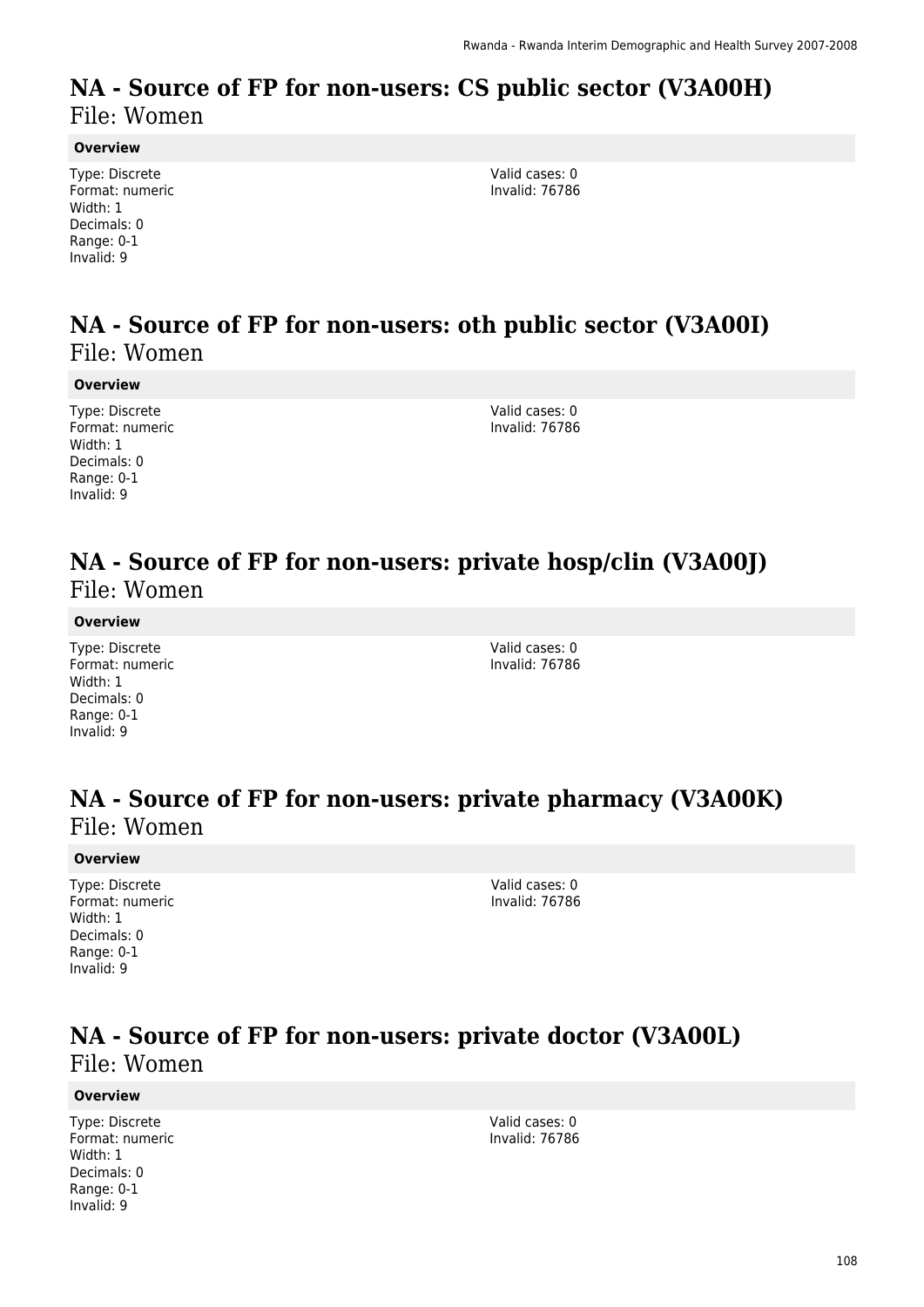### **NA - Source of FP for non-users: CS public sector (V3A00H)**  File: Women

#### **Overview**

Type: Discrete Format: numeric Width: 1 Decimals: 0 Range: 0-1 Invalid: 9

Valid cases: 0 Invalid: 76786

# **NA - Source of FP for non-users: oth public sector (V3A00I)**  File: Women

#### **Overview**

Type: Discrete Format: numeric Width: 1 Decimals: 0 Range: 0-1 Invalid: 9

Valid cases: 0 Invalid: 76786

### **NA - Source of FP for non-users: private hosp/clin (V3A00J)**  File: Women

#### **Overview**

Type: Discrete Format: numeric Width: 1 Decimals: 0 Range: 0-1 Invalid: 9

Valid cases: 0 Invalid: 76786

### **NA - Source of FP for non-users: private pharmacy (V3A00K)**  File: Women

### **Overview**

Type: Discrete Format: numeric Width: 1 Decimals: 0 Range: 0-1 Invalid: 9

Valid cases: 0 Invalid: 76786

# **NA - Source of FP for non-users: private doctor (V3A00L)**  File: Women

### **Overview**

Type: Discrete Format: numeric Width: 1 Decimals: 0 Range: 0-1 Invalid: 9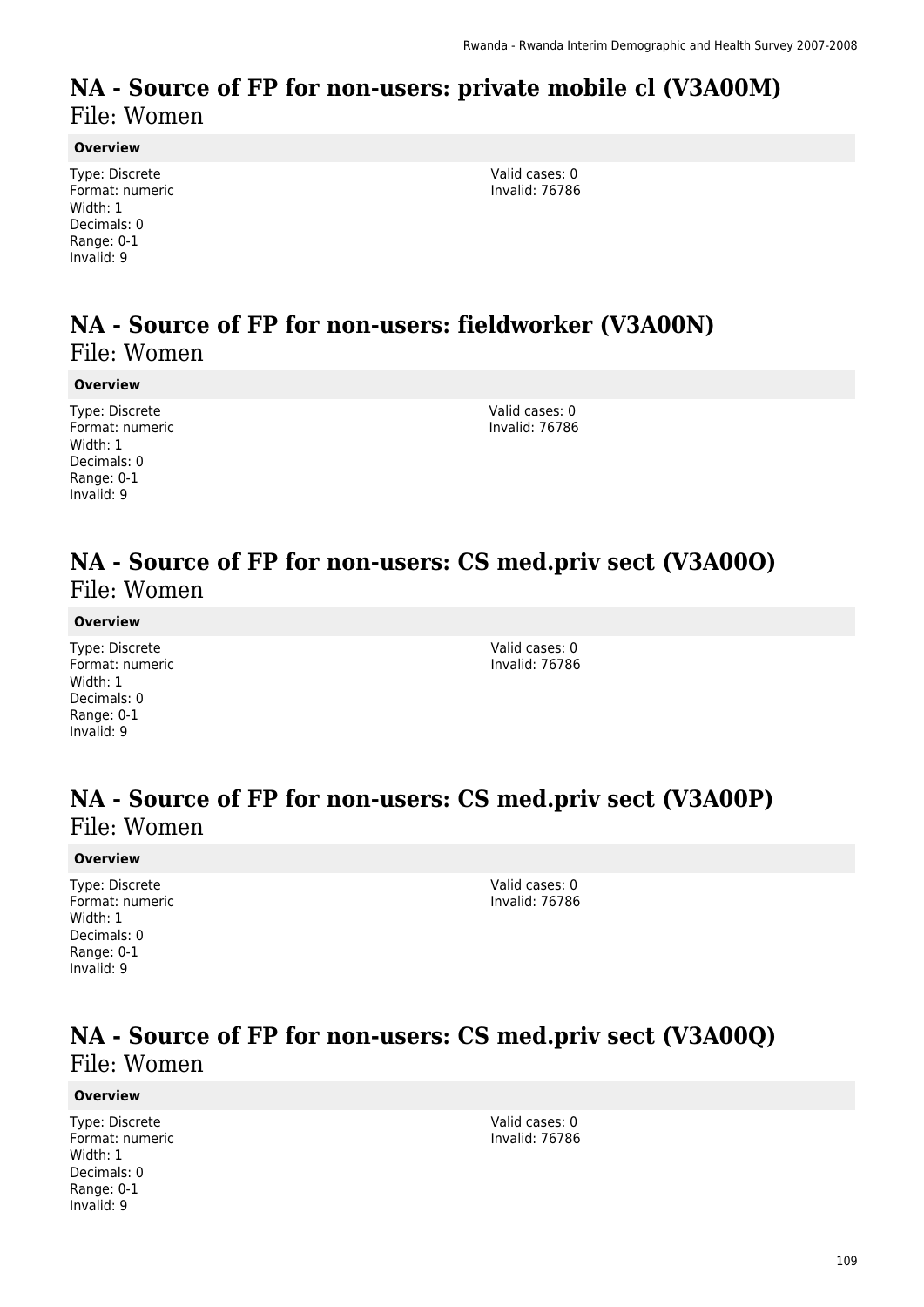### **NA - Source of FP for non-users: private mobile cl (V3A00M)**  File: Women

### **Overview**

Type: Discrete Format: numeric Width: 1 Decimals: 0 Range: 0-1 Invalid: 9

Valid cases: 0 Invalid: 76786

### **NA - Source of FP for non-users: fieldworker (V3A00N)**  File: Women

#### **Overview**

Type: Discrete Format: numeric Width: 1 Decimals: 0 Range: 0-1 Invalid: 9

Valid cases: 0 Invalid: 76786

### **NA - Source of FP for non-users: CS med.priv sect (V3A00O)**  File: Women

#### **Overview**

Type: Discrete Format: numeric Width: 1 Decimals: 0 Range: 0-1 Invalid: 9

Valid cases: 0 Invalid: 76786

### **NA - Source of FP for non-users: CS med.priv sect (V3A00P)**  File: Women

### **Overview**

Type: Discrete Format: numeric Width: 1 Decimals: 0 Range: 0-1 Invalid: 9

Valid cases: 0 Invalid: 76786

### **NA - Source of FP for non-users: CS med.priv sect (V3A00Q)**  File: Women

### **Overview**

Type: Discrete Format: numeric Width: 1 Decimals: 0 Range: 0-1 Invalid: 9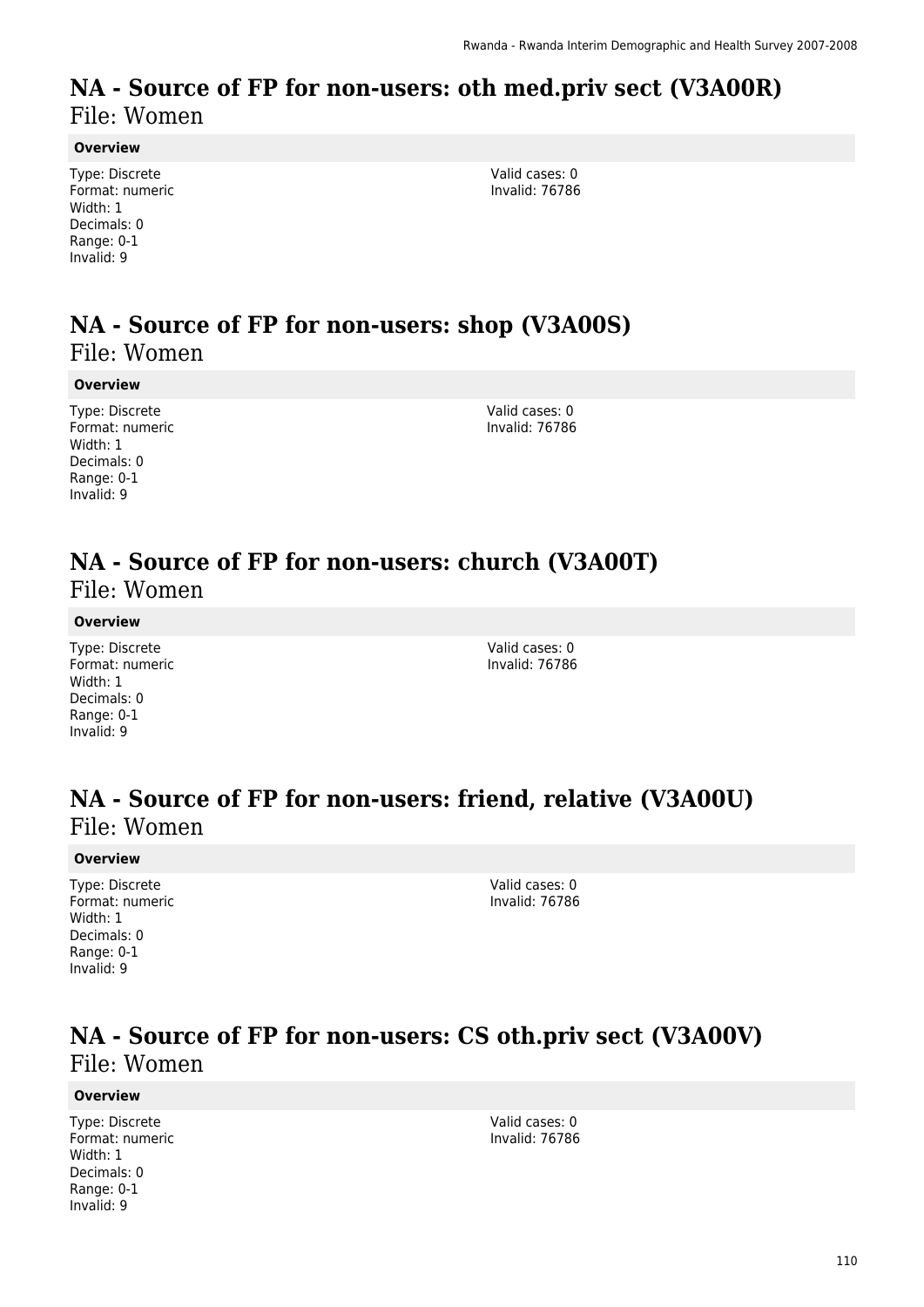### **NA - Source of FP for non-users: oth med.priv sect (V3A00R)**  File: Women

#### **Overview**

Type: Discrete Format: numeric Width: 1 Decimals: 0 Range: 0-1 Invalid: 9

Valid cases: 0 Invalid: 76786

### **NA - Source of FP for non-users: shop (V3A00S)**  File: Women

#### **Overview**

Type: Discrete Format: numeric Width: 1 Decimals: 0 Range: 0-1 Invalid: 9

Valid cases: 0 Invalid: 76786

### **NA - Source of FP for non-users: church (V3A00T)**  File: Women

#### **Overview**

Type: Discrete Format: numeric Width: 1 Decimals: 0 Range: 0-1 Invalid: 9

Valid cases: 0 Invalid: 76786

### **NA - Source of FP for non-users: friend, relative (V3A00U)**  File: Women

### **Overview**

Type: Discrete Format: numeric Width: 1 Decimals: 0 Range: 0-1 Invalid: 9

Valid cases: 0 Invalid: 76786

### **NA - Source of FP for non-users: CS oth.priv sect (V3A00V)**  File: Women

### **Overview**

Type: Discrete Format: numeric Width: 1 Decimals: 0 Range: 0-1 Invalid: 9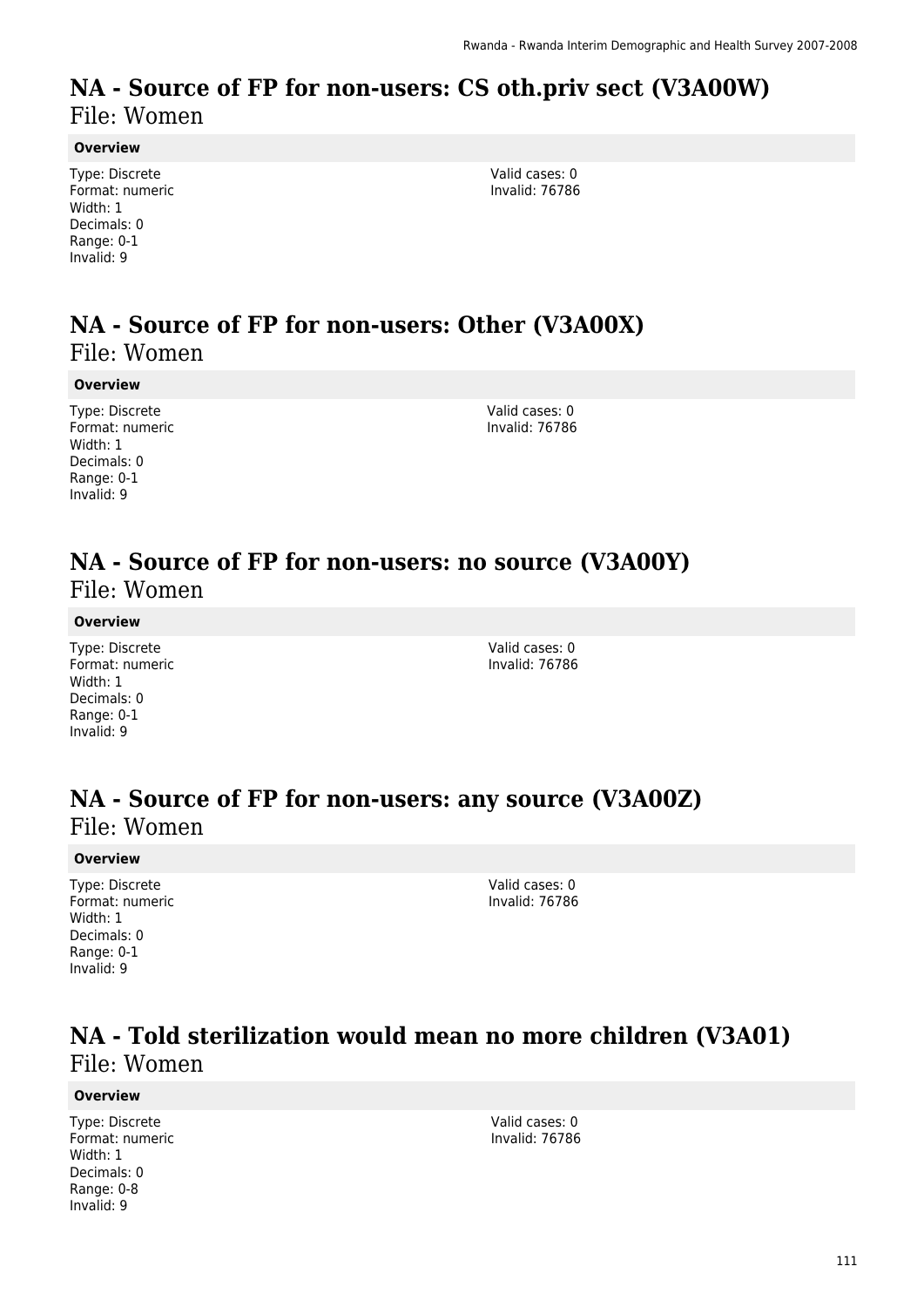### **NA - Source of FP for non-users: CS oth.priv sect (V3A00W)**  File: Women

#### **Overview**

Type: Discrete Format: numeric Width: 1 Decimals: 0 Range: 0-1 Invalid: 9

Valid cases: 0 Invalid: 76786

### **NA - Source of FP for non-users: Other (V3A00X)**  File: Women

#### **Overview**

Type: Discrete Format: numeric Width: 1 Decimals: 0 Range: 0-1 Invalid: 9

Valid cases: 0 Invalid: 76786

### **NA - Source of FP for non-users: no source (V3A00Y)**  File: Women

#### **Overview**

Type: Discrete Format: numeric Width: 1 Decimals: 0 Range: 0-1 Invalid: 9

Valid cases: 0 Invalid: 76786

### **NA - Source of FP for non-users: any source (V3A00Z)**  File: Women

### **Overview**

Type: Discrete Format: numeric Width: 1 Decimals: 0 Range: 0-1 Invalid: 9

Valid cases: 0 Invalid: 76786

### **NA - Told sterilization would mean no more children (V3A01)**  File: Women

### **Overview**

Type: Discrete Format: numeric Width: 1 Decimals: 0 Range: 0-8 Invalid: 9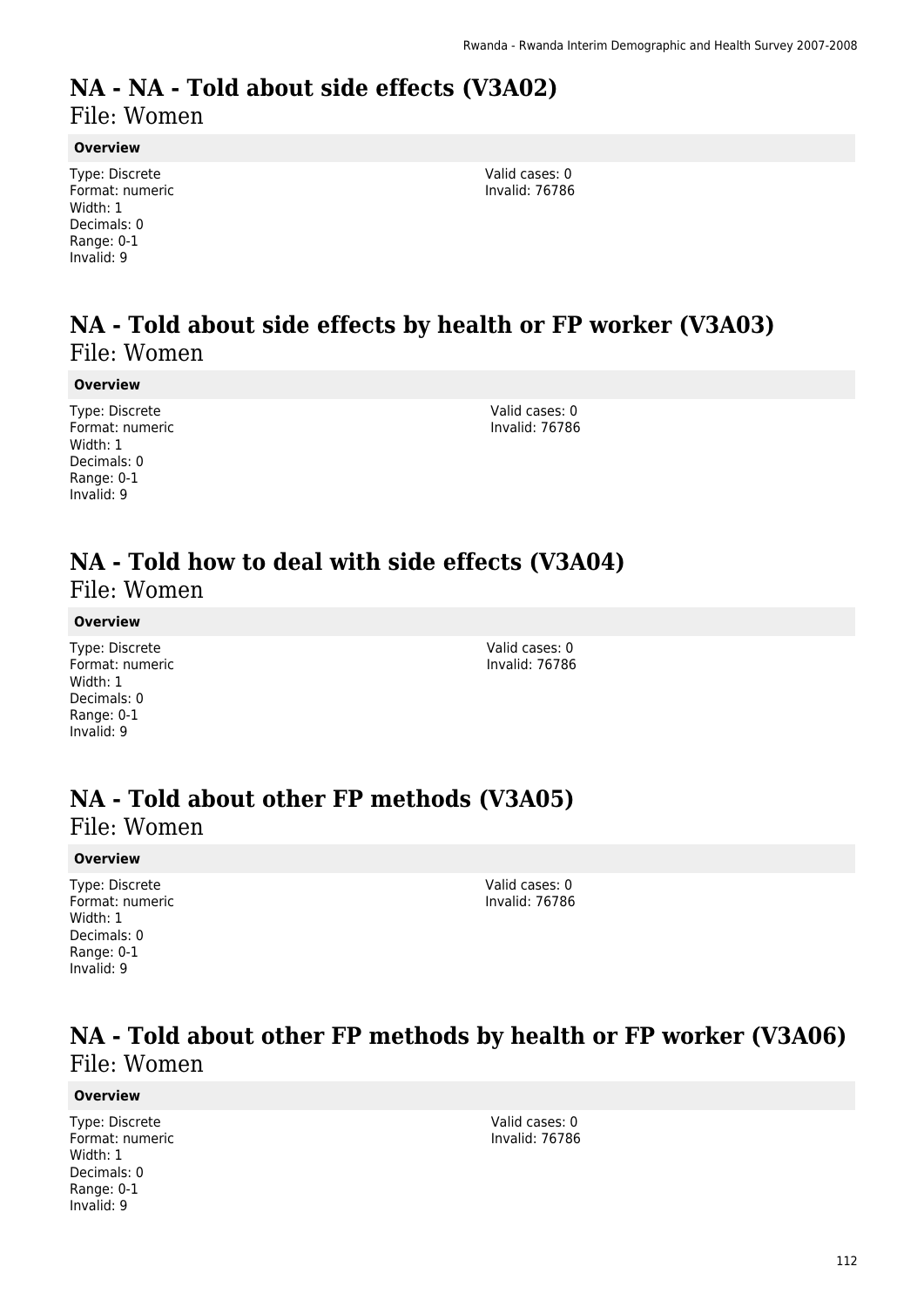## **NA - NA - Told about side effects (V3A02)**

File: Women

### **Overview**

Type: Discrete Format: numeric Width: 1 Decimals: 0 Range: 0-1 Invalid: 9

Valid cases: 0 Invalid: 76786

### **NA - Told about side effects by health or FP worker (V3A03)**  File: Women

#### **Overview**

Type: Discrete Format: numeric Width: 1 Decimals: 0 Range: 0-1 Invalid: 9

Valid cases: 0 Invalid: 76786

### **NA - Told how to deal with side effects (V3A04)**  File: Women

#### **Overview**

Type: Discrete Format: numeric Width: 1 Decimals: 0 Range: 0-1 Invalid: 9

Valid cases: 0 Invalid: 76786

### **NA - Told about other FP methods (V3A05)**  File: Women

### **Overview**

Type: Discrete Format: numeric Width: 1 Decimals: 0 Range: 0-1 Invalid: 9

Valid cases: 0 Invalid: 76786

### **NA - Told about other FP methods by health or FP worker (V3A06)**  File: Women

### **Overview**

Type: Discrete Format: numeric Width: 1 Decimals: 0 Range: 0-1 Invalid: 9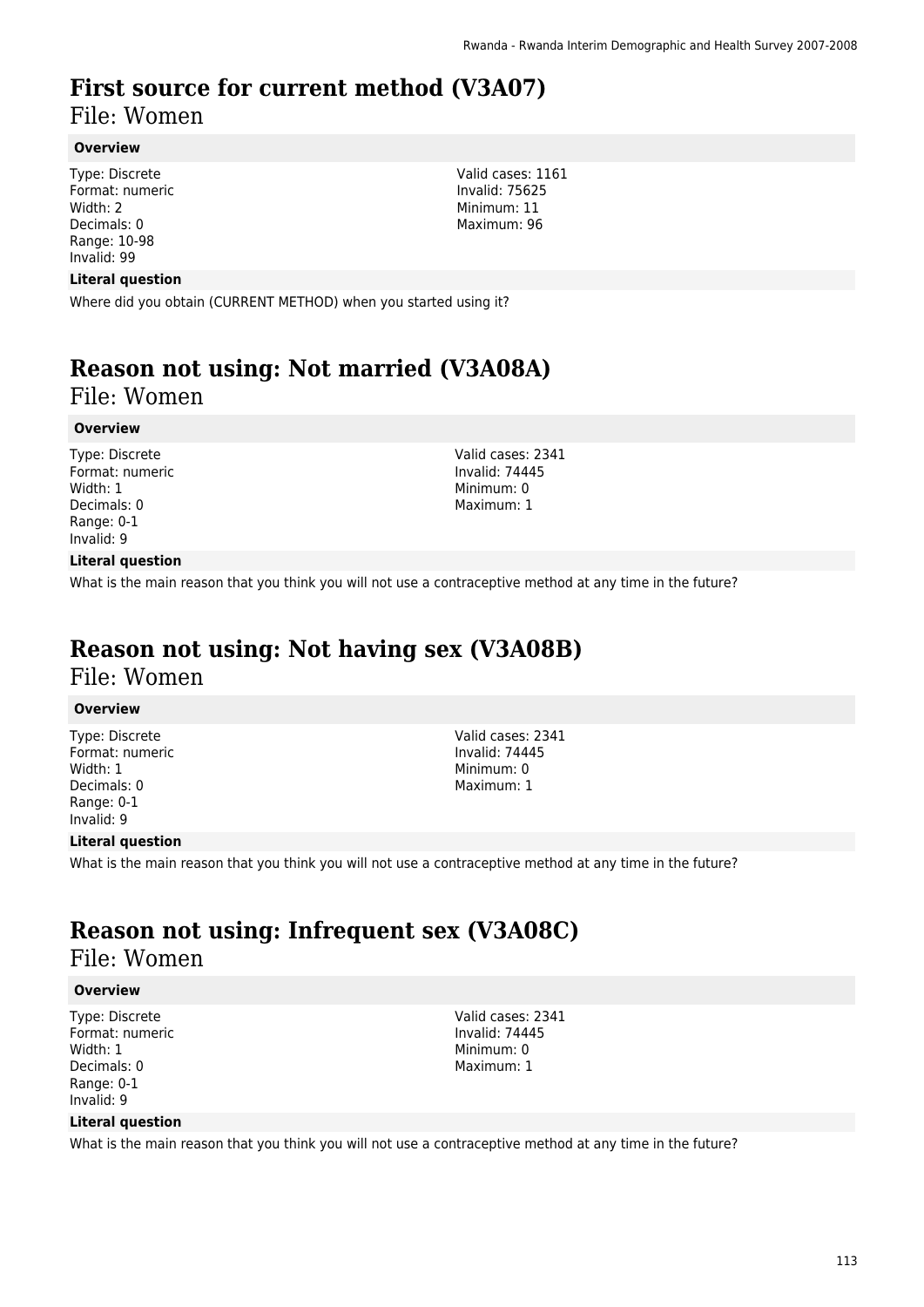### **First source for current method (V3A07)**  File: Women

#### **Overview**

Type: Discrete Format: numeric Width: 2 Decimals: 0 Range: 10-98 Invalid: 99

#### **Literal question**

Where did you obtain (CURRENT METHOD) when you started using it?

### **Reason not using: Not married (V3A08A)**  File: Women

#### **Overview**

Type: Discrete Format: numeric Width: 1 Decimals: 0 Range: 0-1 Invalid: 9

#### **Literal question**

What is the main reason that you think you will not use a contraceptive method at any time in the future?

### **Reason not using: Not having sex (V3A08B)**  File: Women

#### **Overview**

Type: Discrete Format: numeric Width: 1 Decimals: 0 Range: 0-1 Invalid: 9

Valid cases: 2341 Invalid: 74445 Minimum: 0 Maximum: 1

#### **Literal question**

What is the main reason that you think you will not use a contraceptive method at any time in the future?

## **Reason not using: Infrequent sex (V3A08C)**

### File: Women

#### **Overview**

Type: Discrete Format: numeric Width: 1 Decimals: 0 Range: 0-1 Invalid: 9

Valid cases: 2341 Invalid: 74445 Minimum: 0 Maximum: 1

#### **Literal question**

What is the main reason that you think you will not use a contraceptive method at any time in the future?

Valid cases: 1161 Invalid: 75625 Minimum: 11 Maximum: 96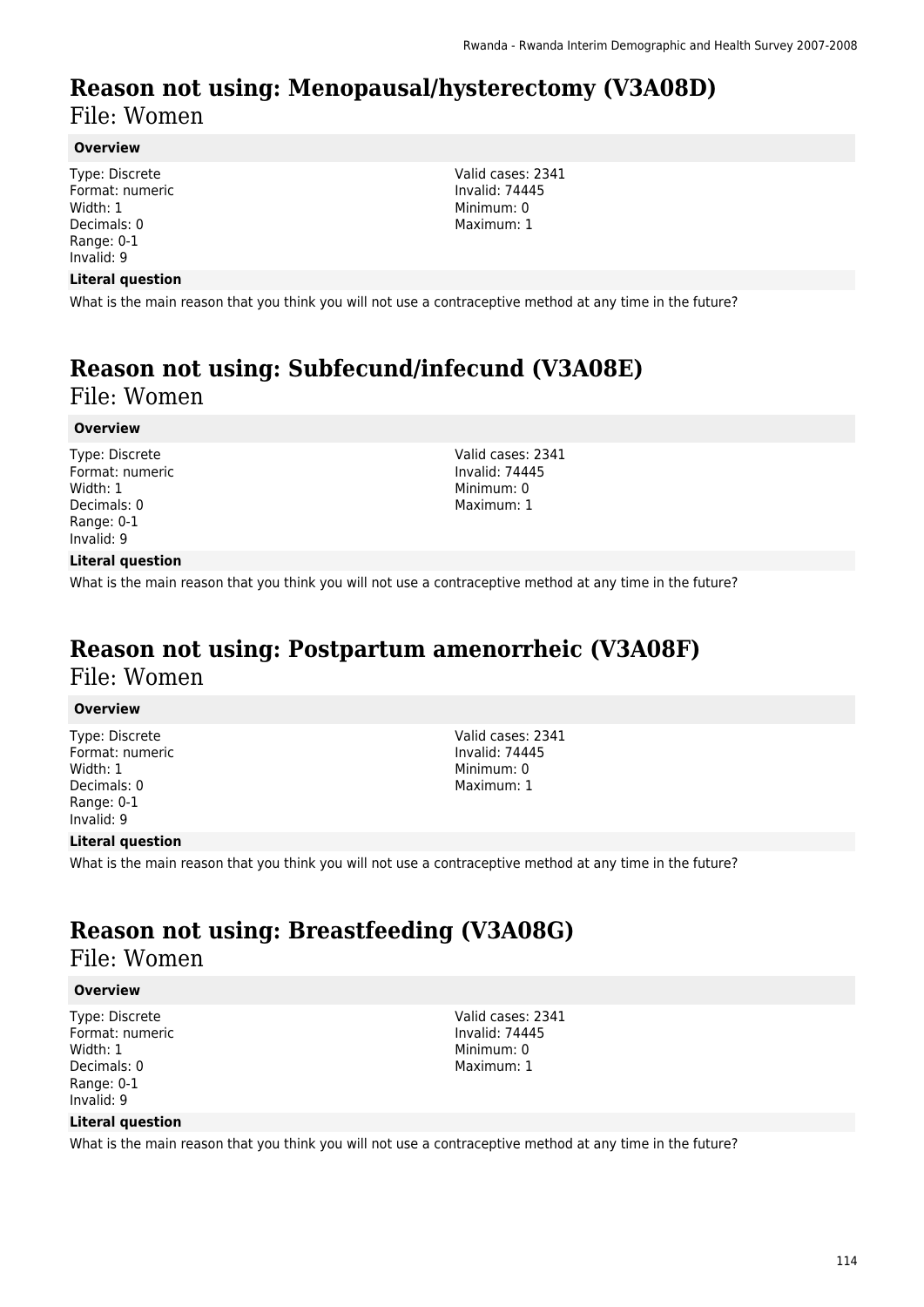# **Reason not using: Menopausal/hysterectomy (V3A08D)**

File: Women

#### **Overview**

Type: Discrete Format: numeric Width: 1 Decimals: 0 Range: 0-1 Invalid: 9

#### **Literal question**

What is the main reason that you think you will not use a contraceptive method at any time in the future?

### **Reason not using: Subfecund/infecund (V3A08E)**  File: Women

#### **Overview**

Type: Discrete Format: numeric Width: 1 Decimals: 0 Range: 0-1 Invalid: 9

#### **Literal question**

What is the main reason that you think you will not use a contraceptive method at any time in the future?

### **Reason not using: Postpartum amenorrheic (V3A08F)**  File: Women

#### **Overview**

Type: Discrete Format: numeric Width: 1 Decimals: 0 Range: 0-1 Invalid: 9

#### Valid cases: 2341 Invalid: 74445 Minimum: 0 Maximum: 1

#### **Literal question**

What is the main reason that you think you will not use a contraceptive method at any time in the future?

### **Reason not using: Breastfeeding (V3A08G)**

File: Women

#### **Overview**

Type: Discrete Format: numeric Width: 1 Decimals: 0 Range: 0-1 Invalid: 9

Valid cases: 2341 Invalid: 74445 Minimum: 0 Maximum: 1

#### **Literal question**

What is the main reason that you think you will not use a contraceptive method at any time in the future?

Valid cases: 2341 Invalid: 74445 Minimum: 0 Maximum: 1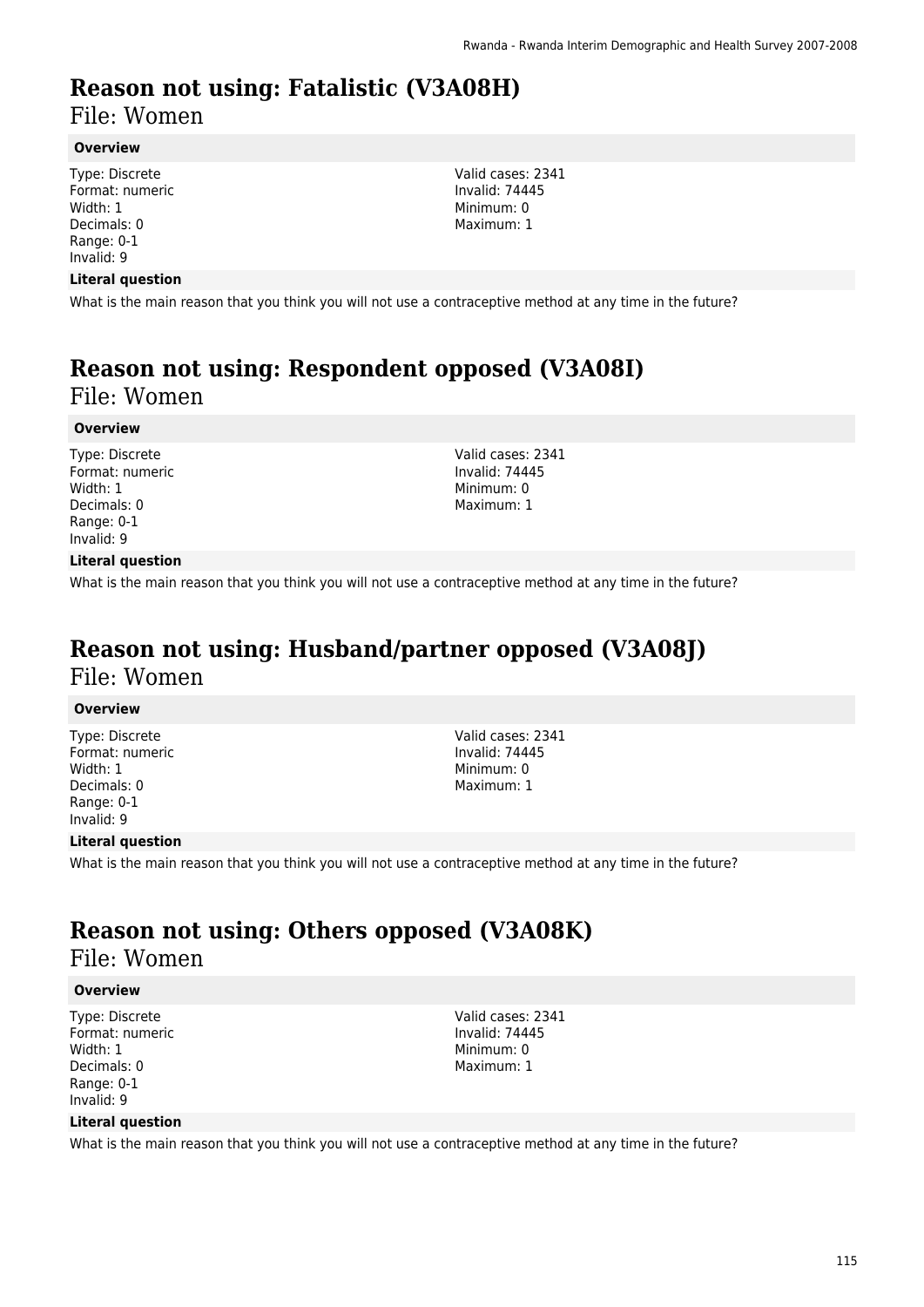## **Reason not using: Fatalistic (V3A08H)**

File: Women

### **Overview**

Type: Discrete Format: numeric Width: 1 Decimals: 0 Range: 0-1 Invalid: 9

### **Literal question**

What is the main reason that you think you will not use a contraceptive method at any time in the future?

### **Reason not using: Respondent opposed (V3A08I)**  File: Women

#### **Overview**

Type: Discrete Format: numeric Width: 1 Decimals: 0 Range: 0-1 Invalid: 9

#### **Literal question**

What is the main reason that you think you will not use a contraceptive method at any time in the future?

### **Reason not using: Husband/partner opposed (V3A08J)**  File: Women

#### **Overview**

Type: Discrete Format: numeric Width: 1 Decimals: 0 Range: 0-1 Invalid: 9

Valid cases: 2341 Invalid: 74445 Minimum: 0 Maximum: 1

### **Literal question**

What is the main reason that you think you will not use a contraceptive method at any time in the future?

## **Reason not using: Others opposed (V3A08K)**

### File: Women

#### **Overview**

Type: Discrete Format: numeric Width: 1 Decimals: 0 Range: 0-1 Invalid: 9

Valid cases: 2341 Invalid: 74445 Minimum: 0 Maximum: 1

### **Literal question**

What is the main reason that you think you will not use a contraceptive method at any time in the future?

Valid cases: 2341 Invalid: 74445 Minimum: 0 Maximum: 1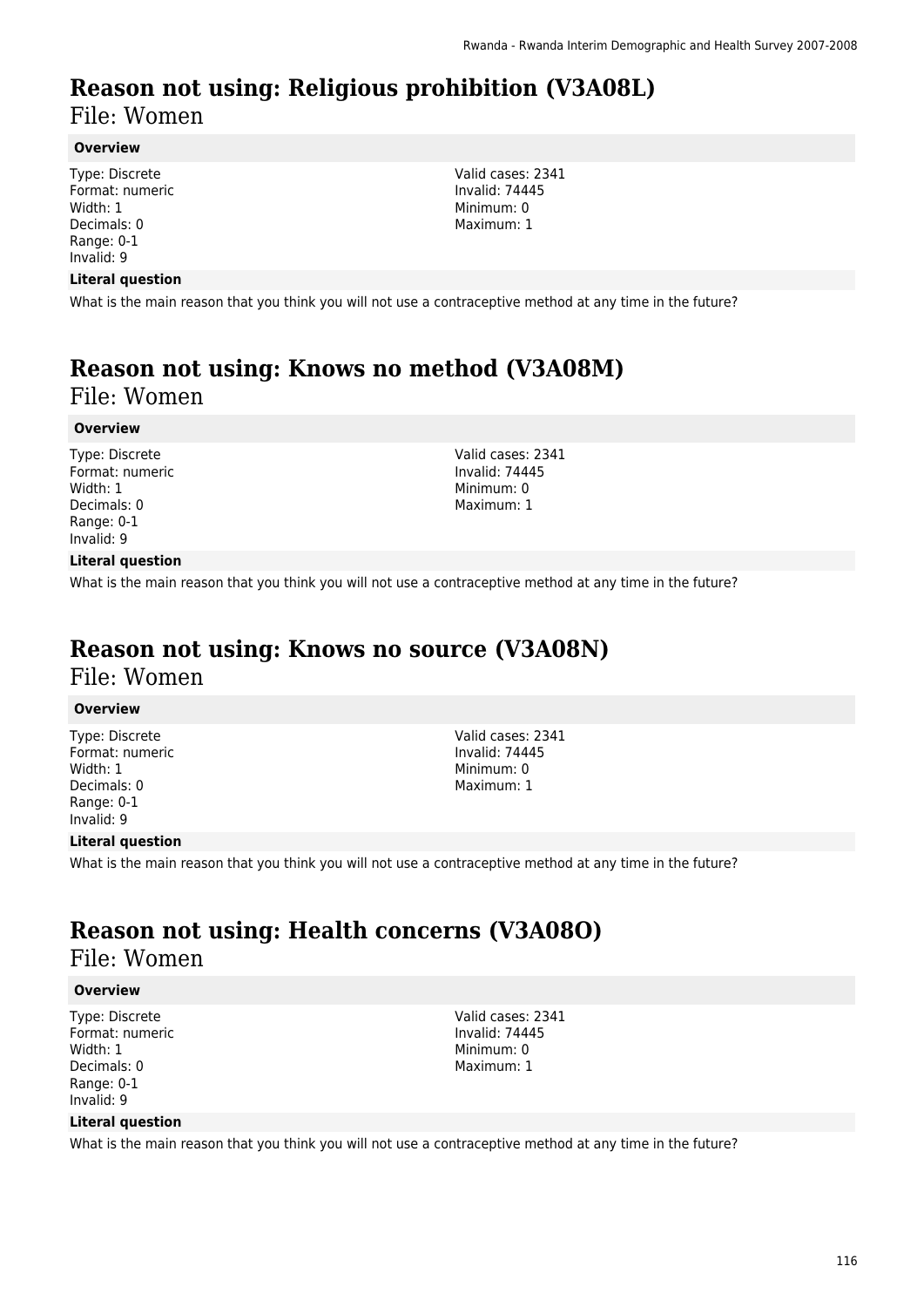## **Reason not using: Religious prohibition (V3A08L)**

File: Women

#### **Overview**

Type: Discrete Format: numeric Width: 1 Decimals: 0 Range: 0-1 Invalid: 9

#### **Literal question**

What is the main reason that you think you will not use a contraceptive method at any time in the future?

### **Reason not using: Knows no method (V3A08M)**  File: Women

#### **Overview**

Type: Discrete Format: numeric Width: 1 Decimals: 0 Range: 0-1 Invalid: 9

#### **Literal question**

What is the main reason that you think you will not use a contraceptive method at any time in the future?

### **Reason not using: Knows no source (V3A08N)**  File: Women

#### **Overview**

Type: Discrete Format: numeric Width: 1 Decimals: 0 Range: 0-1 Invalid: 9

Valid cases: 2341 Invalid: 74445 Minimum: 0 Maximum: 1

#### **Literal question**

What is the main reason that you think you will not use a contraceptive method at any time in the future?

## **Reason not using: Health concerns (V3A08O)**

File: Women

#### **Overview**

Type: Discrete Format: numeric Width: 1 Decimals: 0 Range: 0-1 Invalid: 9

Valid cases: 2341 Invalid: 74445 Minimum: 0 Maximum: 1

#### **Literal question**

What is the main reason that you think you will not use a contraceptive method at any time in the future?

Valid cases: 2341 Invalid: 74445 Minimum: 0 Maximum: 1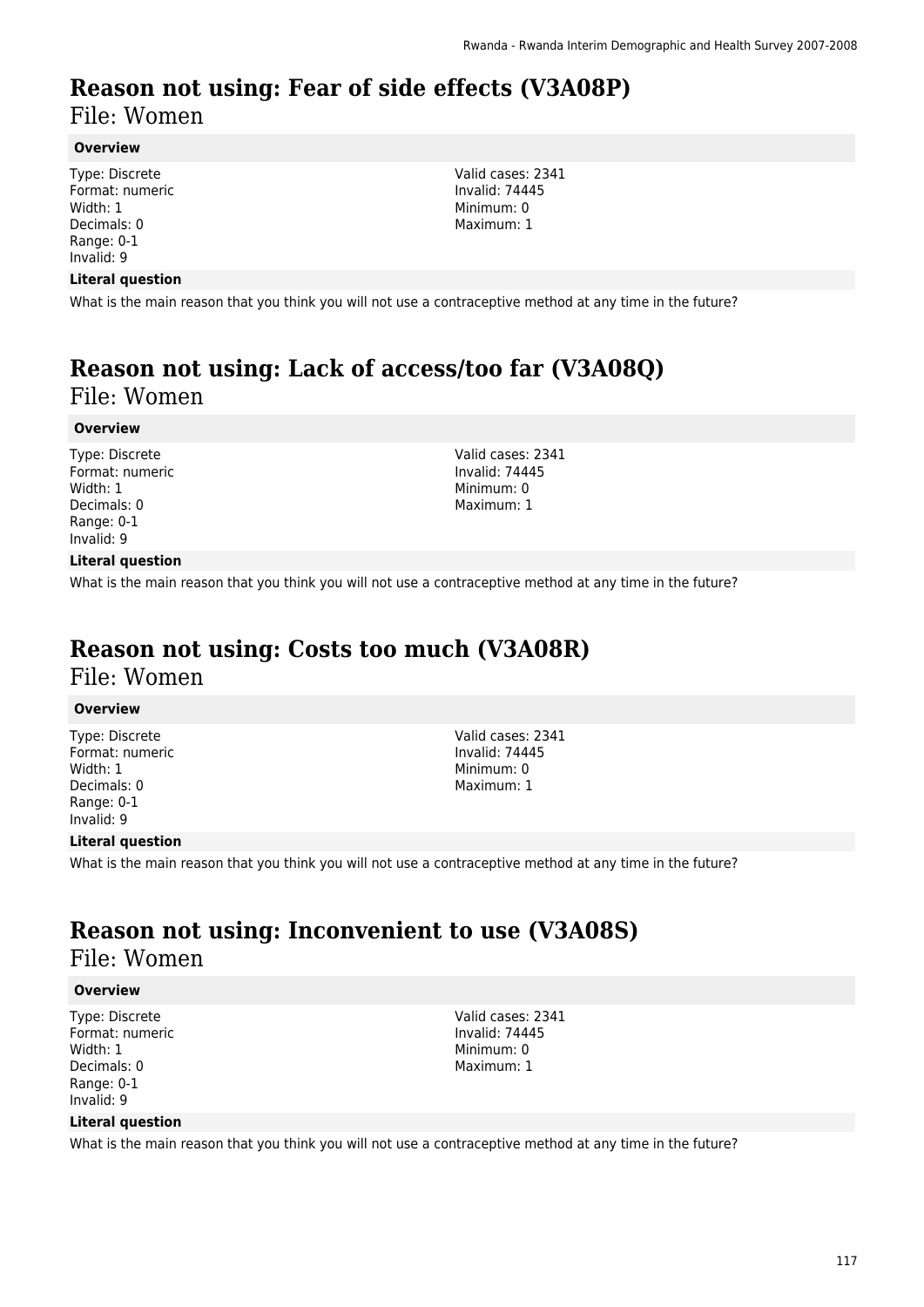## **Reason not using: Fear of side effects (V3A08P)**

File: Women

### **Overview**

Type: Discrete Format: numeric Width: 1 Decimals: 0 Range: 0-1 Invalid: 9

#### **Literal question**

What is the main reason that you think you will not use a contraceptive method at any time in the future?

### **Reason not using: Lack of access/too far (V3A08Q)**  File: Women

#### **Overview**

Type: Discrete Format: numeric Width: 1 Decimals: 0 Range: 0-1 Invalid: 9

#### **Literal question**

What is the main reason that you think you will not use a contraceptive method at any time in the future?

### **Reason not using: Costs too much (V3A08R)**  File: Women

#### **Overview**

Type: Discrete Format: numeric Width: 1 Decimals: 0 Range: 0-1 Invalid: 9

Valid cases: 2341 Invalid: 74445 Minimum: 0 Maximum: 1

#### **Literal question**

What is the main reason that you think you will not use a contraceptive method at any time in the future?

### **Reason not using: Inconvenient to use (V3A08S)**  File: Women

#### **Overview**

Type: Discrete Format: numeric Width: 1 Decimals: 0 Range: 0-1 Invalid: 9

Valid cases: 2341 Invalid: 74445 Minimum: 0 Maximum: 1

#### **Literal question**

What is the main reason that you think you will not use a contraceptive method at any time in the future?

Valid cases: 2341 Invalid: 74445 Minimum: 0

Valid cases: 2341 Invalid: 74445 Minimum: 0 Maximum: 1

Maximum: 1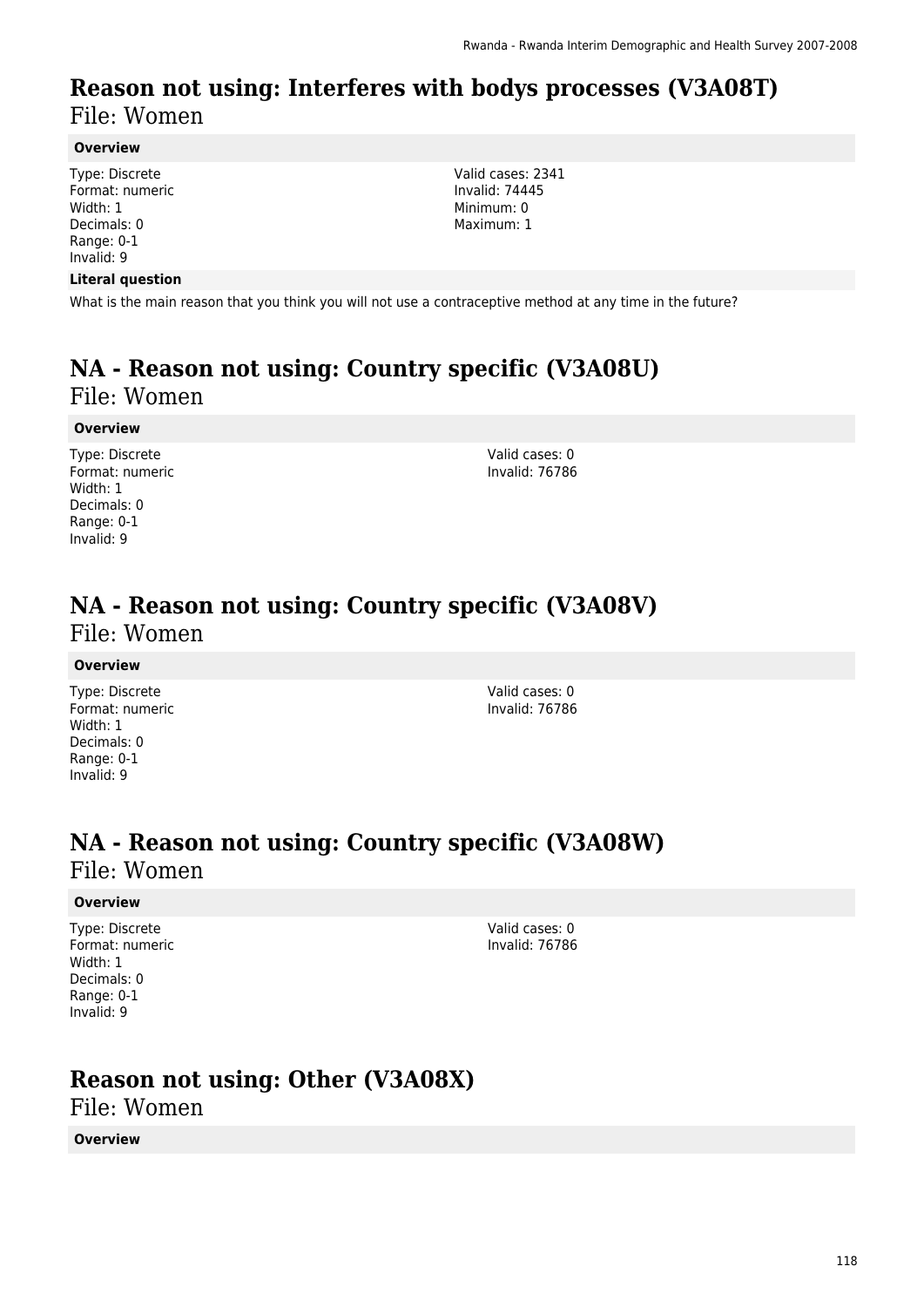### **Reason not using: Interferes with bodys processes (V3A08T)**  File: Women

#### **Overview**

Type: Discrete Format: numeric Width: 1 Decimals: 0 Range: 0-1 Invalid: 9

#### **Literal question**

What is the main reason that you think you will not use a contraceptive method at any time in the future?

### **NA - Reason not using: Country specific (V3A08U)**  File: Women

#### **Overview**

Type: Discrete Format: numeric Width: 1 Decimals: 0 Range: 0-1 Invalid: 9

Valid cases: 0 Invalid: 76786

### **NA - Reason not using: Country specific (V3A08V)**  File: Women

#### **Overview**

Type: Discrete Format: numeric Width: 1 Decimals: 0 Range: 0-1 Invalid: 9

Valid cases: 0 Invalid: 76786

### **NA - Reason not using: Country specific (V3A08W)**  File: Women

#### **Overview**

Type: Discrete Format: numeric Width: 1 Decimals: 0 Range: 0-1 Invalid: 9

Valid cases: 0 Invalid: 76786

### **Reason not using: Other (V3A08X)**  File: Women

### **Overview**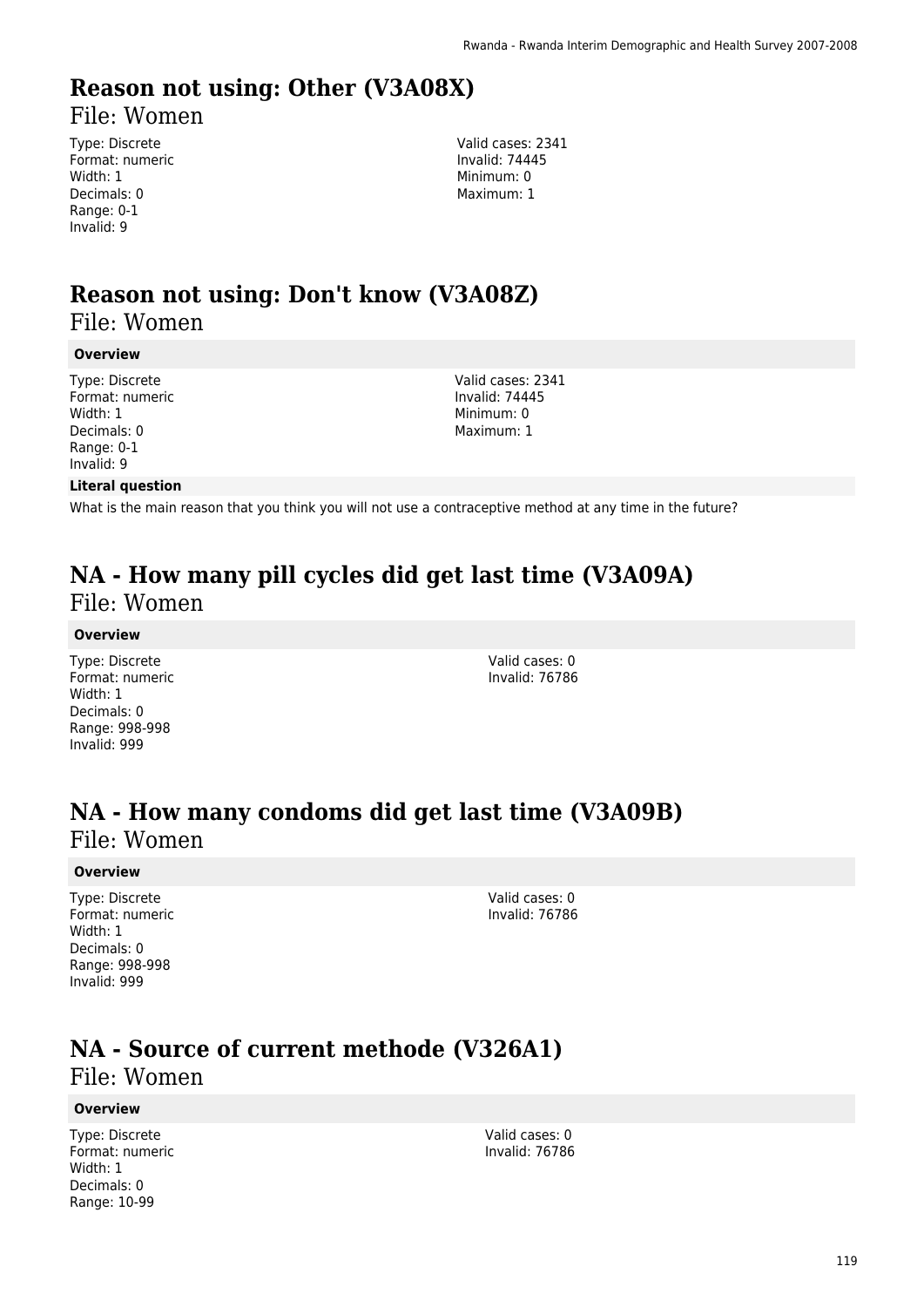## **Reason not using: Other (V3A08X)**

File: Women

Type: Discrete Format: numeric Width: 1 Decimals: 0 Range: 0-1 Invalid: 9

Valid cases: 2341 Invalid: 74445 Minimum: 0 Maximum: 1

### **Reason not using: Don't know (V3A08Z)**  File: Women

#### **Overview**

Type: Discrete Format: numeric Width: 1 Decimals: 0 Range: 0-1 Invalid: 9

Valid cases: 2341 Invalid: 74445 Minimum: 0 Maximum: 1

### **Literal question**

What is the main reason that you think you will not use a contraceptive method at any time in the future?

### **NA - How many pill cycles did get last time (V3A09A)**  File: Women

#### **Overview**

Type: Discrete Format: numeric Width: 1 Decimals: 0 Range: 998-998 Invalid: 999

Valid cases: 0 Invalid: 76786

### **NA - How many condoms did get last time (V3A09B)**  File: Women

#### **Overview**

Type: Discrete Format: numeric Width: 1 Decimals: 0 Range: 998-998 Invalid: 999

Valid cases: 0 Invalid: 76786

### **NA - Source of current methode (V326A1)**  File: Women

#### **Overview**

Type: Discrete Format: numeric Width: 1 Decimals: 0 Range: 10-99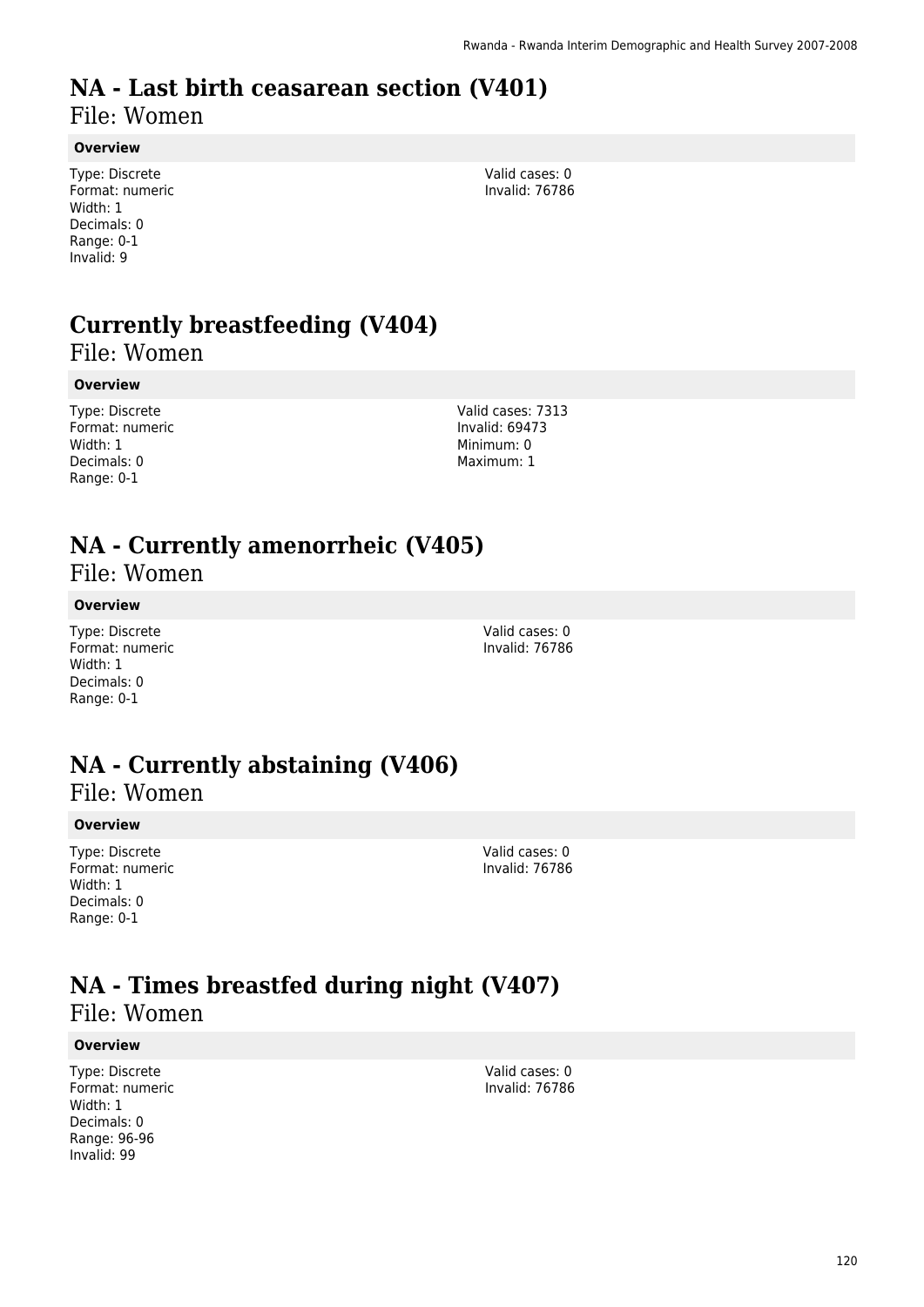### **NA - Last birth ceasarean section (V401)**  File: Women

### **Overview**

Type: Discrete Format: numeric Width: 1 Decimals: 0 Range: 0-1 Invalid: 9

### **Currently breastfeeding (V404)**  File: Women

#### **Overview**

Type: Discrete Format: numeric Width: 1 Decimals: 0 Range: 0-1

Valid cases: 7313 Invalid: 69473 Minimum: 0 Maximum: 1

### **NA - Currently amenorrheic (V405)**  File: Women

### **Overview**

Type: Discrete Format: numeric Width: 1 Decimals: 0 Range: 0-1

Valid cases: 0 Invalid: 76786

Valid cases: 0 Invalid: 76786

### **NA - Currently abstaining (V406)**  File: Women

### **Overview**

Type: Discrete Format: numeric Width: 1 Decimals: 0 Range: 0-1

### **NA - Times breastfed during night (V407)**  File: Women

### **Overview**

Type: Discrete Format: numeric Width: 1 Decimals: 0 Range: 96-96 Invalid: 99

Valid cases: 0 Invalid: 76786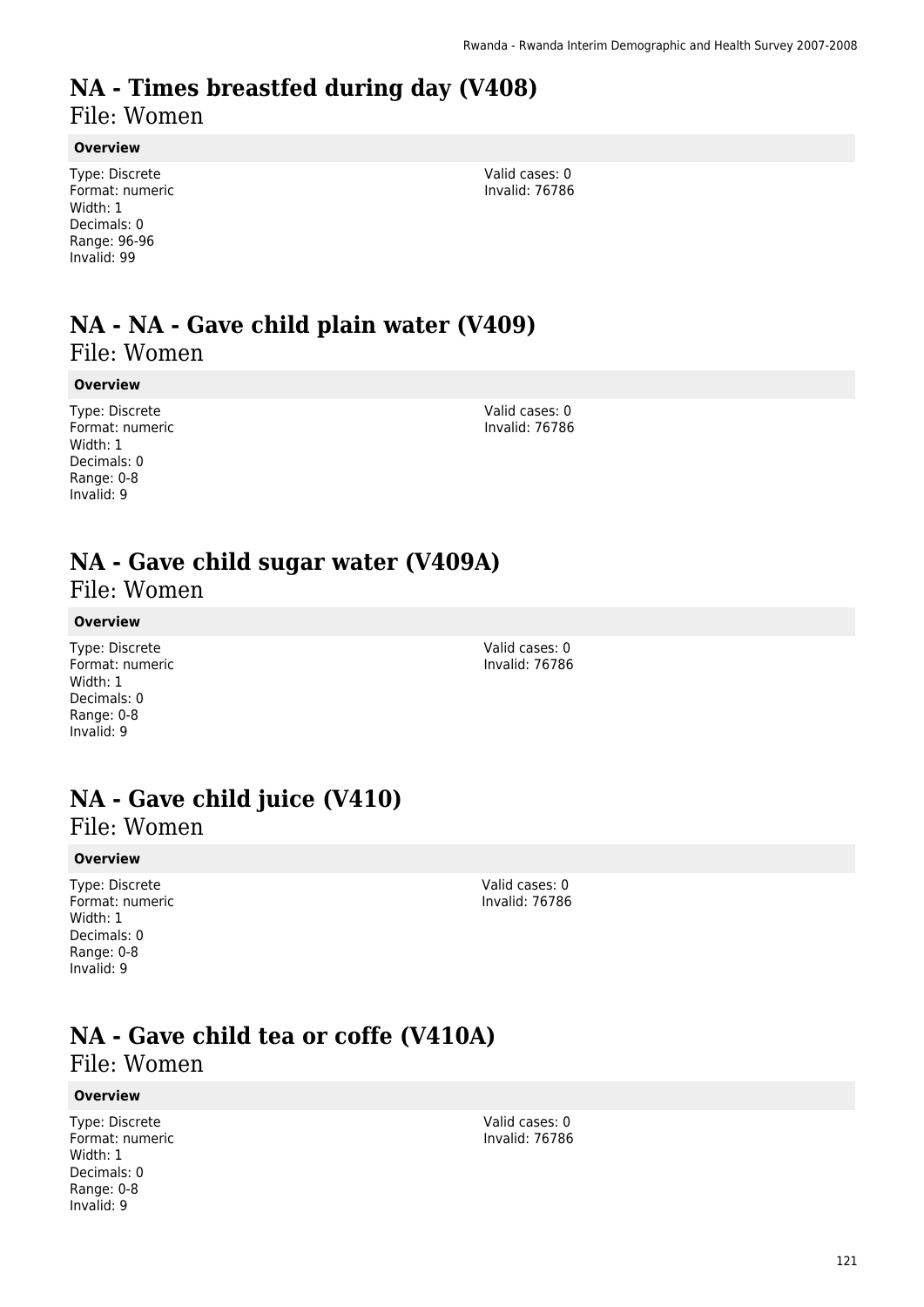## **NA - Times breastfed during day (V408)**

File: Women

### **Overview**

Type: Discrete Format: numeric Width: 1 Decimals: 0 Range: 96-96 Invalid: 99

### **NA - NA - Gave child plain water (V409)**  File: Women

#### **Overview**

Type: Discrete Format: numeric Width: 1 Decimals: 0 Range: 0-8 Invalid: 9

### **NA - Gave child sugar water (V409A)**  File: Women

#### **Overview**

Type: Discrete Format: numeric Width: 1 Decimals: 0 Range: 0-8 Invalid: 9

### **NA - Gave child juice (V410)**  File: Women

### **Overview**

Type: Discrete Format: numeric Width: 1 Decimals: 0 Range: 0-8 Invalid: 9

Valid cases: 0 Invalid: 76786

### **NA - Gave child tea or coffe (V410A)**  File: Women

### **Overview**

Type: Discrete Format: numeric Width: 1 Decimals: 0 Range: 0-8 Invalid: 9

Valid cases: 0 Invalid: 76786

Valid cases: 0 Invalid: 76786

Valid cases: 0 Invalid: 76786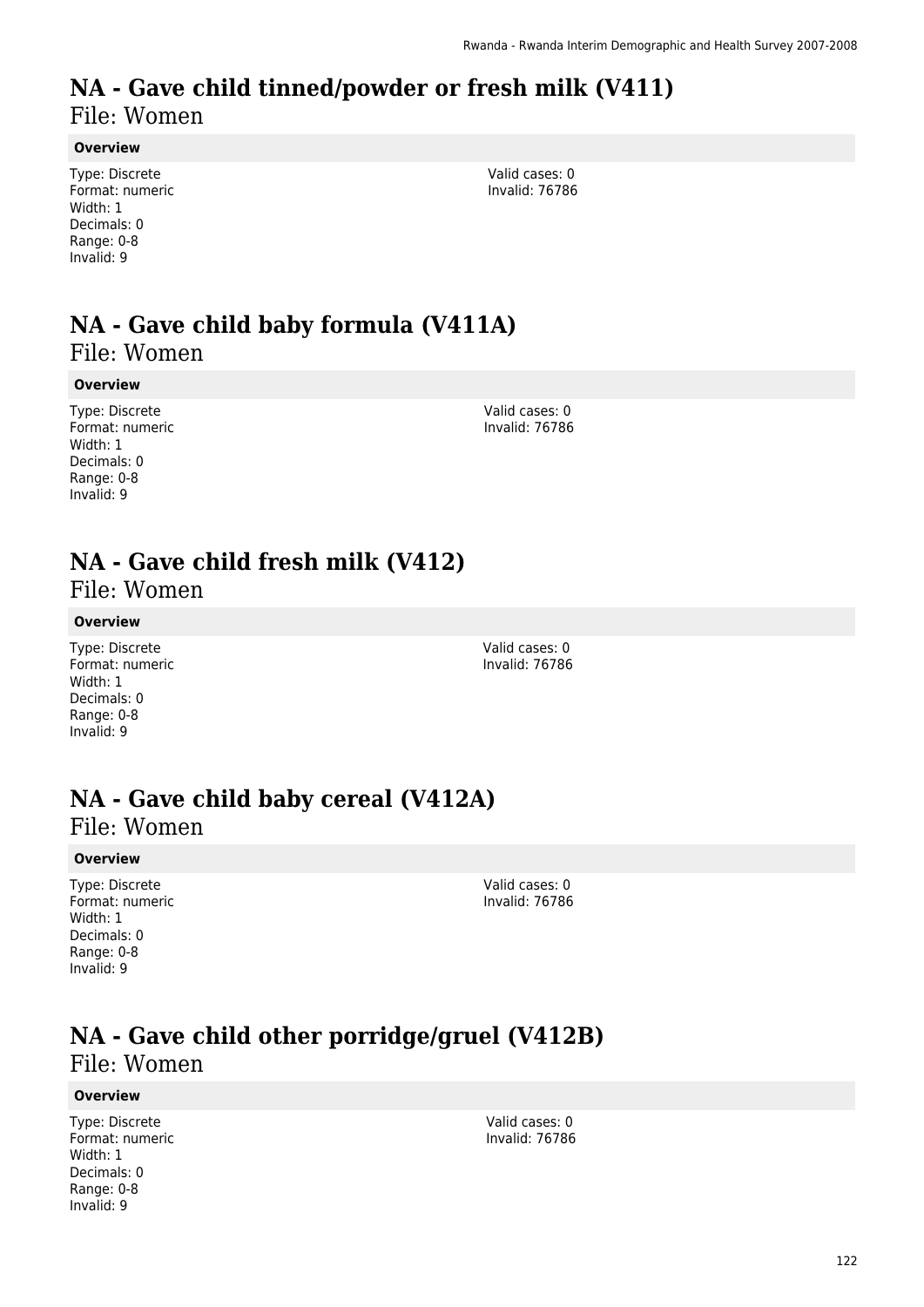### **NA - Gave child tinned/powder or fresh milk (V411)**  File: Women

#### **Overview**

Type: Discrete Format: numeric Width: 1 Decimals: 0 Range: 0-8 Invalid: 9

### **NA - Gave child baby formula (V411A)**  File: Women

#### **Overview**

Type: Discrete Format: numeric Width: 1 Decimals: 0 Range: 0-8 Invalid: 9

### **NA - Gave child fresh milk (V412)**  File: Women

#### **Overview**

Type: Discrete Format: numeric Width: 1 Decimals: 0 Range: 0-8 Invalid: 9

#### Valid cases: 0 Invalid: 76786

### **NA - Gave child baby cereal (V412A)**  File: Women

#### **Overview**

Type: Discrete Format: numeric Width: 1 Decimals: 0 Range: 0-8 Invalid: 9

Valid cases: 0 Invalid: 76786

### **NA - Gave child other porridge/gruel (V412B)**  File: Women

### **Overview**

Type: Discrete Format: numeric Width: 1 Decimals: 0 Range: 0-8 Invalid: 9

Valid cases: 0 Invalid: 76786

Valid cases: 0 Invalid: 76786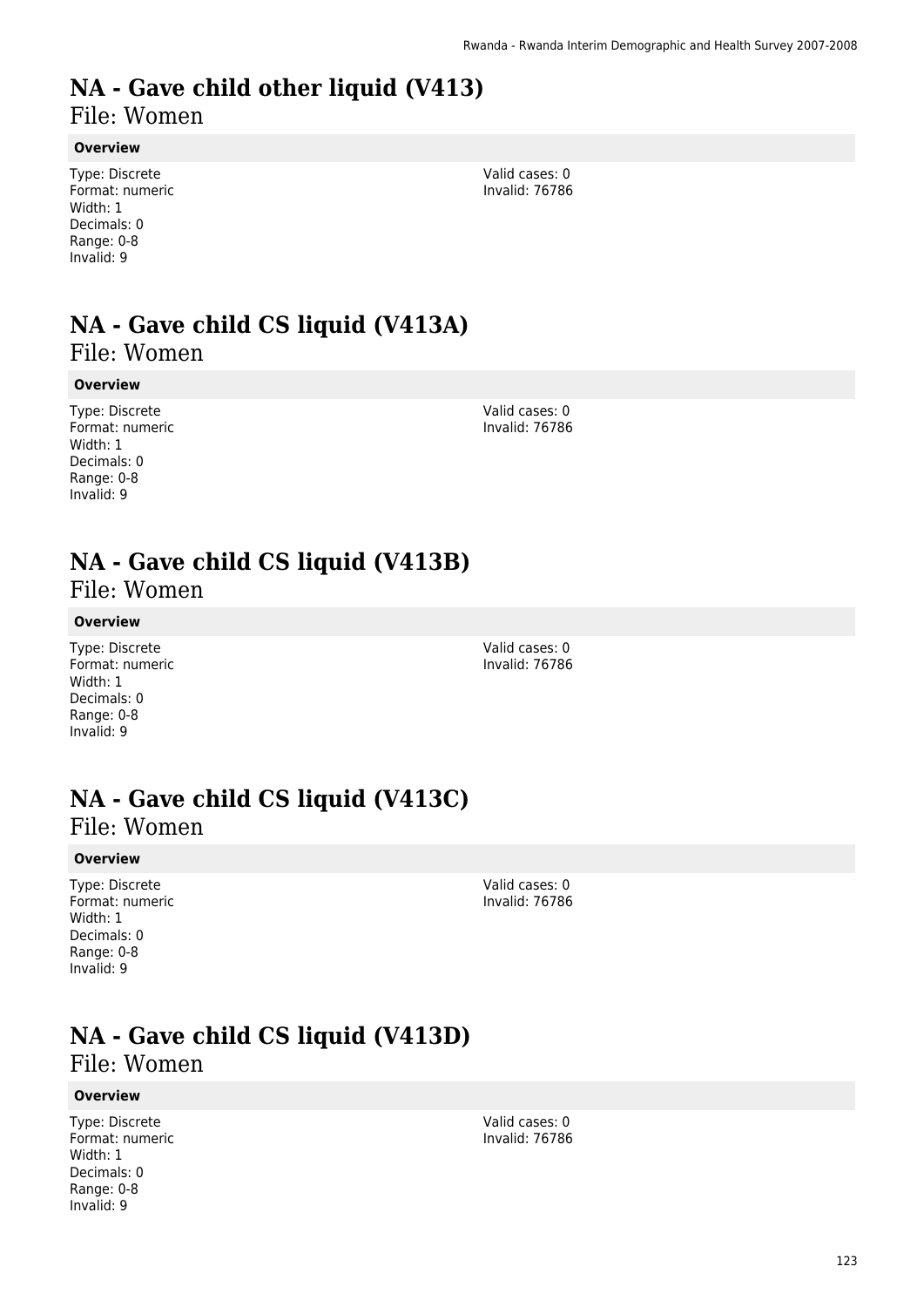### **NA - Gave child other liquid (V413)**  File: Women

#### **Overview**

Type: Discrete Format: numeric Width: 1 Decimals: 0 Range: 0-8 Invalid: 9

### **NA - Gave child CS liquid (V413A)**  File: Women

#### **Overview**

Type: Discrete Format: numeric Width: 1 Decimals: 0 Range: 0-8 Invalid: 9

### **NA - Gave child CS liquid (V413B)**  File: Women

#### **Overview**

Type: Discrete Format: numeric Width: 1 Decimals: 0 Range: 0-8 Invalid: 9

### **NA - Gave child CS liquid (V413C)**  File: Women

#### **Overview**

Type: Discrete Format: numeric Width: 1 Decimals: 0 Range: 0-8 Invalid: 9

Valid cases: 0 Invalid: 76786

### **NA - Gave child CS liquid (V413D)**  File: Women

### **Overview**

Type: Discrete Format: numeric Width: 1 Decimals: 0 Range: 0-8 Invalid: 9

Valid cases: 0 Invalid: 76786

Valid cases: 0 Invalid: 76786

Valid cases: 0 Invalid: 76786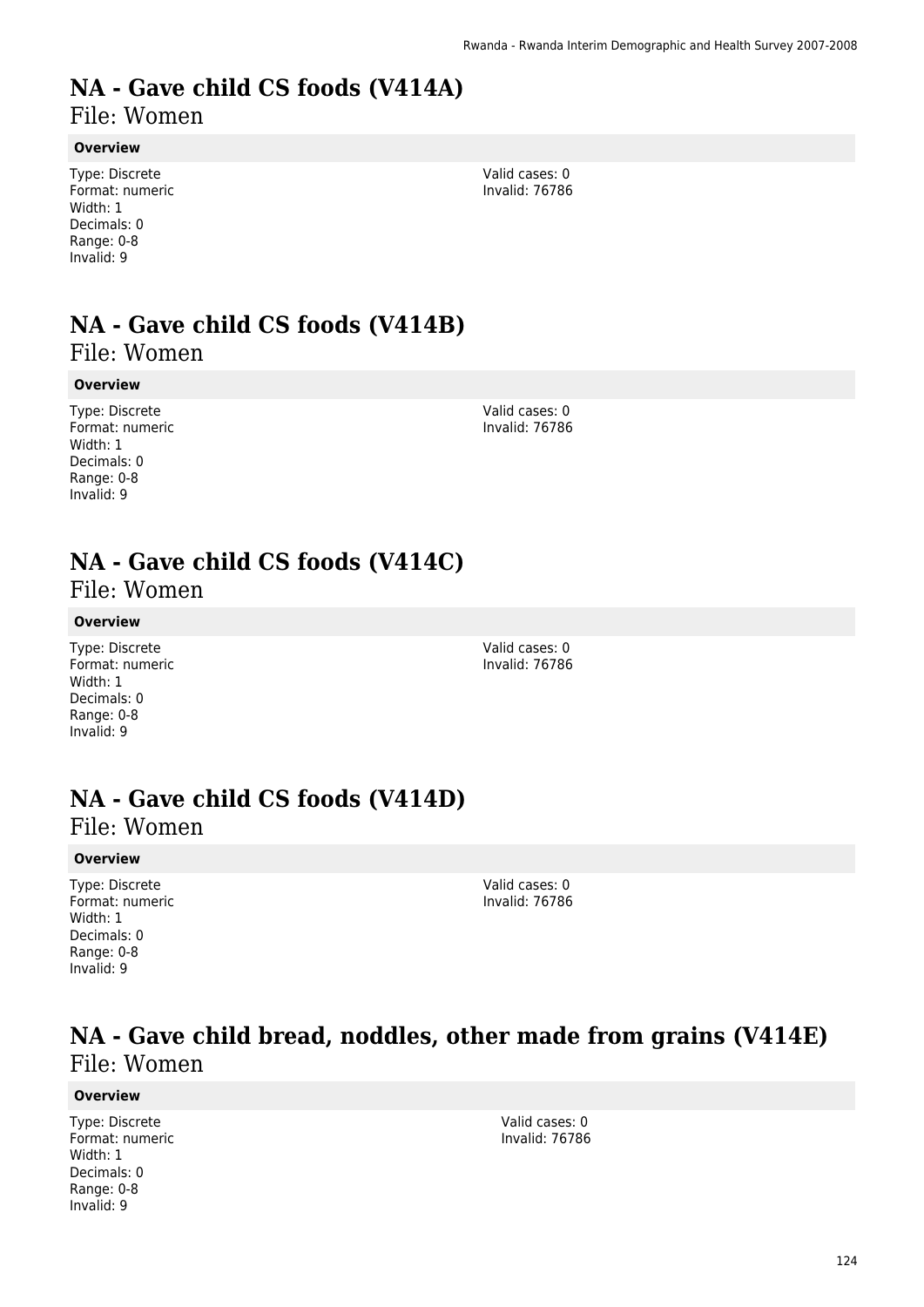### **NA - Gave child CS foods (V414A)**  File: Women

#### **Overview**

Type: Discrete Format: numeric Width: 1 Decimals: 0 Range: 0-8 Invalid: 9

### **NA - Gave child CS foods (V414B)**  File: Women

#### **Overview**

Type: Discrete Format: numeric Width: 1 Decimals: 0 Range: 0-8 Invalid: 9

### **NA - Gave child CS foods (V414C)**  File: Women

#### **Overview**

Type: Discrete Format: numeric Width: 1 Decimals: 0 Range: 0-8 Invalid: 9

### **NA - Gave child CS foods (V414D)**  File: Women

#### **Overview**

Type: Discrete Format: numeric Width: 1 Decimals: 0 Range: 0-8 Invalid: 9

Valid cases: 0 Invalid: 76786

### **NA - Gave child bread, noddles, other made from grains (V414E)**  File: Women

### **Overview**

Type: Discrete Format: numeric Width: 1 Decimals: 0 Range: 0-8 Invalid: 9

Valid cases: 0 Invalid: 76786

Valid cases: 0 Invalid: 76786

Valid cases: 0 Invalid: 76786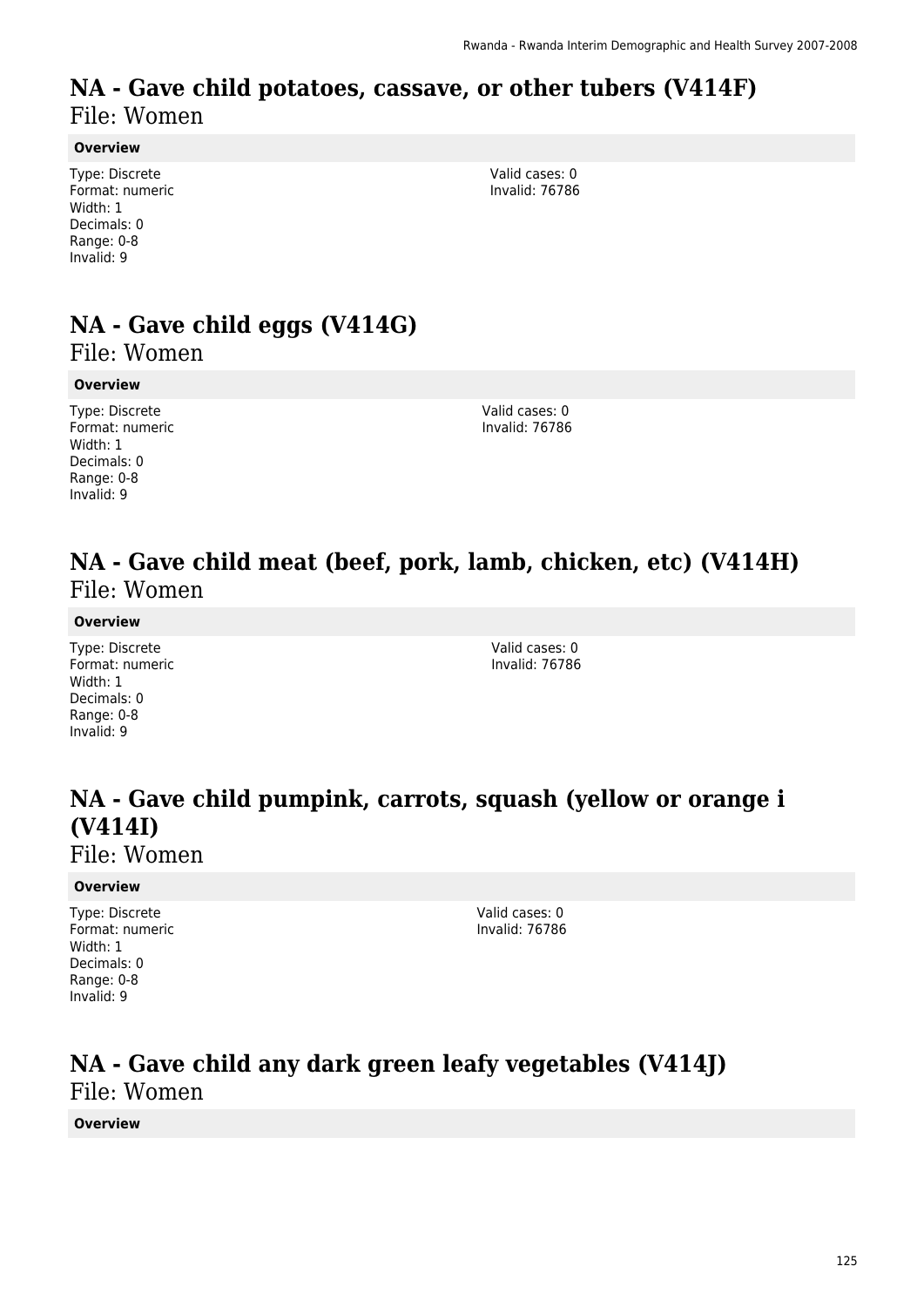### **NA - Gave child potatoes, cassave, or other tubers (V414F)**  File: Women

#### **Overview**

Type: Discrete Format: numeric Width: 1 Decimals: 0 Range: 0-8 Invalid: 9

### **NA - Gave child eggs (V414G)**  File: Women

#### **Overview**

Type: Discrete Format: numeric Width: 1 Decimals: 0 Range: 0-8 Invalid: 9

Valid cases: 0 Invalid: 76786

### **NA - Gave child meat (beef, pork, lamb, chicken, etc) (V414H)**  File: Women

#### **Overview**

Type: Discrete Format: numeric Width: 1 Decimals: 0 Range: 0-8 Invalid: 9

Valid cases: 0 Invalid: 76786

### **NA - Gave child pumpink, carrots, squash (yellow or orange i (V414I)**

File: Women

### **Overview**

Type: Discrete Format: numeric Width: 1 Decimals: 0 Range: 0-8 Invalid: 9

Valid cases: 0 Invalid: 76786

### **NA - Gave child any dark green leafy vegetables (V414J)**  File: Women

### **Overview**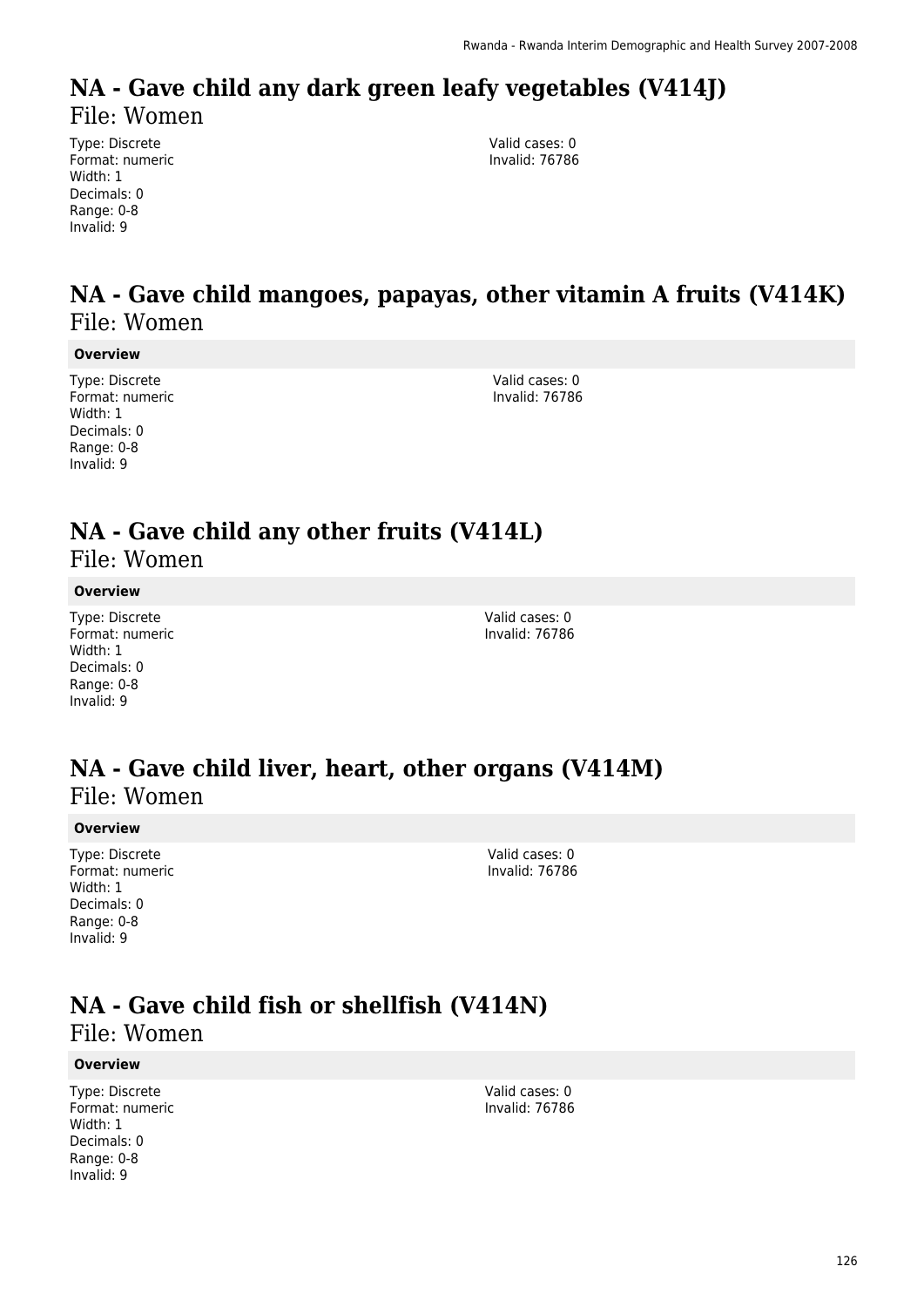### **NA - Gave child any dark green leafy vegetables (V414J)**  File: Women

Type: Discrete Format: numeric Width: 1 Decimals: 0 Range: 0-8 Invalid: 9

Valid cases: 0 Invalid: 76786

### **NA - Gave child mangoes, papayas, other vitamin A fruits (V414K)**  File: Women

**Overview**

Type: Discrete Format: numeric Width: 1 Decimals: 0 Range: 0-8 Invalid: 9

Valid cases: 0 Invalid: 76786

### **NA - Gave child any other fruits (V414L)**  File: Women

#### **Overview**

Type: Discrete Format: numeric Width: 1 Decimals: 0 Range: 0-8 Invalid: 9

Valid cases: 0 Invalid: 76786

### **NA - Gave child liver, heart, other organs (V414M)**  File: Women

#### **Overview**

Type: Discrete Format: numeric Width: 1 Decimals: 0 Range: 0-8 Invalid: 9

### **NA - Gave child fish or shellfish (V414N)**  File: Women

### **Overview**

Type: Discrete Format: numeric Width: 1 Decimals: 0 Range: 0-8 Invalid: 9

Invalid: 76786

Valid cases: 0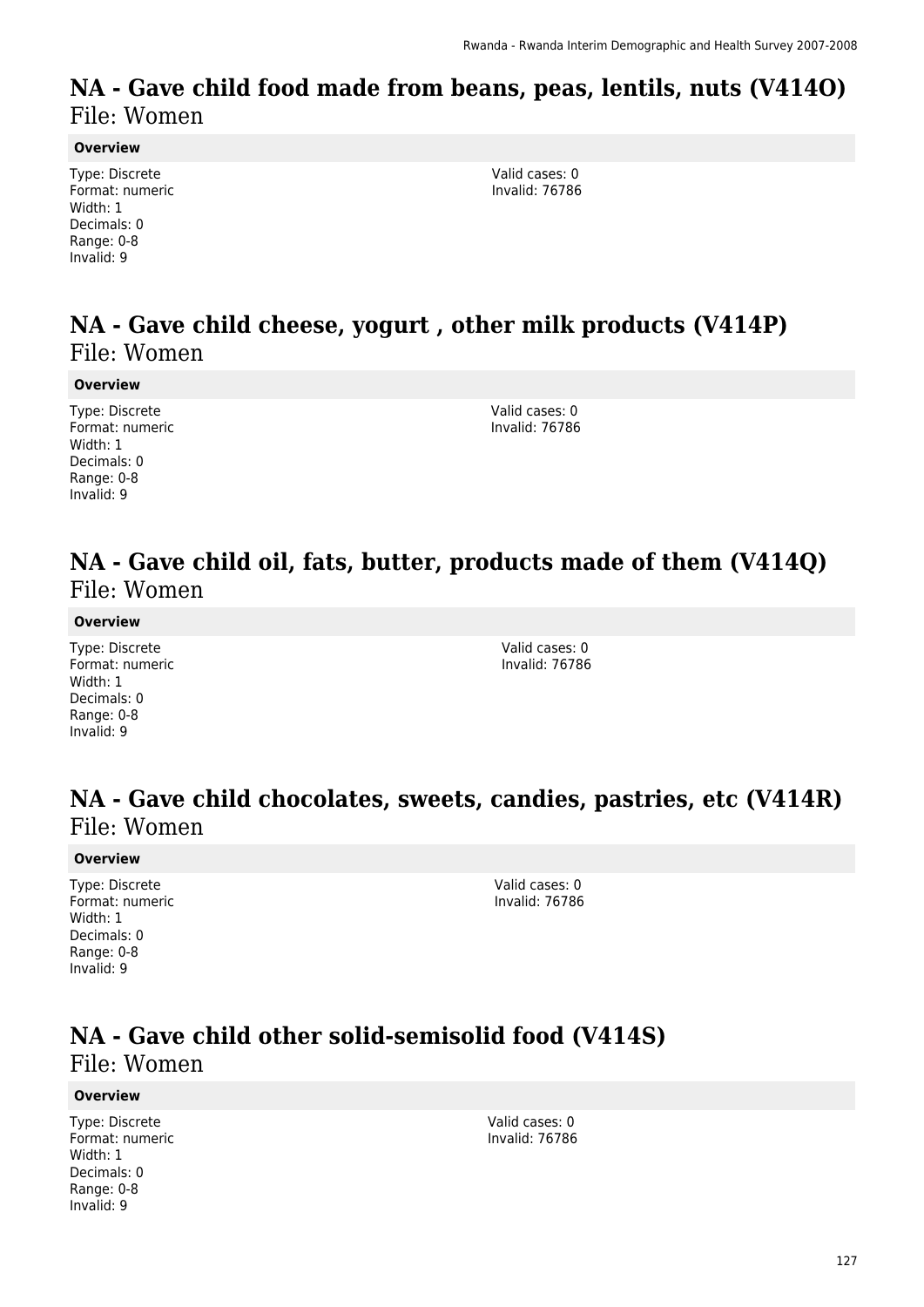### **NA - Gave child food made from beans, peas, lentils, nuts (V414O)**  File: Women

#### **Overview**

Type: Discrete Format: numeric Width: 1 Decimals: 0 Range: 0-8 Invalid: 9

Valid cases: 0 Invalid: 76786

### **NA - Gave child cheese, yogurt , other milk products (V414P)**  File: Women

#### **Overview**

Type: Discrete Format: numeric Width: 1 Decimals: 0 Range: 0-8 Invalid: 9

Valid cases: 0 Invalid: 76786

### **NA - Gave child oil, fats, butter, products made of them (V414Q)**  File: Women

#### **Overview**

Type: Discrete Format: numeric Width: 1 Decimals: 0 Range: 0-8 Invalid: 9

Valid cases: 0 Invalid: 76786

### **NA - Gave child chocolates, sweets, candies, pastries, etc (V414R)**  File: Women

### **Overview**

Type: Discrete Format: numeric Width: 1 Decimals: 0 Range: 0-8 Invalid: 9

Valid cases: 0 Invalid: 76786

### **NA - Gave child other solid-semisolid food (V414S)**  File: Women

### **Overview**

Type: Discrete Format: numeric Width: 1 Decimals: 0 Range: 0-8 Invalid: 9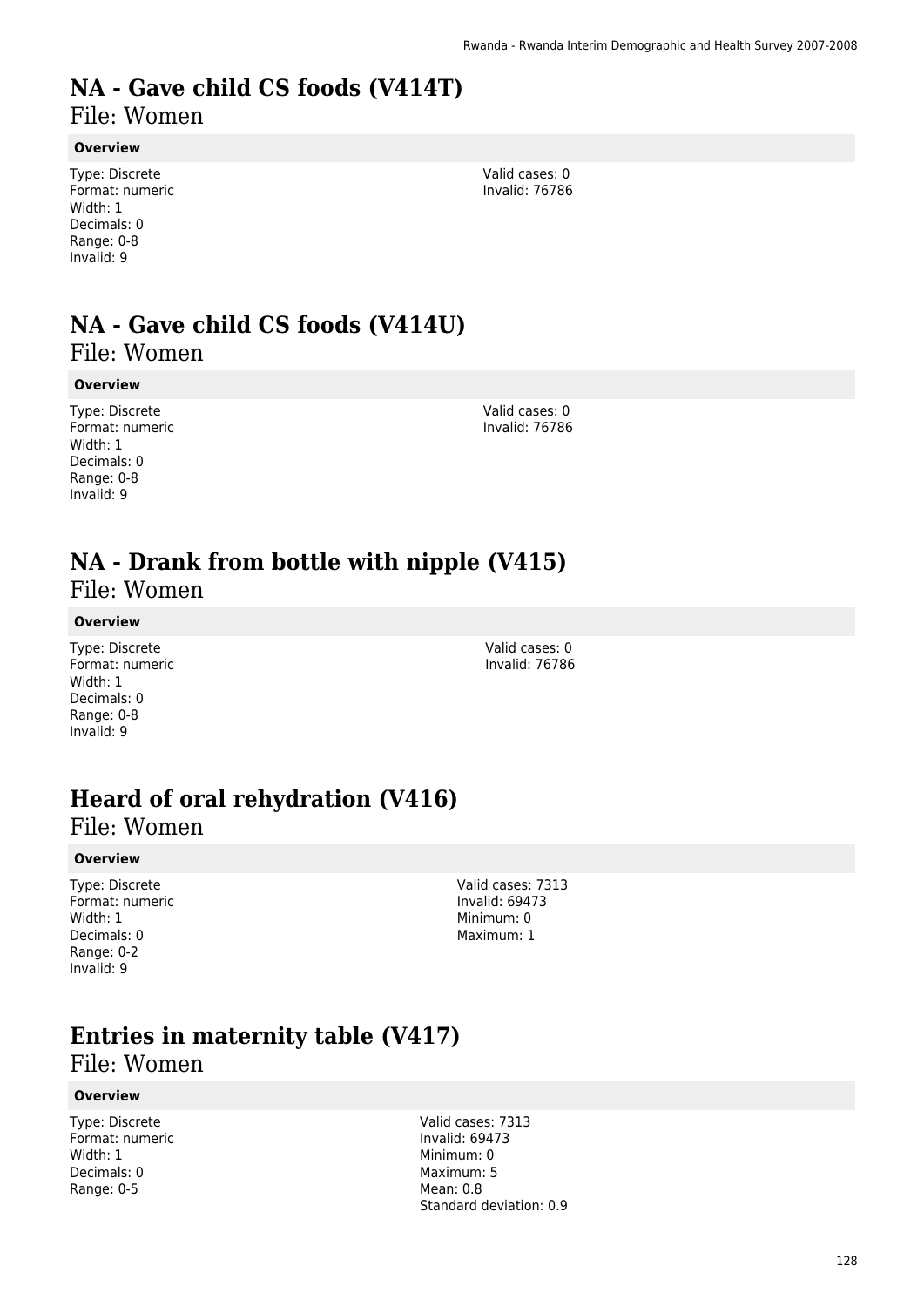### **NA - Gave child CS foods (V414T)**  File: Women

#### **Overview**

Type: Discrete Format: numeric Width: 1 Decimals: 0 Range: 0-8 Invalid: 9

### **NA - Gave child CS foods (V414U)**  File: Women

#### **Overview**

Type: Discrete Format: numeric Width: 1 Decimals: 0 Range: 0-8 Invalid: 9

Valid cases: 0 Invalid: 76786

Valid cases: 0 Invalid: 76786

### **NA - Drank from bottle with nipple (V415)**  File: Women

#### **Overview**

Type: Discrete Format: numeric Width: 1 Decimals: 0 Range: 0-8 Invalid: 9

Valid cases: 0 Invalid: 76786

### **Heard of oral rehydration (V416)**

File: Women

### **Overview**

Type: Discrete Format: numeric Width: 1 Decimals: 0 Range: 0-2 Invalid: 9

Valid cases: 7313 Invalid: 69473 Minimum: 0 Maximum: 1

### **Entries in maternity table (V417)**  File: Women

#### **Overview**

Type: Discrete Format: numeric Width: 1 Decimals: 0 Range: 0-5

Valid cases: 7313 Invalid: 69473 Minimum: 0 Maximum: 5 Mean: 0.8 Standard deviation: 0.9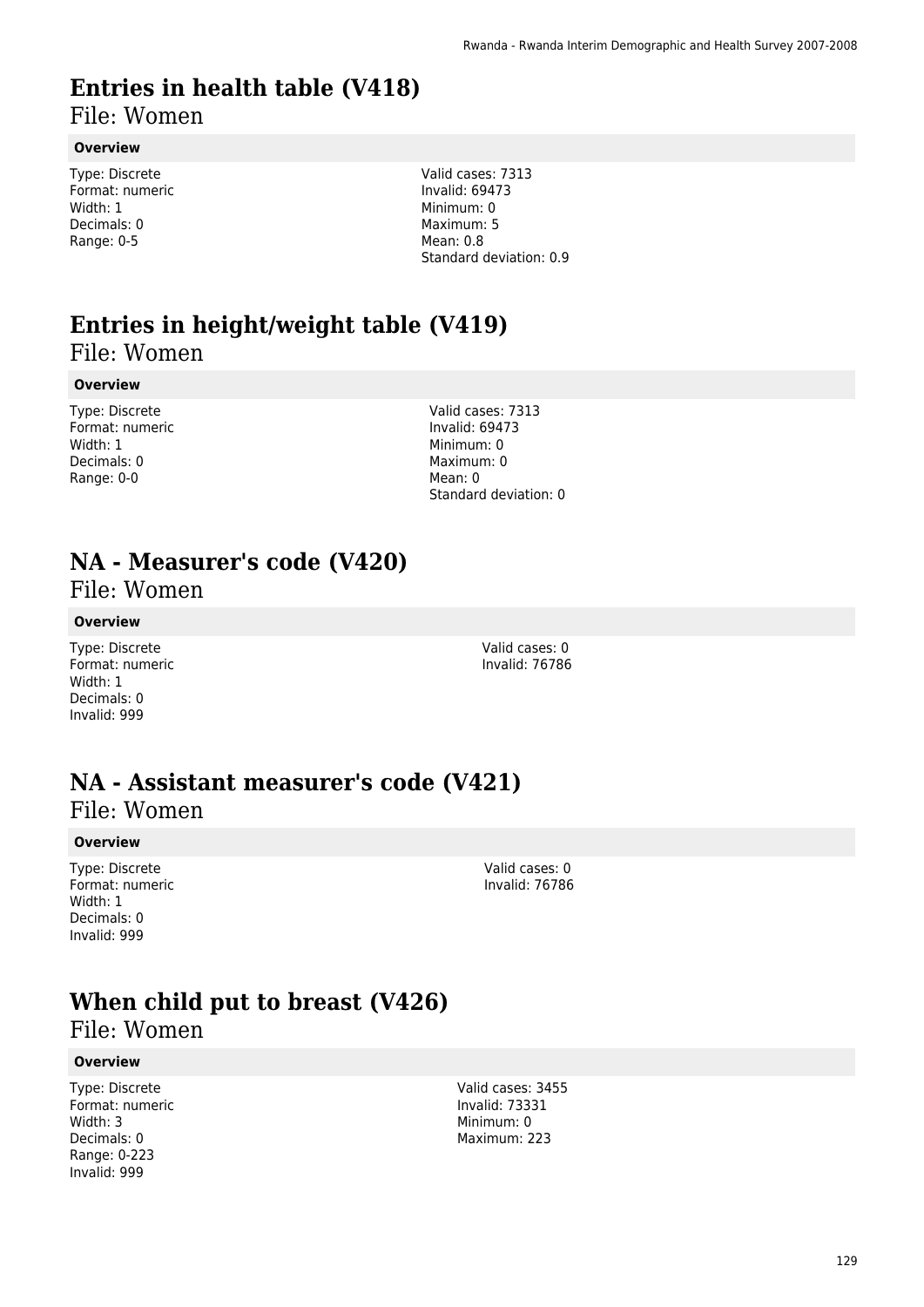## **Entries in health table (V418)**

File: Women

### **Overview**

Type: Discrete Format: numeric Width: 1 Decimals: 0 Range: 0-5

Valid cases: 7313 Invalid: 69473 Minimum: 0 Maximum: 5 Mean: 0.8 Standard deviation: 0.9

## **Entries in height/weight table (V419)**  File: Women

#### **Overview**

Type: Discrete Format: numeric Width: 1 Decimals: 0 Range: 0-0

Valid cases: 7313 Invalid: 69473 Minimum: 0 Maximum: 0 Mean: 0 Standard deviation: 0

### **NA - Measurer's code (V420)**  File: Women

### **Overview**

Type: Discrete Format: numeric Width: 1 Decimals: 0 Invalid: 999

Valid cases: 0 Invalid: 76786

### **NA - Assistant measurer's code (V421)**  File: Women

### **Overview**

Type: Discrete Format: numeric Width: 1 Decimals: 0 Invalid: 999

Valid cases: 0 Invalid: 76786

### **When child put to breast (V426)**  File: Women

#### **Overview**

Type: Discrete Format: numeric Width: 3 Decimals: 0 Range: 0-223 Invalid: 999

Valid cases: 3455 Invalid: 73331 Minimum: 0 Maximum: 223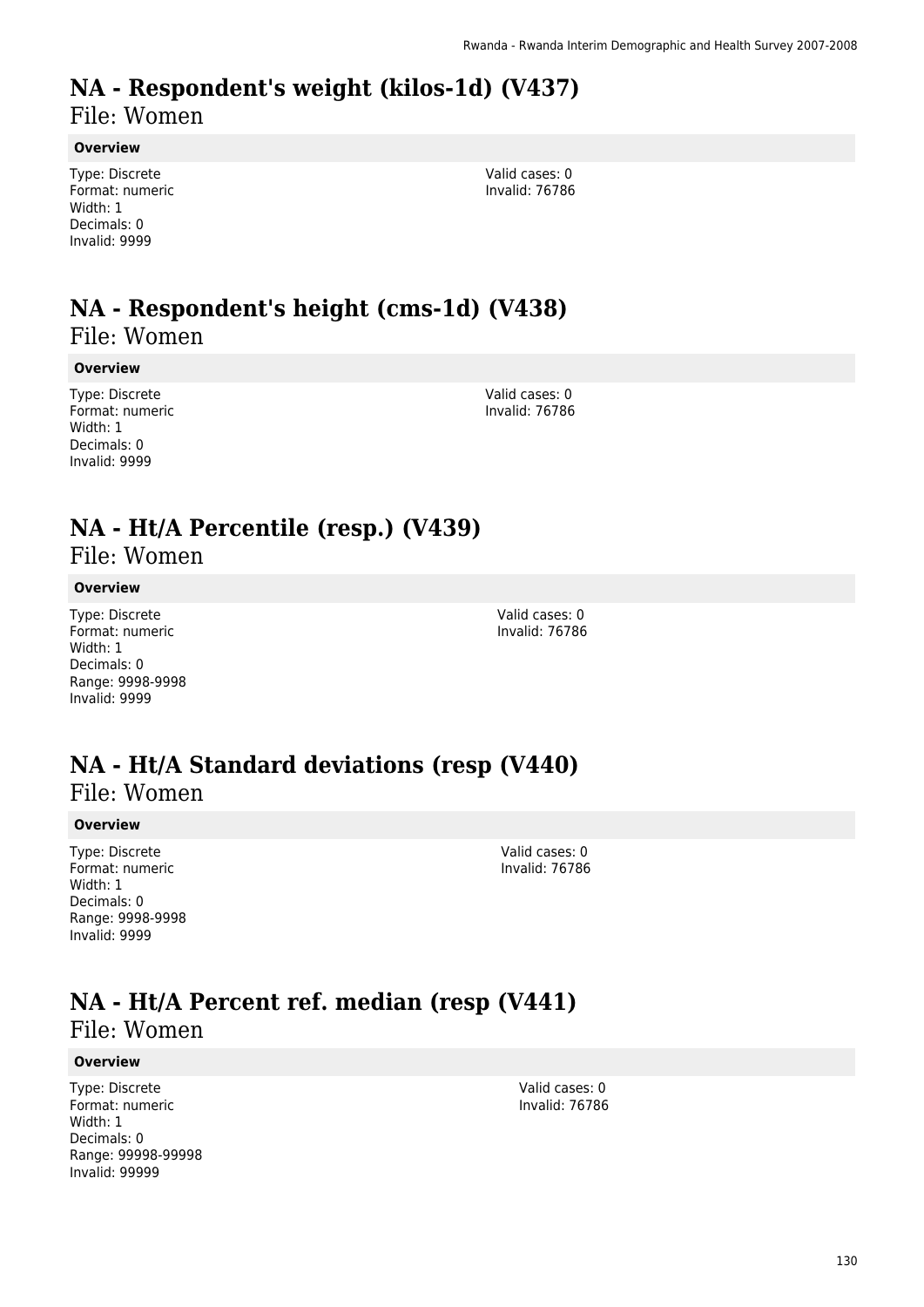## **NA - Respondent's weight (kilos-1d) (V437)**

File: Women

### **Overview**

Type: Discrete Format: numeric Width: 1 Decimals: 0 Invalid: 9999

### **NA - Respondent's height (cms-1d) (V438)**  File: Women

### **Overview**

Type: Discrete Format: numeric Width: 1 Decimals: 0 Invalid: 9999

Valid cases: 0 Invalid: 76786

> Valid cases: 0 Invalid: 76786

### **NA - Ht/A Percentile (resp.) (V439)**  File: Women

### **Overview**

Type: Discrete Format: numeric Width: 1 Decimals: 0 Range: 9998-9998 Invalid: 9999

### **NA - Ht/A Standard deviations (resp (V440)**  File: Women

### **Overview**

Type: Discrete Format: numeric Width: 1 Decimals: 0 Range: 9998-9998 Invalid: 9999

Valid cases: 0 Invalid: 76786

### **NA - Ht/A Percent ref. median (resp (V441)**  File: Women

#### **Overview**

Type: Discrete Format: numeric Width: 1 Decimals: 0 Range: 99998-99998 Invalid: 99999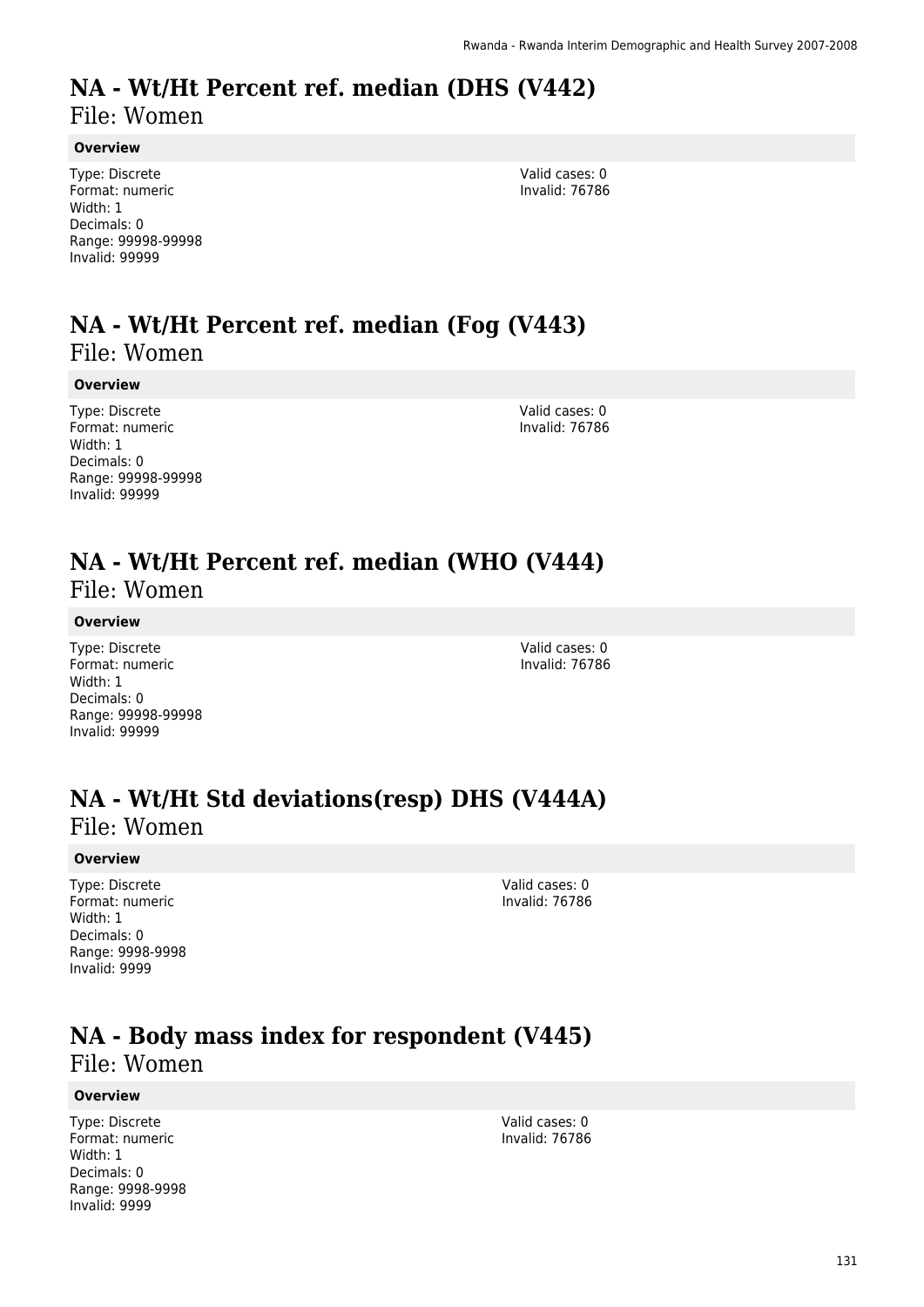## **NA - Wt/Ht Percent ref. median (DHS (V442)**

File: Women

### **Overview**

Type: Discrete Format: numeric Width: 1 Decimals: 0 Range: 99998-99998 Invalid: 99999

Valid cases: 0 Invalid: 76786

### **NA - Wt/Ht Percent ref. median (Fog (V443)**  File: Women

#### **Overview**

Type: Discrete Format: numeric Width: 1 Decimals: 0 Range: 99998-99998 Invalid: 99999

Valid cases: 0 Invalid: 76786

### **NA - Wt/Ht Percent ref. median (WHO (V444)**  File: Women

#### **Overview**

Type: Discrete Format: numeric Width: 1 Decimals: 0 Range: 99998-99998 Invalid: 99999

Valid cases: 0 Invalid: 76786

### **NA - Wt/Ht Std deviations(resp) DHS (V444A)**  File: Women

### **Overview**

Type: Discrete Format: numeric Width: 1 Decimals: 0 Range: 9998-9998 Invalid: 9999

Valid cases: 0 Invalid: 76786

### **NA - Body mass index for respondent (V445)**  File: Women

### **Overview**

Type: Discrete Format: numeric Width: 1 Decimals: 0 Range: 9998-9998 Invalid: 9999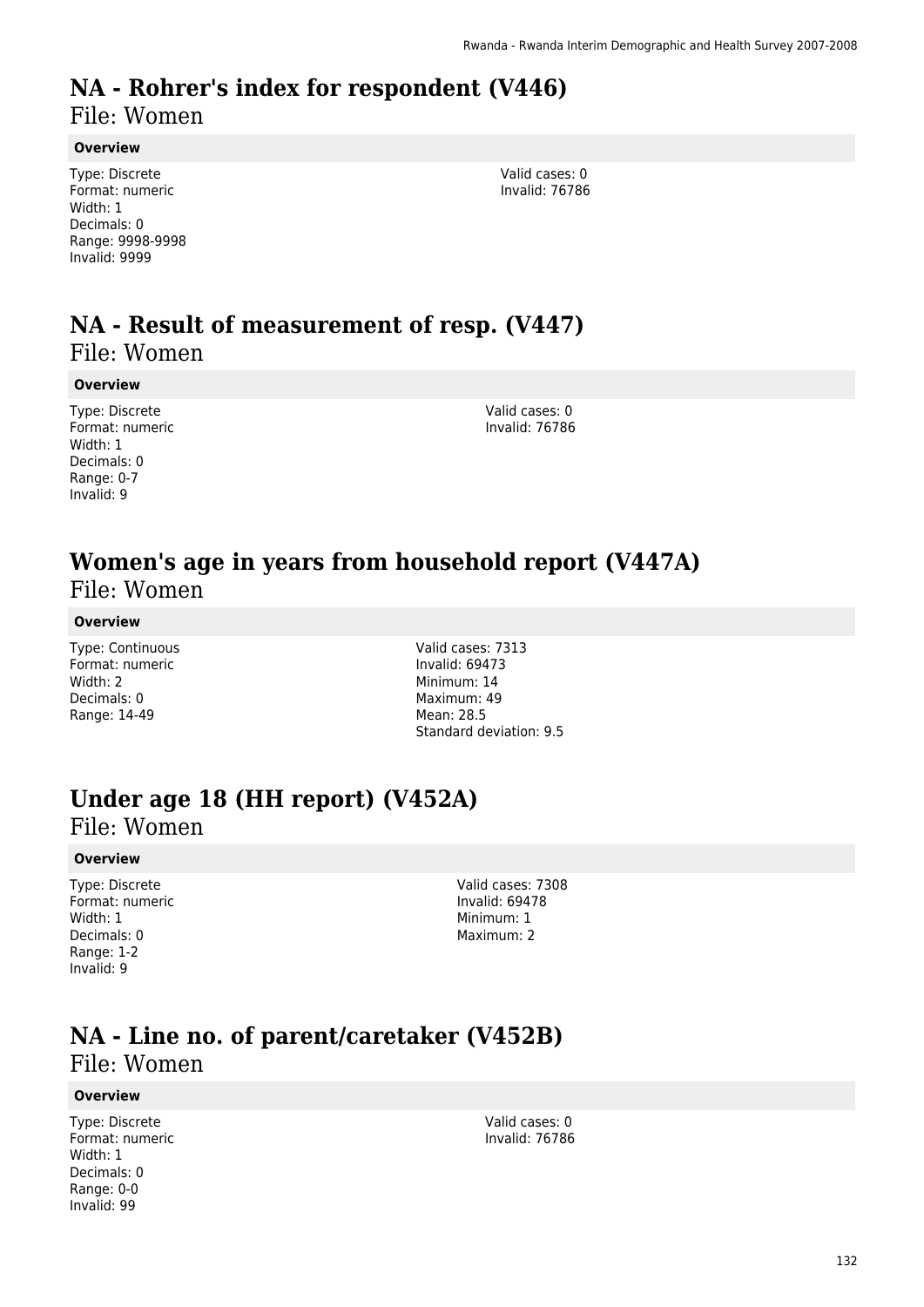## **NA - Rohrer's index for respondent (V446)**

File: Women

### **Overview**

Type: Discrete Format: numeric Width: 1 Decimals: 0 Range: 9998-9998 Invalid: 9999

### **NA - Result of measurement of resp. (V447)**  File: Women

#### **Overview**

Type: Discrete Format: numeric Width: 1 Decimals: 0 Range: 0-7 Invalid: 9

Valid cases: 0 Invalid: 76786

### **Women's age in years from household report (V447A)**  File: Women

#### **Overview**

Type: Continuous Format: numeric Width: 2 Decimals: 0 Range: 14-49

Valid cases: 7313 Invalid: 69473 Minimum: 14 Maximum: 49 Mean: 28.5 Standard deviation: 9.5

## **Under age 18 (HH report) (V452A)**

File: Women

### **Overview**

Type: Discrete Format: numeric Width: 1 Decimals: 0 Range: 1-2 Invalid: 9

Valid cases: 7308 Invalid: 69478 Minimum: 1 Maximum: 2

### **NA - Line no. of parent/caretaker (V452B)**  File: Women

### **Overview**

Type: Discrete Format: numeric Width: 1 Decimals: 0 Range: 0-0 Invalid: 99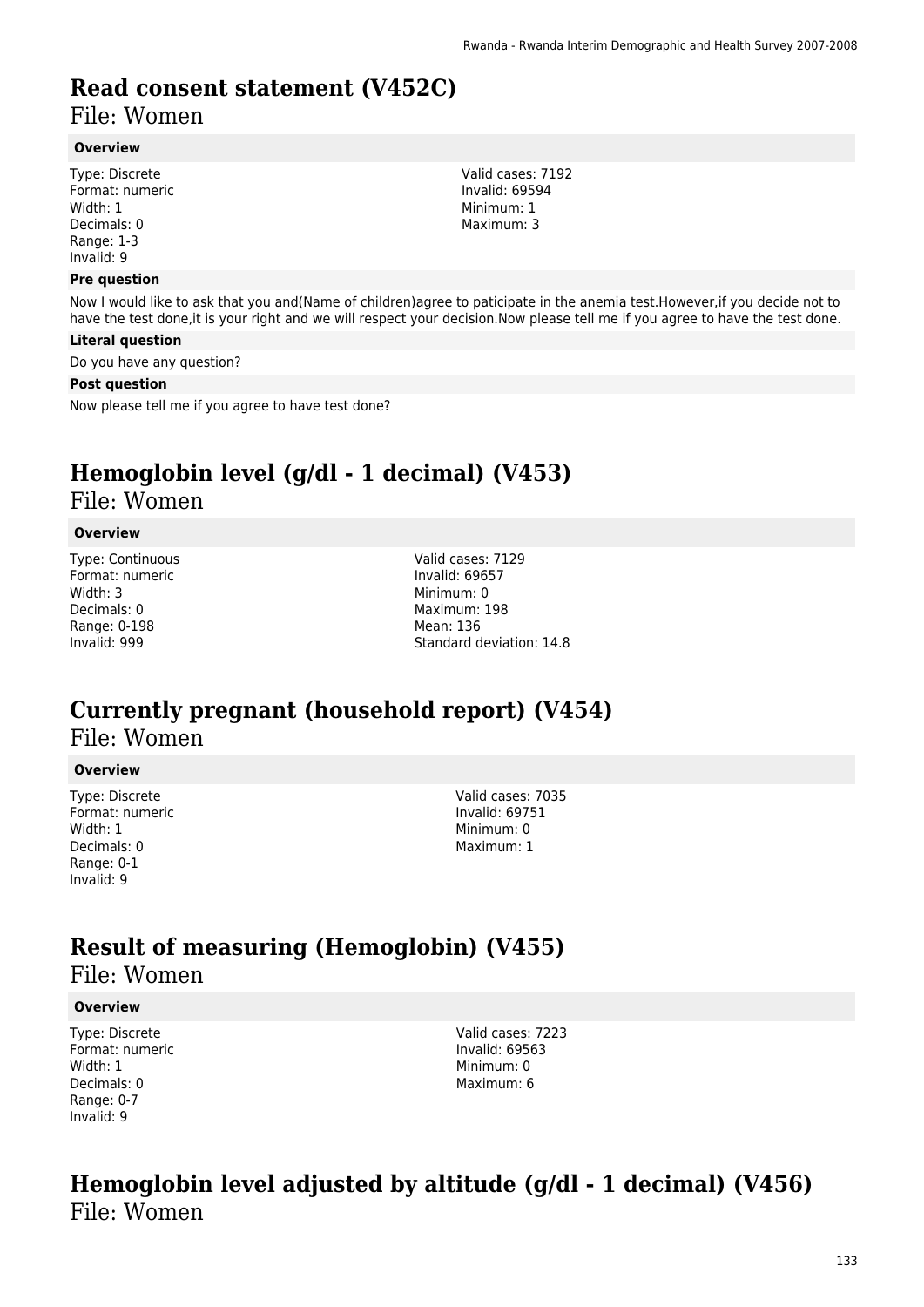## **Read consent statement (V452C)**

File: Women

### **Overview**

Type: Discrete Format: numeric Width: 1 Decimals: 0 Range: 1-3 Invalid: 9

#### **Pre question**

Now I would like to ask that you and(Name of children)agree to paticipate in the anemia test.However,if you decide not to have the test done,it is your right and we will respect your decision.Now please tell me if you agree to have the test done.

#### **Literal question**

Do you have any question?

#### **Post question**

Now please tell me if you agree to have test done?

### **Hemoglobin level (g/dl - 1 decimal) (V453)**  File: Women

#### **Overview**

Type: Continuous Format: numeric Width: 3 Decimals: 0 Range: 0-198 Invalid: 999

Valid cases: 7129 Invalid: 69657 Minimum: 0 Maximum: 198 Mean: 136 Standard deviation: 14.8

### **Currently pregnant (household report) (V454)**  File: Women

### **Overview**

Type: Discrete Format: numeric Width: 1 Decimals: 0 Range: 0-1 Invalid: 9

Valid cases: 7035 Invalid: 69751 Minimum: 0 Maximum: 1

## **Result of measuring (Hemoglobin) (V455)**

### File: Women

### **Overview**

Type: Discrete Format: numeric Width: 1 Decimals: 0 Range: 0-7 Invalid: 9

Valid cases: 7223 Invalid: 69563 Minimum: 0 Maximum: 6

### **Hemoglobin level adjusted by altitude (g/dl - 1 decimal) (V456)**  File: Women

Valid cases: 7192 Invalid: 69594 Minimum: 1 Maximum: 3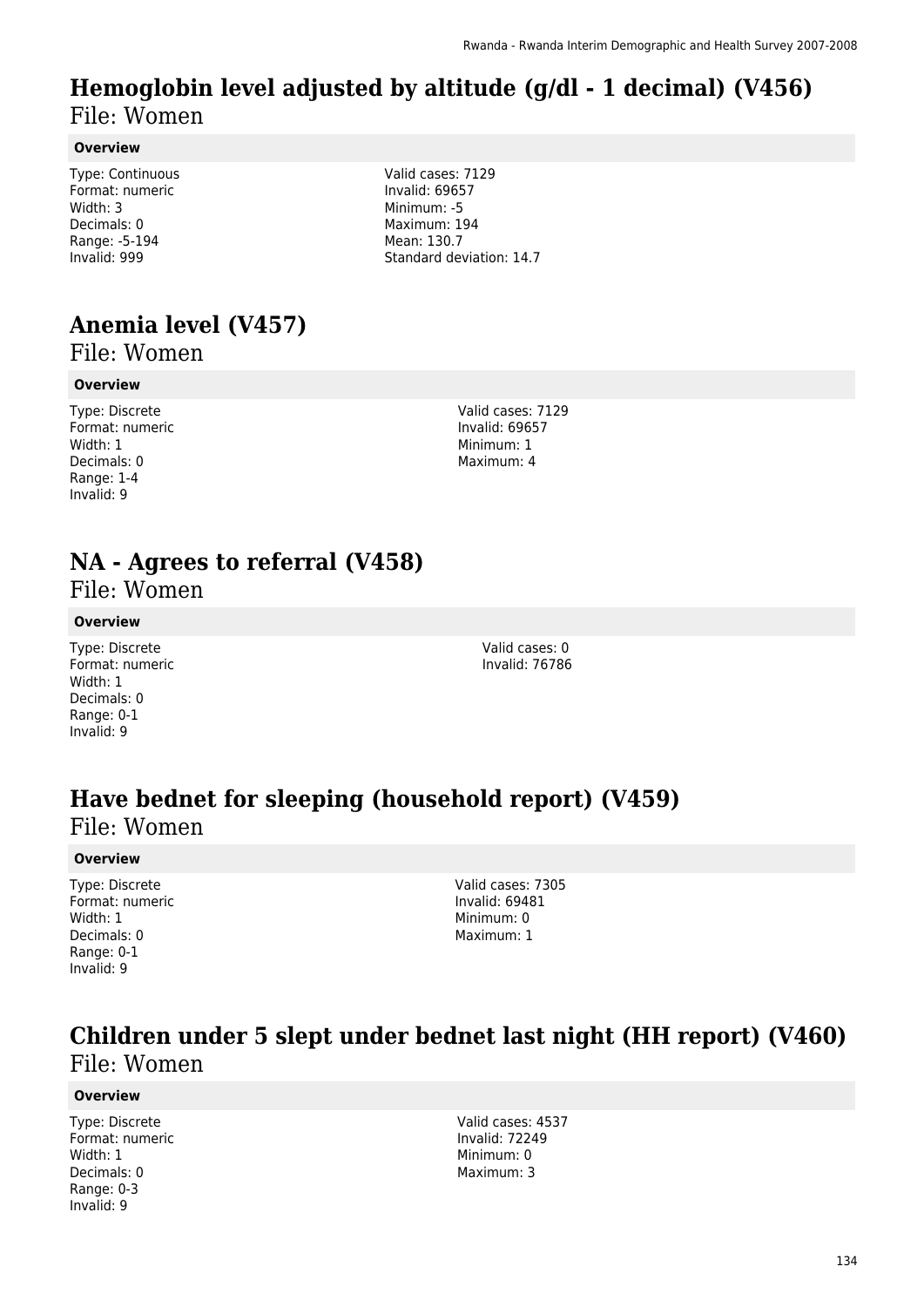### **Hemoglobin level adjusted by altitude (g/dl - 1 decimal) (V456)**  File: Women

### **Overview**

Type: Continuous Format: numeric Width: 3 Decimals: 0 Range: -5-194 Invalid: 999

Valid cases: 7129 Invalid: 69657 Minimum: -5 Maximum: 194 Mean: 130.7 Standard deviation: 14.7

### **Anemia level (V457)**  File: Women

#### **Overview**

Type: Discrete Format: numeric Width: 1 Decimals: 0 Range: 1-4 Invalid: 9

Valid cases: 7129 Invalid: 69657 Minimum: 1 Maximum: 4

### **NA - Agrees to referral (V458)**  File: Women

### **Overview**

Type: Discrete Format: numeric Width: 1 Decimals: 0 Range: 0-1 Invalid: 9

Valid cases: 0 Invalid: 76786

### **Have bednet for sleeping (household report) (V459)**  File: Women

### **Overview**

Type: Discrete Format: numeric Width: 1 Decimals: 0 Range: 0-1 Invalid: 9

Valid cases: 7305 Invalid: 69481 Minimum: 0 Maximum: 1

### **Children under 5 slept under bednet last night (HH report) (V460)**  File: Women

### **Overview**

Type: Discrete Format: numeric Width: 1 Decimals: 0 Range: 0-3 Invalid: 9

Valid cases: 4537 Invalid: 72249 Minimum: 0 Maximum: 3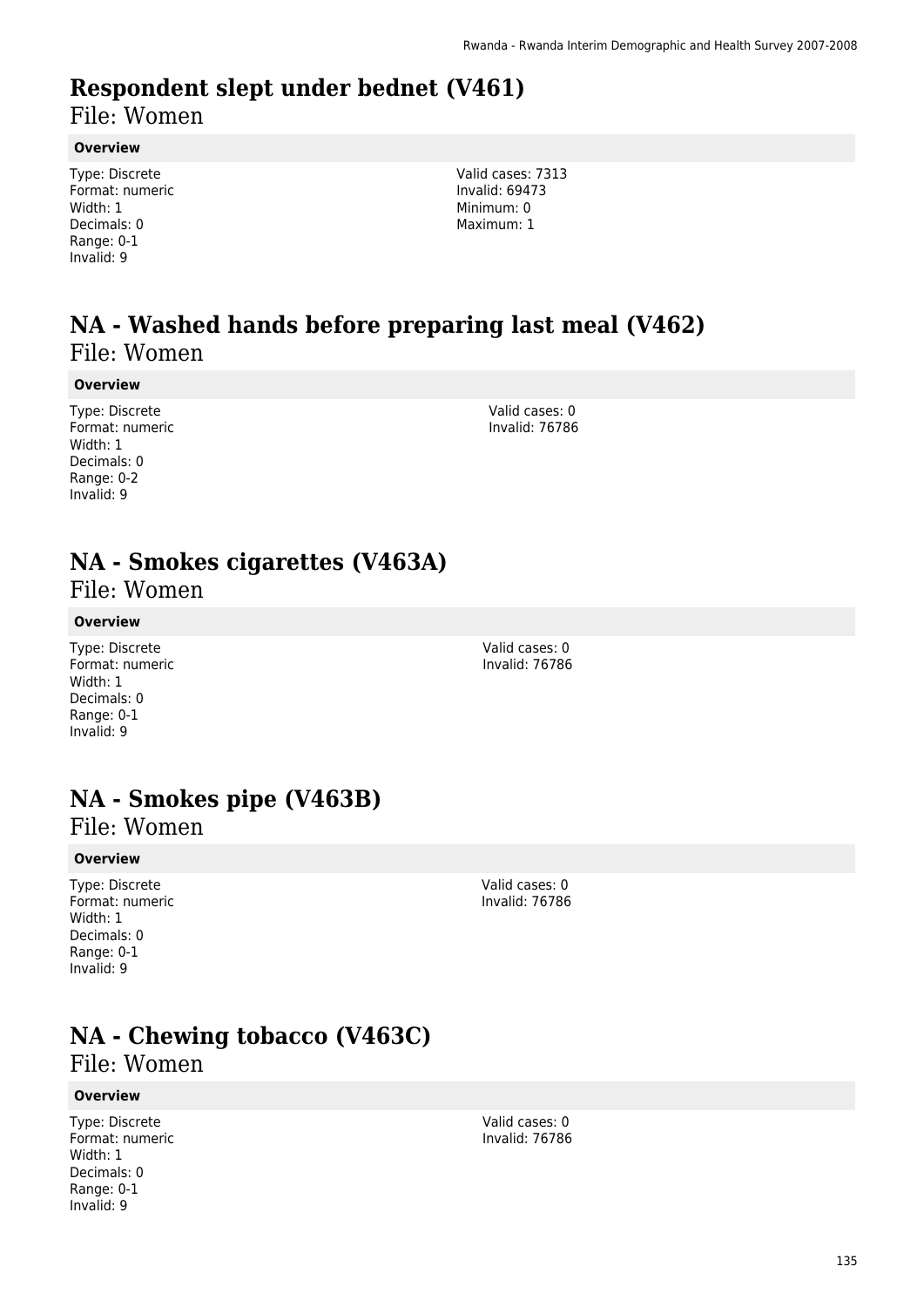## **Respondent slept under bednet (V461)**

File: Women

### **Overview**

Type: Discrete Format: numeric Width: 1 Decimals: 0 Range: 0-1 Invalid: 9

Valid cases: 7313 Invalid: 69473 Minimum: 0 Maximum: 1

### **NA - Washed hands before preparing last meal (V462)**  File: Women

#### **Overview**

Type: Discrete Format: numeric Width: 1 Decimals: 0 Range: 0-2 Invalid: 9

### **NA - Smokes cigarettes (V463A)**  File: Women

#### **Overview**

Type: Discrete Format: numeric Width: 1 Decimals: 0 Range: 0-1 Invalid: 9

### **NA - Smokes pipe (V463B)**  File: Women

### **Overview**

Type: Discrete Format: numeric Width: 1 Decimals: 0 Range: 0-1 Invalid: 9

### **NA - Chewing tobacco (V463C)**  File: Women

### **Overview**

Type: Discrete Format: numeric Width: 1 Decimals: 0 Range: 0-1 Invalid: 9

Valid cases: 0 Invalid: 76786

Valid cases: 0 Invalid: 76786

Valid cases: 0 Invalid: 76786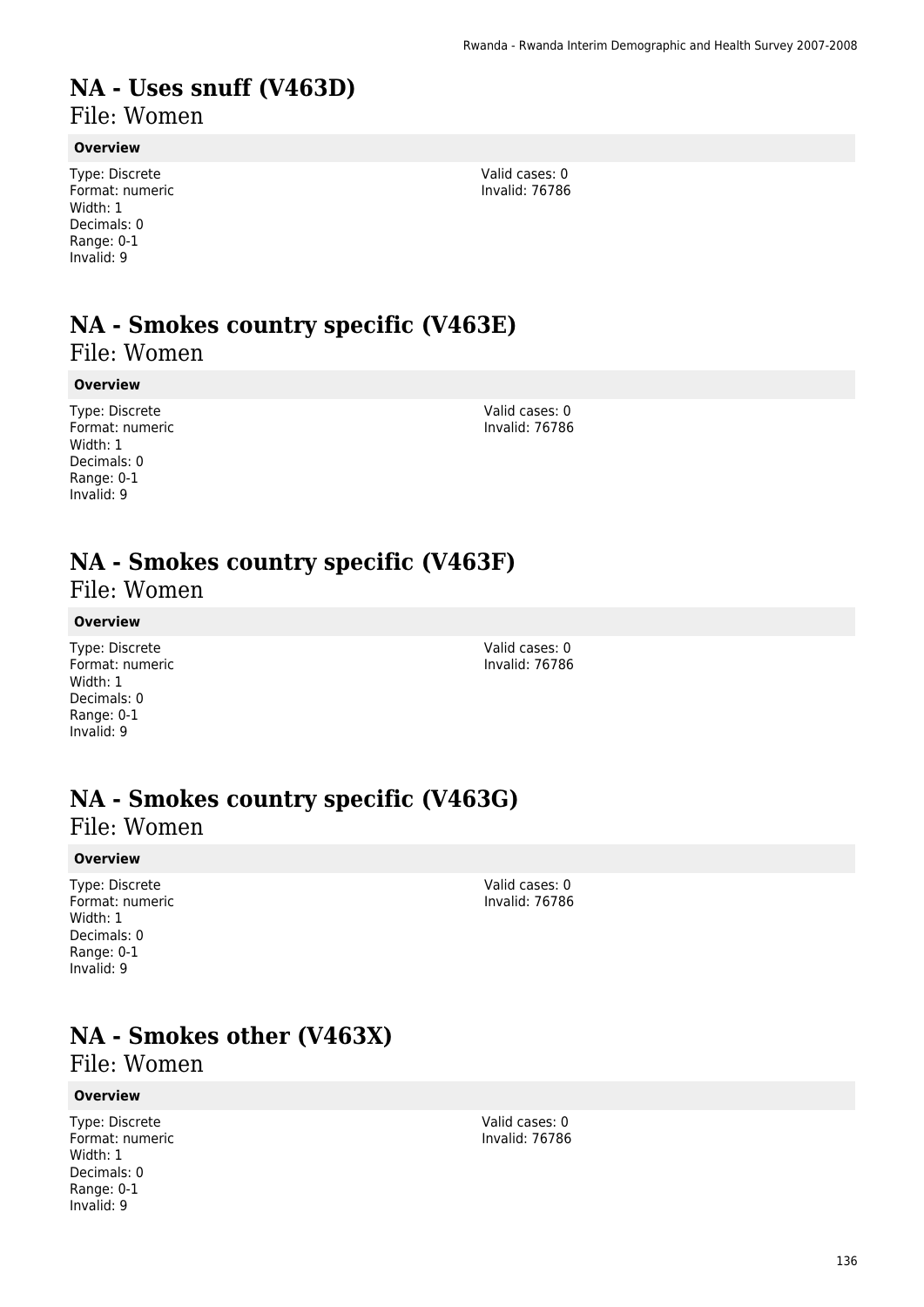### **NA - Uses snuff (V463D)**  File: Women

### **Overview**

Type: Discrete Format: numeric Width: 1 Decimals: 0 Range: 0-1 Invalid: 9

### **NA - Smokes country specific (V463E)**  File: Women

#### **Overview**

Type: Discrete Format: numeric Width: 1 Decimals: 0 Range: 0-1 Invalid: 9

### **NA - Smokes country specific (V463F)**  File: Women

#### **Overview**

Type: Discrete Format: numeric Width: 1 Decimals: 0 Range: 0-1 Invalid: 9

Valid cases: 0 Invalid: 76786

### **NA - Smokes country specific (V463G)**  File: Women

### **Overview**

Type: Discrete Format: numeric Width: 1 Decimals: 0 Range: 0-1 Invalid: 9

Valid cases: 0 Invalid: 76786

### **NA - Smokes other (V463X)**  File: Women

### **Overview**

Type: Discrete Format: numeric Width: 1 Decimals: 0 Range: 0-1 Invalid: 9

Valid cases: 0 Invalid: 76786

Valid cases: 0 Invalid: 76786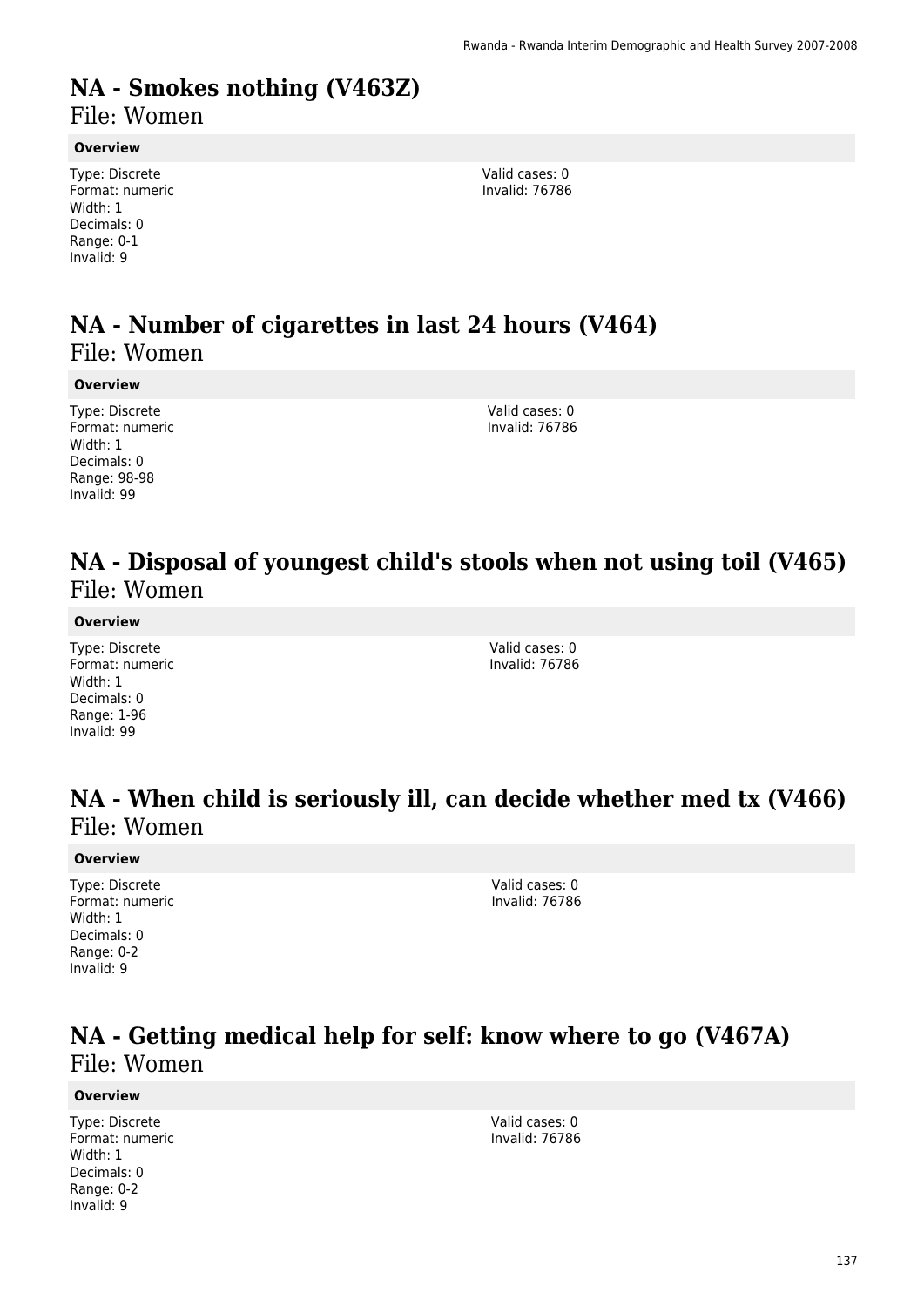## **NA - Smokes nothing (V463Z)**

File: Women

### **Overview**

Type: Discrete Format: numeric Width: 1 Decimals: 0 Range: 0-1 Invalid: 9

### **NA - Number of cigarettes in last 24 hours (V464)**  File: Women

#### **Overview**

Type: Discrete Format: numeric Width: 1 Decimals: 0 Range: 98-98 Invalid: 99

Valid cases: 0 Invalid: 76786

Valid cases: 0 Invalid: 76786

### **NA - Disposal of youngest child's stools when not using toil (V465)**  File: Women

#### **Overview**

Type: Discrete Format: numeric Width: 1 Decimals: 0 Range: 1-96 Invalid: 99

Valid cases: 0 Invalid: 76786

### **NA - When child is seriously ill, can decide whether med tx (V466)**  File: Women

### **Overview**

Type: Discrete Format: numeric Width: 1 Decimals: 0 Range: 0-2 Invalid: 9

Valid cases: 0 Invalid: 76786

### **NA - Getting medical help for self: know where to go (V467A)**  File: Women

### **Overview**

Type: Discrete Format: numeric Width: 1 Decimals: 0 Range: 0-2 Invalid: 9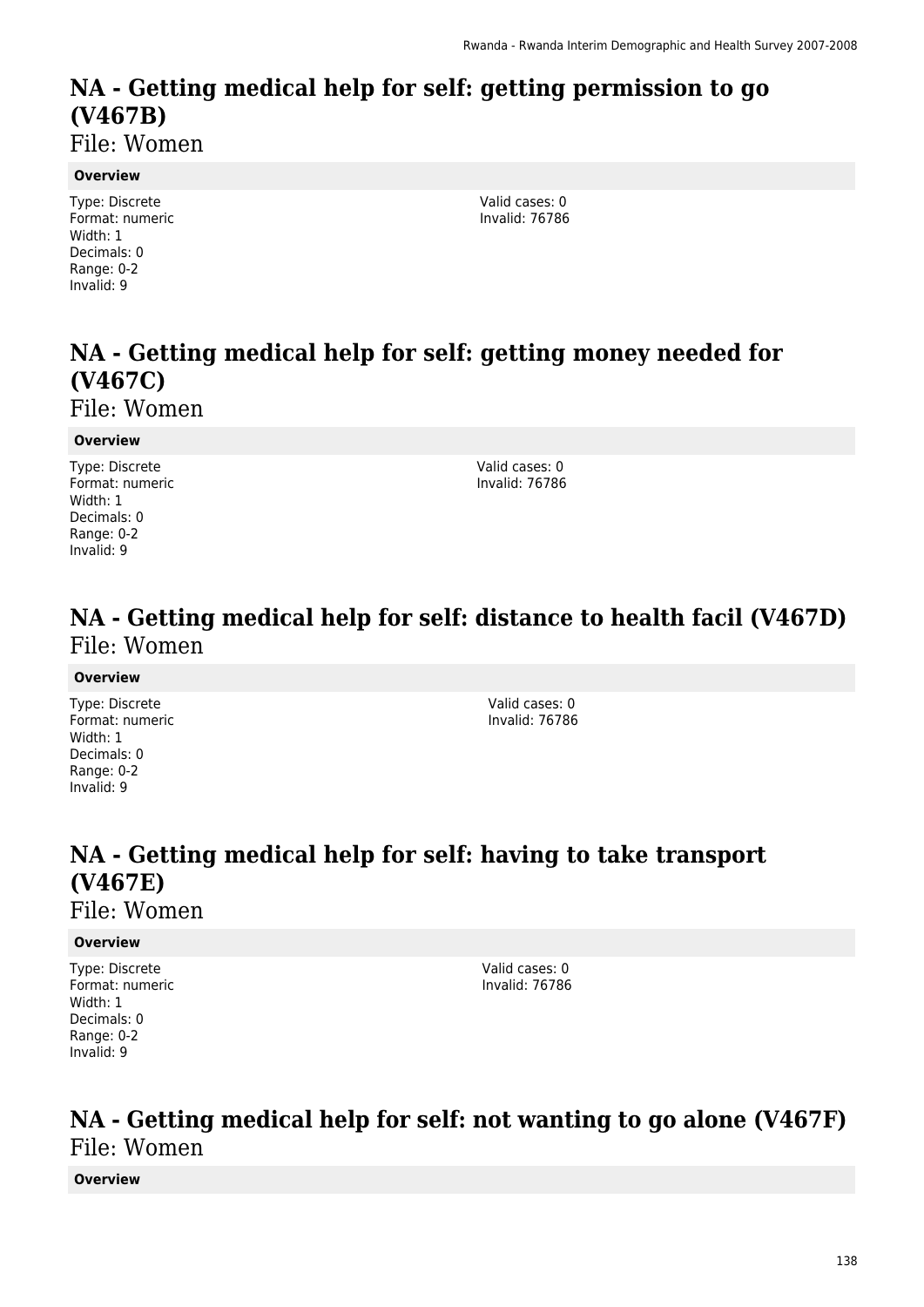## **NA - Getting medical help for self: getting permission to go (V467B)**

File: Women

### **Overview**

Type: Discrete Format: numeric Width: 1 Decimals: 0 Range: 0-2 Invalid: 9

Valid cases: 0 Invalid: 76786

## **NA - Getting medical help for self: getting money needed for (V467C)**

File: Women

### **Overview**

Type: Discrete Format: numeric Width: 1 Decimals: 0 Range: 0-2 Invalid: 9

Valid cases: 0 Invalid: 76786

### **NA - Getting medical help for self: distance to health facil (V467D)**  File: Women

### **Overview**

Type: Discrete Format: numeric Width: 1 Decimals: 0 Range: 0-2 Invalid: 9

Valid cases: 0 Invalid: 76786

### **NA - Getting medical help for self: having to take transport (V467E)**  File: Women

### **Overview**

Type: Discrete Format: numeric Width: 1 Decimals: 0 Range: 0-2 Invalid: 9

Valid cases: 0 Invalid: 76786

### **NA - Getting medical help for self: not wanting to go alone (V467F)**  File: Women

**Overview**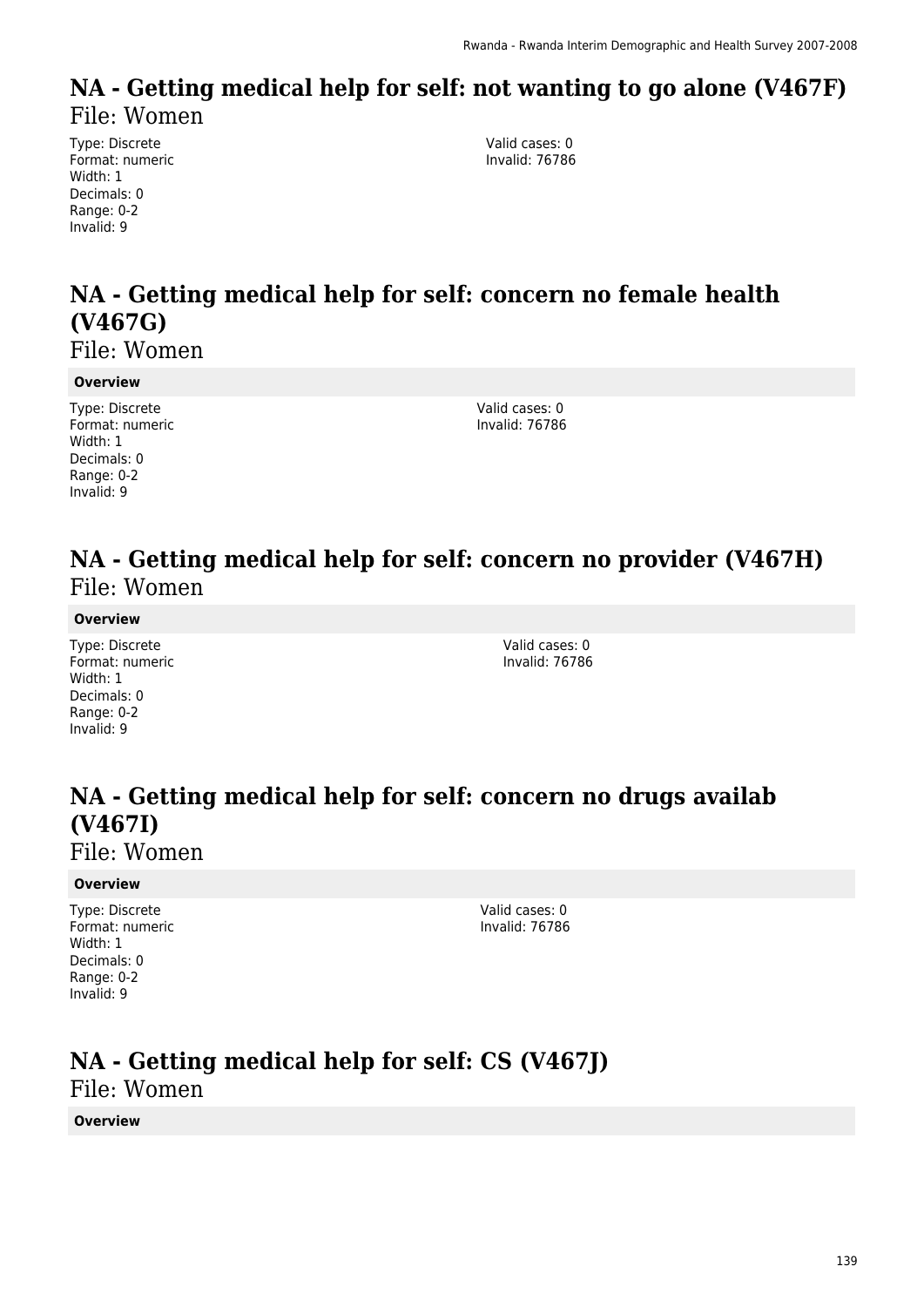### **NA - Getting medical help for self: not wanting to go alone (V467F)**  File: Women

Type: Discrete Format: numeric Width: 1 Decimals: 0 Range: 0-2 Invalid: 9

Valid cases: 0 Invalid: 76786

## **NA - Getting medical help for self: concern no female health (V467G)**

File: Women

### **Overview**

Type: Discrete Format: numeric Width: 1 Decimals: 0 Range: 0-2 Invalid: 9

Valid cases: 0 Invalid: 76786

### **NA - Getting medical help for self: concern no provider (V467H)**  File: Women

### **Overview**

Type: Discrete Format: numeric Width: 1 Decimals: 0 Range: 0-2 Invalid: 9

Valid cases: 0 Invalid: 76786

## **NA - Getting medical help for self: concern no drugs availab (V467I)**

### File: Women

### **Overview**

Type: Discrete Format: numeric Width: 1 Decimals: 0 Range: 0-2 Invalid: 9

Valid cases: 0 Invalid: 76786

### **NA - Getting medical help for self: CS (V467J)**  File: Women

### **Overview**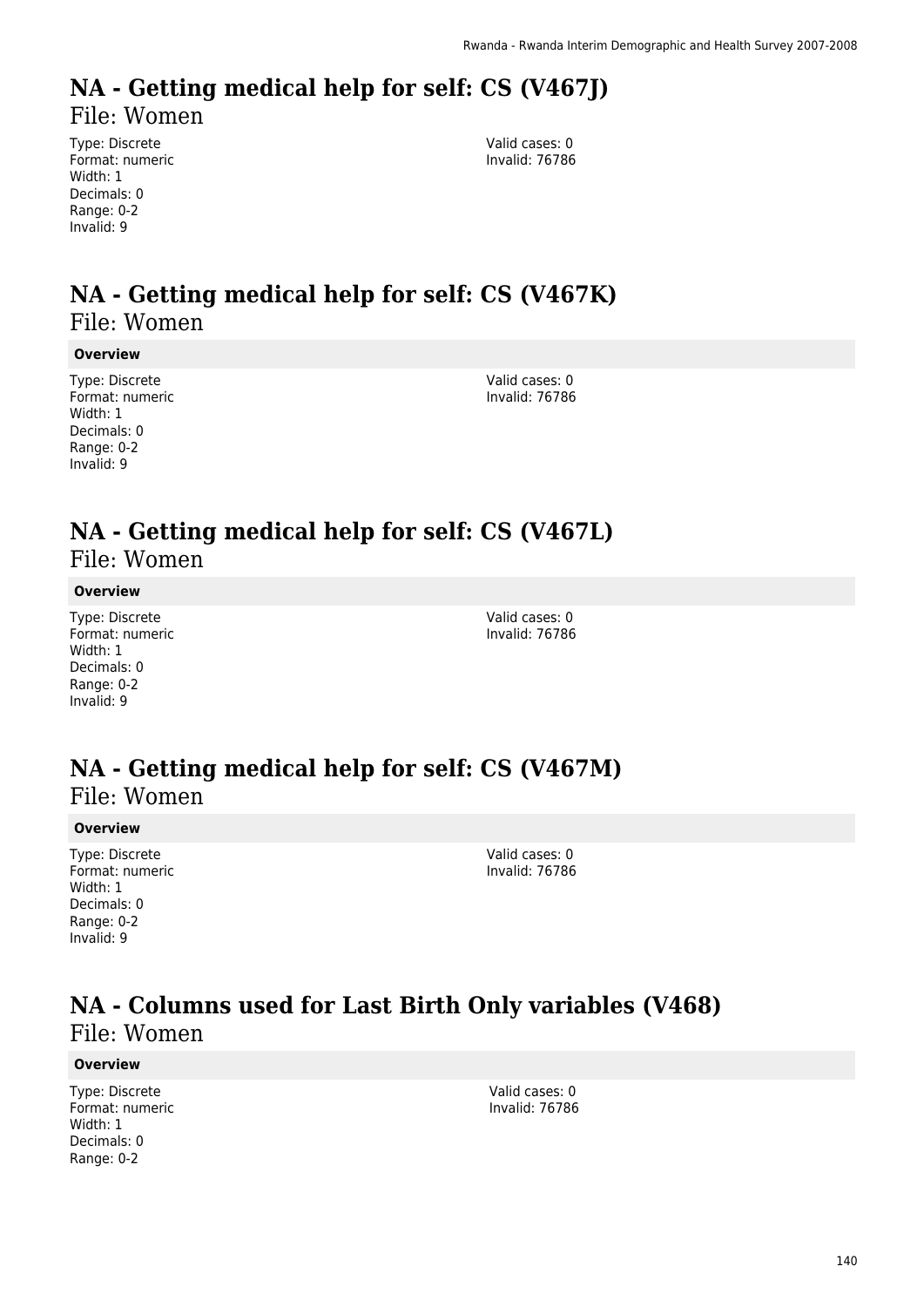### **NA - Getting medical help for self: CS (V467J)**  File: Women

Type: Discrete Format: numeric Width: 1 Decimals: 0 Range: 0-2 Invalid: 9

Valid cases: 0 Invalid: 76786

### **NA - Getting medical help for self: CS (V467K)**  File: Women

### **Overview**

Type: Discrete Format: numeric Width: 1 Decimals: 0 Range: 0-2 Invalid: 9

Valid cases: 0 Invalid: 76786

### **NA - Getting medical help for self: CS (V467L)**  File: Women

#### **Overview**

Type: Discrete Format: numeric Width: 1 Decimals: 0 Range: 0-2 Invalid: 9

Valid cases: 0 Invalid: 76786

### **NA - Getting medical help for self: CS (V467M)**  File: Women

#### **Overview**

Type: Discrete Format: numeric Width: 1 Decimals: 0 Range: 0-2 Invalid: 9

Valid cases: 0 Invalid: 76786

### **NA - Columns used for Last Birth Only variables (V468)**  File: Women

#### **Overview**

Type: Discrete Format: numeric Width: 1 Decimals: 0 Range: 0-2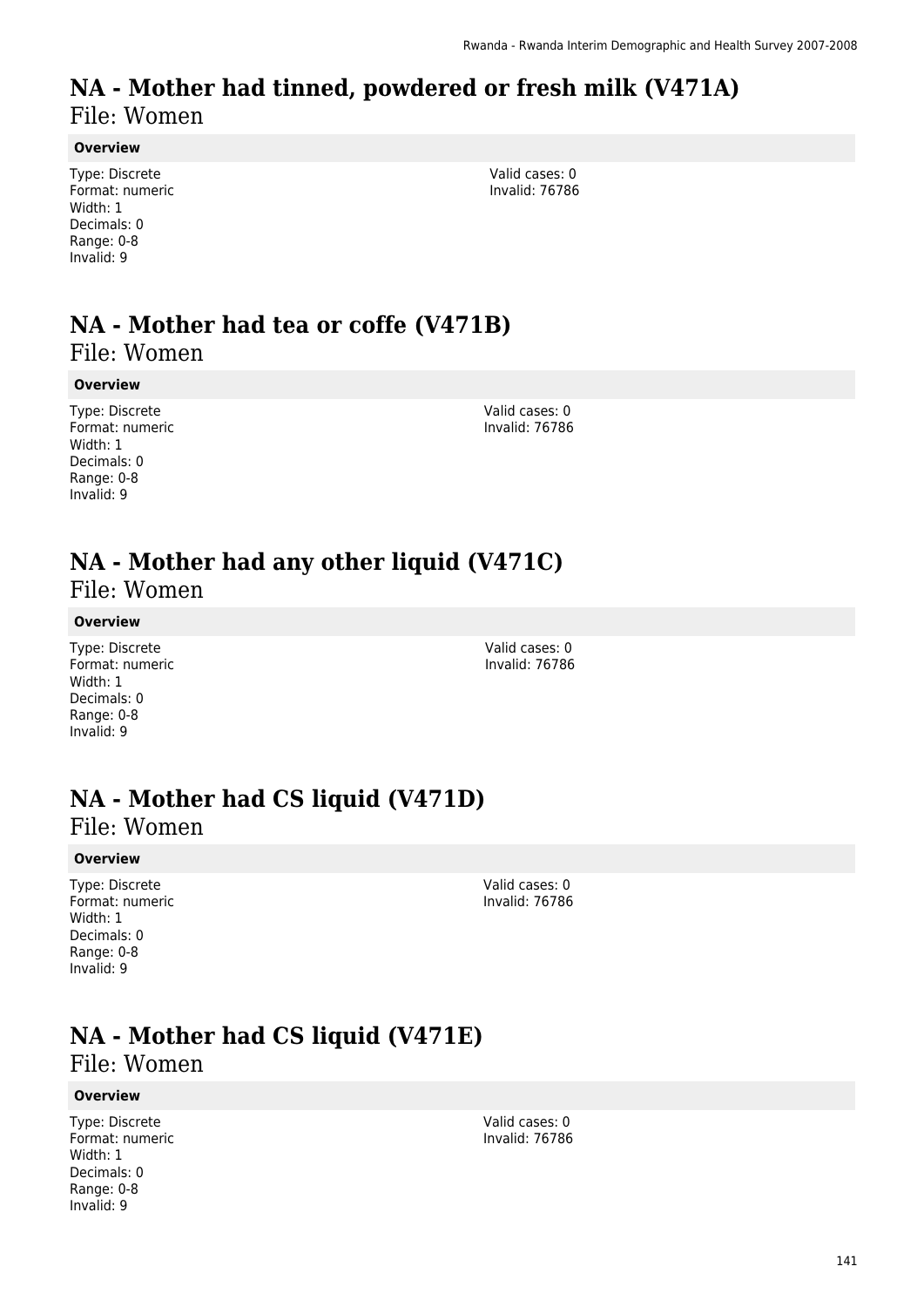### **NA - Mother had tinned, powdered or fresh milk (V471A)**  File: Women

#### **Overview**

Type: Discrete Format: numeric Width: 1 Decimals: 0 Range: 0-8 Invalid: 9

### **NA - Mother had tea or coffe (V471B)**  File: Women

#### **Overview**

Type: Discrete Format: numeric Width: 1 Decimals: 0 Range: 0-8 Invalid: 9

Valid cases: 0 Invalid: 76786

Valid cases: 0 Invalid: 76786

### **NA - Mother had any other liquid (V471C)**  File: Women

#### **Overview**

Type: Discrete Format: numeric Width: 1 Decimals: 0 Range: 0-8 Invalid: 9

Valid cases: 0 Invalid: 76786

### **NA - Mother had CS liquid (V471D)**  File: Women

#### **Overview**

Type: Discrete Format: numeric Width: 1 Decimals: 0 Range: 0-8 Invalid: 9

Valid cases: 0 Invalid: 76786

### **NA - Mother had CS liquid (V471E)**  File: Women

### **Overview**

Type: Discrete Format: numeric Width: 1 Decimals: 0 Range: 0-8 Invalid: 9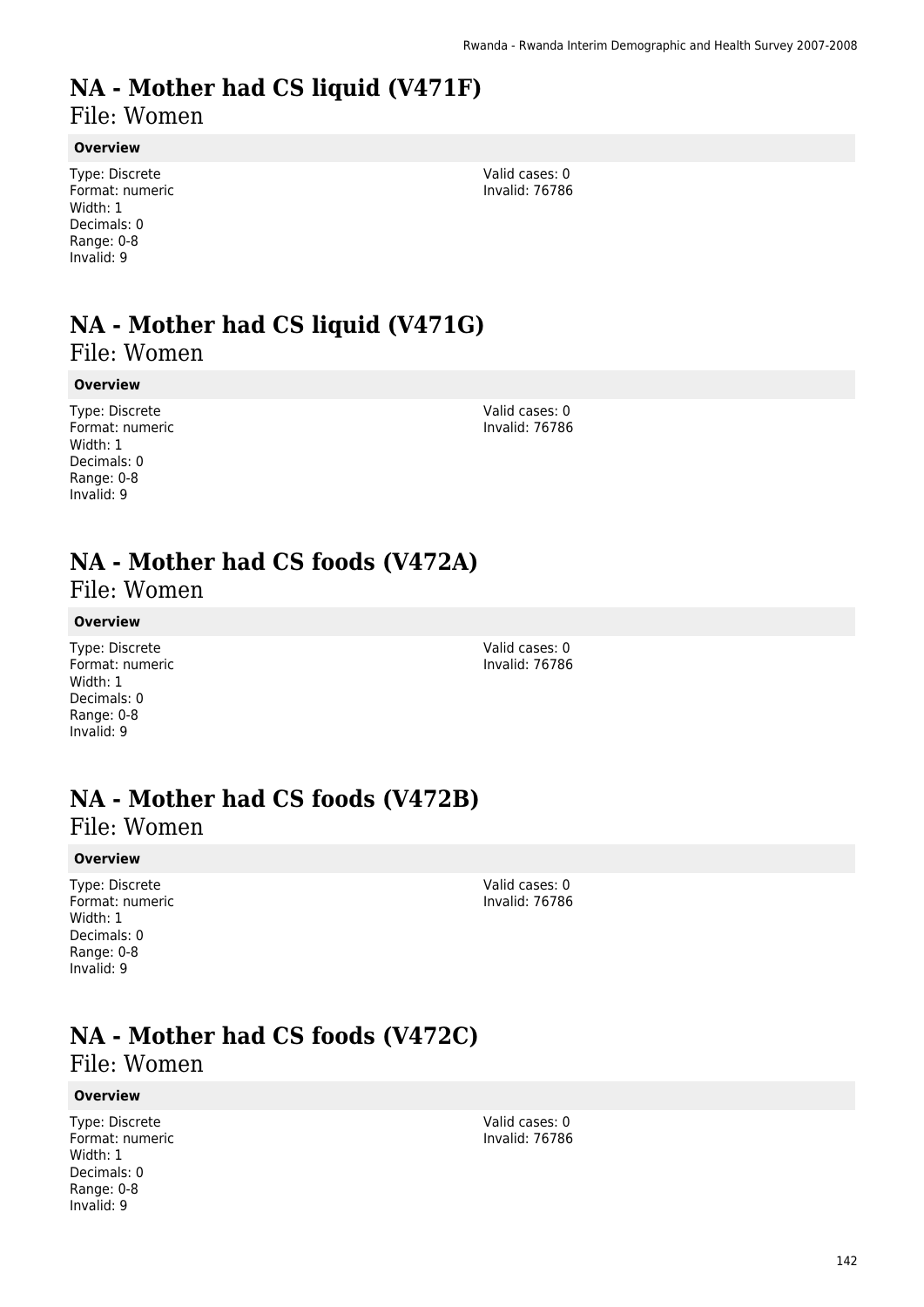### **NA - Mother had CS liquid (V471F)**  File: Women

### **Overview**

Type: Discrete Format: numeric Width: 1 Decimals: 0 Range: 0-8 Invalid: 9

### **NA - Mother had CS liquid (V471G)**  File: Women

#### **Overview**

Type: Discrete Format: numeric Width: 1 Decimals: 0 Range: 0-8 Invalid: 9

### **NA - Mother had CS foods (V472A)**  File: Women

#### **Overview**

Type: Discrete Format: numeric Width: 1 Decimals: 0 Range: 0-8 Invalid: 9

#### Valid cases: 0 Invalid: 76786

### **NA - Mother had CS foods (V472B)**  File: Women

#### **Overview**

Type: Discrete Format: numeric Width: 1 Decimals: 0 Range: 0-8 Invalid: 9

Valid cases: 0 Invalid: 76786

### **NA - Mother had CS foods (V472C)**  File: Women

### **Overview**

Type: Discrete Format: numeric Width: 1 Decimals: 0 Range: 0-8 Invalid: 9

Valid cases: 0 Invalid: 76786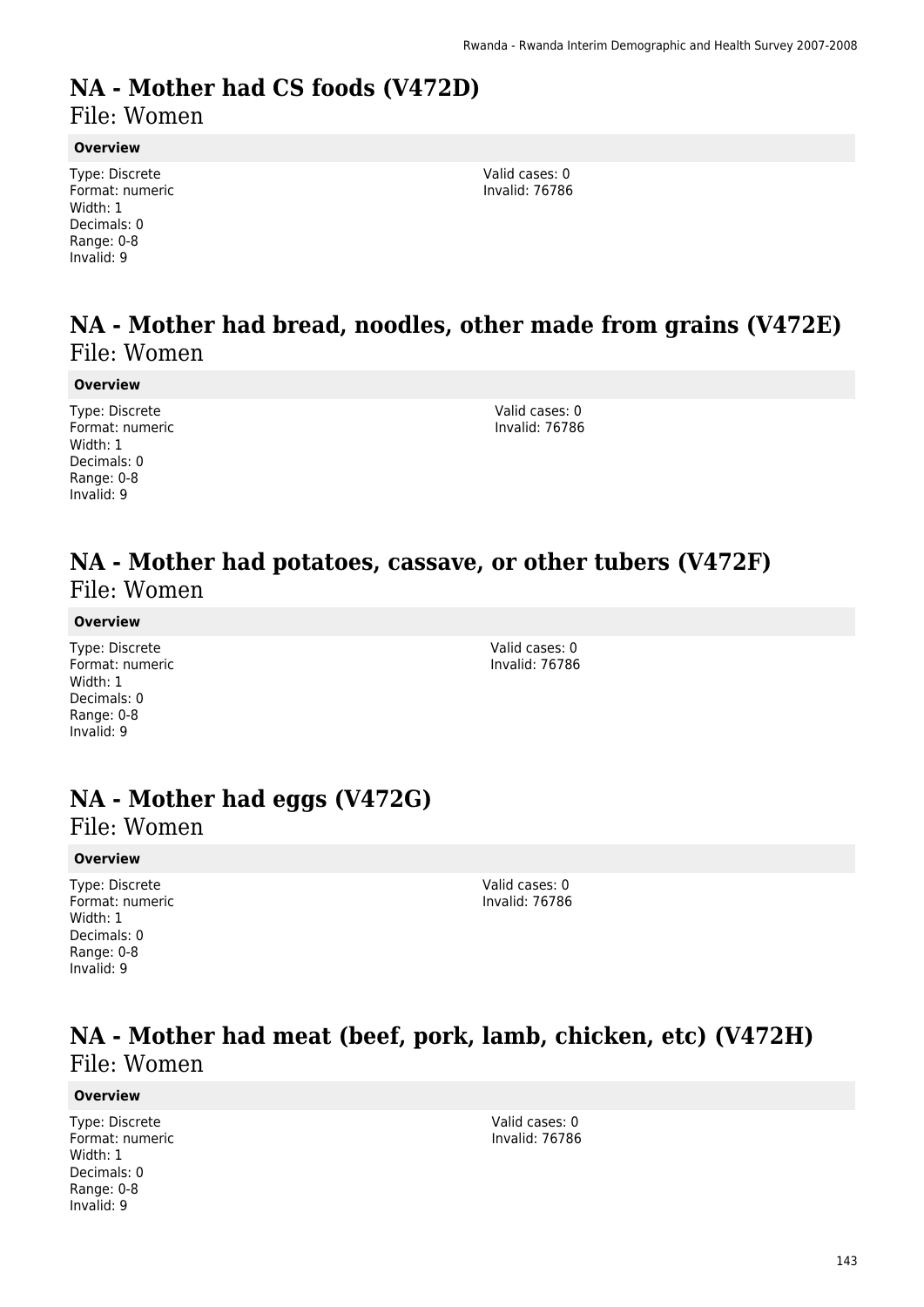### **NA - Mother had CS foods (V472D)**  File: Women

#### **Overview**

Type: Discrete Format: numeric Width: 1 Decimals: 0 Range: 0-8 Invalid: 9

Valid cases: 0 Invalid: 76786

### **NA - Mother had bread, noodles, other made from grains (V472E)**  File: Women

#### **Overview**

Type: Discrete Format: numeric Width: 1 Decimals: 0 Range: 0-8 Invalid: 9

Valid cases: 0 Invalid: 76786

### **NA - Mother had potatoes, cassave, or other tubers (V472F)**  File: Women

#### **Overview**

Type: Discrete Format: numeric Width: 1 Decimals: 0 Range: 0-8 Invalid: 9

Valid cases: 0 Invalid: 76786

### **NA - Mother had eggs (V472G)**  File: Women

#### **Overview**

Type: Discrete Format: numeric Width: 1 Decimals: 0 Range: 0-8 Invalid: 9

Valid cases: 0 Invalid: 76786

### **NA - Mother had meat (beef, pork, lamb, chicken, etc) (V472H)**  File: Women

### **Overview**

Type: Discrete Format: numeric Width: 1 Decimals: 0 Range: 0-8 Invalid: 9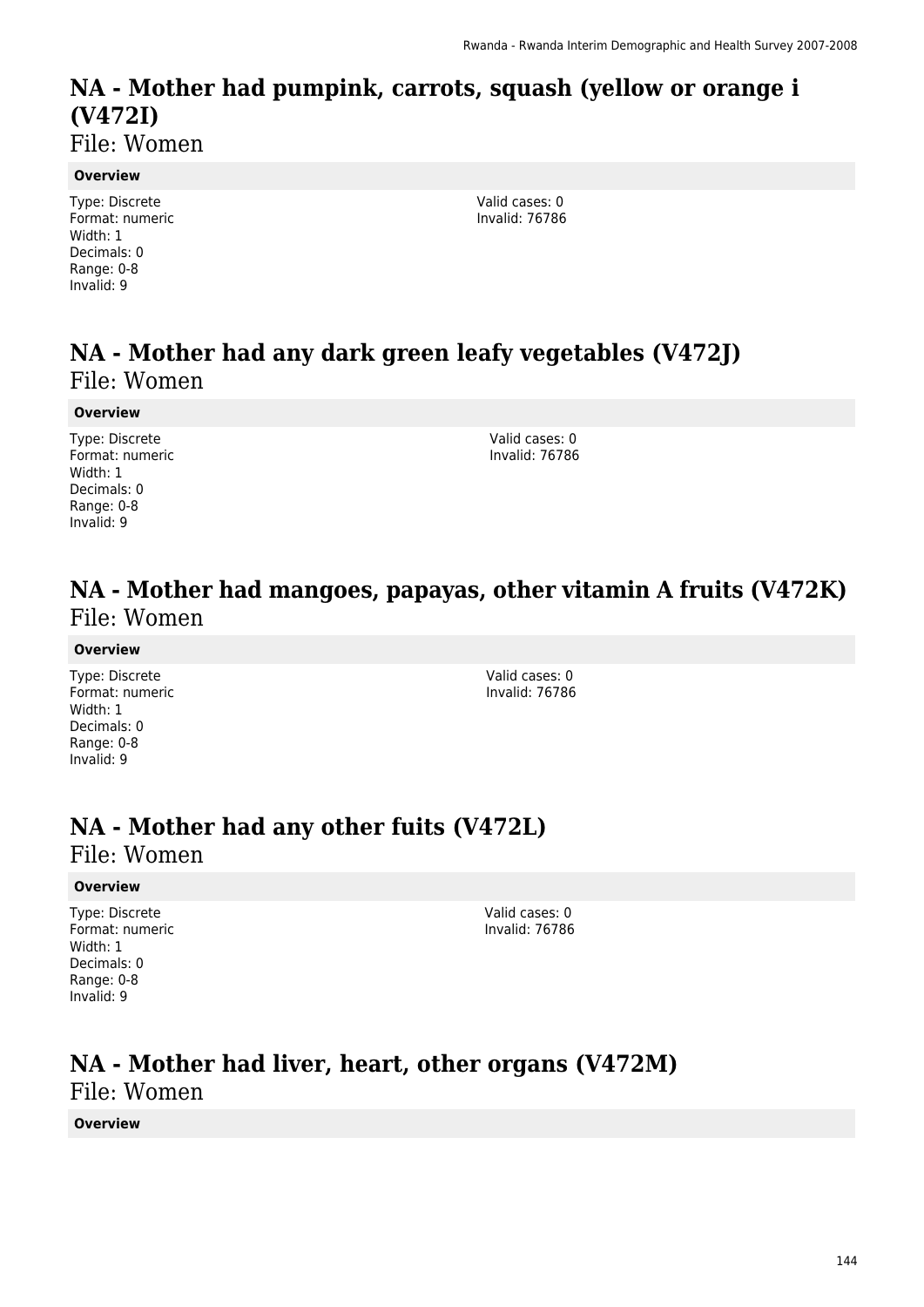### **NA - Mother had pumpink, carrots, squash (yellow or orange i (V472I)**  File: Women

#### **Overview**

Type: Discrete Format: numeric Width: 1 Decimals: 0 Range: 0-8 Invalid: 9

Valid cases: 0 Invalid: 76786

### **NA - Mother had any dark green leafy vegetables (V472J)**  File: Women

#### **Overview**

Type: Discrete Format: numeric Width: 1 Decimals: 0 Range: 0-8 Invalid: 9

Valid cases: 0 Invalid: 76786

### **NA - Mother had mangoes, papayas, other vitamin A fruits (V472K)**  File: Women

#### **Overview**

Type: Discrete Format: numeric Width: 1 Decimals: 0 Range: 0-8 Invalid: 9

Valid cases: 0 Invalid: 76786

### **NA - Mother had any other fuits (V472L)**  File: Women

### **Overview**

Type: Discrete Format: numeric Width: 1 Decimals: 0 Range: 0-8 Invalid: 9

Valid cases: 0 Invalid: 76786

### **NA - Mother had liver, heart, other organs (V472M)**  File: Women

### **Overview**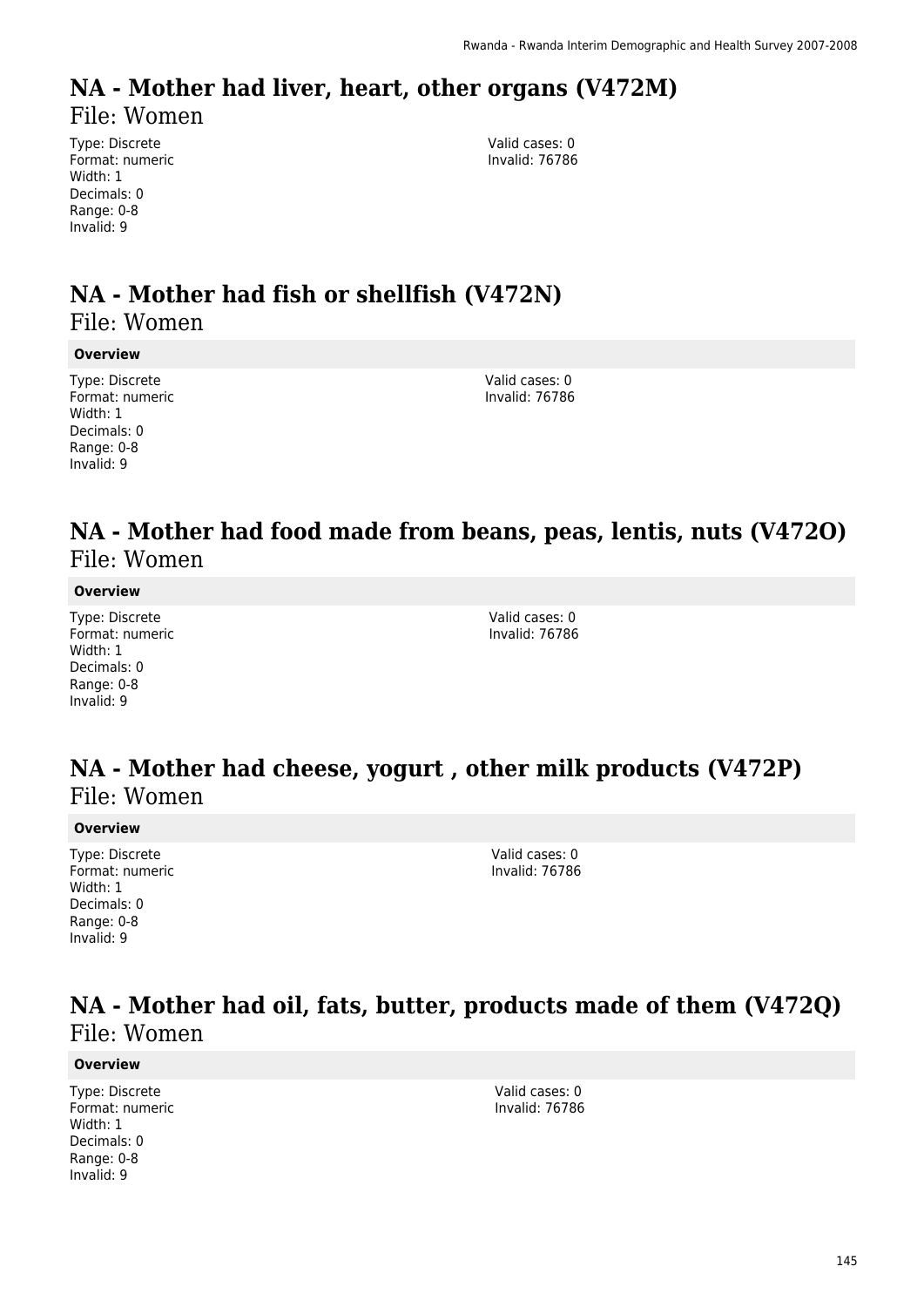### **NA - Mother had liver, heart, other organs (V472M)**  File: Women

Type: Discrete Format: numeric Width: 1 Decimals: 0 Range: 0-8 Invalid: 9

Valid cases: 0 Invalid: 76786

## **NA - Mother had fish or shellfish (V472N)**  File: Women

#### **Overview**

Type: Discrete Format: numeric Width: 1 Decimals: 0 Range: 0-8 Invalid: 9

Valid cases: 0 Invalid: 76786

### **NA - Mother had food made from beans, peas, lentis, nuts (V472O)**  File: Women

#### **Overview**

Type: Discrete Format: numeric Width: 1 Decimals: 0 Range: 0-8 Invalid: 9

Valid cases: 0 Invalid: 76786

### **NA - Mother had cheese, yogurt , other milk products (V472P)**  File: Women

### **Overview**

Type: Discrete Format: numeric Width: 1 Decimals: 0 Range: 0-8 Invalid: 9

Valid cases: 0 Invalid: 76786

### **NA - Mother had oil, fats, butter, products made of them (V472Q)**  File: Women

### **Overview**

Type: Discrete Format: numeric Width: 1 Decimals: 0 Range: 0-8 Invalid: 9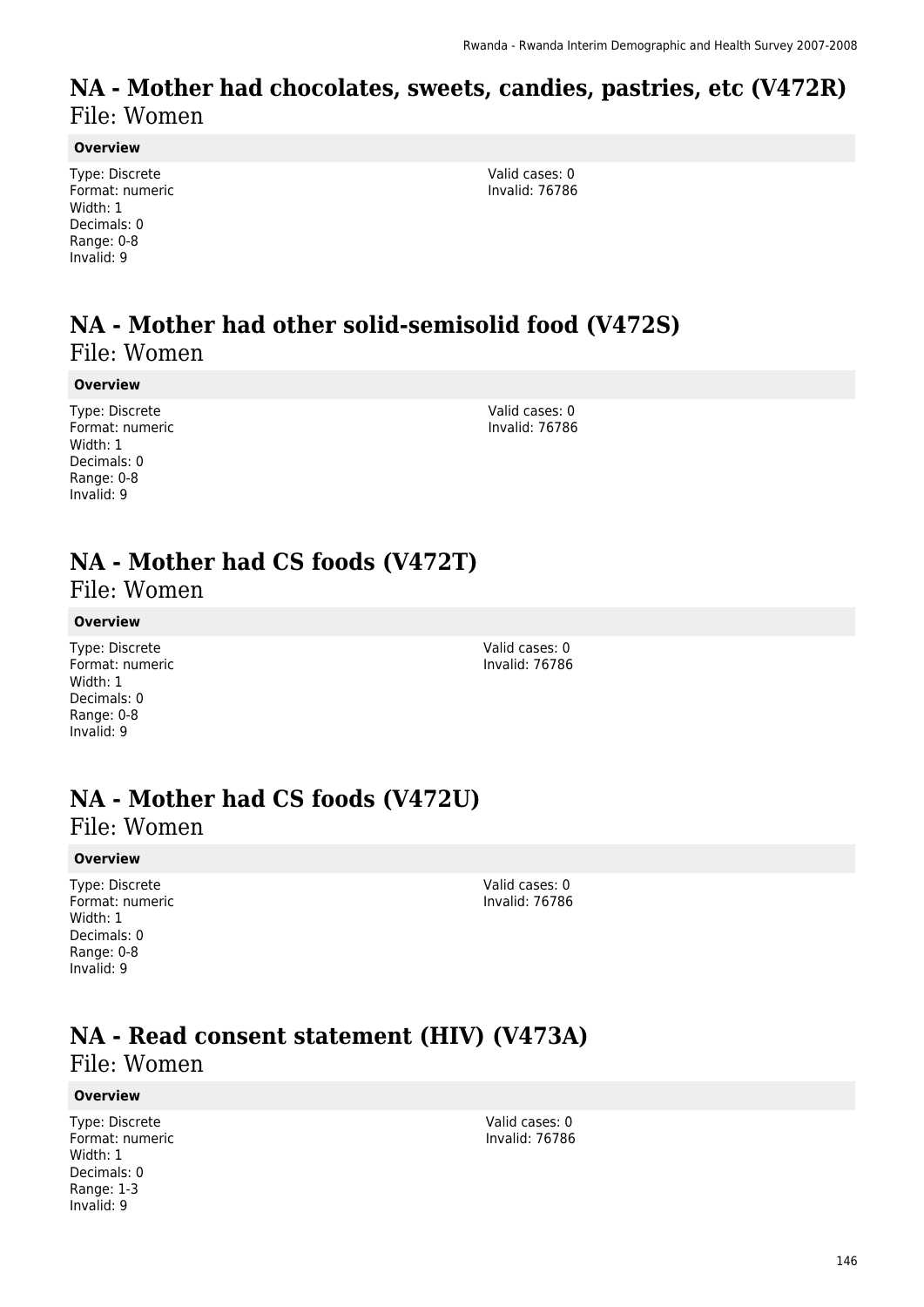### **NA - Mother had chocolates, sweets, candies, pastries, etc (V472R)**  File: Women

#### **Overview**

Type: Discrete Format: numeric Width: 1 Decimals: 0 Range: 0-8 Invalid: 9

### **NA - Mother had other solid-semisolid food (V472S)**  File: Women

#### **Overview**

Type: Discrete Format: numeric Width: 1 Decimals: 0 Range: 0-8 Invalid: 9

**NA - Mother had CS foods (V472T)**  File: Women

#### **Overview**

Type: Discrete Format: numeric Width: 1 Decimals: 0 Range: 0-8 Invalid: 9

#### Valid cases: 0 Invalid: 76786

Valid cases: 0 Invalid: 76786

### **NA - Mother had CS foods (V472U)**  File: Women

#### **Overview**

Type: Discrete Format: numeric Width: 1 Decimals: 0 Range: 0-8 Invalid: 9

Valid cases: 0 Invalid: 76786

### **NA - Read consent statement (HIV) (V473A)**  File: Women

### **Overview**

Type: Discrete Format: numeric Width: 1 Decimals: 0 Range: 1-3 Invalid: 9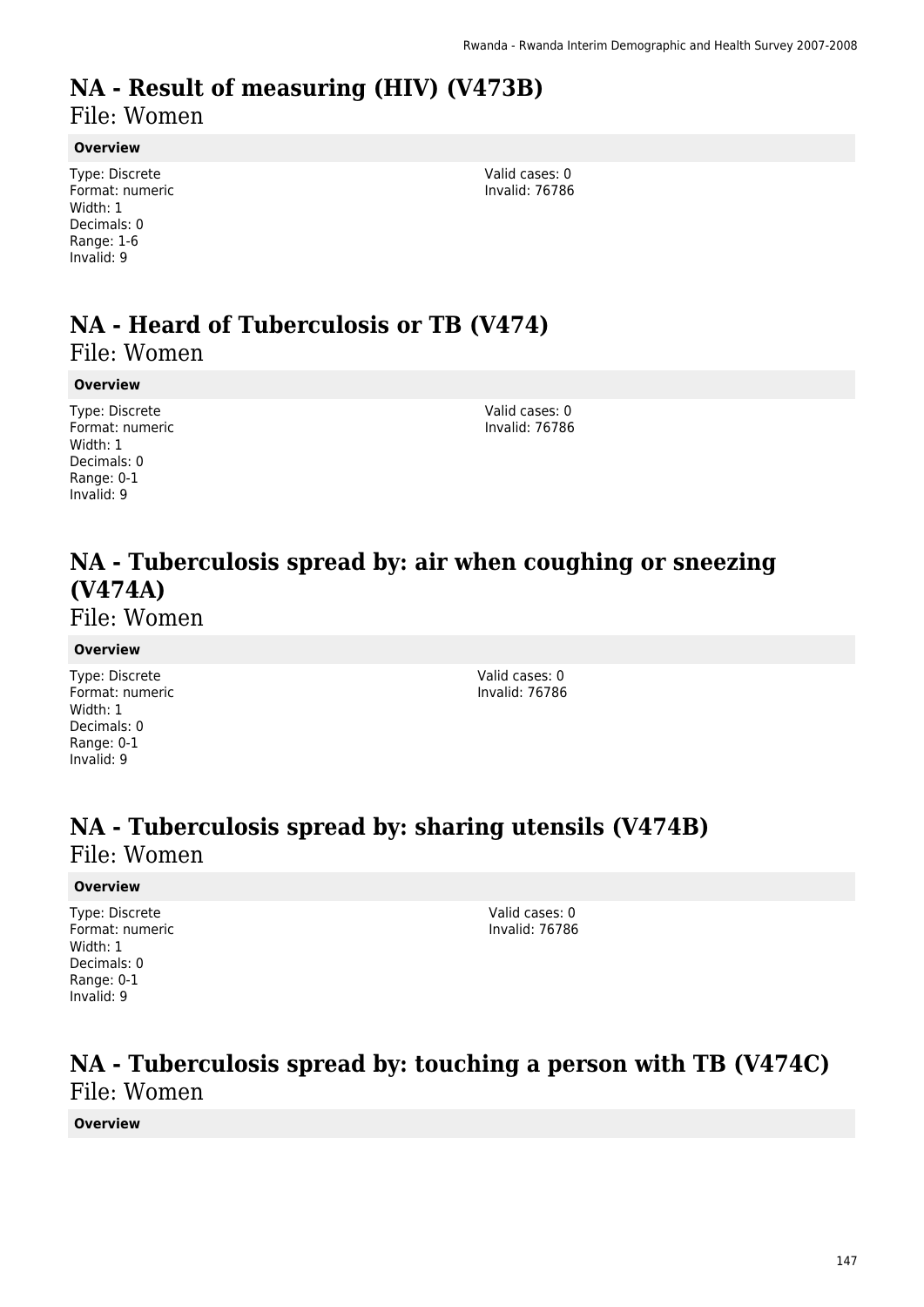# **NA - Result of measuring (HIV) (V473B)**

File: Women

### **Overview**

Type: Discrete Format: numeric Width: 1 Decimals: 0 Range: 1-6 Invalid: 9

## **NA - Heard of Tuberculosis or TB (V474)**  File: Women

### **Overview**

Type: Discrete Format: numeric Width: 1 Decimals: 0 Range: 0-1 Invalid: 9

Valid cases: 0 Invalid: 76786

### **NA - Tuberculosis spread by: air when coughing or sneezing (V474A)**  File: Women

### **Overview**

Type: Discrete Format: numeric Width: 1 Decimals: 0 Range: 0-1 Invalid: 9

Valid cases: 0 Invalid: 76786

## **NA - Tuberculosis spread by: sharing utensils (V474B)**  File: Women

### **Overview**

Type: Discrete Format: numeric Width: 1 Decimals: 0 Range: 0-1 Invalid: 9

Valid cases: 0 Invalid: 76786

### **NA - Tuberculosis spread by: touching a person with TB (V474C)**  File: Women

### **Overview**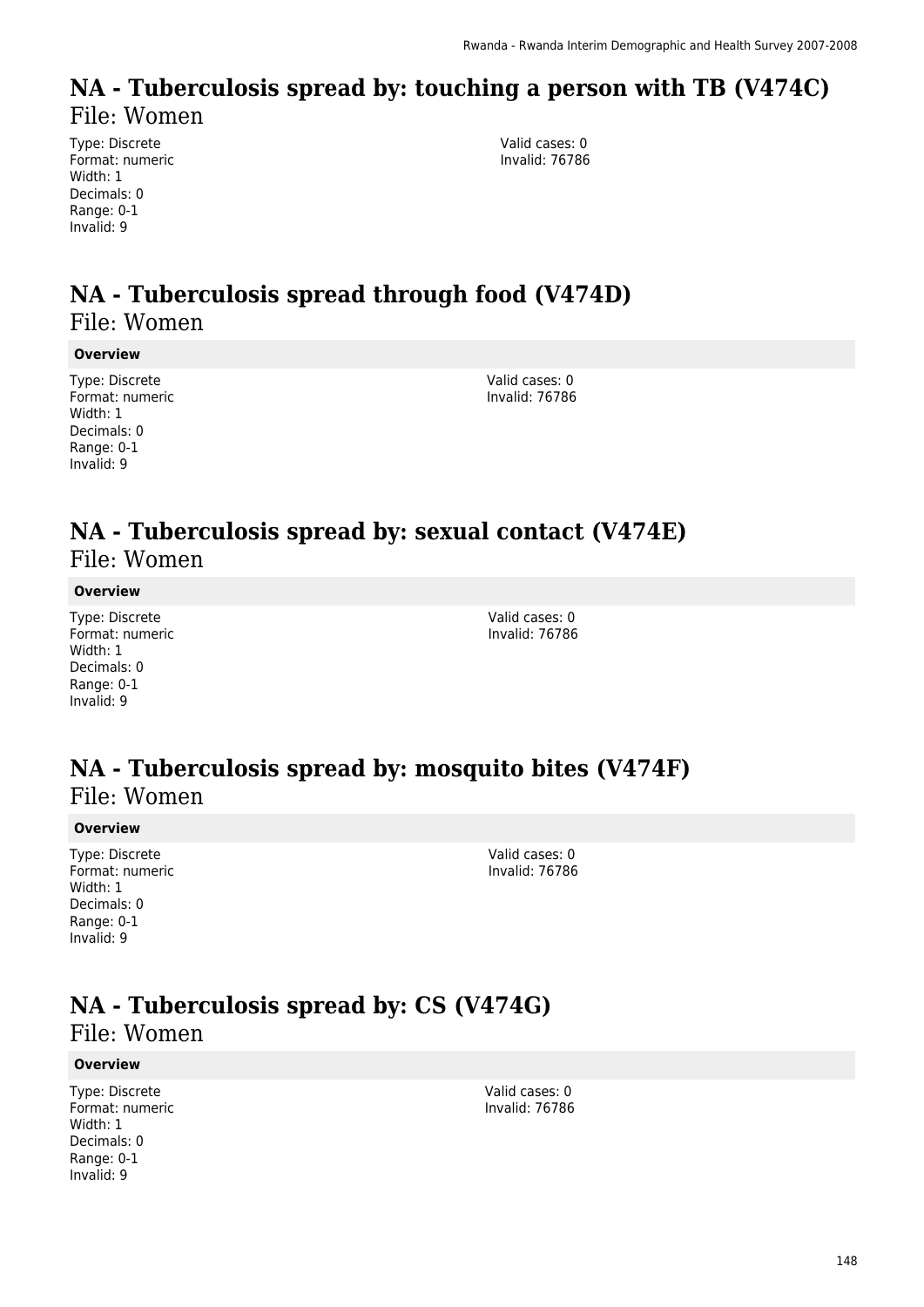### **NA - Tuberculosis spread by: touching a person with TB (V474C)**  File: Women

Type: Discrete Format: numeric Width: 1 Decimals: 0 Range: 0-1 Invalid: 9

Valid cases: 0 Invalid: 76786

## **NA - Tuberculosis spread through food (V474D)**  File: Women

### **Overview**

Type: Discrete Format: numeric Width: 1 Decimals: 0 Range: 0-1 Invalid: 9

Valid cases: 0 Invalid: 76786

### **NA - Tuberculosis spread by: sexual contact (V474E)**  File: Women

#### **Overview**

Type: Discrete Format: numeric Width: 1 Decimals: 0 Range: 0-1 Invalid: 9

Valid cases: 0 Invalid: 76786

### **NA - Tuberculosis spread by: mosquito bites (V474F)**  File: Women

#### **Overview**

Type: Discrete Format: numeric Width: 1 Decimals: 0 Range: 0-1 Invalid: 9

### **NA - Tuberculosis spread by: CS (V474G)**  File: Women

#### **Overview**

Type: Discrete Format: numeric Width: 1 Decimals: 0 Range: 0-1 Invalid: 9

Valid cases: 0 Invalid: 76786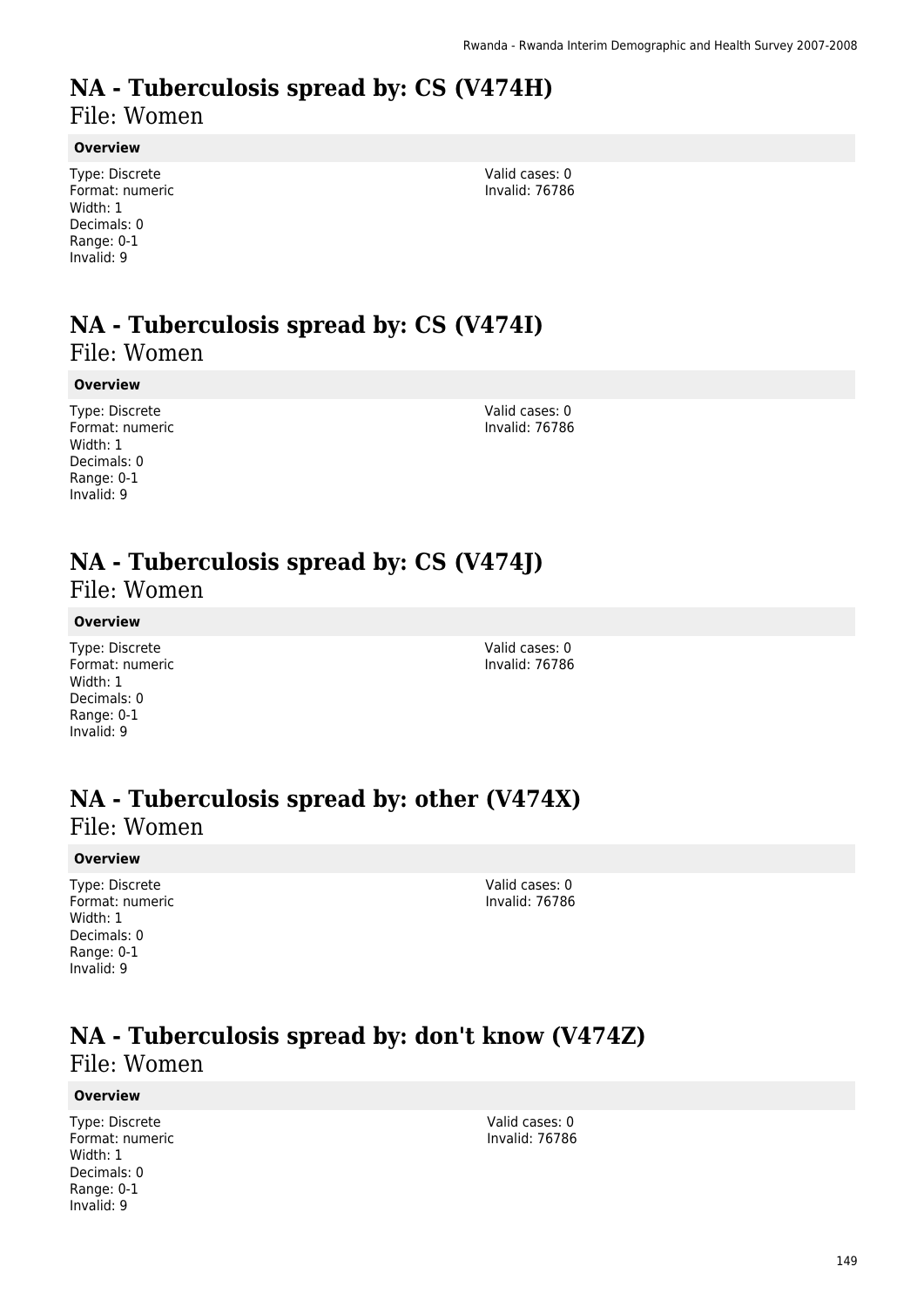# **NA - Tuberculosis spread by: CS (V474H)**

File: Women

### **Overview**

Type: Discrete Format: numeric Width: 1 Decimals: 0 Range: 0-1 Invalid: 9

### **NA - Tuberculosis spread by: CS (V474I)**  File: Women

#### **Overview**

Type: Discrete Format: numeric Width: 1 Decimals: 0 Range: 0-1 Invalid: 9

Valid cases: 0 Invalid: 76786

Valid cases: 0 Invalid: 76786

### **NA - Tuberculosis spread by: CS (V474J)**  File: Women

#### **Overview**

Type: Discrete Format: numeric Width: 1 Decimals: 0 Range: 0-1 Invalid: 9

Valid cases: 0 Invalid: 76786

### **NA - Tuberculosis spread by: other (V474X)**  File: Women

### **Overview**

Type: Discrete Format: numeric Width: 1 Decimals: 0 Range: 0-1 Invalid: 9

Valid cases: 0 Invalid: 76786

### **NA - Tuberculosis spread by: don't know (V474Z)**  File: Women

### **Overview**

Type: Discrete Format: numeric Width: 1 Decimals: 0 Range: 0-1 Invalid: 9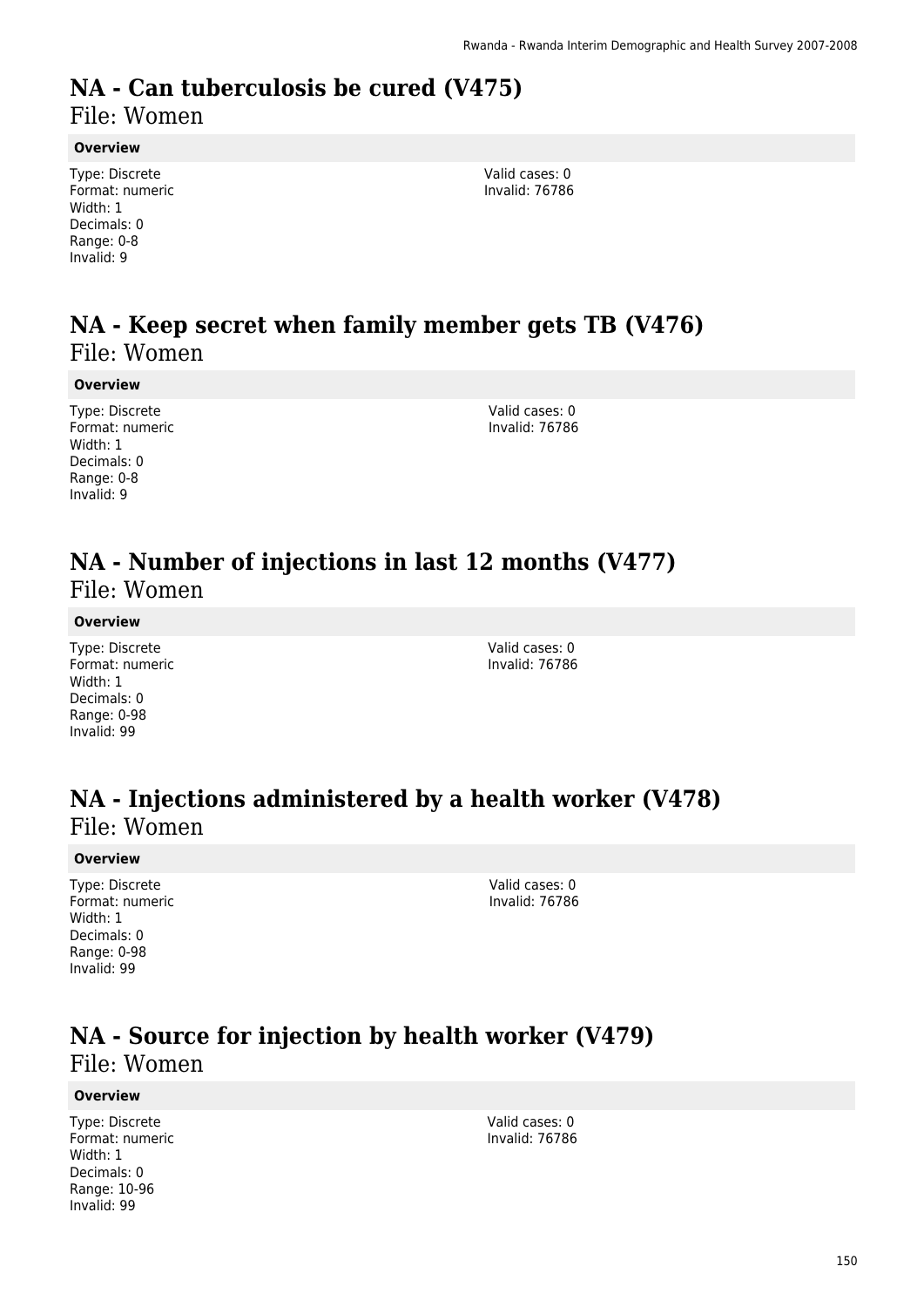# **NA - Can tuberculosis be cured (V475)**

File: Women

### **Overview**

Type: Discrete Format: numeric Width: 1 Decimals: 0 Range: 0-8 Invalid: 9

Valid cases: 0 Invalid: 76786

## **NA - Keep secret when family member gets TB (V476)**  File: Women

#### **Overview**

Type: Discrete Format: numeric Width: 1 Decimals: 0 Range: 0-8 Invalid: 9

Valid cases: 0 Invalid: 76786

### **NA - Number of injections in last 12 months (V477)**  File: Women

#### **Overview**

Type: Discrete Format: numeric Width: 1 Decimals: 0 Range: 0-98 Invalid: 99

Valid cases: 0 Invalid: 76786

## **NA - Injections administered by a health worker (V478)**  File: Women

### **Overview**

Type: Discrete Format: numeric Width: 1 Decimals: 0 Range: 0-98 Invalid: 99

Valid cases: 0 Invalid: 76786

### **NA - Source for injection by health worker (V479)**  File: Women

### **Overview**

Type: Discrete Format: numeric Width: 1 Decimals: 0 Range: 10-96 Invalid: 99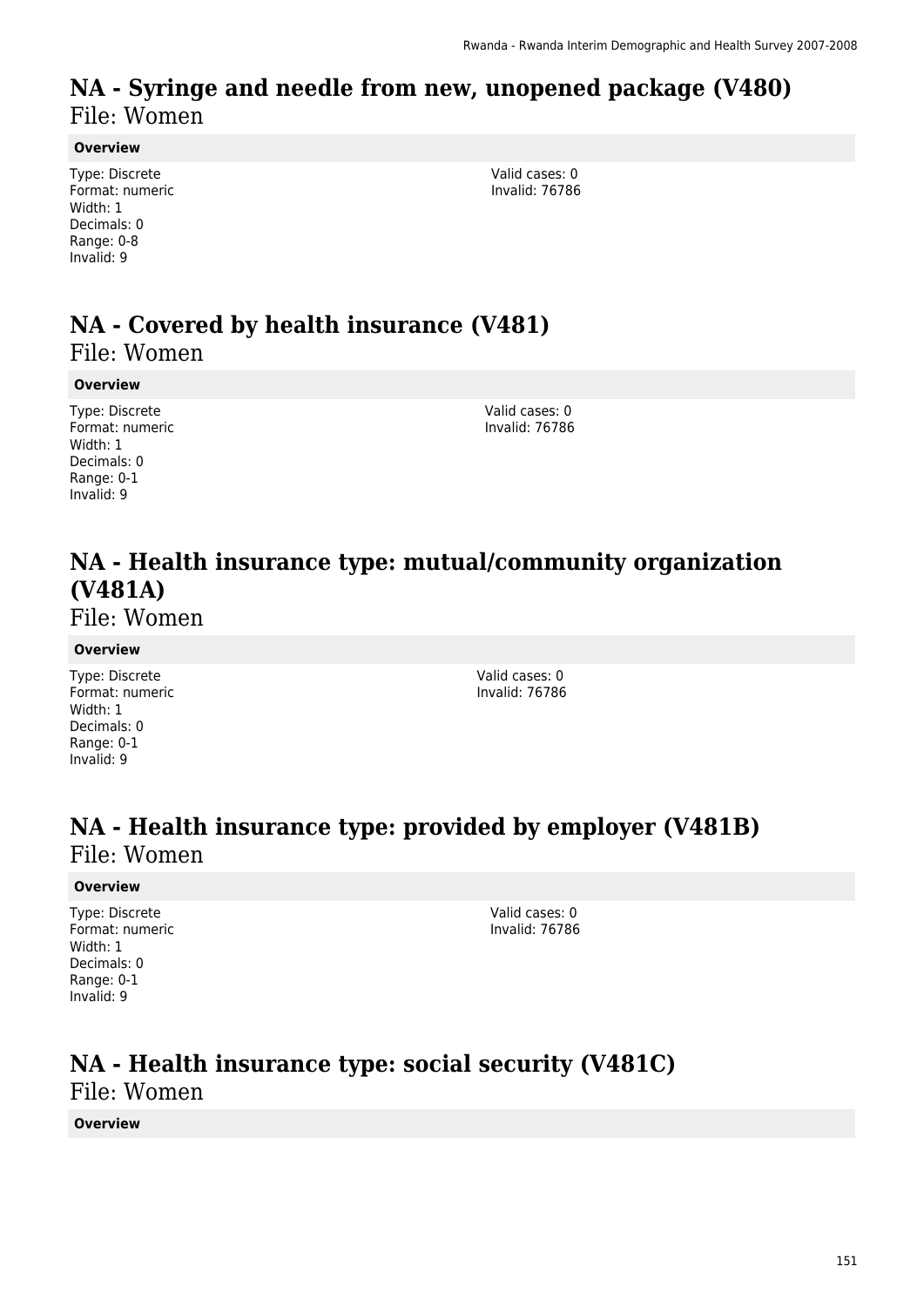### **NA - Syringe and needle from new, unopened package (V480)**  File: Women

#### **Overview**

Type: Discrete Format: numeric Width: 1 Decimals: 0 Range: 0-8 Invalid: 9

### **NA - Covered by health insurance (V481)**  File: Women

#### **Overview**

Type: Discrete Format: numeric Width: 1 Decimals: 0 Range: 0-1 Invalid: 9

Valid cases: 0 Invalid: 76786

## **NA - Health insurance type: mutual/community organization (V481A)**

### File: Women

#### **Overview**

Type: Discrete Format: numeric Width: 1 Decimals: 0 Range: 0-1 Invalid: 9

Valid cases: 0 Invalid: 76786

### **NA - Health insurance type: provided by employer (V481B)**  File: Women

### **Overview**

Type: Discrete Format: numeric Width: 1 Decimals: 0 Range: 0-1 Invalid: 9

Valid cases: 0 Invalid: 76786

### **NA - Health insurance type: social security (V481C)**  File: Women

### **Overview**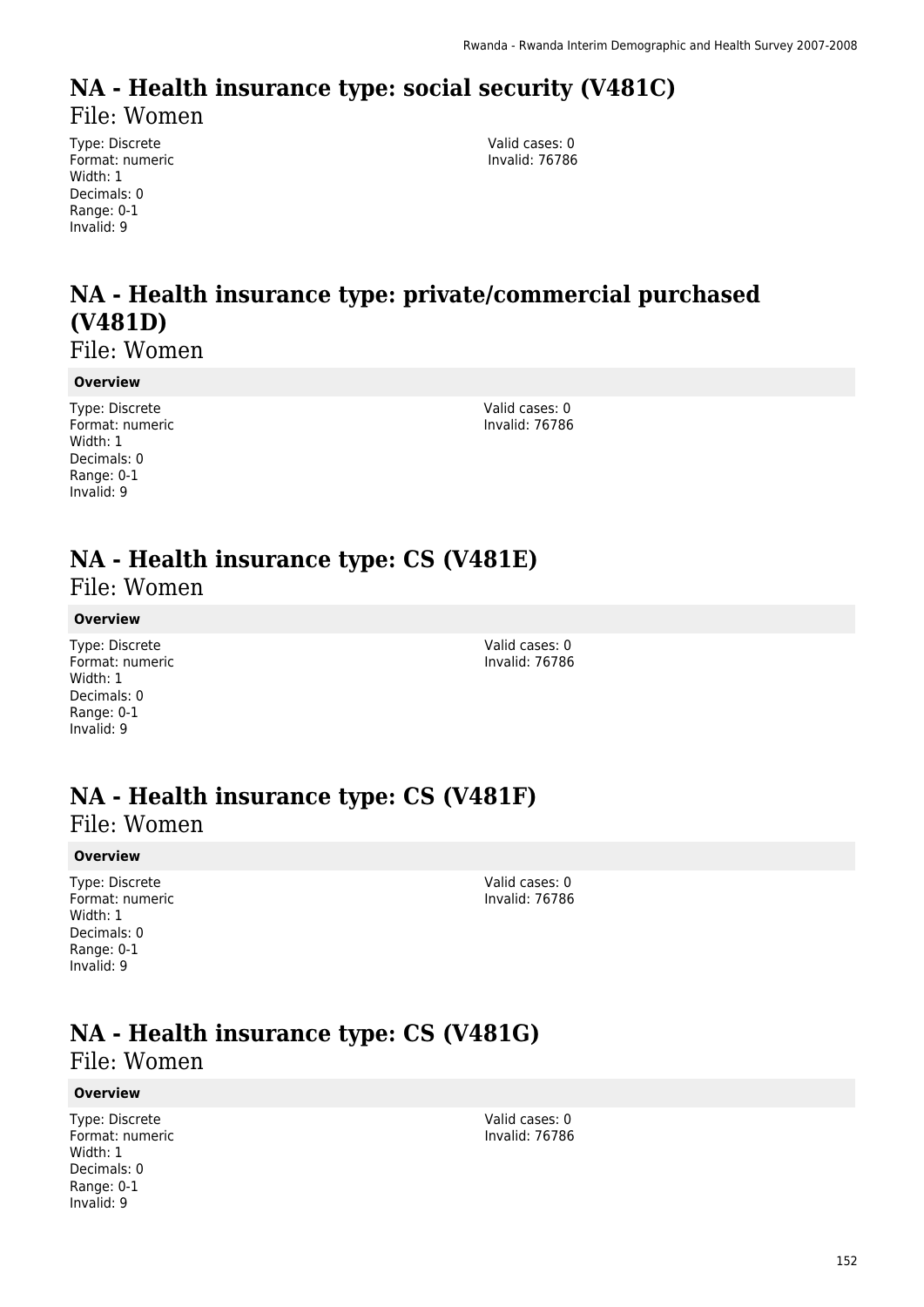### **NA - Health insurance type: social security (V481C)**  File: Women

Type: Discrete Format: numeric Width: 1 Decimals: 0 Range: 0-1 Invalid: 9

Valid cases: 0 Invalid: 76786

## **NA - Health insurance type: private/commercial purchased (V481D)**

File: Women

### **Overview**

Type: Discrete Format: numeric Width: 1 Decimals: 0 Range: 0-1 Invalid: 9

Valid cases: 0 Invalid: 76786

# **NA - Health insurance type: CS (V481E)**

### File: Women

### **Overview**

Type: Discrete Format: numeric Width: 1 Decimals: 0 Range: 0-1 Invalid: 9

Valid cases: 0 Invalid: 76786

### **NA - Health insurance type: CS (V481F)**  File: Women

### **Overview**

Type: Discrete Format: numeric Width: 1 Decimals: 0 Range: 0-1 Invalid: 9

Valid cases: 0 Invalid: 76786

### **NA - Health insurance type: CS (V481G)**  File: Women

### **Overview**

Type: Discrete Format: numeric Width: 1 Decimals: 0 Range: 0-1 Invalid: 9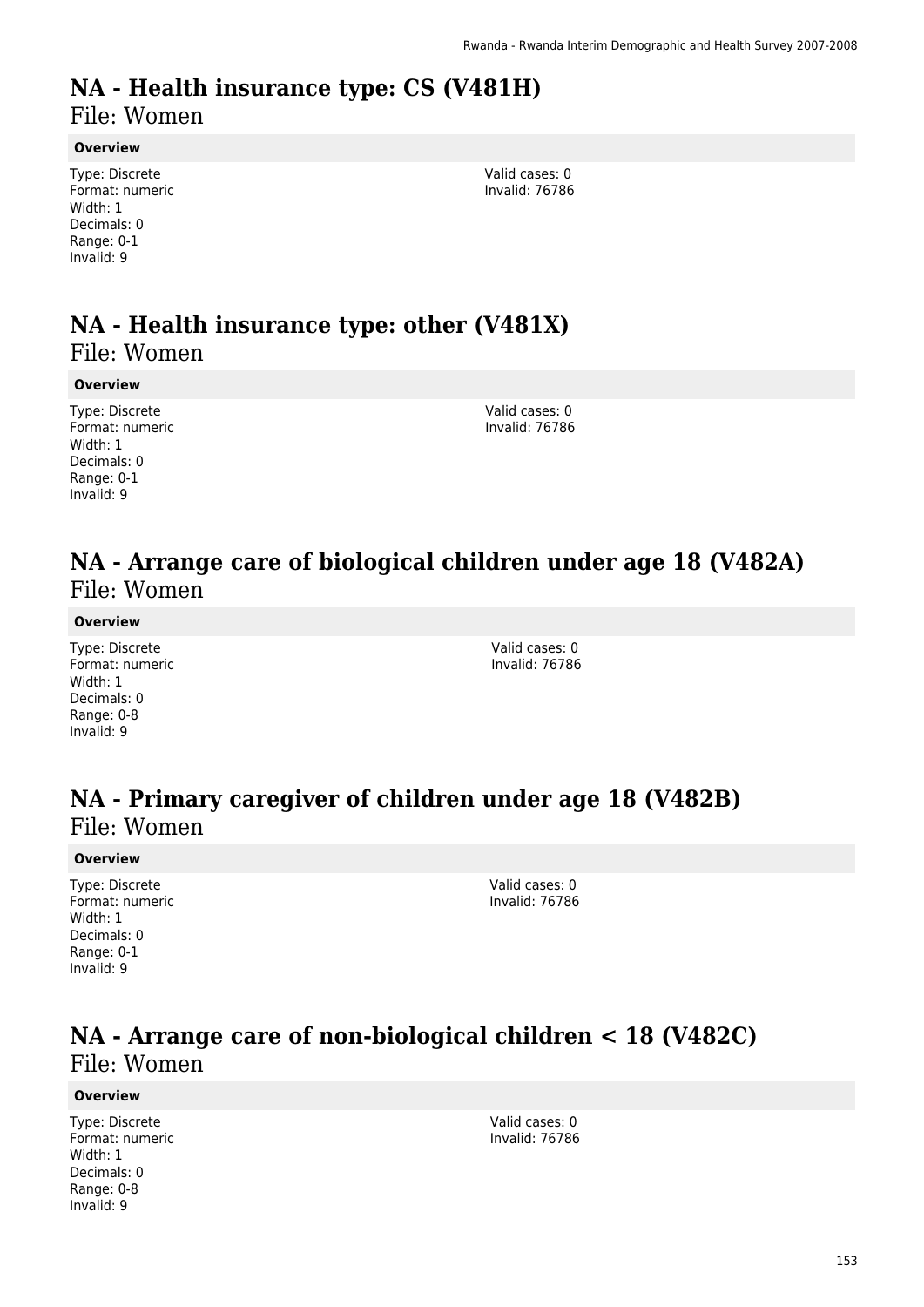## **NA - Health insurance type: CS (V481H)**

File: Women

### **Overview**

Type: Discrete Format: numeric Width: 1 Decimals: 0 Range: 0-1 Invalid: 9

### **NA - Health insurance type: other (V481X)**  File: Women

#### **Overview**

Type: Discrete Format: numeric Width: 1 Decimals: 0 Range: 0-1 Invalid: 9

Valid cases: 0 Invalid: 76786

Valid cases: 0 Invalid: 76786

### **NA - Arrange care of biological children under age 18 (V482A)**  File: Women

#### **Overview**

Type: Discrete Format: numeric Width: 1 Decimals: 0 Range: 0-8 Invalid: 9

Valid cases: 0 Invalid: 76786

### **NA - Primary caregiver of children under age 18 (V482B)**  File: Women

### **Overview**

Type: Discrete Format: numeric Width: 1 Decimals: 0 Range: 0-1 Invalid: 9

Valid cases: 0 Invalid: 76786

### **NA - Arrange care of non-biological children < 18 (V482C)**  File: Women

### **Overview**

Type: Discrete Format: numeric Width: 1 Decimals: 0 Range: 0-8 Invalid: 9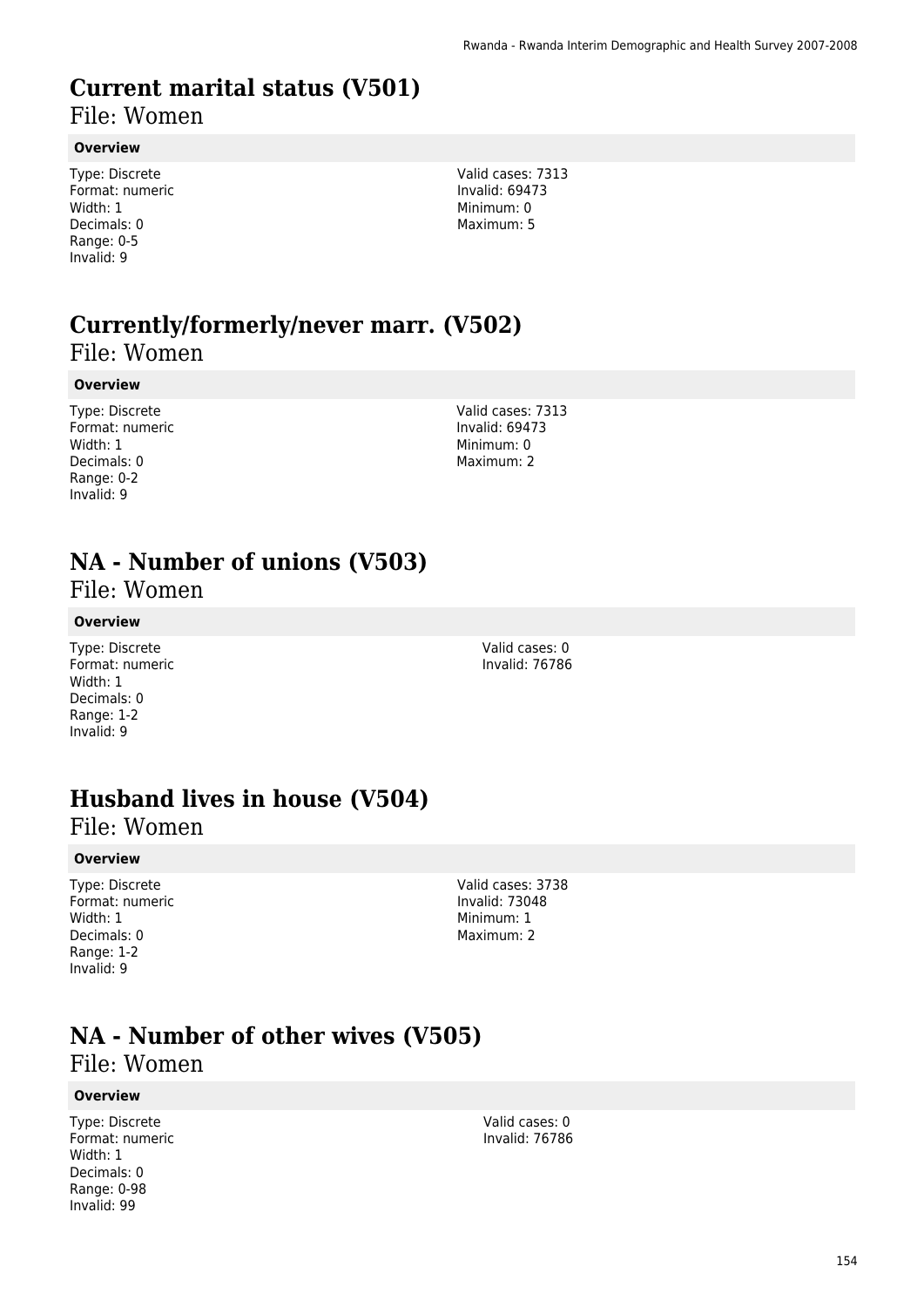### **Current marital status (V501)**  File: Women

### **Overview**

Type: Discrete Format: numeric Width: 1 Decimals: 0 Range: 0-5 Invalid: 9

Valid cases: 7313 Invalid: 69473 Minimum: 0 Maximum: 5

## **Currently/formerly/never marr. (V502)**  File: Women

#### **Overview**

Type: Discrete Format: numeric Width: 1 Decimals: 0 Range: 0-2 Invalid: 9

Valid cases: 7313 Invalid: 69473 Minimum: 0 Maximum: 2

### **NA - Number of unions (V503)**  File: Women

### **Overview**

Type: Discrete Format: numeric Width: 1 Decimals: 0 Range: 1-2 Invalid: 9

## **Husband lives in house (V504)**

### File: Women

### **Overview**

Type: Discrete Format: numeric Width: 1 Decimals: 0 Range: 1-2 Invalid: 9

Valid cases: 3738 Invalid: 73048 Minimum: 1 Maximum: 2

### **NA - Number of other wives (V505)**  File: Women

### **Overview**

Type: Discrete Format: numeric Width: 1 Decimals: 0 Range: 0-98 Invalid: 99

Valid cases: 0 Invalid: 76786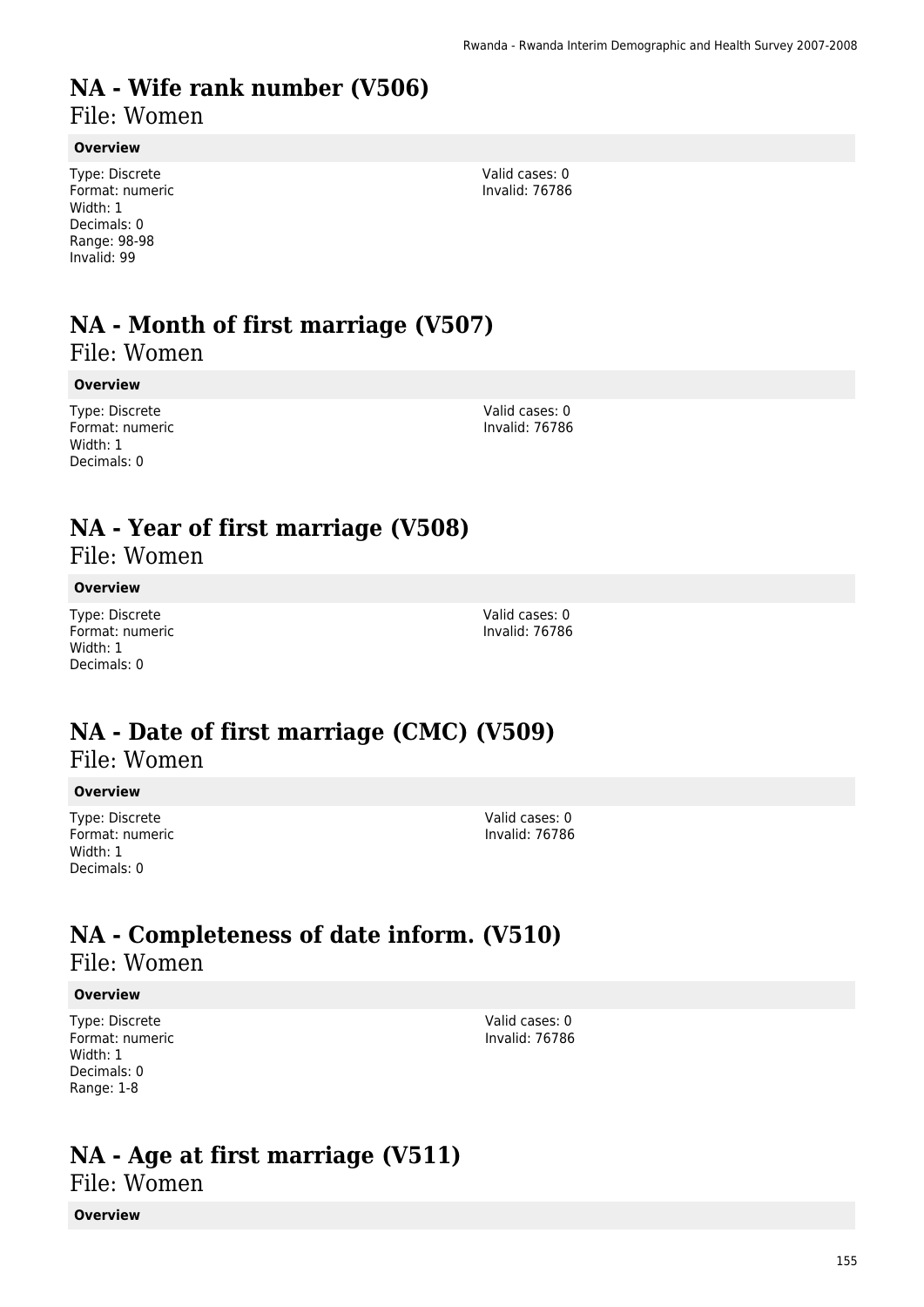# **NA - Wife rank number (V506)**

File: Women

### **Overview**

Type: Discrete Format: numeric Width: 1 Decimals: 0 Range: 98-98 Invalid: 99

### **NA - Month of first marriage (V507)**  File: Women

#### **Overview**

Type: Discrete Format: numeric Width: 1 Decimals: 0

Valid cases: 0 Invalid: 76786

### **NA - Year of first marriage (V508)**  File: Women

#### **Overview**

Type: Discrete Format: numeric Width: 1 Decimals: 0

Valid cases: 0 Invalid: 76786

### **NA - Date of first marriage (CMC) (V509)**  File: Women

#### **Overview**

Type: Discrete Format: numeric Width: 1 Decimals: 0

Valid cases: 0 Invalid: 76786

### **NA - Completeness of date inform. (V510)**  File: Women

### **Overview**

Type: Discrete Format: numeric Width: 1 Decimals: 0 Range: 1-8

Valid cases: 0 Invalid: 76786

### **NA - Age at first marriage (V511)**  File: Women

**Overview**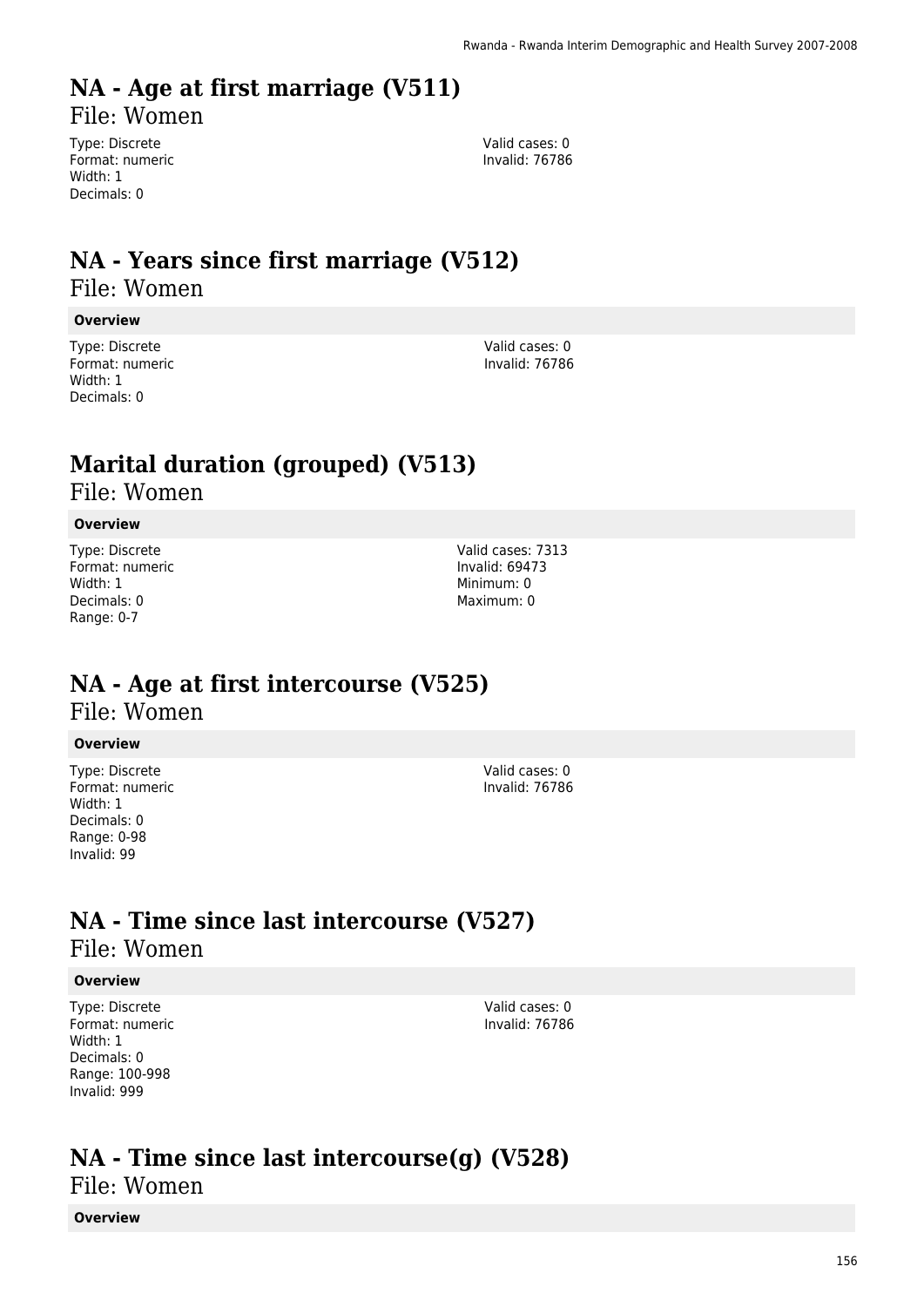### **NA - Age at first marriage (V511)**  File: Women

Type: Discrete Format: numeric Width: 1 Decimals: 0

### **NA - Years since first marriage (V512)**  File: Women

#### **Overview**

Type: Discrete Format: numeric Width: 1 Decimals: 0

Valid cases: 0 Invalid: 76786

Valid cases: 0 Invalid: 76786

### **Marital duration (grouped) (V513)**  File: Women

#### **Overview**

Type: Discrete Format: numeric Width: 1 Decimals: 0 Range: 0-7

Valid cases: 7313 Invalid: 69473 Minimum: 0 Maximum: 0

### **NA - Age at first intercourse (V525)**  File: Women

#### **Overview**

Type: Discrete Format: numeric Width: 1 Decimals: 0 Range: 0-98 Invalid: 99

### **NA - Time since last intercourse (V527)**  File: Women

#### **Overview**

Type: Discrete Format: numeric Width: 1 Decimals: 0 Range: 100-998 Invalid: 999

Valid cases: 0 Invalid: 76786

### **NA - Time since last intercourse(g) (V528)**  File: Women

**Overview**

Valid cases: 0 Invalid: 76786

156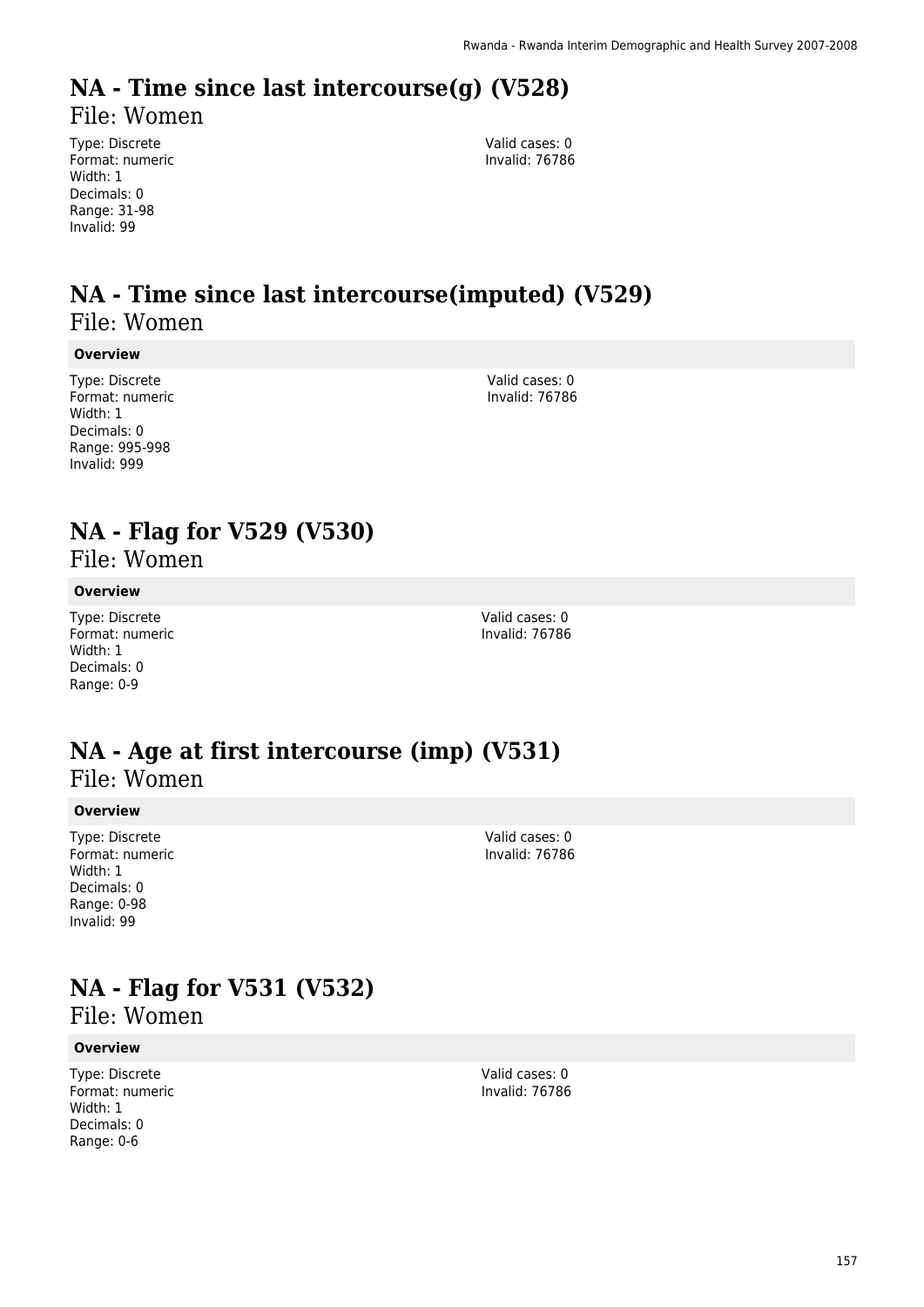### **NA - Time since last intercourse(g) (V528)**  File: Women

Type: Discrete Format: numeric Width: 1 Decimals: 0 Range: 31-98 Invalid: 99

## **NA - Time since last intercourse(imputed) (V529)**  File: Women

#### **Overview**

Type: Discrete Format: numeric Width: 1 Decimals: 0 Range: 995-998 Invalid: 999

Valid cases: 0 Invalid: 76786

Valid cases: 0 Invalid: 76786

### **NA - Flag for V529 (V530)**  File: Women

#### **Overview**

Type: Discrete Format: numeric Width: 1 Decimals: 0 Range: 0-9

### **NA - Age at first intercourse (imp) (V531)**  File: Women

#### **Overview**

Type: Discrete Format: numeric Width: 1 Decimals: 0 Range: 0-98 Invalid: 99

### **NA - Flag for V531 (V532)**  File: Women

#### **Overview**

Type: Discrete Format: numeric Width: 1 Decimals: 0 Range: 0-6

Valid cases: 0 Invalid: 76786

Valid cases: 0 Invalid: 76786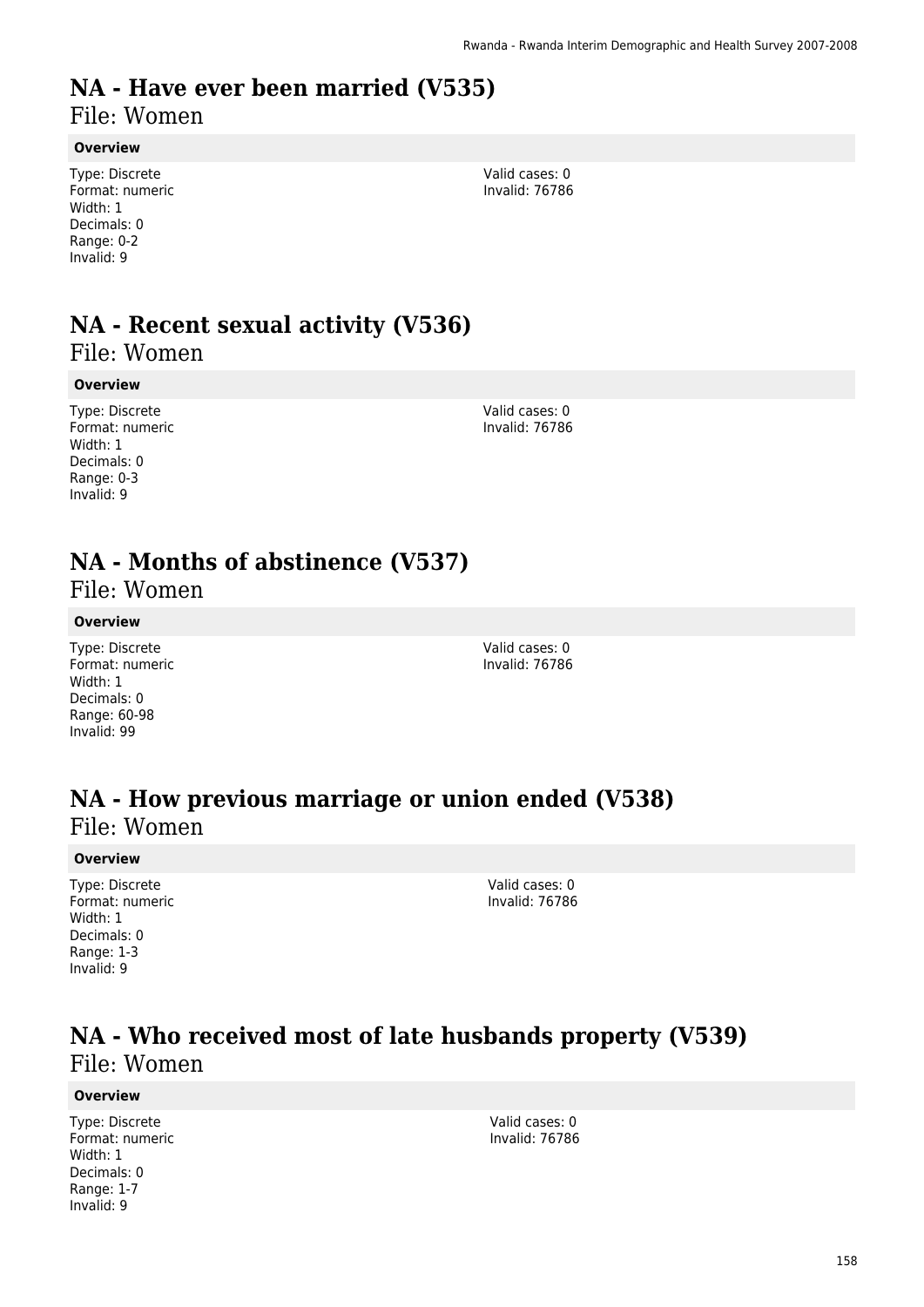# **NA - Have ever been married (V535)**

File: Women

### **Overview**

Type: Discrete Format: numeric Width: 1 Decimals: 0 Range: 0-2 Invalid: 9

### **NA - Recent sexual activity (V536)**  File: Women

#### **Overview**

Type: Discrete Format: numeric Width: 1 Decimals: 0 Range: 0-3 Invalid: 9

### **NA - Months of abstinence (V537)**  File: Women

#### **Overview**

Type: Discrete Format: numeric Width: 1 Decimals: 0 Range: 60-98 Invalid: 99

Valid cases: 0 Invalid: 76786

### **NA - How previous marriage or union ended (V538)**  File: Women

### **Overview**

Type: Discrete Format: numeric Width: 1 Decimals: 0 Range: 1-3 Invalid: 9

Valid cases: 0 Invalid: 76786

### **NA - Who received most of late husbands property (V539)**  File: Women

### **Overview**

Type: Discrete Format: numeric Width: 1 Decimals: 0 Range: 1-7 Invalid: 9

Valid cases: 0 Invalid: 76786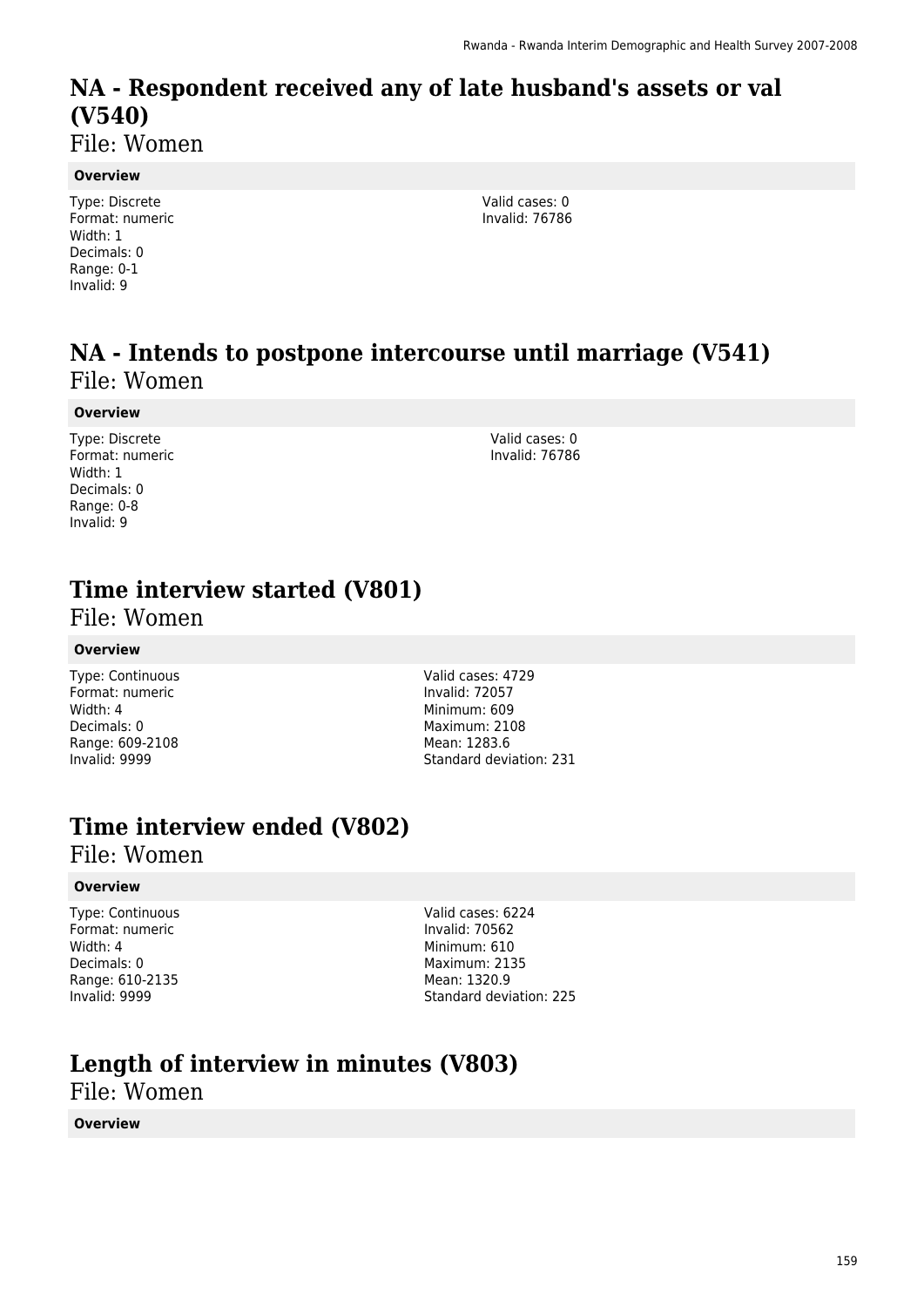## **NA - Respondent received any of late husband's assets or val (V540)**

File: Women

### **Overview**

Type: Discrete Format: numeric Width: 1 Decimals: 0 Range: 0-1 Invalid: 9

Valid cases: 0 Invalid: 76786

### **NA - Intends to postpone intercourse until marriage (V541)**  File: Women

### **Overview**

Type: Discrete Format: numeric Width: 1 Decimals: 0 Range: 0-8 Invalid: 9

Valid cases: 0 Invalid: 76786

## **Time interview started (V801)**  File: Women

### **Overview**

Type: Continuous Format: numeric Width: 4 Decimals: 0 Range: 609-2108 Invalid: 9999

Valid cases: 4729 Invalid: 72057 Minimum: 609 Maximum: 2108 Mean: 1283.6 Standard deviation: 231

## **Time interview ended (V802)**  File: Women

### **Overview**

Type: Continuous Format: numeric Width: 4 Decimals: 0 Range: 610-2135 Invalid: 9999

Valid cases: 6224 Invalid: 70562 Minimum: 610 Maximum: 2135 Mean: 1320.9 Standard deviation: 225

### **Length of interview in minutes (V803)**  File: Women

### **Overview**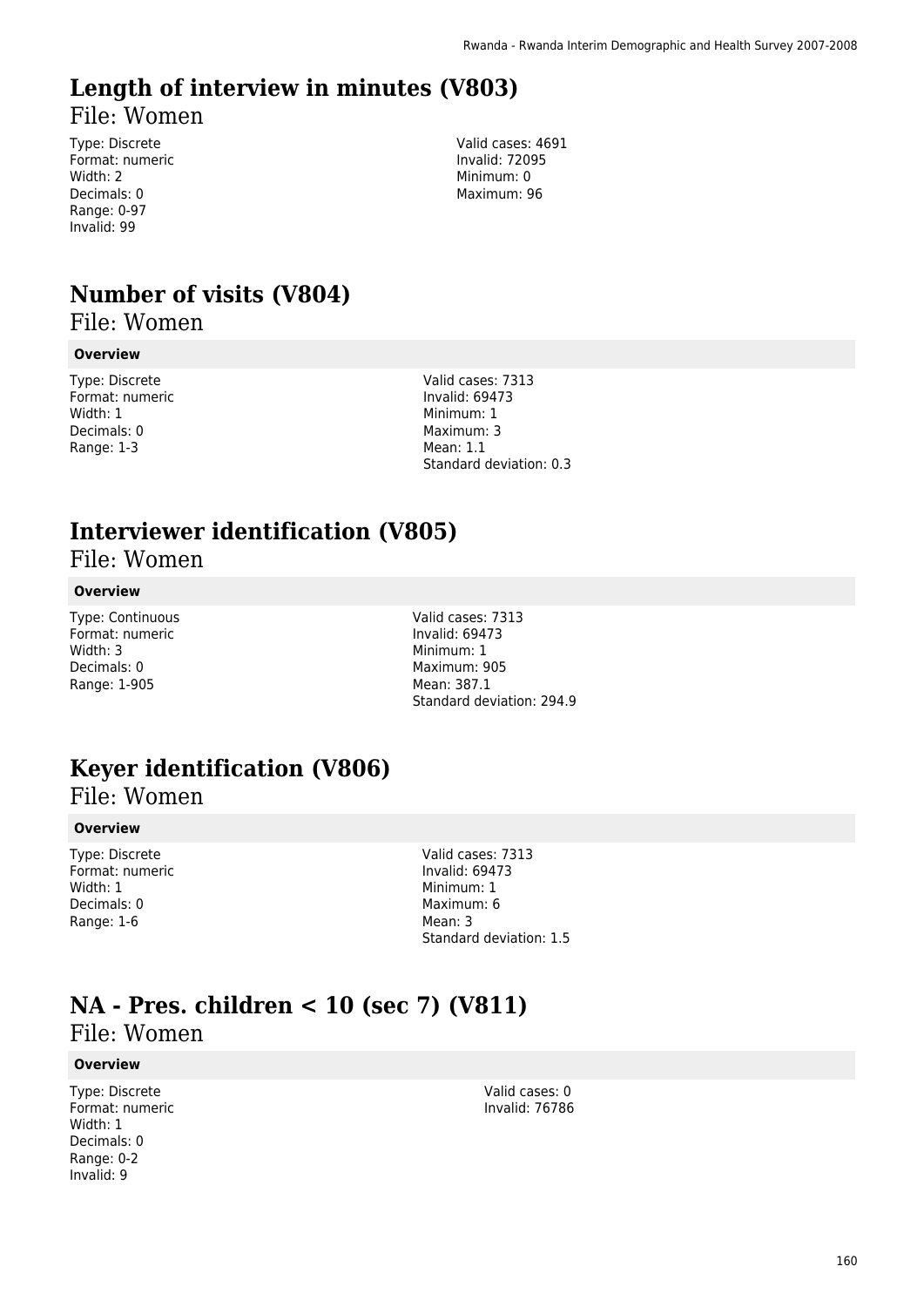### **Length of interview in minutes (V803)**  File: Women

Type: Discrete Format: numeric Width: 2 Decimals: 0 Range: 0-97 Invalid: 99

Valid cases: 4691 Invalid: 72095 Minimum: 0 Maximum: 96

## **Number of visits (V804)**

File: Women

### **Overview**

Type: Discrete Format: numeric Width: 1 Decimals: 0 Range: 1-3

Valid cases: 7313 Invalid: 69473 Minimum: 1 Maximum: 3 Mean: 1.1 Standard deviation: 0.3

### **Interviewer identification (V805)**  File: Women

### **Overview**

Type: Continuous Format: numeric Width: 3 Decimals: 0 Range: 1-905

Valid cases: 7313 Invalid: 69473 Minimum: 1 Maximum: 905 Mean: 387.1 Standard deviation: 294.9

### **Keyer identification (V806)**  File: Women

### **Overview**

Type: Discrete Format: numeric Width: 1 Decimals: 0 Range: 1-6

Valid cases: 7313 Invalid: 69473 Minimum: 1 Maximum: 6 Mean: 3 Standard deviation: 1.5

### **NA - Pres. children < 10 (sec 7) (V811)**  File: Women

### **Overview**

Type: Discrete Format: numeric Width: 1 Decimals: 0 Range: 0-2 Invalid: 9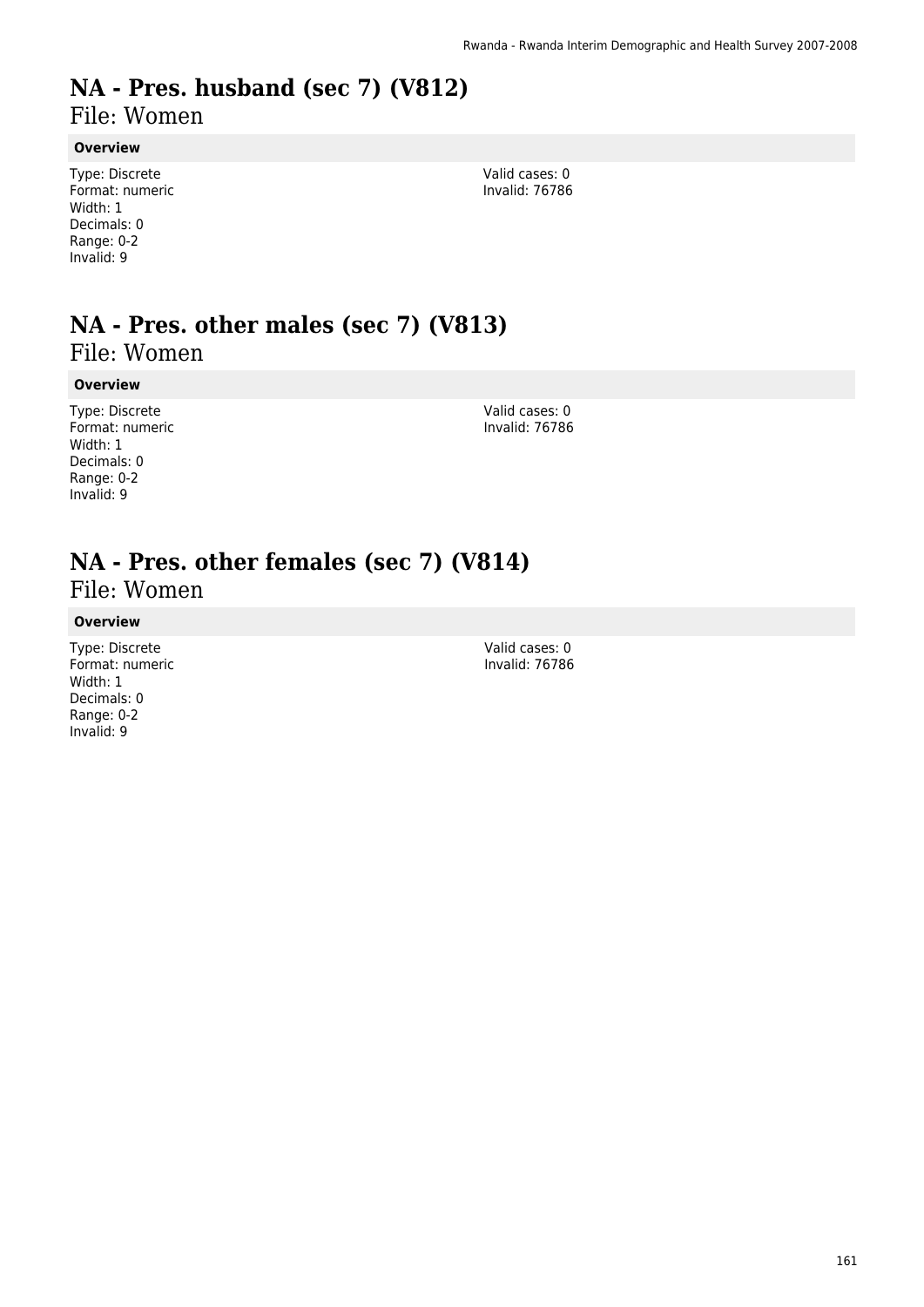# **NA - Pres. husband (sec 7) (V812)**

File: Women

### **Overview**

Type: Discrete Format: numeric Width: 1 Decimals: 0 Range: 0-2 Invalid: 9

### **NA - Pres. other males (sec 7) (V813)**  File: Women

#### **Overview**

Type: Discrete Format: numeric Width: 1 Decimals: 0 Range: 0-2 Invalid: 9

Valid cases: 0 Invalid: 76786

Valid cases: 0 Invalid: 76786

### **NA - Pres. other females (sec 7) (V814)**  File: Women

### **Overview**

Type: Discrete Format: numeric Width: 1 Decimals: 0 Range: 0-2 Invalid: 9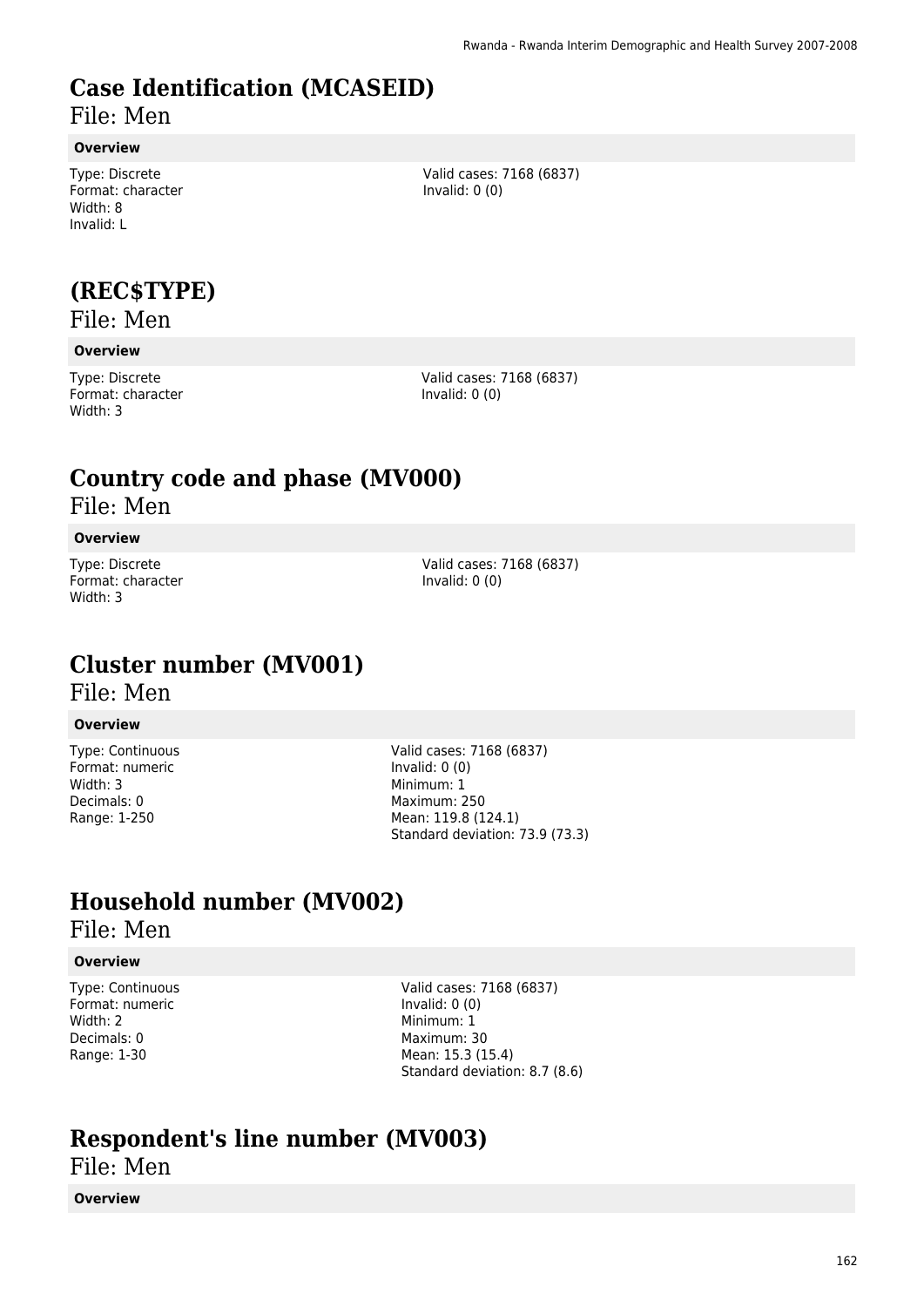## **Case Identification (MCASEID)**

File: Men

### **Overview**

Type: Discrete Format: character Width: 8 Invalid: L

Valid cases: 7168 (6837) Invalid: 0 (0)

## **(REC\$TYPE)**

File: Men

### **Overview**

Type: Discrete Format: character Width: 3

Valid cases: 7168 (6837) Invalid: 0 (0)

## **Country code and phase (MV000)**

File: Men

### **Overview**

Type: Discrete Format: character Width: 3

Valid cases: 7168 (6837) Invalid: 0 (0)

### **Cluster number (MV001)**

File: Men

### **Overview**

Type: Continuous Format: numeric Width: 3 Decimals: 0 Range: 1-250

Valid cases: 7168 (6837) Invalid: 0 (0) Minimum: 1 Maximum: 250 Mean: 119.8 (124.1) Standard deviation: 73.9 (73.3)

## **Household number (MV002)**

File: Men

### **Overview**

Type: Continuous Format: numeric Width: 2 Decimals: 0 Range: 1-30

Valid cases: 7168 (6837) Invalid: 0 (0) Minimum: 1 Maximum: 30 Mean: 15.3 (15.4) Standard deviation: 8.7 (8.6)

## **Respondent's line number (MV003)**

File: Men

**Overview**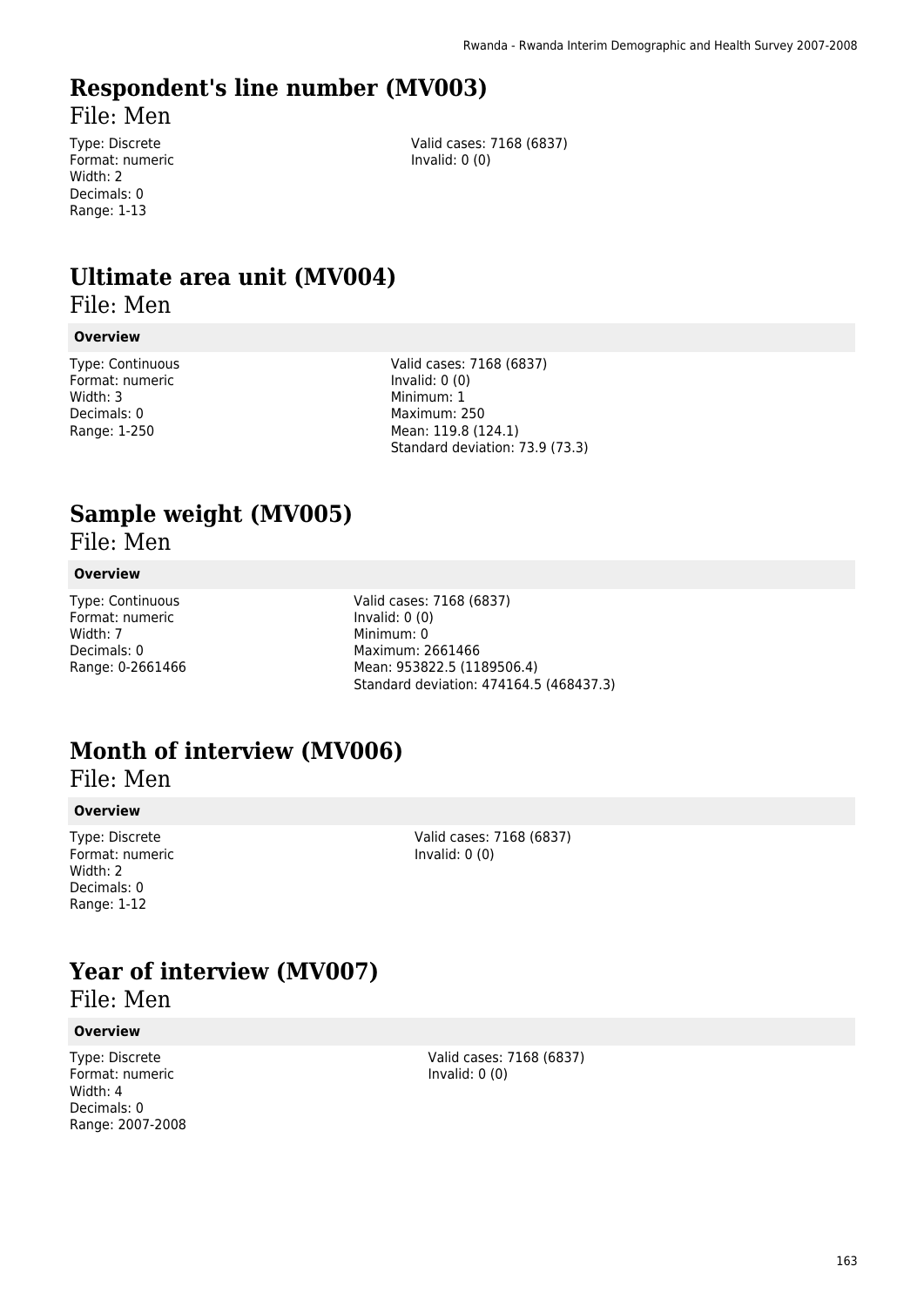## **Respondent's line number (MV003)**

File: Men

Type: Discrete Format: numeric Width: 2 Decimals: 0 Range: 1-13

Valid cases: 7168 (6837) Invalid: 0 (0)

# **Ultimate area unit (MV004)**

### File: Men

### **Overview**

Type: Continuous Format: numeric Width: 3 Decimals: 0 Range: 1-250

Valid cases: 7168 (6837) Invalid: 0 (0) Minimum: 1 Maximum: 250 Mean: 119.8 (124.1) Standard deviation: 73.9 (73.3)

## **Sample weight (MV005)**

File: Men

### **Overview**

Type: Continuous Format: numeric Width: 7 Decimals: 0 Range: 0-2661466 Valid cases: 7168 (6837) Invalid: 0 (0) Minimum: 0 Maximum: 2661466 Mean: 953822.5 (1189506.4) Standard deviation: 474164.5 (468437.3)

## **Month of interview (MV006)**

File: Men

### **Overview**

Type: Discrete Format: numeric Width: 2 Decimals: 0 Range: 1-12

Valid cases: 7168 (6837) Invalid: 0 (0)

## **Year of interview (MV007)**

File: Men

### **Overview**

Type: Discrete Format: numeric Width: 4 Decimals: 0 Range: 2007-2008

Valid cases: 7168 (6837) Invalid: 0 (0)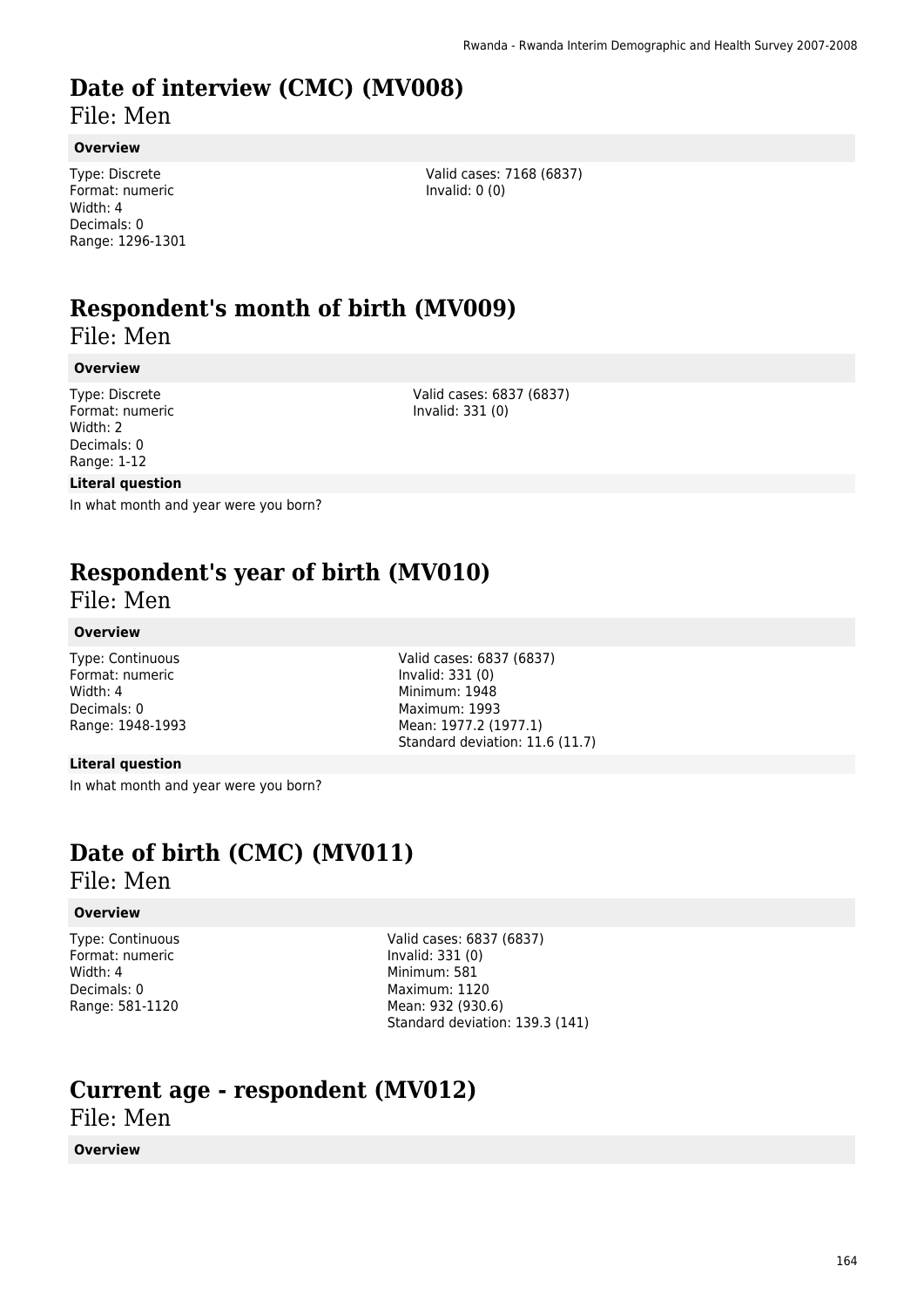# **Date of interview (CMC) (MV008)**

File: Men

### **Overview**

Type: Discrete Format: numeric Width: 4 Decimals: 0 Range: 1296-1301

Valid cases: 7168 (6837) Invalid: 0 (0)

## **Respondent's month of birth (MV009)**

File: Men

### **Overview**

Type: Discrete Format: numeric Width: 2 Decimals: 0 Range: 1-12

Valid cases: 6837 (6837) Invalid: 331 (0)

### **Literal question**

In what month and year were you born?

### **Respondent's year of birth (MV010)**  File: Men

## **Overview**

Type: Continuous Format: numeric

Width: 4 Decimals: 0 Range: 1948-1993 Valid cases: 6837 (6837) Invalid: 331 (0) Minimum: 1948 Maximum: 1993 Mean: 1977.2 (1977.1) Standard deviation: 11.6 (11.7)

#### **Literal question**

In what month and year were you born?

## **Date of birth (CMC) (MV011)**

File: Men

#### **Overview**

Type: Continuous Format: numeric Width: 4 Decimals: 0 Range: 581-1120

Valid cases: 6837 (6837) Invalid: 331 (0) Minimum: 581 Maximum: 1120 Mean: 932 (930.6) Standard deviation: 139.3 (141)

### **Current age - respondent (MV012)**  File: Men

### **Overview**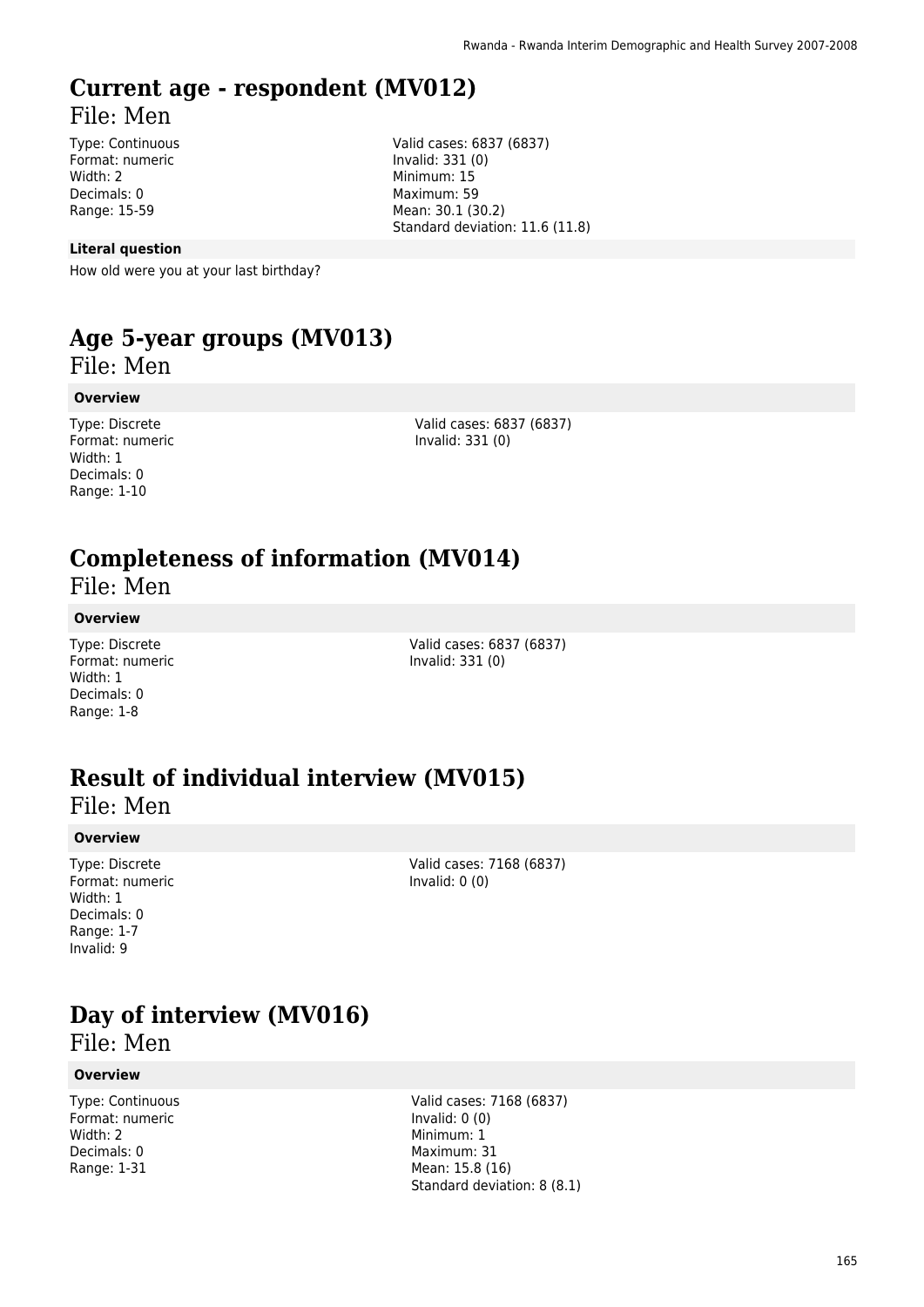### **Current age - respondent (MV012)**  File: Men

Type: Continuous Format: numeric Width: 2 Decimals: 0 Range: 15-59

#### **Literal question**

How old were you at your last birthday?

## **Age 5-year groups (MV013)**

File: Men

#### **Overview**

Type: Discrete Format: numeric Width: 1 Decimals: 0 Range: 1-10

Valid cases: 6837 (6837) Invalid: 331 (0)

Valid cases: 6837 (6837)

Standard deviation: 11.6 (11.8)

Invalid: 331 (0) Minimum: 15 Maximum: 59 Mean: 30.1 (30.2)

### **Completeness of information (MV014)**

### File: Men

### **Overview**

Type: Discrete Format: numeric Width: 1 Decimals: 0 Range: 1-8

Valid cases: 6837 (6837) Invalid: 331 (0)

## **Result of individual interview (MV015)**

File: Men

### **Overview**

Type: Discrete Format: numeric Width: 1 Decimals: 0 Range: 1-7 Invalid: 9

Valid cases: 7168 (6837) Invalid: 0 (0)

## **Day of interview (MV016)**  File: Men

### **Overview**

Type: Continuous Format: numeric Width: 2 Decimals: 0 Range: 1-31

Valid cases: 7168 (6837) Invalid: 0 (0) Minimum: 1 Maximum: 31 Mean: 15.8 (16) Standard deviation: 8 (8.1)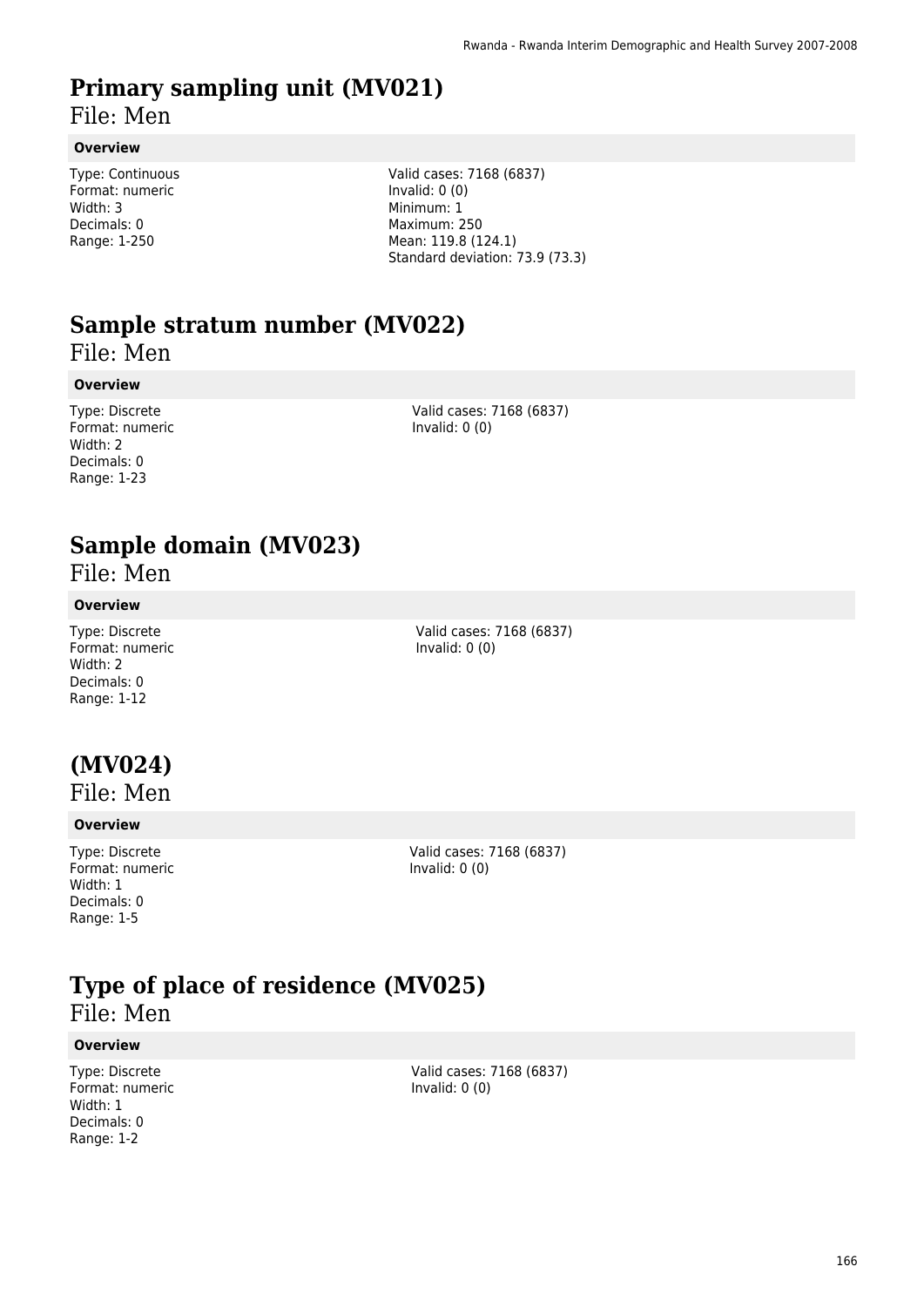## **Primary sampling unit (MV021)**

File: Men

### **Overview**

Type: Continuous Format: numeric Width: 3 Decimals: 0 Range: 1-250

Valid cases: 7168 (6837) Invalid: 0 (0) Minimum: 1 Maximum: 250 Mean: 119.8 (124.1) Standard deviation: 73.9 (73.3)

### **Sample stratum number (MV022)**  File: Men

#### **Overview**

Type: Discrete Format: numeric Width: 2 Decimals: 0 Range: 1-23

Valid cases: 7168 (6837) Invalid: 0 (0)

## **Sample domain (MV023)**  File: Men

### **Overview**

Type: Discrete Format: numeric Width: 2 Decimals: 0 Range: 1-12

Valid cases: 7168 (6837) Invalid: 0 (0)

### **(MV024)**  File: Men

### **Overview**

Type: Discrete Format: numeric Width: 1 Decimals: 0 Range: 1-5

Valid cases: 7168 (6837) Invalid: 0 (0)

## **Type of place of residence (MV025)**  File: Men

### **Overview**

Type: Discrete Format: numeric Width: 1 Decimals: 0 Range: 1-2

Valid cases: 7168 (6837) Invalid: 0 (0)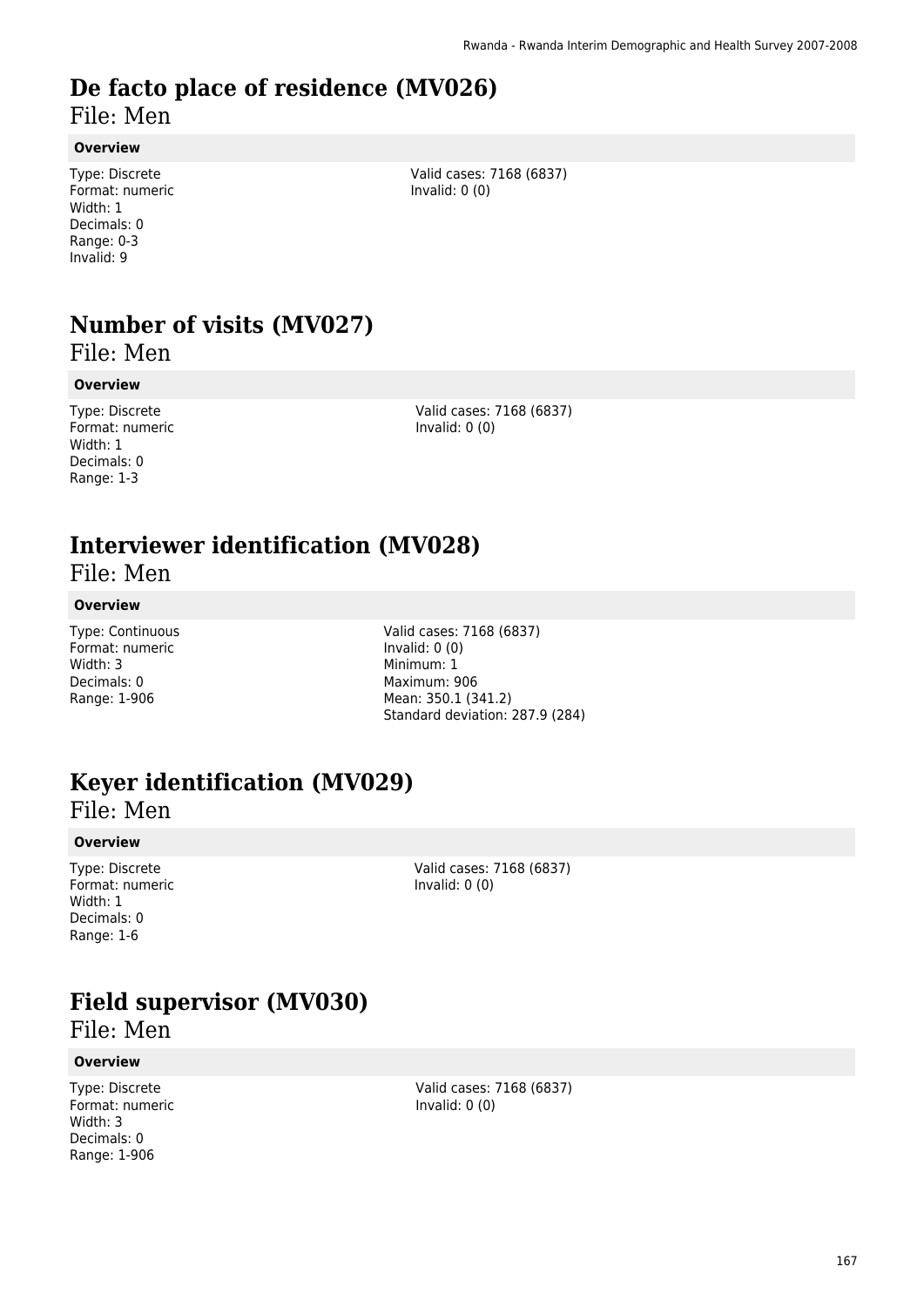### **De facto place of residence (MV026)**  File: Men

### **Overview**

Type: Discrete Format: numeric Width: 1 Decimals: 0 Range: 0-3 Invalid: 9

Valid cases: 7168 (6837) Invalid: 0 (0)

## **Number of visits (MV027)**  File: Men

#### **Overview**

Type: Discrete Format: numeric Width: 1 Decimals: 0 Range: 1-3

Valid cases: 7168 (6837) Invalid: 0 (0)

### **Interviewer identification (MV028)**  File: Men

#### **Overview**

| Type: Continuous |
|------------------|
| Format: numeric  |
| Width: 3         |
| Decimals: 0      |
| Range: 1-906     |

Valid cases: 7168 (6837) Invalid: 0 (0) Minimum: 1 Maximum: 906 Mean: 350.1 (341.2) Standard deviation: 287.9 (284)

### **Keyer identification (MV029)**

File: Men

### **Overview**

Type: Discrete Format: numeric Width: 1 Decimals: 0 Range: 1-6

Valid cases: 7168 (6837) Invalid: 0 (0)

### **Field supervisor (MV030)**  File: Men

#### **Overview**

Type: Discrete Format: numeric Width: 3 Decimals: 0 Range: 1-906

Valid cases: 7168 (6837) Invalid: 0 (0)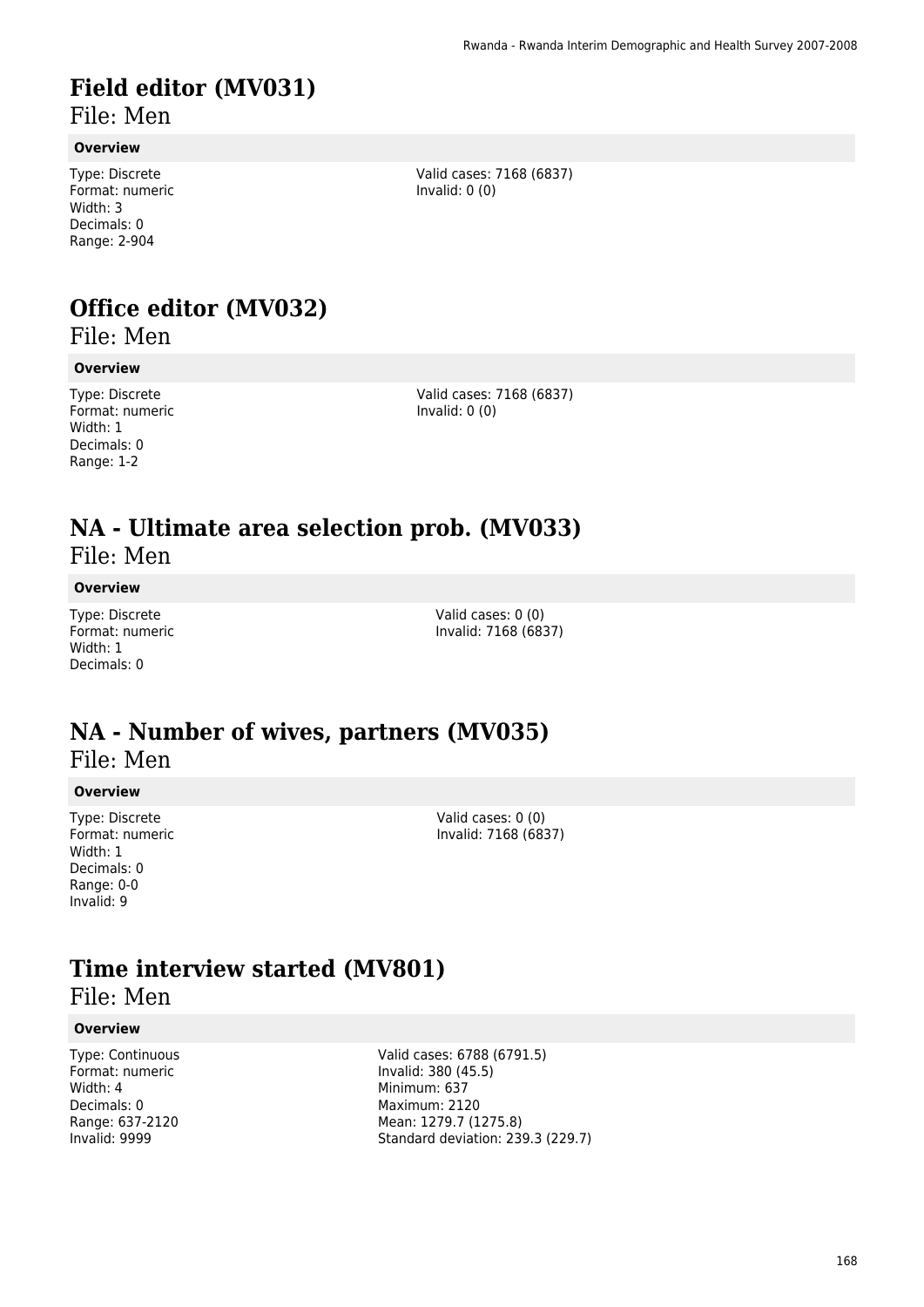### **Field editor (MV031)**  File: Men

### **Overview**

Type: Discrete Format: numeric Width: 3 Decimals: 0 Range: 2-904

Valid cases: 7168 (6837) Invalid: 0 (0)

### **Office editor (MV032)**

File: Men

### **Overview**

Type: Discrete Format: numeric Width: 1 Decimals: 0 Range: 1-2

Valid cases: 7168 (6837) Invalid: 0 (0)

### **NA - Ultimate area selection prob. (MV033)**  File: Men

#### **Overview**

Type: Discrete Format: numeric Width: 1 Decimals: 0

Valid cases: 0 (0) Invalid: 7168 (6837)

### **NA - Number of wives, partners (MV035)**  File: Men

#### **Overview**

Type: Discrete Format: numeric Width: 1 Decimals: 0 Range: 0-0 Invalid: 9

Valid cases: 0 (0) Invalid: 7168 (6837)

### **Time interview started (MV801)**

### File: Men

#### **Overview**

Type: Continuous Format: numeric Width: 4 Decimals: 0 Range: 637-2120 Invalid: 9999

Valid cases: 6788 (6791.5) Invalid: 380 (45.5) Minimum: 637 Maximum: 2120 Mean: 1279.7 (1275.8) Standard deviation: 239.3 (229.7)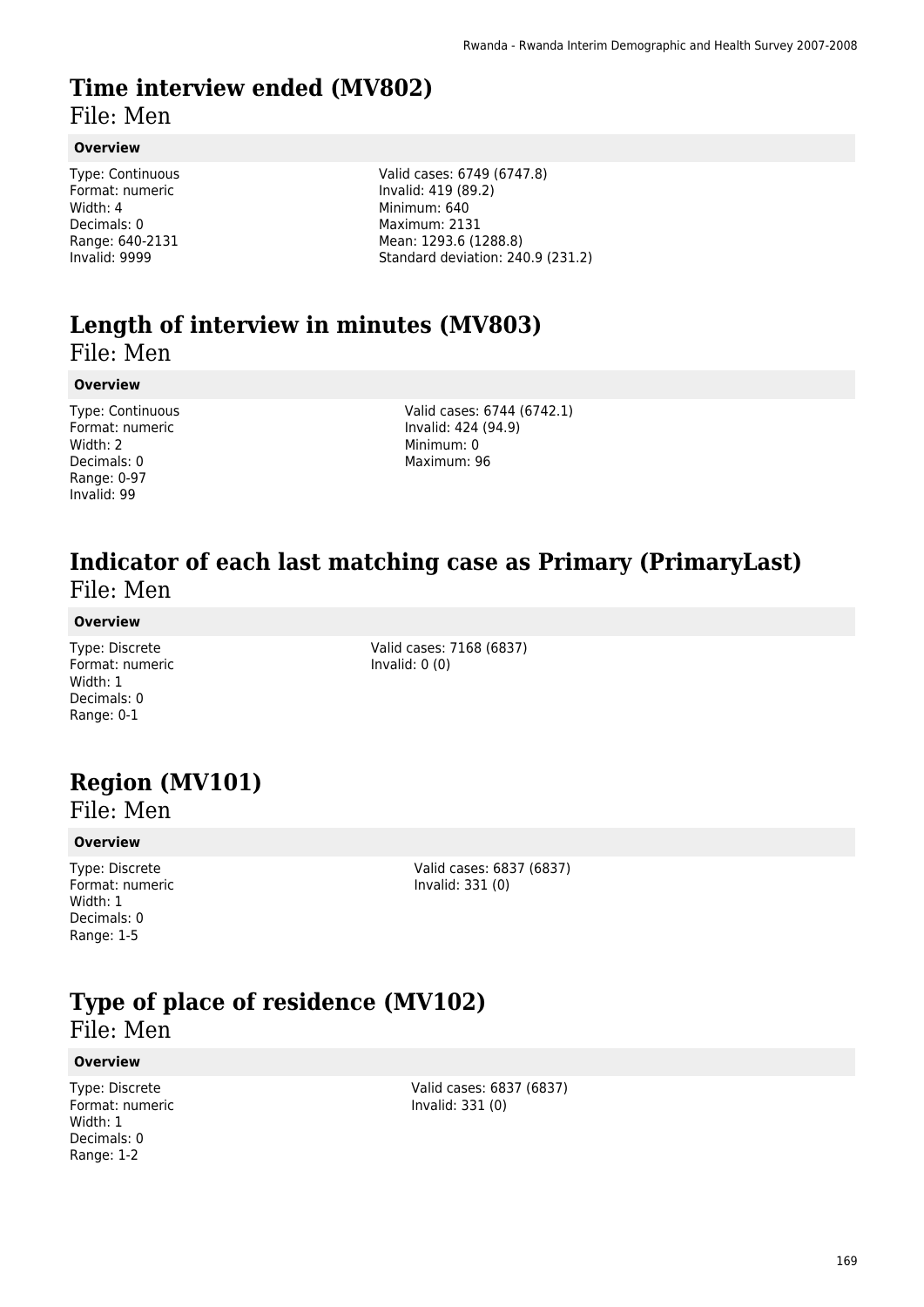### **Time interview ended (MV802)**  File: Men

### **Overview**

Type: Continuous Format: numeric Width: 4 Decimals: 0 Range: 640-2131 Invalid: 9999

Valid cases: 6749 (6747.8) Invalid: 419 (89.2) Minimum: 640 Maximum: 2131 Mean: 1293.6 (1288.8) Standard deviation: 240.9 (231.2)

## **Length of interview in minutes (MV803)**  File: Men

#### **Overview**

Type: Continuous Format: numeric Width: 2 Decimals: 0 Range: 0-97 Invalid: 99

Valid cases: 6744 (6742.1) Invalid: 424 (94.9) Minimum: 0 Maximum: 96

### **Indicator of each last matching case as Primary (PrimaryLast)**  File: Men

### **Overview**

Type: Discrete Format: numeric Width: 1 Decimals: 0 Range: 0-1

Valid cases: 7168 (6837) Invalid: 0 (0)

## **Region (MV101)**

### File: Men

### **Overview**

Type: Discrete Format: numeric Width: 1 Decimals: 0 Range: 1-5

Valid cases: 6837 (6837) Invalid: 331 (0)

### **Type of place of residence (MV102)**  File: Men

#### **Overview**

Type: Discrete Format: numeric Width: 1 Decimals: 0 Range: 1-2

Valid cases: 6837 (6837) Invalid: 331 (0)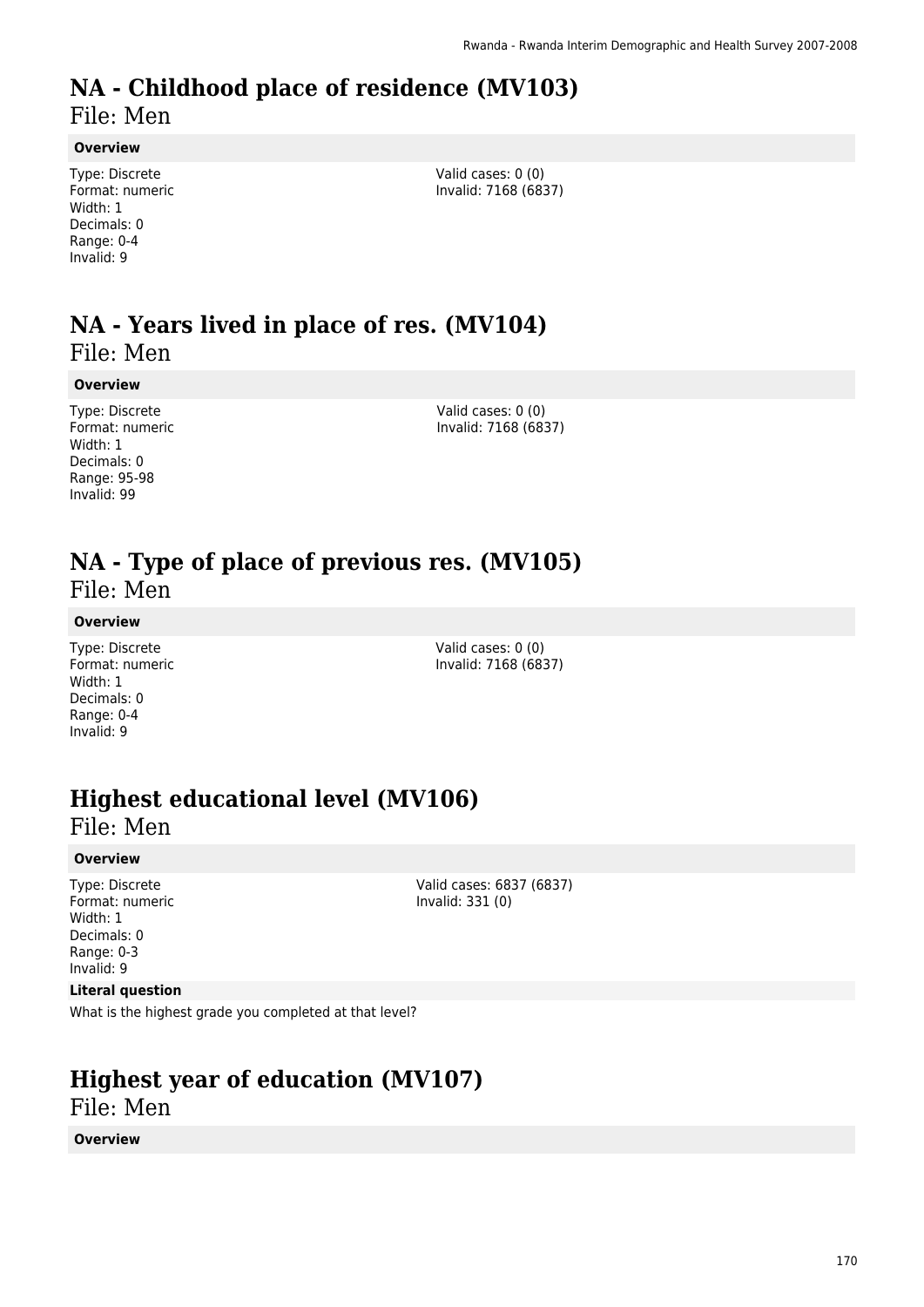## **NA - Childhood place of residence (MV103)**

File: Men

### **Overview**

Type: Discrete Format: numeric Width: 1 Decimals: 0 Range: 0-4 Invalid: 9

Valid cases: 0 (0) Invalid: 7168 (6837)

## **NA - Years lived in place of res. (MV104)**  File: Men

### **Overview**

Type: Discrete Format: numeric Width: 1 Decimals: 0 Range: 95-98 Invalid: 99

Valid cases: 0 (0) Invalid: 7168 (6837)

### **NA - Type of place of previous res. (MV105)**  File: Men

### **Overview**

Type: Discrete Format: numeric Width: 1 Decimals: 0 Range: 0-4 Invalid: 9

Valid cases: 0 (0) Invalid: 7168 (6837)

## **Highest educational level (MV106)**

File: Men

### **Overview**

Type: Discrete Format: numeric Width: 1 Decimals: 0 Range: 0-3 Invalid: 9

Valid cases: 6837 (6837) Invalid: 331 (0)

### **Literal question**

What is the highest grade you completed at that level?

### **Highest year of education (MV107)**  File: Men

### **Overview**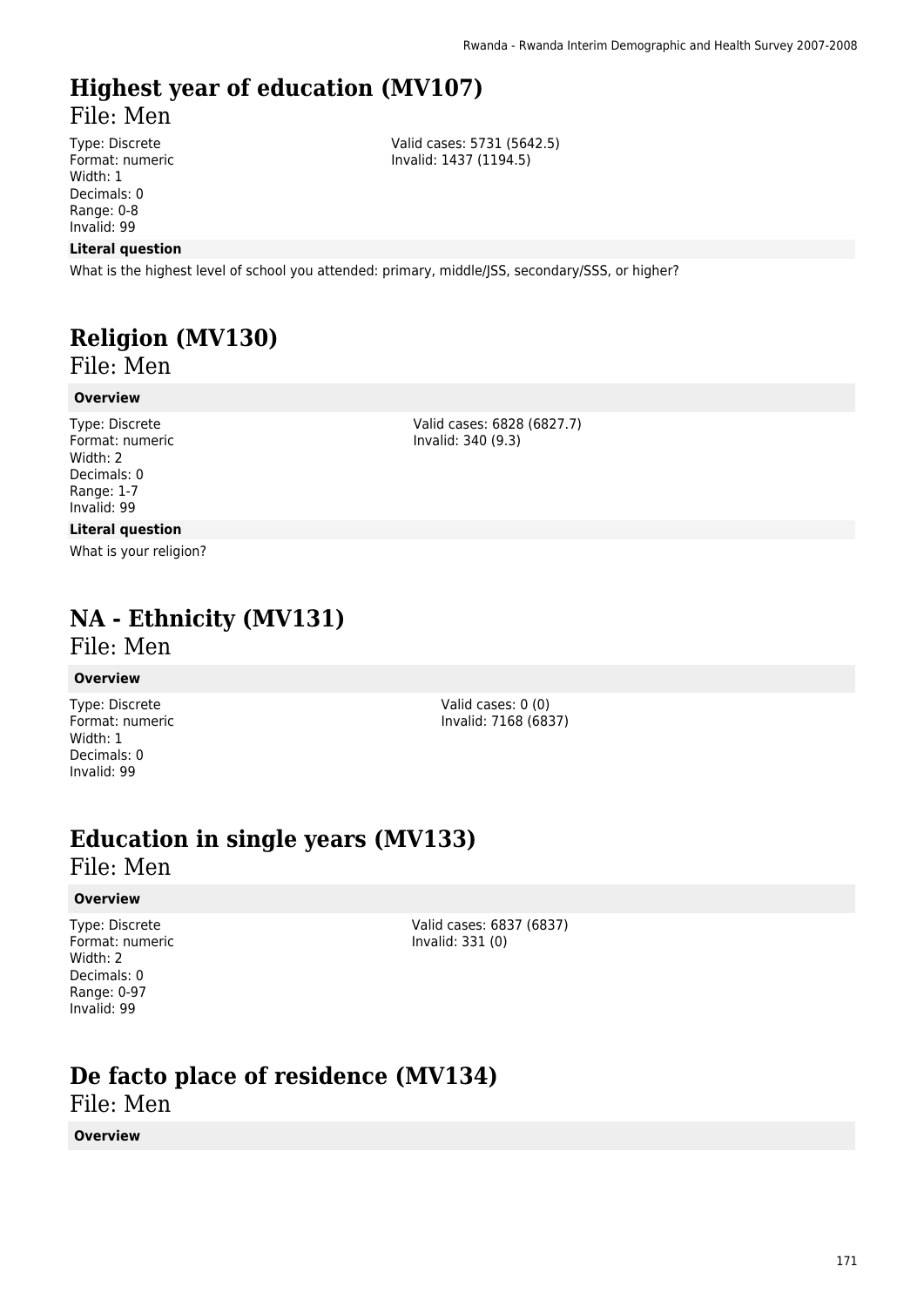# **Highest year of education (MV107)**

File: Men

Type: Discrete Format: numeric Width: 1 Decimals: 0 Range: 0-8 Invalid: 99

Valid cases: 5731 (5642.5) Invalid: 1437 (1194.5)

### **Literal question**

What is the highest level of school you attended: primary, middle/JSS, secondary/SSS, or higher?

## **Religion (MV130)**

File: Men

### **Overview**

Type: Discrete Format: numeric Width: 2 Decimals: 0 Range: 1-7 Invalid: 99

Valid cases: 6828 (6827.7) Invalid: 340 (9.3)

### **Literal question**

What is your religion?

## **NA - Ethnicity (MV131)**

File: Men

### **Overview**

Type: Discrete Format: numeric Width: 1 Decimals: 0 Invalid: 99

Valid cases: 0 (0) Invalid: 7168 (6837)

### **Education in single years (MV133)**

File: Men

### **Overview**

Type: Discrete Format: numeric Width: 2 Decimals: 0 Range: 0-97 Invalid: 99

Valid cases: 6837 (6837) Invalid: 331 (0)

### **De facto place of residence (MV134)**  File: Men

### **Overview**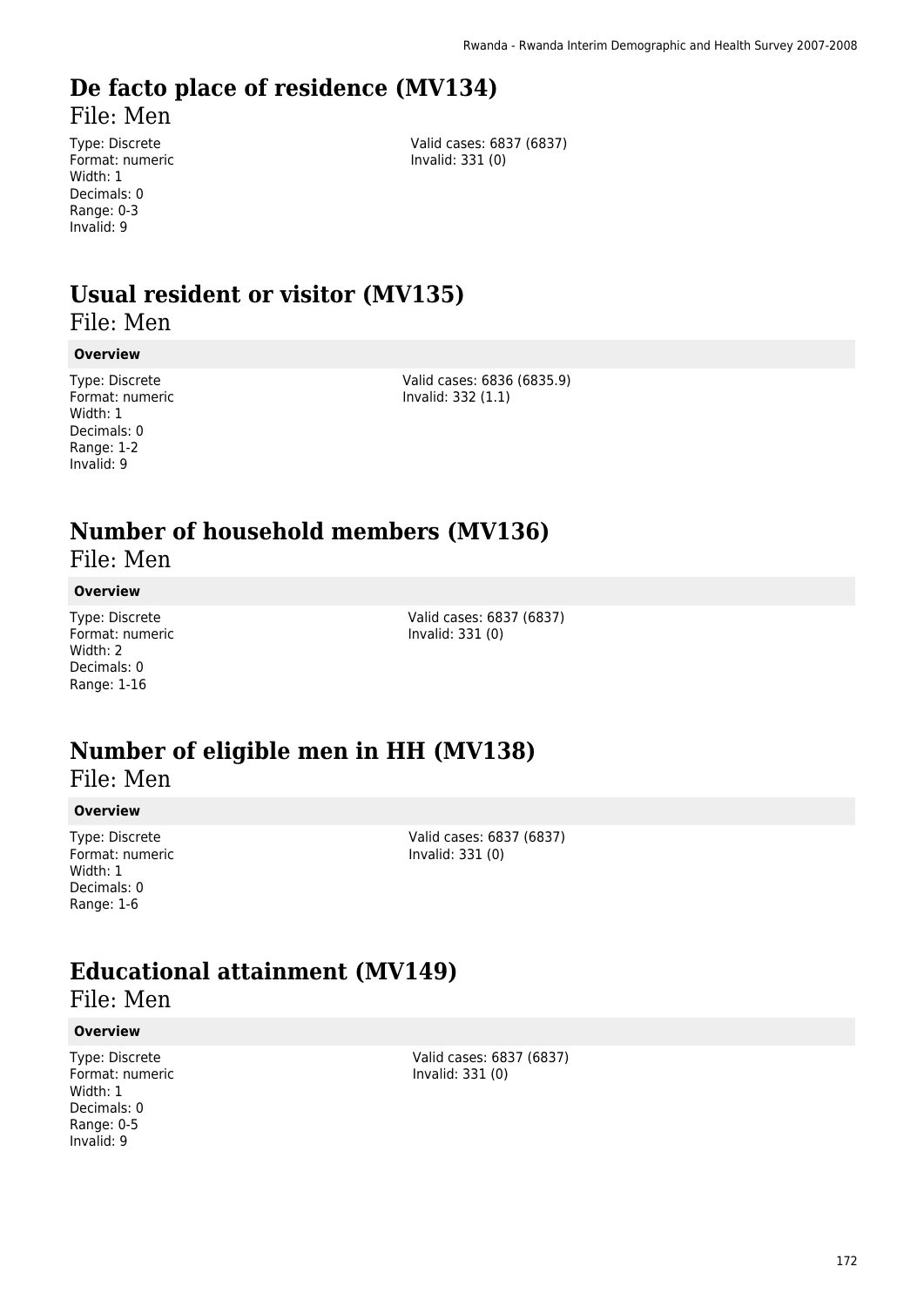### **De facto place of residence (MV134)**  File: Men

Type: Discrete Format: numeric Width: 1 Decimals: 0 Range: 0-3 Invalid: 9

Valid cases: 6837 (6837) Invalid: 331 (0)

### **Usual resident or visitor (MV135)**  File: Men

### **Overview**

Type: Discrete Format: numeric Width: 1 Decimals: 0 Range: 1-2 Invalid: 9

Valid cases: 6836 (6835.9) Invalid: 332 (1.1)

# **Number of household members (MV136)**

File: Men

### **Overview**

Type: Discrete Format: numeric Width: 2 Decimals: 0 Range: 1-16

Valid cases: 6837 (6837) Invalid: 331 (0)

## **Number of eligible men in HH (MV138)**

File: Men

### **Overview**

Type: Discrete Format: numeric Width: 1 Decimals: 0 Range: 1-6

Valid cases: 6837 (6837) Invalid: 331 (0)

### **Educational attainment (MV149)**

File: Men

#### **Overview**

Type: Discrete Format: numeric Width: 1 Decimals: 0 Range: 0-5 Invalid: 9

Valid cases: 6837 (6837) Invalid: 331 (0)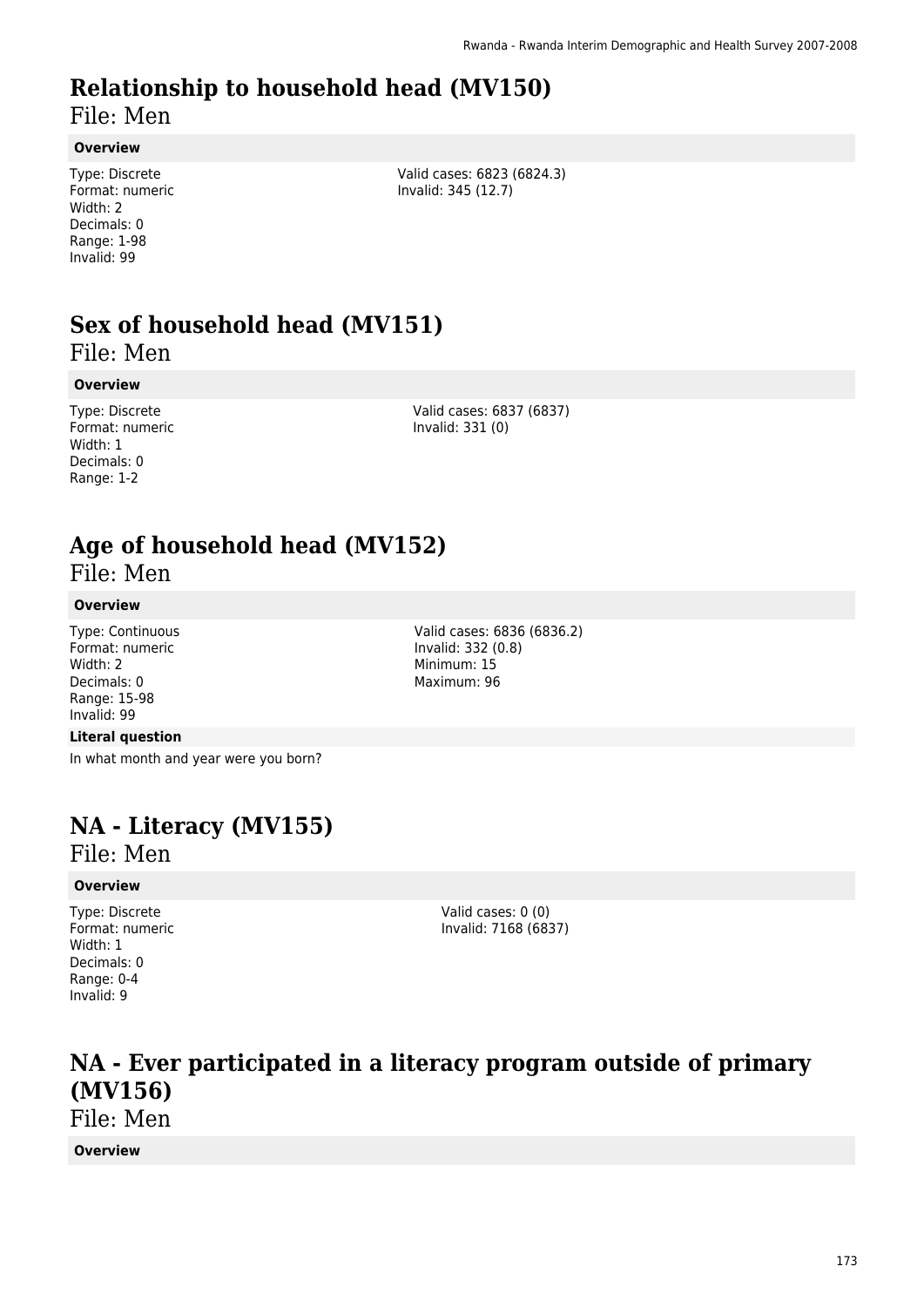## **Relationship to household head (MV150)**

File: Men

### **Overview**

Type: Discrete Format: numeric Width: 2 Decimals: 0 Range: 1-98 Invalid: 99

Valid cases: 6823 (6824.3) Invalid: 345 (12.7)

### **Sex of household head (MV151)**  File: Men

### **Overview**

Type: Discrete Format: numeric Width: 1 Decimals: 0 Range: 1-2

Valid cases: 6837 (6837) Invalid: 331 (0)

### **Age of household head (MV152)**  File: Men

### **Overview**

Type: Continuous Format: numeric Width: 2 Decimals: 0 Range: 15-98 Invalid: 99

### **Literal question**

In what month and year were you born?

### **NA - Literacy (MV155)**  File: Men

### **Overview**

Type: Discrete Format: numeric Width: 1 Decimals: 0 Range: 0-4 Invalid: 9

Valid cases: 6836 (6836.2) Invalid: 332 (0.8) Minimum: 15 Maximum: 96

Invalid: 7168 (6837)

Valid cases: 0 (0)

### **NA - Ever participated in a literacy program outside of primary (MV156)**  File: Men

**Overview**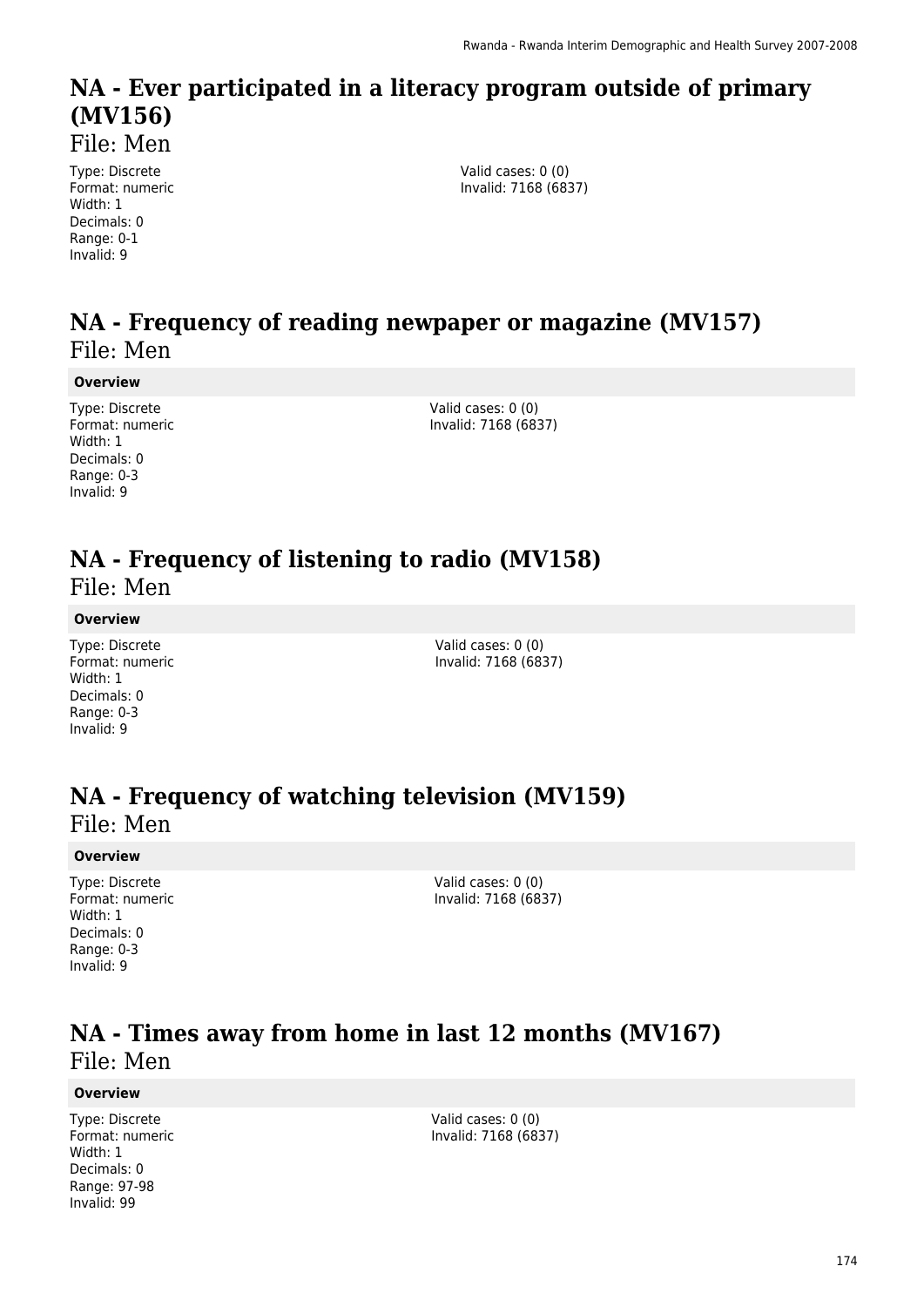## **NA - Ever participated in a literacy program outside of primary (MV156)**

File: Men

Type: Discrete Format: numeric Width: 1 Decimals: 0 Range: 0-1 Invalid: 9

Valid cases: 0 (0) Invalid: 7168 (6837)

### **NA - Frequency of reading newpaper or magazine (MV157)**  File: Men

**Overview**

Type: Discrete Format: numeric Width: 1 Decimals: 0 Range: 0-3 Invalid: 9

Valid cases: 0 (0) Invalid: 7168 (6837)

### **NA - Frequency of listening to radio (MV158)**  File: Men

### **Overview**

Type: Discrete Format: numeric Width: 1 Decimals: 0 Range: 0-3 Invalid: 9

Valid cases: 0 (0) Invalid: 7168 (6837)

### **NA - Frequency of watching television (MV159)**  File: Men

### **Overview**

Type: Discrete Format: numeric Width: 1 Decimals: 0 Range: 0-3 Invalid: 9

Valid cases: 0 (0) Invalid: 7168 (6837)

### **NA - Times away from home in last 12 months (MV167)**  File: Men

### **Overview**

Type: Discrete Format: numeric Width: 1 Decimals: 0 Range: 97-98 Invalid: 99

Valid cases: 0 (0) Invalid: 7168 (6837)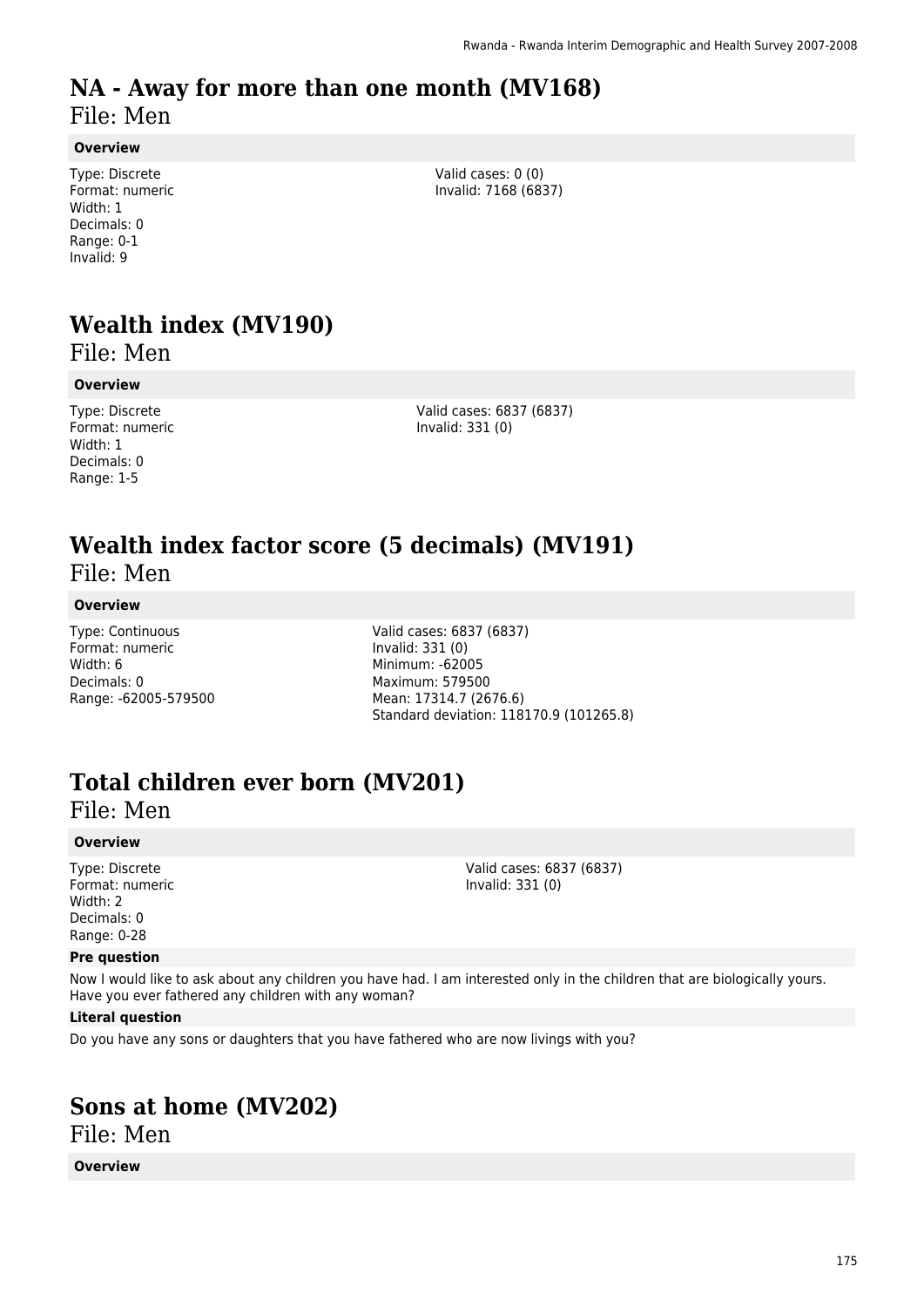### **NA - Away for more than one month (MV168)**  File: Men

### **Overview**

Type: Discrete Format: numeric Width: 1 Decimals: 0 Range: 0-1 Invalid: 9

Valid cases: 0 (0) Invalid: 7168 (6837)

### **Wealth index (MV190)**  File: Men

#### **Overview**

Type: Discrete Format: numeric Width: 1 Decimals: 0 Range: 1-5

Valid cases: 6837 (6837) Invalid: 331 (0)

### **Wealth index factor score (5 decimals) (MV191)**  File: Men

### **Overview**

Type: Continuous Format: numeric Width: 6 Decimals: 0 Range: -62005-579500 Valid cases: 6837 (6837) Invalid: 331 (0) Minimum: -62005 Maximum: 579500 Mean: 17314.7 (2676.6) Standard deviation: 118170.9 (101265.8)

## **Total children ever born (MV201)**

### File: Men

### **Overview**

Type: Discrete Format: numeric Width: 2 Decimals: 0 Range: 0-28

#### **Pre question**

Now I would like to ask about any children you have had. I am interested only in the children that are biologically yours. Have you ever fathered any children with any woman?

#### **Literal question**

Do you have any sons or daughters that you have fathered who are now livings with you?

## **Sons at home (MV202)**

File: Men

**Overview**

Valid cases: 6837 (6837) Invalid: 331 (0)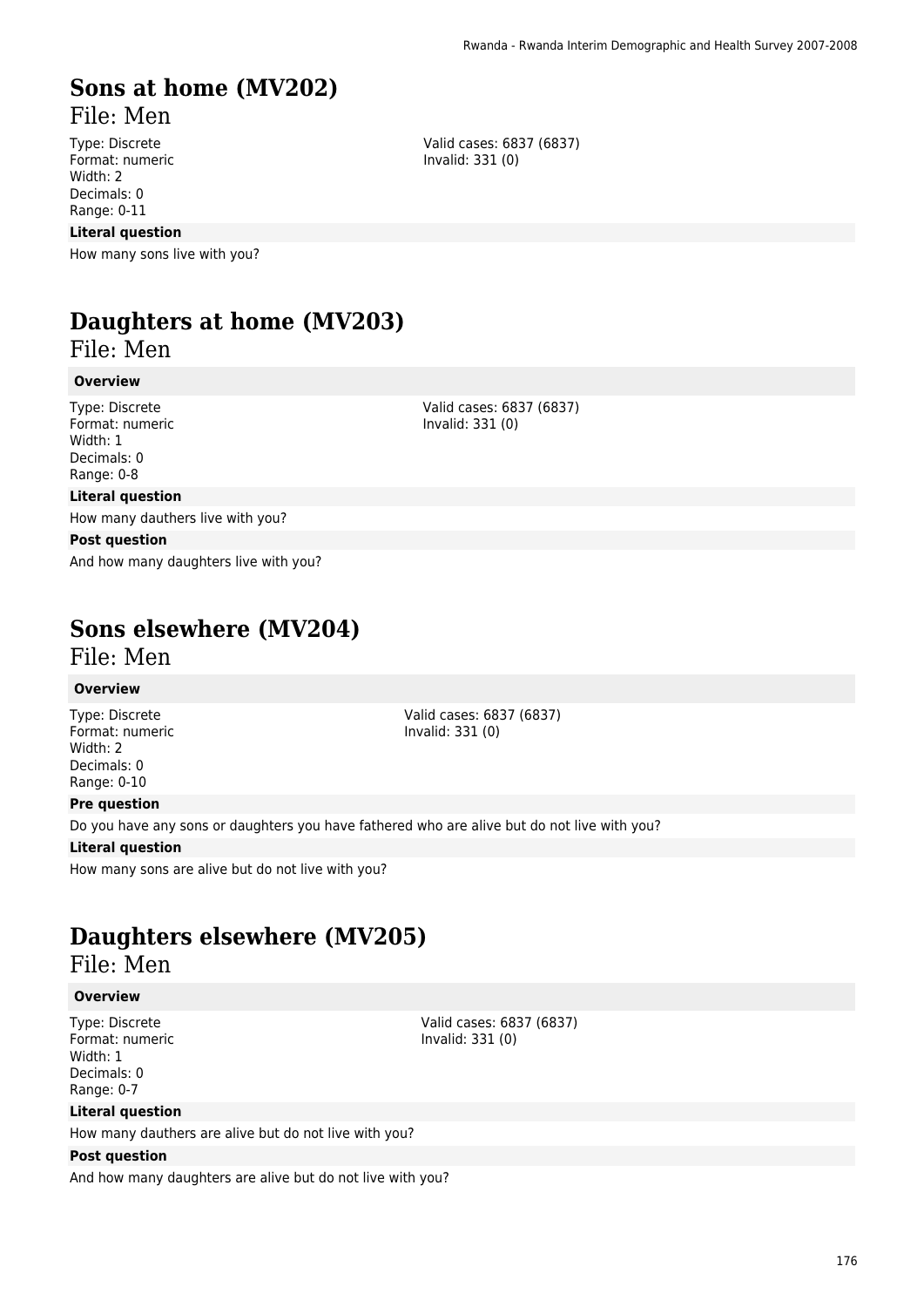### **Sons at home (MV202)**  File: Men

Type: Discrete Format: numeric Width: 2 Decimals: 0 Range: 0-11

#### **Literal question**

How many sons live with you?

### **Daughters at home (MV203)**  File: Men

### **Overview**

Type: Discrete Format: numeric Width: 1 Decimals: 0 Range: 0-8

#### **Literal question**

How many dauthers live with you?

**Post question**

And how many daughters live with you?

### **Sons elsewhere (MV204)**

File: Men

### **Overview**

Type: Discrete Format: numeric Width: 2 Decimals: 0 Range: 0-10

Valid cases: 6837 (6837) Invalid: 331 (0)

#### **Pre question**

Do you have any sons or daughters you have fathered who are alive but do not live with you?

#### **Literal question**

How many sons are alive but do not live with you?

### **Daughters elsewhere (MV205)**

### File: Men

#### **Overview**

Type: Discrete Format: numeric Width: 1 Decimals: 0 Range: 0-7

Valid cases: 6837 (6837) Invalid: 331 (0)

### **Literal question**

How many dauthers are alive but do not live with you?

#### **Post question**

And how many daughters are alive but do not live with you?

Valid cases: 6837 (6837) Invalid: 331 (0)

Valid cases: 6837 (6837)

Invalid: 331 (0)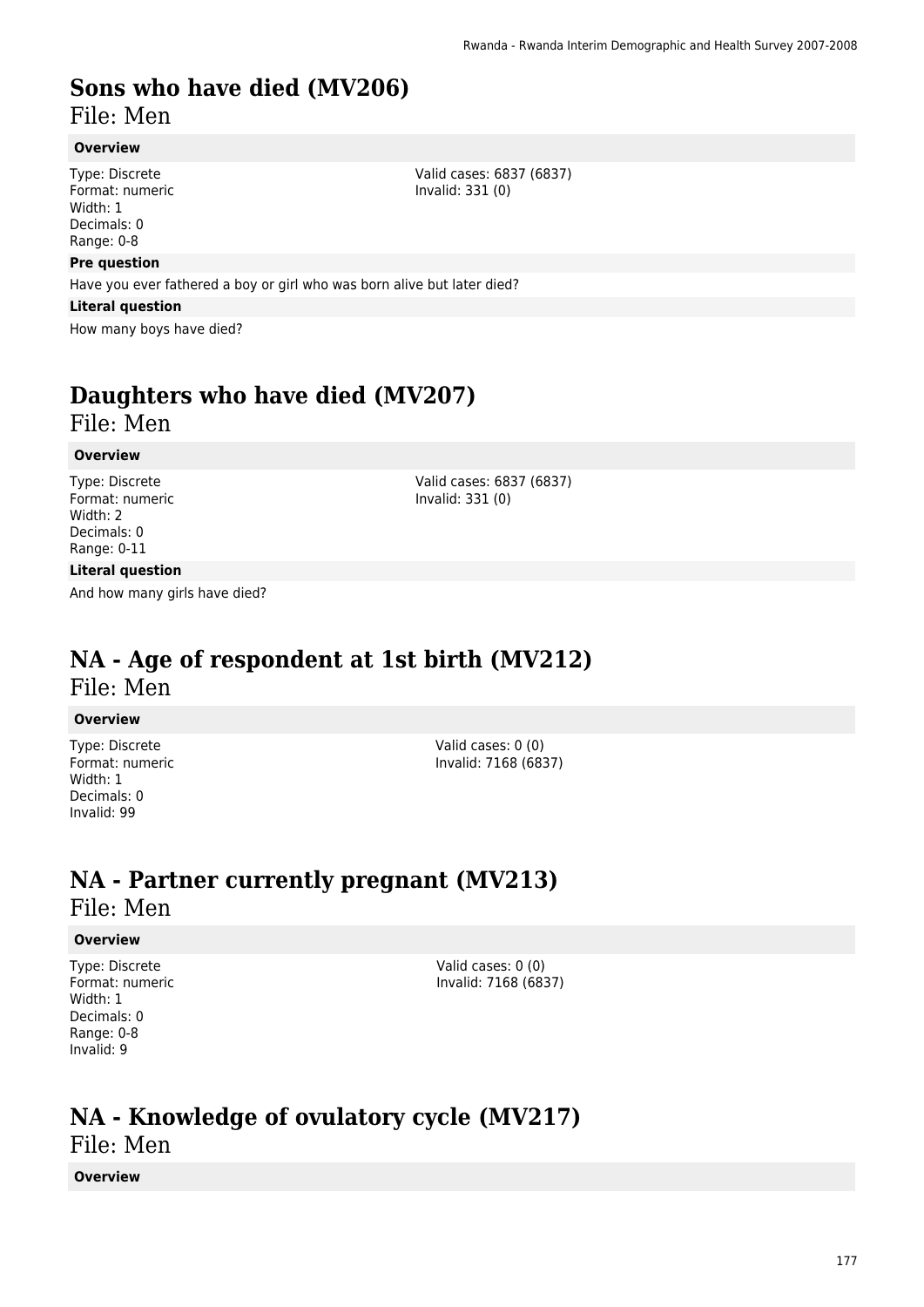## **Sons who have died (MV206)**

File: Men

### **Overview**

Type: Discrete Format: numeric Width: 1 Decimals: 0 Range: 0-8

### **Pre question**

Have you ever fathered a boy or girl who was born alive but later died?

#### **Literal question**

How many boys have died?

### **Daughters who have died (MV207)**  File: Men

#### **Overview**

Type: Discrete Format: numeric Width: 2 Decimals: 0 Range: 0-11

#### **Literal question**

And how many girls have died?

### **NA - Age of respondent at 1st birth (MV212)**  File: Men

### **Overview**

Type: Discrete Format: numeric Width: 1 Decimals: 0 Invalid: 99

Valid cases: 0 (0) Invalid: 7168 (6837)

Valid cases: 6837 (6837)

Invalid: 331 (0)

### **NA - Partner currently pregnant (MV213)**  File: Men

### **Overview**

Type: Discrete Format: numeric Width: 1 Decimals: 0 Range: 0-8 Invalid: 9

Valid cases: 0 (0) Invalid: 7168 (6837)

### **NA - Knowledge of ovulatory cycle (MV217)**  File: Men

**Overview**

Valid cases: 6837 (6837) Invalid: 331 (0)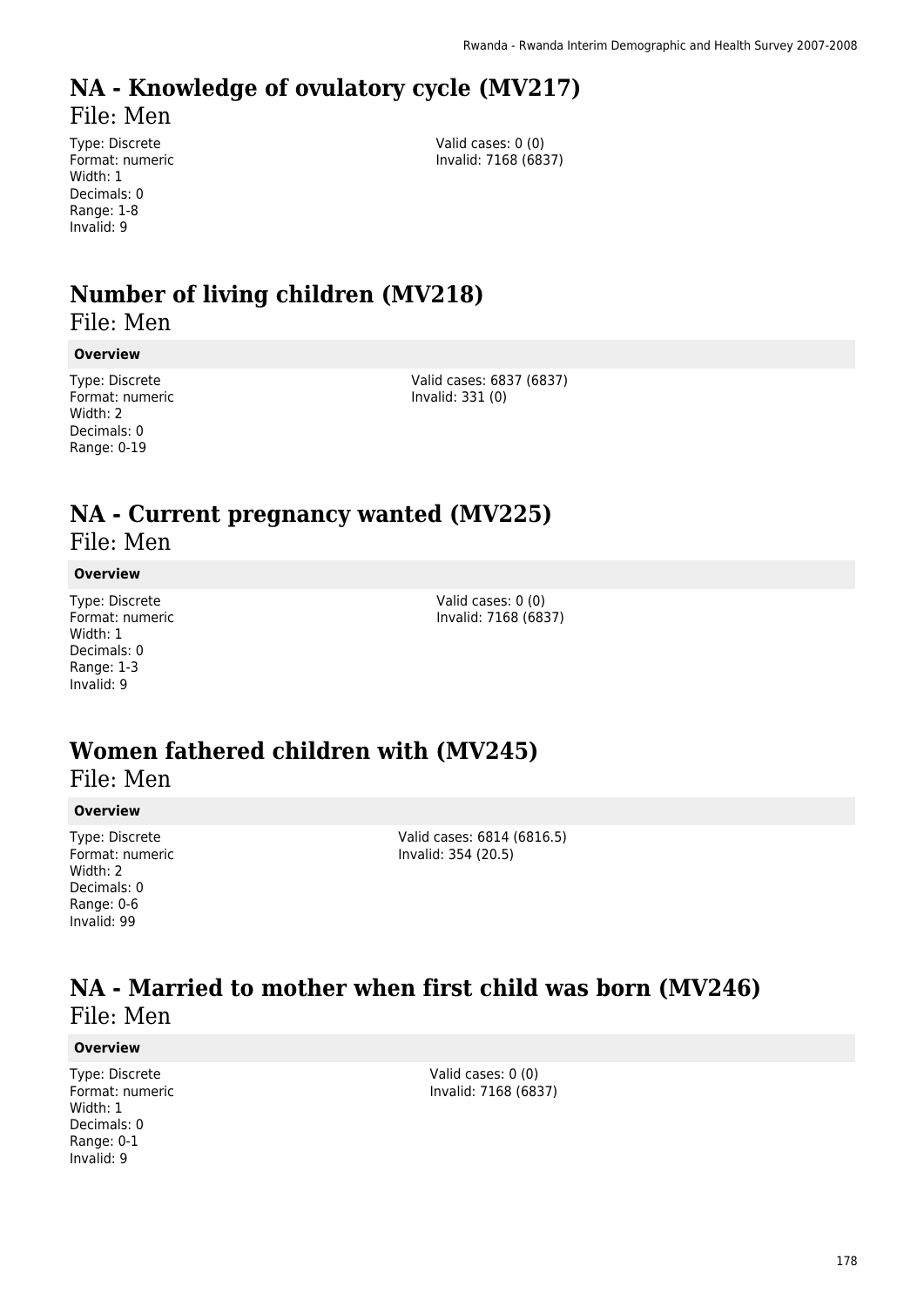### **NA - Knowledge of ovulatory cycle (MV217)**  File: Men

Type: Discrete Format: numeric Width: 1 Decimals: 0 Range: 1-8 Invalid: 9

Valid cases: 0 (0) Invalid: 7168 (6837)

# **Number of living children (MV218)**

File: Men

### **Overview**

Type: Discrete Format: numeric Width: 2 Decimals: 0 Range: 0-19

Valid cases: 6837 (6837) Invalid: 331 (0)

### **NA - Current pregnancy wanted (MV225)**  File: Men

### **Overview**

Type: Discrete Format: numeric Width: 1 Decimals: 0 Range: 1-3 Invalid: 9

Valid cases: 0 (0) Invalid: 7168 (6837)

## **Women fathered children with (MV245)**

File: Men

### **Overview**

Type: Discrete Format: numeric Width: 2 Decimals: 0 Range: 0-6 Invalid: 99

Valid cases: 6814 (6816.5) Invalid: 354 (20.5)

### **NA - Married to mother when first child was born (MV246)**  File: Men

### **Overview**

Type: Discrete Format: numeric Width: 1 Decimals: 0 Range: 0-1 Invalid: 9

Valid cases: 0 (0) Invalid: 7168 (6837)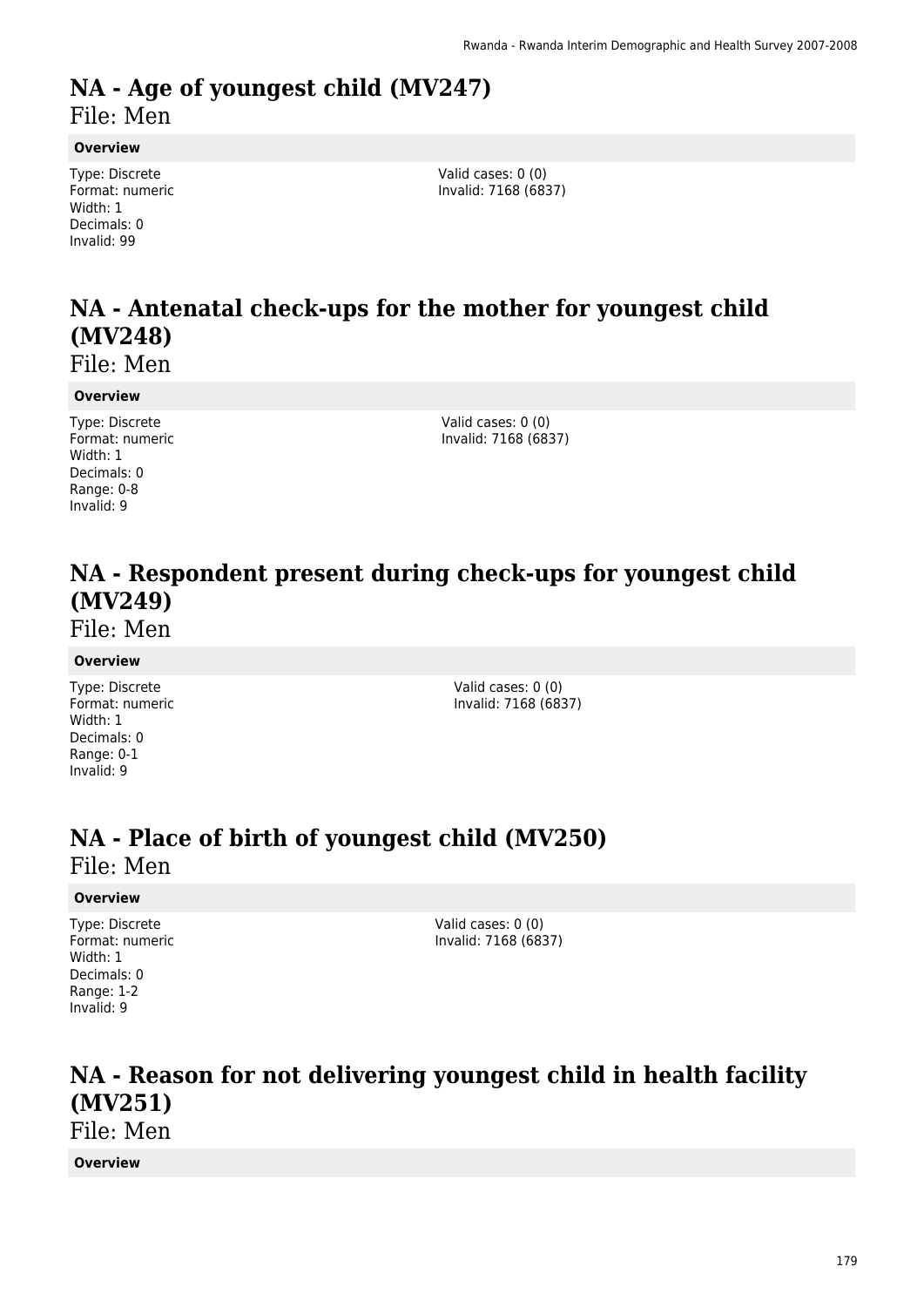## **NA - Age of youngest child (MV247)**

File: Men

### **Overview**

Type: Discrete Format: numeric Width: 1 Decimals: 0 Invalid: 99

Valid cases: 0 (0) Invalid: 7168 (6837)

## **NA - Antenatal check-ups for the mother for youngest child (MV248)**

File: Men

### **Overview**

Type: Discrete Format: numeric Width: 1 Decimals: 0 Range: 0-8 Invalid: 9

Valid cases: 0 (0) Invalid: 7168 (6837)

## **NA - Respondent present during check-ups for youngest child (MV249)**

File: Men

### **Overview**

Type: Discrete Format: numeric Width: 1 Decimals: 0 Range: 0-1 Invalid: 9

Valid cases: 0 (0) Invalid: 7168 (6837)

### **NA - Place of birth of youngest child (MV250)**  File: Men

### **Overview**

Type: Discrete Format: numeric Width: 1 Decimals: 0 Range: 1-2 Invalid: 9

Valid cases: 0 (0) Invalid: 7168 (6837)

## **NA - Reason for not delivering youngest child in health facility (MV251)**

File: Men

**Overview**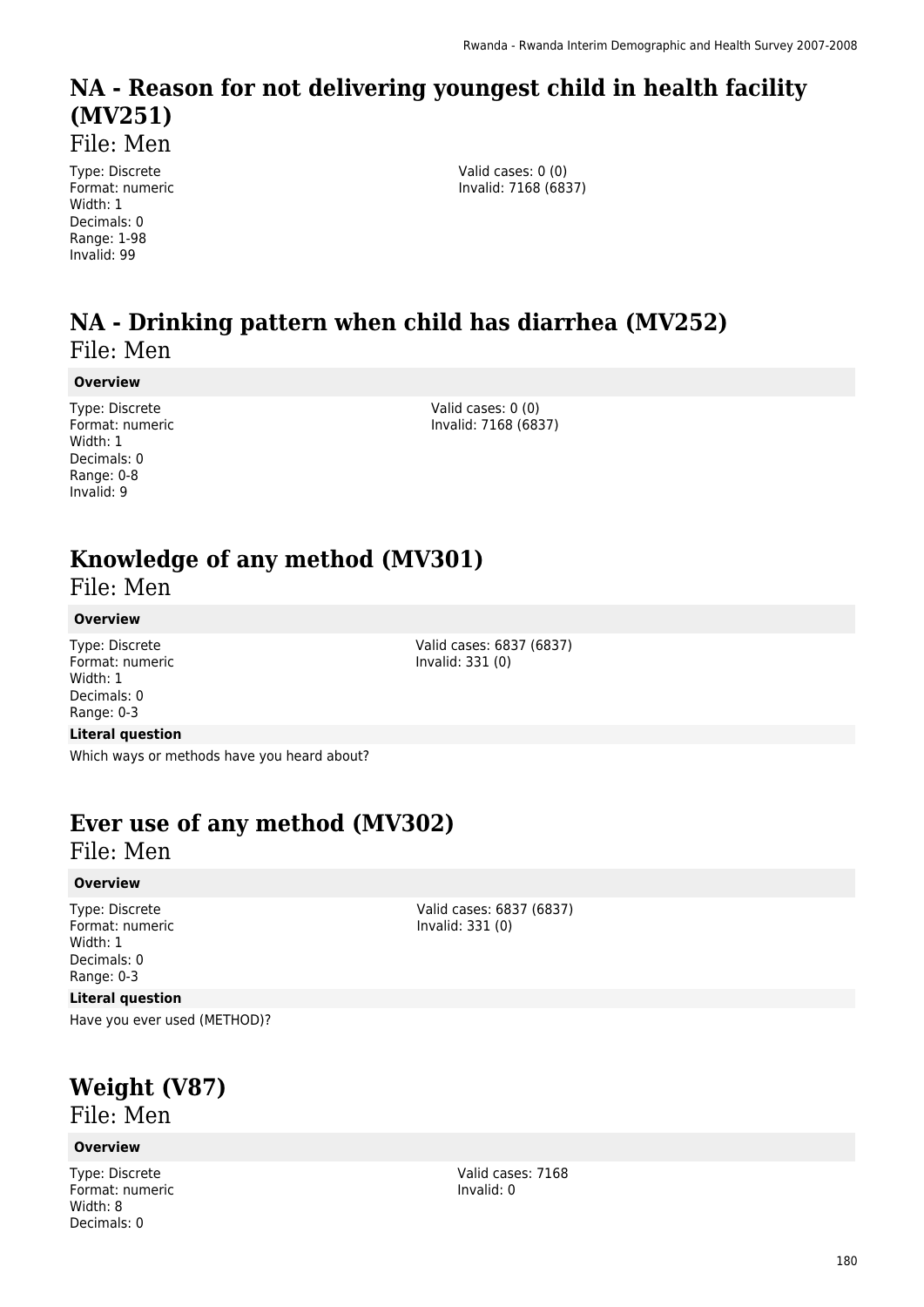## **NA - Reason for not delivering youngest child in health facility (MV251)**

File: Men

Type: Discrete Format: numeric Width: 1 Decimals: 0 Range: 1-98 Invalid: 99

Valid cases: 0 (0) Invalid: 7168 (6837)

## **NA - Drinking pattern when child has diarrhea (MV252)**  File: Men

### **Overview**

Type: Discrete Format: numeric Width: 1 Decimals: 0 Range: 0-8 Invalid: 9

Valid cases: 0 (0) Invalid: 7168 (6837)

## **Knowledge of any method (MV301)**

### File: Men

### **Overview**

Type: Discrete Format: numeric Width: 1 Decimals: 0 Range: 0-3

### **Literal question**

Which ways or methods have you heard about?

### **Ever use of any method (MV302)**  File: Men

### **Overview**

Type: Discrete Format: numeric Width: 1 Decimals: 0 Range: 0-3

Valid cases: 6837 (6837) Invalid: 331 (0)

### **Literal question**

Have you ever used (METHOD)?

### **Weight (V87)**  File: Men

### **Overview**

Type: Discrete Format: numeric Width: 8 Decimals: 0

Valid cases: 7168 Invalid: 0

Valid cases: 6837 (6837) Invalid: 331 (0)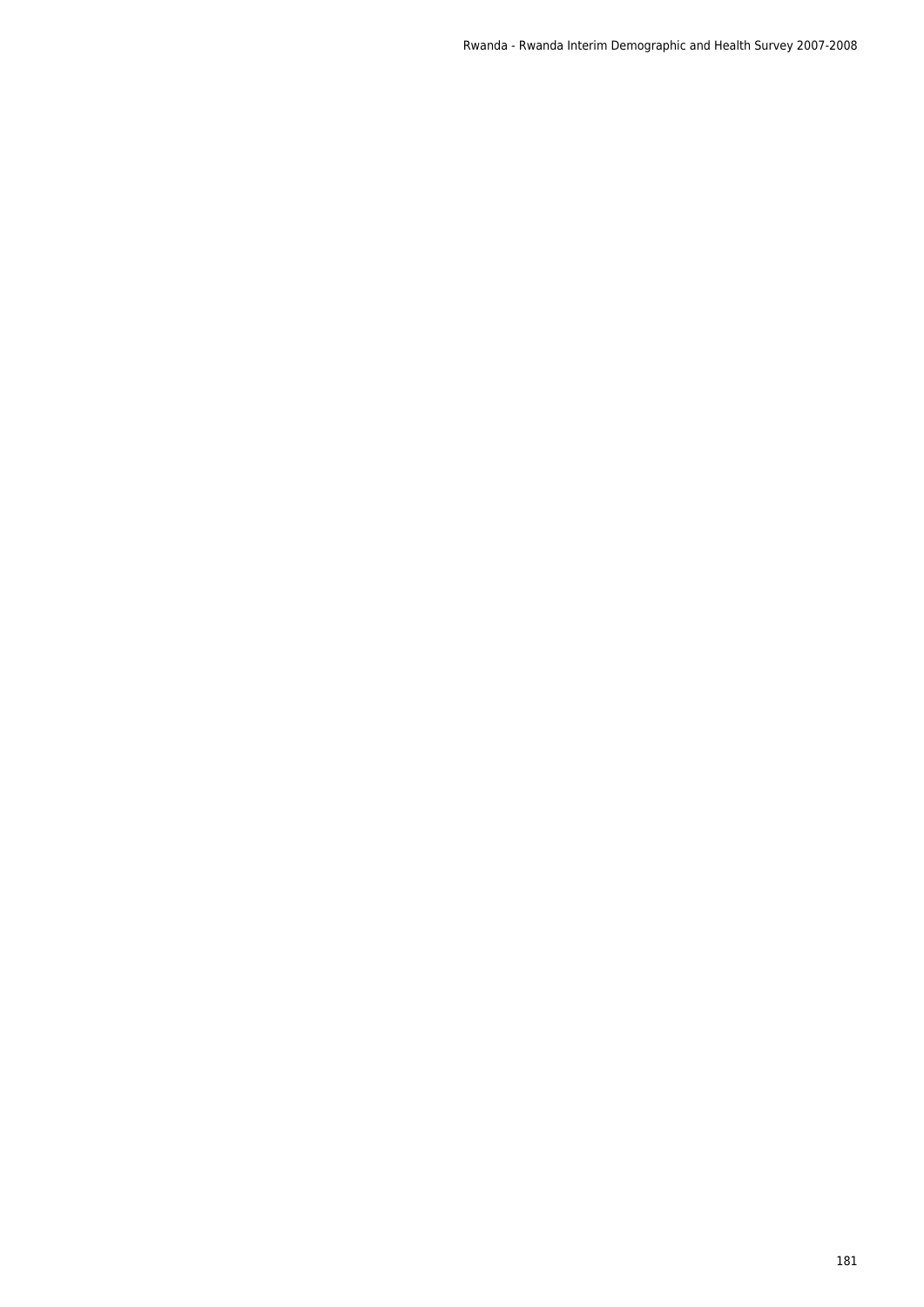Rwanda - Rwanda Interim Demographic and Health Survey 2007-2008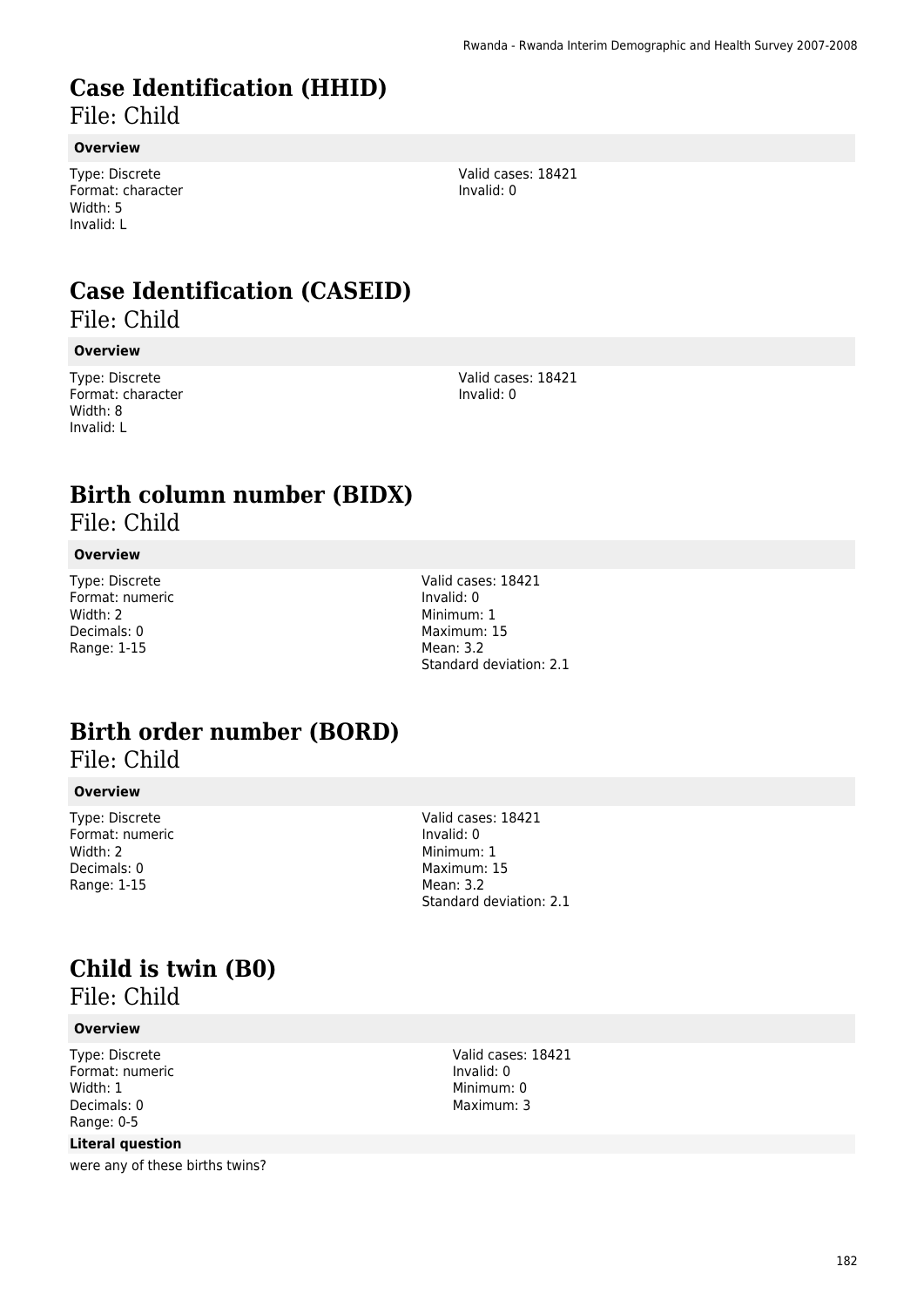# **Case Identification (HHID)**

File: Child

#### **Overview**

Type: Discrete Format: character Width: 5 Invalid: L

Valid cases: 18421 Invalid: 0

# **Case Identification (CASEID)**

File: Child

#### **Overview**

Type: Discrete Format: character Width: 8 Invalid: L

Valid cases: 18421 Invalid: 0

## **Birth column number (BIDX)**  File: Child

#### **Overview**

Type: Discrete Format: numeric Width: 2 Decimals: 0 Range: 1-15

Valid cases: 18421 Invalid: 0 Minimum: 1 Maximum: 15 Mean: 3.2 Standard deviation: 2.1

## **Birth order number (BORD)**

File: Child

#### **Overview**

Type: Discrete Format: numeric Width: 2 Decimals: 0 Range: 1-15

Valid cases: 18421 Invalid: 0 Minimum: 1 Maximum: 15 Mean: 3.2 Standard deviation: 2.1

# **Child is twin (B0)**

File: Child

#### **Overview**

Type: Discrete Format: numeric Width: 1 Decimals: 0 Range: 0-5

#### **Literal question**

were any of these births twins?

Valid cases: 18421 Invalid: 0 Minimum: 0 Maximum: 3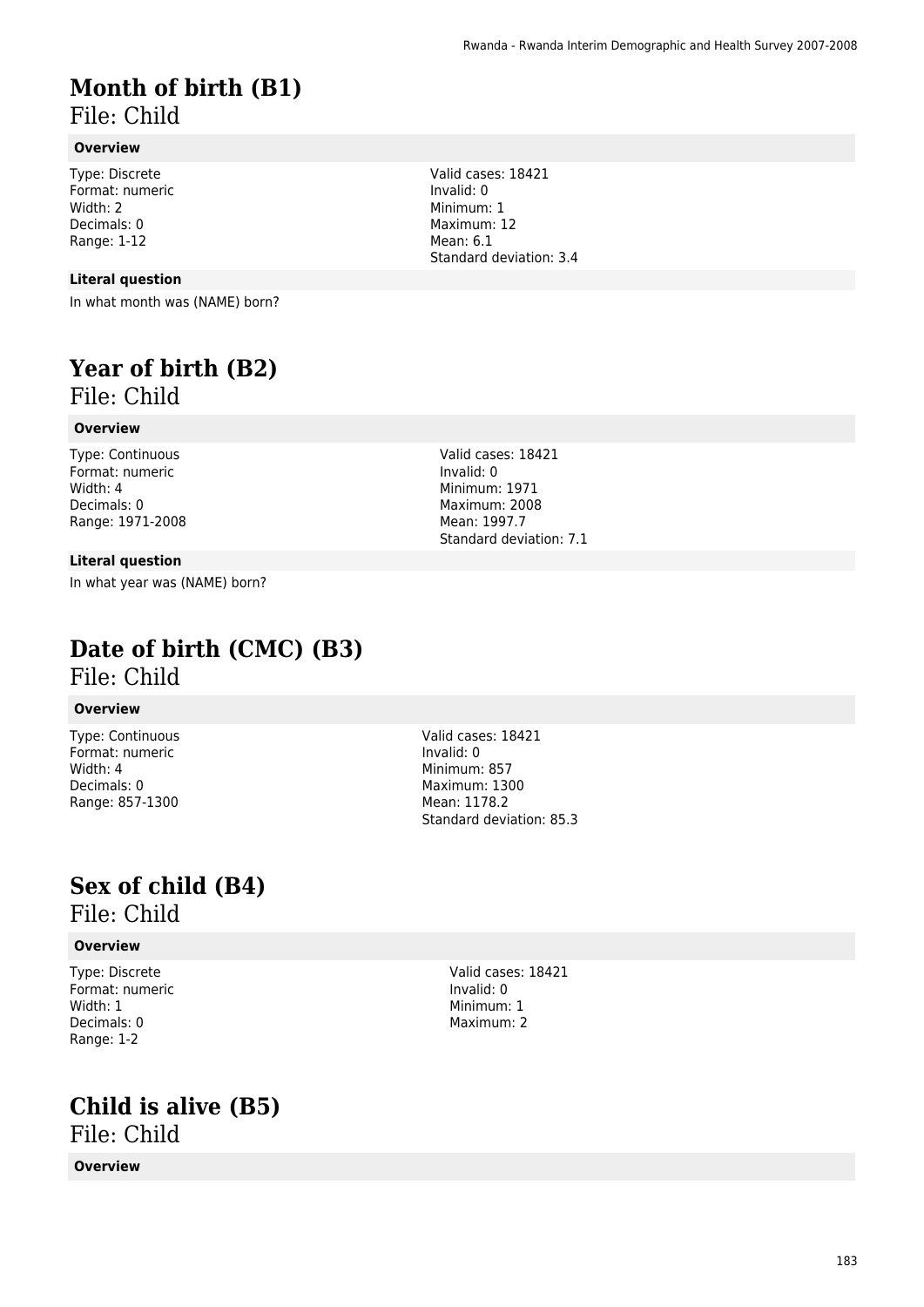### **Month of birth (B1)**  File: Child

#### **Overview**

Type: Discrete Format: numeric Width: 2 Decimals: 0 Range: 1-12

#### **Literal question**

In what month was (NAME) born?

### **Year of birth (B2)**  File: Child

#### **Overview**

Type: Continuous Format: numeric Width: 4 Decimals: 0 Range: 1971-2008

#### **Literal question**

In what year was (NAME) born?

### **Date of birth (CMC) (B3)**  File: Child

#### **Overview**

Type: Continuous Format: numeric Width: 4 Decimals: 0 Range: 857-1300

Valid cases: 18421 Invalid: 0 Minimum: 857 Maximum: 1300 Mean: 1178.2 Standard deviation: 85.3

Valid cases: 18421

Invalid: 0 Minimum: 1 Maximum: 2

### **Sex of child (B4)**  File: Child

#### **Overview**

Type: Discrete Format: numeric Width: 1 Decimals: 0 Range: 1-2

### **Child is alive (B5)**  File: Child

**Overview**

Valid cases: 18421 Invalid: 0 Minimum: 1 Maximum: 12 Mean: 6.1 Standard deviation: 3.4

Valid cases: 18421

Standard deviation: 7.1

Invalid: 0 Minimum: 1971 Maximum: 2008 Mean: 1997.7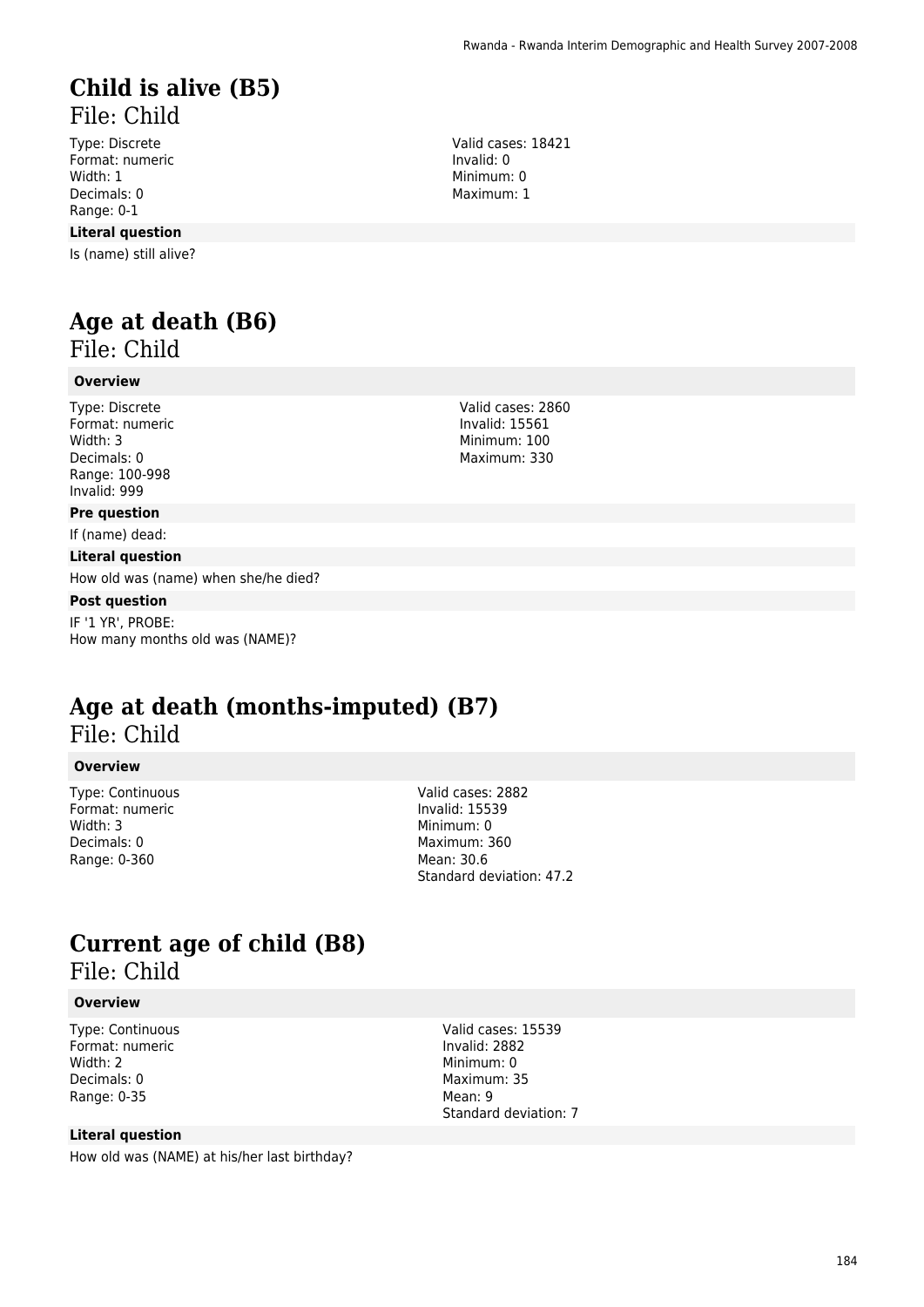## **Child is alive (B5)**  File: Child

Type: Discrete Format: numeric Width: 1 Decimals: 0 Range: 0-1

#### **Literal question**

Is (name) still alive?

### **Age at death (B6)**  File: Child

#### **Overview**

Type: Discrete Format: numeric Width: 3 Decimals: 0 Range: 100-998 Invalid: 999

#### **Pre question**

If (name) dead:

#### **Literal question**

How old was (name) when she/he died?

#### **Post question**

IF '1 YR', PROBE: How many months old was (NAME)?

### **Age at death (months-imputed) (B7)**  File: Child

#### **Overview**

Type: Continuous Format: numeric Width: 3 Decimals: 0 Range: 0-360

Valid cases: 2882 Invalid: 15539 Minimum: 0 Maximum: 360 Mean: 30.6 Standard deviation: 47.2

> Valid cases: 15539 Invalid: 2882 Minimum: 0 Maximum: 35 Mean: 9

Standard deviation: 7

## **Current age of child (B8)**

File: Child

#### **Overview**

Type: Continuous Format: numeric Width: 2 Decimals: 0 Range: 0-35

#### **Literal question**

How old was (NAME) at his/her last birthday?

Valid cases: 18421 Invalid: 0 Minimum: 0 Maximum: 1

Valid cases: 2860 Invalid: 15561 Minimum: 100 Maximum: 330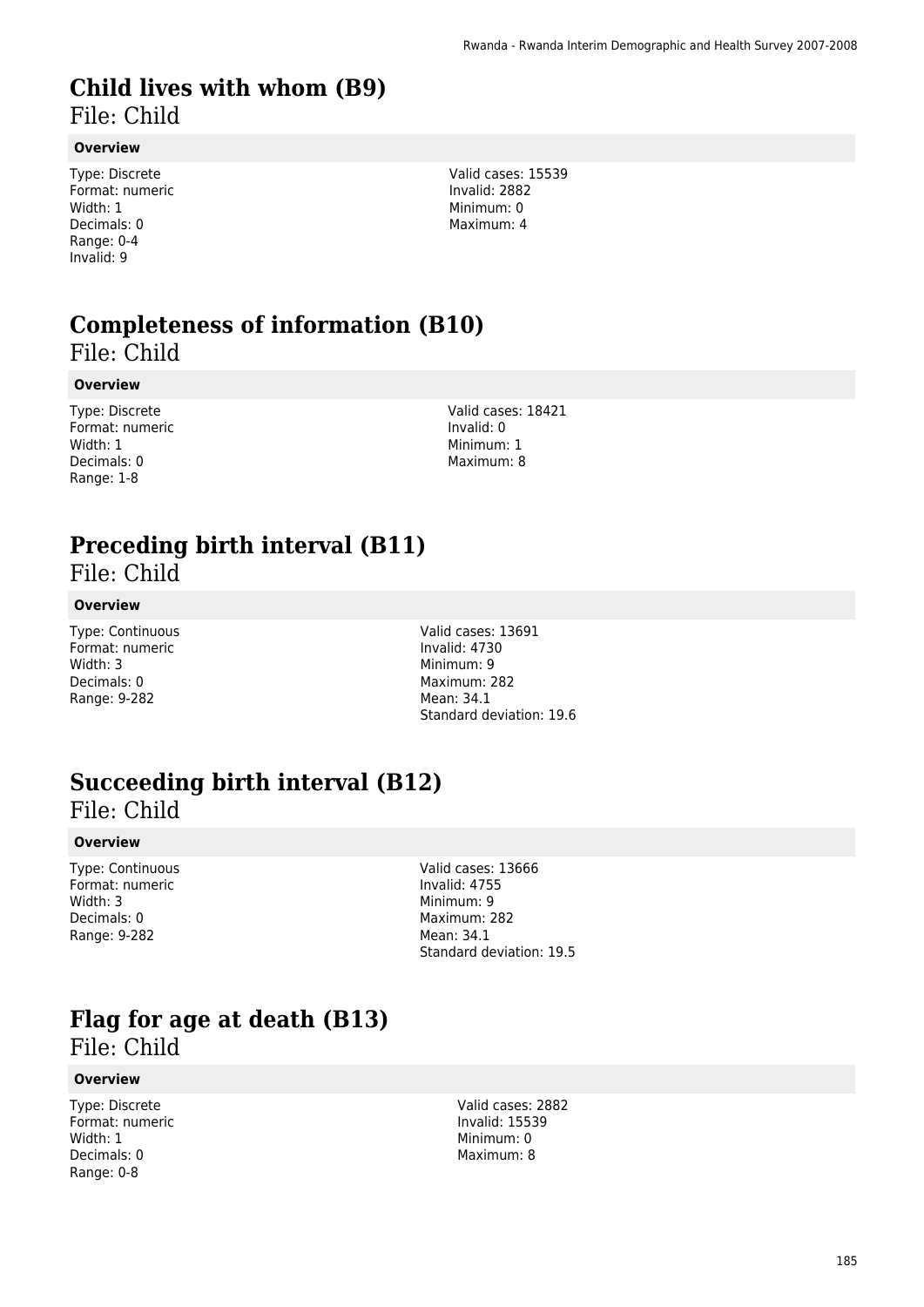### **Child lives with whom (B9)**  File: Child

#### **Overview**

Type: Discrete Format: numeric Width: 1 Decimals: 0 Range: 0-4 Invalid: 9

Valid cases: 15539 Invalid: 2882 Minimum: 0 Maximum: 4

## **Completeness of information (B10)**  File: Child

#### **Overview**

Type: Discrete Format: numeric Width: 1 Decimals: 0 Range: 1-8

Valid cases: 18421 Invalid: 0 Minimum: 1 Maximum: 8

## **Preceding birth interval (B11)**  File: Child

#### **Overview**

Type: Continuous Format: numeric Width: 3 Decimals: 0 Range: 9-282

Valid cases: 13691 Invalid: 4730 Minimum: 9 Maximum: 282 Mean: 34.1 Standard deviation: 19.6

### **Succeeding birth interval (B12)**  File: Child

#### **Overview**

Type: Continuous Format: numeric Width: 3 Decimals: 0 Range: 9-282

Valid cases: 13666 Invalid: 4755 Minimum: 9 Maximum: 282 Mean: 34.1 Standard deviation: 19.5

## **Flag for age at death (B13)**  File: Child

#### **Overview**

Type: Discrete Format: numeric Width: 1 Decimals: 0 Range: 0-8

Valid cases: 2882 Invalid: 15539 Minimum: 0 Maximum: 8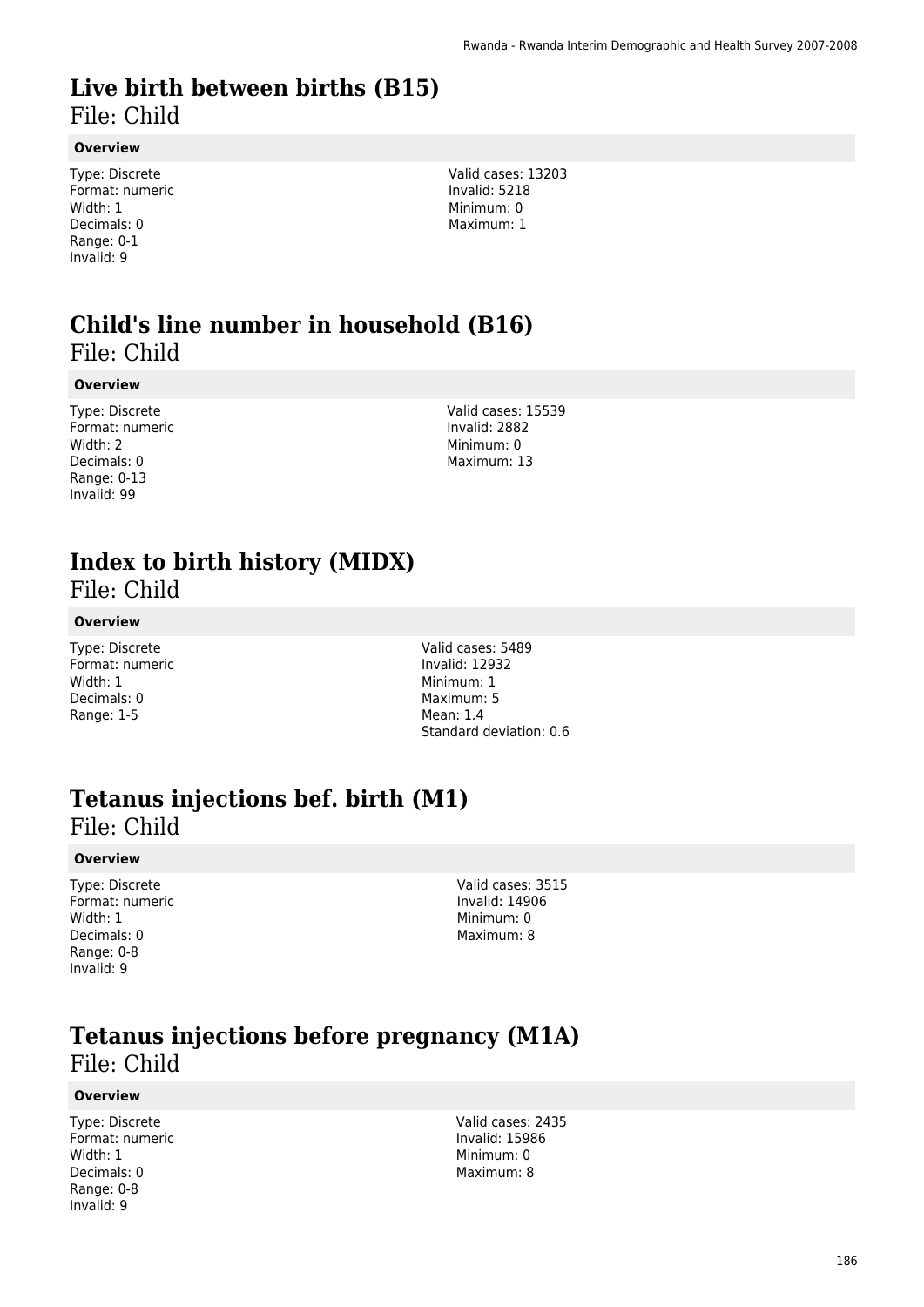### **Live birth between births (B15)**  File: Child

#### **Overview**

Type: Discrete Format: numeric Width: 1 Decimals: 0 Range: 0-1 Invalid: 9

Valid cases: 13203 Invalid: 5218 Minimum: 0 Maximum: 1

## **Child's line number in household (B16)**  File: Child

#### **Overview**

Type: Discrete Format: numeric Width: 2 Decimals: 0 Range: 0-13 Invalid: 99

Valid cases: 15539 Invalid: 2882 Minimum: 0 Maximum: 13

## **Index to birth history (MIDX)**

### File: Child

#### **Overview**

Type: Discrete Format: numeric Width: 1 Decimals: 0 Range: 1-5

Valid cases: 5489 Invalid: 12932 Minimum: 1 Maximum: 5 Mean: 1.4 Standard deviation: 0.6

### **Tetanus injections bef. birth (M1)**  File: Child

#### **Overview**

Type: Discrete Format: numeric Width: 1 Decimals: 0 Range: 0-8 Invalid: 9

Valid cases: 3515 Invalid: 14906 Minimum: 0 Maximum: 8

### **Tetanus injections before pregnancy (M1A)**  File: Child

#### **Overview**

Type: Discrete Format: numeric Width: 1 Decimals: 0 Range: 0-8 Invalid: 9

Valid cases: 2435 Invalid: 15986 Minimum: 0 Maximum: 8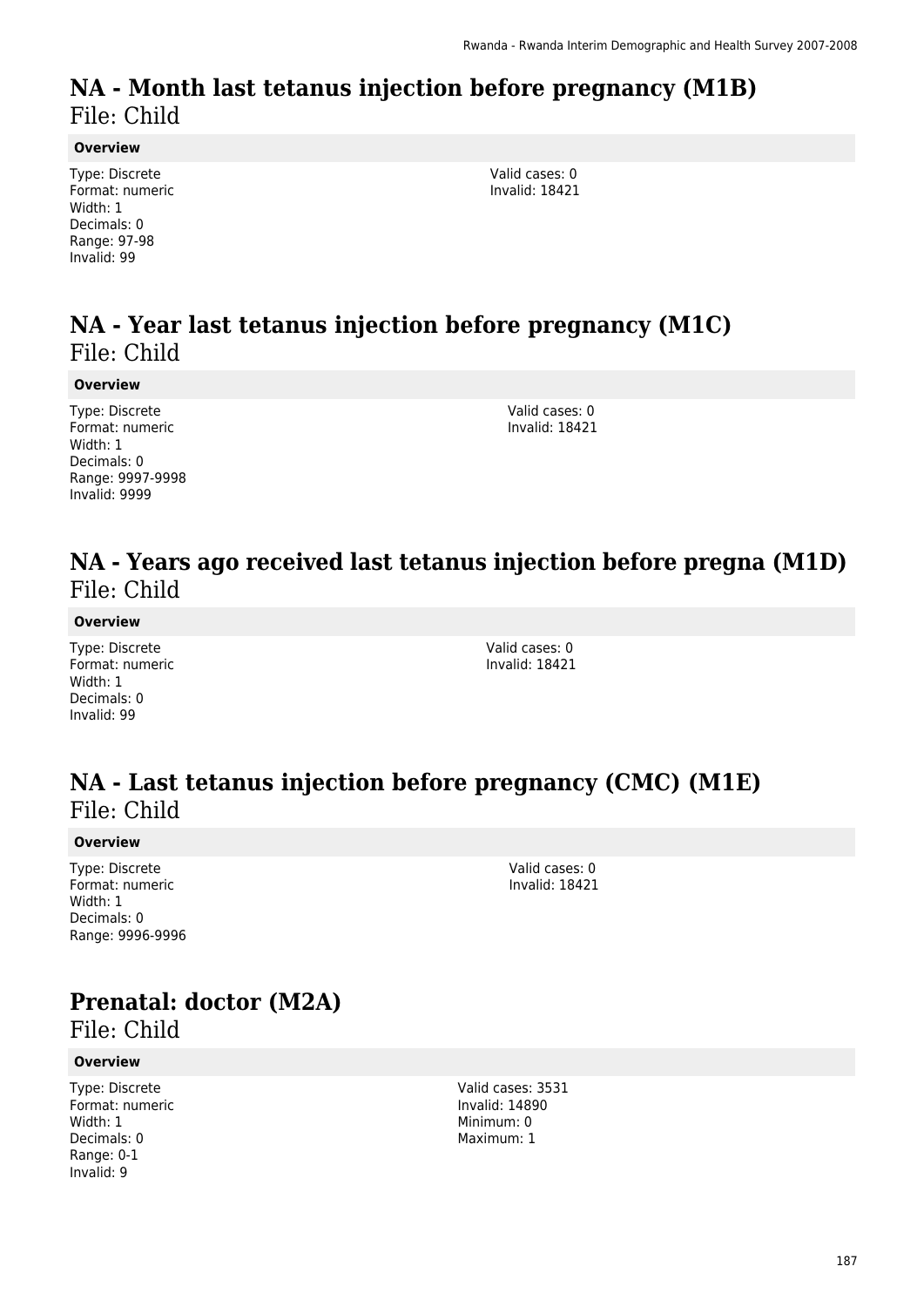### **NA - Month last tetanus injection before pregnancy (M1B)**  File: Child

#### **Overview**

Type: Discrete Format: numeric Width: 1 Decimals: 0 Range: 97-98 Invalid: 99

Valid cases: 0 Invalid: 18421

## **NA - Year last tetanus injection before pregnancy (M1C)**  File: Child

#### **Overview**

Type: Discrete Format: numeric Width: 1 Decimals: 0 Range: 9997-9998 Invalid: 9999

Valid cases: 0 Invalid: 18421

### **NA - Years ago received last tetanus injection before pregna (M1D)**  File: Child

#### **Overview**

Type: Discrete Format: numeric Width: 1 Decimals: 0 Invalid: 99

Valid cases: 0 Invalid: 18421

## **NA - Last tetanus injection before pregnancy (CMC) (M1E)**  File: Child

#### **Overview**

Type: Discrete Format: numeric Width: 1 Decimals: 0 Range: 9996-9996 Valid cases: 0 Invalid: 18421

### **Prenatal: doctor (M2A)**  File: Child

#### **Overview**

Type: Discrete Format: numeric Width: 1 Decimals: 0 Range: 0-1 Invalid: 9

Valid cases: 3531 Invalid: 14890 Minimum: 0 Maximum: 1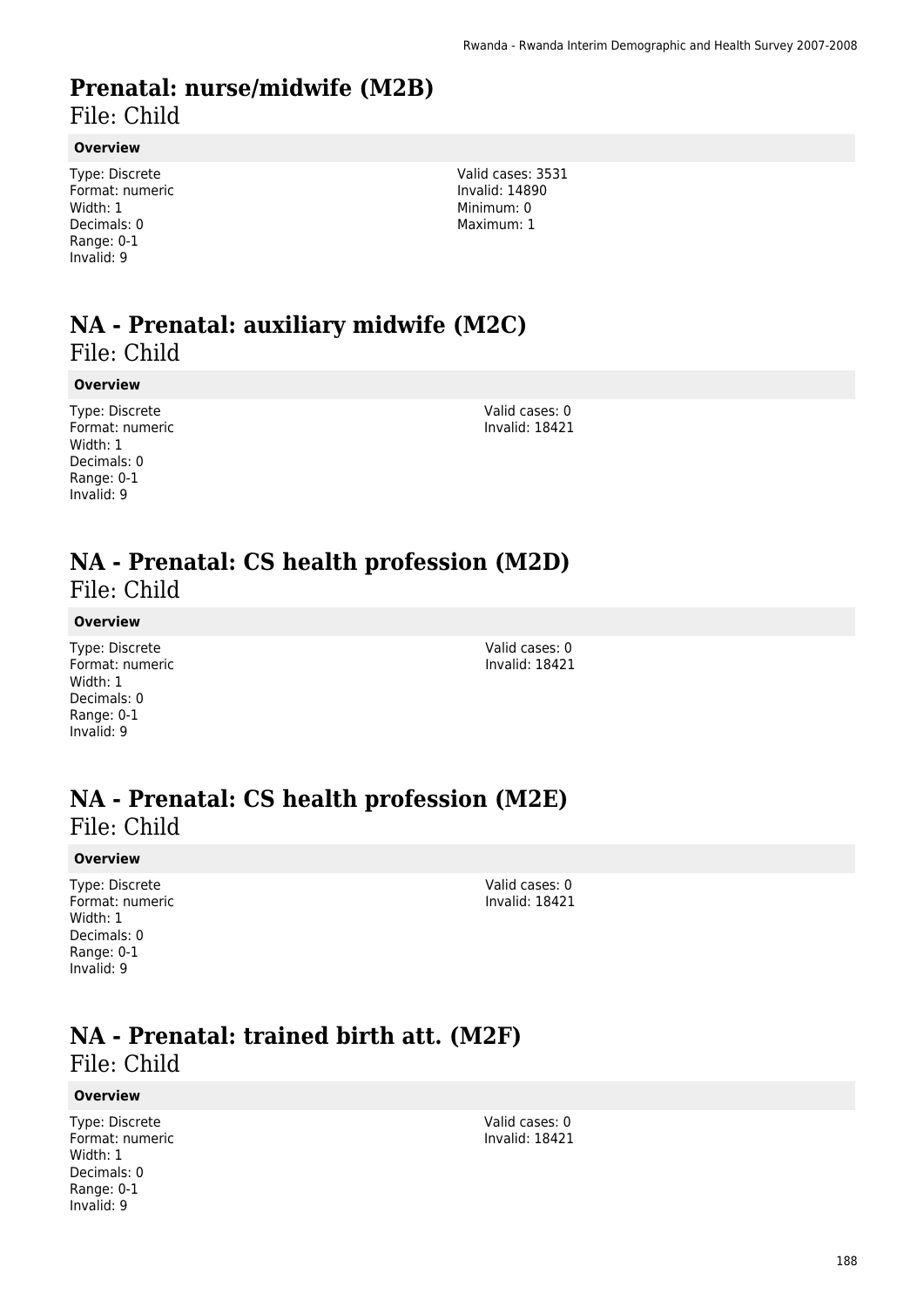### **Prenatal: nurse/midwife (M2B)**  File: Child

#### **Overview**

Type: Discrete Format: numeric Width: 1 Decimals: 0 Range: 0-1 Invalid: 9

Valid cases: 3531 Invalid: 14890 Minimum: 0 Maximum: 1

## **NA - Prenatal: auxiliary midwife (M2C)**  File: Child

#### **Overview**

Type: Discrete Format: numeric Width: 1 Decimals: 0 Range: 0-1 Invalid: 9

Valid cases: 0 Invalid: 18421

### **NA - Prenatal: CS health profession (M2D)**  File: Child

#### **Overview**

Type: Discrete Format: numeric Width: 1 Decimals: 0 Range: 0-1 Invalid: 9

Valid cases: 0 Invalid: 18421

### **NA - Prenatal: CS health profession (M2E)**  File: Child

#### **Overview**

Type: Discrete Format: numeric Width: 1 Decimals: 0 Range: 0-1 Invalid: 9

Valid cases: 0 Invalid: 18421

### **NA - Prenatal: trained birth att. (M2F)**  File: Child

#### **Overview**

Type: Discrete Format: numeric Width: 1 Decimals: 0 Range: 0-1 Invalid: 9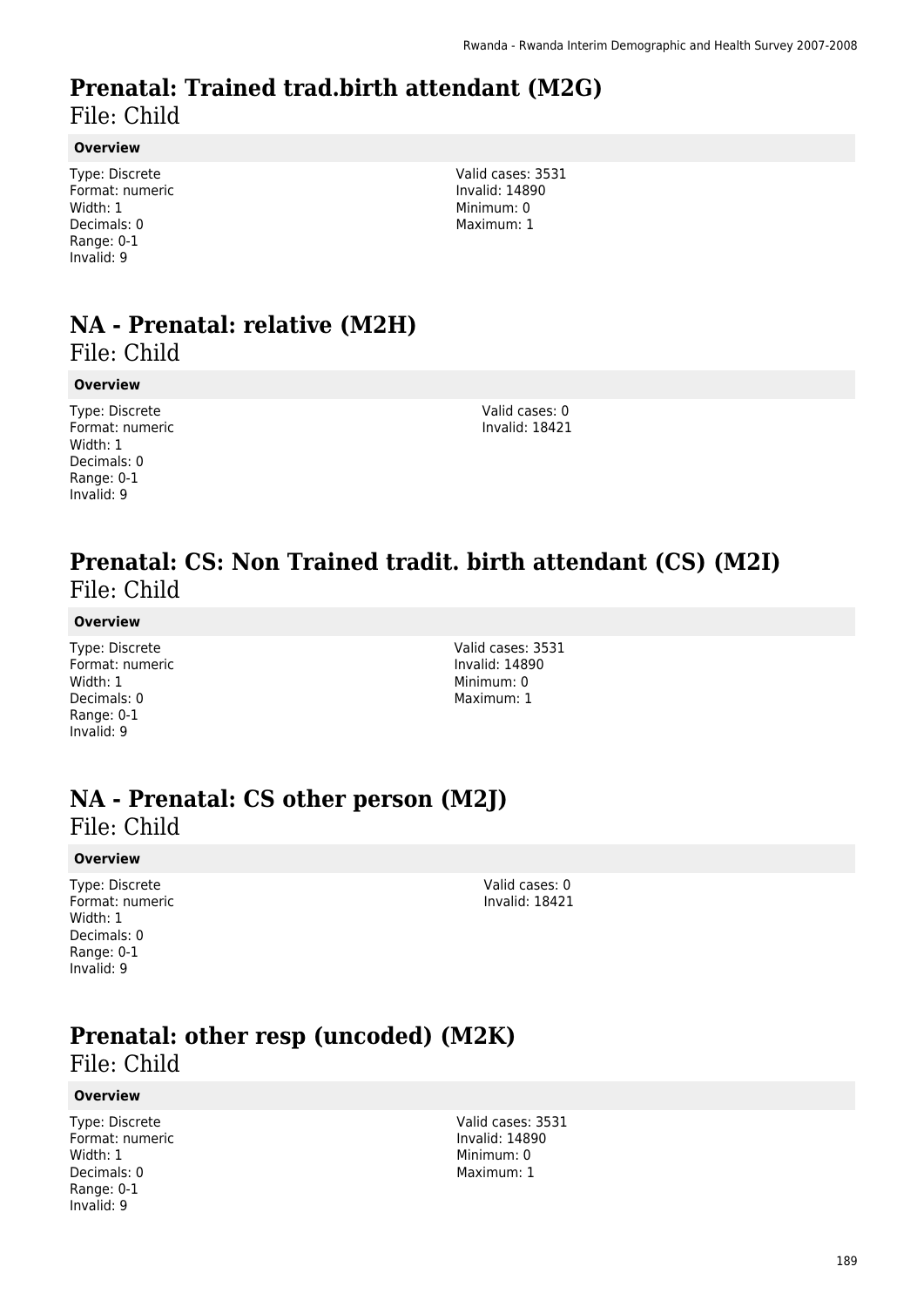### **Prenatal: Trained trad.birth attendant (M2G)**  File: Child

#### **Overview**

Type: Discrete Format: numeric Width: 1 Decimals: 0 Range: 0-1 Invalid: 9

Valid cases: 3531 Invalid: 14890 Minimum: 0 Maximum: 1

### **NA - Prenatal: relative (M2H)**  File: Child

#### **Overview**

Type: Discrete Format: numeric Width: 1 Decimals: 0 Range: 0-1 Invalid: 9

Valid cases: 0 Invalid: 18421

### **Prenatal: CS: Non Trained tradit. birth attendant (CS) (M2I)**  File: Child

#### **Overview**

Type: Discrete Format: numeric Width: 1 Decimals: 0 Range: 0-1 Invalid: 9

Valid cases: 3531 Invalid: 14890 Minimum: 0 Maximum: 1

### **NA - Prenatal: CS other person (M2J)**  File: Child

#### **Overview**

Type: Discrete Format: numeric Width: 1 Decimals: 0 Range: 0-1 Invalid: 9

Valid cases: 0 Invalid: 18421

### **Prenatal: other resp (uncoded) (M2K)**  File: Child

#### **Overview**

Type: Discrete Format: numeric Width: 1 Decimals: 0 Range: 0-1 Invalid: 9

Valid cases: 3531 Invalid: 14890 Minimum: 0 Maximum: 1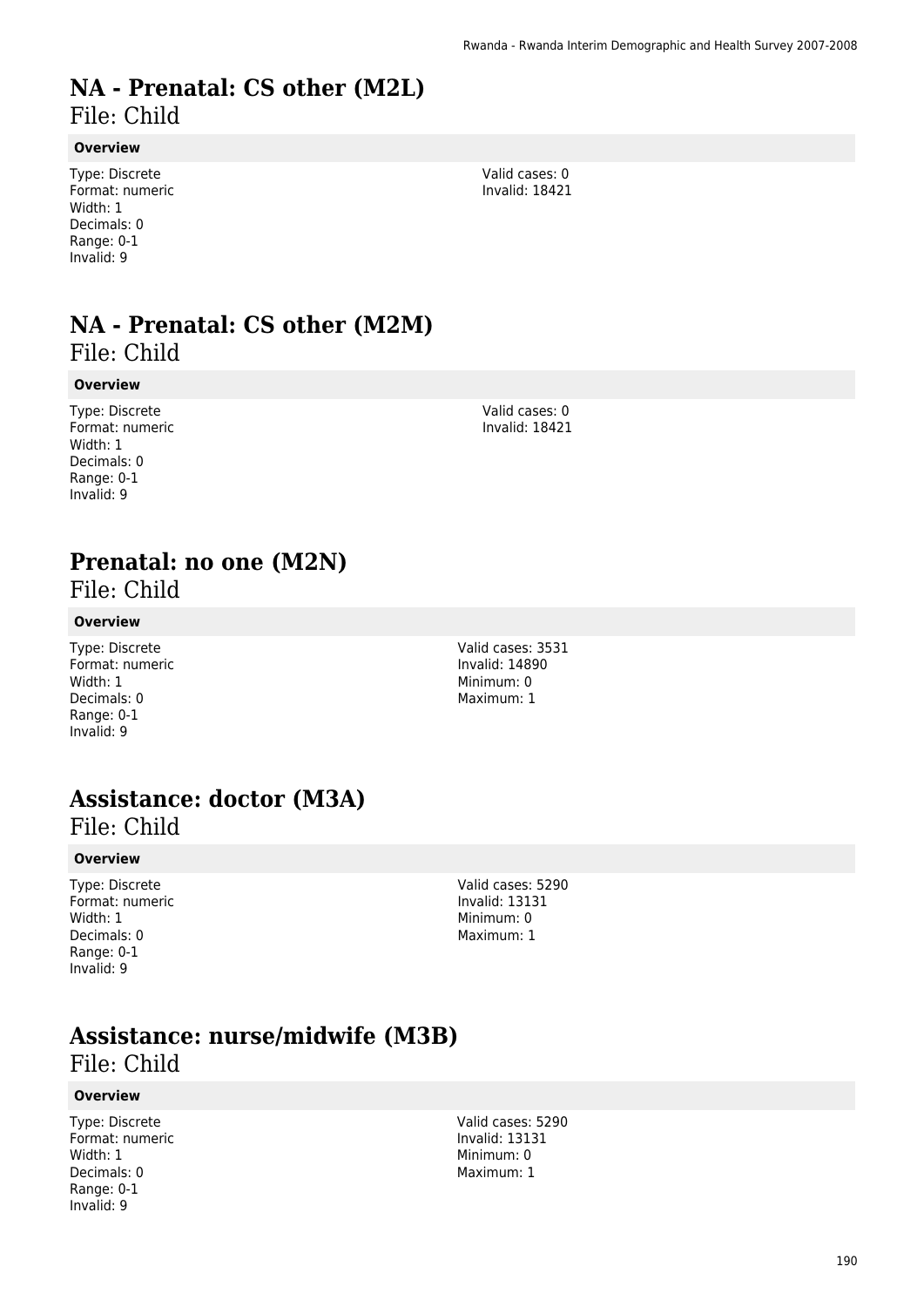### **NA - Prenatal: CS other (M2L)**  File: Child

#### **Overview**

Type: Discrete Format: numeric Width: 1 Decimals: 0 Range: 0-1 Invalid: 9

### **NA - Prenatal: CS other (M2M)**  File: Child

#### **Overview**

Type: Discrete Format: numeric Width: 1 Decimals: 0 Range: 0-1 Invalid: 9

### **Prenatal: no one (M2N)**  File: Child

#### **Overview**

Type: Discrete Format: numeric Width: 1 Decimals: 0 Range: 0-1 Invalid: 9

### **Assistance: doctor (M3A)**  File: Child

#### **Overview**

Type: Discrete Format: numeric Width: 1 Decimals: 0 Range: 0-1 Invalid: 9

#### Valid cases: 5290 Invalid: 13131 Minimum: 0 Maximum: 1

## **Assistance: nurse/midwife (M3B)**  File: Child

#### **Overview**

Type: Discrete Format: numeric Width: 1 Decimals: 0 Range: 0-1 Invalid: 9

Valid cases: 5290 Invalid: 13131 Minimum: 0 Maximum: 1

Valid cases: 0 Invalid: 18421

Valid cases: 0 Invalid: 18421

Valid cases: 3531 Invalid: 14890 Minimum: 0 Maximum: 1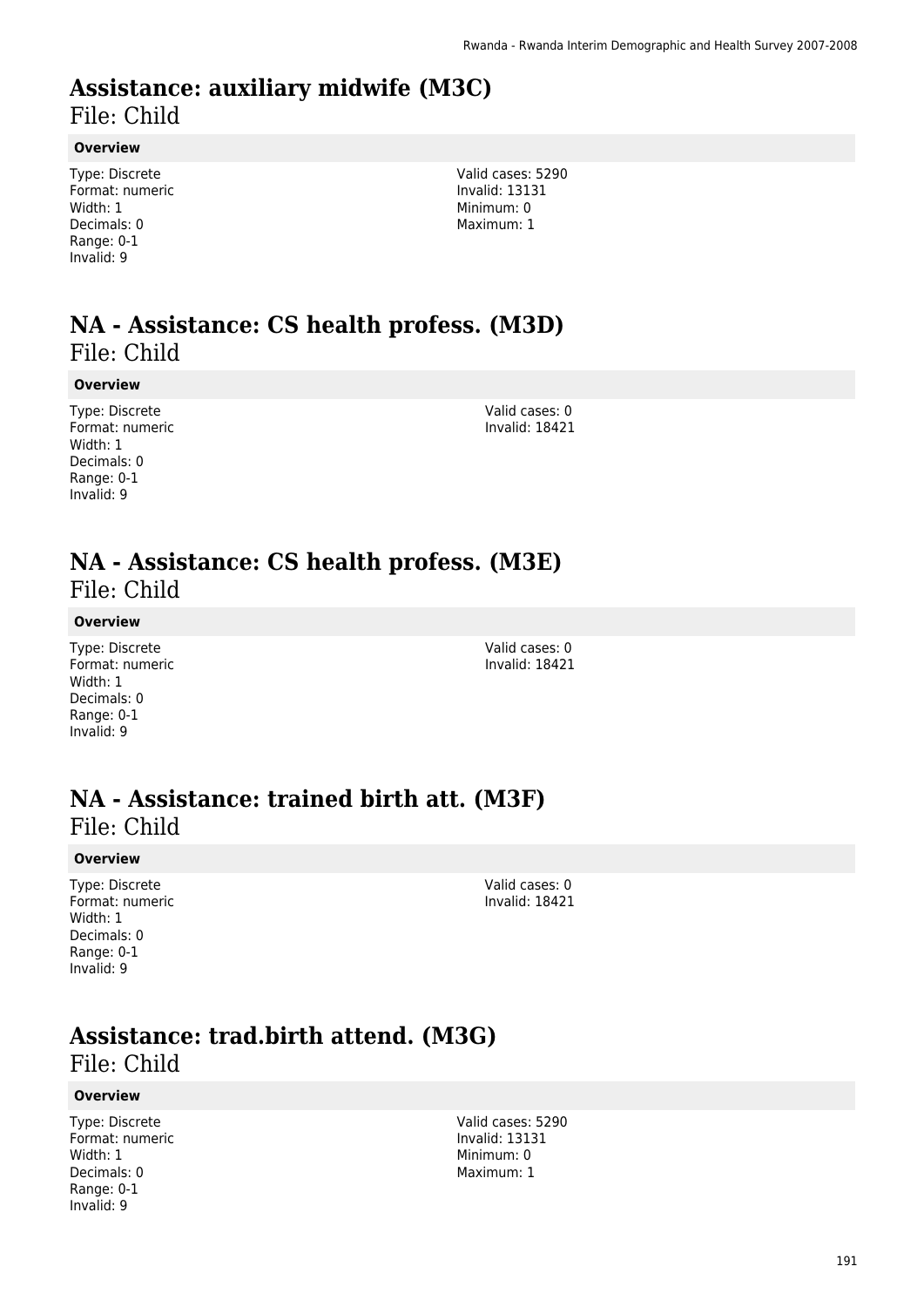### **Assistance: auxiliary midwife (M3C)**  File: Child

#### **Overview**

Type: Discrete Format: numeric Width: 1 Decimals: 0 Range: 0-1 Invalid: 9

Valid cases: 5290 Invalid: 13131 Minimum: 0 Maximum: 1

## **NA - Assistance: CS health profess. (M3D)**  File: Child

#### **Overview**

Type: Discrete Format: numeric Width: 1 Decimals: 0 Range: 0-1 Invalid: 9

Valid cases: 0 Invalid: 18421

### **NA - Assistance: CS health profess. (M3E)**  File: Child

#### **Overview**

Type: Discrete Format: numeric Width: 1 Decimals: 0 Range: 0-1 Invalid: 9

Valid cases: 0 Invalid: 18421

## **NA - Assistance: trained birth att. (M3F)**  File: Child

#### **Overview**

Type: Discrete Format: numeric Width: 1 Decimals: 0 Range: 0-1 Invalid: 9

Valid cases: 0 Invalid: 18421

### **Assistance: trad.birth attend. (M3G)**  File: Child

#### **Overview**

Type: Discrete Format: numeric Width: 1 Decimals: 0 Range: 0-1 Invalid: 9

Valid cases: 5290 Invalid: 13131 Minimum: 0 Maximum: 1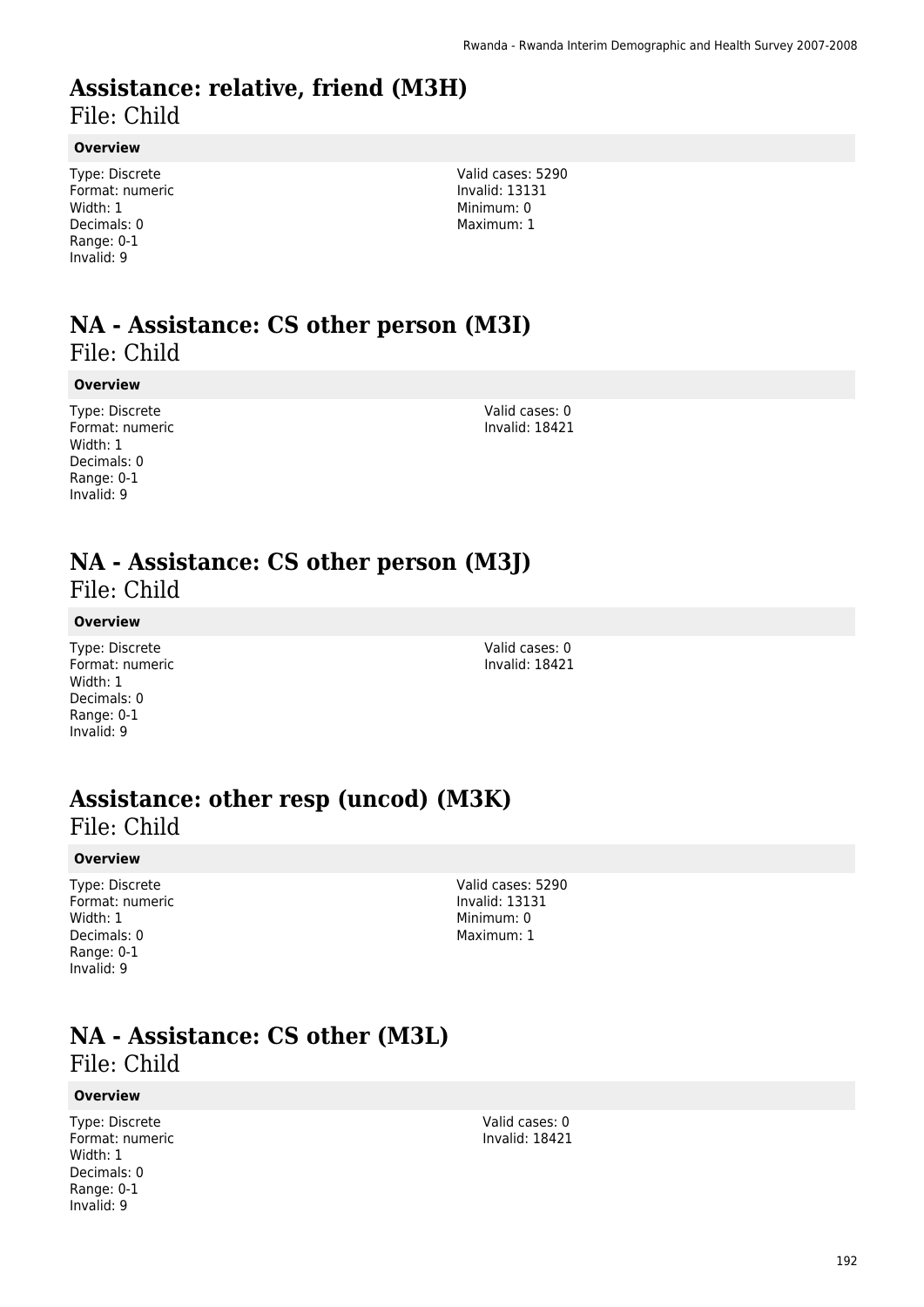### **Assistance: relative, friend (M3H)**  File: Child

#### **Overview**

Type: Discrete Format: numeric Width: 1 Decimals: 0 Range: 0-1 Invalid: 9

Valid cases: 5290 Invalid: 13131 Minimum: 0 Maximum: 1

## **NA - Assistance: CS other person (M3I)**  File: Child

#### **Overview**

Type: Discrete Format: numeric Width: 1 Decimals: 0 Range: 0-1 Invalid: 9

Valid cases: 0 Invalid: 18421

### **NA - Assistance: CS other person (M3J)**  File: Child

#### **Overview**

Type: Discrete Format: numeric Width: 1 Decimals: 0 Range: 0-1 Invalid: 9

Valid cases: 0 Invalid: 18421

### **Assistance: other resp (uncod) (M3K)**  File: Child

#### **Overview**

Type: Discrete Format: numeric Width: 1 Decimals: 0 Range: 0-1 Invalid: 9

Valid cases: 5290 Invalid: 13131 Minimum: 0 Maximum: 1

### **NA - Assistance: CS other (M3L)**  File: Child

#### **Overview**

Type: Discrete Format: numeric Width: 1 Decimals: 0 Range: 0-1 Invalid: 9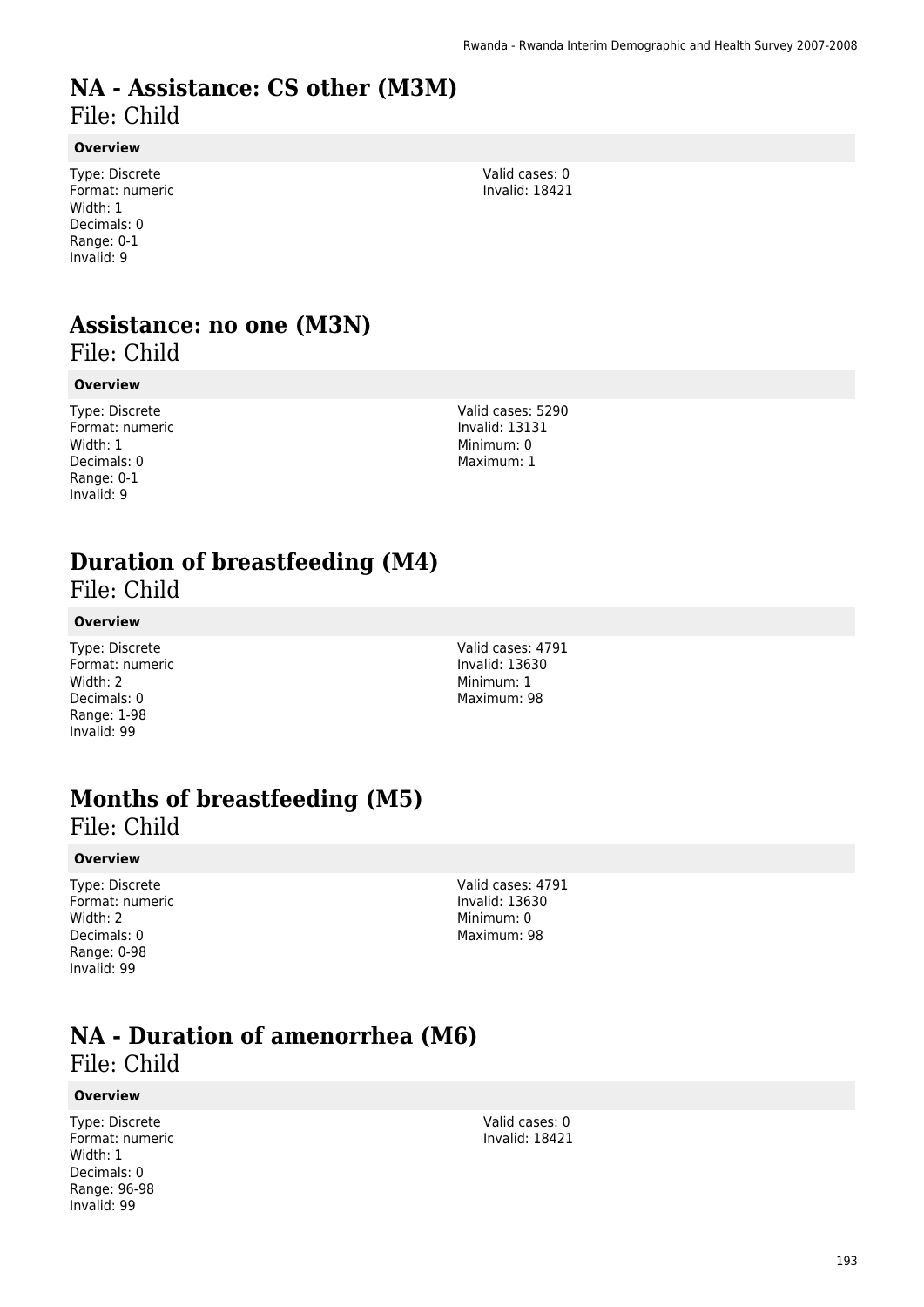### **NA - Assistance: CS other (M3M)**  File: Child

#### **Overview**

Type: Discrete Format: numeric Width: 1 Decimals: 0 Range: 0-1 Invalid: 9

#### Valid cases: 0 Invalid: 18421

### **Assistance: no one (M3N)**  File: Child

#### **Overview**

Type: Discrete Format: numeric Width: 1 Decimals: 0 Range: 0-1 Invalid: 9

Valid cases: 5290 Invalid: 13131 Minimum: 0 Maximum: 1

### **Duration of breastfeeding (M4)**  File: Child

#### **Overview**

Type: Discrete Format: numeric Width: 2 Decimals: 0 Range: 1-98 Invalid: 99

Valid cases: 4791 Invalid: 13630 Minimum: 1 Maximum: 98

## **Months of breastfeeding (M5)**

File: Child

#### **Overview**

Type: Discrete Format: numeric Width: 2 Decimals: 0 Range: 0-98 Invalid: 99

Valid cases: 4791 Invalid: 13630 Minimum: 0 Maximum: 98

### **NA - Duration of amenorrhea (M6)**  File: Child

#### **Overview**

Type: Discrete Format: numeric Width: 1 Decimals: 0 Range: 96-98 Invalid: 99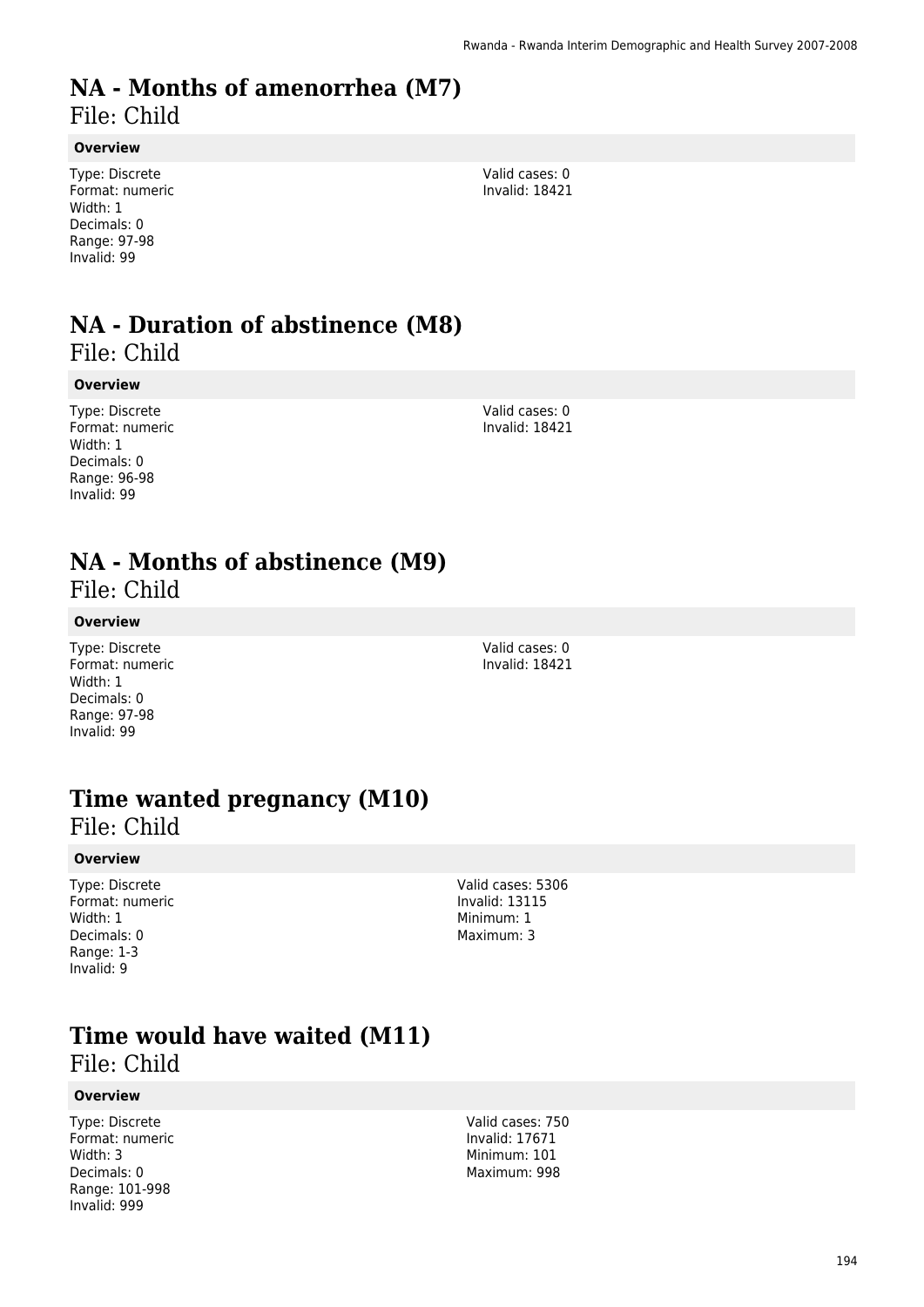### **NA - Months of amenorrhea (M7)**  File: Child

#### **Overview**

Type: Discrete Format: numeric Width: 1 Decimals: 0 Range: 97-98 Invalid: 99

### **NA - Duration of abstinence (M8)**  File: Child

#### **Overview**

Type: Discrete Format: numeric Width: 1 Decimals: 0 Range: 96-98 Invalid: 99

### **NA - Months of abstinence (M9)**  File: Child

#### **Overview**

Type: Discrete Format: numeric Width: 1 Decimals: 0 Range: 97-98 Invalid: 99

### **Time wanted pregnancy (M10)**  File: Child

#### **Overview**

Type: Discrete Format: numeric Width: 1 Decimals: 0 Range: 1-3 Invalid: 9

Valid cases: 5306 Invalid: 13115 Minimum: 1 Maximum: 3

## **Time would have waited (M11)**  File: Child

#### **Overview**

Type: Discrete Format: numeric Width: 3 Decimals: 0 Range: 101-998 Invalid: 999

Valid cases: 750 Invalid: 17671 Minimum: 101 Maximum: 998

Valid cases: 0 Invalid: 18421

Valid cases: 0 Invalid: 18421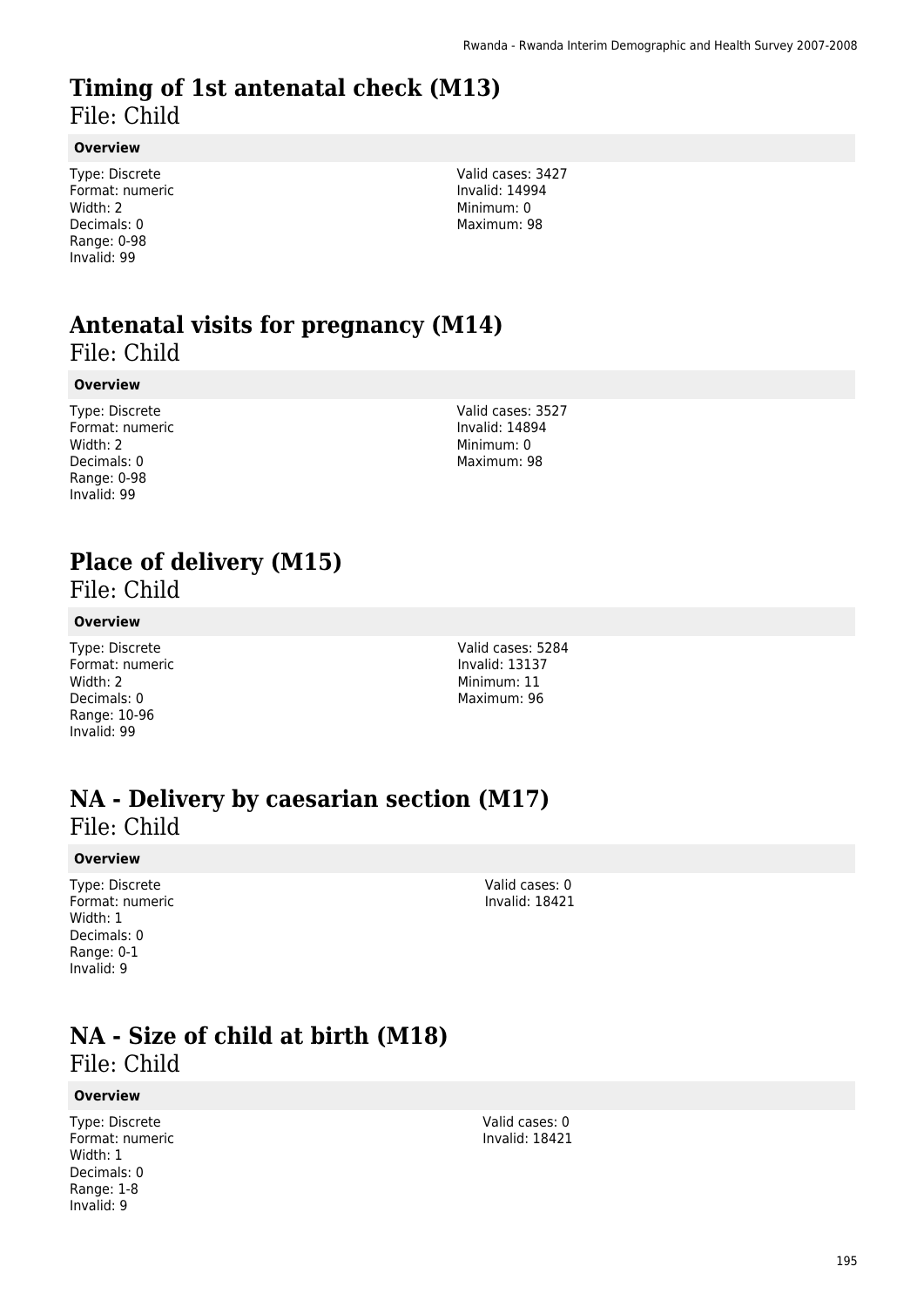### **Timing of 1st antenatal check (M13)**  File: Child

**Overview**

Type: Discrete Format: numeric Width: 2 Decimals: 0 Range: 0-98 Invalid: 99

Valid cases: 3427 Invalid: 14994 Minimum: 0 Maximum: 98

## **Antenatal visits for pregnancy (M14)**  File: Child

#### **Overview**

Type: Discrete Format: numeric Width: 2 Decimals: 0 Range: 0-98 Invalid: 99

Valid cases: 3527 Invalid: 14894 Minimum: 0 Maximum: 98

### **Place of delivery (M15)**  File: Child

#### **Overview**

Type: Discrete Format: numeric Width: 2 Decimals: 0 Range: 10-96 Invalid: 99

Valid cases: 5284 Invalid: 13137 Minimum: 11 Maximum: 96

## **NA - Delivery by caesarian section (M17)**  File: Child

#### **Overview**

Type: Discrete Format: numeric Width: 1 Decimals: 0 Range: 0-1 Invalid: 9

Valid cases: 0 Invalid: 18421

### **NA - Size of child at birth (M18)**  File: Child

#### **Overview**

Type: Discrete Format: numeric Width: 1 Decimals: 0 Range: 1-8 Invalid: 9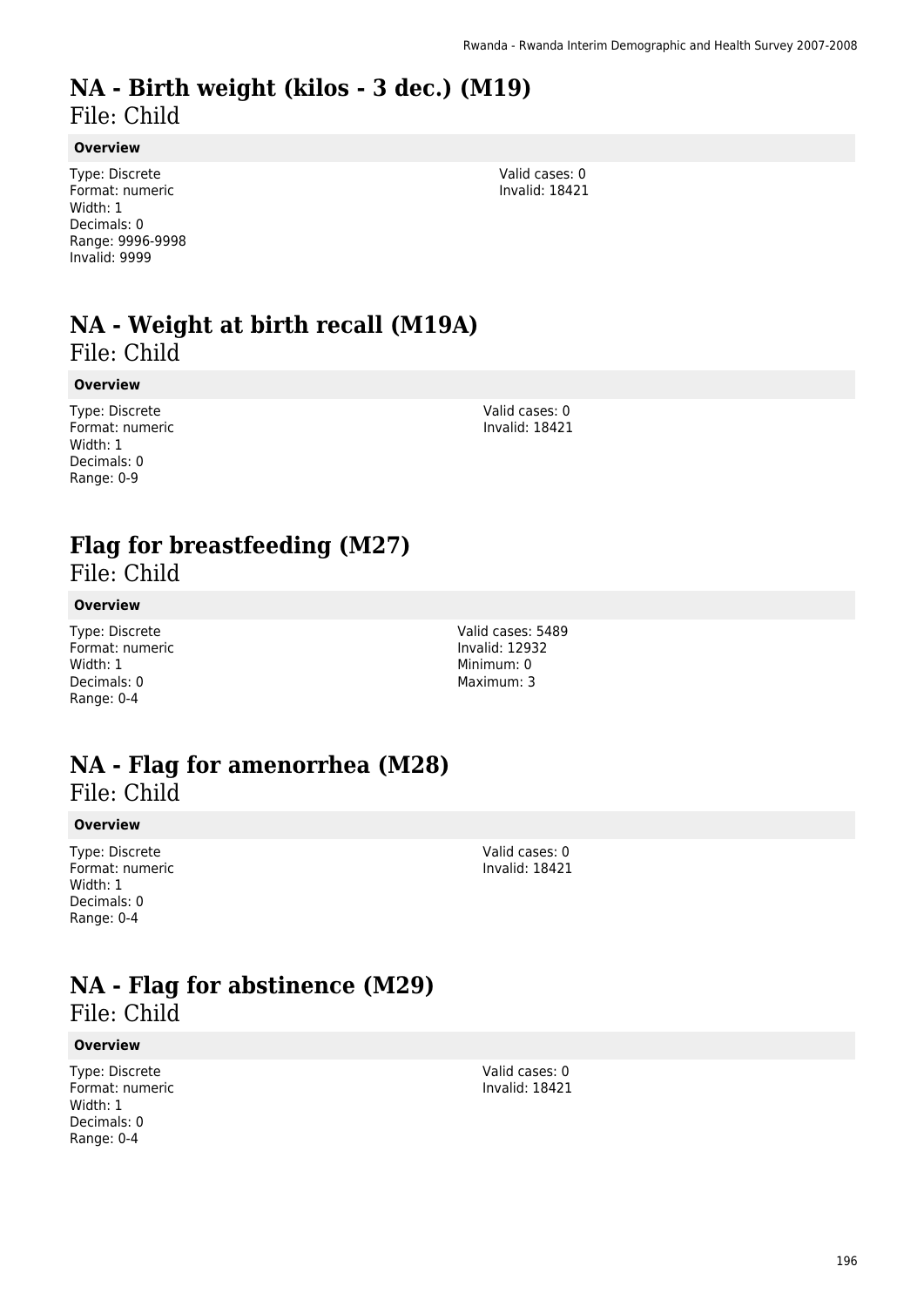### **NA - Birth weight (kilos - 3 dec.) (M19)**  File: Child

**Overview**

Type: Discrete Format: numeric Width: 1 Decimals: 0 Range: 9996-9998 Invalid: 9999

## **NA - Weight at birth recall (M19A)**  File: Child

#### **Overview**

Type: Discrete Format: numeric Width: 1 Decimals: 0 Range: 0-9

### **Flag for breastfeeding (M27)**  File: Child

#### **Overview**

Type: Discrete Format: numeric Width: 1 Decimals: 0 Range: 0-4

Valid cases: 5489 Invalid: 12932 Minimum: 0 Maximum: 3

### **NA - Flag for amenorrhea (M28)**  File: Child

#### **Overview**

Type: Discrete Format: numeric Width: 1 Decimals: 0 Range: 0-4

### **NA - Flag for abstinence (M29)**  File: Child

#### **Overview**

Type: Discrete Format: numeric Width: 1 Decimals: 0 Range: 0-4

Valid cases: 0 Invalid: 18421

Valid cases: 0 Invalid: 18421

Valid cases: 0 Invalid: 18421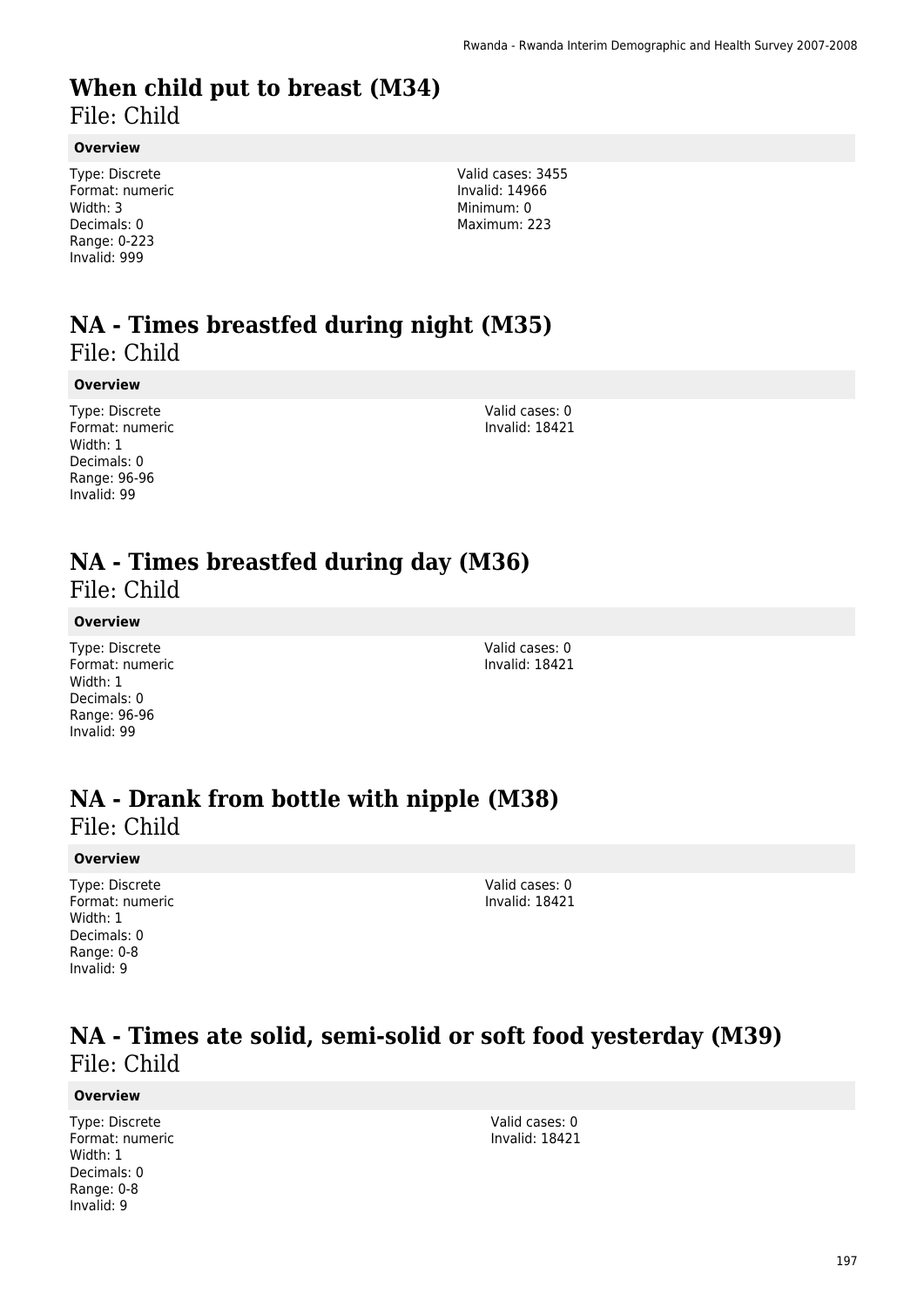### **When child put to breast (M34)**  File: Child

**Overview**

Type: Discrete Format: numeric Width: 3 Decimals: 0 Range: 0-223 Invalid: 999

Valid cases: 3455 Invalid: 14966 Minimum: 0 Maximum: 223

## **NA - Times breastfed during night (M35)**  File: Child

**Overview**

Type: Discrete Format: numeric Width: 1 Decimals: 0 Range: 96-96 Invalid: 99

Valid cases: 0 Invalid: 18421

### **NA - Times breastfed during day (M36)**  File: Child

**Overview**

Type: Discrete Format: numeric Width: 1 Decimals: 0 Range: 96-96 Invalid: 99

Valid cases: 0 Invalid: 18421

### **NA - Drank from bottle with nipple (M38)**  File: Child

#### **Overview**

Type: Discrete Format: numeric Width: 1 Decimals: 0 Range: 0-8 Invalid: 9

Valid cases: 0 Invalid: 18421

### **NA - Times ate solid, semi-solid or soft food yesterday (M39)**  File: Child

#### **Overview**

Type: Discrete Format: numeric Width: 1 Decimals: 0 Range: 0-8 Invalid: 9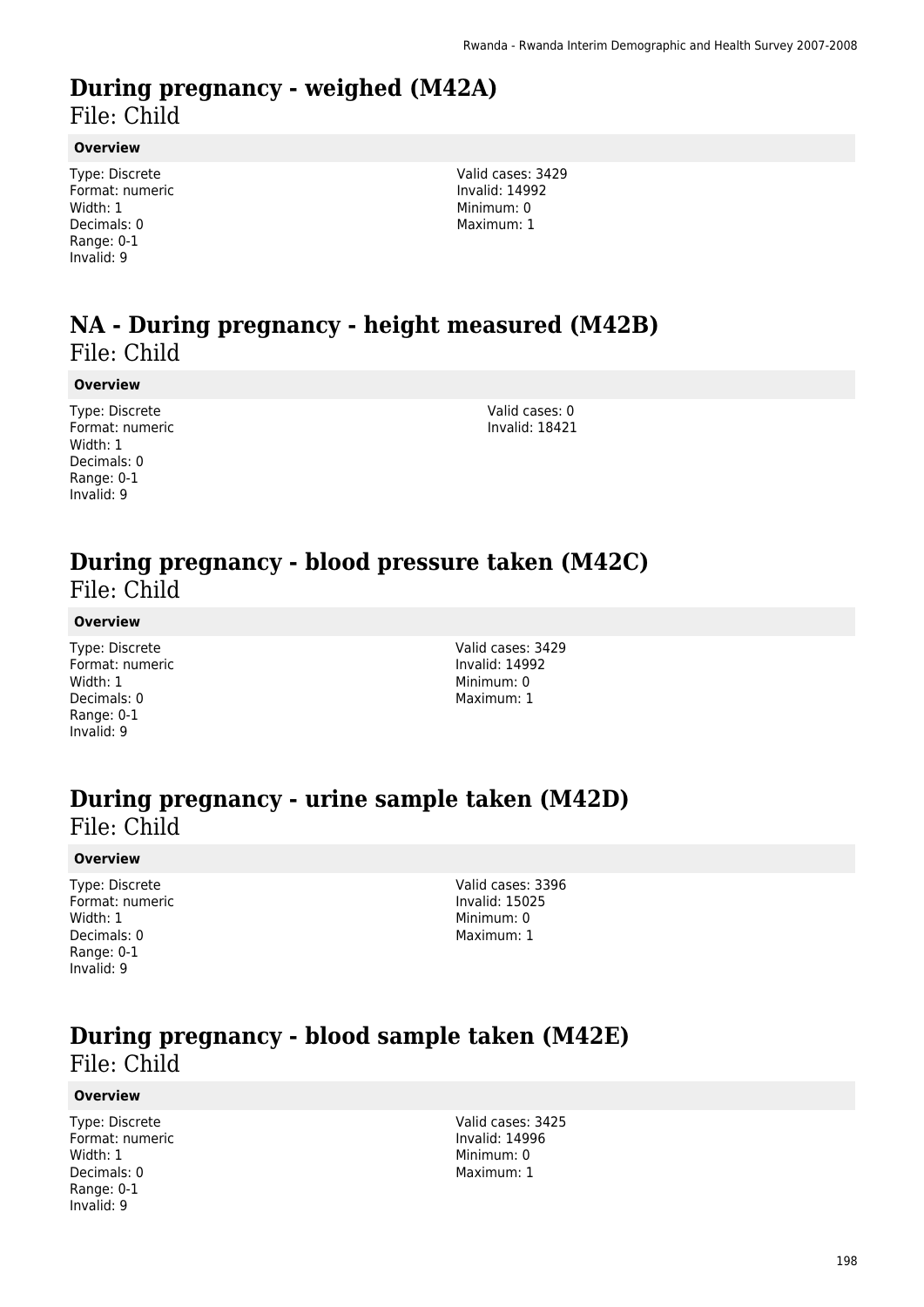### **During pregnancy - weighed (M42A)**  File: Child

**Overview**

Type: Discrete Format: numeric Width: 1 Decimals: 0 Range: 0-1 Invalid: 9

Valid cases: 3429 Invalid: 14992 Minimum: 0 Maximum: 1

## **NA - During pregnancy - height measured (M42B)**  File: Child

**Overview**

Type: Discrete Format: numeric Width: 1 Decimals: 0 Range: 0-1 Invalid: 9

Valid cases: 0 Invalid: 18421

### **During pregnancy - blood pressure taken (M42C)**  File: Child

**Overview**

Type: Discrete Format: numeric Width: 1 Decimals: 0 Range: 0-1 Invalid: 9

Valid cases: 3429 Invalid: 14992 Minimum: 0 Maximum: 1

### **During pregnancy - urine sample taken (M42D)**  File: Child

#### **Overview**

Type: Discrete Format: numeric Width: 1 Decimals: 0 Range: 0-1 Invalid: 9

Valid cases: 3396 Invalid: 15025 Minimum: 0 Maximum: 1

### **During pregnancy - blood sample taken (M42E)**  File: Child

#### **Overview**

Type: Discrete Format: numeric Width: 1 Decimals: 0 Range: 0-1 Invalid: 9

Valid cases: 3425 Invalid: 14996 Minimum: 0 Maximum: 1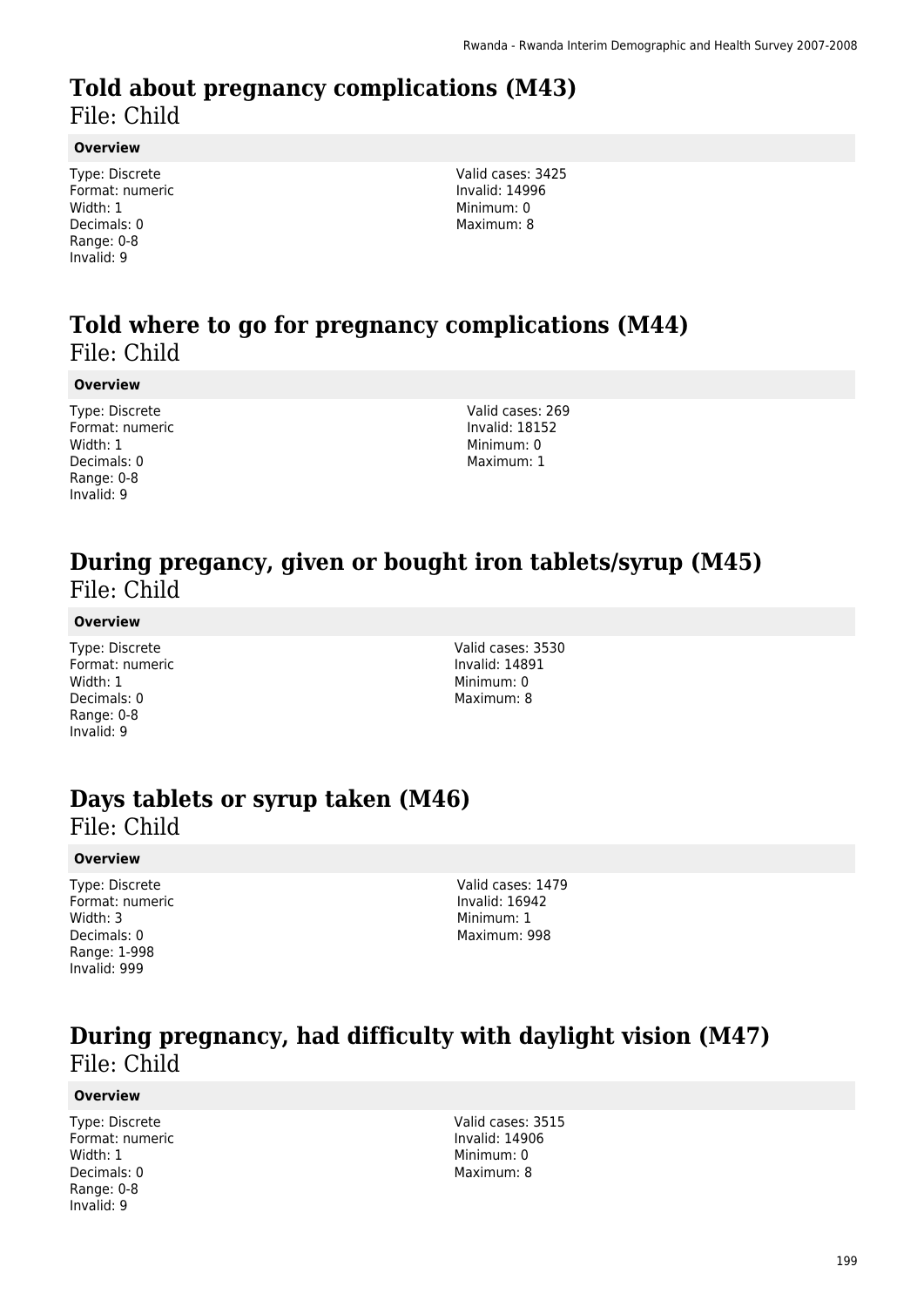### **Told about pregnancy complications (M43)**  File: Child

**Overview**

Type: Discrete Format: numeric Width: 1 Decimals: 0 Range: 0-8 Invalid: 9

Valid cases: 3425 Invalid: 14996 Minimum: 0 Maximum: 8

## **Told where to go for pregnancy complications (M44)**  File: Child

**Overview**

Type: Discrete Format: numeric Width: 1 Decimals: 0 Range: 0-8 Invalid: 9

Valid cases: 269 Invalid: 18152 Minimum: 0 Maximum: 1

## **During pregancy, given or bought iron tablets/syrup (M45)**  File: Child

**Overview**

Type: Discrete Format: numeric Width: 1 Decimals: 0 Range: 0-8 Invalid: 9

Valid cases: 3530 Invalid: 14891 Minimum: 0 Maximum: 8

### **Days tablets or syrup taken (M46)**  File: Child

#### **Overview**

Type: Discrete Format: numeric Width: 3 Decimals: 0 Range: 1-998 Invalid: 999

Valid cases: 1479 Invalid: 16942 Minimum: 1 Maximum: 998

### **During pregnancy, had difficulty with daylight vision (M47)**  File: Child

#### **Overview**

Type: Discrete Format: numeric Width: 1 Decimals: 0 Range: 0-8 Invalid: 9

Valid cases: 3515 Invalid: 14906 Minimum: 0 Maximum: 8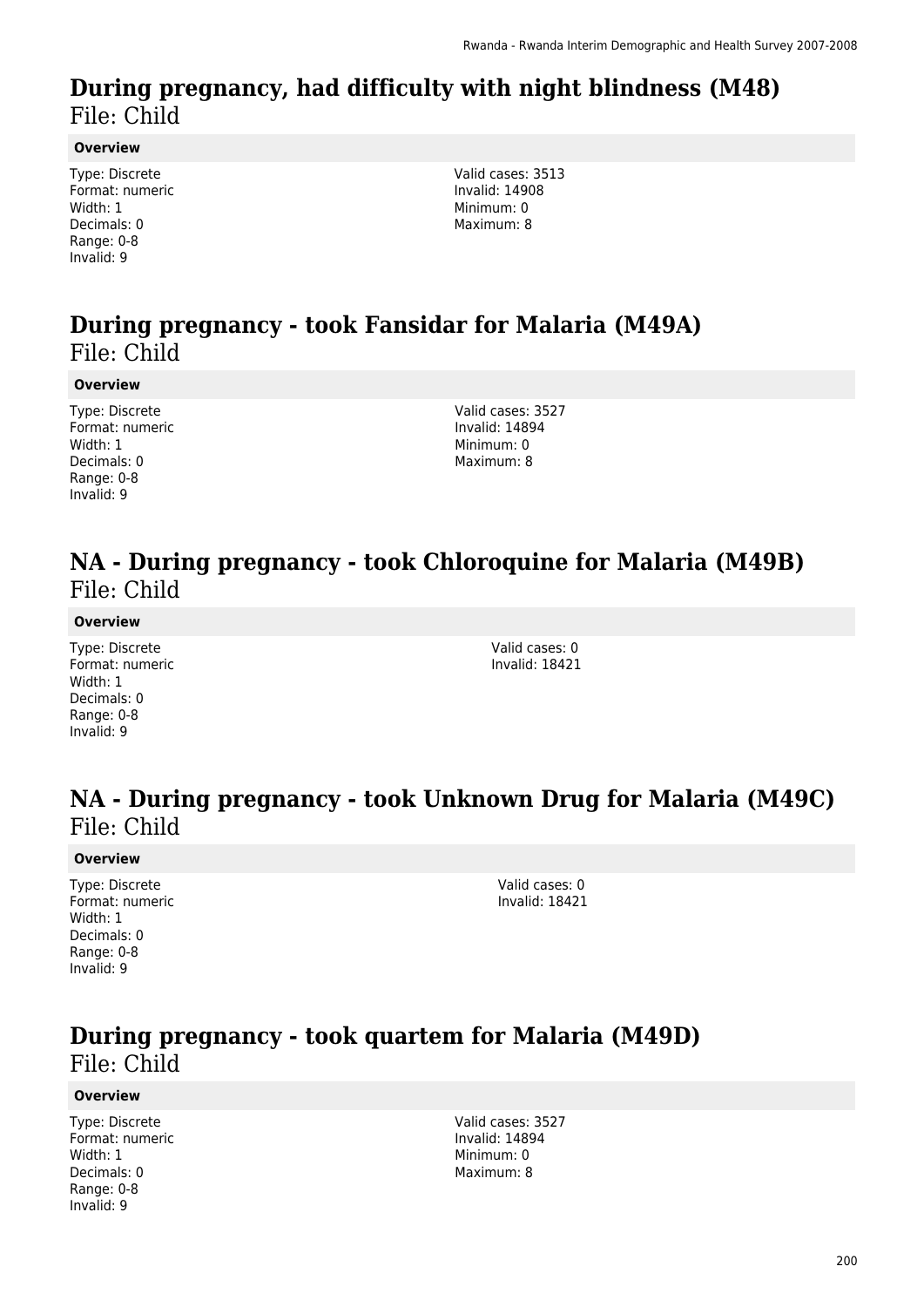### **During pregnancy, had difficulty with night blindness (M48)**  File: Child

**Overview**

Type: Discrete Format: numeric Width: 1 Decimals: 0 Range: 0-8 Invalid: 9

Valid cases: 3513 Invalid: 14908 Minimum: 0 Maximum: 8

## **During pregnancy - took Fansidar for Malaria (M49A)**  File: Child

**Overview**

Type: Discrete Format: numeric Width: 1 Decimals: 0 Range: 0-8 Invalid: 9

Valid cases: 3527 Invalid: 14894 Minimum: 0 Maximum: 8

## **NA - During pregnancy - took Chloroquine for Malaria (M49B)**  File: Child

**Overview**

Type: Discrete Format: numeric Width: 1 Decimals: 0 Range: 0-8 Invalid: 9

Valid cases: 0 Invalid: 18421

## **NA - During pregnancy - took Unknown Drug for Malaria (M49C)**  File: Child

#### **Overview**

Type: Discrete Format: numeric Width: 1 Decimals: 0 Range: 0-8 Invalid: 9

Valid cases: 0 Invalid: 18421

### **During pregnancy - took quartem for Malaria (M49D)**  File: Child

#### **Overview**

Type: Discrete Format: numeric Width: 1 Decimals: 0 Range: 0-8 Invalid: 9

Valid cases: 3527 Invalid: 14894 Minimum: 0 Maximum: 8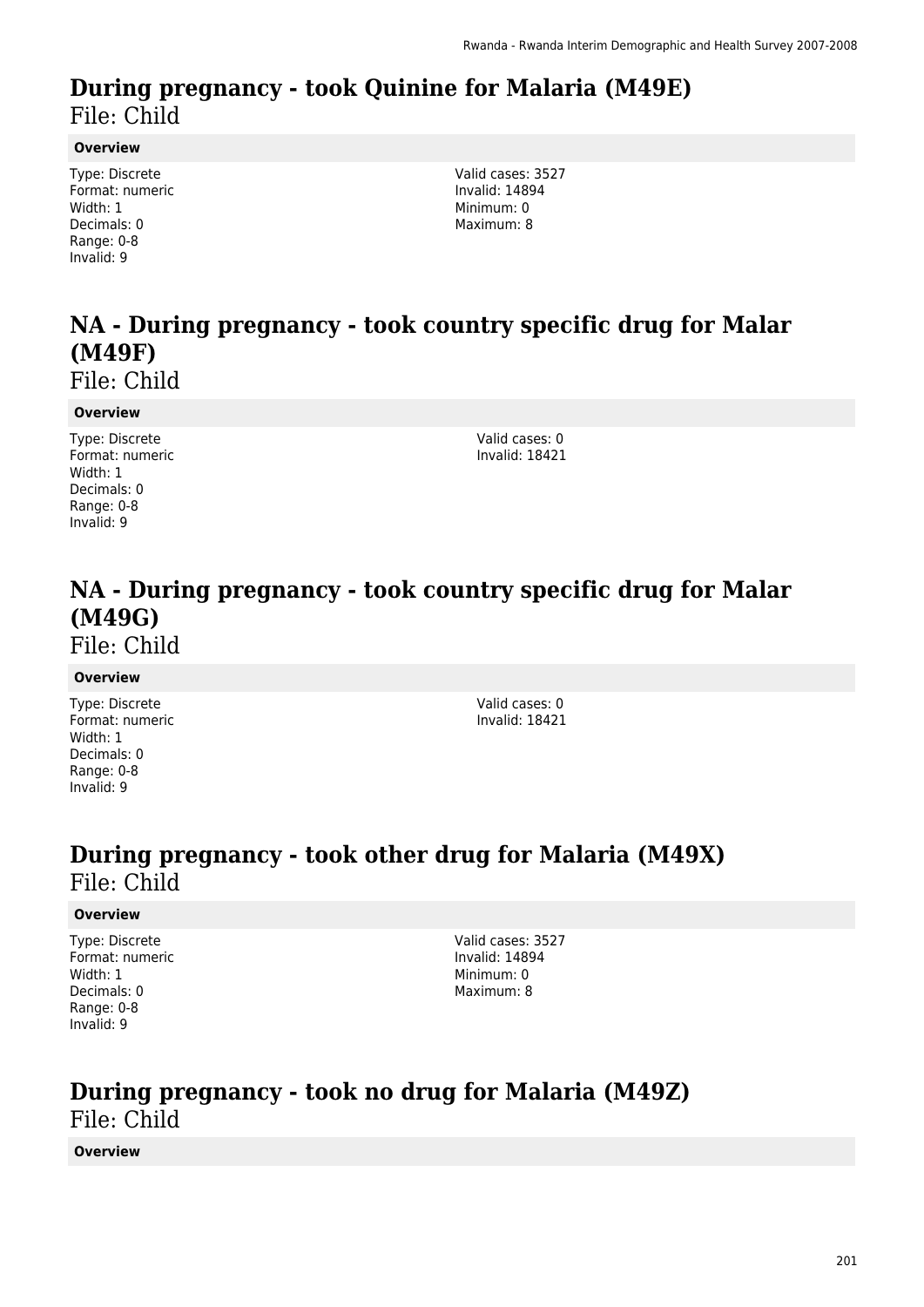### **During pregnancy - took Quinine for Malaria (M49E)**  File: Child

**Overview**

Type: Discrete Format: numeric Width: 1 Decimals: 0 Range: 0-8 Invalid: 9

Valid cases: 3527 Invalid: 14894 Minimum: 0 Maximum: 8

### **NA - During pregnancy - took country specific drug for Malar (M49F)**  File: Child

**Overview**

Type: Discrete Format: numeric Width: 1 Decimals: 0 Range: 0-8 Invalid: 9

Valid cases: 0 Invalid: 18421

### **NA - During pregnancy - took country specific drug for Malar (M49G)**  File: Child

#### **Overview**

Type: Discrete Format: numeric Width: 1 Decimals: 0 Range: 0-8 Invalid: 9

Valid cases: 0 Invalid: 18421

### **During pregnancy - took other drug for Malaria (M49X)**  File: Child

#### **Overview**

Type: Discrete Format: numeric Width: 1 Decimals: 0 Range: 0-8 Invalid: 9

Valid cases: 3527 Invalid: 14894 Minimum: 0 Maximum: 8

### **During pregnancy - took no drug for Malaria (M49Z)**  File: Child

#### **Overview**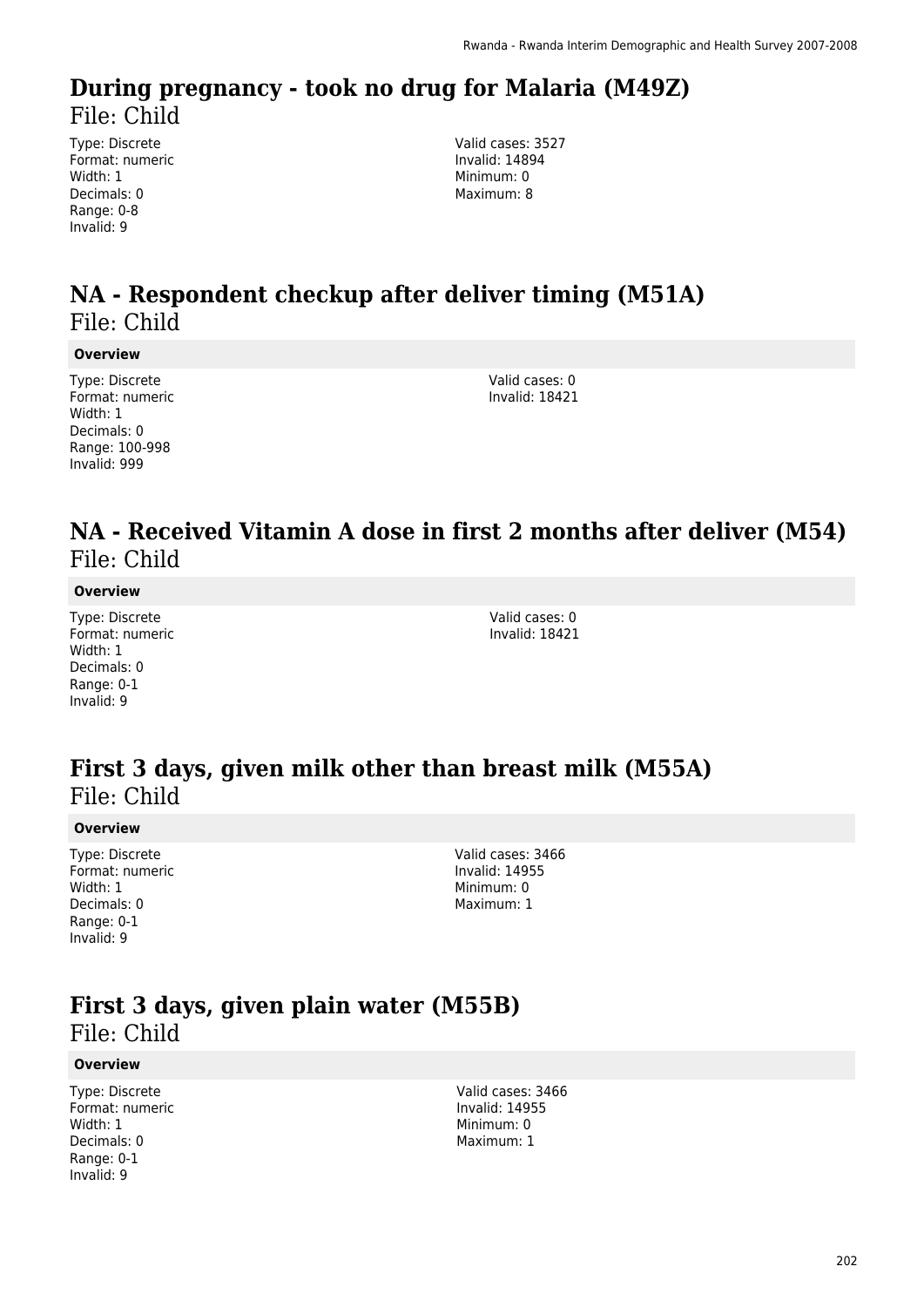### **During pregnancy - took no drug for Malaria (M49Z)**  File: Child

Type: Discrete Format: numeric Width: 1 Decimals: 0 Range: 0-8 Invalid: 9

Valid cases: 3527 Invalid: 14894 Minimum: 0 Maximum: 8

## **NA - Respondent checkup after deliver timing (M51A)**  File: Child

#### **Overview**

Type: Discrete Format: numeric Width: 1 Decimals: 0 Range: 100-998 Invalid: 999

Valid cases: 0 Invalid: 18421

## **NA - Received Vitamin A dose in first 2 months after deliver (M54)**  File: Child

#### **Overview**

Type: Discrete Format: numeric Width: 1 Decimals: 0 Range: 0-1 Invalid: 9

Valid cases: 0 Invalid: 18421

### **First 3 days, given milk other than breast milk (M55A)**  File: Child

#### **Overview**

Type: Discrete Format: numeric Width: 1 Decimals: 0 Range: 0-1 Invalid: 9

Valid cases: 3466 Invalid: 14955 Minimum: 0 Maximum: 1

### **First 3 days, given plain water (M55B)**  File: Child

#### **Overview**

Type: Discrete Format: numeric Width: 1 Decimals: 0 Range: 0-1 Invalid: 9

Valid cases: 3466 Invalid: 14955 Minimum: 0 Maximum: 1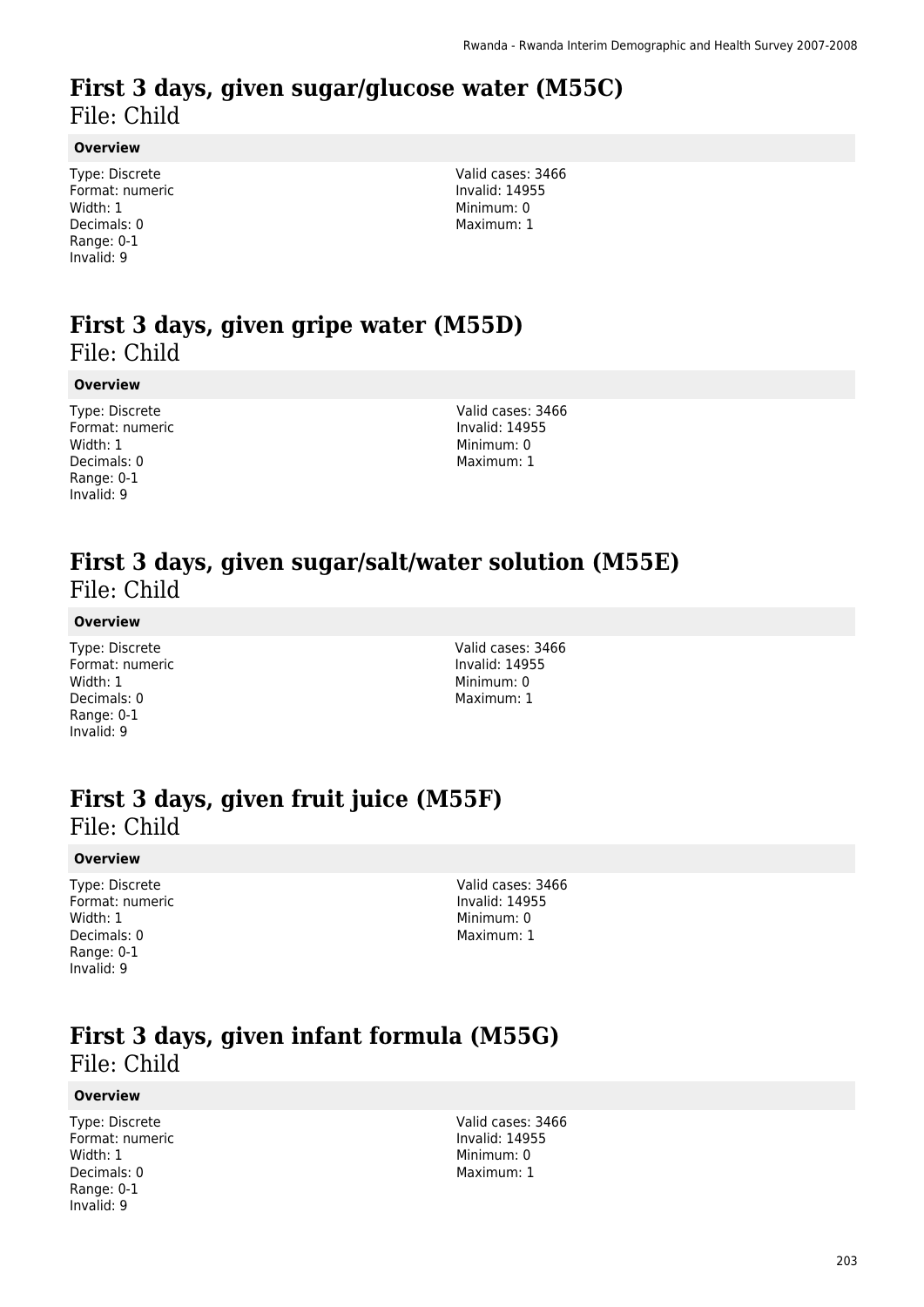### **First 3 days, given sugar/glucose water (M55C)**  File: Child

**Overview**

Type: Discrete Format: numeric Width: 1 Decimals: 0 Range: 0-1 Invalid: 9

Valid cases: 3466 Invalid: 14955 Minimum: 0 Maximum: 1

## **First 3 days, given gripe water (M55D)**  File: Child

#### **Overview**

Type: Discrete Format: numeric Width: 1 Decimals: 0 Range: 0-1 Invalid: 9

Valid cases: 3466 Invalid: 14955 Minimum: 0 Maximum: 1

### **First 3 days, given sugar/salt/water solution (M55E)**  File: Child

#### **Overview**

Type: Discrete Format: numeric Width: 1 Decimals: 0 Range: 0-1 Invalid: 9

Valid cases: 3466 Invalid: 14955 Minimum: 0 Maximum: 1

## **First 3 days, given fruit juice (M55F)**  File: Child

#### **Overview**

Type: Discrete Format: numeric Width: 1 Decimals: 0 Range: 0-1 Invalid: 9

Valid cases: 3466 Invalid: 14955 Minimum: 0 Maximum: 1

## **First 3 days, given infant formula (M55G)**  File: Child

#### **Overview**

Type: Discrete Format: numeric Width: 1 Decimals: 0 Range: 0-1 Invalid: 9

Valid cases: 3466 Invalid: 14955 Minimum: 0 Maximum: 1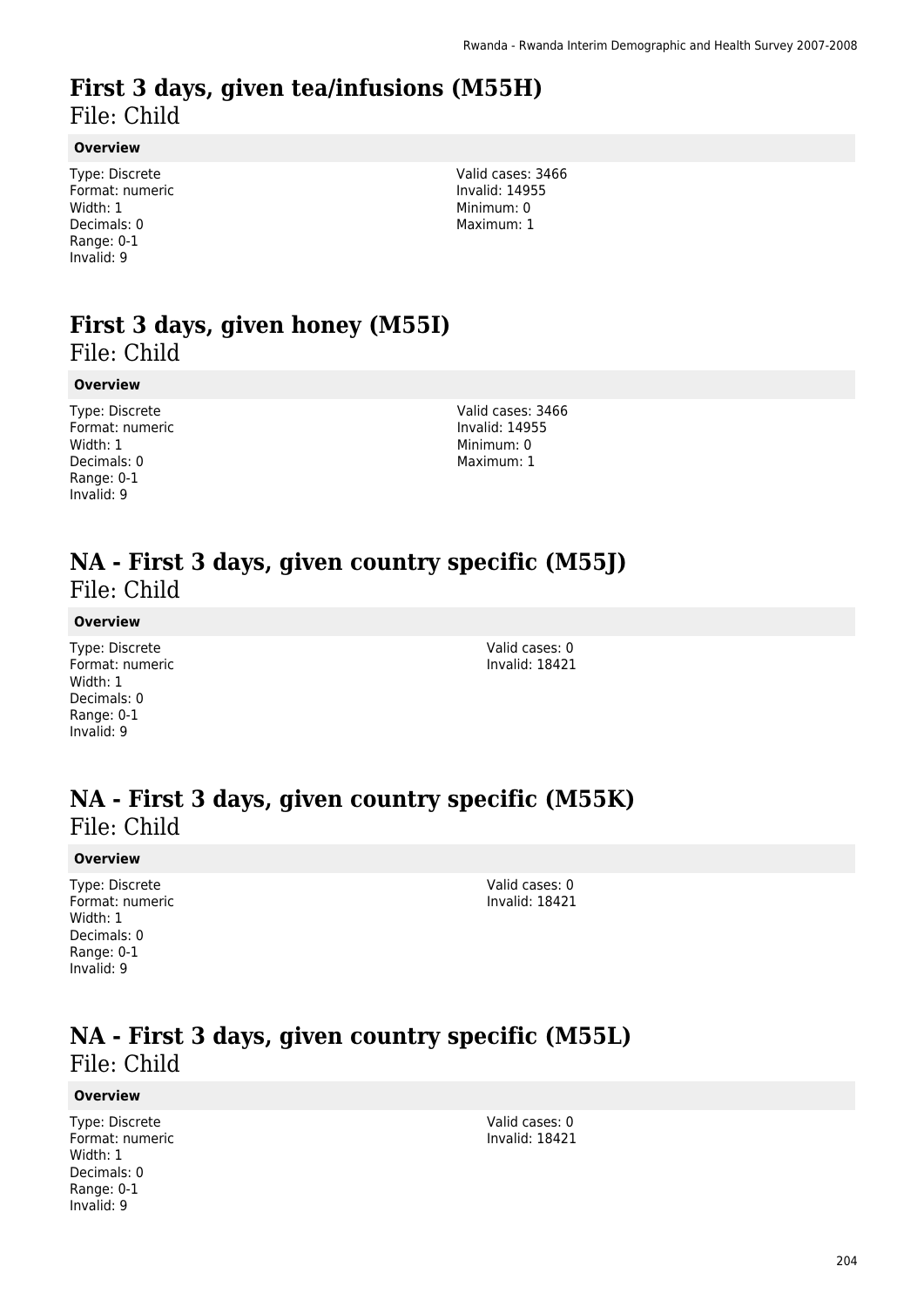### **First 3 days, given tea/infusions (M55H)**  File: Child

#### **Overview**

Type: Discrete Format: numeric Width: 1 Decimals: 0 Range: 0-1 Invalid: 9

Valid cases: 3466 Invalid: 14955 Minimum: 0 Maximum: 1

## **First 3 days, given honey (M55I)**  File: Child

#### **Overview**

Type: Discrete Format: numeric Width: 1 Decimals: 0 Range: 0-1 Invalid: 9

Valid cases: 3466 Invalid: 14955 Minimum: 0 Maximum: 1

### **NA - First 3 days, given country specific (M55J)**  File: Child

#### **Overview**

Type: Discrete Format: numeric Width: 1 Decimals: 0 Range: 0-1 Invalid: 9

Valid cases: 0 Invalid: 18421

### **NA - First 3 days, given country specific (M55K)**  File: Child

#### **Overview**

Type: Discrete Format: numeric Width: 1 Decimals: 0 Range: 0-1 Invalid: 9

Valid cases: 0 Invalid: 18421

### **NA - First 3 days, given country specific (M55L)**  File: Child

#### **Overview**

Type: Discrete Format: numeric Width: 1 Decimals: 0 Range: 0-1 Invalid: 9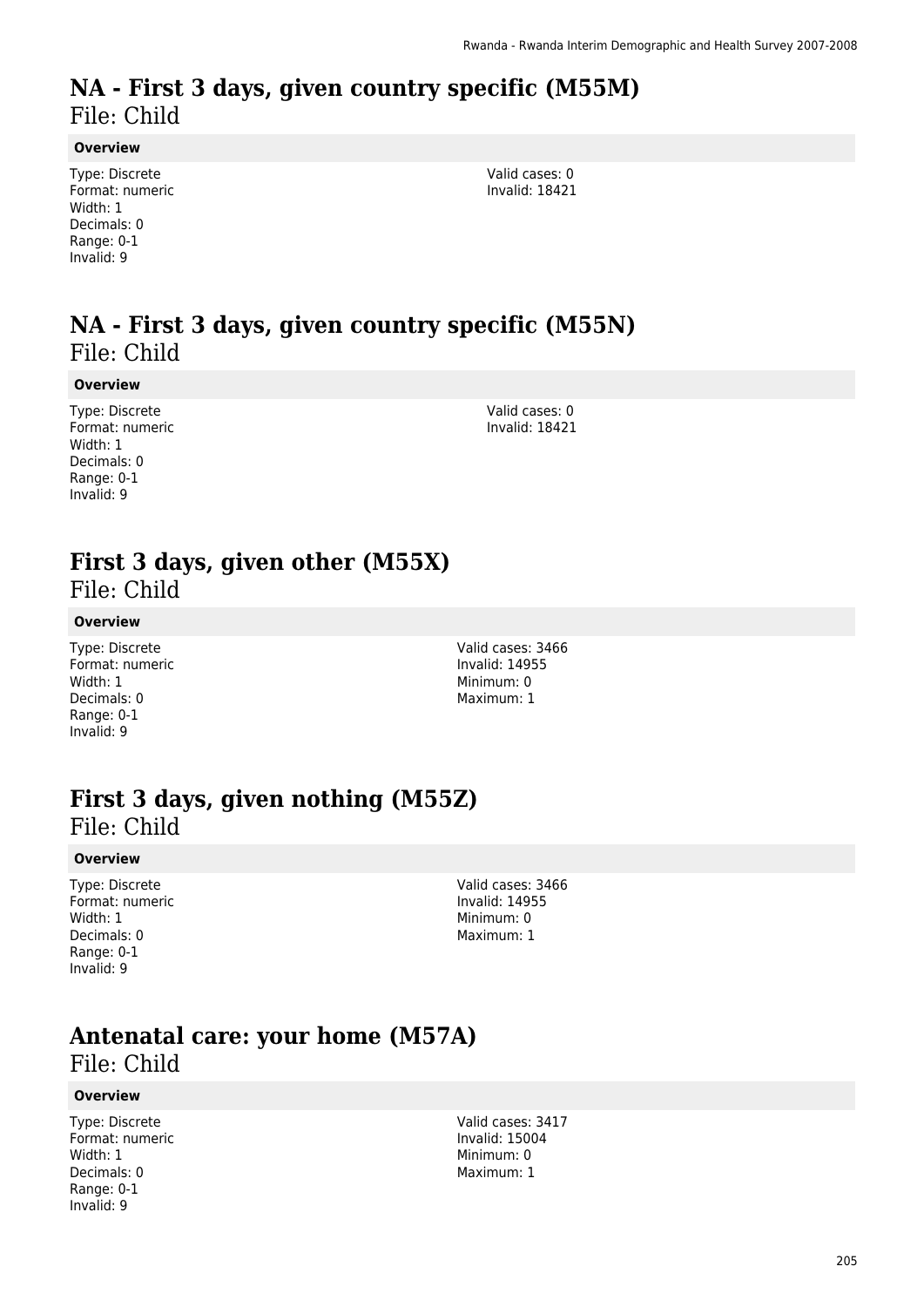### **NA - First 3 days, given country specific (M55M)**  File: Child

#### **Overview**

Type: Discrete Format: numeric Width: 1 Decimals: 0 Range: 0-1 Invalid: 9

Valid cases: 0 Invalid: 18421

## **NA - First 3 days, given country specific (M55N)**  File: Child

#### **Overview**

Type: Discrete Format: numeric Width: 1 Decimals: 0 Range: 0-1 Invalid: 9

Valid cases: 0 Invalid: 18421

### **First 3 days, given other (M55X)**  File: Child

#### **Overview**

Type: Discrete Format: numeric Width: 1 Decimals: 0 Range: 0-1 Invalid: 9

Valid cases: 3466 Invalid: 14955 Minimum: 0 Maximum: 1

## **First 3 days, given nothing (M55Z)**  File: Child

#### **Overview**

Type: Discrete Format: numeric Width: 1 Decimals: 0 Range: 0-1 Invalid: 9

Valid cases: 3466 Invalid: 14955 Minimum: 0 Maximum: 1

### **Antenatal care: your home (M57A)**  File: Child

#### **Overview**

Type: Discrete Format: numeric Width: 1 Decimals: 0 Range: 0-1 Invalid: 9

Valid cases: 3417 Invalid: 15004 Minimum: 0 Maximum: 1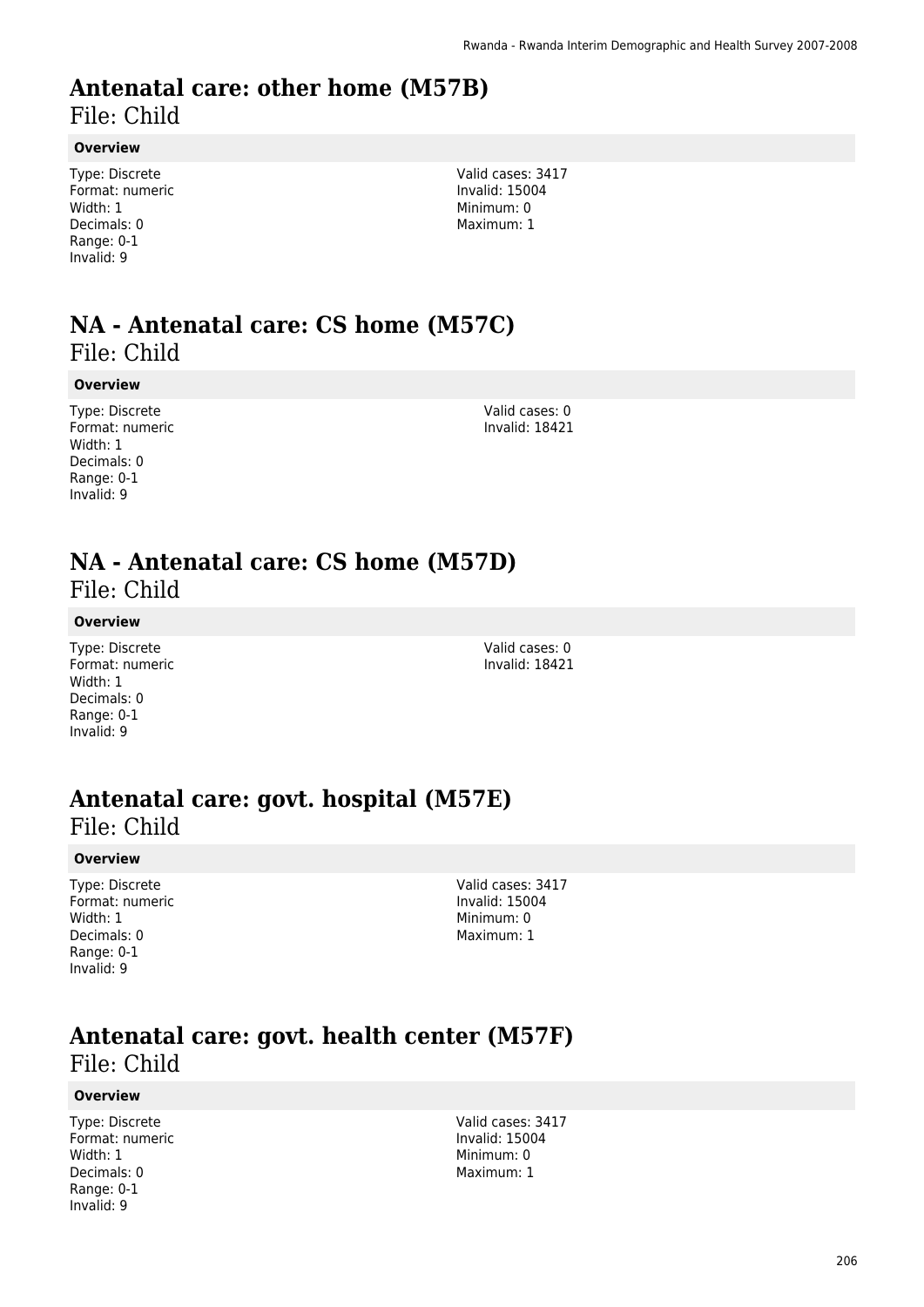### **Antenatal care: other home (M57B)**  File: Child

#### **Overview**

Type: Discrete Format: numeric Width: 1 Decimals: 0 Range: 0-1 Invalid: 9

Valid cases: 3417 Invalid: 15004 Minimum: 0 Maximum: 1

## **NA - Antenatal care: CS home (M57C)**  File: Child

#### **Overview**

Type: Discrete Format: numeric Width: 1 Decimals: 0 Range: 0-1 Invalid: 9

Valid cases: 0 Invalid: 18421

### **NA - Antenatal care: CS home (M57D)**  File: Child

#### **Overview**

Type: Discrete Format: numeric Width: 1 Decimals: 0 Range: 0-1 Invalid: 9

Valid cases: 0 Invalid: 18421

### **Antenatal care: govt. hospital (M57E)**  File: Child

#### **Overview**

Type: Discrete Format: numeric Width: 1 Decimals: 0 Range: 0-1 Invalid: 9

Valid cases: 3417 Invalid: 15004 Minimum: 0 Maximum: 1

### **Antenatal care: govt. health center (M57F)**  File: Child

#### **Overview**

Type: Discrete Format: numeric Width: 1 Decimals: 0 Range: 0-1 Invalid: 9

Valid cases: 3417 Invalid: 15004 Minimum: 0 Maximum: 1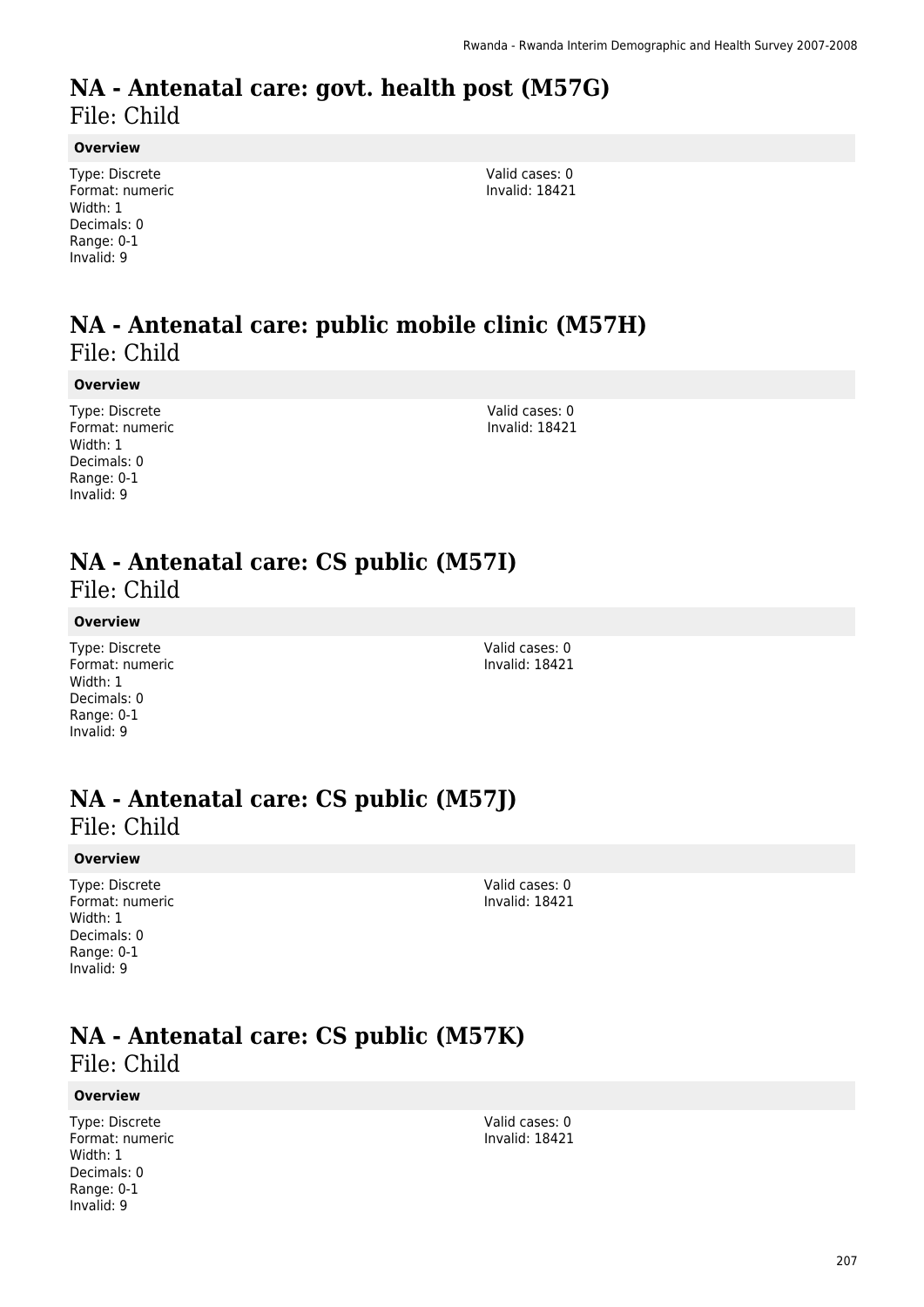### **NA - Antenatal care: govt. health post (M57G)**  File: Child

#### **Overview**

Type: Discrete Format: numeric Width: 1 Decimals: 0 Range: 0-1 Invalid: 9

### **NA - Antenatal care: public mobile clinic (M57H)**  File: Child

**Overview**

Type: Discrete Format: numeric Width: 1 Decimals: 0 Range: 0-1 Invalid: 9

#### Valid cases: 0 Invalid: 18421

Valid cases: 0 Invalid: 18421

### **NA - Antenatal care: CS public (M57I)**  File: Child

#### **Overview**

Type: Discrete Format: numeric Width: 1 Decimals: 0 Range: 0-1 Invalid: 9

Valid cases: 0 Invalid: 18421

### **NA - Antenatal care: CS public (M57J)**  File: Child

#### **Overview**

Type: Discrete Format: numeric Width: 1 Decimals: 0 Range: 0-1 Invalid: 9

Valid cases: 0 Invalid: 18421

## **NA - Antenatal care: CS public (M57K)**  File: Child

#### **Overview**

Type: Discrete Format: numeric Width: 1 Decimals: 0 Range: 0-1 Invalid: 9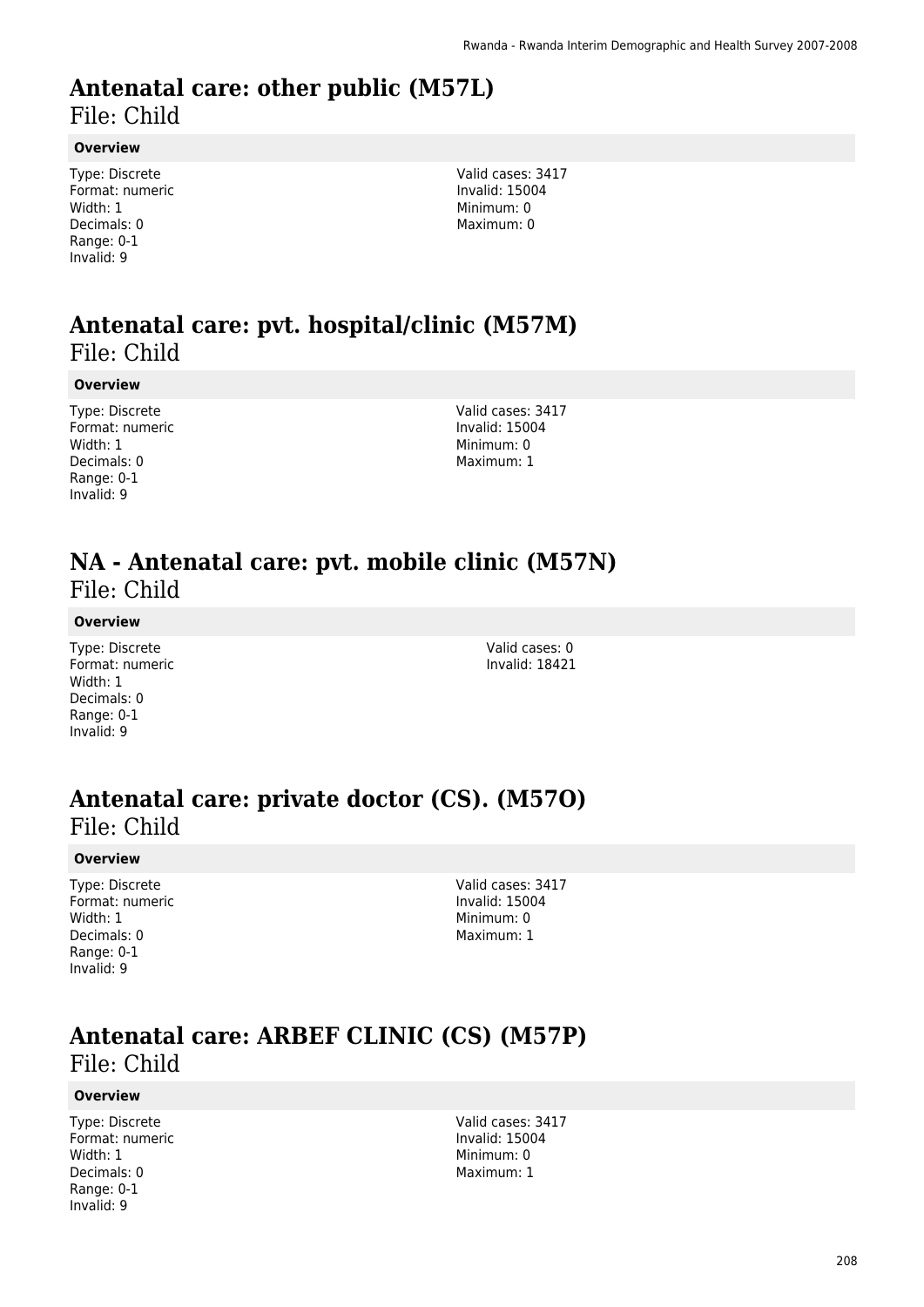### **Antenatal care: other public (M57L)**  File: Child

#### **Overview**

Type: Discrete Format: numeric Width: 1 Decimals: 0 Range: 0-1 Invalid: 9

Valid cases: 3417 Invalid: 15004 Minimum: 0 Maximum: 0

## **Antenatal care: pvt. hospital/clinic (M57M)**  File: Child

#### **Overview**

Type: Discrete Format: numeric Width: 1 Decimals: 0 Range: 0-1 Invalid: 9

Valid cases: 3417 Invalid: 15004 Minimum: 0 Maximum: 1

### **NA - Antenatal care: pvt. mobile clinic (M57N)**  File: Child

#### **Overview**

Type: Discrete Format: numeric Width: 1 Decimals: 0 Range: 0-1 Invalid: 9

Valid cases: 0 Invalid: 18421

### **Antenatal care: private doctor (CS). (M57O)**  File: Child

#### **Overview**

Type: Discrete Format: numeric Width: 1 Decimals: 0 Range: 0-1 Invalid: 9

Valid cases: 3417 Invalid: 15004 Minimum: 0 Maximum: 1

### **Antenatal care: ARBEF CLINIC (CS) (M57P)**  File: Child

#### **Overview**

Type: Discrete Format: numeric Width: 1 Decimals: 0 Range: 0-1 Invalid: 9

Valid cases: 3417 Invalid: 15004 Minimum: 0 Maximum: 1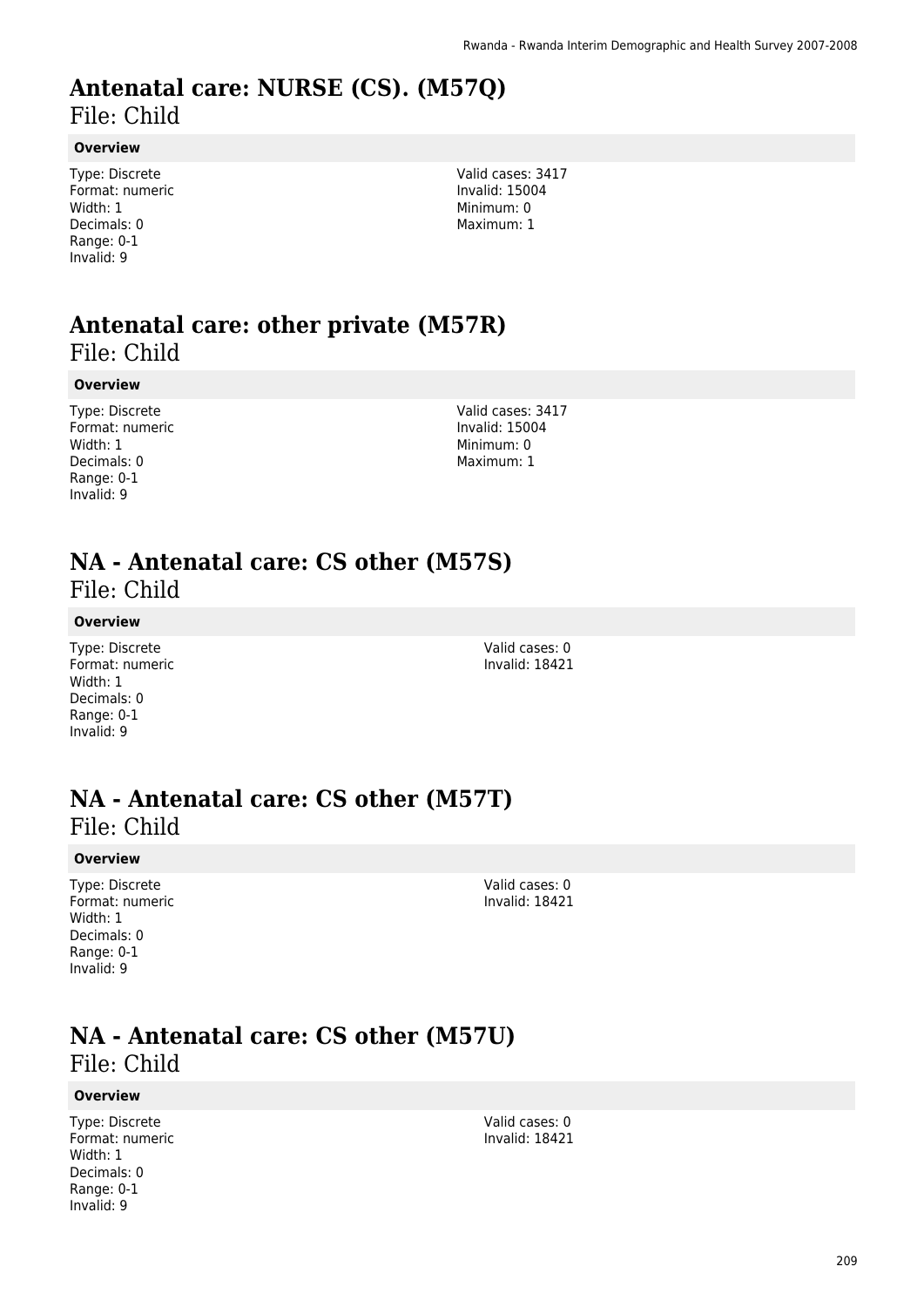### **Antenatal care: NURSE (CS). (M57Q)**  File: Child

#### **Overview**

Type: Discrete Format: numeric Width: 1 Decimals: 0 Range: 0-1 Invalid: 9

Valid cases: 3417 Invalid: 15004 Minimum: 0 Maximum: 1

## **Antenatal care: other private (M57R)**  File: Child

#### **Overview**

Type: Discrete Format: numeric Width: 1 Decimals: 0 Range: 0-1 Invalid: 9

Valid cases: 3417 Invalid: 15004 Minimum: 0 Maximum: 1

### **NA - Antenatal care: CS other (M57S)**  File: Child

#### **Overview**

Type: Discrete Format: numeric Width: 1 Decimals: 0 Range: 0-1 Invalid: 9

Valid cases: 0 Invalid: 18421

## **NA - Antenatal care: CS other (M57T)**  File: Child

#### **Overview**

Type: Discrete Format: numeric Width: 1 Decimals: 0 Range: 0-1 Invalid: 9

Valid cases: 0 Invalid: 18421

### **NA - Antenatal care: CS other (M57U)**  File: Child

#### **Overview**

Type: Discrete Format: numeric Width: 1 Decimals: 0 Range: 0-1 Invalid: 9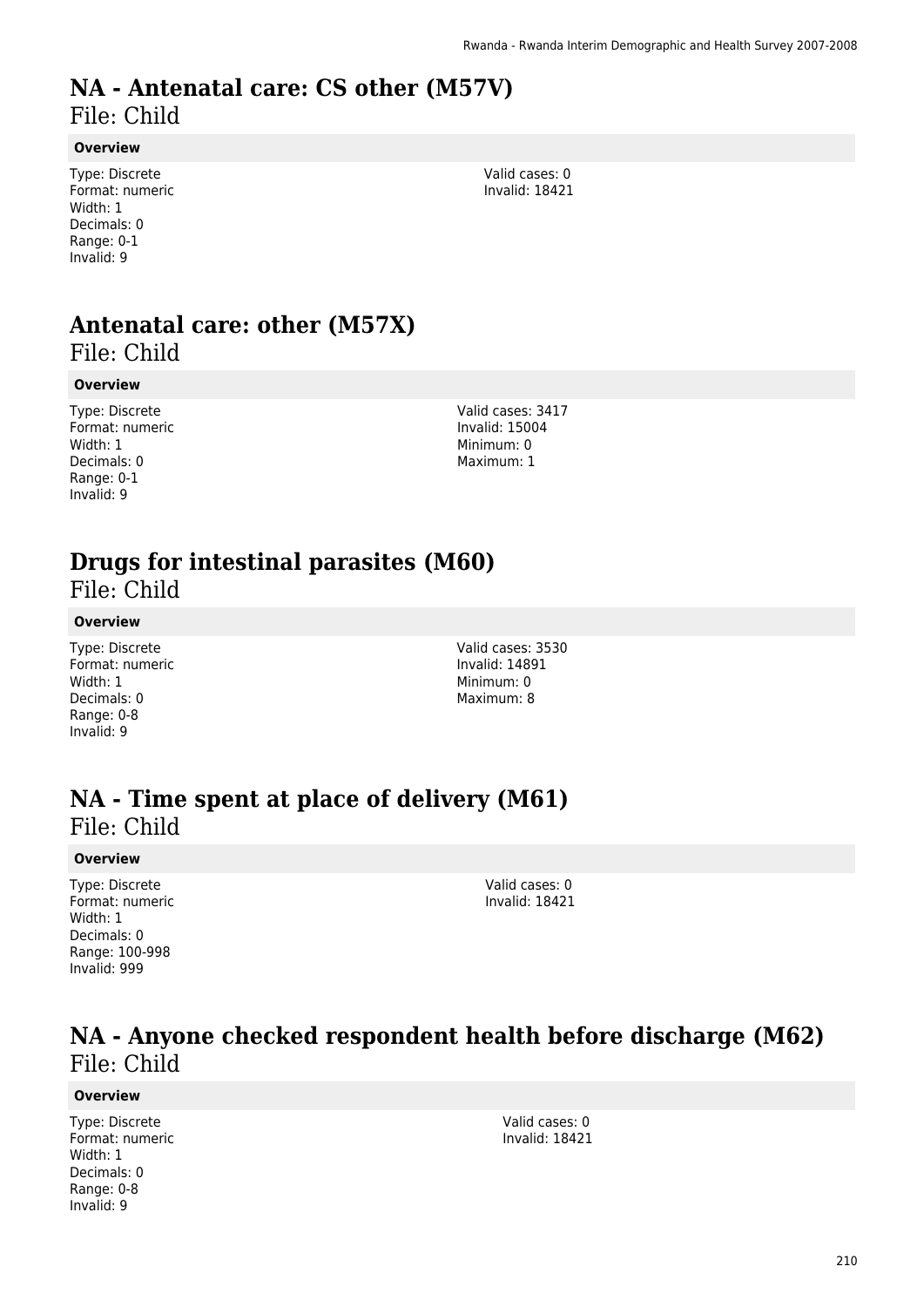### **NA - Antenatal care: CS other (M57V)**  File: Child

#### **Overview**

Type: Discrete Format: numeric Width: 1 Decimals: 0 Range: 0-1 Invalid: 9

Valid cases: 0 Invalid: 18421

### **Antenatal care: other (M57X)**  File: Child

#### **Overview**

Type: Discrete Format: numeric Width: 1 Decimals: 0 Range: 0-1 Invalid: 9

Valid cases: 3417 Invalid: 15004 Minimum: 0 Maximum: 1

### **Drugs for intestinal parasites (M60)**  File: Child

#### **Overview**

Type: Discrete Format: numeric Width: 1 Decimals: 0 Range: 0-8 Invalid: 9

Valid cases: 3530 Invalid: 14891 Minimum: 0 Maximum: 8

### **NA - Time spent at place of delivery (M61)**  File: Child

#### **Overview**

Type: Discrete Format: numeric Width: 1 Decimals: 0 Range: 100-998 Invalid: 999

Valid cases: 0 Invalid: 18421

## **NA - Anyone checked respondent health before discharge (M62)**  File: Child

#### **Overview**

Type: Discrete Format: numeric Width: 1 Decimals: 0 Range: 0-8 Invalid: 9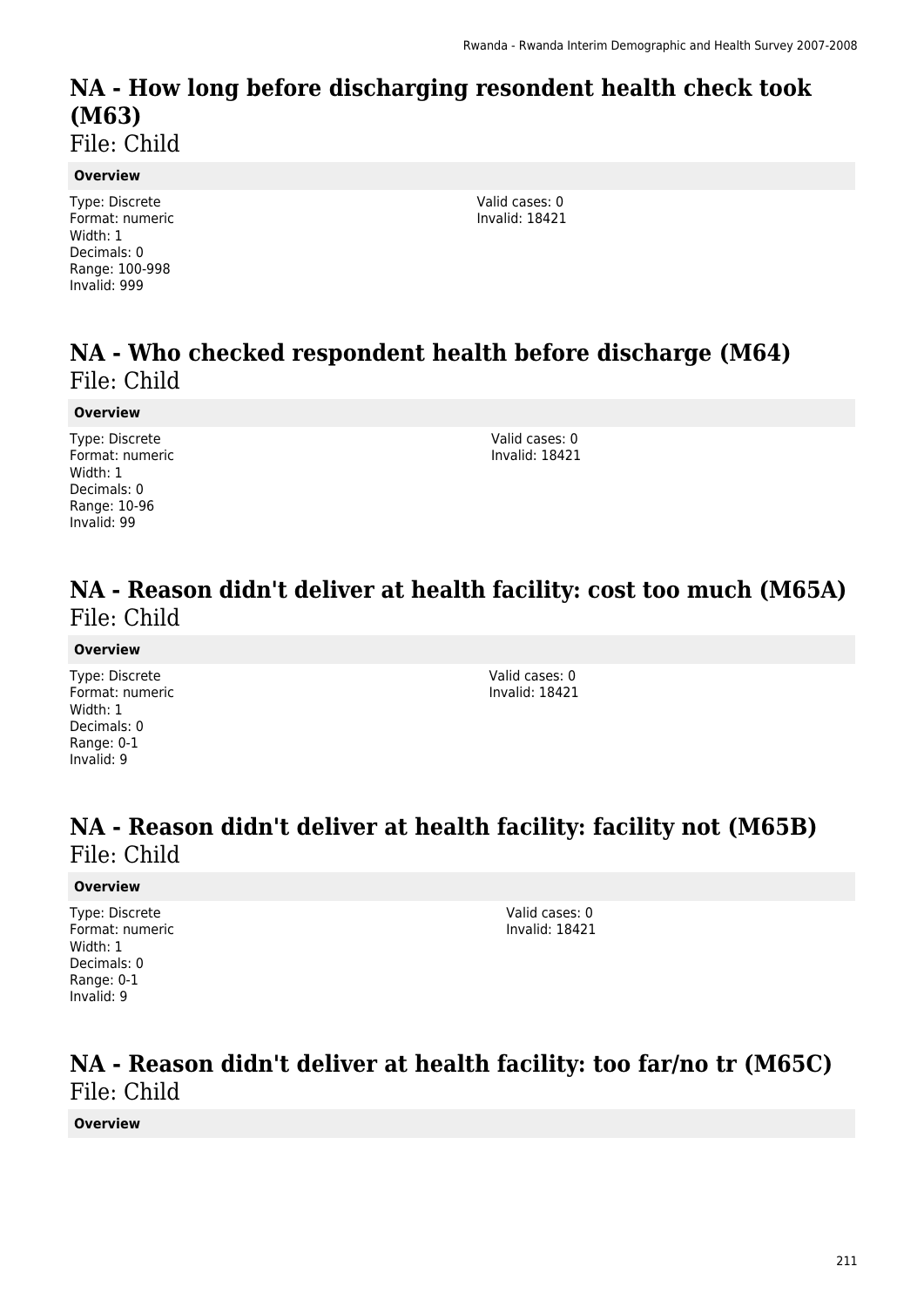### **NA - How long before discharging resondent health check took (M63)**  File: Child

#### **Overview**

Type: Discrete Format: numeric Width: 1 Decimals: 0 Range: 100-998 Invalid: 999

Valid cases: 0 Invalid: 18421

### **NA - Who checked respondent health before discharge (M64)**  File: Child

#### **Overview**

Type: Discrete Format: numeric Width: 1 Decimals: 0 Range: 10-96 Invalid: 99

Valid cases: 0 Invalid: 18421

### **NA - Reason didn't deliver at health facility: cost too much (M65A)**  File: Child

#### **Overview**

Type: Discrete Format: numeric Width: 1 Decimals: 0 Range: 0-1 Invalid: 9

Valid cases: 0 Invalid: 18421

## **NA - Reason didn't deliver at health facility: facility not (M65B)**  File: Child

#### **Overview**

Type: Discrete Format: numeric Width: 1 Decimals: 0 Range: 0-1 Invalid: 9

Valid cases: 0 Invalid: 18421

### **NA - Reason didn't deliver at health facility: too far/no tr (M65C)**  File: Child

#### **Overview**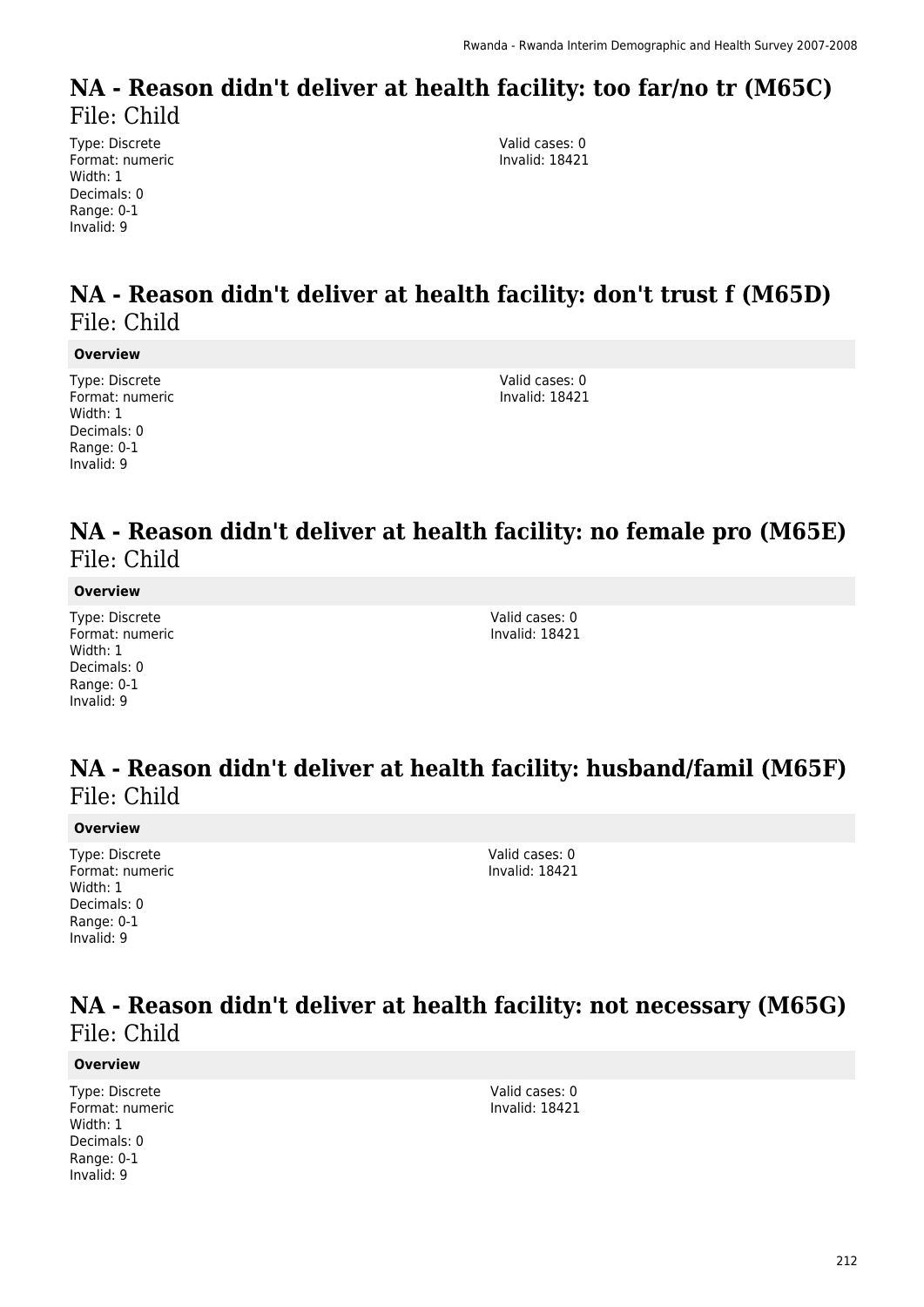### **NA - Reason didn't deliver at health facility: too far/no tr (M65C)**  File: Child

Type: Discrete Format: numeric Width: 1 Decimals: 0 Range: 0-1 Invalid: 9

Valid cases: 0 Invalid: 18421

## **NA - Reason didn't deliver at health facility: don't trust f (M65D)**  File: Child

#### **Overview**

Type: Discrete Format: numeric Width: 1 Decimals: 0 Range: 0-1 Invalid: 9

Valid cases: 0 Invalid: 18421

## **NA - Reason didn't deliver at health facility: no female pro (M65E)**  File: Child

#### **Overview**

Type: Discrete Format: numeric Width: 1 Decimals: 0 Range: 0-1 Invalid: 9

Valid cases: 0 Invalid: 18421

### **NA - Reason didn't deliver at health facility: husband/famil (M65F)**  File: Child

#### **Overview**

Type: Discrete Format: numeric Width: 1 Decimals: 0 Range: 0-1 Invalid: 9

Valid cases: 0 Invalid: 18421

## **NA - Reason didn't deliver at health facility: not necessary (M65G)**  File: Child

#### **Overview**

Type: Discrete Format: numeric Width: 1 Decimals: 0 Range: 0-1 Invalid: 9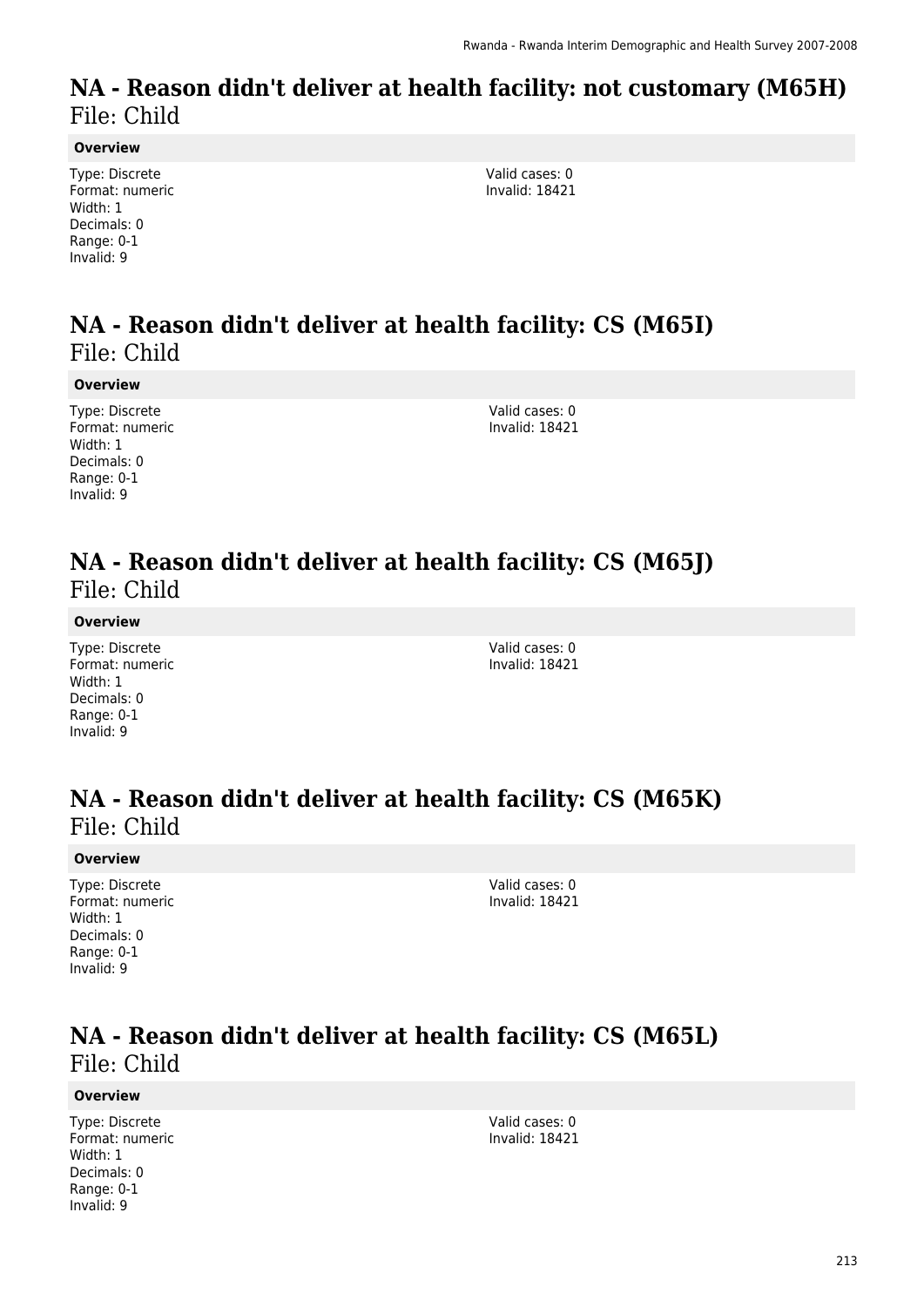### **NA - Reason didn't deliver at health facility: not customary (M65H)**  File: Child

**Overview**

Type: Discrete Format: numeric Width: 1 Decimals: 0 Range: 0-1 Invalid: 9

Valid cases: 0 Invalid: 18421

## **NA - Reason didn't deliver at health facility: CS (M65I)**  File: Child

**Overview**

Type: Discrete Format: numeric Width: 1 Decimals: 0 Range: 0-1 Invalid: 9

Valid cases: 0 Invalid: 18421

### **NA - Reason didn't deliver at health facility: CS (M65J)**  File: Child

**Overview**

Type: Discrete Format: numeric Width: 1 Decimals: 0 Range: 0-1 Invalid: 9

Valid cases: 0 Invalid: 18421

## **NA - Reason didn't deliver at health facility: CS (M65K)**  File: Child

#### **Overview**

Type: Discrete Format: numeric Width: 1 Decimals: 0 Range: 0-1 Invalid: 9

Valid cases: 0 Invalid: 18421

## **NA - Reason didn't deliver at health facility: CS (M65L)**  File: Child

#### **Overview**

Type: Discrete Format: numeric Width: 1 Decimals: 0 Range: 0-1 Invalid: 9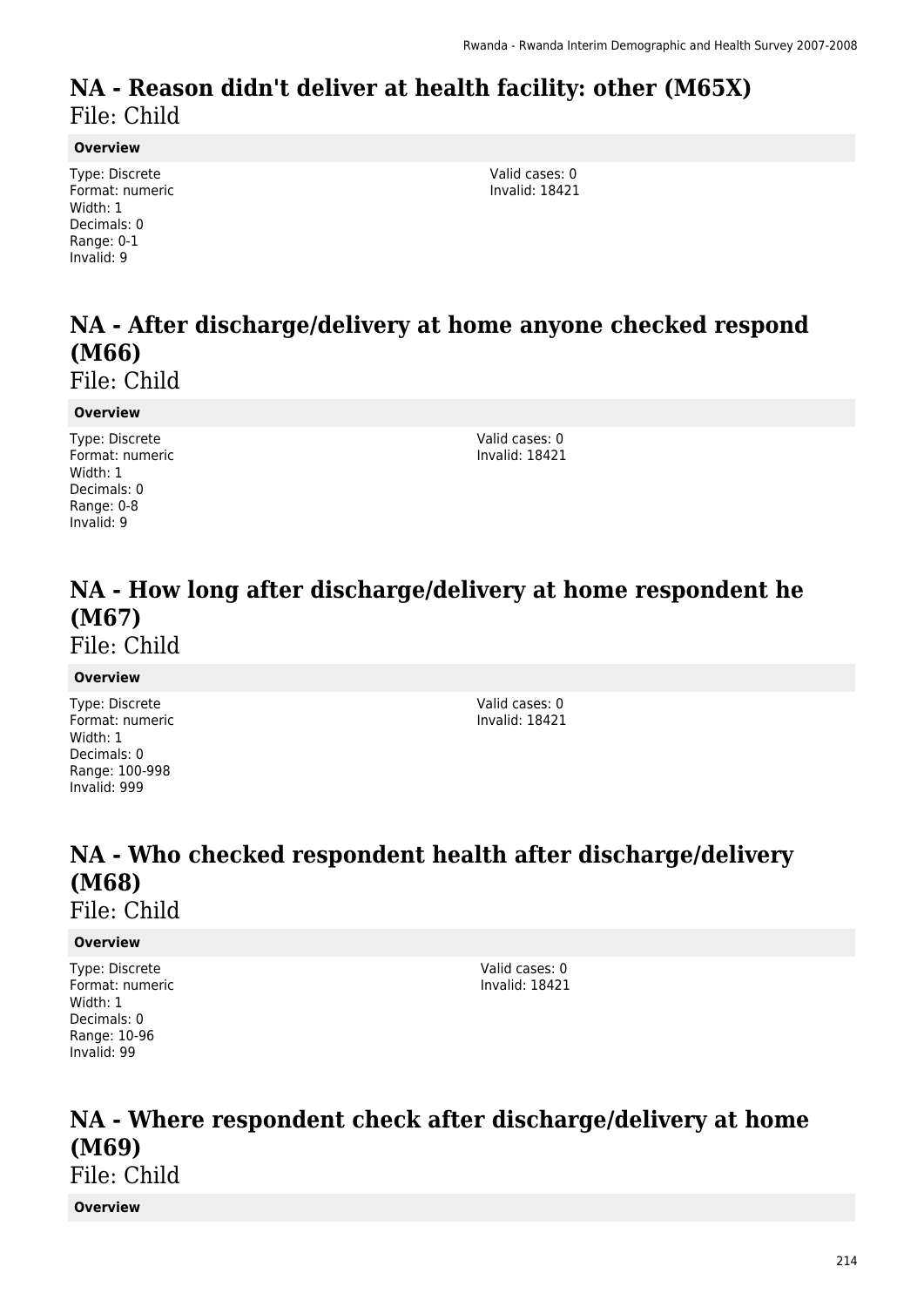### **NA - Reason didn't deliver at health facility: other (M65X)**  File: Child

#### **Overview**

Type: Discrete Format: numeric Width: 1 Decimals: 0 Range: 0-1 Invalid: 9

Valid cases: 0 Invalid: 18421

### **NA - After discharge/delivery at home anyone checked respond (M66)**  File: Child

#### **Overview**

Type: Discrete Format: numeric Width: 1 Decimals: 0 Range: 0-8 Invalid: 9

Valid cases: 0 Invalid: 18421

### **NA - How long after discharge/delivery at home respondent he (M67)**  File: Child

#### **Overview**

Type: Discrete Format: numeric Width: 1 Decimals: 0 Range: 100-998 Invalid: 999

Valid cases: 0 Invalid: 18421

### **NA - Who checked respondent health after discharge/delivery (M68)**  File: Child

#### **Overview**

Type: Discrete Format: numeric Width: 1 Decimals: 0 Range: 10-96 Invalid: 99

Valid cases: 0 Invalid: 18421

## **NA - Where respondent check after discharge/delivery at home (M69)**

File: Child

**Overview**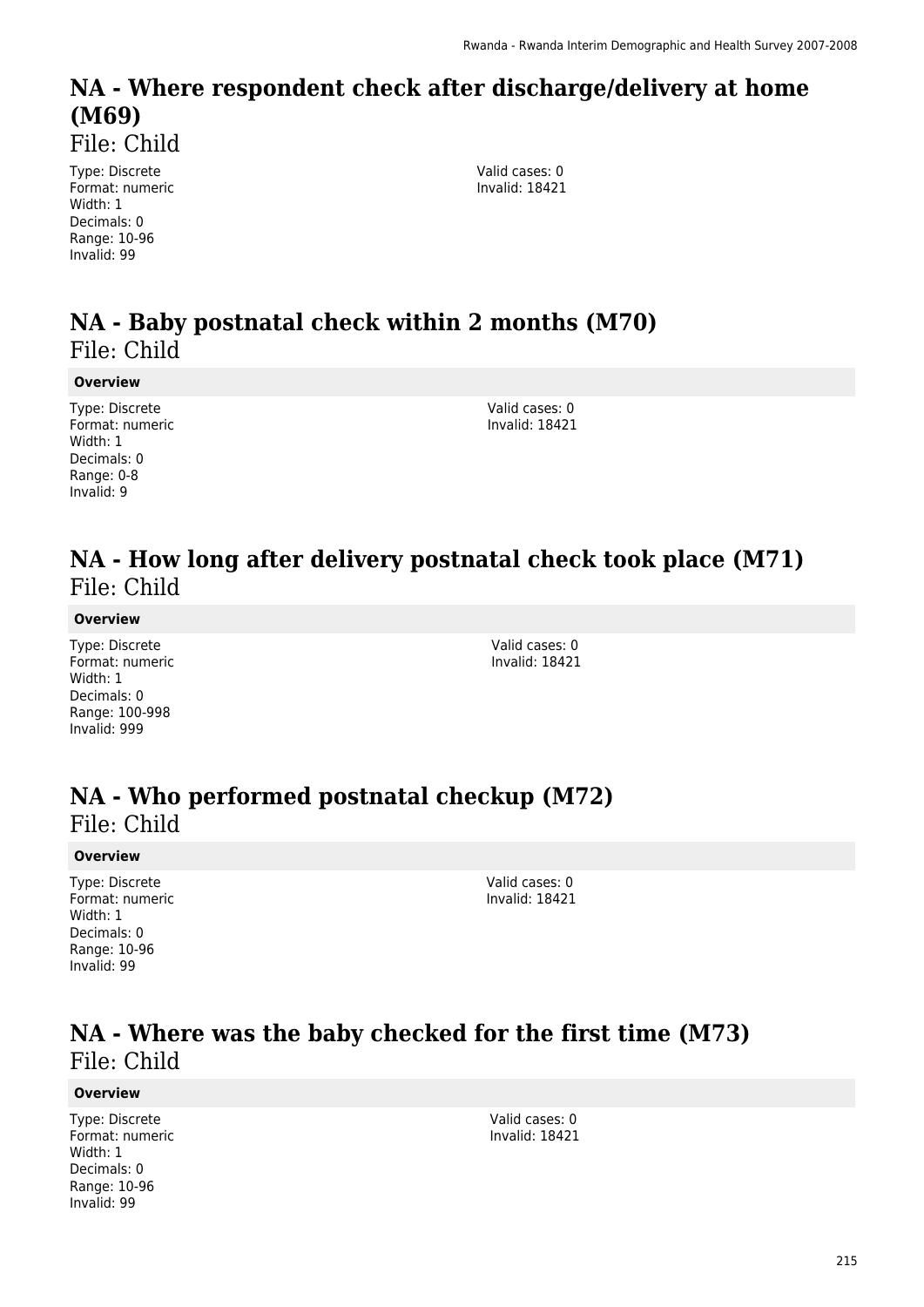### **NA - Where respondent check after discharge/delivery at home (M69)**  File: Child

Type: Discrete Format: numeric Width: 1 Decimals: 0 Range: 10-96 Invalid: 99

### **NA - Baby postnatal check within 2 months (M70)**  File: Child

**Overview**

Type: Discrete Format: numeric Width: 1 Decimals: 0 Range: 0-8 Invalid: 9

Valid cases: 0 Invalid: 18421

Valid cases: 0 Invalid: 18421

## **NA - How long after delivery postnatal check took place (M71)**  File: Child

#### **Overview**

Type: Discrete Format: numeric Width: 1 Decimals: 0 Range: 100-998 Invalid: 999

Valid cases: 0 Invalid: 18421

## **NA - Who performed postnatal checkup (M72)**  File: Child

#### **Overview**

Type: Discrete Format: numeric Width: 1 Decimals: 0 Range: 10-96 Invalid: 99

Valid cases: 0 Invalid: 18421

### **NA - Where was the baby checked for the first time (M73)**  File: Child

#### **Overview**

Type: Discrete Format: numeric Width: 1 Decimals: 0 Range: 10-96 Invalid: 99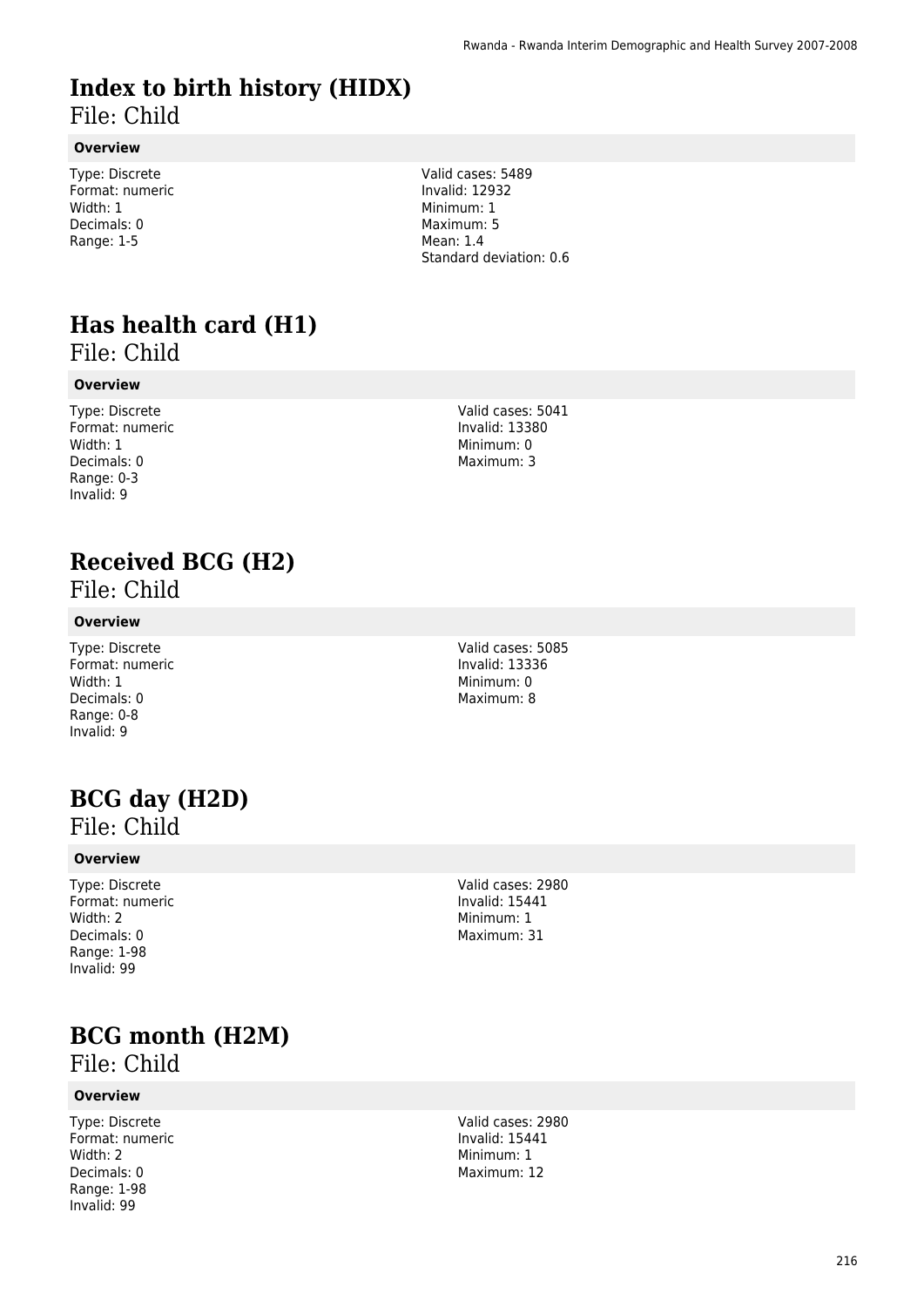# **Index to birth history (HIDX)**

File: Child

#### **Overview**

Type: Discrete Format: numeric Width: 1 Decimals: 0 Range: 1-5

Valid cases: 5489 Invalid: 12932 Minimum: 1 Maximum: 5 Mean: 1.4 Standard deviation: 0.6

### **Has health card (H1)**  File: Child

#### **Overview**

Type: Discrete Format: numeric Width: 1 Decimals: 0 Range: 0-3 Invalid: 9

Valid cases: 5041 Invalid: 13380 Minimum: 0 Maximum: 3

### **Received BCG (H2)**  File: Child

## **Overview**

Type: Discrete Format: numeric Width: 1 Decimals: 0 Range: 0-8 Invalid: 9

Valid cases: 5085 Invalid: 13336 Minimum: 0 Maximum: 8

# **BCG day (H2D)**

File: Child

#### **Overview**

Type: Discrete Format: numeric Width: 2 Decimals: 0 Range: 1-98 Invalid: 99

Valid cases: 2980 Invalid: 15441 Minimum: 1 Maximum: 31

### **BCG month (H2M)**  File: Child

#### **Overview**

Type: Discrete Format: numeric Width: 2 Decimals: 0 Range: 1-98 Invalid: 99

Valid cases: 2980 Invalid: 15441 Minimum: 1 Maximum: 12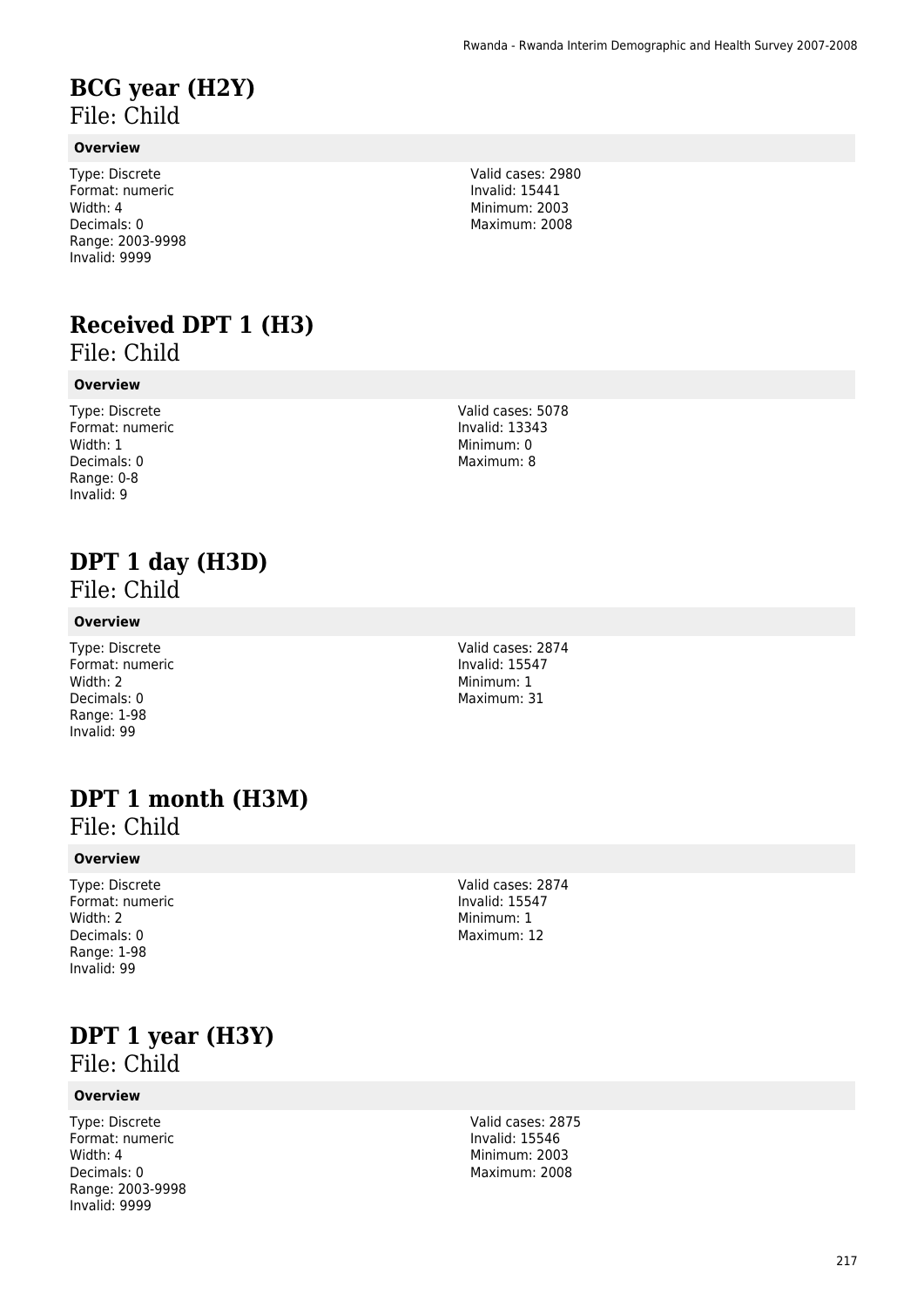### **BCG year (H2Y)**  File: Child

#### **Overview**

Type: Discrete Format: numeric Width: 4 Decimals: 0 Range: 2003-9998 Invalid: 9999

### **Received DPT 1 (H3)**  File: Child

#### **Overview**

Type: Discrete Format: numeric Width: 1 Decimals: 0 Range: 0-8 Invalid: 9

### Minimum: 0 Maximum: 8

Valid cases: 5078 Invalid: 13343

Valid cases: 2980 Invalid: 15441 Minimum: 2003 Maximum: 2008

### **DPT 1 day (H3D)**  File: Child

#### **Overview**

Type: Discrete Format: numeric Width: 2 Decimals: 0 Range: 1-98 Invalid: 99

# **DPT 1 month (H3M)**

File: Child

#### **Overview**

Type: Discrete Format: numeric Width: 2 Decimals: 0 Range: 1-98 Invalid: 99

Invalid: 15547 Minimum: 1 Maximum: 31

Valid cases: 2874

Valid cases: 2874 Invalid: 15547 Minimum: 1 Maximum: 12

### **DPT 1 year (H3Y)**  File: Child

#### **Overview**

Type: Discrete Format: numeric Width: 4 Decimals: 0 Range: 2003-9998 Invalid: 9999

Valid cases: 2875 Invalid: 15546 Minimum: 2003 Maximum: 2008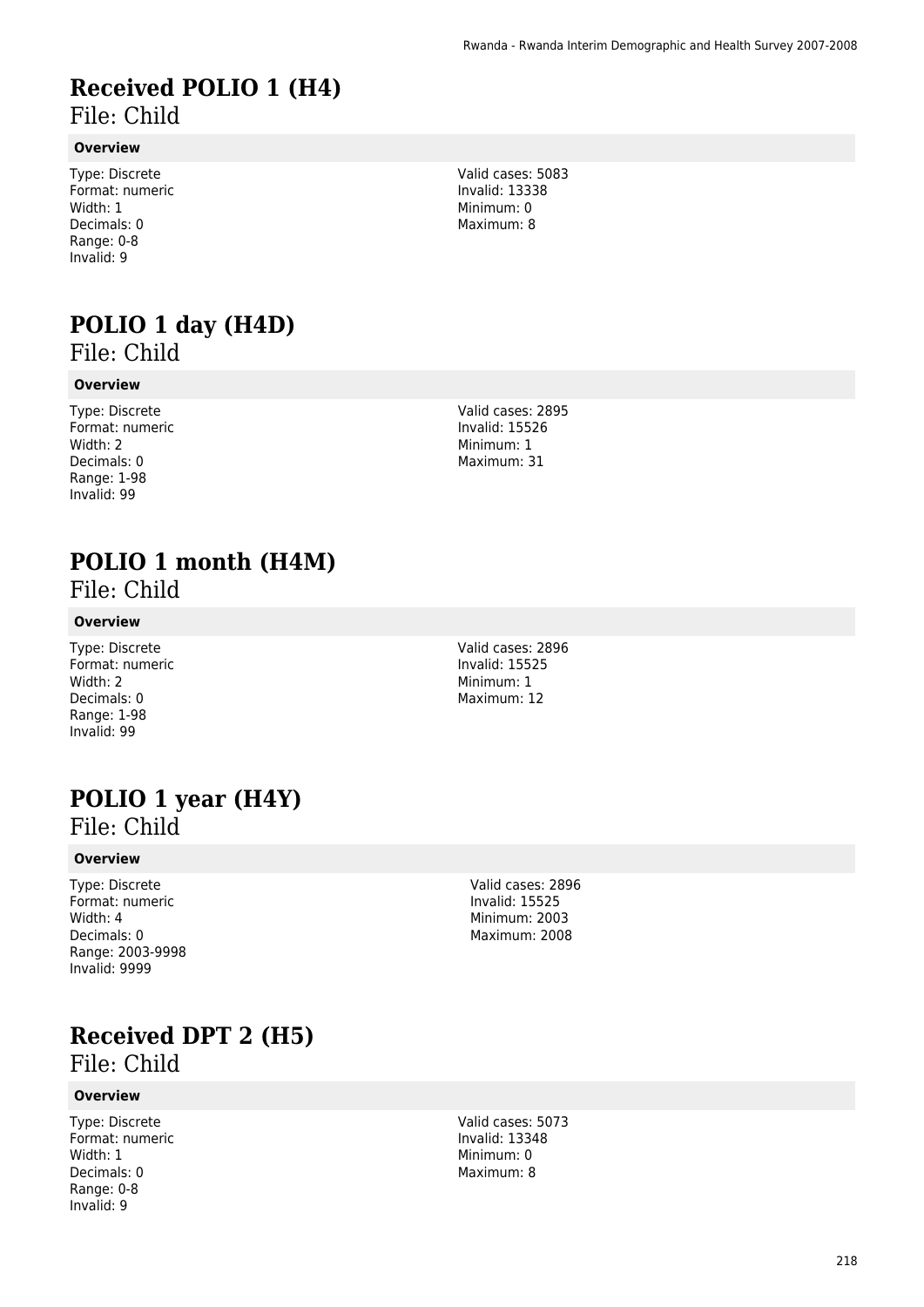### **Received POLIO 1 (H4)**  File: Child

#### **Overview**

Type: Discrete Format: numeric Width: 1 Decimals: 0 Range: 0-8 Invalid: 9

### **POLIO 1 day (H4D)**  File: Child

#### **Overview**

Type: Discrete Format: numeric Width: 2 Decimals: 0 Range: 1-98 Invalid: 99

# **POLIO 1 month (H4M)**

### File: Child

#### **Overview**

Type: Discrete Format: numeric Width: 2 Decimals: 0 Range: 1-98 Invalid: 99

### **POLIO 1 year (H4Y)**  File: Child

### **Overview**

Type: Discrete Format: numeric Width: 4 Decimals: 0 Range: 2003-9998 Invalid: 9999

Valid cases: 2896 Invalid: 15525 Minimum: 2003 Maximum: 2008

### **Received DPT 2 (H5)**  File: Child

#### **Overview**

Type: Discrete Format: numeric Width: 1 Decimals: 0 Range: 0-8 Invalid: 9

Valid cases: 5073 Invalid: 13348 Minimum: 0 Maximum: 8

Valid cases: 5083 Invalid: 13338 Minimum: 0 Maximum: 8

Valid cases: 2895 Invalid: 15526 Minimum: 1 Maximum: 31

Valid cases: 2896 Invalid: 15525 Minimum: 1 Maximum: 12

218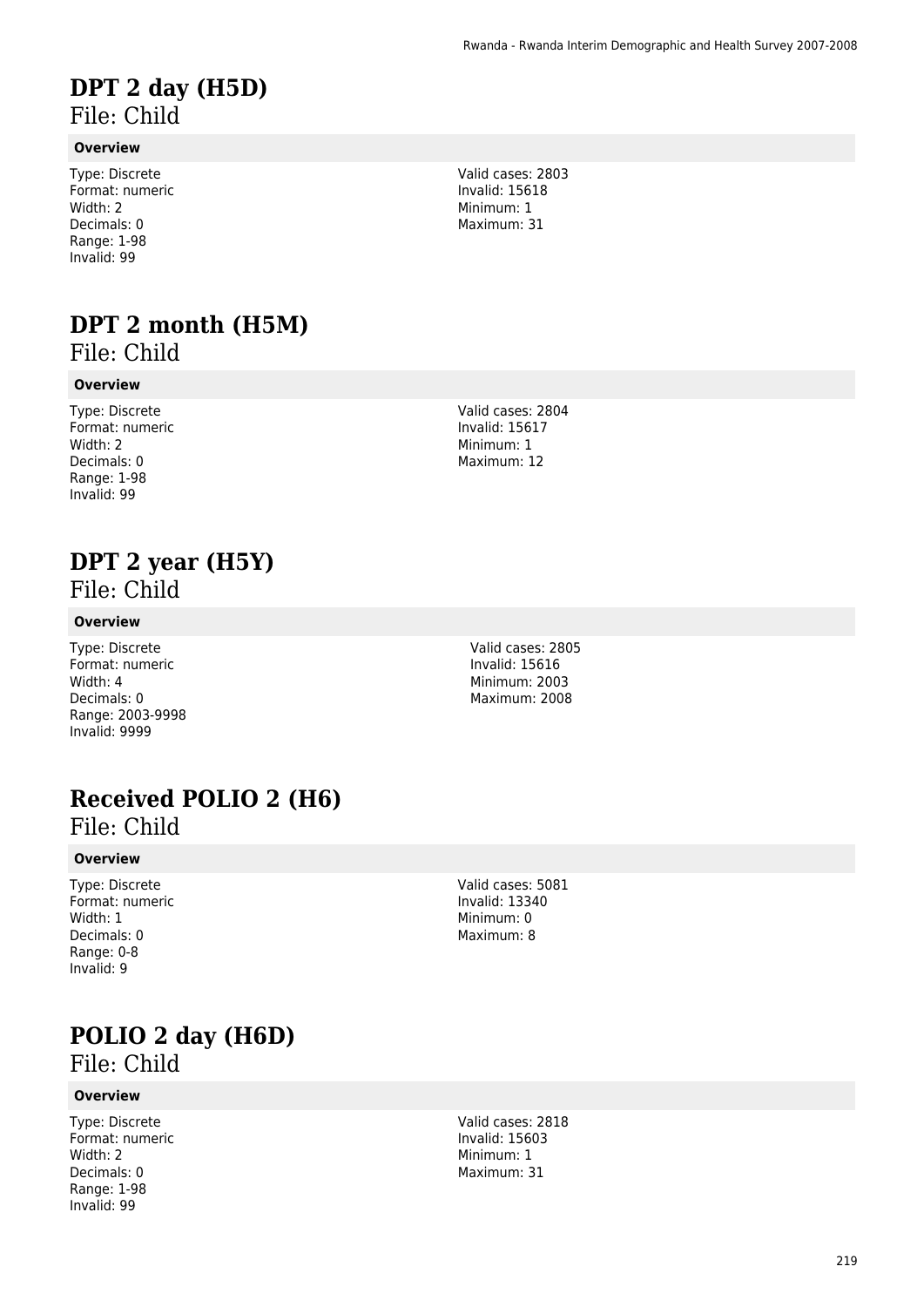### **DPT 2 day (H5D)**  File: Child

#### **Overview**

Type: Discrete Format: numeric Width: 2 Decimals: 0 Range: 1-98 Invalid: 99

### **DPT 2 month (H5M)**  File: Child

#### **Overview**

Type: Discrete Format: numeric Width: 2 Decimals: 0 Range: 1-98 Invalid: 99

### **DPT 2 year (H5Y)**  File: Child

#### **Overview**

Type: Discrete Format: numeric Width: 4 Decimals: 0 Range: 2003-9998 Invalid: 9999

# **Received POLIO 2 (H6)**

File: Child

#### **Overview**

Type: Discrete Format: numeric Width: 1 Decimals: 0 Range: 0-8 Invalid: 9

Valid cases: 5081 Invalid: 13340 Minimum: 0 Maximum: 8

### **POLIO 2 day (H6D)**  File: Child

#### **Overview**

Type: Discrete Format: numeric Width: 2 Decimals: 0 Range: 1-98 Invalid: 99

Valid cases: 2818 Invalid: 15603 Minimum: 1 Maximum: 31

Valid cases: 2803 Invalid: 15618 Minimum: 1 Maximum: 31

Valid cases: 2804 Invalid: 15617 Minimum: 1 Maximum: 12

> Valid cases: 2805 Invalid: 15616 Minimum: 2003 Maximum: 2008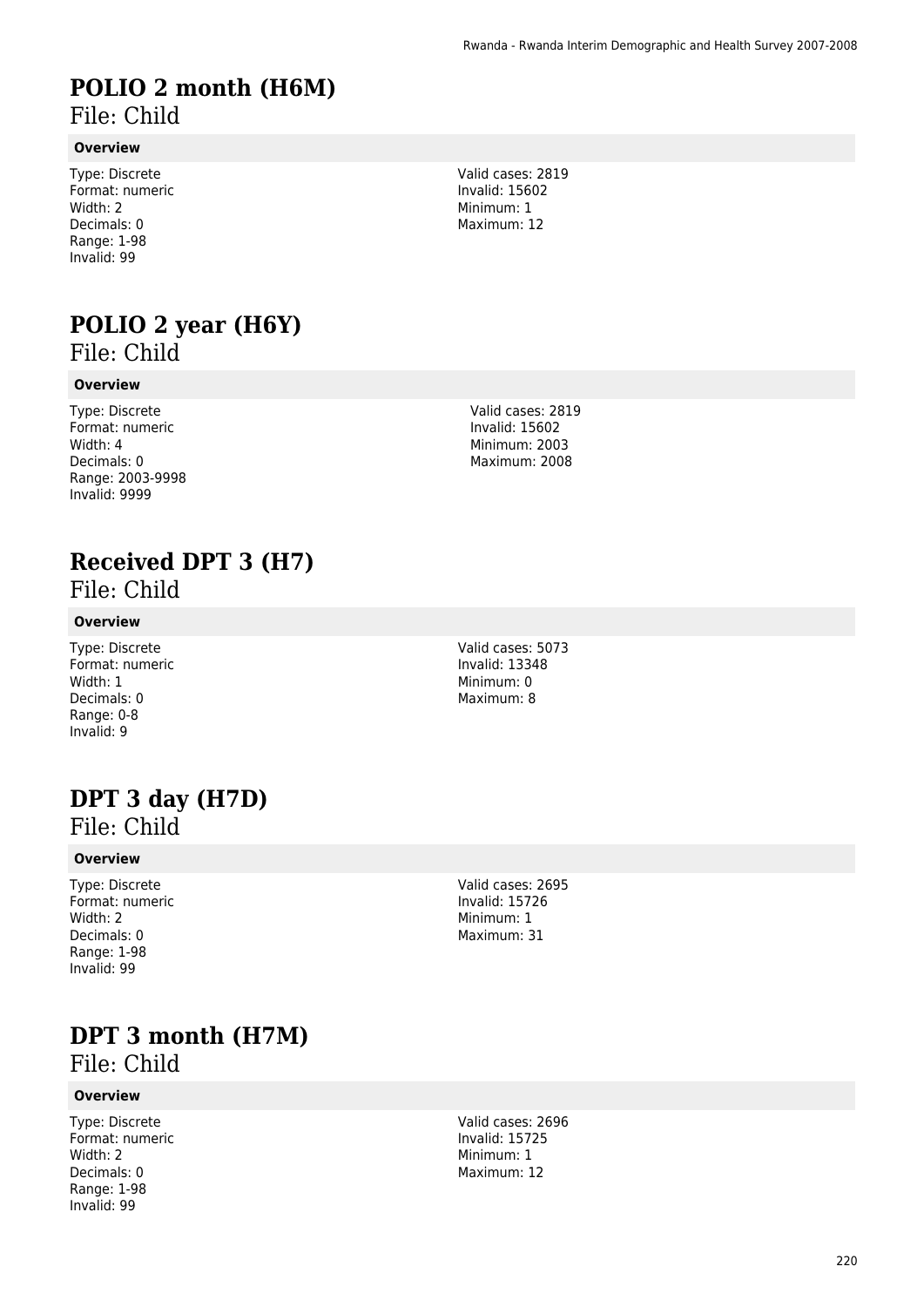### **POLIO 2 month (H6M)**  File: Child

**Overview**

Type: Discrete Format: numeric Width: 2 Decimals: 0 Range: 1-98 Invalid: 99

### **POLIO 2 year (H6Y)**  File: Child

#### **Overview**

Type: Discrete Format: numeric Width: 4 Decimals: 0 Range: 2003-9998 Invalid: 9999

# **Received DPT 3 (H7)**

File: Child

### **Overview**

Type: Discrete Format: numeric Width: 1 Decimals: 0 Range: 0-8 Invalid: 9

### Invalid: 13348 Minimum: 0 Maximum: 8

Valid cases: 5073

Valid cases: 2819 Invalid: 15602 Minimum: 1 Maximum: 12

> Valid cases: 2819 Invalid: 15602 Minimum: 2003 Maximum: 2008

### **DPT 3 day (H7D)**  File: Child

#### **Overview**

Type: Discrete Format: numeric Width: 2 Decimals: 0 Range: 1-98 Invalid: 99

Valid cases: 2695 Invalid: 15726 Minimum: 1 Maximum: 31

### **DPT 3 month (H7M)**  File: Child

#### **Overview**

Type: Discrete Format: numeric Width: 2 Decimals: 0 Range: 1-98 Invalid: 99

Valid cases: 2696 Invalid: 15725 Minimum: 1 Maximum: 12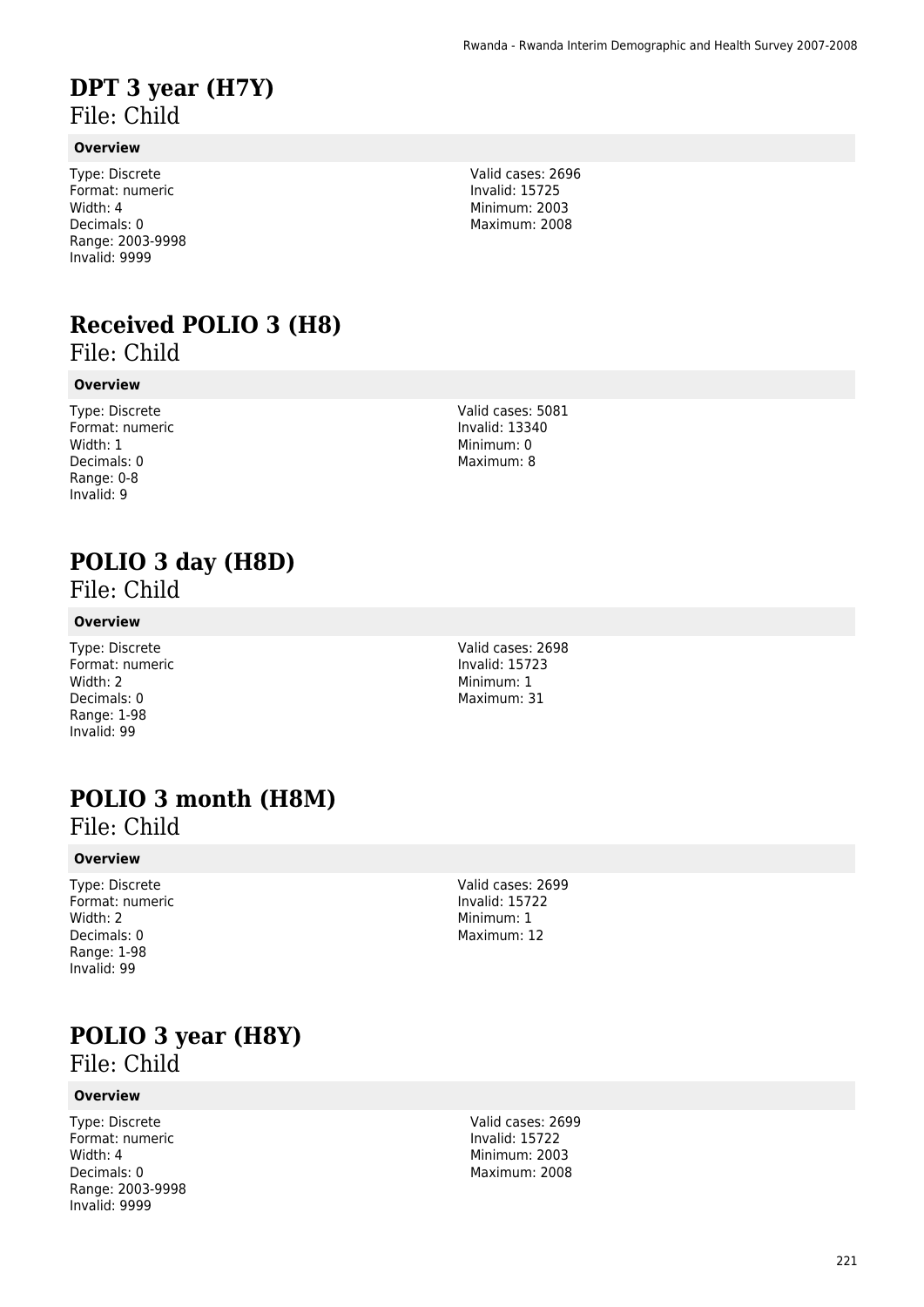### **DPT 3 year (H7Y)**  File: Child

#### **Overview**

Type: Discrete Format: numeric Width: 4 Decimals: 0 Range: 2003-9998 Invalid: 9999

### **Received POLIO 3 (H8)**  File: Child

#### **Overview**

Type: Discrete Format: numeric Width: 1 Decimals: 0 Range: 0-8 Invalid: 9

# **POLIO 3 day (H8D)**

File: Child

### **Overview**

Type: Discrete Format: numeric Width: 2 Decimals: 0 Range: 1-98 Invalid: 99

## **POLIO 3 month (H8M)**

File: Child

#### **Overview**

Type: Discrete Format: numeric Width: 2 Decimals: 0 Range: 1-98 Invalid: 99

Valid cases: 2699 Invalid: 15722 Minimum: 1 Maximum: 12

### **POLIO 3 year (H8Y)**  File: Child

#### **Overview**

Type: Discrete Format: numeric Width: 4 Decimals: 0 Range: 2003-9998 Invalid: 9999

Valid cases: 2696 Invalid: 15725 Minimum: 2003 Maximum: 2008

Valid cases: 5081 Invalid: 13340 Minimum: 0 Maximum: 8

Valid cases: 2698 Invalid: 15723 Minimum: 1 Maximum: 31

> Valid cases: 2699 Invalid: 15722 Minimum: 2003 Maximum: 2008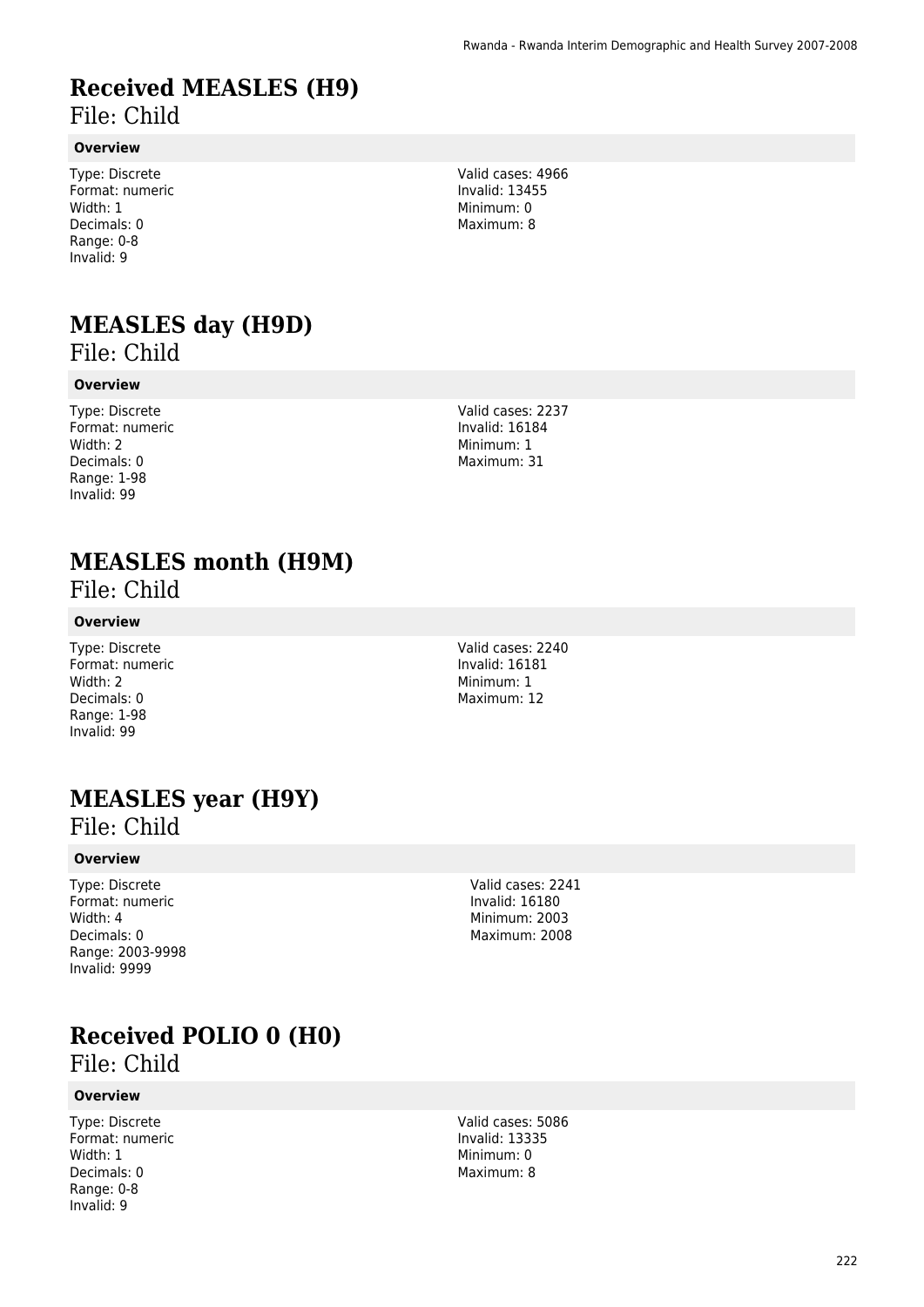### **Received MEASLES (H9)**  File: Child

#### **Overview**

Type: Discrete Format: numeric Width: 1 Decimals: 0 Range: 0-8 Invalid: 9

### **MEASLES day (H9D)**  File: Child

#### **Overview**

Type: Discrete Format: numeric Width: 2 Decimals: 0 Range: 1-98 Invalid: 99

### **MEASLES month (H9M)**  File: Child

#### **Overview**

Type: Discrete Format: numeric Width: 2 Decimals: 0 Range: 1-98 Invalid: 99

# **MEASLES year (H9Y)**

File: Child

#### **Overview**

Type: Discrete Format: numeric Width: 4 Decimals: 0 Range: 2003-9998 Invalid: 9999

#### Valid cases: 2241 Invalid: 16180 Minimum: 2003 Maximum: 2008

Valid cases: 4966 Invalid: 13455 Minimum: 0 Maximum: 8

Valid cases: 2237 Invalid: 16184 Minimum: 1 Maximum: 31

Valid cases: 2240 Invalid: 16181 Minimum: 1 Maximum: 12

### **Received POLIO 0 (H0)**  File: Child

#### **Overview**

Type: Discrete Format: numeric Width: 1 Decimals: 0 Range: 0-8 Invalid: 9

Valid cases: 5086 Invalid: 13335 Minimum: 0 Maximum: 8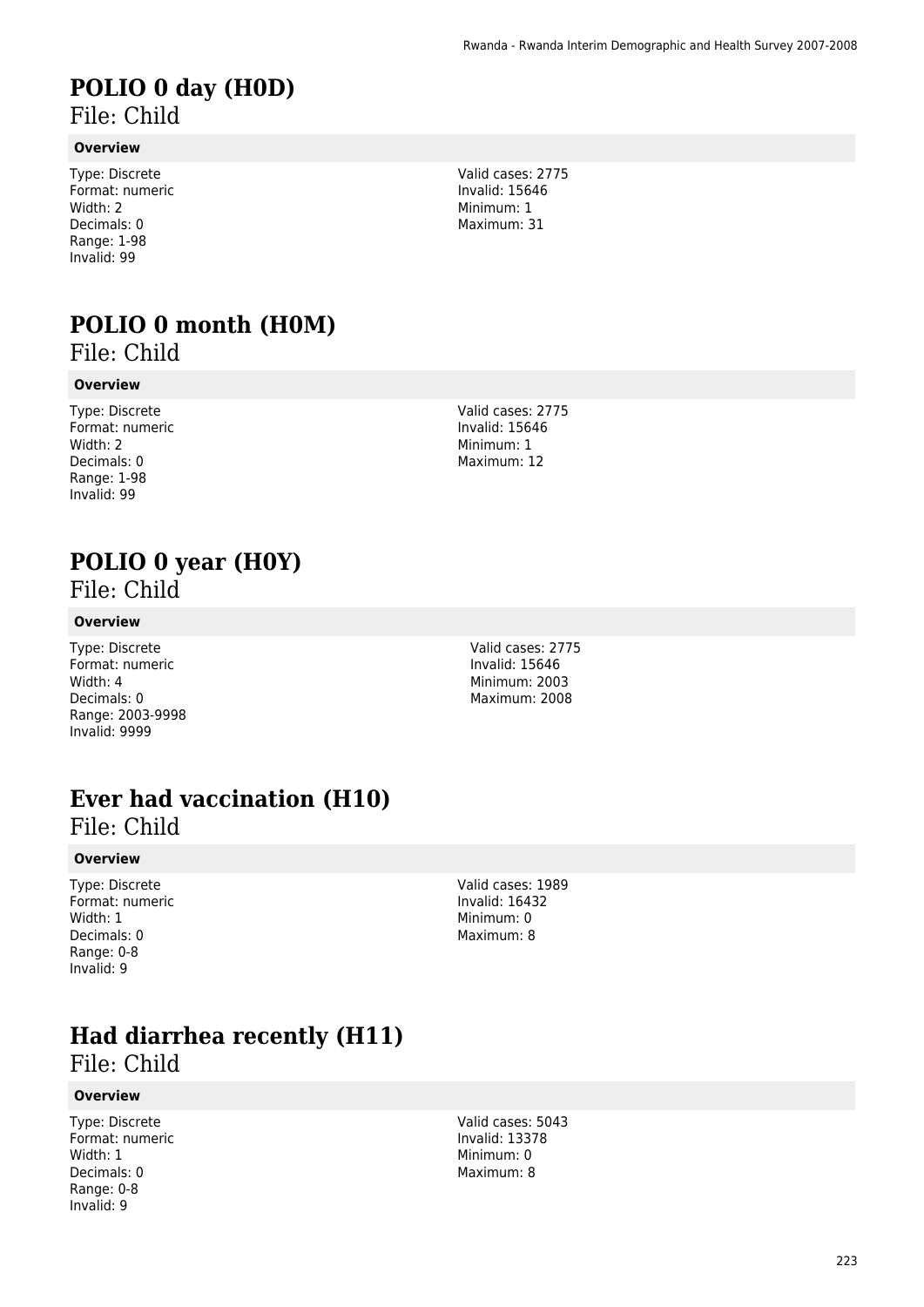### **POLIO 0 day (H0D)**  File: Child

#### **Overview**

Type: Discrete Format: numeric Width: 2 Decimals: 0 Range: 1-98 Invalid: 99

### **POLIO 0 month (H0M)**  File: Child

#### **Overview**

Type: Discrete Format: numeric Width: 2 Decimals: 0 Range: 1-98 Invalid: 99

### **POLIO 0 year (H0Y)**  File: Child

#### **Overview**

Type: Discrete Format: numeric Width: 4 Decimals: 0 Range: 2003-9998 Invalid: 9999

### **Ever had vaccination (H10)**  File: Child

#### **Overview**

Type: Discrete Format: numeric Width: 1 Decimals: 0 Range: 0-8 Invalid: 9

Valid cases: 1989 Invalid: 16432 Minimum: 0 Maximum: 8

### **Had diarrhea recently (H11)**  File: Child

#### **Overview**

Type: Discrete Format: numeric Width: 1 Decimals: 0 Range: 0-8 Invalid: 9

Valid cases: 5043 Invalid: 13378 Minimum: 0 Maximum: 8

Valid cases: 2775 Invalid: 15646 Minimum: 1 Maximum: 31

Valid cases: 2775 Invalid: 15646 Minimum: 1 Maximum: 12

> Valid cases: 2775 Invalid: 15646 Minimum: 2003 Maximum: 2008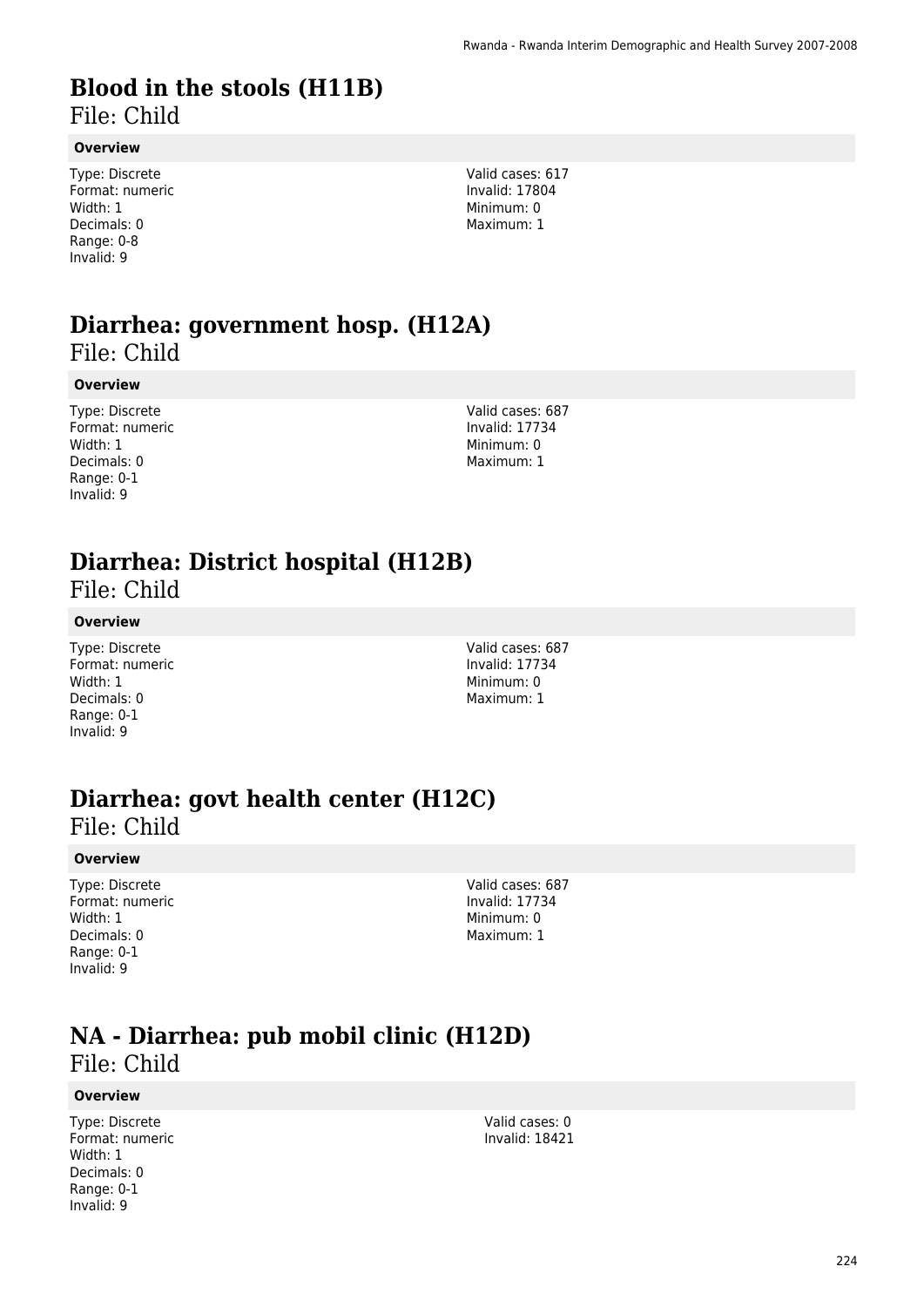### **Blood in the stools (H11B)**  File: Child

#### **Overview**

Type: Discrete Format: numeric Width: 1 Decimals: 0 Range: 0-8 Invalid: 9

### **Diarrhea: government hosp. (H12A)**  File: Child

#### **Overview**

Type: Discrete Format: numeric Width: 1 Decimals: 0 Range: 0-1 Invalid: 9

### **Diarrhea: District hospital (H12B)**  File: Child

#### **Overview**

Type: Discrete Format: numeric Width: 1 Decimals: 0 Range: 0-1 Invalid: 9

#### Valid cases: 687 Invalid: 17734 Minimum: 0 Maximum: 1

### **Diarrhea: govt health center (H12C)**  File: Child

#### **Overview**

Type: Discrete Format: numeric Width: 1 Decimals: 0 Range: 0-1 Invalid: 9

Valid cases: 687 Invalid: 17734 Minimum: 0 Maximum: 1

### **NA - Diarrhea: pub mobil clinic (H12D)**  File: Child

#### **Overview**

Type: Discrete Format: numeric Width: 1 Decimals: 0 Range: 0-1 Invalid: 9

Valid cases: 0 Invalid: 18421

Valid cases: 617 Invalid: 17804 Minimum: 0 Maximum: 1

Valid cases: 687 Invalid: 17734 Minimum: 0 Maximum: 1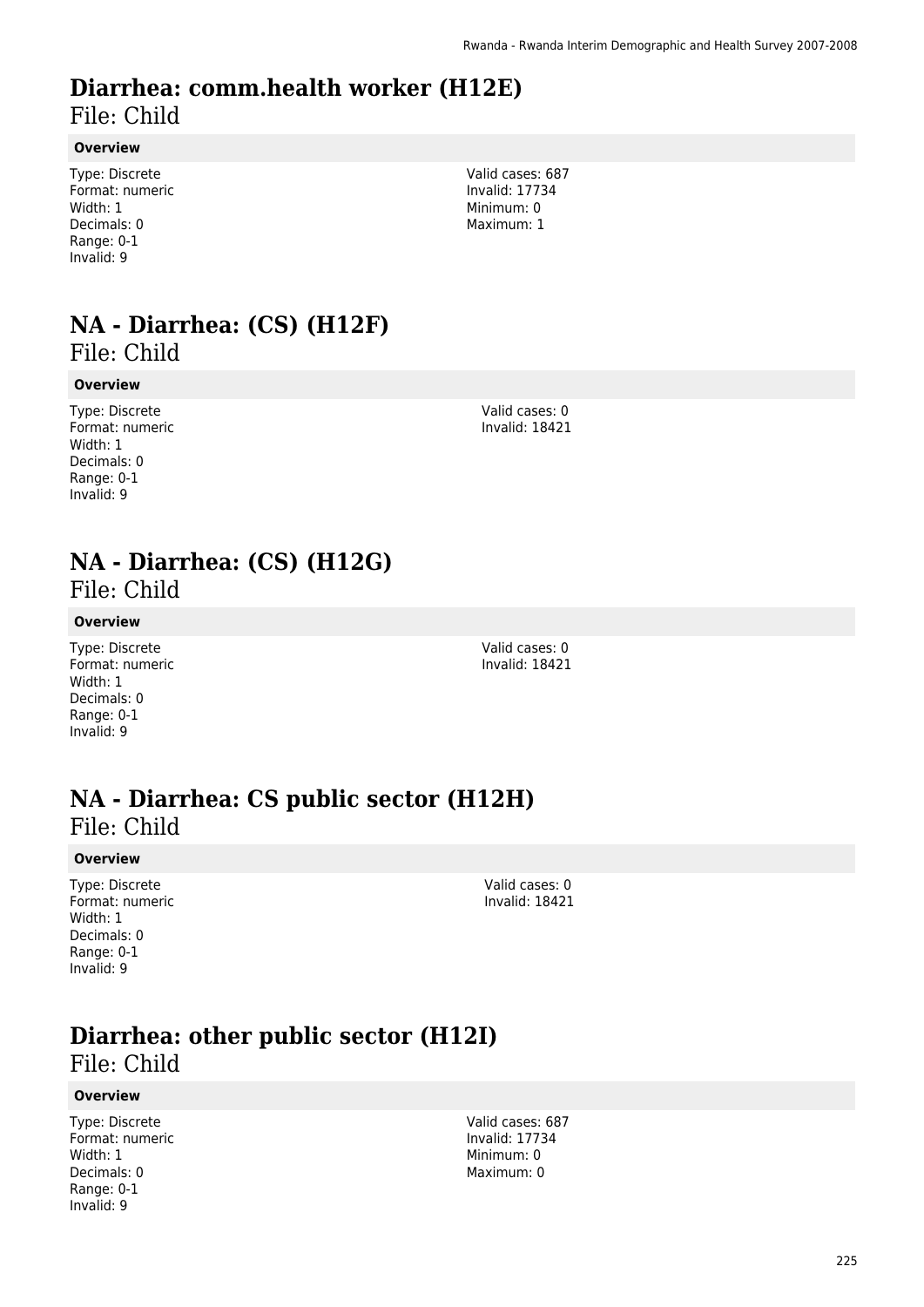### **Diarrhea: comm.health worker (H12E)**  File: Child

#### **Overview**

Type: Discrete Format: numeric Width: 1 Decimals: 0 Range: 0-1 Invalid: 9

#### Valid cases: 687 Invalid: 17734 Minimum: 0 Maximum: 1

Valid cases: 0 Invalid: 18421

### **NA - Diarrhea: (CS) (H12F)**  File: Child

#### **Overview**

Type: Discrete Format: numeric Width: 1 Decimals: 0 Range: 0-1 Invalid: 9

### **NA - Diarrhea: (CS) (H12G)**  File: Child

#### **Overview**

Type: Discrete Format: numeric Width: 1 Decimals: 0 Range: 0-1 Invalid: 9

Valid cases: 0 Invalid: 18421

### **NA - Diarrhea: CS public sector (H12H)**  File: Child

#### **Overview**

Type: Discrete Format: numeric Width: 1 Decimals: 0 Range: 0-1 Invalid: 9

Valid cases: 0 Invalid: 18421

### **Diarrhea: other public sector (H12I)**  File: Child

#### **Overview**

Type: Discrete Format: numeric Width: 1 Decimals: 0 Range: 0-1 Invalid: 9

Valid cases: 687 Invalid: 17734 Minimum: 0 Maximum: 0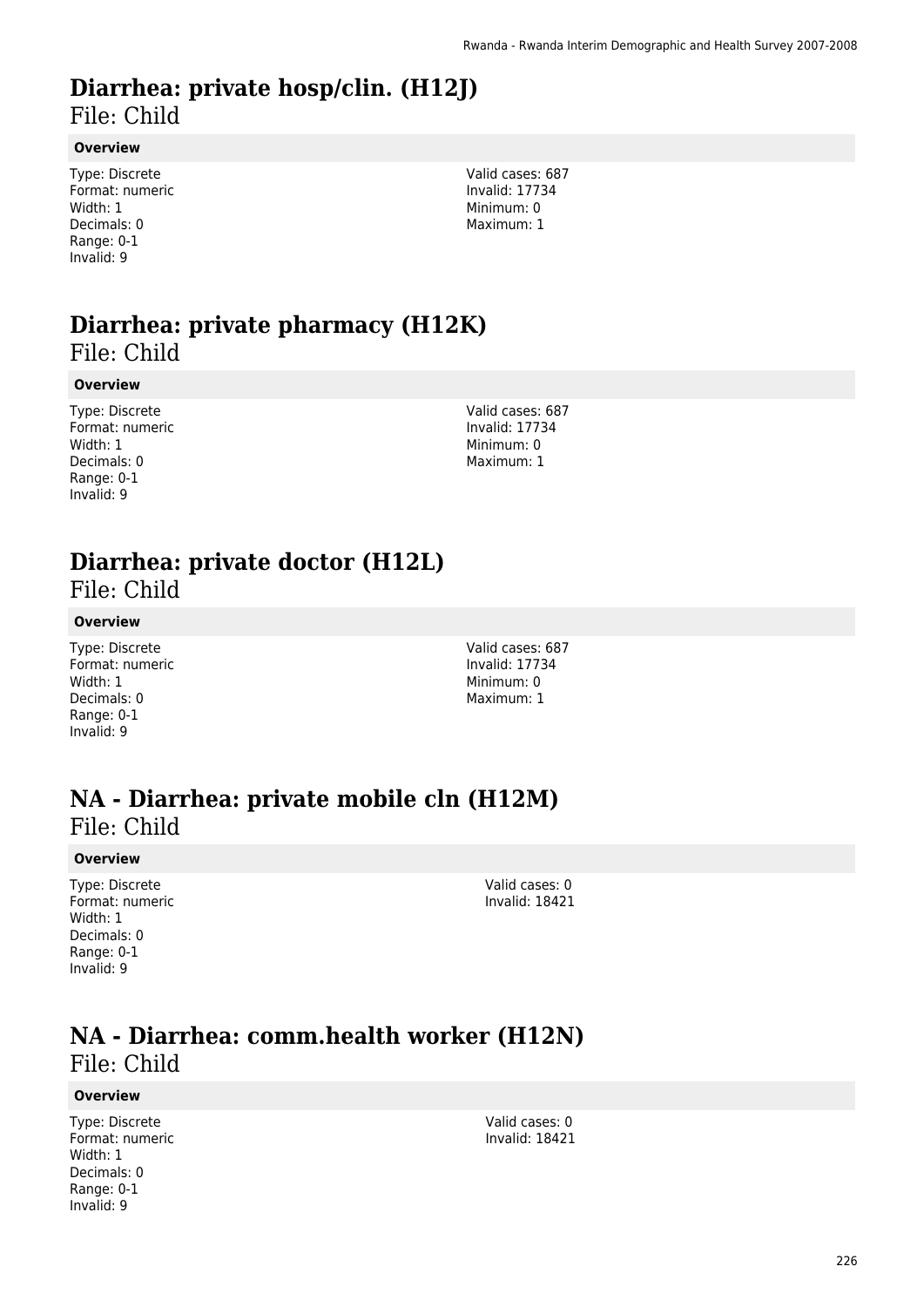### **Diarrhea: private hosp/clin. (H12J)**  File: Child

#### **Overview**

Type: Discrete Format: numeric Width: 1 Decimals: 0 Range: 0-1 Invalid: 9

Valid cases: 687 Invalid: 17734 Minimum: 0 Maximum: 1

Valid cases: 687 Invalid: 17734 Minimum: 0 Maximum: 1

### **Diarrhea: private pharmacy (H12K)**  File: Child

#### **Overview**

Type: Discrete Format: numeric Width: 1 Decimals: 0 Range: 0-1 Invalid: 9

### **Diarrhea: private doctor (H12L)**  File: Child

#### **Overview**

Type: Discrete Format: numeric Width: 1 Decimals: 0 Range: 0-1 Invalid: 9

Valid cases: 687 Invalid: 17734 Minimum: 0 Maximum: 1

### **NA - Diarrhea: private mobile cln (H12M)**  File: Child

#### **Overview**

Type: Discrete Format: numeric Width: 1 Decimals: 0 Range: 0-1 Invalid: 9

Valid cases: 0 Invalid: 18421

### **NA - Diarrhea: comm.health worker (H12N)**  File: Child

#### **Overview**

Type: Discrete Format: numeric Width: 1 Decimals: 0 Range: 0-1 Invalid: 9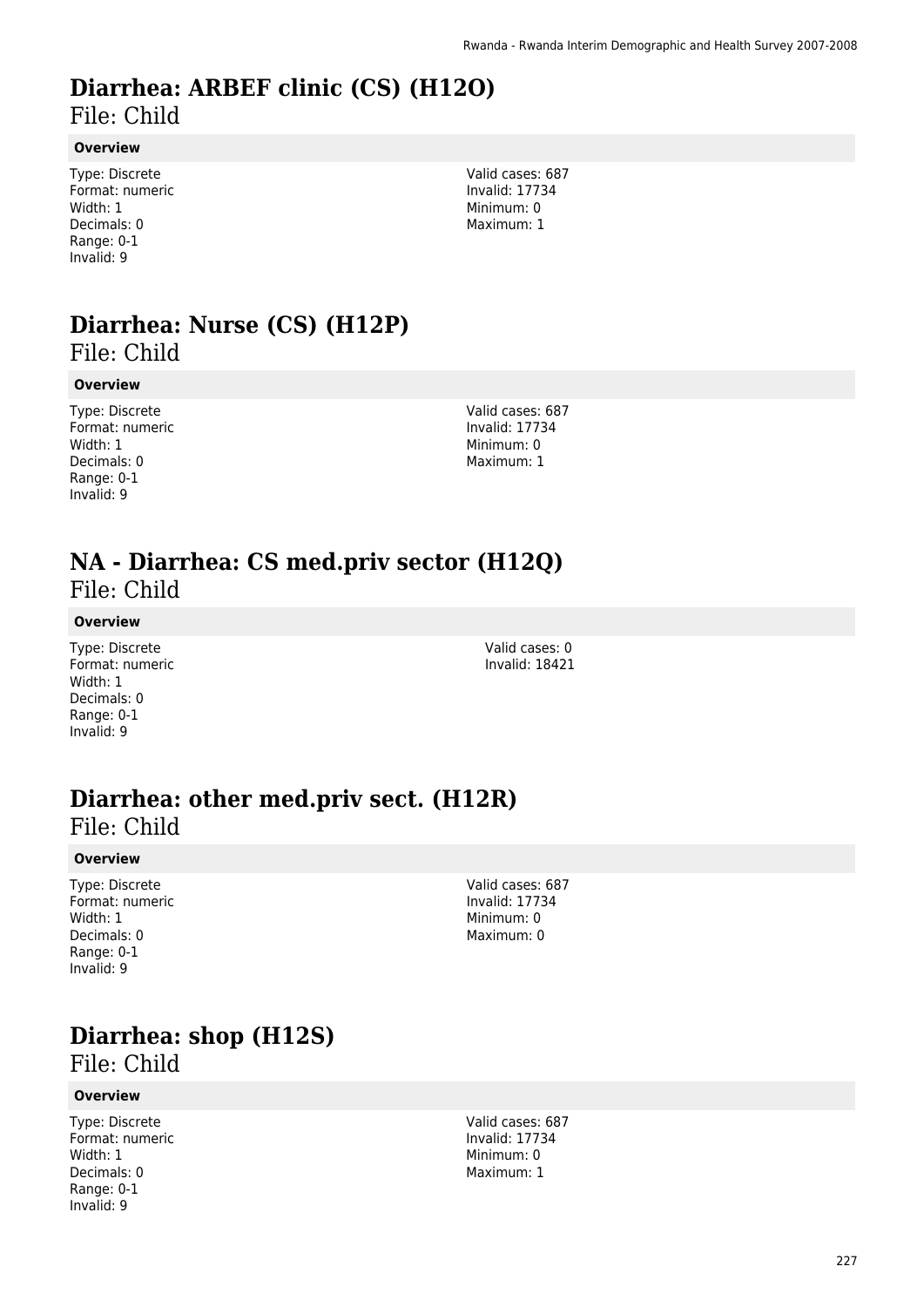### **Diarrhea: ARBEF clinic (CS) (H12O)**  File: Child

#### **Overview**

Type: Discrete Format: numeric Width: 1 Decimals: 0 Range: 0-1 Invalid: 9

Valid cases: 687 Invalid: 17734 Minimum: 0 Maximum: 1

### **Diarrhea: Nurse (CS) (H12P)**  File: Child

#### **Overview**

Type: Discrete Format: numeric Width: 1 Decimals: 0 Range: 0-1 Invalid: 9

Valid cases: 687 Invalid: 17734 Minimum: 0 Maximum: 1

### **NA - Diarrhea: CS med.priv sector (H12Q)**  File: Child

#### **Overview**

Type: Discrete Format: numeric Width: 1 Decimals: 0 Range: 0-1 Invalid: 9

Valid cases: 0 Invalid: 18421

### **Diarrhea: other med.priv sect. (H12R)**  File: Child

#### **Overview**

Type: Discrete Format: numeric Width: 1 Decimals: 0 Range: 0-1 Invalid: 9

Valid cases: 687 Invalid: 17734 Minimum: 0 Maximum: 0

### **Diarrhea: shop (H12S)**  File: Child

#### **Overview**

Type: Discrete Format: numeric Width: 1 Decimals: 0 Range: 0-1 Invalid: 9

Valid cases: 687 Invalid: 17734 Minimum: 0 Maximum: 1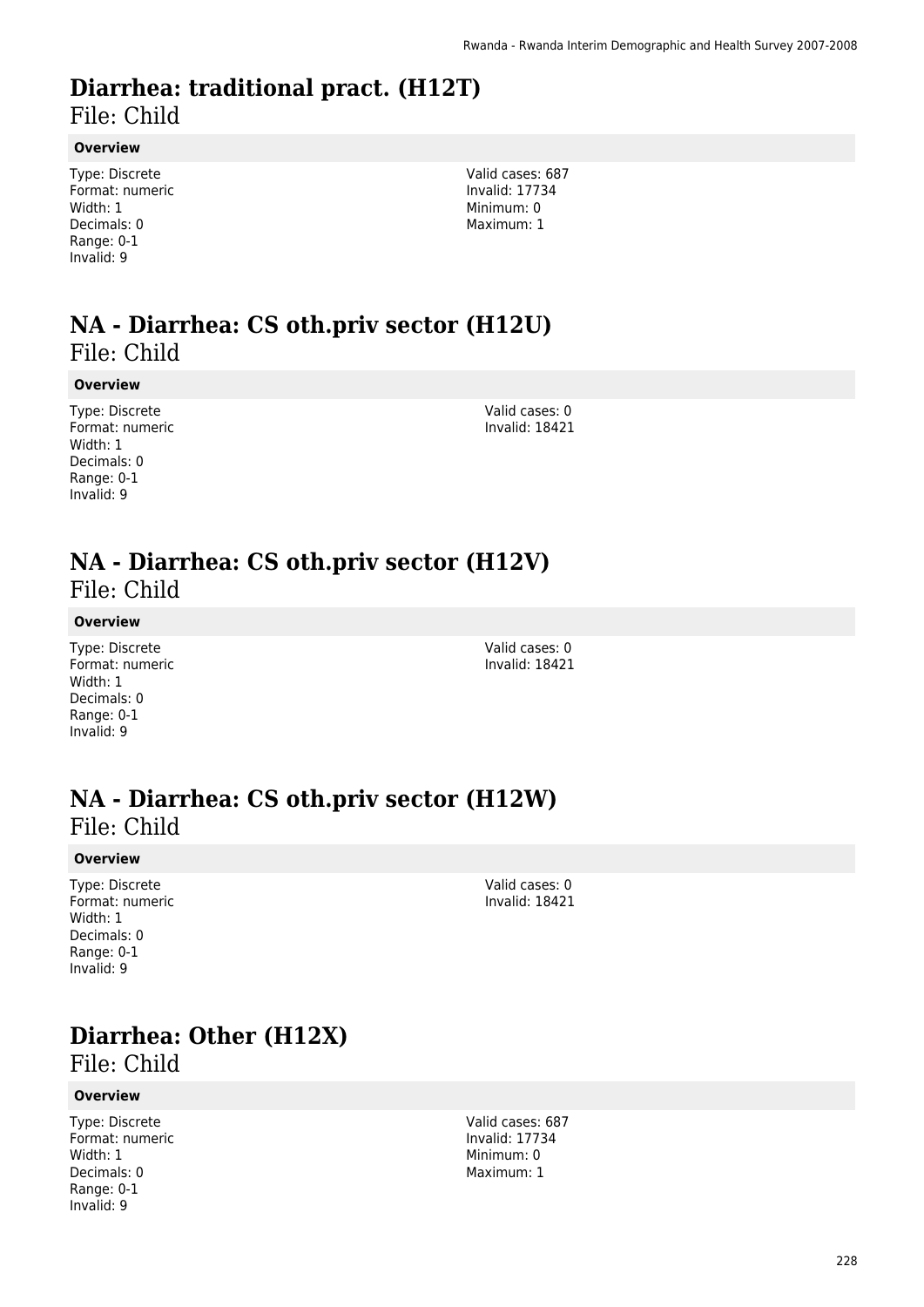### **Diarrhea: traditional pract. (H12T)**  File: Child

#### **Overview**

Type: Discrete Format: numeric Width: 1 Decimals: 0 Range: 0-1 Invalid: 9

Valid cases: 687 Invalid: 17734 Minimum: 0 Maximum: 1

### **NA - Diarrhea: CS oth.priv sector (H12U)**  File: Child

#### **Overview**

Type: Discrete Format: numeric Width: 1 Decimals: 0 Range: 0-1 Invalid: 9

Valid cases: 0 Invalid: 18421

### **NA - Diarrhea: CS oth.priv sector (H12V)**  File: Child

#### **Overview**

Type: Discrete Format: numeric Width: 1 Decimals: 0 Range: 0-1 Invalid: 9

Valid cases: 0 Invalid: 18421

### **NA - Diarrhea: CS oth.priv sector (H12W)**  File: Child

#### **Overview**

Type: Discrete Format: numeric Width: 1 Decimals: 0 Range: 0-1 Invalid: 9

Valid cases: 0 Invalid: 18421

### **Diarrhea: Other (H12X)**  File: Child

#### **Overview**

Type: Discrete Format: numeric Width: 1 Decimals: 0 Range: 0-1 Invalid: 9

Valid cases: 687 Invalid: 17734 Minimum: 0 Maximum: 1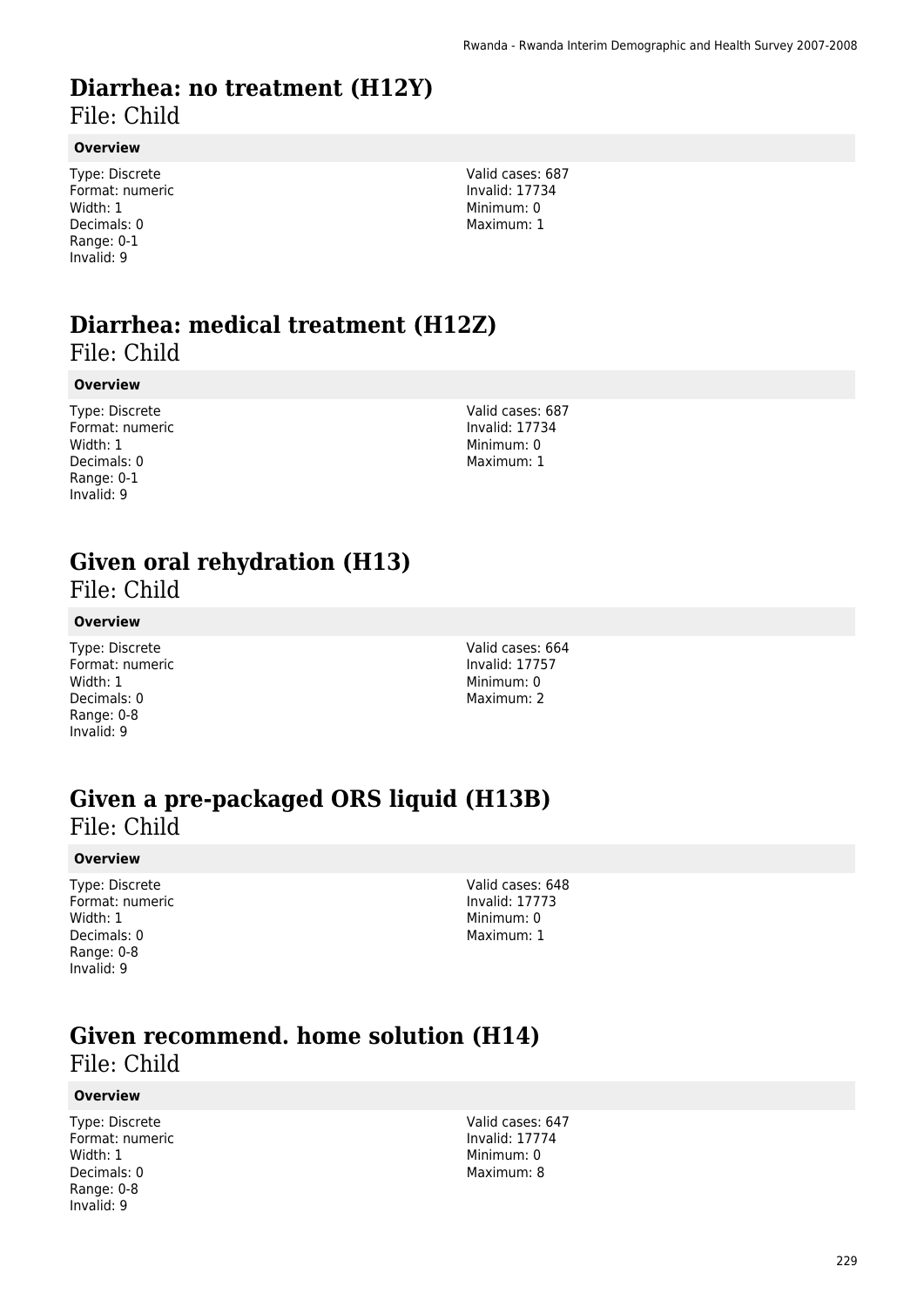### **Diarrhea: no treatment (H12Y)**  File: Child

#### **Overview**

Type: Discrete Format: numeric Width: 1 Decimals: 0 Range: 0-1 Invalid: 9

Valid cases: 687 Invalid: 17734 Minimum: 0 Maximum: 1

Valid cases: 687 Invalid: 17734 Minimum: 0 Maximum: 1

### **Diarrhea: medical treatment (H12Z)**  File: Child

#### **Overview**

Type: Discrete Format: numeric Width: 1 Decimals: 0 Range: 0-1 Invalid: 9

### **Given oral rehydration (H13)**  File: Child

#### **Overview**

Type: Discrete Format: numeric Width: 1 Decimals: 0 Range: 0-8 Invalid: 9

Valid cases: 664 Invalid: 17757 Minimum: 0 Maximum: 2

### **Given a pre-packaged ORS liquid (H13B)**  File: Child

#### **Overview**

Type: Discrete Format: numeric Width: 1 Decimals: 0 Range: 0-8 Invalid: 9

Valid cases: 648 Invalid: 17773 Minimum: 0 Maximum: 1

### **Given recommend. home solution (H14)**  File: Child

#### **Overview**

Type: Discrete Format: numeric Width: 1 Decimals: 0 Range: 0-8 Invalid: 9

Valid cases: 647 Invalid: 17774 Minimum: 0 Maximum: 8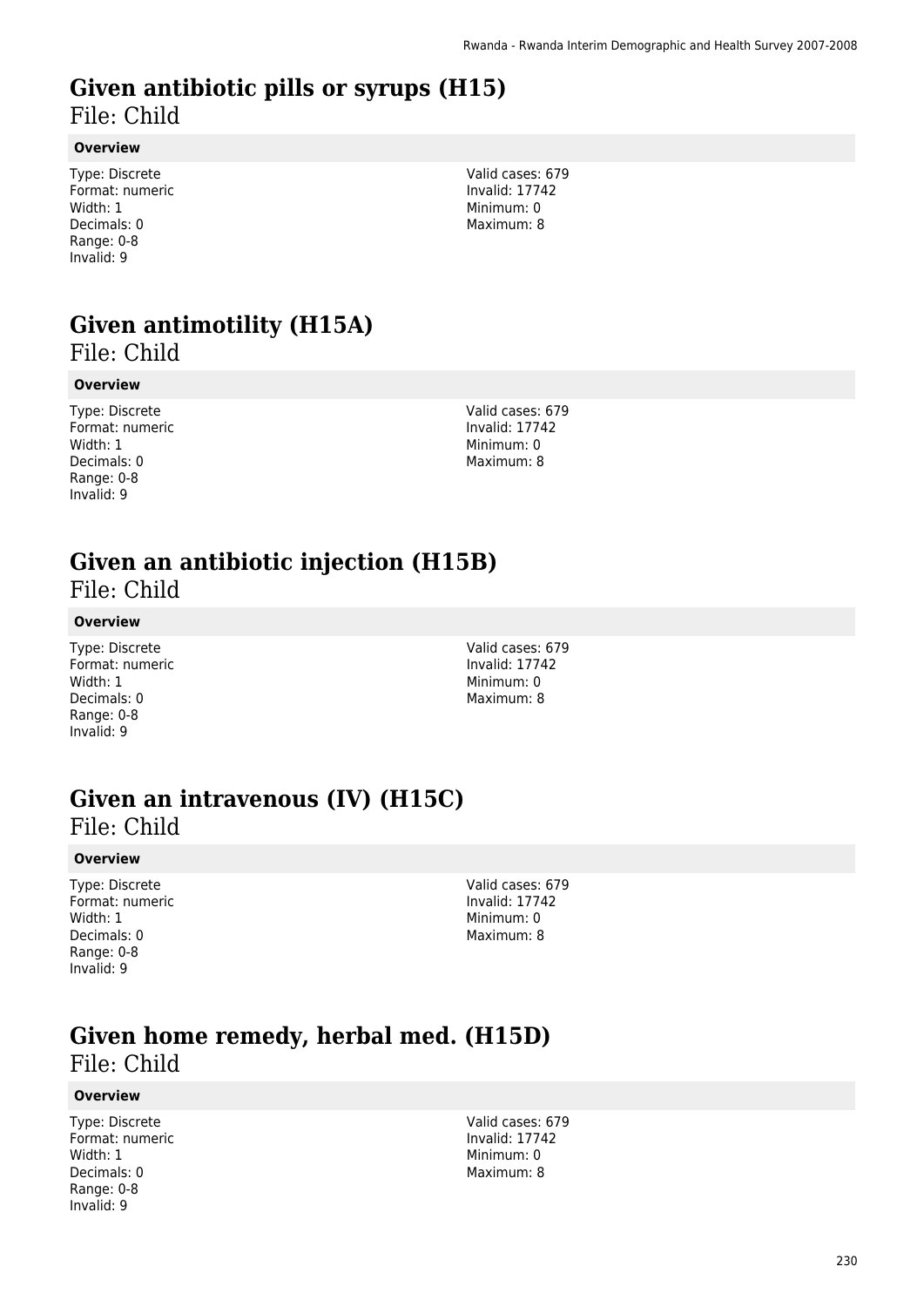### **Given antibiotic pills or syrups (H15)**  File: Child

#### **Overview**

Type: Discrete Format: numeric Width: 1 Decimals: 0 Range: 0-8 Invalid: 9

#### Valid cases: 679 Invalid: 17742 Minimum: 0 Maximum: 8

### **Given antimotility (H15A)**  File: Child

#### **Overview**

Type: Discrete Format: numeric Width: 1 Decimals: 0 Range: 0-8 Invalid: 9

Valid cases: 679 Invalid: 17742 Minimum: 0 Maximum: 8

### **Given an antibiotic injection (H15B)**  File: Child

#### **Overview**

Type: Discrete Format: numeric Width: 1 Decimals: 0 Range: 0-8 Invalid: 9

#### Valid cases: 679 Invalid: 17742 Minimum: 0 Maximum: 8

### **Given an intravenous (IV) (H15C)**  File: Child

#### **Overview**

Type: Discrete Format: numeric Width: 1 Decimals: 0 Range: 0-8 Invalid: 9

Valid cases: 679 Invalid: 17742 Minimum: 0 Maximum: 8

### **Given home remedy, herbal med. (H15D)**  File: Child

#### **Overview**

Type: Discrete Format: numeric Width: 1 Decimals: 0 Range: 0-8 Invalid: 9

Valid cases: 679 Invalid: 17742 Minimum: 0 Maximum: 8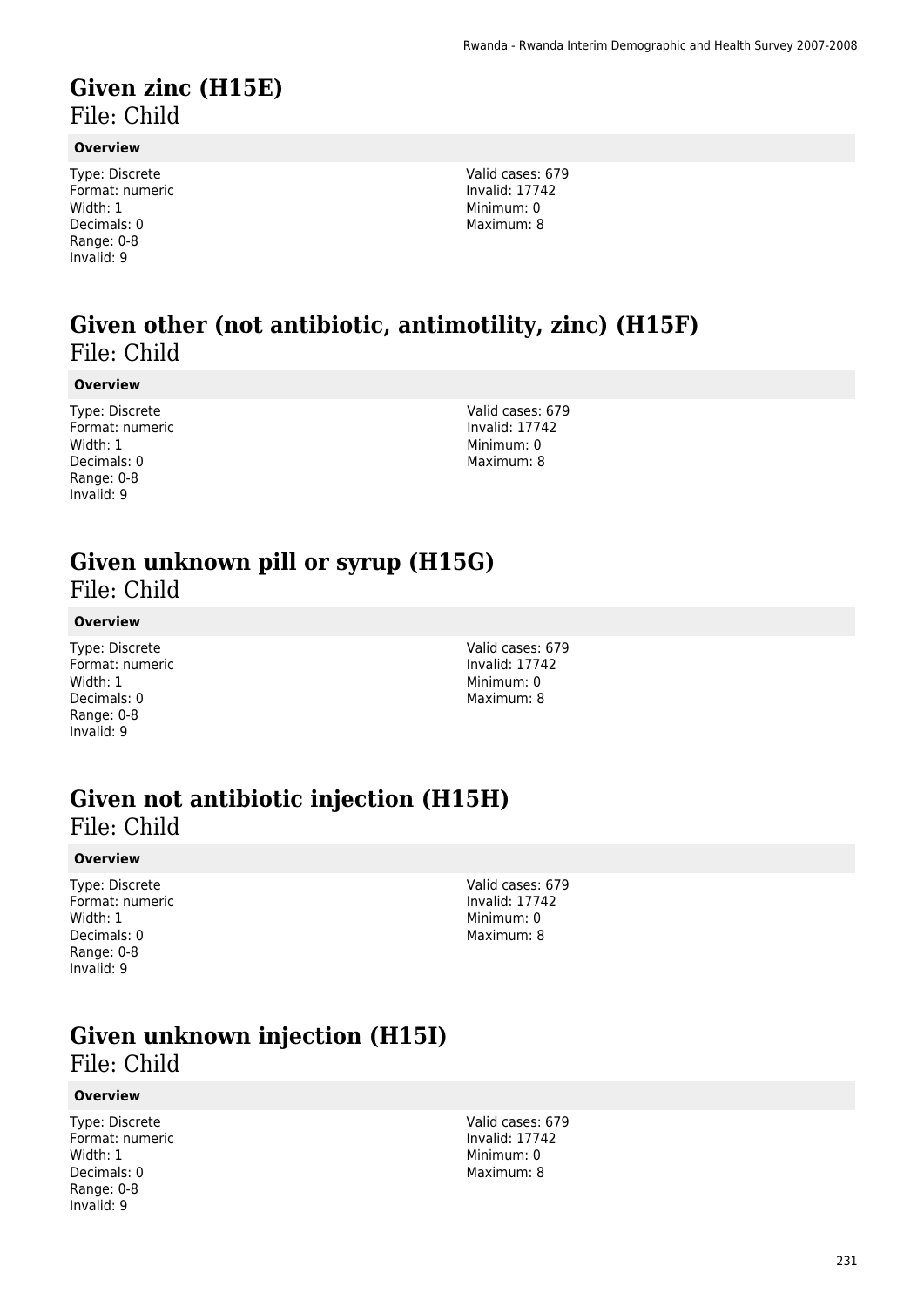### **Given zinc (H15E)**  File: Child

#### **Overview**

Type: Discrete Format: numeric Width: 1 Decimals: 0 Range: 0-8 Invalid: 9

Valid cases: 679 Invalid: 17742 Minimum: 0 Maximum: 8

### **Given other (not antibiotic, antimotility, zinc) (H15F)**  File: Child

#### **Overview**

Type: Discrete Format: numeric Width: 1 Decimals: 0 Range: 0-8 Invalid: 9

Valid cases: 679 Invalid: 17742 Minimum: 0 Maximum: 8

### **Given unknown pill or syrup (H15G)**  File: Child

#### **Overview**

Type: Discrete Format: numeric Width: 1 Decimals: 0 Range: 0-8 Invalid: 9

Valid cases: 679 Invalid: 17742 Minimum: 0 Maximum: 8

### **Given not antibiotic injection (H15H)**  File: Child

#### **Overview**

Type: Discrete Format: numeric Width: 1 Decimals: 0 Range: 0-8 Invalid: 9

Valid cases: 679 Invalid: 17742 Minimum: 0 Maximum: 8

### **Given unknown injection (H15I)**  File: Child

#### **Overview**

Type: Discrete Format: numeric Width: 1 Decimals: 0 Range: 0-8 Invalid: 9

Valid cases: 679 Invalid: 17742 Minimum: 0 Maximum: 8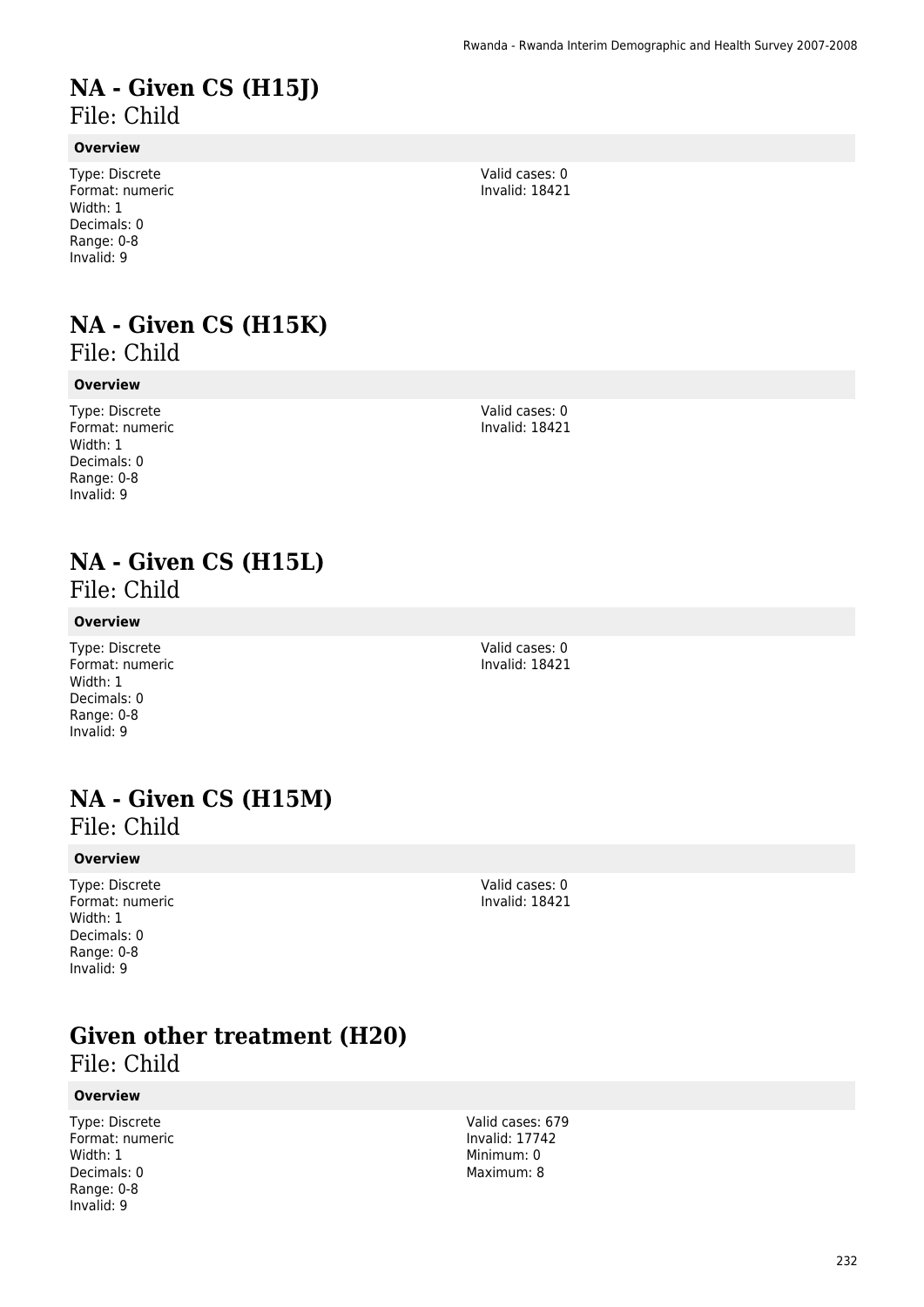### **NA - Given CS (H15J)**  File: Child

#### **Overview**

Type: Discrete Format: numeric Width: 1 Decimals: 0 Range: 0-8 Invalid: 9

### **NA - Given CS (H15K)**  File: Child

#### **Overview**

Type: Discrete Format: numeric Width: 1 Decimals: 0 Range: 0-8 Invalid: 9

### **NA - Given CS (H15L)**  File: Child

#### **Overview**

Type: Discrete Format: numeric Width: 1 Decimals: 0 Range: 0-8 Invalid: 9

### **NA - Given CS (H15M)**  File: Child

#### **Overview**

Type: Discrete Format: numeric Width: 1 Decimals: 0 Range: 0-8 Invalid: 9

### **Given other treatment (H20)**  File: Child

#### **Overview**

Type: Discrete Format: numeric Width: 1 Decimals: 0 Range: 0-8 Invalid: 9

Valid cases: 679 Invalid: 17742

Minimum: 0 Maximum: 8

Valid cases: 0 Invalid: 18421

Valid cases: 0 Invalid: 18421

Valid cases: 0 Invalid: 18421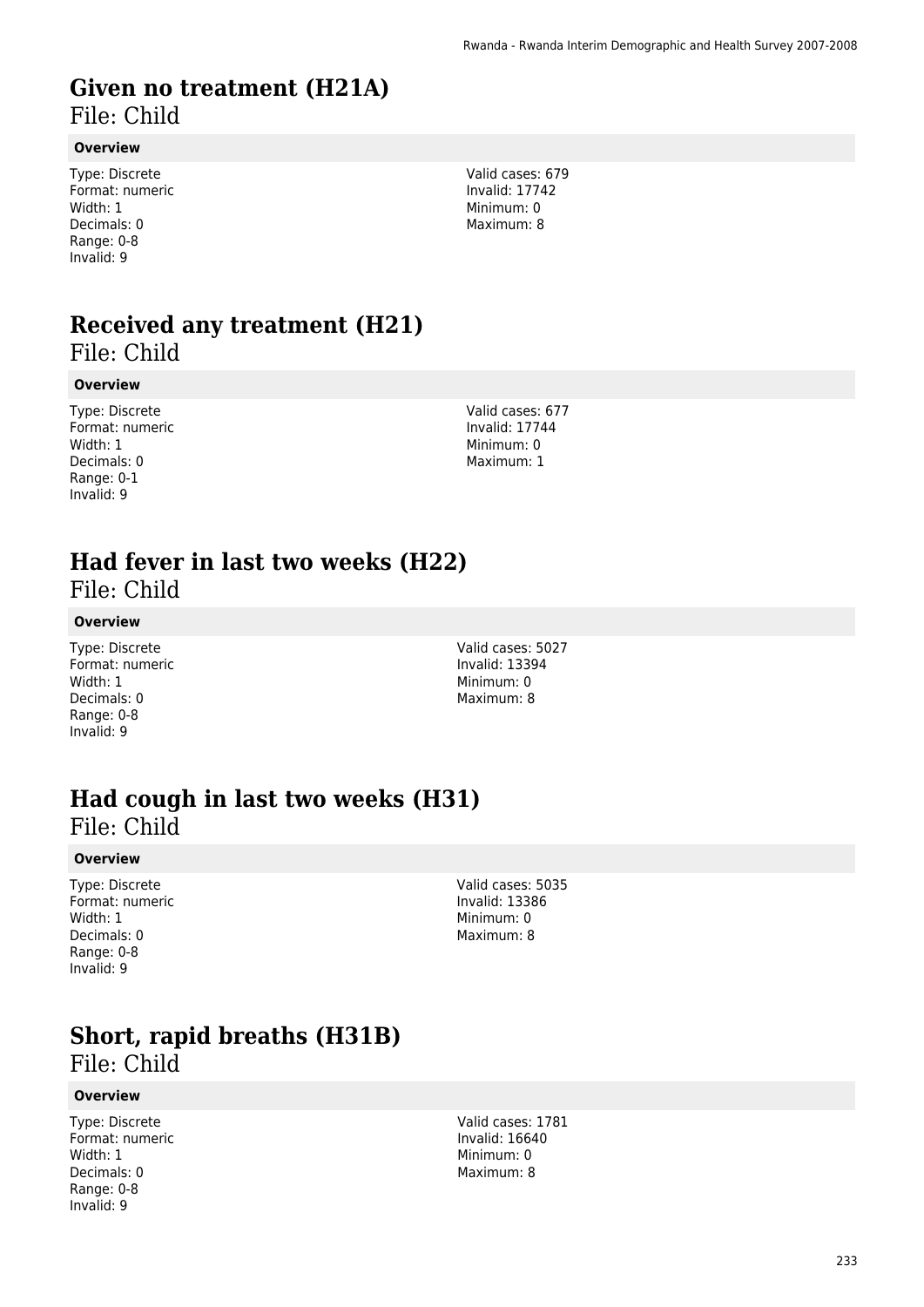### **Given no treatment (H21A)**  File: Child

#### **Overview**

Type: Discrete Format: numeric Width: 1 Decimals: 0 Range: 0-8 Invalid: 9

### **Received any treatment (H21)**  File: Child

#### **Overview**

Type: Discrete Format: numeric Width: 1 Decimals: 0 Range: 0-1 Invalid: 9

### **Had fever in last two weeks (H22)**  File: Child

#### **Overview**

Type: Discrete Format: numeric Width: 1 Decimals: 0 Range: 0-8 Invalid: 9

Valid cases: 5027 Invalid: 13394 Minimum: 0 Maximum: 8

### **Had cough in last two weeks (H31)**  File: Child

#### **Overview**

Type: Discrete Format: numeric Width: 1 Decimals: 0 Range: 0-8 Invalid: 9

Valid cases: 5035 Invalid: 13386 Minimum: 0 Maximum: 8

### **Short, rapid breaths (H31B)**  File: Child

#### **Overview**

Type: Discrete Format: numeric Width: 1 Decimals: 0 Range: 0-8 Invalid: 9

Valid cases: 1781 Invalid: 16640 Minimum: 0 Maximum: 8

Valid cases: 679 Invalid: 17742 Minimum: 0 Maximum: 8

Valid cases: 677 Invalid: 17744 Minimum: 0 Maximum: 1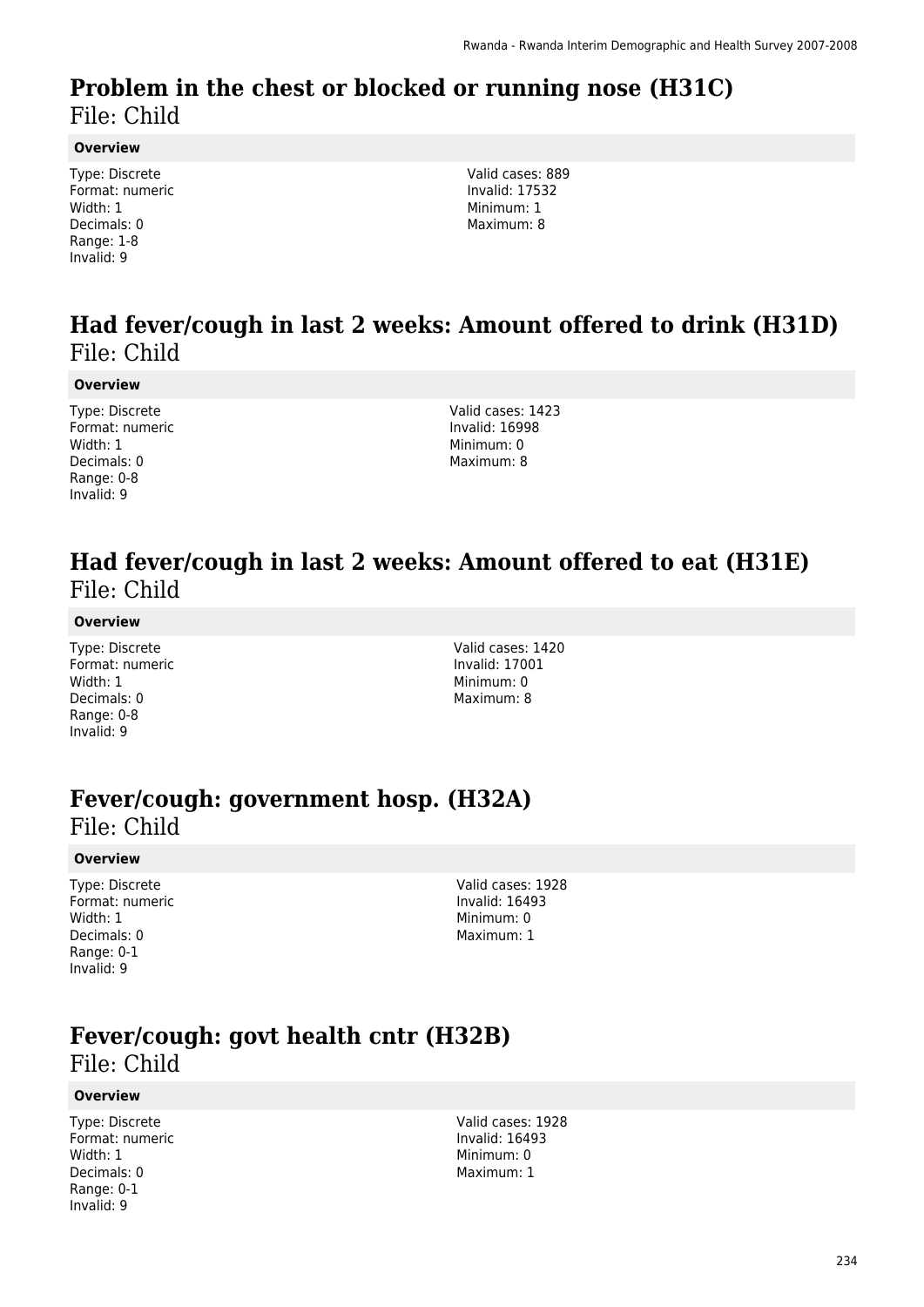### **Problem in the chest or blocked or running nose (H31C)**  File: Child

#### **Overview**

Type: Discrete Format: numeric Width: 1 Decimals: 0 Range: 1-8 Invalid: 9

Valid cases: 889 Invalid: 17532 Minimum: 1 Maximum: 8

### **Had fever/cough in last 2 weeks: Amount offered to drink (H31D)**  File: Child

#### **Overview**

Type: Discrete Format: numeric Width: 1 Decimals: 0 Range: 0-8 Invalid: 9

Valid cases: 1423 Invalid: 16998 Minimum: 0 Maximum: 8

### **Had fever/cough in last 2 weeks: Amount offered to eat (H31E)**  File: Child

#### **Overview**

Type: Discrete Format: numeric Width: 1 Decimals: 0 Range: 0-8 Invalid: 9

Valid cases: 1420 Invalid: 17001 Minimum: 0 Maximum: 8

### **Fever/cough: government hosp. (H32A)**  File: Child

#### **Overview**

Type: Discrete Format: numeric Width: 1 Decimals: 0 Range: 0-1 Invalid: 9

Valid cases: 1928 Invalid: 16493 Minimum: 0 Maximum: 1

### **Fever/cough: govt health cntr (H32B)**  File: Child

#### **Overview**

Type: Discrete Format: numeric Width: 1 Decimals: 0 Range: 0-1 Invalid: 9

Valid cases: 1928 Invalid: 16493 Minimum: 0 Maximum: 1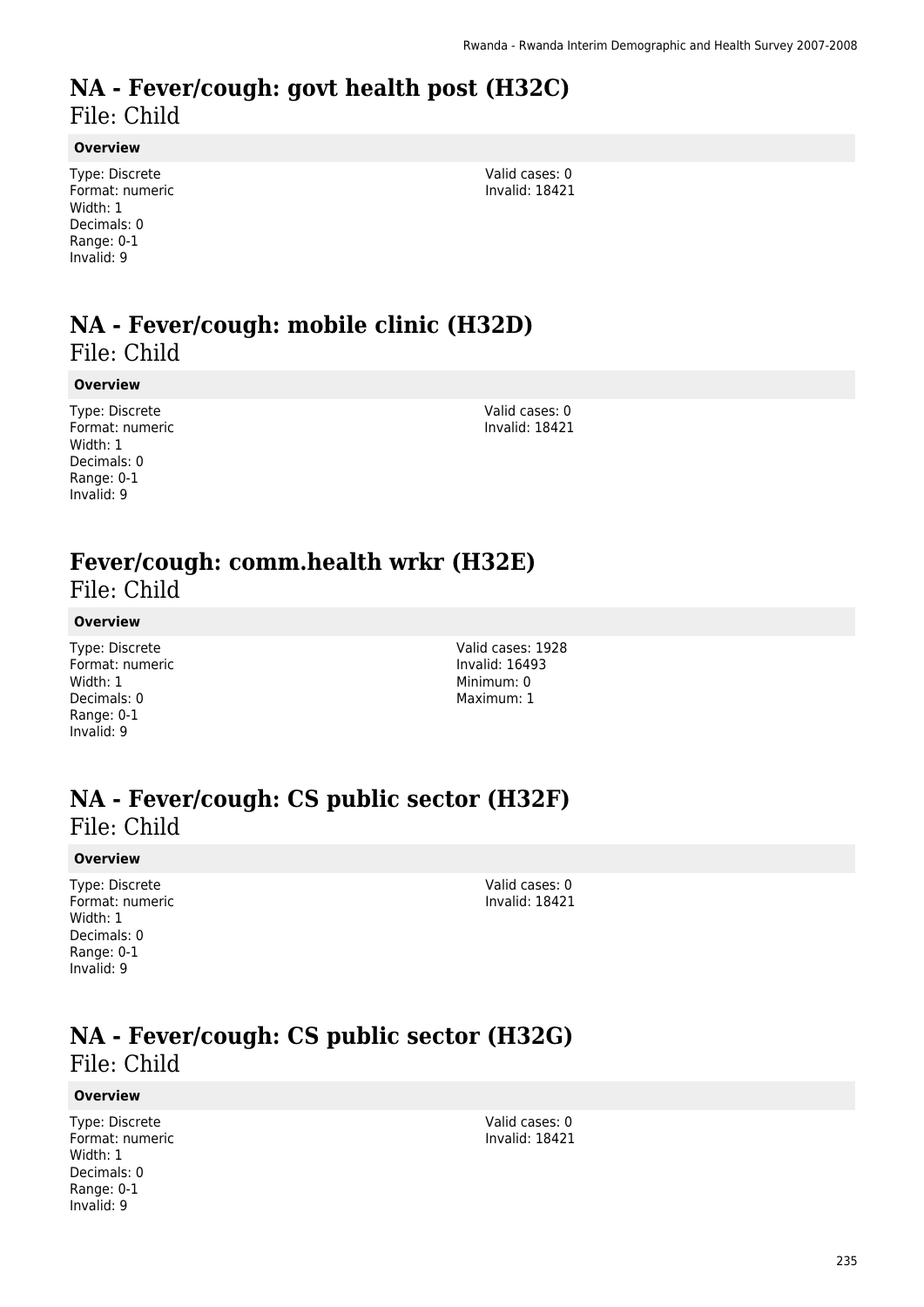### **NA - Fever/cough: govt health post (H32C)**  File: Child

#### **Overview**

Type: Discrete Format: numeric Width: 1 Decimals: 0 Range: 0-1 Invalid: 9

### **NA - Fever/cough: mobile clinic (H32D)**  File: Child

#### **Overview**

Type: Discrete Format: numeric Width: 1 Decimals: 0 Range: 0-1 Invalid: 9

Valid cases: 0 Invalid: 18421

Valid cases: 0 Invalid: 18421

### **Fever/cough: comm.health wrkr (H32E)**  File: Child

#### **Overview**

Type: Discrete Format: numeric Width: 1 Decimals: 0 Range: 0-1 Invalid: 9

Valid cases: 1928 Invalid: 16493 Minimum: 0 Maximum: 1

### **NA - Fever/cough: CS public sector (H32F)**  File: Child

#### **Overview**

Type: Discrete Format: numeric Width: 1 Decimals: 0 Range: 0-1 Invalid: 9

Valid cases: 0 Invalid: 18421

### **NA - Fever/cough: CS public sector (H32G)**  File: Child

#### **Overview**

Type: Discrete Format: numeric Width: 1 Decimals: 0 Range: 0-1 Invalid: 9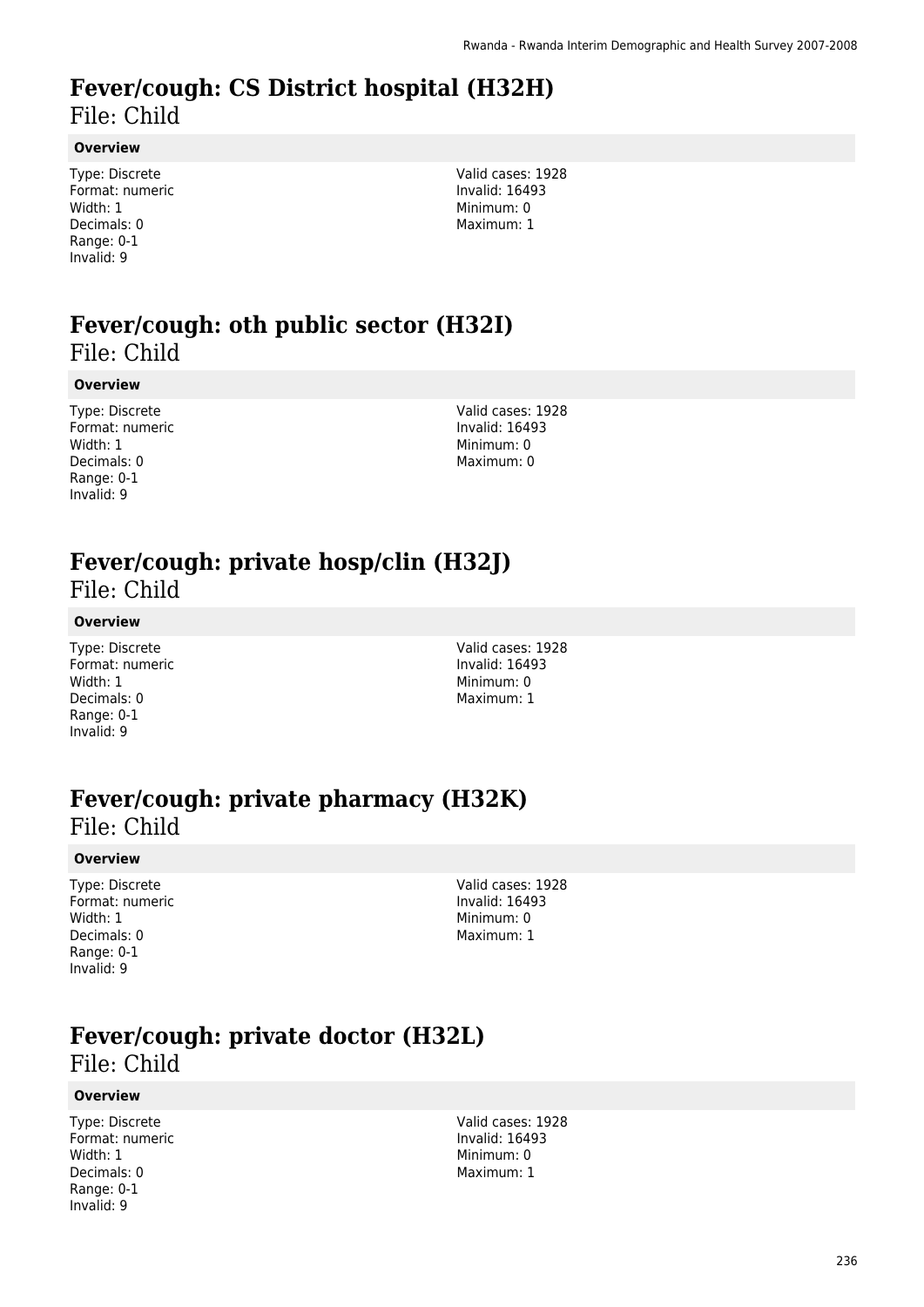### **Fever/cough: CS District hospital (H32H)**  File: Child

#### **Overview**

Type: Discrete Format: numeric Width: 1 Decimals: 0 Range: 0-1 Invalid: 9

Valid cases: 1928 Invalid: 16493 Minimum: 0 Maximum: 1

### **Fever/cough: oth public sector (H32I)**  File: Child

#### **Overview**

Type: Discrete Format: numeric Width: 1 Decimals: 0 Range: 0-1 Invalid: 9

Valid cases: 1928 Invalid: 16493 Minimum: 0 Maximum: 0

### **Fever/cough: private hosp/clin (H32J)**  File: Child

#### **Overview**

Type: Discrete Format: numeric Width: 1 Decimals: 0 Range: 0-1 Invalid: 9

Valid cases: 1928 Invalid: 16493 Minimum: 0 Maximum: 1

### **Fever/cough: private pharmacy (H32K)**  File: Child

#### **Overview**

Type: Discrete Format: numeric Width: 1 Decimals: 0 Range: 0-1 Invalid: 9

Valid cases: 1928 Invalid: 16493 Minimum: 0 Maximum: 1

### **Fever/cough: private doctor (H32L)**  File: Child

#### **Overview**

Type: Discrete Format: numeric Width: 1 Decimals: 0 Range: 0-1 Invalid: 9

Valid cases: 1928 Invalid: 16493 Minimum: 0 Maximum: 1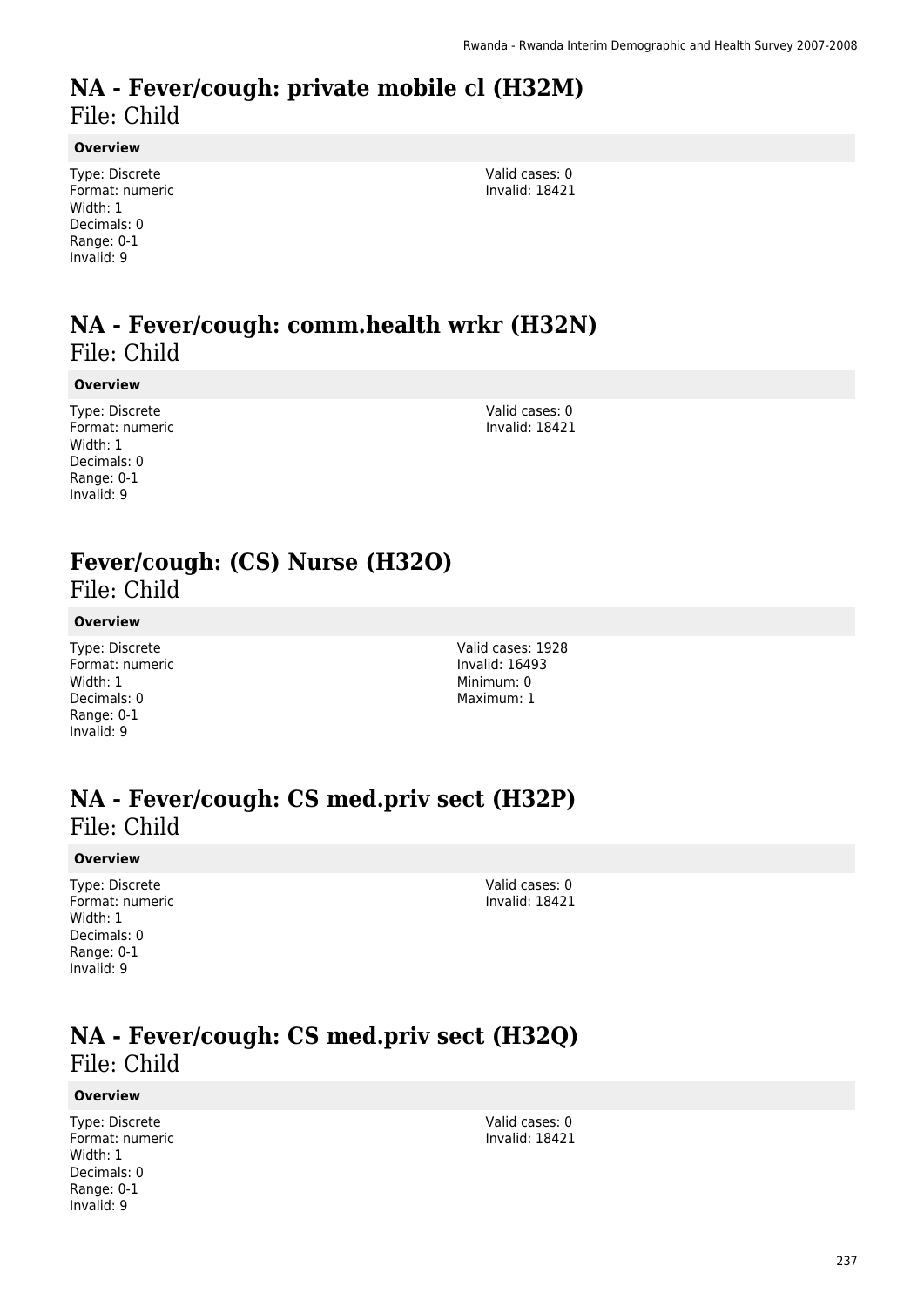### **NA - Fever/cough: private mobile cl (H32M)**  File: Child

#### **Overview**

Type: Discrete Format: numeric Width: 1 Decimals: 0 Range: 0-1 Invalid: 9

### **NA - Fever/cough: comm.health wrkr (H32N)**  File: Child

#### **Overview**

Type: Discrete Format: numeric Width: 1 Decimals: 0 Range: 0-1 Invalid: 9

### **Fever/cough: (CS) Nurse (H32O)**  File: Child

#### **Overview**

Type: Discrete Format: numeric Width: 1 Decimals: 0 Range: 0-1 Invalid: 9

Valid cases: 1928 Invalid: 16493 Minimum: 0 Maximum: 1

### **NA - Fever/cough: CS med.priv sect (H32P)**  File: Child

#### **Overview**

Type: Discrete Format: numeric Width: 1 Decimals: 0 Range: 0-1 Invalid: 9

Valid cases: 0 Invalid: 18421

### **NA - Fever/cough: CS med.priv sect (H32Q)**  File: Child

#### **Overview**

Type: Discrete Format: numeric Width: 1 Decimals: 0 Range: 0-1 Invalid: 9

Valid cases: 0 Invalid: 18421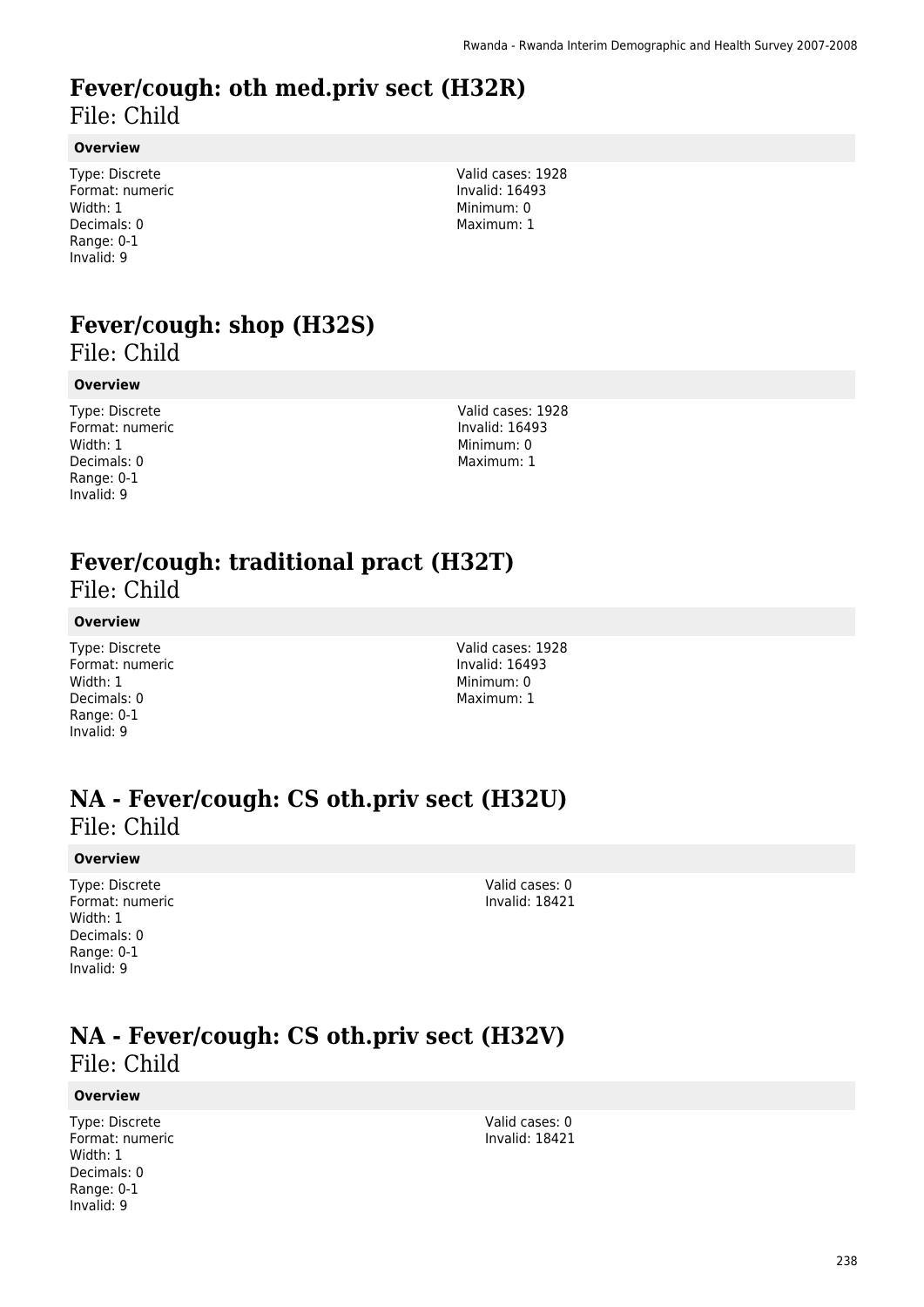### **Fever/cough: oth med.priv sect (H32R)**  File: Child

#### **Overview**

Type: Discrete Format: numeric Width: 1 Decimals: 0 Range: 0-1 Invalid: 9

Valid cases: 1928 Invalid: 16493 Minimum: 0 Maximum: 1

### **Fever/cough: shop (H32S)**  File: Child

#### **Overview**

Type: Discrete Format: numeric Width: 1 Decimals: 0 Range: 0-1 Invalid: 9

Valid cases: 1928 Invalid: 16493 Minimum: 0 Maximum: 1

### **Fever/cough: traditional pract (H32T)**  File: Child

#### **Overview**

Type: Discrete Format: numeric Width: 1 Decimals: 0 Range: 0-1 Invalid: 9

Valid cases: 1928 Invalid: 16493 Minimum: 0 Maximum: 1

### **NA - Fever/cough: CS oth.priv sect (H32U)**  File: Child

#### **Overview**

Type: Discrete Format: numeric Width: 1 Decimals: 0 Range: 0-1 Invalid: 9

Valid cases: 0 Invalid: 18421

### **NA - Fever/cough: CS oth.priv sect (H32V)**  File: Child

#### **Overview**

Type: Discrete Format: numeric Width: 1 Decimals: 0 Range: 0-1 Invalid: 9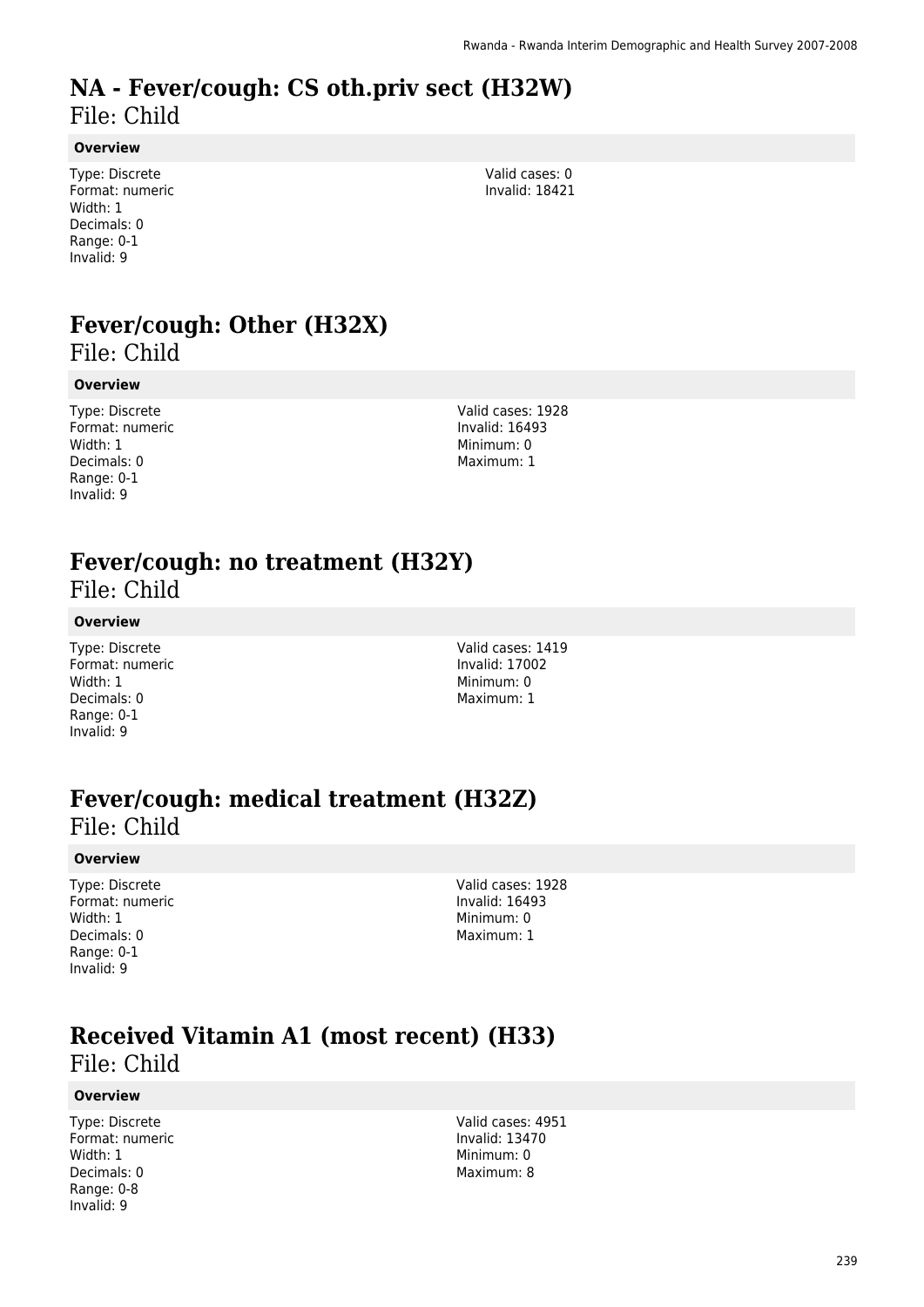### **NA - Fever/cough: CS oth.priv sect (H32W)**  File: Child

#### **Overview**

Type: Discrete Format: numeric Width: 1 Decimals: 0 Range: 0-1 Invalid: 9

Valid cases: 0 Invalid: 18421

### **Fever/cough: Other (H32X)**  File: Child

#### **Overview**

Type: Discrete Format: numeric Width: 1 Decimals: 0 Range: 0-1 Invalid: 9

Valid cases: 1928 Invalid: 16493 Minimum: 0 Maximum: 1

### **Fever/cough: no treatment (H32Y)**  File: Child

#### **Overview**

Type: Discrete Format: numeric Width: 1 Decimals: 0 Range: 0-1 Invalid: 9

Valid cases: 1419 Invalid: 17002 Minimum: 0 Maximum: 1

### **Fever/cough: medical treatment (H32Z)**  File: Child

#### **Overview**

Type: Discrete Format: numeric Width: 1 Decimals: 0 Range: 0-1 Invalid: 9

Valid cases: 1928 Invalid: 16493 Minimum: 0 Maximum: 1

### **Received Vitamin A1 (most recent) (H33)**  File: Child

#### **Overview**

Type: Discrete Format: numeric Width: 1 Decimals: 0 Range: 0-8 Invalid: 9

Valid cases: 4951 Invalid: 13470 Minimum: 0 Maximum: 8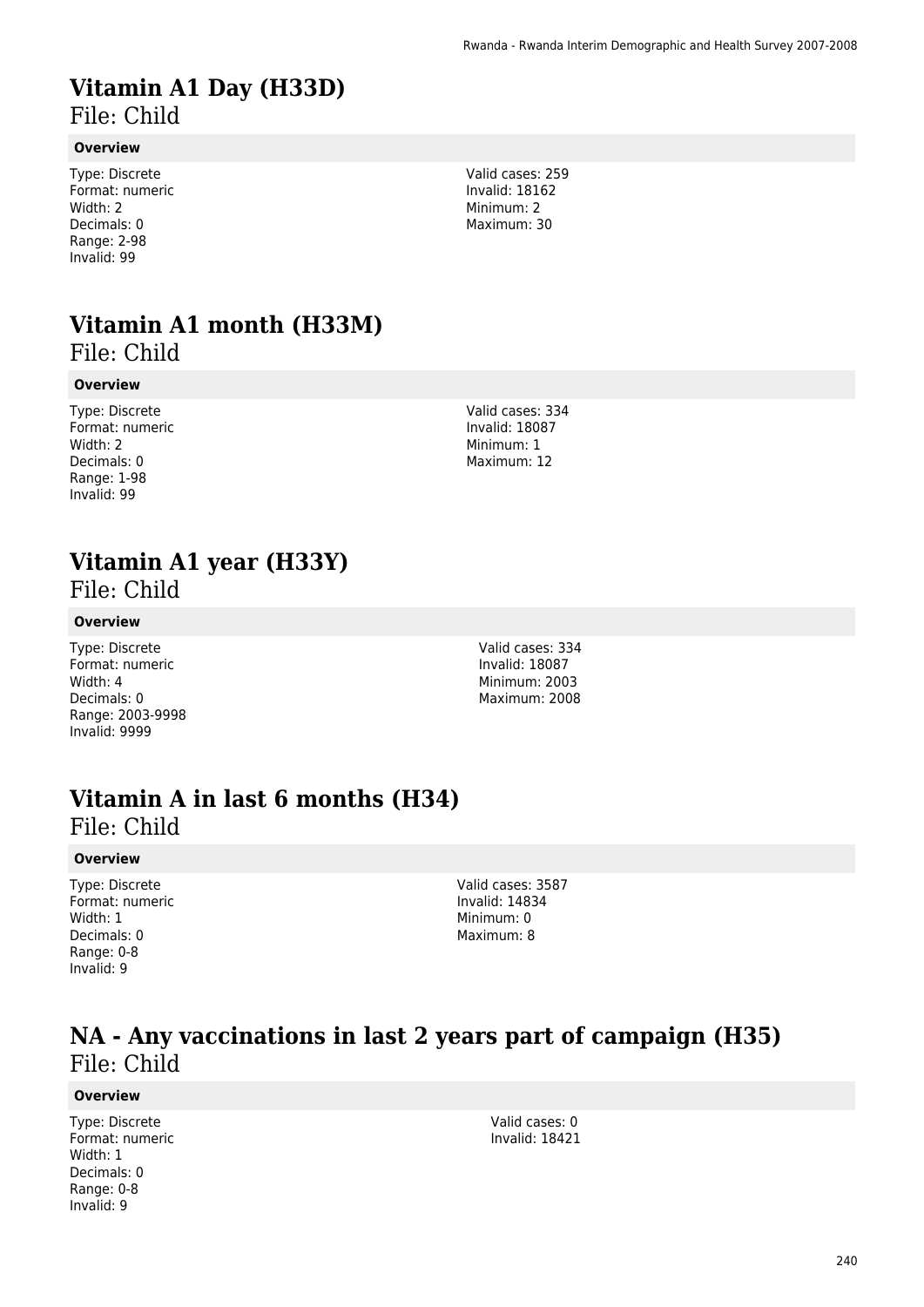### **Vitamin A1 Day (H33D)**  File: Child

#### **Overview**

Type: Discrete Format: numeric Width: 2 Decimals: 0 Range: 2-98 Invalid: 99

Valid cases: 259 Invalid: 18162 Minimum: 2 Maximum: 30

Valid cases: 334 Invalid: 18087 Minimum: 1 Maximum: 12

### **Vitamin A1 month (H33M)**  File: Child

#### **Overview**

Type: Discrete Format: numeric Width: 2 Decimals: 0 Range: 1-98 Invalid: 99

### **Vitamin A1 year (H33Y)**  File: Child

#### **Overview**

Type: Discrete Format: numeric Width: 4 Decimals: 0 Range: 2003-9998 Invalid: 9999

#### Valid cases: 334 Invalid: 18087 Minimum: 2003 Maximum: 2008

### **Vitamin A in last 6 months (H34)**  File: Child

#### **Overview**

Type: Discrete Format: numeric Width: 1 Decimals: 0 Range: 0-8 Invalid: 9

Valid cases: 3587 Invalid: 14834 Minimum: 0 Maximum: 8

### **NA - Any vaccinations in last 2 years part of campaign (H35)**  File: Child

### **Overview**

Type: Discrete Format: numeric Width: 1 Decimals: 0 Range: 0-8 Invalid: 9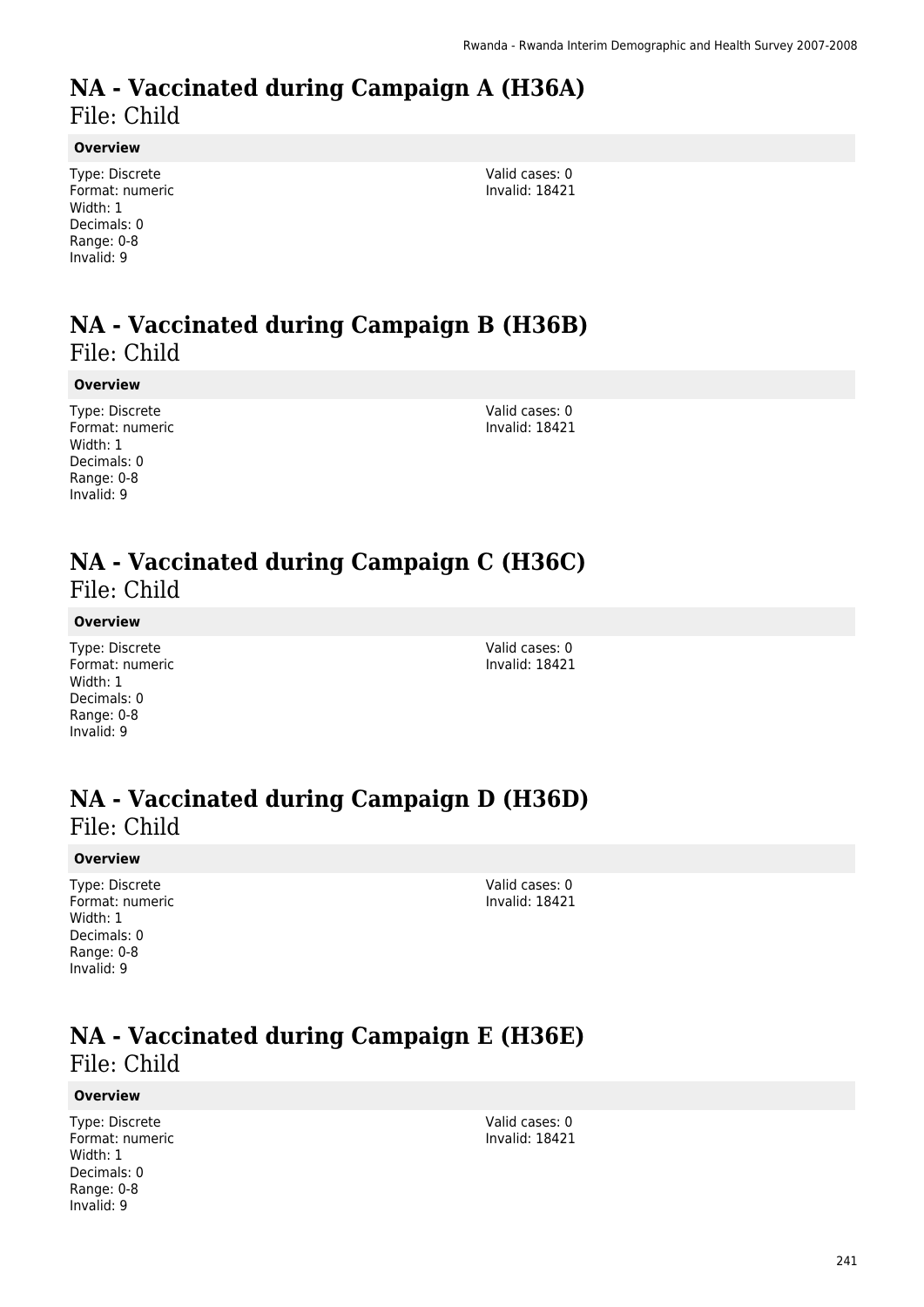### **NA - Vaccinated during Campaign A (H36A)**  File: Child

**Overview**

Type: Discrete Format: numeric Width: 1 Decimals: 0 Range: 0-8 Invalid: 9

Valid cases: 0 Invalid: 18421

### **NA - Vaccinated during Campaign B (H36B)**  File: Child

#### **Overview**

Type: Discrete Format: numeric Width: 1 Decimals: 0 Range: 0-8 Invalid: 9

Valid cases: 0 Invalid: 18421

### **NA - Vaccinated during Campaign C (H36C)**  File: Child

#### **Overview**

Type: Discrete Format: numeric Width: 1 Decimals: 0 Range: 0-8 Invalid: 9

Valid cases: 0 Invalid: 18421

### **NA - Vaccinated during Campaign D (H36D)**  File: Child

#### **Overview**

Type: Discrete Format: numeric Width: 1 Decimals: 0 Range: 0-8 Invalid: 9

Valid cases: 0 Invalid: 18421

### **NA - Vaccinated during Campaign E (H36E)**  File: Child

#### **Overview**

Type: Discrete Format: numeric Width: 1 Decimals: 0 Range: 0-8 Invalid: 9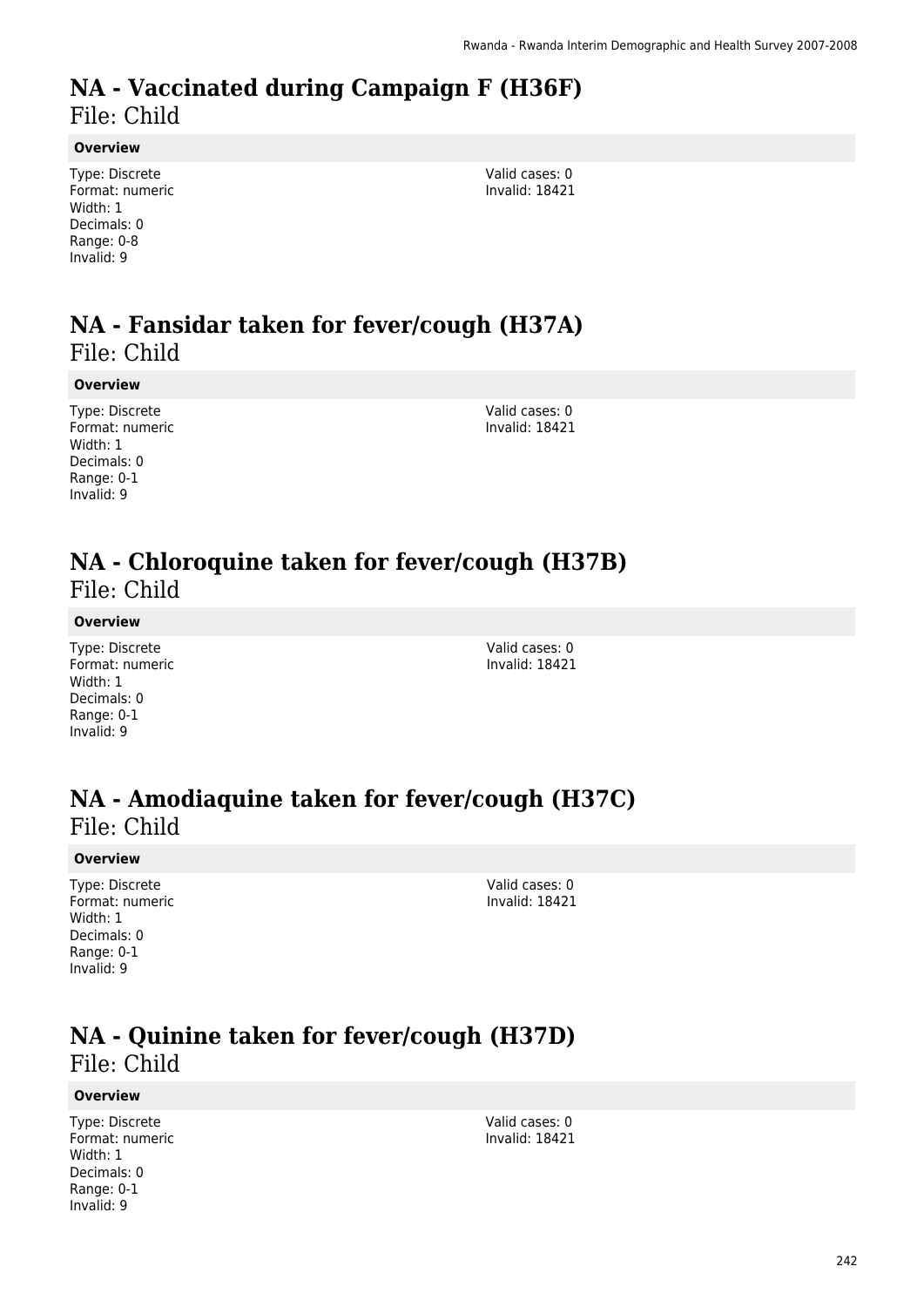### **NA - Vaccinated during Campaign F (H36F)**  File: Child

**Overview**

Type: Discrete Format: numeric Width: 1 Decimals: 0 Range: 0-8 Invalid: 9

**NA - Fansidar taken for fever/cough (H37A)**  File: Child

#### **Overview**

Type: Discrete Format: numeric Width: 1 Decimals: 0 Range: 0-1 Invalid: 9

Valid cases: 0 Invalid: 18421

Valid cases: 0 Invalid: 18421

### **NA - Chloroquine taken for fever/cough (H37B)**  File: Child

#### **Overview**

Type: Discrete Format: numeric Width: 1 Decimals: 0 Range: 0-1 Invalid: 9

Valid cases: 0 Invalid: 18421

### **NA - Amodiaquine taken for fever/cough (H37C)**  File: Child

#### **Overview**

Type: Discrete Format: numeric Width: 1 Decimals: 0 Range: 0-1 Invalid: 9

Valid cases: 0 Invalid: 18421

### **NA - Quinine taken for fever/cough (H37D)**  File: Child

#### **Overview**

Type: Discrete Format: numeric Width: 1 Decimals: 0 Range: 0-1 Invalid: 9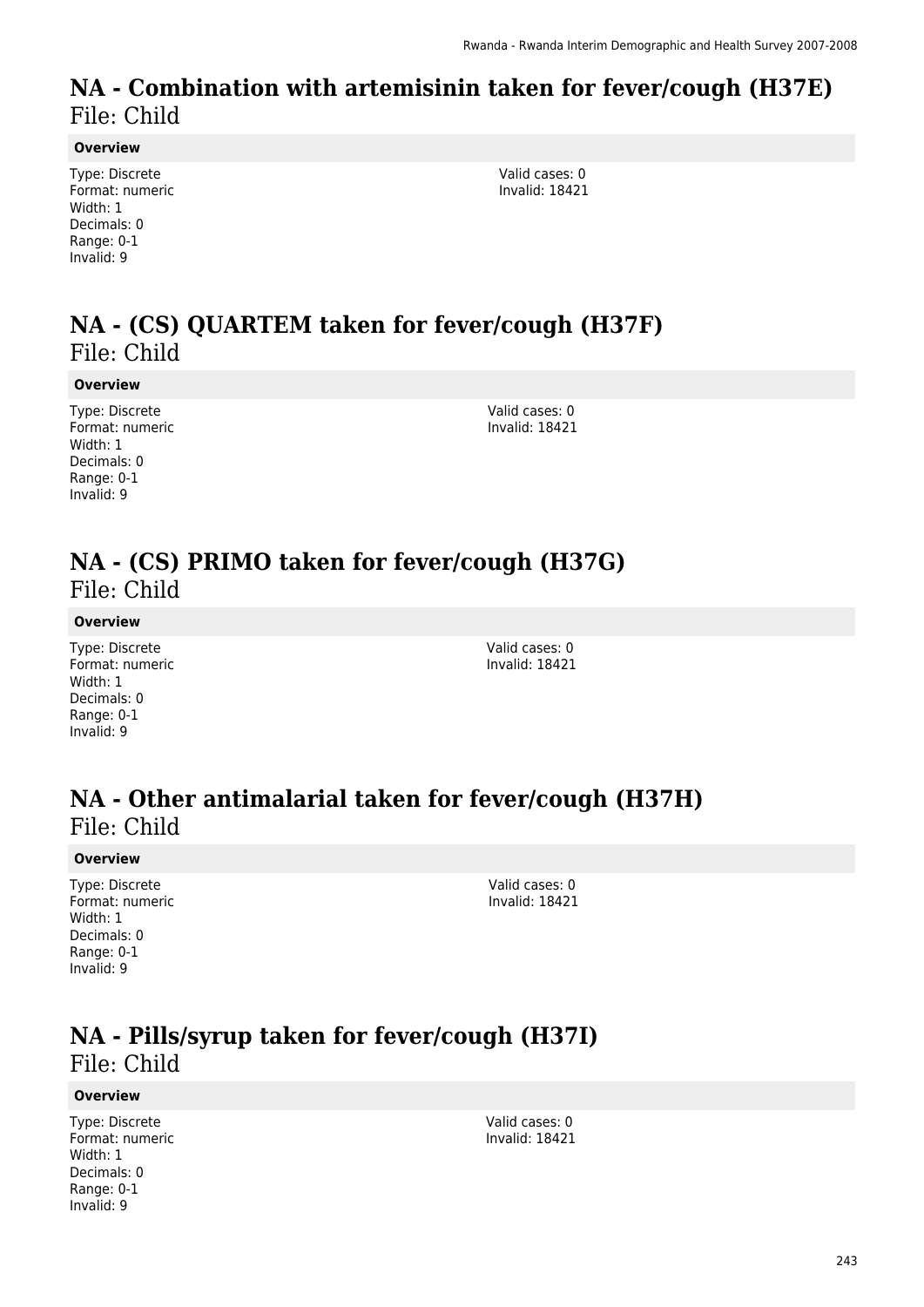### **NA - Combination with artemisinin taken for fever/cough (H37E)**  File: Child

#### **Overview**

Type: Discrete Format: numeric Width: 1 Decimals: 0 Range: 0-1 Invalid: 9

Valid cases: 0 Invalid: 18421

### **NA - (CS) QUARTEM taken for fever/cough (H37F)**  File: Child

#### **Overview**

Type: Discrete Format: numeric Width: 1 Decimals: 0 Range: 0-1 Invalid: 9

Valid cases: 0 Invalid: 18421

### **NA - (CS) PRIMO taken for fever/cough (H37G)**  File: Child

#### **Overview**

Type: Discrete Format: numeric Width: 1 Decimals: 0 Range: 0-1 Invalid: 9

Valid cases: 0 Invalid: 18421

### **NA - Other antimalarial taken for fever/cough (H37H)**  File: Child

### **Overview**

Type: Discrete Format: numeric Width: 1 Decimals: 0 Range: 0-1 Invalid: 9

Valid cases: 0 Invalid: 18421

### **NA - Pills/syrup taken for fever/cough (H37I)**  File: Child

#### **Overview**

Type: Discrete Format: numeric Width: 1 Decimals: 0 Range: 0-1 Invalid: 9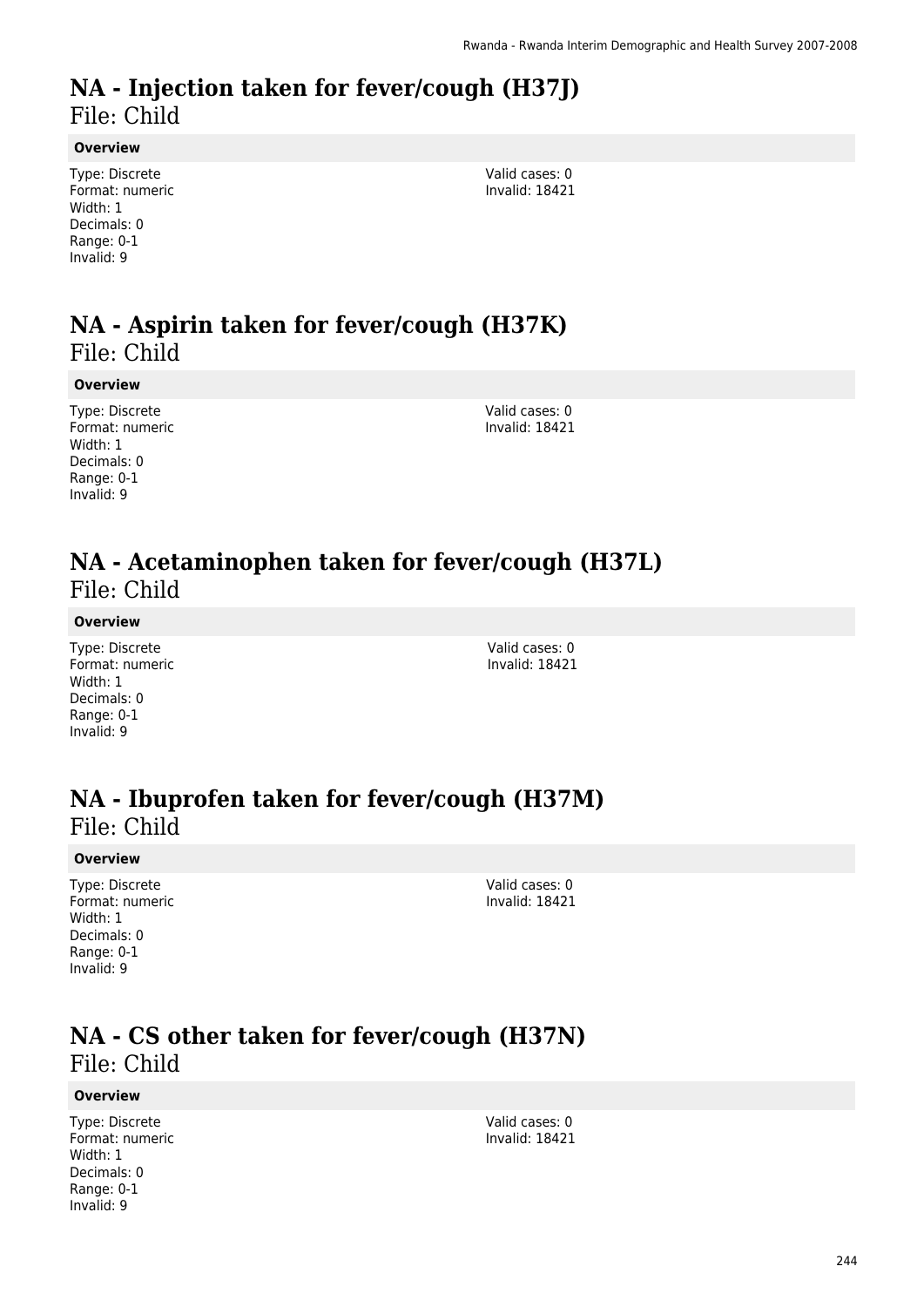### **NA - Injection taken for fever/cough (H37J)**  File: Child

#### **Overview**

Type: Discrete Format: numeric Width: 1 Decimals: 0 Range: 0-1 Invalid: 9

### **NA - Aspirin taken for fever/cough (H37K)**  File: Child

#### **Overview**

Type: Discrete Format: numeric Width: 1 Decimals: 0 Range: 0-1 Invalid: 9

Valid cases: 0 Invalid: 18421

Valid cases: 0 Invalid: 18421

### **NA - Acetaminophen taken for fever/cough (H37L)**  File: Child

#### **Overview**

Type: Discrete Format: numeric Width: 1 Decimals: 0 Range: 0-1 Invalid: 9

Valid cases: 0 Invalid: 18421

### **NA - Ibuprofen taken for fever/cough (H37M)**  File: Child

#### **Overview**

Type: Discrete Format: numeric Width: 1 Decimals: 0 Range: 0-1 Invalid: 9

Valid cases: 0 Invalid: 18421

### **NA - CS other taken for fever/cough (H37N)**  File: Child

#### **Overview**

Type: Discrete Format: numeric Width: 1 Decimals: 0 Range: 0-1 Invalid: 9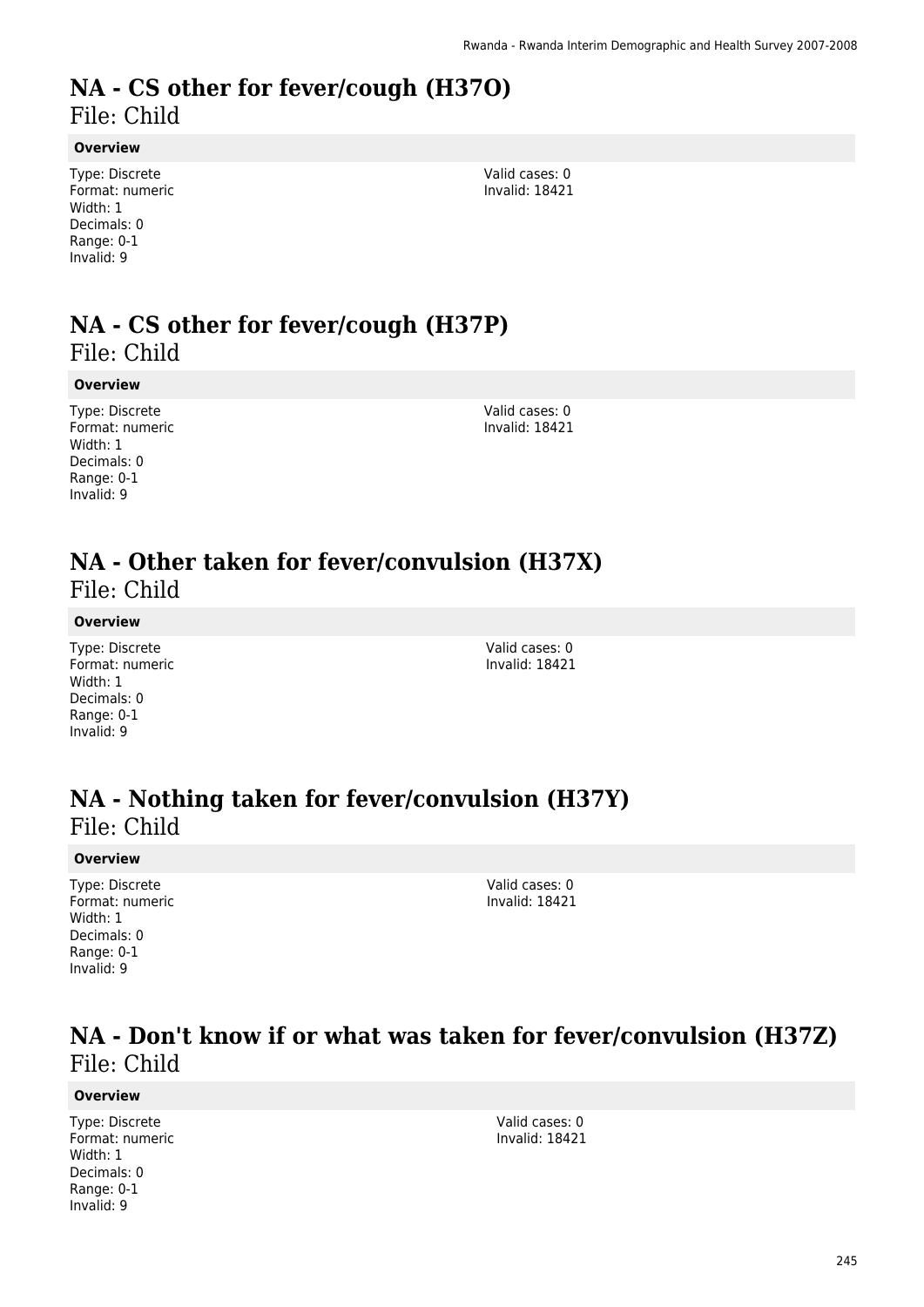### **NA - CS other for fever/cough (H37O)**  File: Child

#### **Overview**

Type: Discrete Format: numeric Width: 1 Decimals: 0 Range: 0-1 Invalid: 9

### **NA - CS other for fever/cough (H37P)**  File: Child

#### **Overview**

Type: Discrete Format: numeric Width: 1 Decimals: 0 Range: 0-1 Invalid: 9

Valid cases: 0 Invalid: 18421

Valid cases: 0 Invalid: 18421

### **NA - Other taken for fever/convulsion (H37X)**  File: Child

#### **Overview**

Type: Discrete Format: numeric Width: 1 Decimals: 0 Range: 0-1 Invalid: 9

Valid cases: 0 Invalid: 18421

### **NA - Nothing taken for fever/convulsion (H37Y)**  File: Child

#### **Overview**

Type: Discrete Format: numeric Width: 1 Decimals: 0 Range: 0-1 Invalid: 9

Valid cases: 0 Invalid: 18421

### **NA - Don't know if or what was taken for fever/convulsion (H37Z)**  File: Child

#### **Overview**

Type: Discrete Format: numeric Width: 1 Decimals: 0 Range: 0-1 Invalid: 9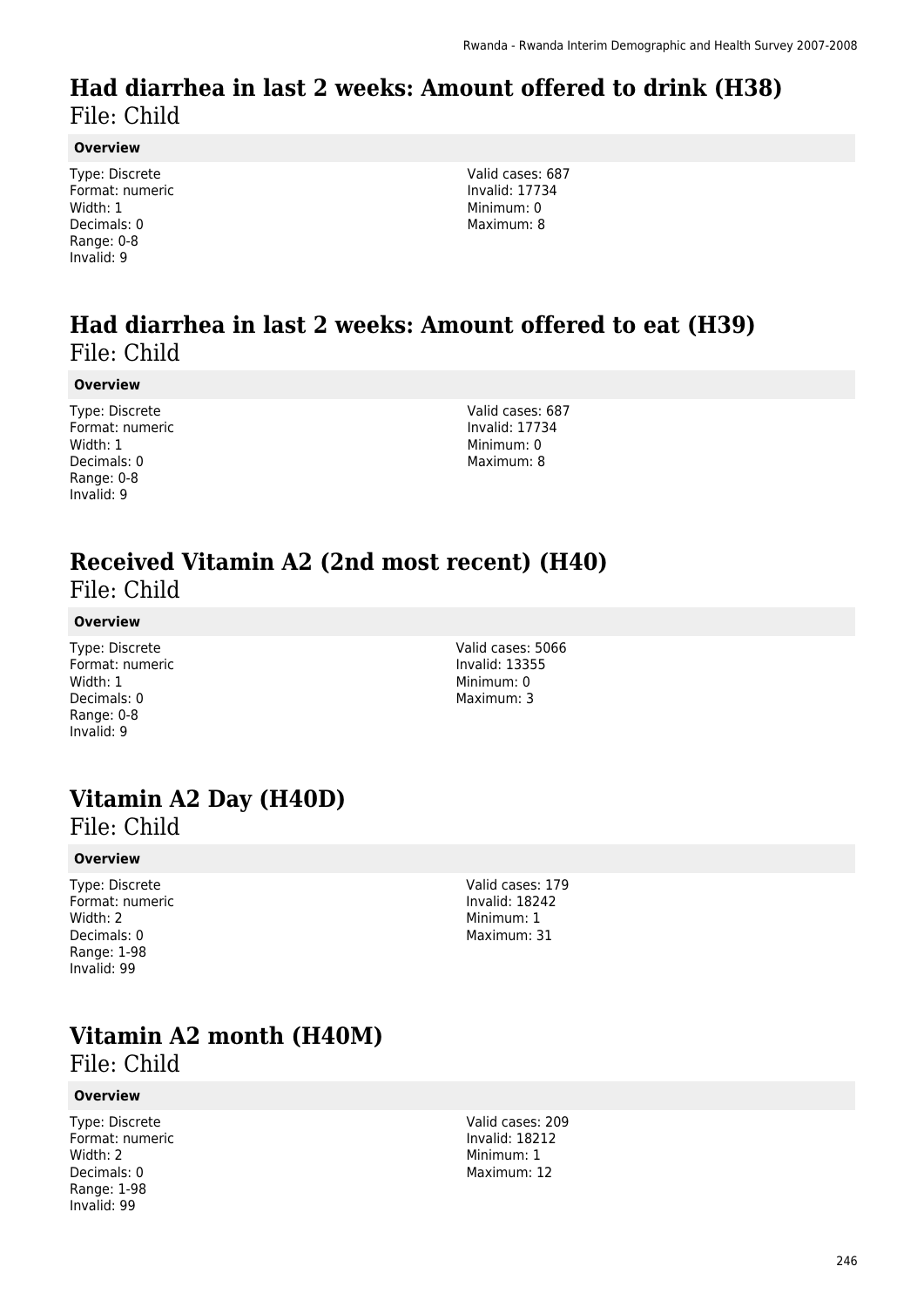### **Had diarrhea in last 2 weeks: Amount offered to drink (H38)**  File: Child

**Overview**

Type: Discrete Format: numeric Width: 1 Decimals: 0 Range: 0-8 Invalid: 9

Valid cases: 687 Invalid: 17734 Minimum: 0 Maximum: 8

### **Had diarrhea in last 2 weeks: Amount offered to eat (H39)**  File: Child

**Overview**

Type: Discrete Format: numeric Width: 1 Decimals: 0 Range: 0-8 Invalid: 9

Valid cases: 687 Invalid: 17734 Minimum: 0 Maximum: 8

### **Received Vitamin A2 (2nd most recent) (H40)**  File: Child

#### **Overview**

Type: Discrete Format: numeric Width: 1 Decimals: 0 Range: 0-8 Invalid: 9

Valid cases: 5066 Invalid: 13355 Minimum: 0 Maximum: 3

# **Vitamin A2 Day (H40D)**

File: Child

### **Overview**

Type: Discrete Format: numeric Width: 2 Decimals: 0 Range: 1-98 Invalid: 99

Valid cases: 179 Invalid: 18242 Minimum: 1 Maximum: 31

### **Vitamin A2 month (H40M)**  File: Child

#### **Overview**

Type: Discrete Format: numeric Width: 2 Decimals: 0 Range: 1-98 Invalid: 99

Valid cases: 209 Invalid: 18212 Minimum: 1 Maximum: 12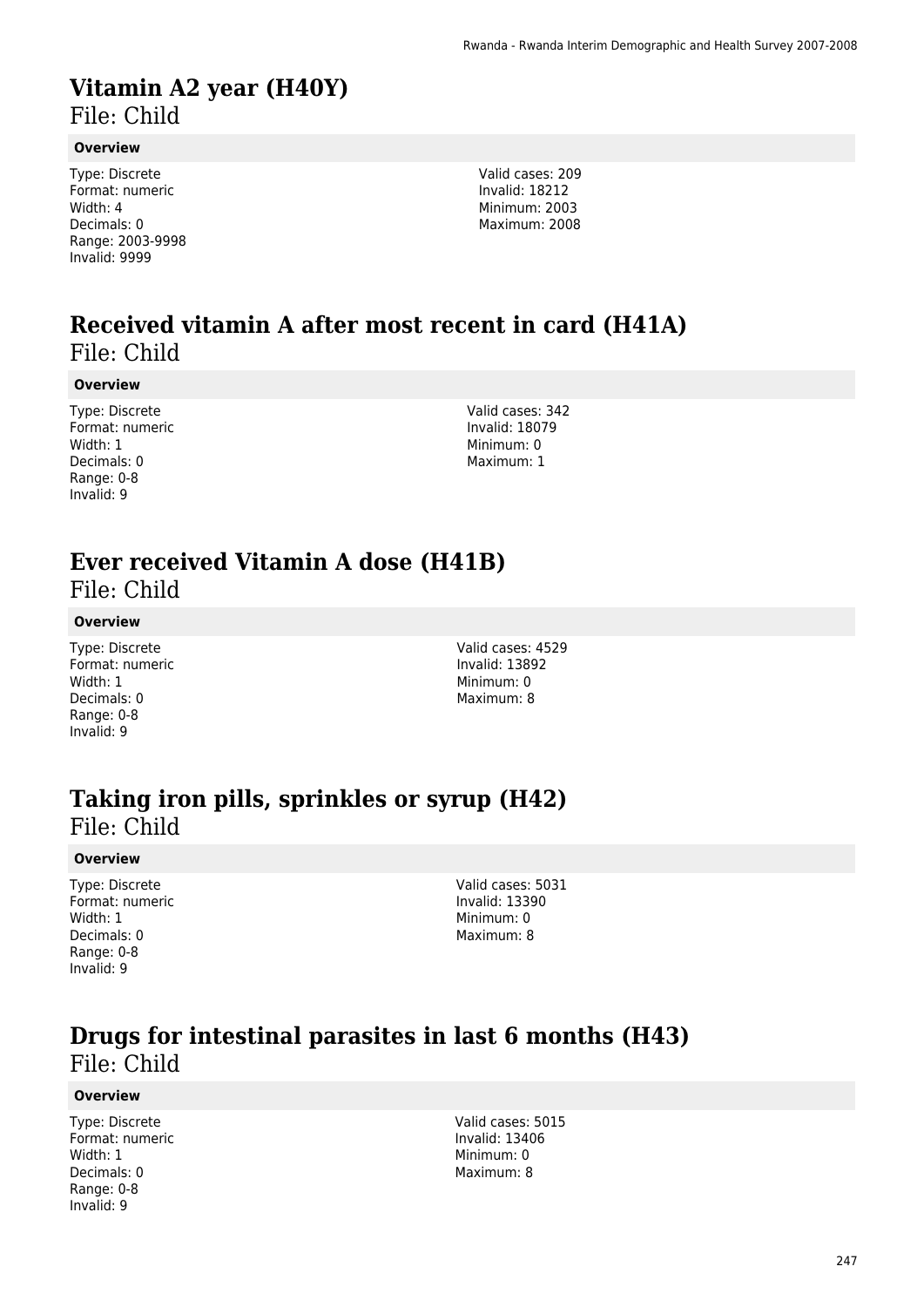### **Vitamin A2 year (H40Y)**  File: Child

**Overview**

Type: Discrete Format: numeric Width: 4 Decimals: 0 Range: 2003-9998 Invalid: 9999

Valid cases: 209 Invalid: 18212 Minimum: 2003 Maximum: 2008

### **Received vitamin A after most recent in card (H41A)**  File: Child

**Overview**

Type: Discrete Format: numeric Width: 1 Decimals: 0 Range: 0-8 Invalid: 9

Valid cases: 342 Invalid: 18079 Minimum: 0 Maximum: 1

### **Ever received Vitamin A dose (H41B)**  File: Child

#### **Overview**

Type: Discrete Format: numeric Width: 1 Decimals: 0 Range: 0-8 Invalid: 9

Valid cases: 4529 Invalid: 13892 Minimum: 0 Maximum: 8

### **Taking iron pills, sprinkles or syrup (H42)**  File: Child

#### **Overview**

Type: Discrete Format: numeric Width: 1 Decimals: 0 Range: 0-8 Invalid: 9

Valid cases: 5031 Invalid: 13390 Minimum: 0 Maximum: 8

### **Drugs for intestinal parasites in last 6 months (H43)**  File: Child

#### **Overview**

Type: Discrete Format: numeric Width: 1 Decimals: 0 Range: 0-8 Invalid: 9

Valid cases: 5015 Invalid: 13406 Minimum: 0 Maximum: 8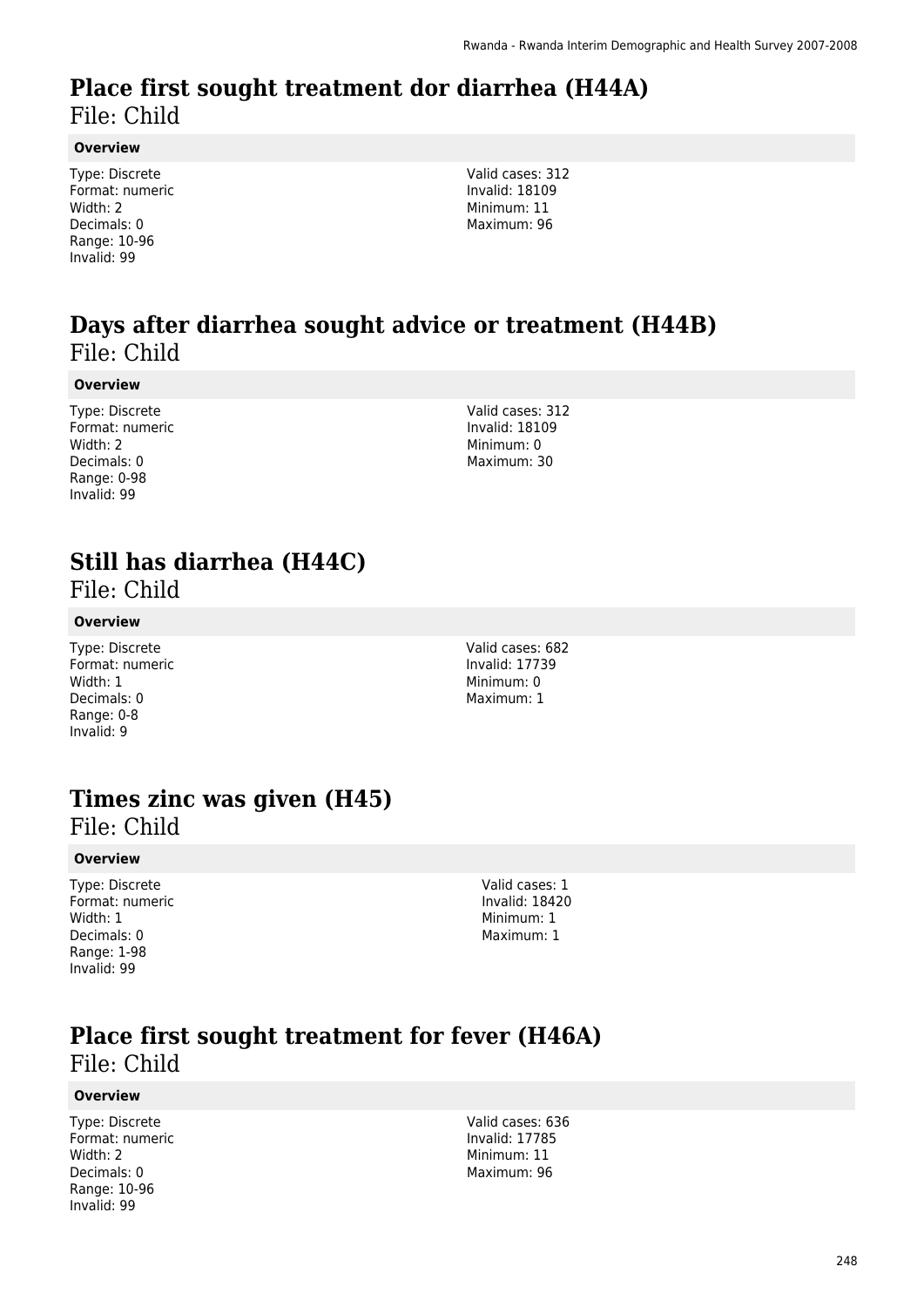### **Place first sought treatment dor diarrhea (H44A)**  File: Child

**Overview**

Type: Discrete Format: numeric Width: 2 Decimals: 0 Range: 10-96 Invalid: 99

Valid cases: 312 Invalid: 18109 Minimum: 11 Maximum: 96

Valid cases: 312 Invalid: 18109 Minimum: 0 Maximum: 30

### **Days after diarrhea sought advice or treatment (H44B)**  File: Child

**Overview**

Type: Discrete Format: numeric Width: 2 Decimals: 0 Range: 0-98 Invalid: 99

### **Still has diarrhea (H44C)**  File: Child

**Overview**

Type: Discrete Format: numeric Width: 1 Decimals: 0 Range: 0-8 Invalid: 9

#### Valid cases: 682 Invalid: 17739 Minimum: 0 Maximum: 1

### **Times zinc was given (H45)**  File: Child

#### **Overview**

Type: Discrete Format: numeric Width: 1 Decimals: 0 Range: 1-98 Invalid: 99

Valid cases: 1 Invalid: 18420 Minimum: 1 Maximum: 1

### **Place first sought treatment for fever (H46A)**  File: Child

#### **Overview**

Type: Discrete Format: numeric Width: 2 Decimals: 0 Range: 10-96 Invalid: 99

Valid cases: 636 Invalid: 17785 Minimum: 11 Maximum: 96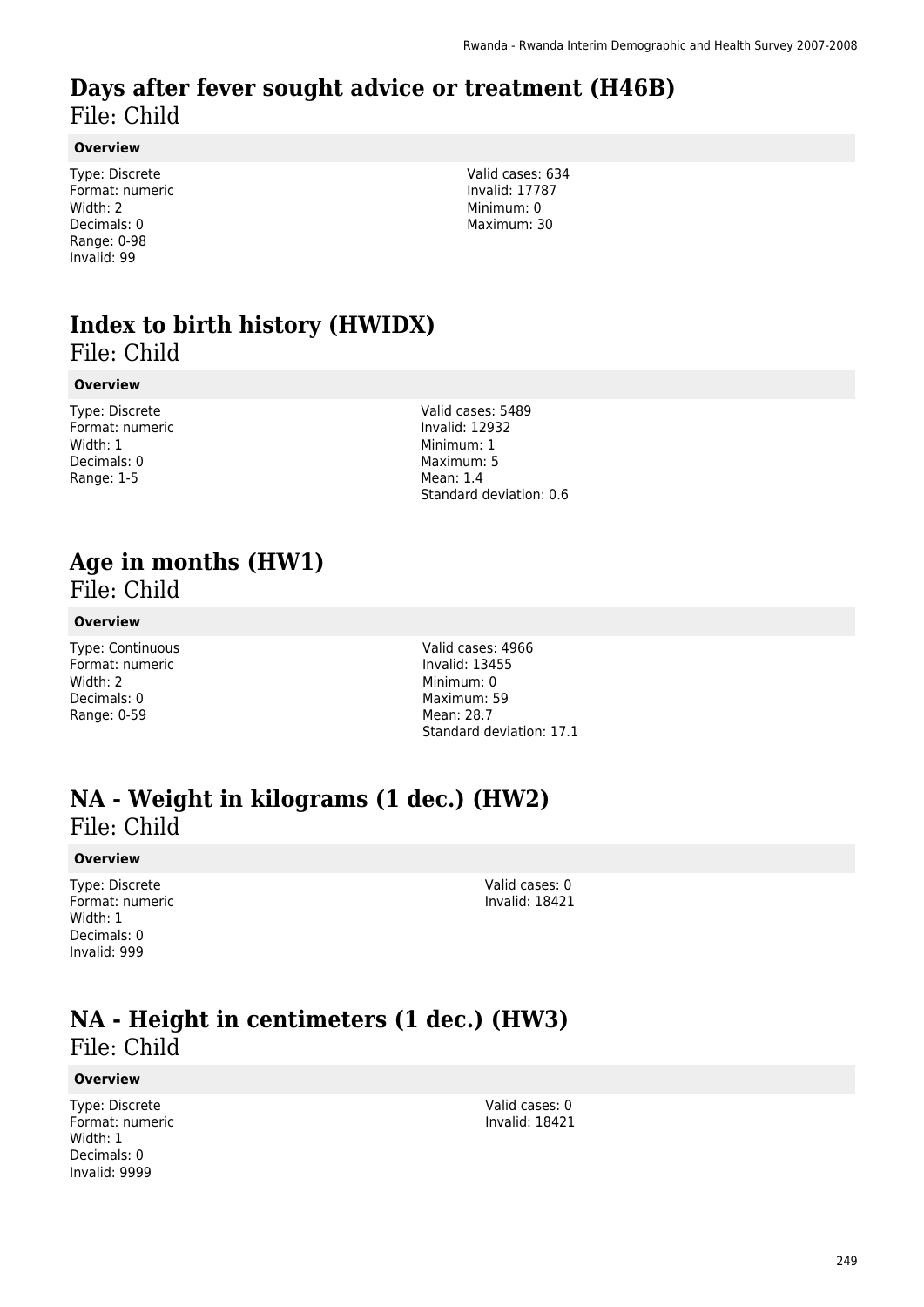### **Days after fever sought advice or treatment (H46B)**  File: Child

#### **Overview**

Type: Discrete Format: numeric Width: 2 Decimals: 0 Range: 0-98 Invalid: 99

Valid cases: 634 Invalid: 17787 Minimum: 0 Maximum: 30

### **Index to birth history (HWIDX)**  File: Child

#### **Overview**

Type: Discrete Format: numeric Width: 1 Decimals: 0 Range: 1-5

Valid cases: 5489 Invalid: 12932 Minimum: 1 Maximum: 5 Mean: 1.4 Standard deviation: 0.6

### **Age in months (HW1)**  File: Child

#### **Overview**

Type: Continuous Format: numeric Width: 2 Decimals: 0 Range: 0-59

Valid cases: 4966 Invalid: 13455 Minimum: 0 Maximum: 59 Mean: 28.7 Standard deviation: 17.1

### **NA - Weight in kilograms (1 dec.) (HW2)**  File: Child

#### **Overview**

Type: Discrete Format: numeric Width: 1 Decimals: 0 Invalid: 999

Valid cases: 0 Invalid: 18421

### **NA - Height in centimeters (1 dec.) (HW3)**  File: Child

### **Overview**

Type: Discrete Format: numeric Width: 1 Decimals: 0 Invalid: 9999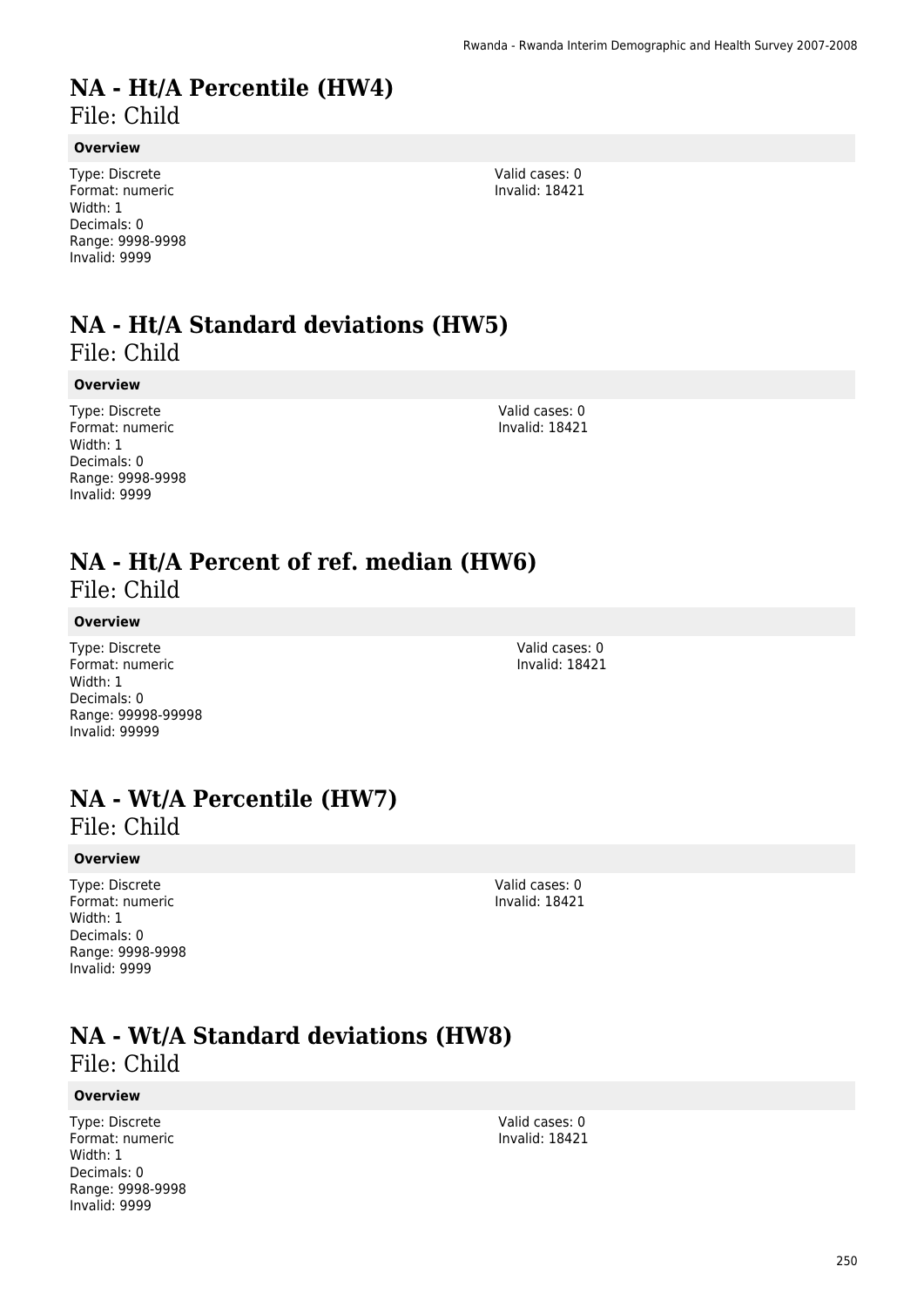### **NA - Ht/A Percentile (HW4)**  File: Child

#### **Overview**

Type: Discrete Format: numeric Width: 1 Decimals: 0 Range: 9998-9998 Invalid: 9999

### **NA - Ht/A Standard deviations (HW5)**  File: Child

#### **Overview**

Type: Discrete Format: numeric Width: 1 Decimals: 0 Range: 9998-9998 Invalid: 9999

### **NA - Ht/A Percent of ref. median (HW6)**  File: Child

#### **Overview**

Type: Discrete Format: numeric Width: 1 Decimals: 0 Range: 99998-99998 Invalid: 99999

### **NA - Wt/A Percentile (HW7)**  File: Child

#### **Overview**

Type: Discrete Format: numeric Width: 1 Decimals: 0 Range: 9998-9998 Invalid: 9999

Valid cases: 0 Invalid: 18421

### **NA - Wt/A Standard deviations (HW8)**  File: Child

#### **Overview**

Type: Discrete Format: numeric Width: 1 Decimals: 0 Range: 9998-9998 Invalid: 9999

Valid cases: 0 Invalid: 18421

Valid cases: 0 Invalid: 18421

Valid cases: 0 Invalid: 18421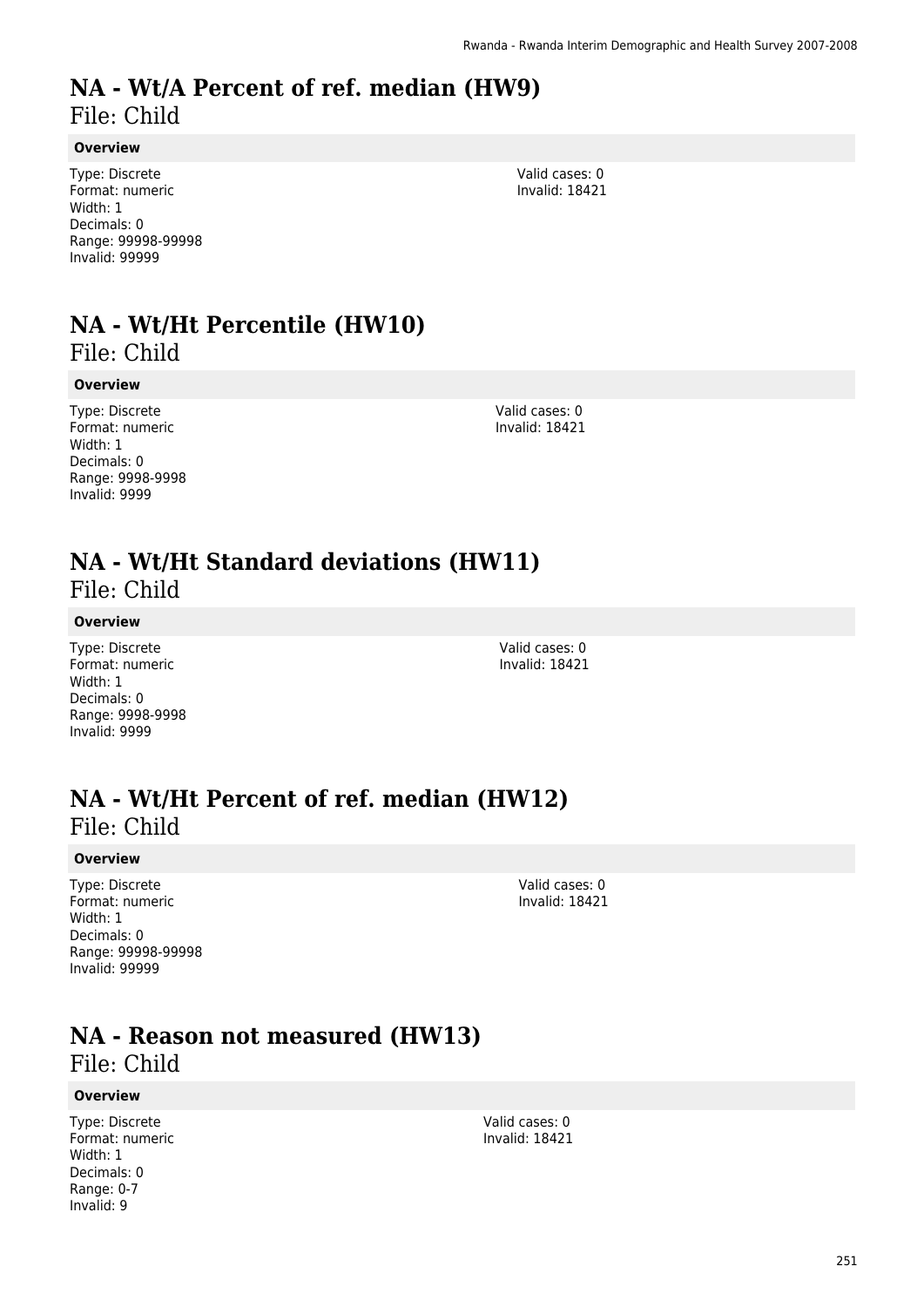### **NA - Wt/A Percent of ref. median (HW9)**  File: Child

### **Overview**

Type: Discrete Format: numeric Width: 1 Decimals: 0 Range: 99998-99998 Invalid: 99999

### **NA - Wt/Ht Percentile (HW10)**  File: Child

#### **Overview**

Type: Discrete Format: numeric Width: 1 Decimals: 0 Range: 9998-9998 Invalid: 9999

### **NA - Wt/Ht Standard deviations (HW11)**  File: Child

#### **Overview**

Type: Discrete Format: numeric Width: 1 Decimals: 0 Range: 9998-9998 Invalid: 9999

Valid cases: 0 Invalid: 18421

Valid cases: 0 Invalid: 18421

### **NA - Wt/Ht Percent of ref. median (HW12)**  File: Child

#### **Overview**

Type: Discrete Format: numeric Width: 1 Decimals: 0 Range: 99998-99998 Invalid: 99999

Valid cases: 0 Invalid: 18421

### **NA - Reason not measured (HW13)**  File: Child

#### **Overview**

Type: Discrete Format: numeric Width: 1 Decimals: 0 Range: 0-7 Invalid: 9

Valid cases: 0 Invalid: 18421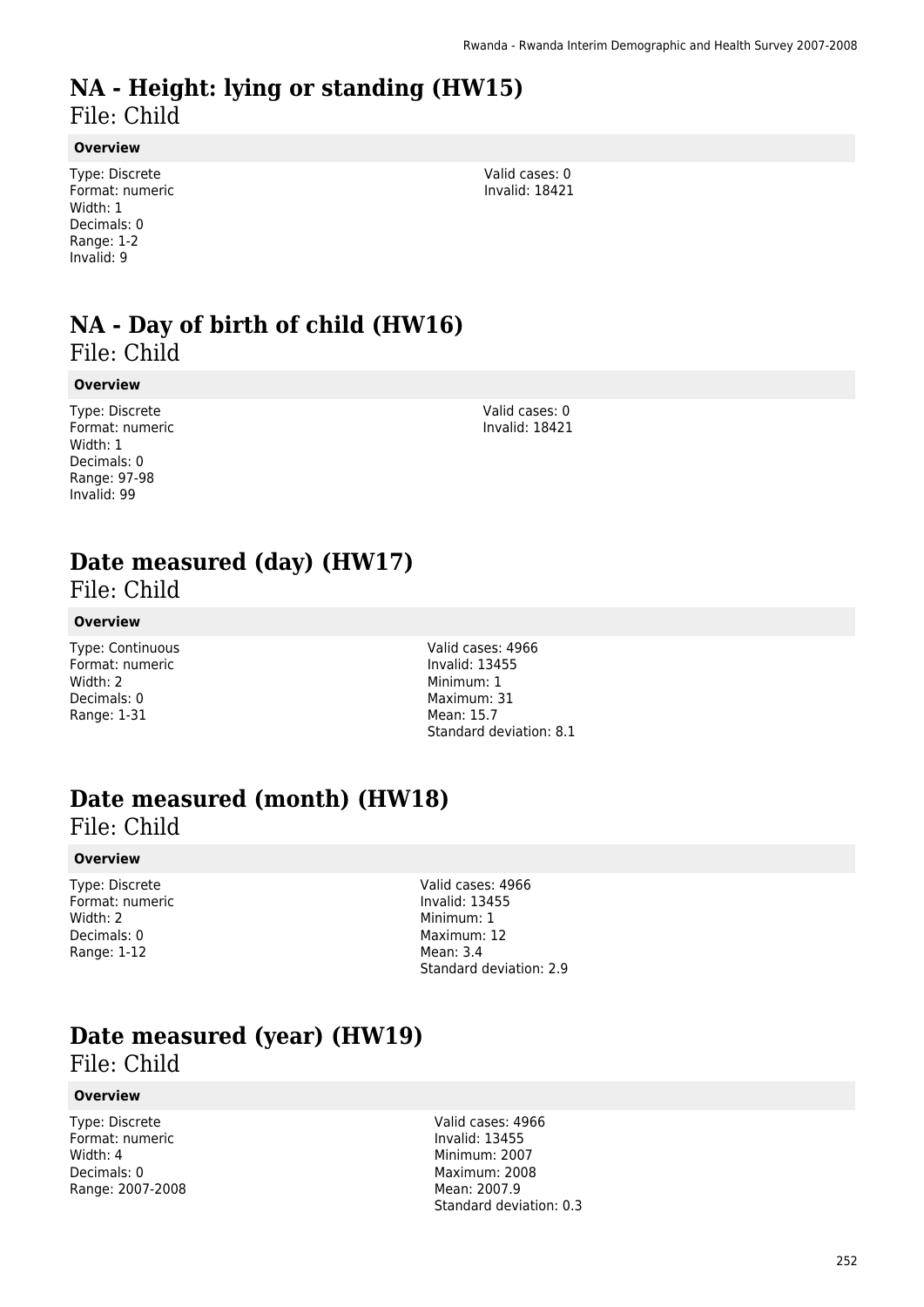### **NA - Height: lying or standing (HW15)**  File: Child

#### **Overview**

Type: Discrete Format: numeric Width: 1 Decimals: 0 Range: 1-2 Invalid: 9

### **NA - Day of birth of child (HW16)**  File: Child

#### **Overview**

Type: Discrete Format: numeric Width: 1 Decimals: 0 Range: 97-98 Invalid: 99

### **Date measured (day) (HW17)**  File: Child

#### **Overview**

Type: Continuous Format: numeric Width: 2 Decimals: 0 Range: 1-31

Valid cases: 4966 Invalid: 13455 Minimum: 1 Maximum: 31 Mean: 15.7 Standard deviation: 8.1

# **Date measured (month) (HW18)**

File: Child

#### **Overview**

Type: Discrete Format: numeric Width: 2 Decimals: 0 Range: 1-12

Valid cases: 4966 Invalid: 13455 Minimum: 1 Maximum: 12 Mean: 3.4 Standard deviation: 2.9

### **Date measured (year) (HW19)**  File: Child

#### **Overview**

Type: Discrete Format: numeric Width: 4 Decimals: 0 Range: 2007-2008 Valid cases: 4966 Invalid: 13455 Minimum: 2007 Maximum: 2008 Mean: 2007.9 Standard deviation: 0.3

Valid cases: 0 Invalid: 18421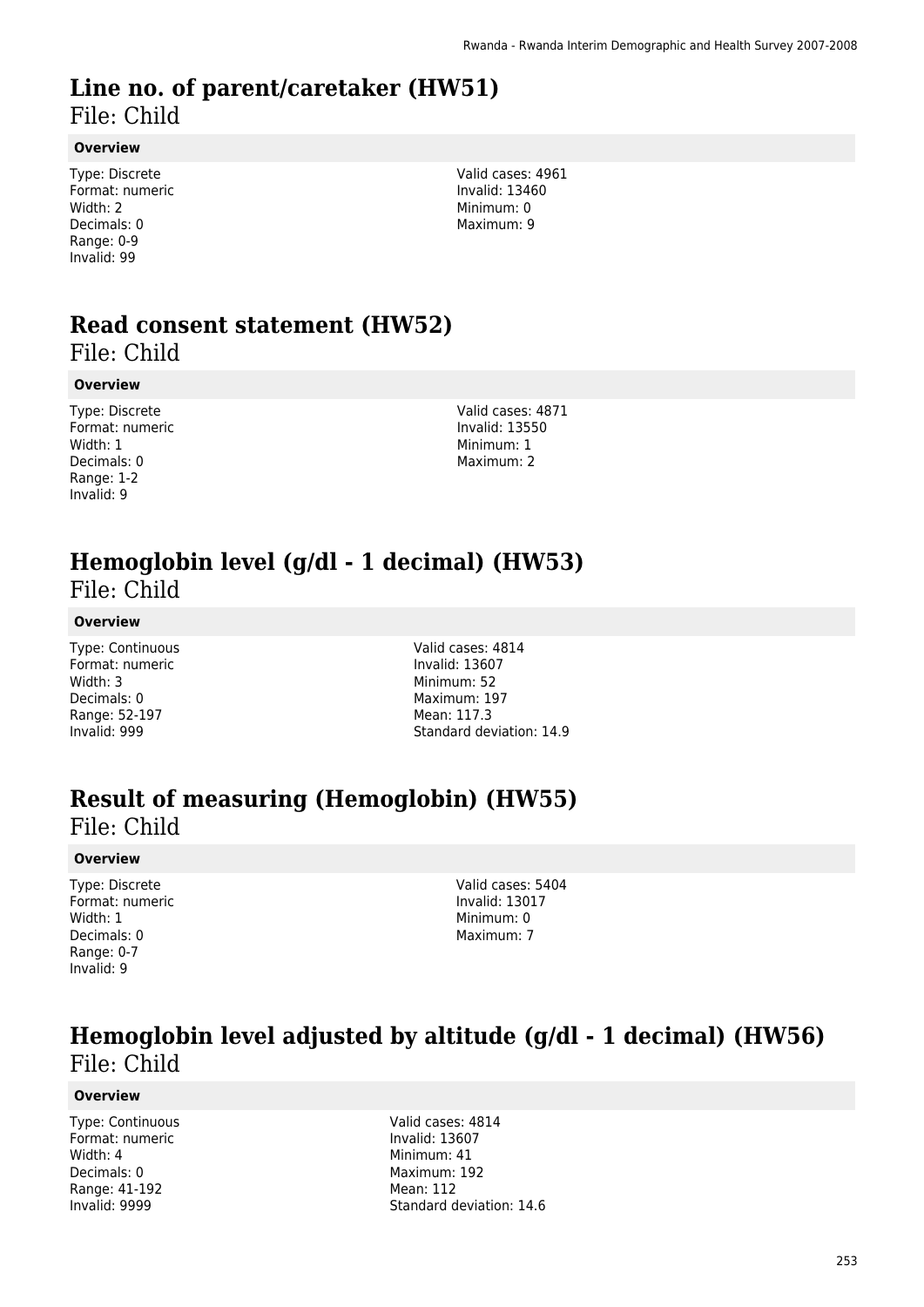### **Line no. of parent/caretaker (HW51)**  File: Child

#### **Overview**

Type: Discrete Format: numeric Width: 2 Decimals: 0 Range: 0-9 Invalid: 99

Valid cases: 4961 Invalid: 13460 Minimum: 0 Maximum: 9

### **Read consent statement (HW52)**  File: Child

#### **Overview**

Type: Discrete Format: numeric Width: 1 Decimals: 0 Range: 1-2 Invalid: 9

Valid cases: 4871 Invalid: 13550 Minimum: 1 Maximum: 2

### **Hemoglobin level (g/dl - 1 decimal) (HW53)**  File: Child

#### **Overview**

Type: Continuous Format: numeric Width: 3 Decimals: 0 Range: 52-197 Invalid: 999

Valid cases: 4814 Invalid: 13607 Minimum: 52 Maximum: 197 Mean: 117.3 Standard deviation: 14.9

### **Result of measuring (Hemoglobin) (HW55)**  File: Child

#### **Overview**

Type: Discrete Format: numeric Width: 1 Decimals: 0 Range: 0-7 Invalid: 9

Valid cases: 5404 Invalid: 13017 Minimum: 0 Maximum: 7

### **Hemoglobin level adjusted by altitude (g/dl - 1 decimal) (HW56)**  File: Child

#### **Overview**

Type: Continuous Format: numeric Width: 4 Decimals: 0 Range: 41-192 Invalid: 9999

Valid cases: 4814 Invalid: 13607 Minimum: 41 Maximum: 192 Mean: 112 Standard deviation: 14.6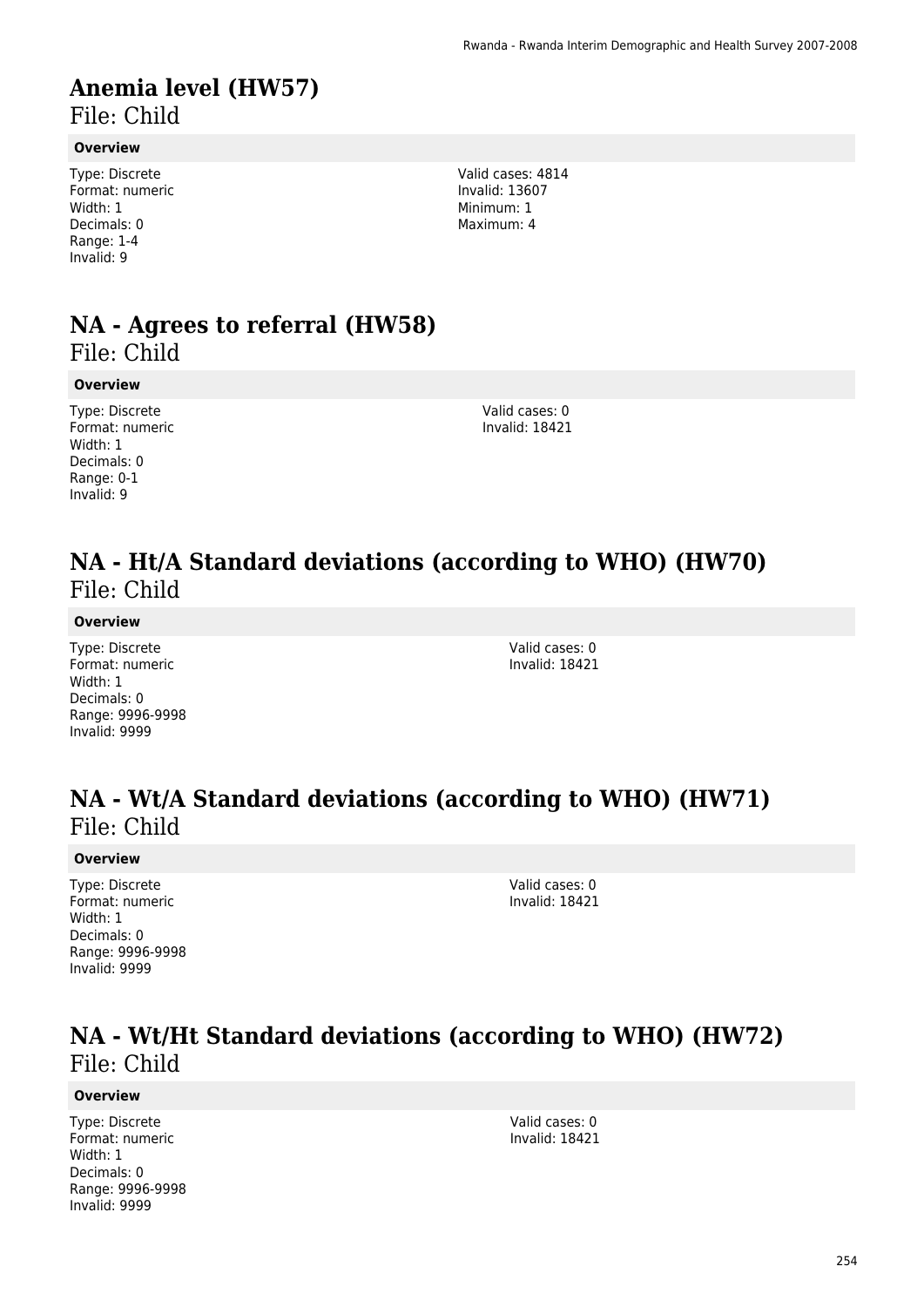### **Anemia level (HW57)**  File: Child

#### **Overview**

Type: Discrete Format: numeric Width: 1 Decimals: 0 Range: 1-4 Invalid: 9

### **NA - Agrees to referral (HW58)**  File: Child

#### **Overview**

Type: Discrete Format: numeric Width: 1 Decimals: 0 Range: 0-1 Invalid: 9

Valid cases: 4814 Invalid: 13607 Minimum: 1 Maximum: 4

> Valid cases: 0 Invalid: 18421

### **NA - Ht/A Standard deviations (according to WHO) (HW70)**  File: Child

#### **Overview**

Type: Discrete Format: numeric Width: 1 Decimals: 0 Range: 9996-9998 Invalid: 9999

Valid cases: 0 Invalid: 18421

### **NA - Wt/A Standard deviations (according to WHO) (HW71)**  File: Child

#### **Overview**

Type: Discrete Format: numeric Width: 1 Decimals: 0 Range: 9996-9998 Invalid: 9999

Valid cases: 0 Invalid: 18421

### **NA - Wt/Ht Standard deviations (according to WHO) (HW72)**  File: Child

#### **Overview**

Type: Discrete Format: numeric Width: 1 Decimals: 0 Range: 9996-9998 Invalid: 9999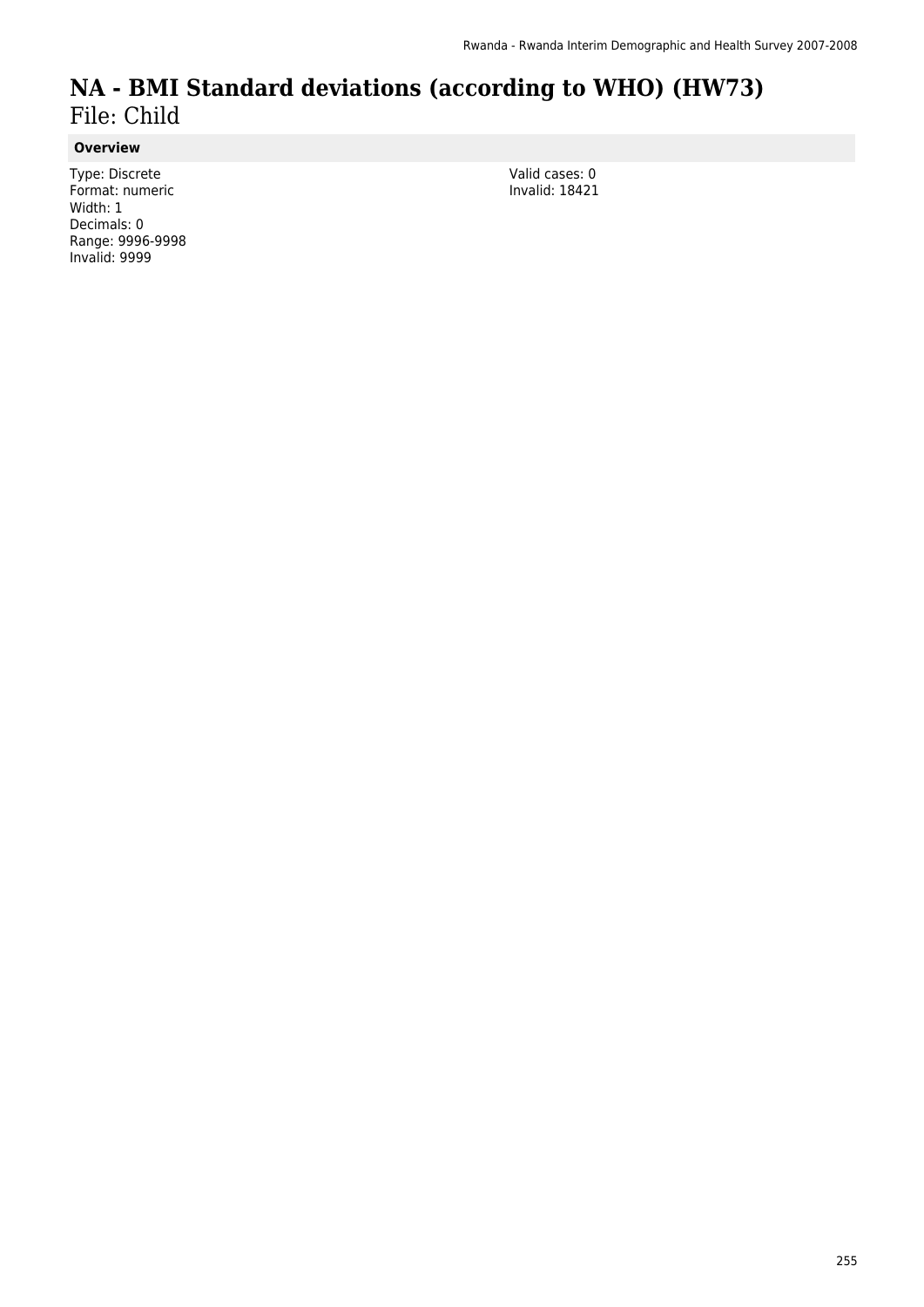### **NA - BMI Standard deviations (according to WHO) (HW73)**  File: Child

#### **Overview**

Type: Discrete Format: numeric Width: 1 Decimals: 0 Range: 9996-9998 Invalid: 9999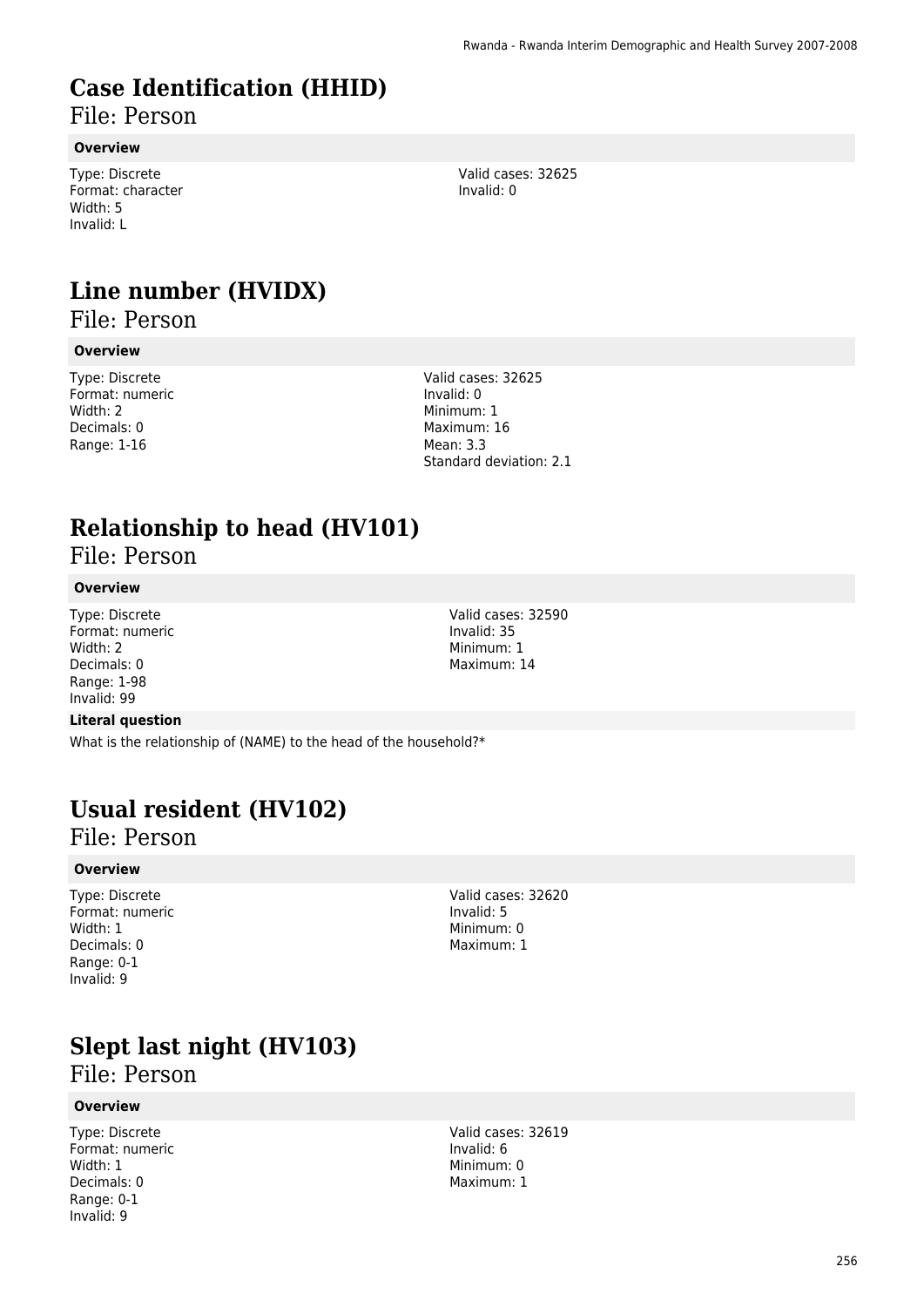# **Case Identification (HHID)**

File: Person

#### **Overview**

Type: Discrete Format: character Width: 5 Invalid: L

Valid cases: 32625 Invalid: 0

# **Line number (HVIDX)**

### File: Person

#### **Overview**

Type: Discrete Format: numeric Width: 2 Decimals: 0 Range: 1-16

Valid cases: 32625 Invalid: 0 Minimum: 1 Maximum: 16 Mean: 3.3 Standard deviation: 2.1

# **Relationship to head (HV101)**

File: Person

#### **Overview**

Type: Discrete Format: numeric Width: 2 Decimals: 0 Range: 1-98 Invalid: 99

#### **Literal question**

What is the relationship of (NAME) to the head of the household?\*

### **Usual resident (HV102)**

File: Person

#### **Overview**

Type: Discrete Format: numeric Width: 1 Decimals: 0 Range: 0-1 Invalid: 9

Valid cases: 32620 Invalid: 5 Minimum: 0 Maximum: 1

### **Slept last night (HV103)**  File: Person

#### **Overview**

Type: Discrete Format: numeric Width: 1 Decimals: 0 Range: 0-1 Invalid: 9

Valid cases: 32619 Invalid: 6 Minimum: 0 Maximum: 1

Valid cases: 32590 Invalid: 35 Minimum: 1 Maximum: 14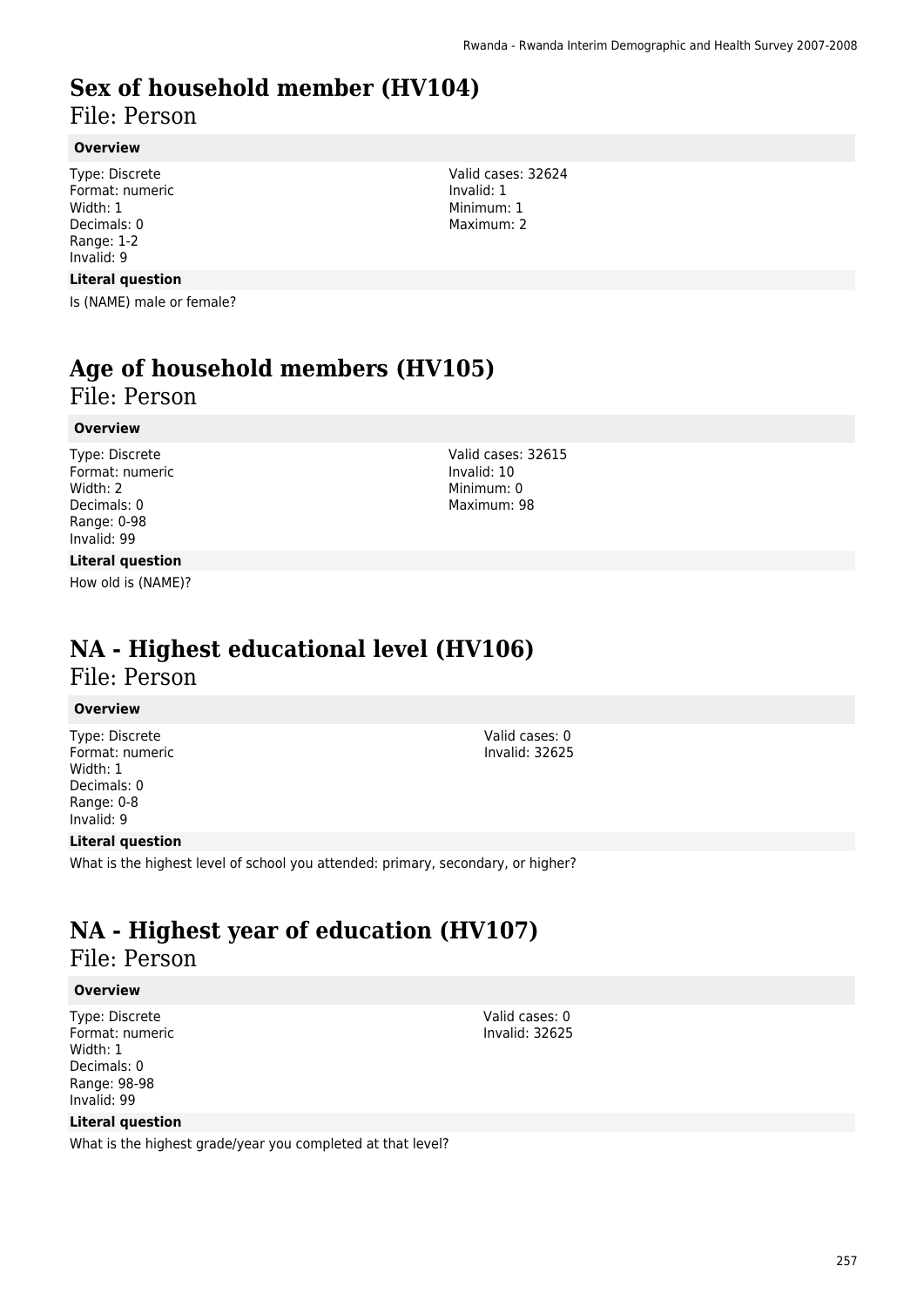# **Sex of household member (HV104)**

File: Person

#### **Overview**

Type: Discrete Format: numeric Width: 1 Decimals: 0 Range: 1-2 Invalid: 9

#### **Literal question**

Is (NAME) male or female?

### **Age of household members (HV105)**  File: Person

#### **Overview**

Type: Discrete Format: numeric Width: 2 Decimals: 0 Range: 0-98 Invalid: 99

#### **Literal question**

How old is (NAME)?

### **NA - Highest educational level (HV106)**  File: Person

#### **Overview**

Type: Discrete Format: numeric Width: 1 Decimals: 0 Range: 0-8 Invalid: 9

Valid cases: 0 Invalid: 32625

### **Literal question**

What is the highest level of school you attended: primary, secondary, or higher?

### **NA - Highest year of education (HV107)**  File: Person

#### **Overview**

Type: Discrete Format: numeric Width: 1 Decimals: 0 Range: 98-98 Invalid: 99

#### **Literal question**

What is the highest grade/year you completed at that level?

Valid cases: 0 Invalid: 32625

Valid cases: 32624 Invalid: 1 Minimum: 1 Maximum: 2

Valid cases: 32615

Invalid: 10 Minimum: 0 Maximum: 98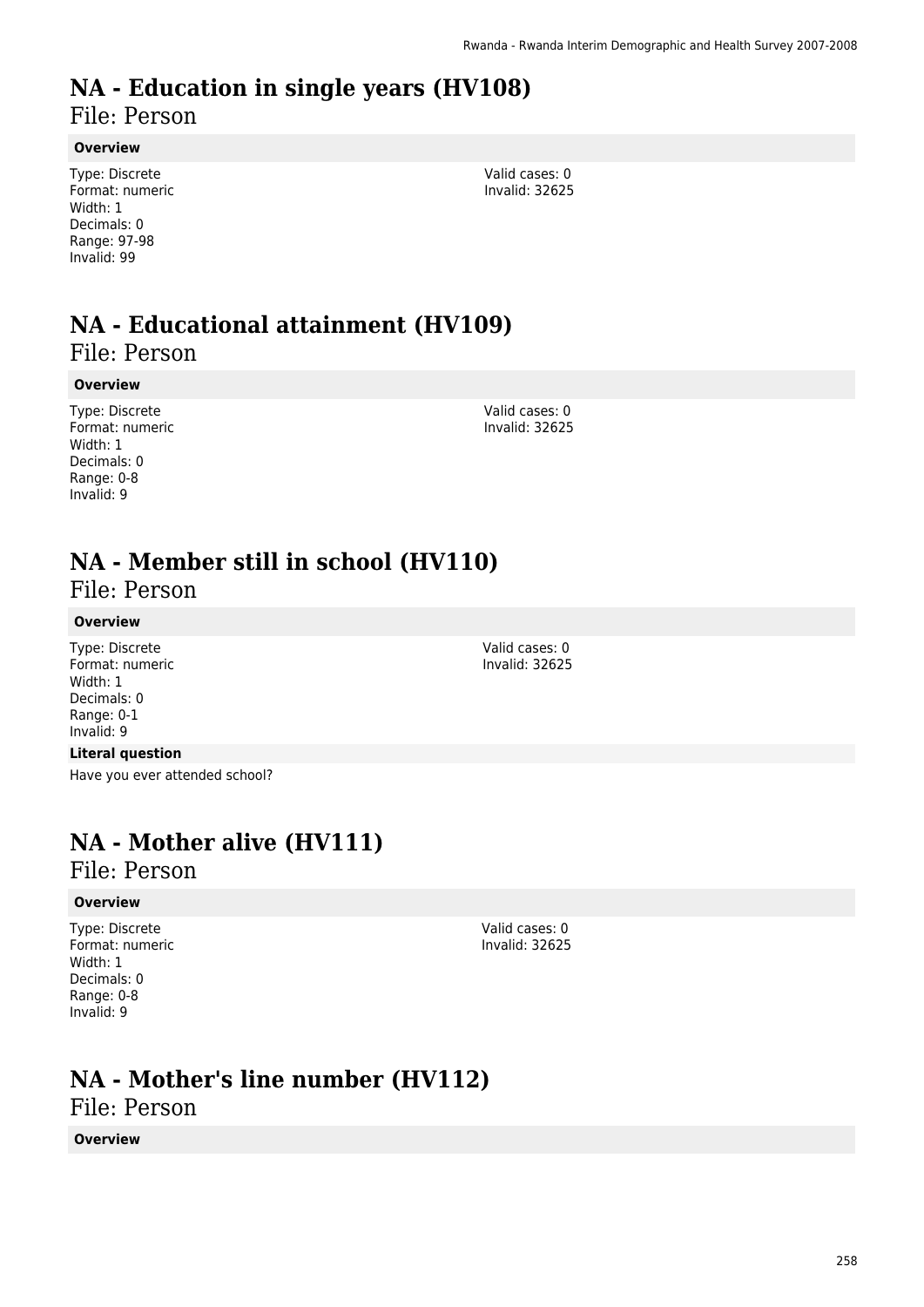# **NA - Education in single years (HV108)**

File: Person

#### **Overview**

Type: Discrete Format: numeric Width: 1 Decimals: 0 Range: 97-98 Invalid: 99

### **NA - Educational attainment (HV109)**  File: Person

#### **Overview**

Type: Discrete Format: numeric Width: 1 Decimals: 0 Range: 0-8 Invalid: 9

## **NA - Member still in school (HV110)**

### File: Person

#### **Overview**

Type: Discrete Format: numeric Width: 1 Decimals: 0 Range: 0-1 Invalid: 9

#### **Literal question**

Have you ever attended school?

### **NA - Mother alive (HV111)**

File: Person

#### **Overview**

Type: Discrete Format: numeric Width: 1 Decimals: 0 Range: 0-8 Invalid: 9

Valid cases: 0 Invalid: 32625

### **NA - Mother's line number (HV112)**  File: Person

### **Overview**

Valid cases: 0 Invalid: 32625

Valid cases: 0 Invalid: 32625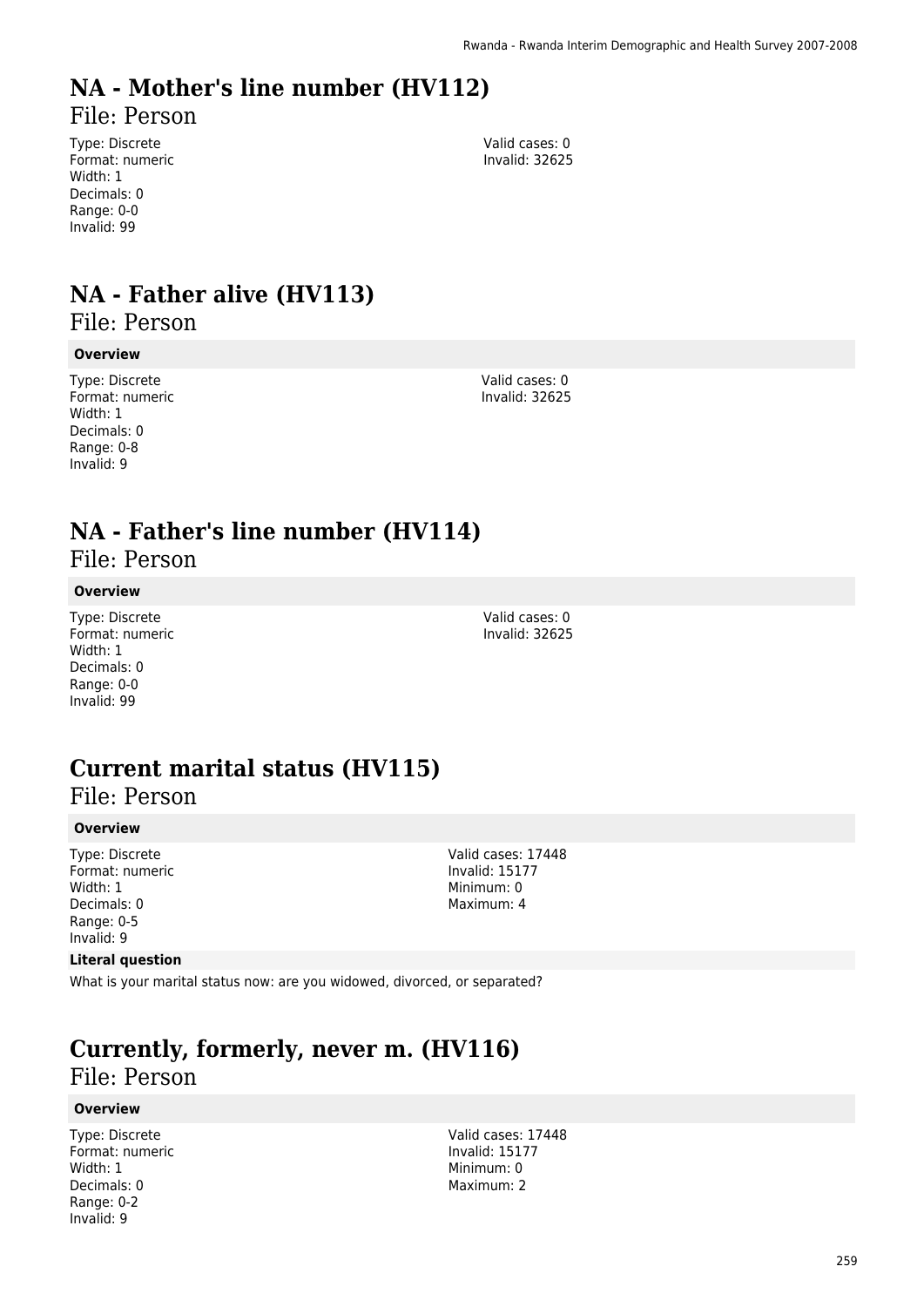### **NA - Mother's line number (HV112)**  File: Person

Type: Discrete Format: numeric Width: 1 Decimals: 0 Range: 0-0 Invalid: 99

Valid cases: 0 Invalid: 32625

### **NA - Father alive (HV113)**  File: Person

#### **Overview**

Type: Discrete Format: numeric Width: 1 Decimals: 0 Range: 0-8 Invalid: 9

Valid cases: 0 Invalid: 32625

# **NA - Father's line number (HV114)**

### File: Person

#### **Overview**

Type: Discrete Format: numeric Width: 1 Decimals: 0 Range: 0-0 Invalid: 99

### **Current marital status (HV115)**  File: Person

#### **Overview**

Type: Discrete Format: numeric Width: 1 Decimals: 0 Range: 0-5 Invalid: 9

#### **Literal question**

What is your marital status now: are you widowed, divorced, or separated?

### **Currently, formerly, never m. (HV116)**  File: Person

#### **Overview**

Type: Discrete Format: numeric Width: 1 Decimals: 0 Range: 0-2 Invalid: 9

Valid cases: 17448 Invalid: 15177 Minimum: 0 Maximum: 2

Valid cases: 17448 Invalid: 15177 Minimum: 0 Maximum: 4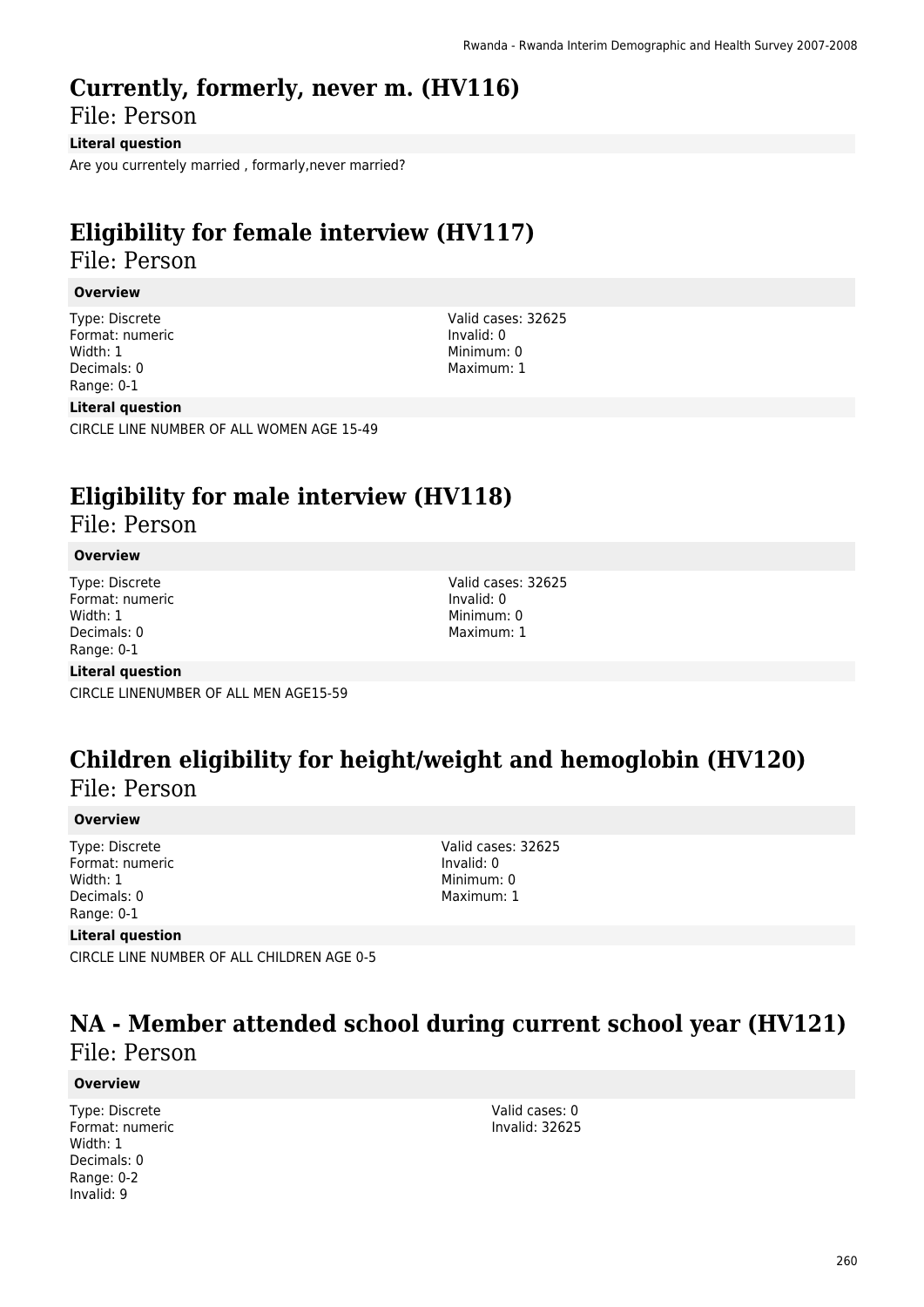### **Currently, formerly, never m. (HV116)**

File: Person

#### **Literal question**

Are you currentely married , formarly,never married?

# **Eligibility for female interview (HV117)**

File: Person

#### **Overview**

Type: Discrete Format: numeric Width: 1 Decimals: 0 Range: 0-1

Valid cases: 32625 Invalid: 0 Minimum: 0 Maximum: 1

### **Literal question**

CIRCLE LINE NUMBER OF ALL WOMEN AGE 15-49

### **Eligibility for male interview (HV118)**

### File: Person

#### **Overview**

Type: Discrete Format: numeric Width: 1 Decimals: 0 Range: 0-1

Valid cases: 32625 Invalid: 0 Minimum: 0 Maximum: 1

### **Literal question**

CIRCLE LINENUMBER OF ALL MEN AGE15-59

### **Children eligibility for height/weight and hemoglobin (HV120)**  File: Person

#### **Overview**

Type: Discrete Format: numeric Width: 1 Decimals: 0 Range: 0-1

Valid cases: 32625 Invalid: 0 Minimum: 0 Maximum: 1

### **Literal question**

CIRCLE LINE NUMBER OF ALL CHILDREN AGE 0-5

### **NA - Member attended school during current school year (HV121)**  File: Person

### **Overview**

Type: Discrete Format: numeric Width: 1 Decimals: 0 Range: 0-2 Invalid: 9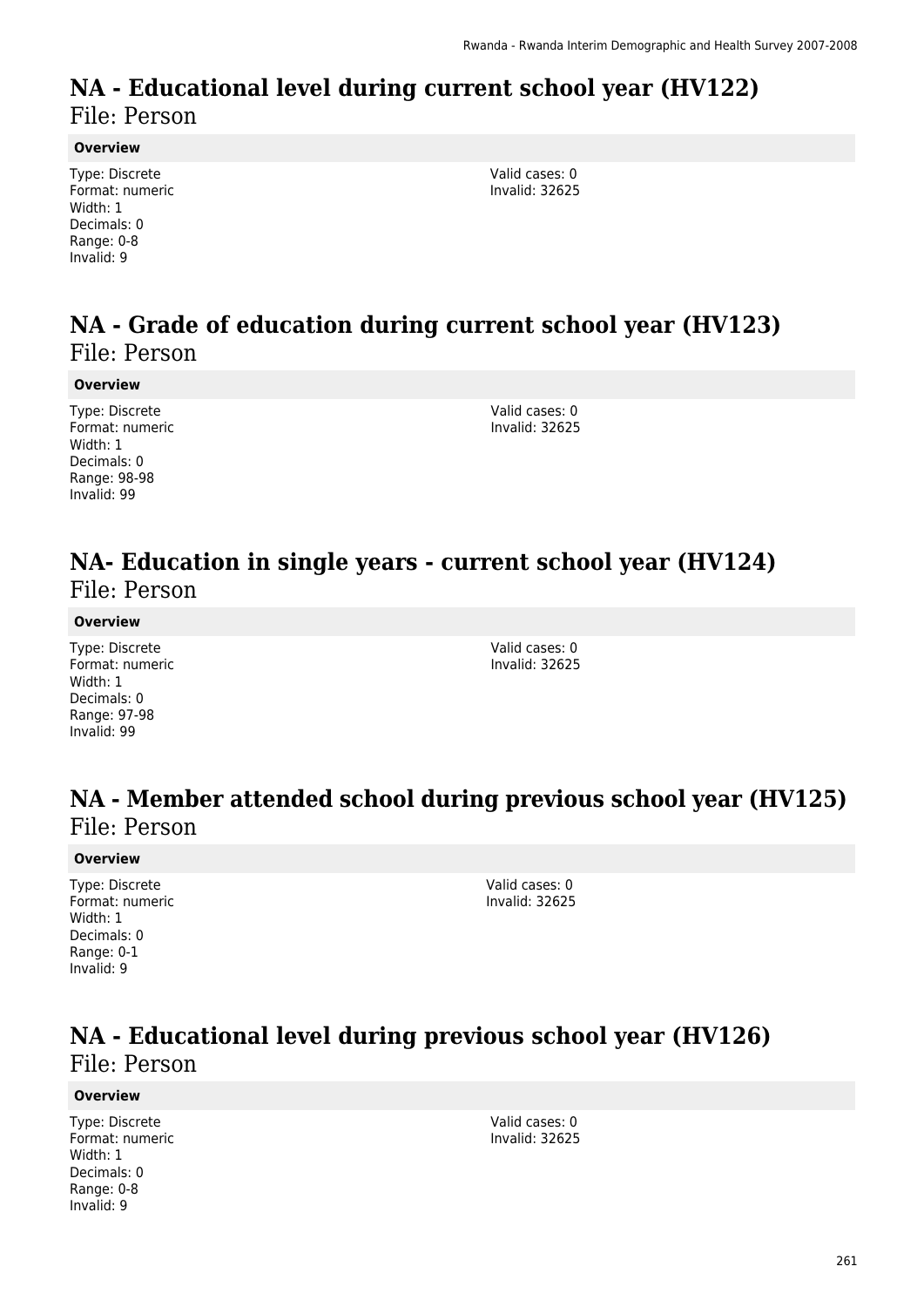### **NA - Educational level during current school year (HV122)**  File: Person

#### **Overview**

Type: Discrete Format: numeric Width: 1 Decimals: 0 Range: 0-8 Invalid: 9

Valid cases: 0 Invalid: 32625

### **NA - Grade of education during current school year (HV123)**  File: Person

#### **Overview**

Type: Discrete Format: numeric Width: 1 Decimals: 0 Range: 98-98 Invalid: 99

Valid cases: 0 Invalid: 32625

### **NA- Education in single years - current school year (HV124)**  File: Person

#### **Overview**

Type: Discrete Format: numeric Width: 1 Decimals: 0 Range: 97-98 Invalid: 99

Valid cases: 0 Invalid: 32625

### **NA - Member attended school during previous school year (HV125)**  File: Person

#### **Overview**

Type: Discrete Format: numeric Width: 1 Decimals: 0 Range: 0-1 Invalid: 9

Valid cases: 0 Invalid: 32625

### **NA - Educational level during previous school year (HV126)**  File: Person

#### **Overview**

Type: Discrete Format: numeric Width: 1 Decimals: 0 Range: 0-8 Invalid: 9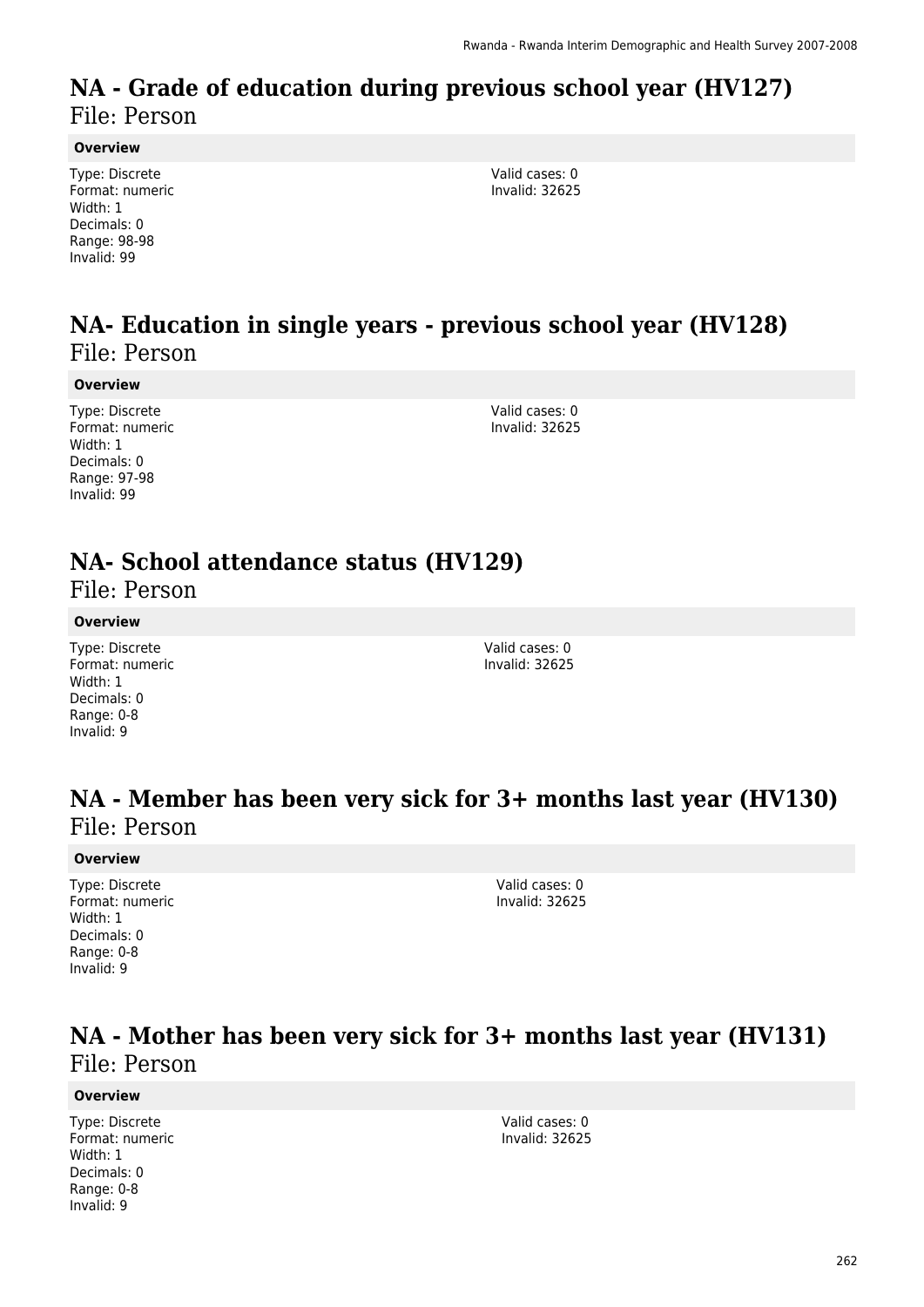### **NA - Grade of education during previous school year (HV127)**  File: Person

#### **Overview**

Type: Discrete Format: numeric Width: 1 Decimals: 0 Range: 98-98 Invalid: 99

Valid cases: 0 Invalid: 32625

### **NA- Education in single years - previous school year (HV128)**  File: Person

#### **Overview**

Type: Discrete Format: numeric Width: 1 Decimals: 0 Range: 97-98 Invalid: 99

Valid cases: 0 Invalid: 32625

### **NA- School attendance status (HV129)**

### File: Person

#### **Overview**

Type: Discrete Format: numeric Width: 1 Decimals: 0 Range: 0-8 Invalid: 9

Valid cases: 0 Invalid: 32625

### **NA - Member has been very sick for 3+ months last year (HV130)**  File: Person

#### **Overview**

Type: Discrete Format: numeric Width: 1 Decimals: 0 Range: 0-8 Invalid: 9

Valid cases: 0 Invalid: 32625

### **NA - Mother has been very sick for 3+ months last year (HV131)**  File: Person

### **Overview**

Type: Discrete Format: numeric Width: 1 Decimals: 0 Range: 0-8 Invalid: 9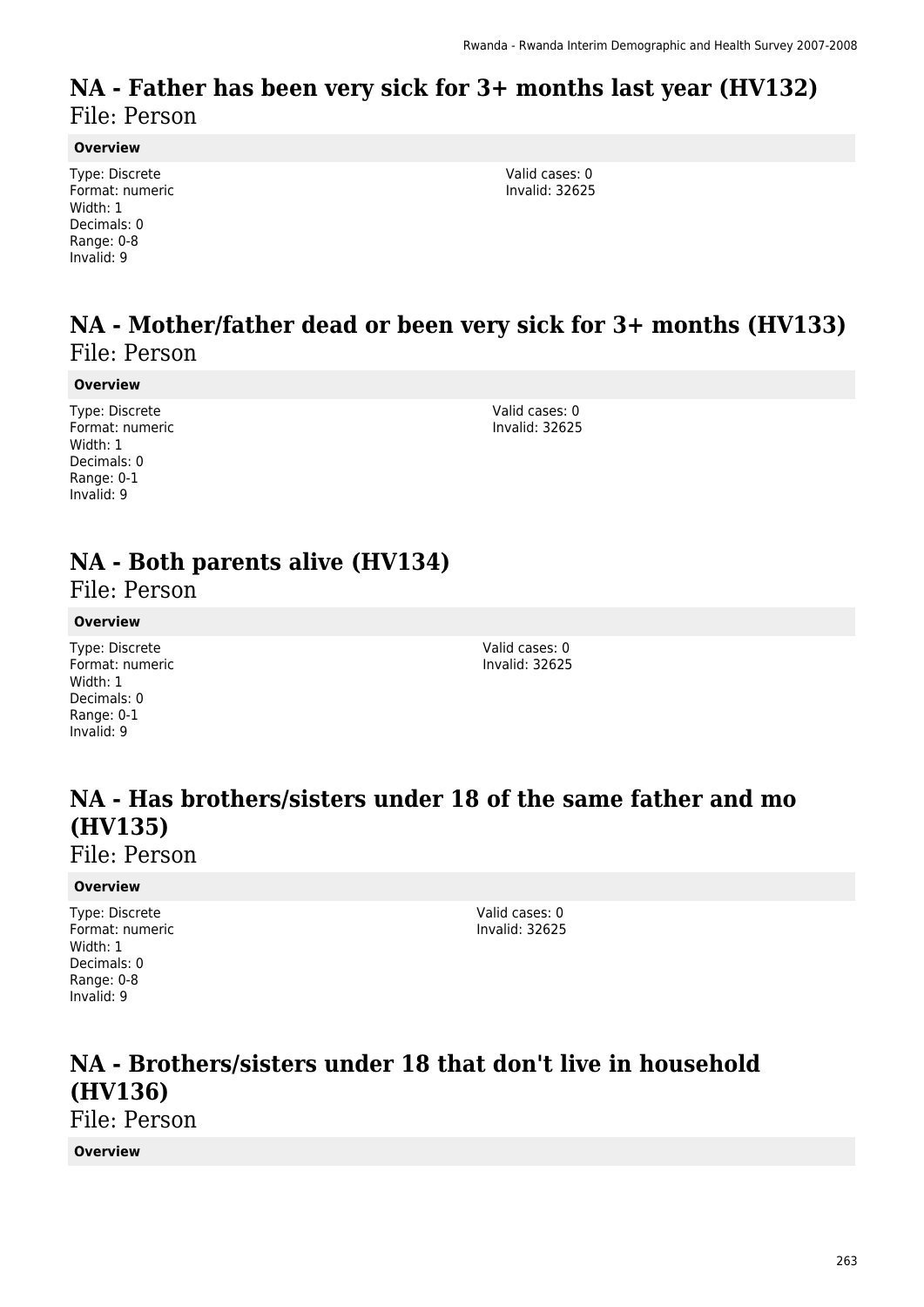### **NA - Father has been very sick for 3+ months last year (HV132)**  File: Person

#### **Overview**

Type: Discrete Format: numeric Width: 1 Decimals: 0 Range: 0-8 Invalid: 9

Valid cases: 0 Invalid: 32625

### **NA - Mother/father dead or been very sick for 3+ months (HV133)**  File: Person

#### **Overview**

Type: Discrete Format: numeric Width: 1 Decimals: 0 Range: 0-1 Invalid: 9

Valid cases: 0 Invalid: 32625

### **NA - Both parents alive (HV134)**

### File: Person

#### **Overview**

Type: Discrete Format: numeric Width: 1 Decimals: 0 Range: 0-1 Invalid: 9

Valid cases: 0 Invalid: 32625

### **NA - Has brothers/sisters under 18 of the same father and mo (HV135)**

File: Person

### **Overview**

Type: Discrete Format: numeric Width: 1 Decimals: 0 Range: 0-8 Invalid: 9

Valid cases: 0 Invalid: 32625

### **NA - Brothers/sisters under 18 that don't live in household (HV136)**

File: Person

**Overview**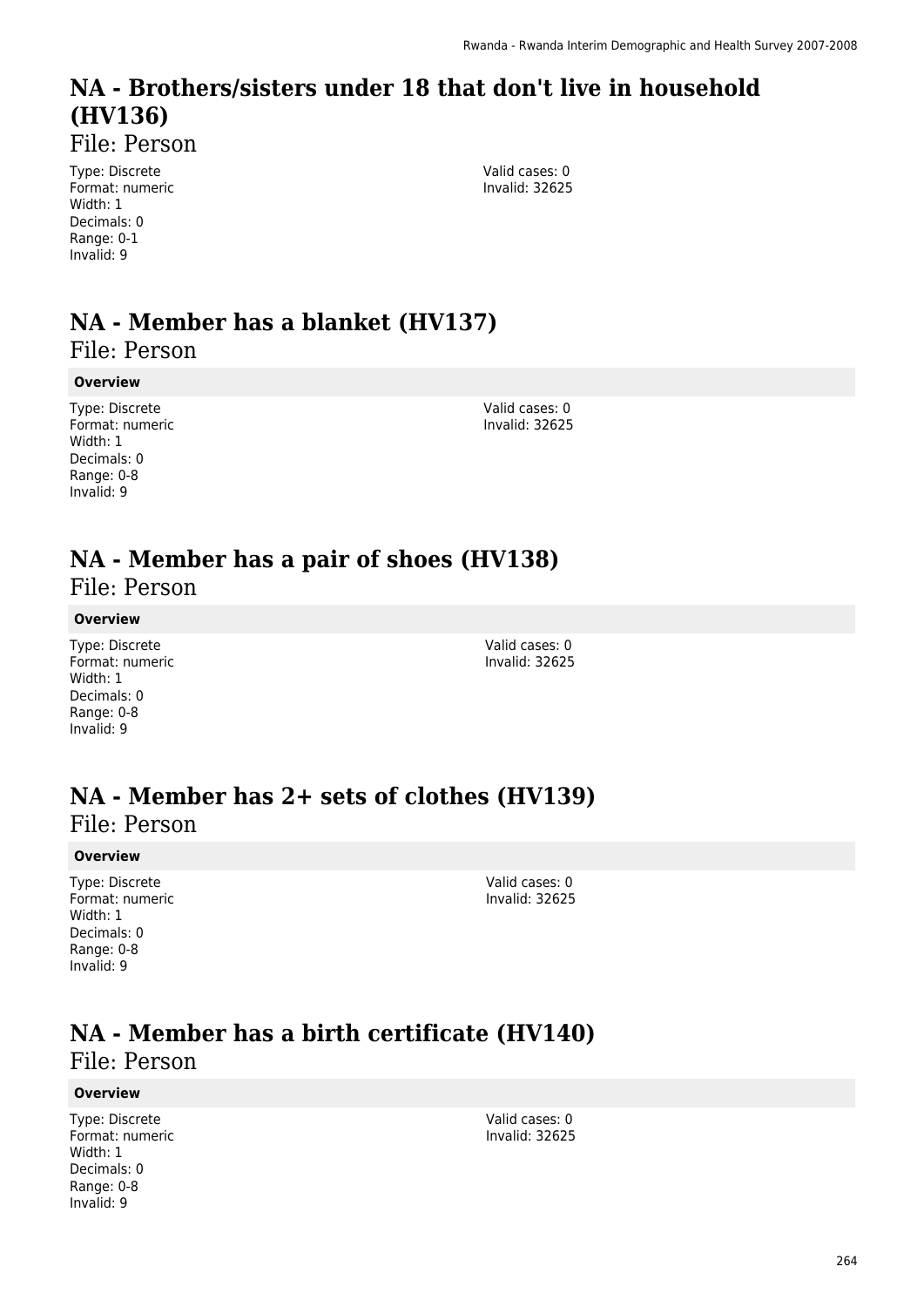### **NA - Brothers/sisters under 18 that don't live in household (HV136)**

File: Person

Type: Discrete Format: numeric Width: 1 Decimals: 0 Range: 0-1 Invalid: 9

**NA - Member has a blanket (HV137)**  File: Person

#### **Overview**

Type: Discrete Format: numeric Width: 1 Decimals: 0 Range: 0-8 Invalid: 9

Valid cases: 0 Invalid: 32625

Valid cases: 0 Invalid: 32625

### **NA - Member has a pair of shoes (HV138)**

### File: Person

#### **Overview**

Type: Discrete Format: numeric Width: 1 Decimals: 0 Range: 0-8 Invalid: 9

Valid cases: 0 Invalid: 32625

### **NA - Member has 2+ sets of clothes (HV139)**  File: Person

#### **Overview**

Type: Discrete Format: numeric Width: 1 Decimals: 0 Range: 0-8 Invalid: 9

Valid cases: 0 Invalid: 32625

### **NA - Member has a birth certificate (HV140)**  File: Person

#### **Overview**

Type: Discrete Format: numeric Width: 1 Decimals: 0 Range: 0-8 Invalid: 9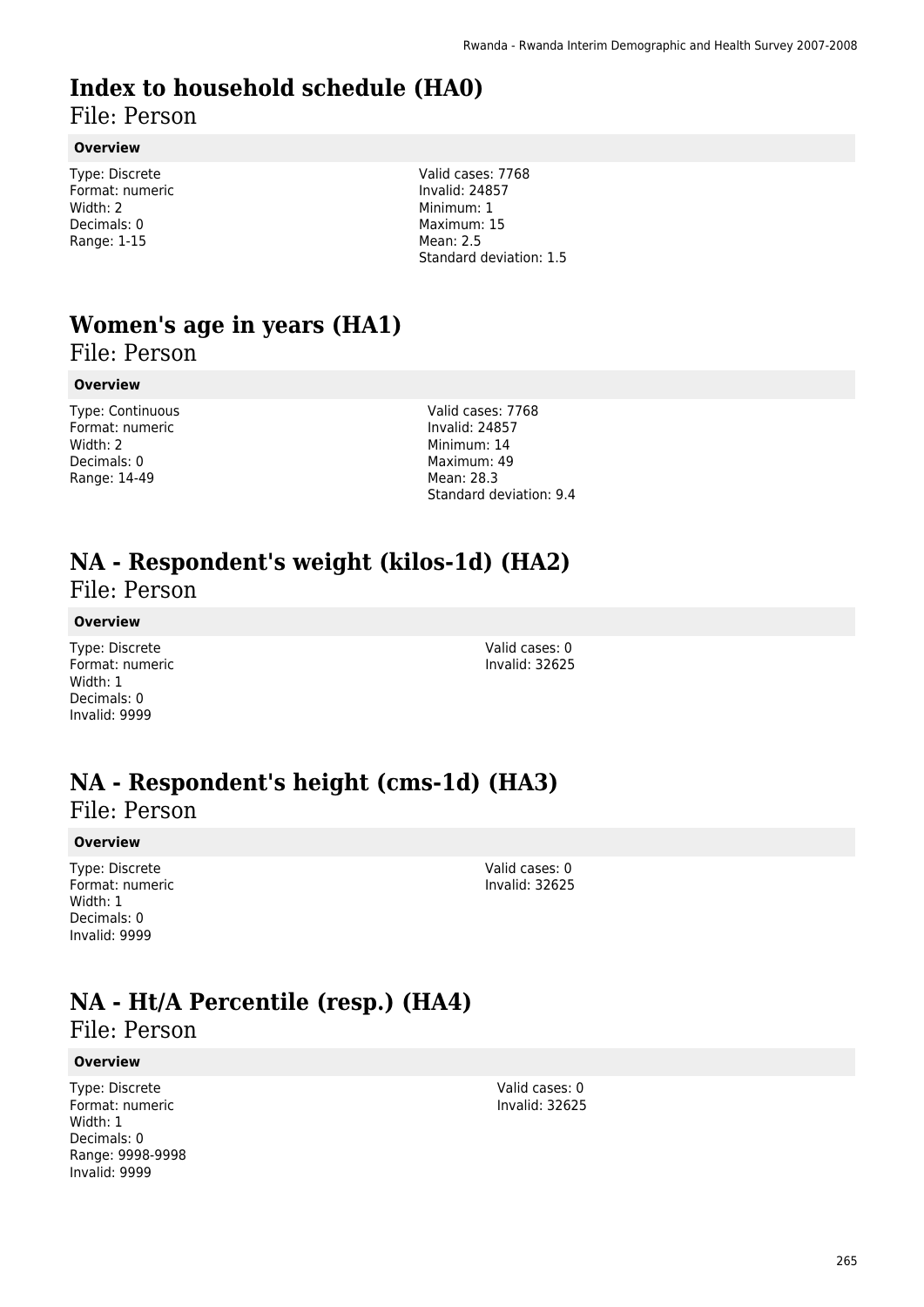# **Index to household schedule (HA0)**

File: Person

#### **Overview**

Type: Discrete Format: numeric Width: 2 Decimals: 0 Range: 1-15

Valid cases: 7768 Invalid: 24857 Minimum: 1 Maximum: 15 Mean: 2.5 Standard deviation: 1.5

### **Women's age in years (HA1)**  File: Person

#### **Overview**

Type: Continuous Format: numeric Width: 2 Decimals: 0 Range: 14-49

Valid cases: 7768 Invalid: 24857 Minimum: 14 Maximum: 49 Mean: 28.3 Standard deviation: 9.4

# **NA - Respondent's weight (kilos-1d) (HA2)**

### File: Person

#### **Overview**

Type: Discrete Format: numeric Width: 1 Decimals: 0 Invalid: 9999

Valid cases: 0 Invalid: 32625

### **NA - Respondent's height (cms-1d) (HA3)**  File: Person

#### **Overview**

Type: Discrete Format: numeric Width: 1 Decimals: 0 Invalid: 9999

Valid cases: 0 Invalid: 32625

# **NA - Ht/A Percentile (resp.) (HA4)**

### File: Person

#### **Overview**

Type: Discrete Format: numeric Width: 1 Decimals: 0 Range: 9998-9998 Invalid: 9999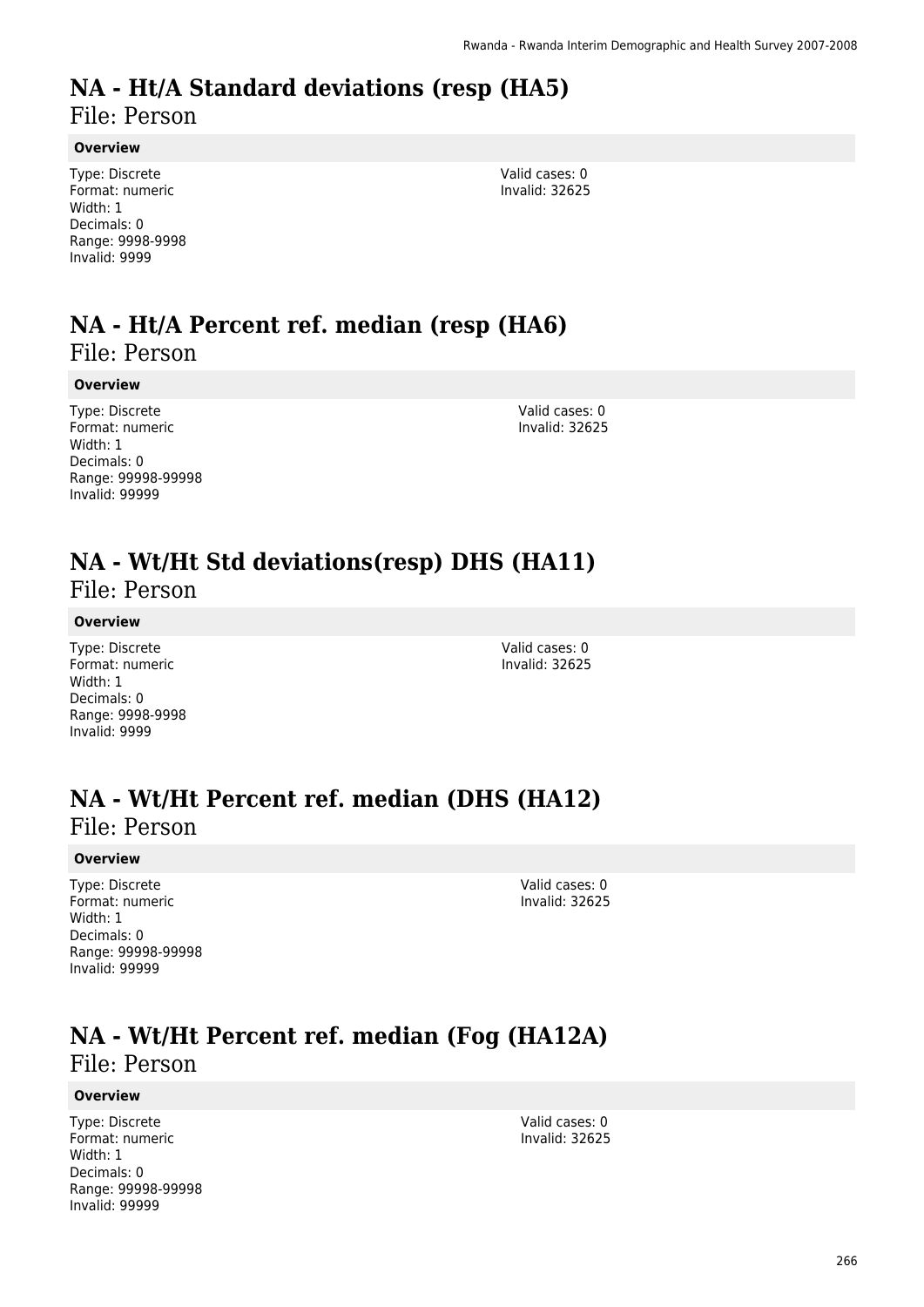# **NA - Ht/A Standard deviations (resp (HA5)**

File: Person

#### **Overview**

Type: Discrete Format: numeric Width: 1 Decimals: 0 Range: 9998-9998 Invalid: 9999

### **NA - Ht/A Percent ref. median (resp (HA6)**  File: Person

#### **Overview**

Type: Discrete Format: numeric Width: 1 Decimals: 0 Range: 99998-99998 Invalid: 99999

Valid cases: 0 Invalid: 32625

Valid cases: 0 Invalid: 32625

### **NA - Wt/Ht Std deviations(resp) DHS (HA11)**

### File: Person

#### **Overview**

Type: Discrete Format: numeric Width: 1 Decimals: 0 Range: 9998-9998 Invalid: 9999

Valid cases: 0 Invalid: 32625

### **NA - Wt/Ht Percent ref. median (DHS (HA12)**  File: Person

#### **Overview**

Type: Discrete Format: numeric Width: 1 Decimals: 0 Range: 99998-99998 Invalid: 99999

Valid cases: 0 Invalid: 32625

### **NA - Wt/Ht Percent ref. median (Fog (HA12A)**  File: Person

#### **Overview**

Type: Discrete Format: numeric Width: 1 Decimals: 0 Range: 99998-99998 Invalid: 99999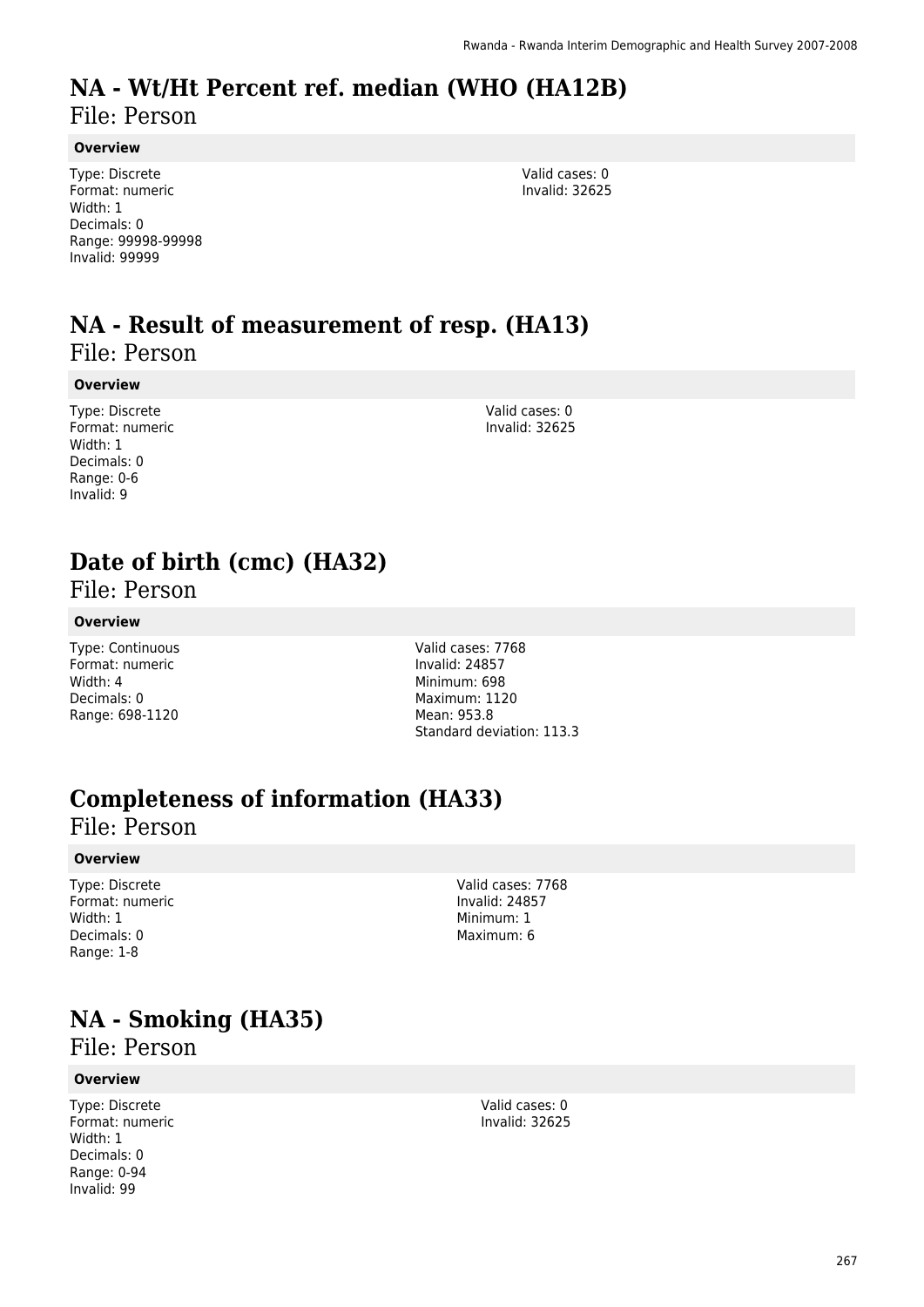# **NA - Wt/Ht Percent ref. median (WHO (HA12B)**

File: Person

#### **Overview**

Type: Discrete Format: numeric Width: 1 Decimals: 0 Range: 99998-99998 Invalid: 99999

Valid cases: 0 Invalid: 32625

## **NA - Result of measurement of resp. (HA13)**  File: Person

#### **Overview**

Type: Discrete Format: numeric Width: 1 Decimals: 0 Range: 0-6 Invalid: 9

Valid cases: 0 Invalid: 32625

### **Date of birth (cmc) (HA32)**

### File: Person

#### **Overview**

Type: Continuous Format: numeric Width: 4 Decimals: 0 Range: 698-1120

Valid cases: 7768 Invalid: 24857 Minimum: 698 Maximum: 1120 Mean: 953.8 Standard deviation: 113.3

### **Completeness of information (HA33)**

File: Person

#### **Overview**

Type: Discrete Format: numeric Width: 1 Decimals: 0 Range: 1-8

Valid cases: 7768 Invalid: 24857 Minimum: 1 Maximum: 6

# **NA - Smoking (HA35)**

File: Person

### **Overview**

Type: Discrete Format: numeric Width: 1 Decimals: 0 Range: 0-94 Invalid: 99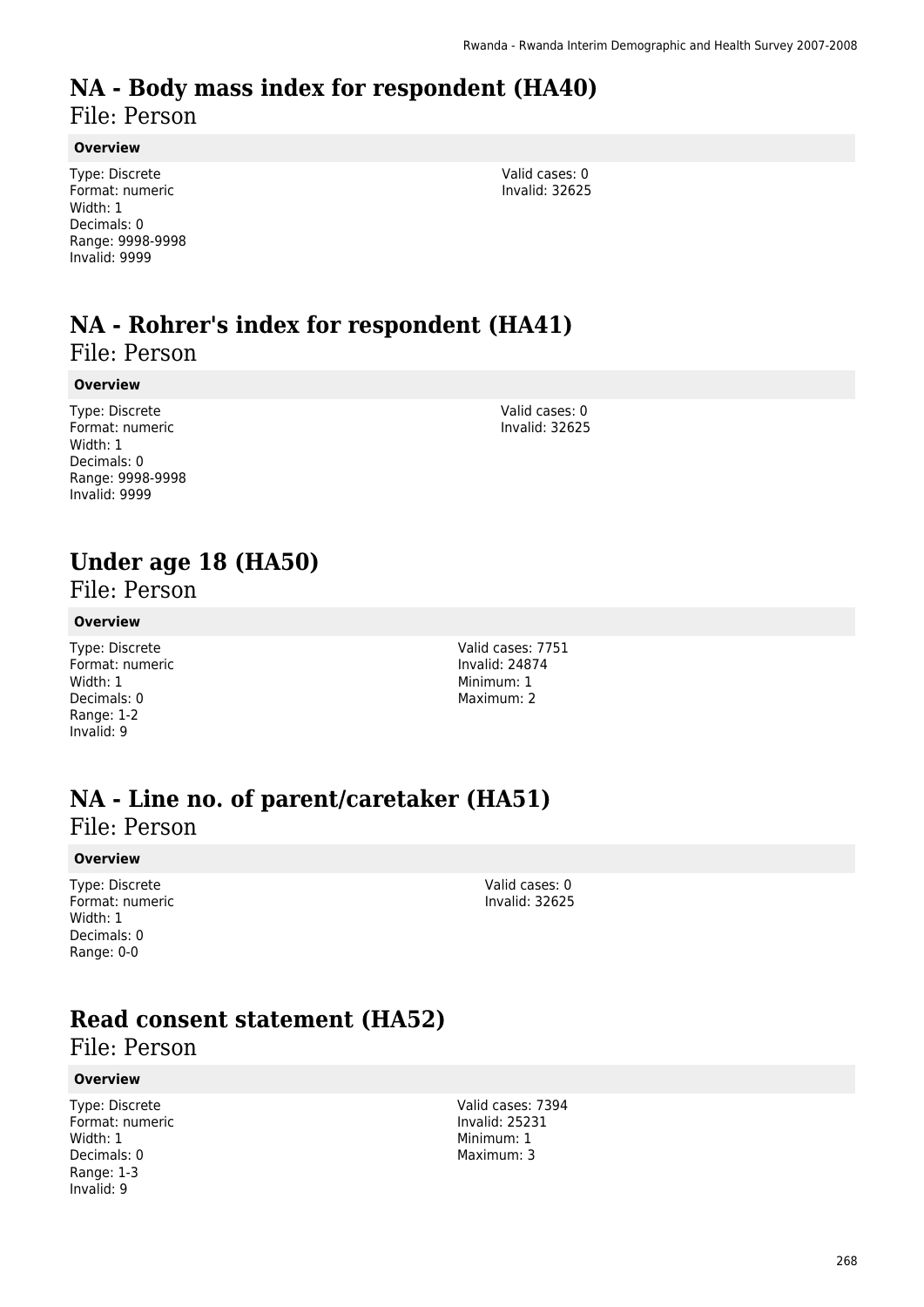# **NA - Body mass index for respondent (HA40)**

File: Person

#### **Overview**

Type: Discrete Format: numeric Width: 1 Decimals: 0 Range: 9998-9998 Invalid: 9999

### **NA - Rohrer's index for respondent (HA41)**  File: Person

#### **Overview**

Type: Discrete Format: numeric Width: 1 Decimals: 0 Range: 9998-9998 Invalid: 9999

# **Under age 18 (HA50)**

### File: Person

#### **Overview**

Type: Discrete Format: numeric Width: 1 Decimals: 0 Range: 1-2 Invalid: 9

Valid cases: 7751 Invalid: 24874 Minimum: 1 Maximum: 2

### **NA - Line no. of parent/caretaker (HA51)**  File: Person

### **Overview**

Type: Discrete Format: numeric Width: 1 Decimals: 0 Range: 0-0

Valid cases: 0 Invalid: 32625

### **Read consent statement (HA52)**  File: Person

#### **Overview**

Type: Discrete Format: numeric Width: 1 Decimals: 0 Range: 1-3 Invalid: 9

Valid cases: 7394 Invalid: 25231 Minimum: 1 Maximum: 3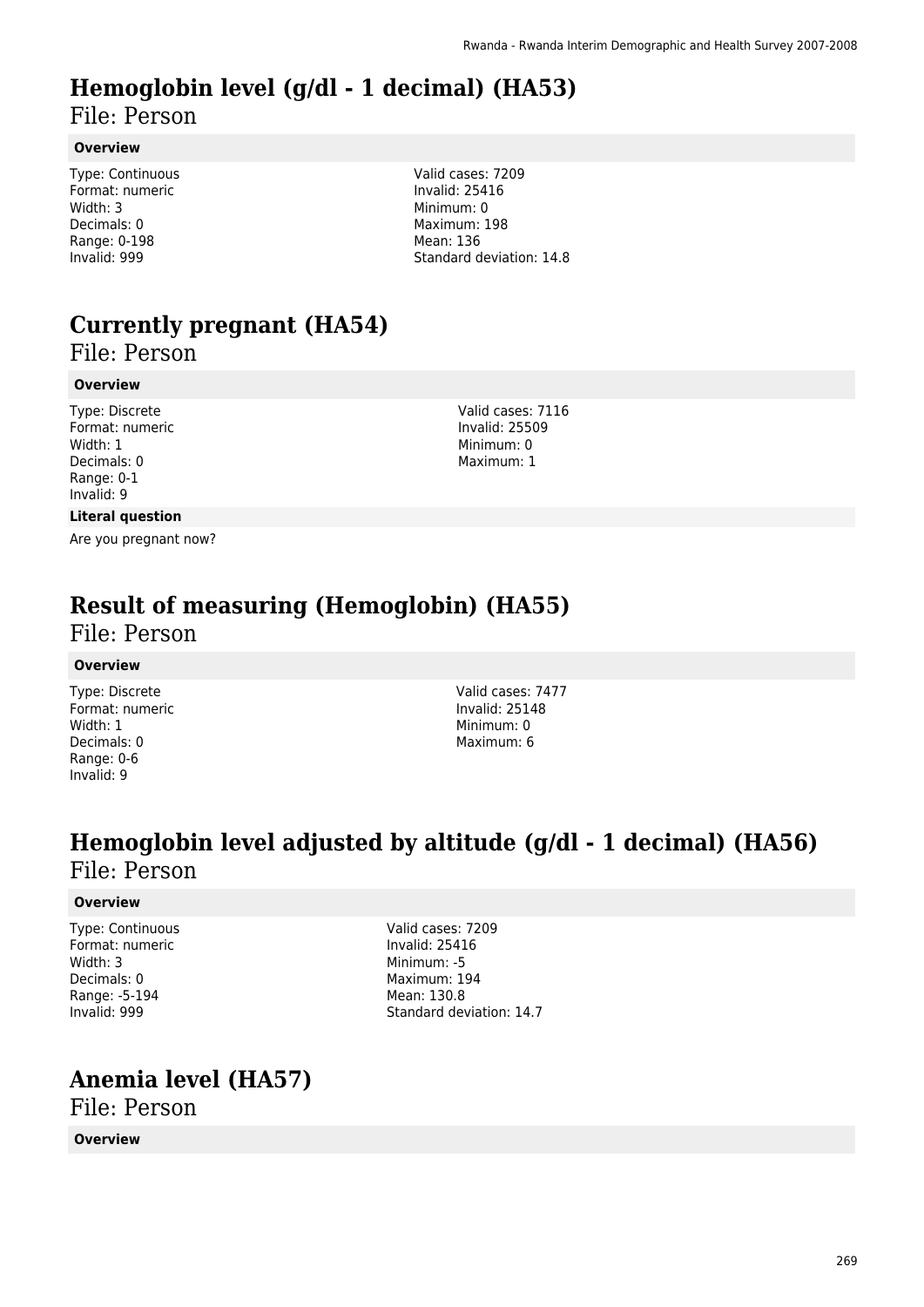# **Hemoglobin level (g/dl - 1 decimal) (HA53)**

File: Person

### **Overview**

Type: Continuous Format: numeric Width: 3 Decimals: 0 Range: 0-198 Invalid: 999

Valid cases: 7209 Invalid: 25416 Minimum: 0 Maximum: 198 Mean: 136 Standard deviation: 14.8

### **Currently pregnant (HA54)**  File: Person

#### **Overview**

Type: Discrete Format: numeric Width: 1 Decimals: 0 Range: 0-1 Invalid: 9

#### **Literal question**

Are you pregnant now?

Valid cases: 7116 Invalid: 25509 Minimum: 0 Maximum: 1

### **Result of measuring (Hemoglobin) (HA55)**

### File: Person

#### **Overview**

Type: Discrete Format: numeric Width: 1 Decimals: 0 Range: 0-6 Invalid: 9

Valid cases: 7477 Invalid: 25148 Minimum: 0 Maximum: 6

### **Hemoglobin level adjusted by altitude (g/dl - 1 decimal) (HA56)**  File: Person

### **Overview**

Type: Continuous Format: numeric Width: 3 Decimals: 0 Range: -5-194 Invalid: 999

Valid cases: 7209 Invalid: 25416 Minimum: -5 Maximum: 194 Mean: 130.8 Standard deviation: 14.7

### **Anemia level (HA57)**

### File: Person

### **Overview**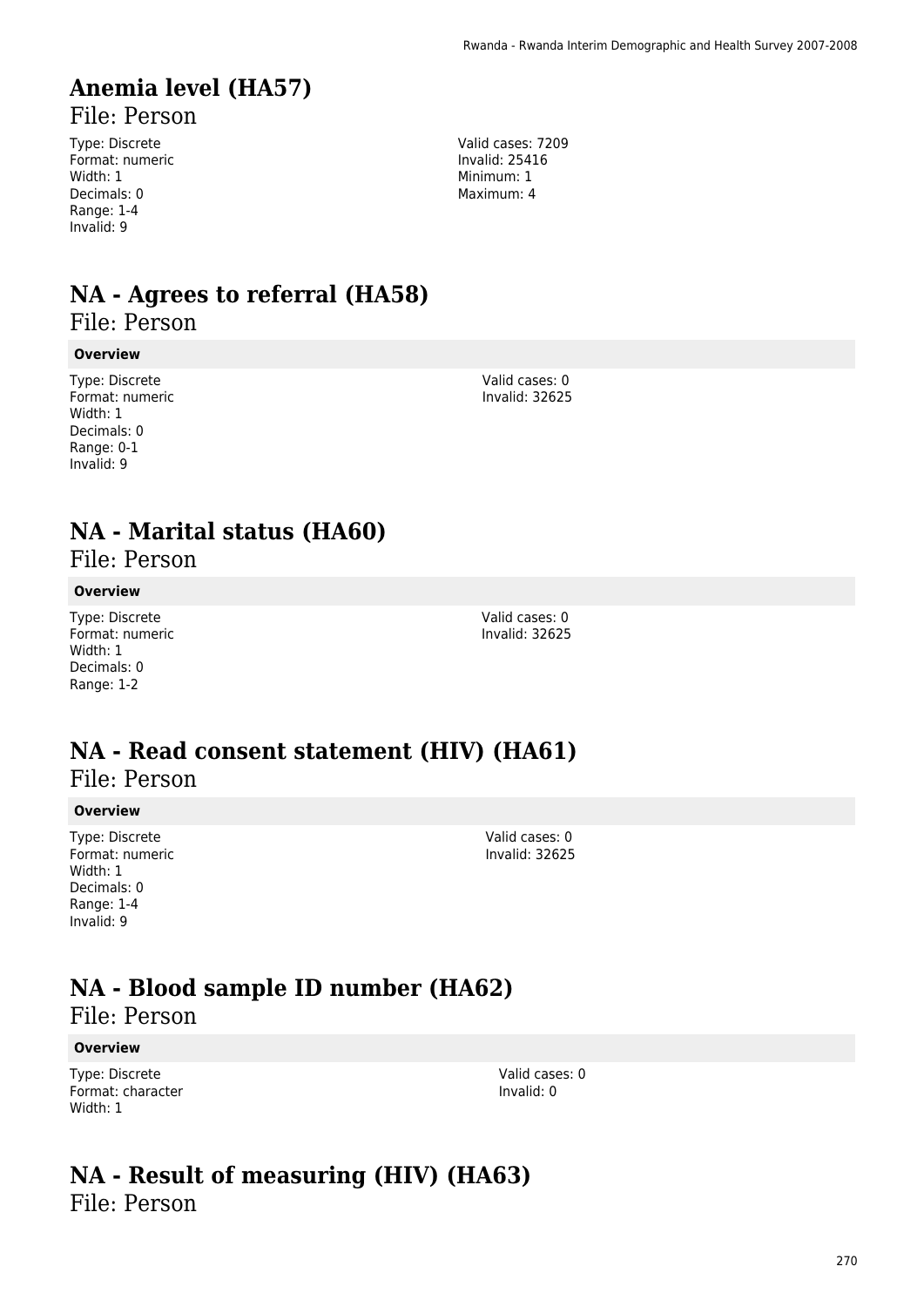# **Anemia level (HA57)**

File: Person

Type: Discrete Format: numeric Width: 1 Decimals: 0 Range: 1-4 Invalid: 9

Valid cases: 7209 Invalid: 25416 Minimum: 1 Maximum: 4

### **NA - Agrees to referral (HA58)**  File: Person

### **Overview**

Type: Discrete Format: numeric Width: 1 Decimals: 0 Range: 0-1 Invalid: 9

Valid cases: 0 Invalid: 32625

# **NA - Marital status (HA60)**

### File: Person

### **Overview**

Type: Discrete Format: numeric Width: 1 Decimals: 0 Range: 1-2

### **NA - Read consent statement (HIV) (HA61)**  File: Person

### **Overview**

Type: Discrete Format: numeric Width: 1 Decimals: 0 Range: 1-4 Invalid: 9

Valid cases: 0 Invalid: 32625

# **NA - Blood sample ID number (HA62)**

File: Person

### **Overview**

Type: Discrete Format: character Width: 1

Valid cases: 0 Invalid: 0

# **NA - Result of measuring (HIV) (HA63)**

File: Person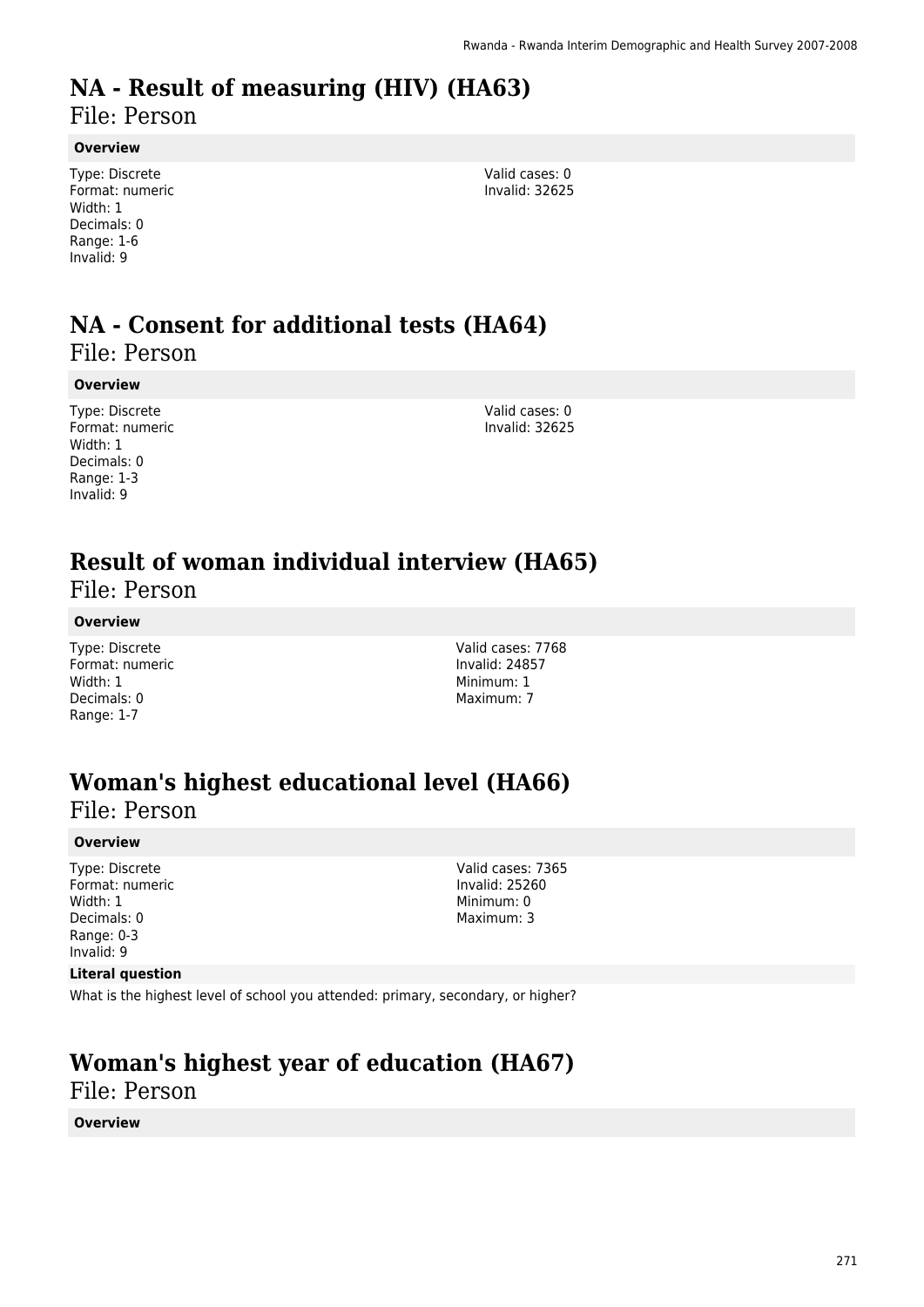# **NA - Result of measuring (HIV) (HA63)**

File: Person

#### **Overview**

Type: Discrete Format: numeric Width: 1 Decimals: 0 Range: 1-6 Invalid: 9

### **NA - Consent for additional tests (HA64)**  File: Person

#### **Overview**

Type: Discrete Format: numeric Width: 1 Decimals: 0 Range: 1-3 Invalid: 9

Valid cases: 0 Invalid: 32625

# **Result of woman individual interview (HA65)**

### File: Person

#### **Overview**

Type: Discrete Format: numeric Width: 1 Decimals: 0 Range: 1-7

Valid cases: 7768 Invalid: 24857 Minimum: 1 Maximum: 7

## **Woman's highest educational level (HA66)**

### File: Person

### **Overview**

Type: Discrete Format: numeric Width: 1 Decimals: 0 Range: 0-3 Invalid: 9

#### Valid cases: 7365 Invalid: 25260 Minimum: 0 Maximum: 3

### **Literal question**

What is the highest level of school you attended: primary, secondary, or higher?

### **Woman's highest year of education (HA67)**  File: Person

**Overview**

271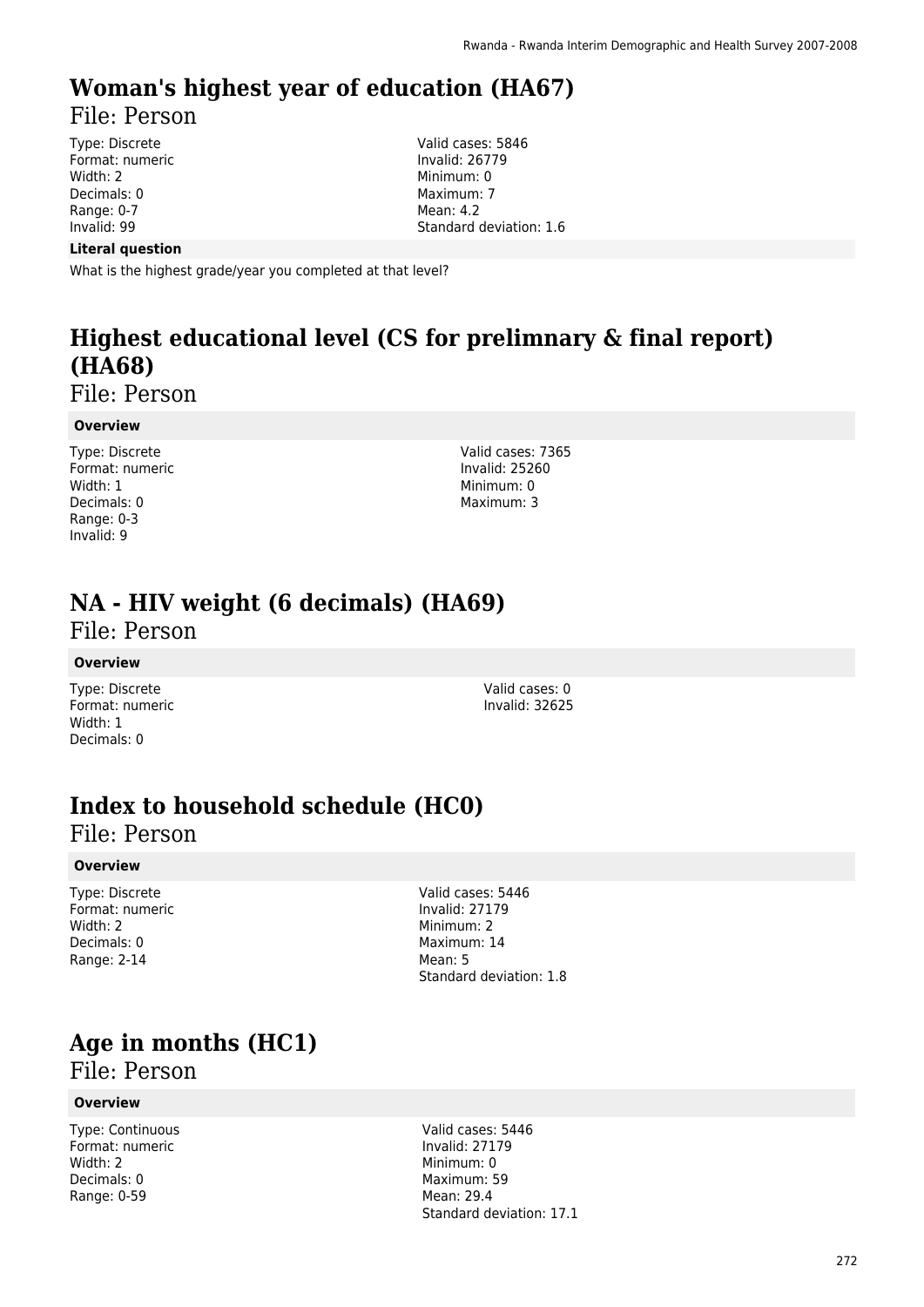## **Woman's highest year of education (HA67)**

File: Person

Type: Discrete Format: numeric Width: 2 Decimals: 0 Range: 0-7 Invalid: 99

Valid cases: 5846 Invalid: 26779 Minimum: 0 Maximum: 7 Mean: 4.2 Standard deviation: 1.6

#### **Literal question**

What is the highest grade/year you completed at that level?

### **Highest educational level (CS for prelimnary & final report) (HA68)**

File: Person

#### **Overview**

Type: Discrete Format: numeric Width: 1 Decimals: 0 Range: 0-3 Invalid: 9

Valid cases: 7365 Invalid: 25260 Minimum: 0 Maximum: 3

### **NA - HIV weight (6 decimals) (HA69)**  File: Person

#### **Overview**

Type: Discrete Format: numeric Width: 1 Decimals: 0

Valid cases: 0 Invalid: 32625

### **Index to household schedule (HC0)**

### File: Person

#### **Overview**

Type: Discrete Format: numeric Width: 2 Decimals: 0 Range: 2-14

Valid cases: 5446 Invalid: 27179 Minimum: 2 Maximum: 14 Mean: 5 Standard deviation: 1.8

### **Age in months (HC1)**  File: Person

#### **Overview**

Type: Continuous Format: numeric Width: 2 Decimals: 0 Range: 0-59

Valid cases: 5446 Invalid: 27179 Minimum: 0 Maximum: 59 Mean: 29.4 Standard deviation: 17.1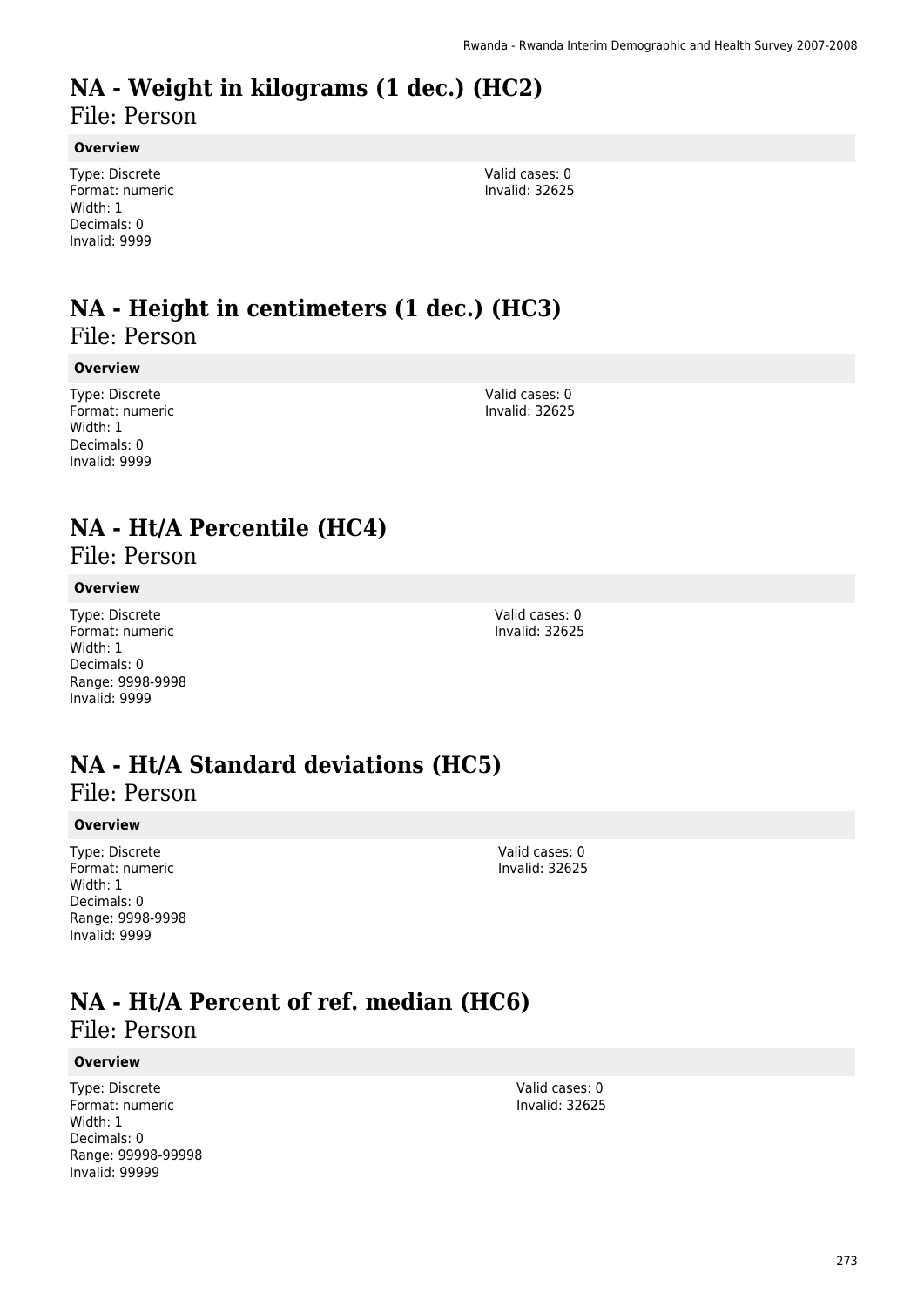# **NA - Weight in kilograms (1 dec.) (HC2)**

File: Person

#### **Overview**

Type: Discrete Format: numeric Width: 1 Decimals: 0 Invalid: 9999

# **NA - Height in centimeters (1 dec.) (HC3)**

File: Person

#### **Overview**

Type: Discrete Format: numeric Width: 1 Decimals: 0 Invalid: 9999

# **NA - Ht/A Percentile (HC4)**

File: Person

#### **Overview**

Type: Discrete Format: numeric Width: 1 Decimals: 0 Range: 9998-9998 Invalid: 9999

### **NA - Ht/A Standard deviations (HC5)**  File: Person

#### **Overview**

Type: Discrete Format: numeric Width: 1 Decimals: 0 Range: 9998-9998 Invalid: 9999

#### Valid cases: 0 Invalid: 32625

# **NA - Ht/A Percent of ref. median (HC6)**

File: Person

#### **Overview**

Type: Discrete Format: numeric Width: 1 Decimals: 0 Range: 99998-99998 Invalid: 99999

Valid cases: 0 Invalid: 32625

Valid cases: 0 Invalid: 32625

Valid cases: 0 Invalid: 32625

Invalid: 32625

Valid cases: 0

273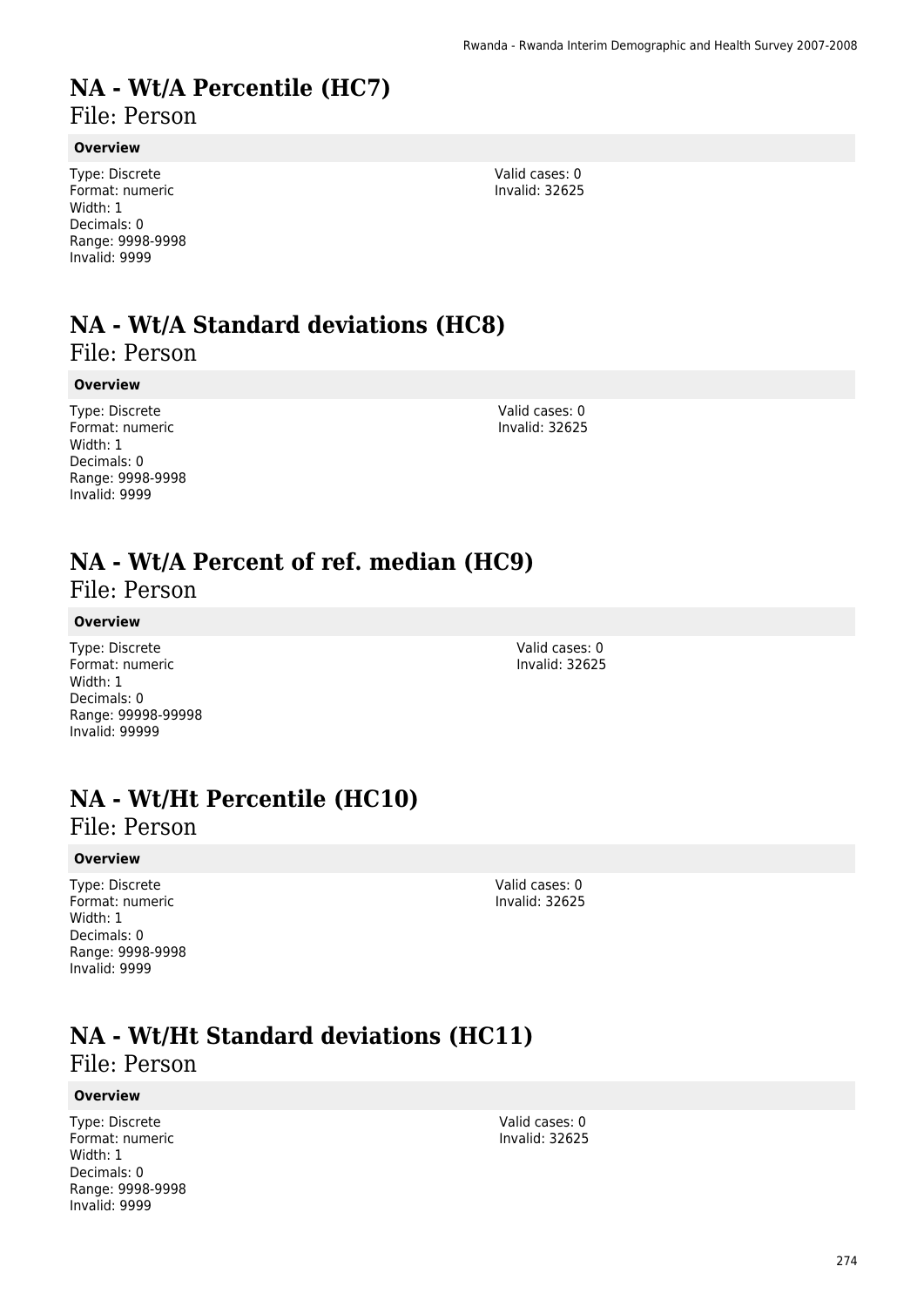# **NA - Wt/A Percentile (HC7)**

File: Person

#### **Overview**

Type: Discrete Format: numeric Width: 1 Decimals: 0 Range: 9998-9998 Invalid: 9999

### **NA - Wt/A Standard deviations (HC8)**  File: Person

#### **Overview**

Type: Discrete Format: numeric Width: 1 Decimals: 0 Range: 9998-9998 Invalid: 9999

### **NA - Wt/A Percent of ref. median (HC9)**  File: Person

#### **Overview**

Type: Discrete Format: numeric Width: 1 Decimals: 0 Range: 99998-99998 Invalid: 99999

### **NA - Wt/Ht Percentile (HC10)**

File: Person

#### **Overview**

Type: Discrete Format: numeric Width: 1 Decimals: 0 Range: 9998-9998 Invalid: 9999

#### Valid cases: 0 Invalid: 32625

### **NA - Wt/Ht Standard deviations (HC11)**  File: Person

### **Overview**

Type: Discrete Format: numeric Width: 1 Decimals: 0 Range: 9998-9998 Invalid: 9999

Valid cases: 0 Invalid: 32625

Valid cases: 0 Invalid: 32625

Valid cases: 0 Invalid: 32625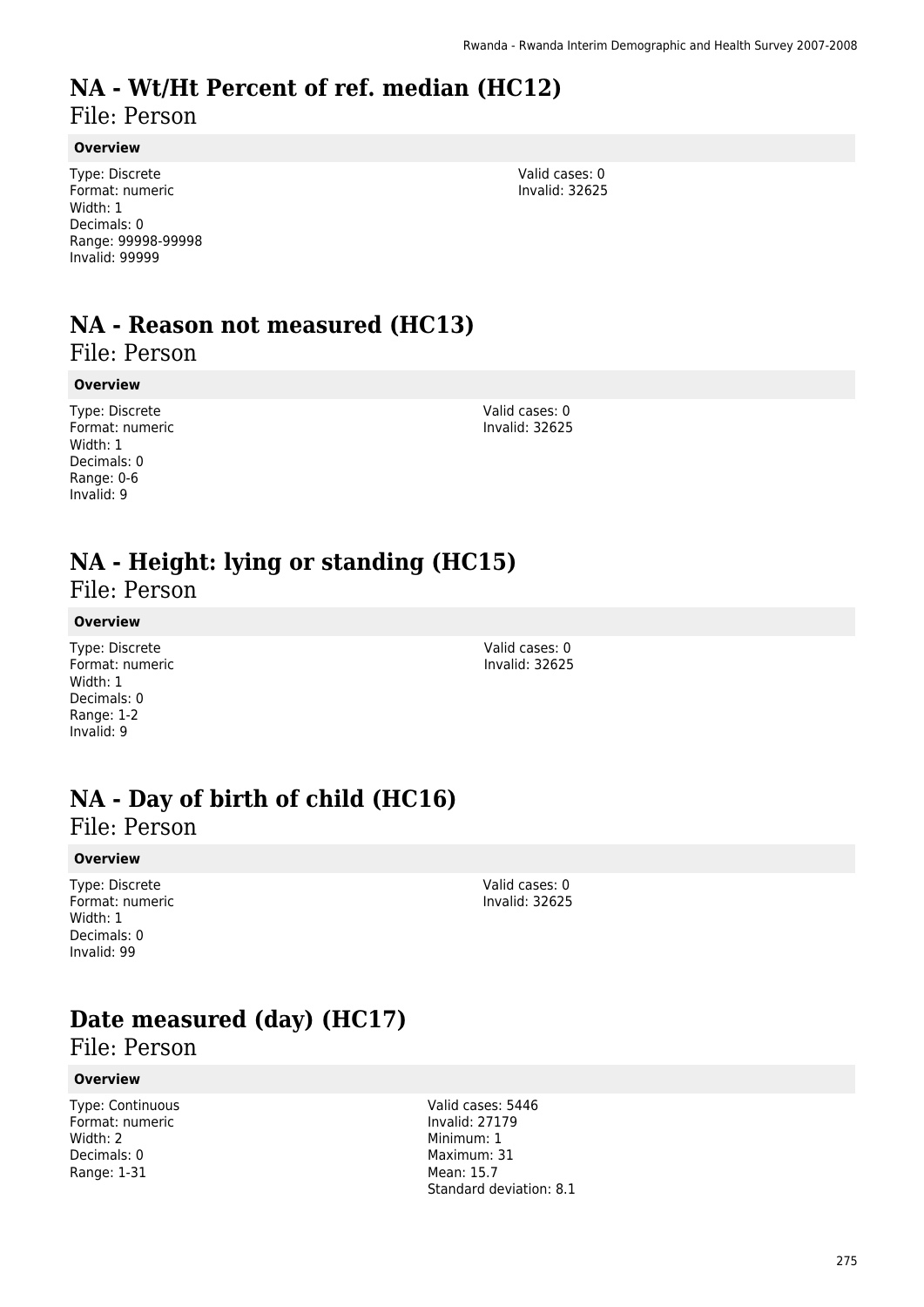# **NA - Wt/Ht Percent of ref. median (HC12)**

File: Person

#### **Overview**

Type: Discrete Format: numeric Width: 1 Decimals: 0 Range: 99998-99998 Invalid: 99999

# **NA - Reason not measured (HC13)**

### File: Person

#### **Overview**

Type: Discrete Format: numeric Width: 1 Decimals: 0 Range: 0-6 Invalid: 9

# **NA - Height: lying or standing (HC15)**

### File: Person

#### **Overview**

Type: Discrete Format: numeric Width: 1 Decimals: 0 Range: 1-2 Invalid: 9

### **NA - Day of birth of child (HC16)**

File: Person

#### **Overview**

Type: Discrete Format: numeric Width: 1 Decimals: 0 Invalid: 99

Valid cases: 0 Invalid: 32625

# **Date measured (day) (HC17)**

File: Person

### **Overview**

Type: Continuous Format: numeric Width: 2 Decimals: 0 Range: 1-31

Valid cases: 5446 Invalid: 27179 Minimum: 1 Maximum: 31 Mean: 15.7 Standard deviation: 8.1

Valid cases: 0 Invalid: 32625

Valid cases: 0 Invalid: 32625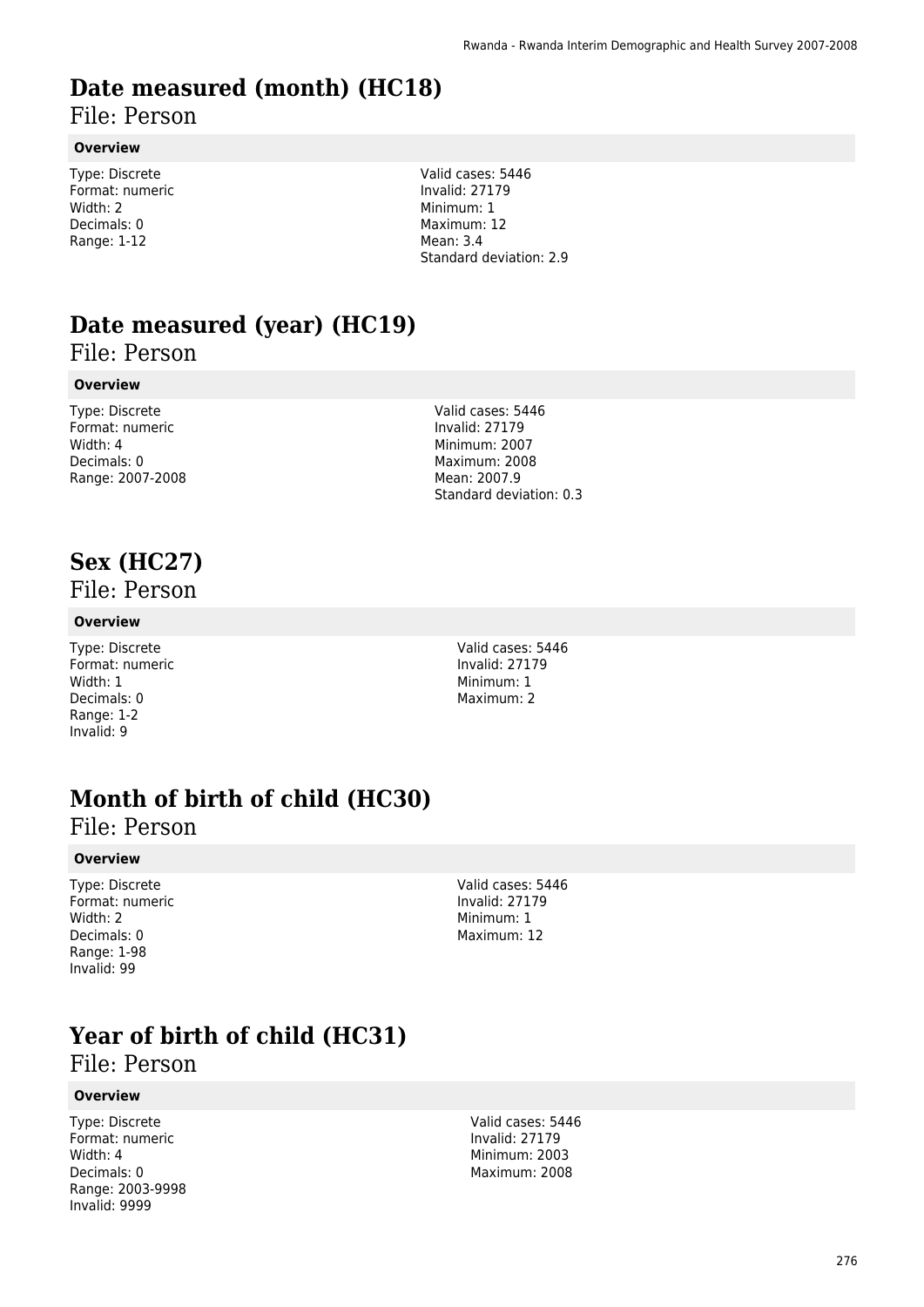# **Date measured (month) (HC18)**

File: Person

#### **Overview**

Type: Discrete Format: numeric Width: 2 Decimals: 0 Range: 1-12

Valid cases: 5446 Invalid: 27179 Minimum: 1 Maximum: 12 Mean: 3.4 Standard deviation: 2.9

### **Date measured (year) (HC19)**  File: Person

#### **Overview**

Type: Discrete Format: numeric Width: 4 Decimals: 0 Range: 2007-2008

Valid cases: 5446 Invalid: 27179 Minimum: 2007 Maximum: 2008 Mean: 2007.9 Standard deviation: 0.3

## **Sex (HC27)**

### File: Person

#### **Overview**

Type: Discrete Format: numeric Width: 1 Decimals: 0 Range: 1-2 Invalid: 9

Valid cases: 5446 Invalid: 27179 Minimum: 1 Maximum: 2

### **Month of birth of child (HC30)**

File: Person

#### **Overview**

Type: Discrete Format: numeric Width: 2 Decimals: 0 Range: 1-98 Invalid: 99

Valid cases: 5446 Invalid: 27179 Minimum: 1 Maximum: 12

### **Year of birth of child (HC31)**  File: Person

#### **Overview**

Type: Discrete Format: numeric Width: 4 Decimals: 0 Range: 2003-9998 Invalid: 9999

Valid cases: 5446 Invalid: 27179 Minimum: 2003 Maximum: 2008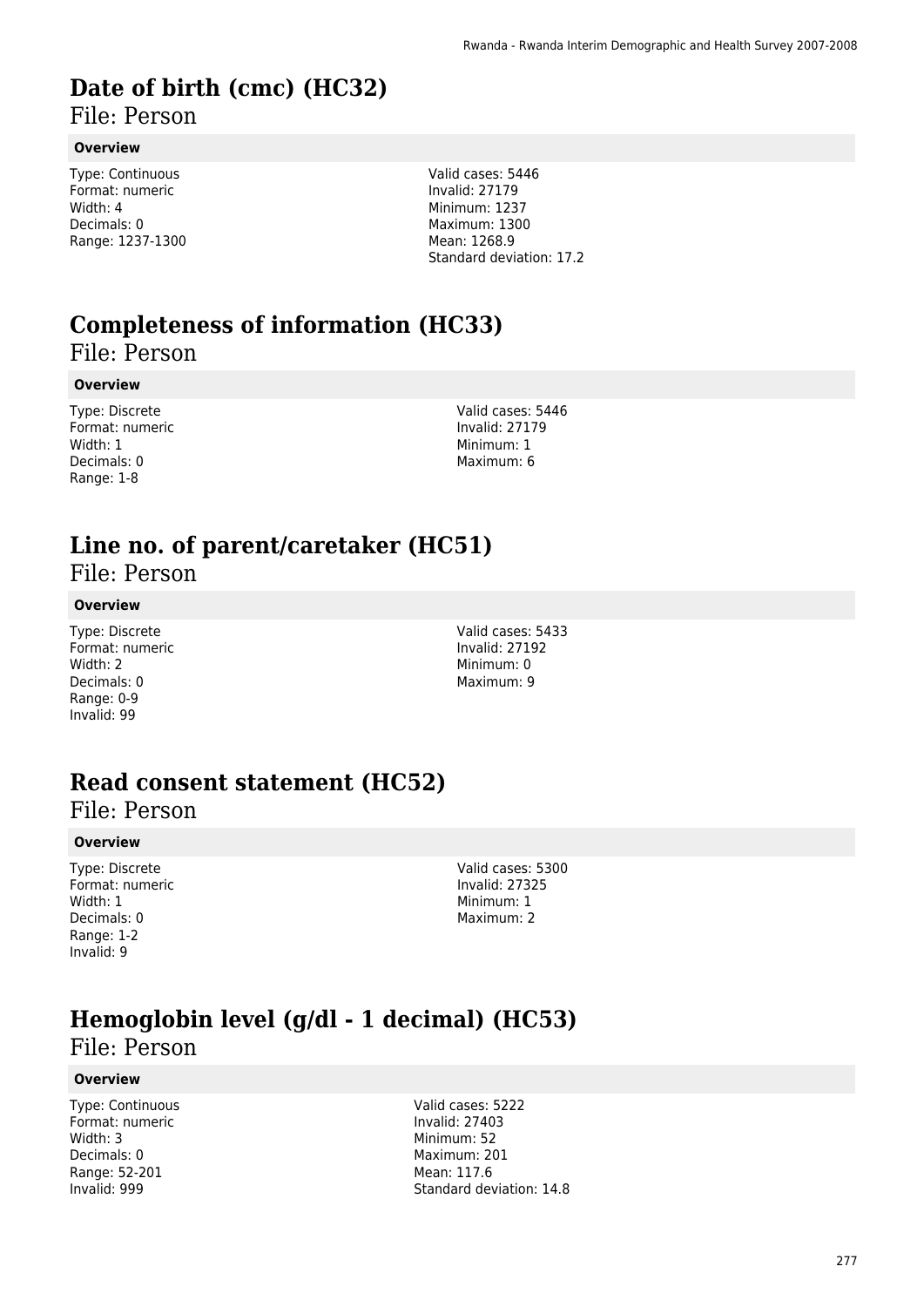# **Date of birth (cmc) (HC32)**

File: Person

#### **Overview**

Type: Continuous Format: numeric Width: 4 Decimals: 0 Range: 1237-1300

Valid cases: 5446 Invalid: 27179 Minimum: 1237 Maximum: 1300 Mean: 1268.9 Standard deviation: 17.2

## **Completeness of information (HC33)**  File: Person

#### **Overview**

Type: Discrete Format: numeric Width: 1 Decimals: 0 Range: 1-8

Valid cases: 5446 Invalid: 27179 Minimum: 1 Maximum: 6

### **Line no. of parent/caretaker (HC51)**  File: Person

#### **Overview**

Type: Discrete Format: numeric Width: 2 Decimals: 0 Range: 0-9 Invalid: 99

#### Valid cases: 5433 Invalid: 27192 Minimum: 0 Maximum: 9

## **Read consent statement (HC52)**

### File: Person

#### **Overview**

Type: Discrete Format: numeric Width: 1 Decimals: 0 Range: 1-2 Invalid: 9

Valid cases: 5300 Invalid: 27325 Minimum: 1 Maximum: 2

### **Hemoglobin level (g/dl - 1 decimal) (HC53)**  File: Person

#### **Overview**

Type: Continuous Format: numeric Width: 3 Decimals: 0 Range: 52-201 Invalid: 999

Valid cases: 5222 Invalid: 27403 Minimum: 52 Maximum: 201 Mean: 117.6 Standard deviation: 14.8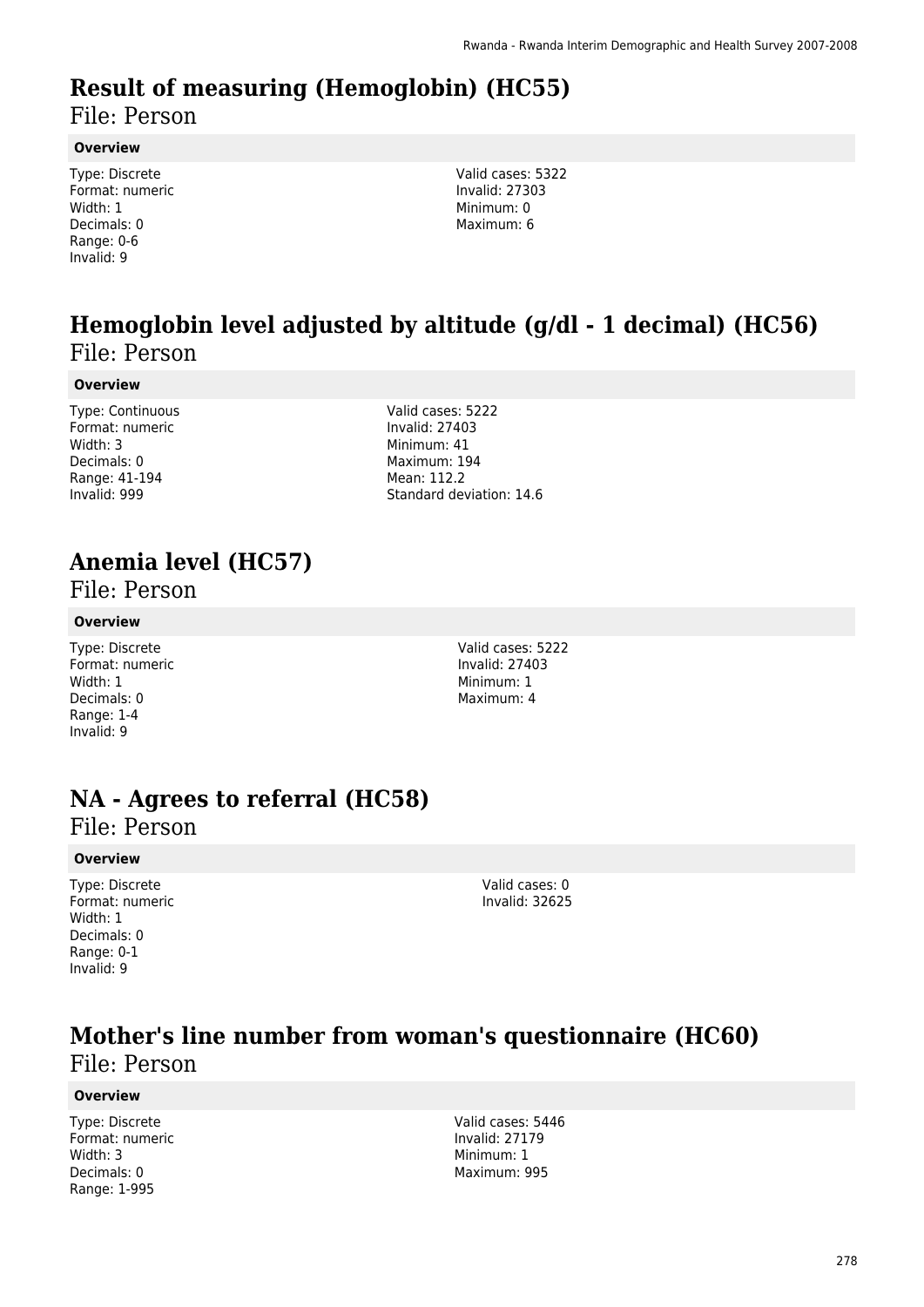# **Result of measuring (Hemoglobin) (HC55)**

File: Person

#### **Overview**

Type: Discrete Format: numeric Width: 1 Decimals: 0 Range: 0-6 Invalid: 9

Valid cases: 5322 Invalid: 27303 Minimum: 0 Maximum: 6

### **Hemoglobin level adjusted by altitude (g/dl - 1 decimal) (HC56)**  File: Person

#### **Overview**

Type: Continuous Format: numeric Width: 3 Decimals: 0 Range: 41-194 Invalid: 999

Valid cases: 5222 Invalid: 27403 Minimum: 41 Maximum: 194 Mean: 112.2 Standard deviation: 14.6

### **Anemia level (HC57)**

### File: Person

#### **Overview**

Type: Discrete Format: numeric Width: 1 Decimals: 0 Range: 1-4 Invalid: 9

Valid cases: 5222 Invalid: 27403 Minimum: 1 Maximum: 4

# **NA - Agrees to referral (HC58)**

File: Person

#### **Overview**

Type: Discrete Format: numeric Width: 1 Decimals: 0 Range: 0-1 Invalid: 9

Valid cases: 0 Invalid: 32625

### **Mother's line number from woman's questionnaire (HC60)**  File: Person

#### **Overview**

Type: Discrete Format: numeric Width: 3 Decimals: 0 Range: 1-995

Valid cases: 5446 Invalid: 27179 Minimum: 1 Maximum: 995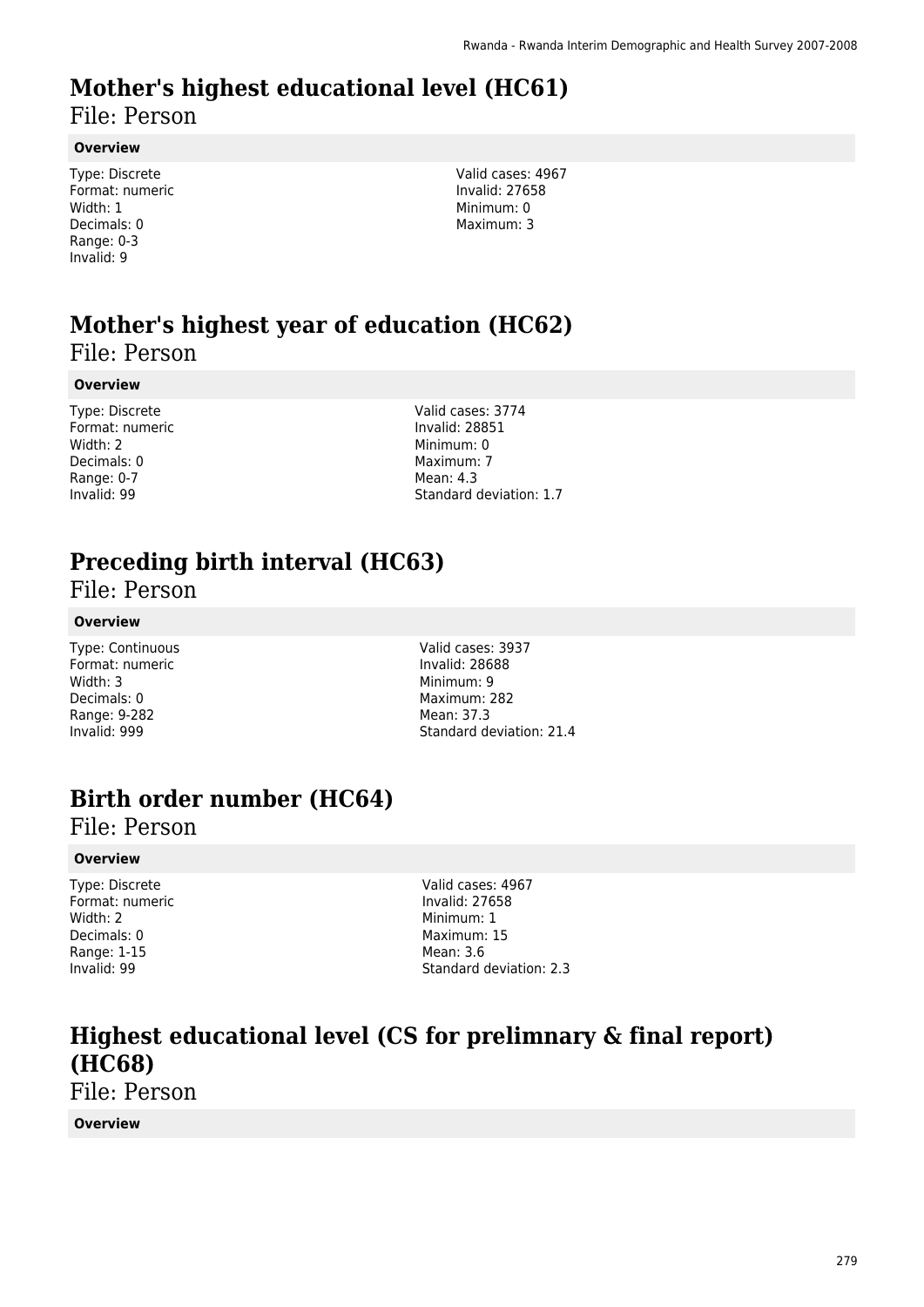# **Mother's highest educational level (HC61)**

File: Person

### **Overview**

Type: Discrete Format: numeric Width: 1 Decimals: 0 Range: 0-3 Invalid: 9

Valid cases: 4967 Invalid: 27658 Minimum: 0 Maximum: 3

### **Mother's highest year of education (HC62)**  File: Person

#### **Overview**

Type: Discrete Format: numeric Width: 2 Decimals: 0 Range: 0-7 Invalid: 99

Valid cases: 3774 Invalid: 28851 Minimum: 0 Maximum: 7 Mean: 4.3 Standard deviation: 1.7

## **Preceding birth interval (HC63)**

### File: Person

### **Overview**

Type: Continuous Format: numeric Width: 3 Decimals: 0 Range: 9-282 Invalid: 999

Valid cases: 3937 Invalid: 28688 Minimum: 9 Maximum: 282 Mean: 37.3 Standard deviation: 21.4

## **Birth order number (HC64)**

File: Person

### **Overview**

Type: Discrete Format: numeric Width: 2 Decimals: 0 Range: 1-15 Invalid: 99

Valid cases: 4967 Invalid: 27658 Minimum: 1 Maximum: 15 Mean: 3.6 Standard deviation: 2.3

## **Highest educational level (CS for prelimnary & final report) (HC68)**

File: Person

**Overview**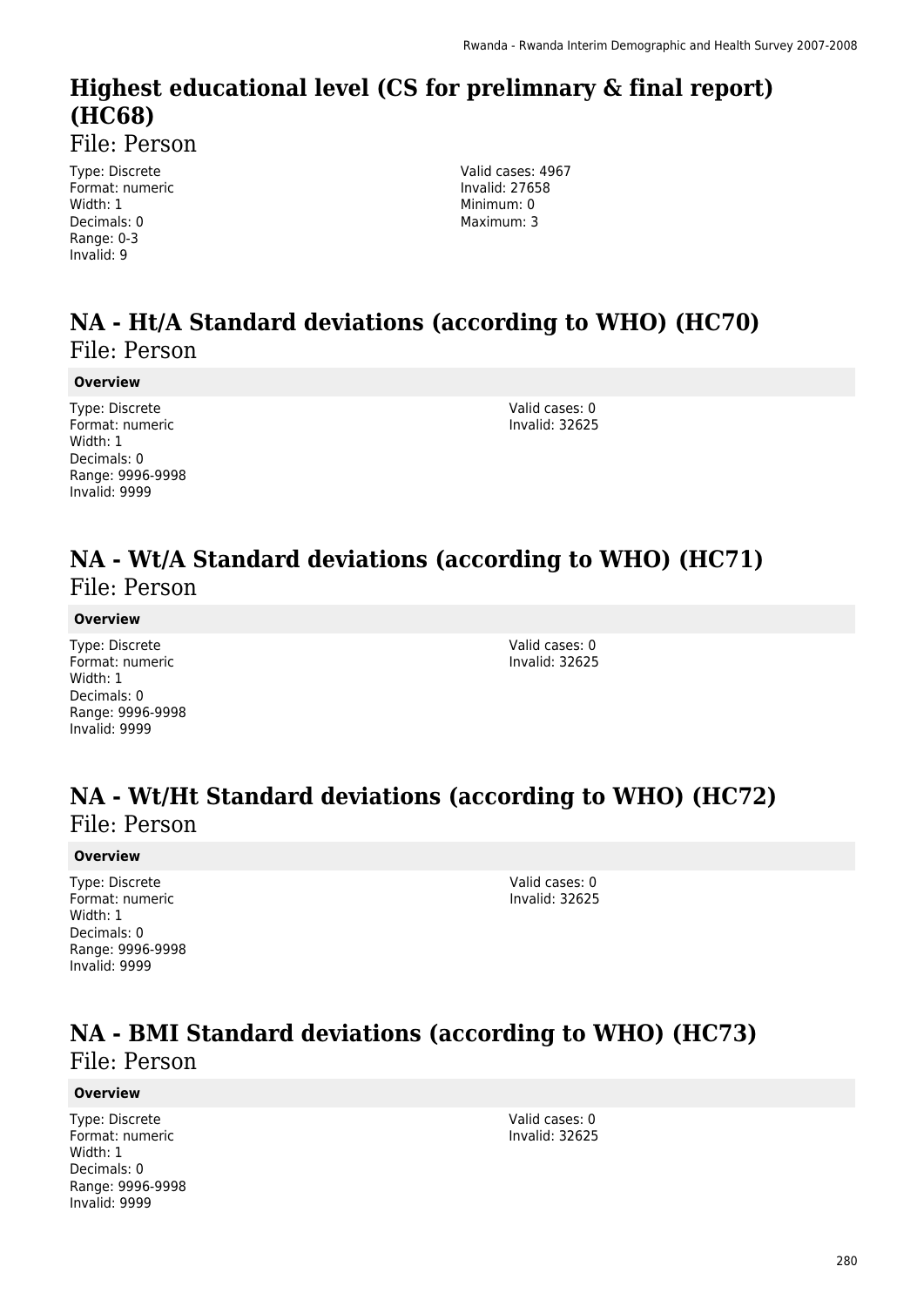### **Highest educational level (CS for prelimnary & final report) (HC68)**

File: Person

Type: Discrete Format: numeric Width: 1 Decimals: 0 Range: 0-3 Invalid: 9

Valid cases: 4967 Invalid: 27658 Minimum: 0 Maximum: 3

### **NA - Ht/A Standard deviations (according to WHO) (HC70)**  File: Person

#### **Overview**

Type: Discrete Format: numeric Width: 1 Decimals: 0 Range: 9996-9998 Invalid: 9999

Valid cases: 0 Invalid: 32625

### **NA - Wt/A Standard deviations (according to WHO) (HC71)**  File: Person

#### **Overview**

Type: Discrete Format: numeric Width: 1 Decimals: 0 Range: 9996-9998 Invalid: 9999

Valid cases: 0 Invalid: 32625

### **NA - Wt/Ht Standard deviations (according to WHO) (HC72)**  File: Person

#### **Overview**

Type: Discrete Format: numeric Width: 1 Decimals: 0 Range: 9996-9998 Invalid: 9999

Valid cases: 0 Invalid: 32625

### **NA - BMI Standard deviations (according to WHO) (HC73)**  File: Person

#### **Overview**

Type: Discrete Format: numeric Width: 1 Decimals: 0 Range: 9996-9998 Invalid: 9999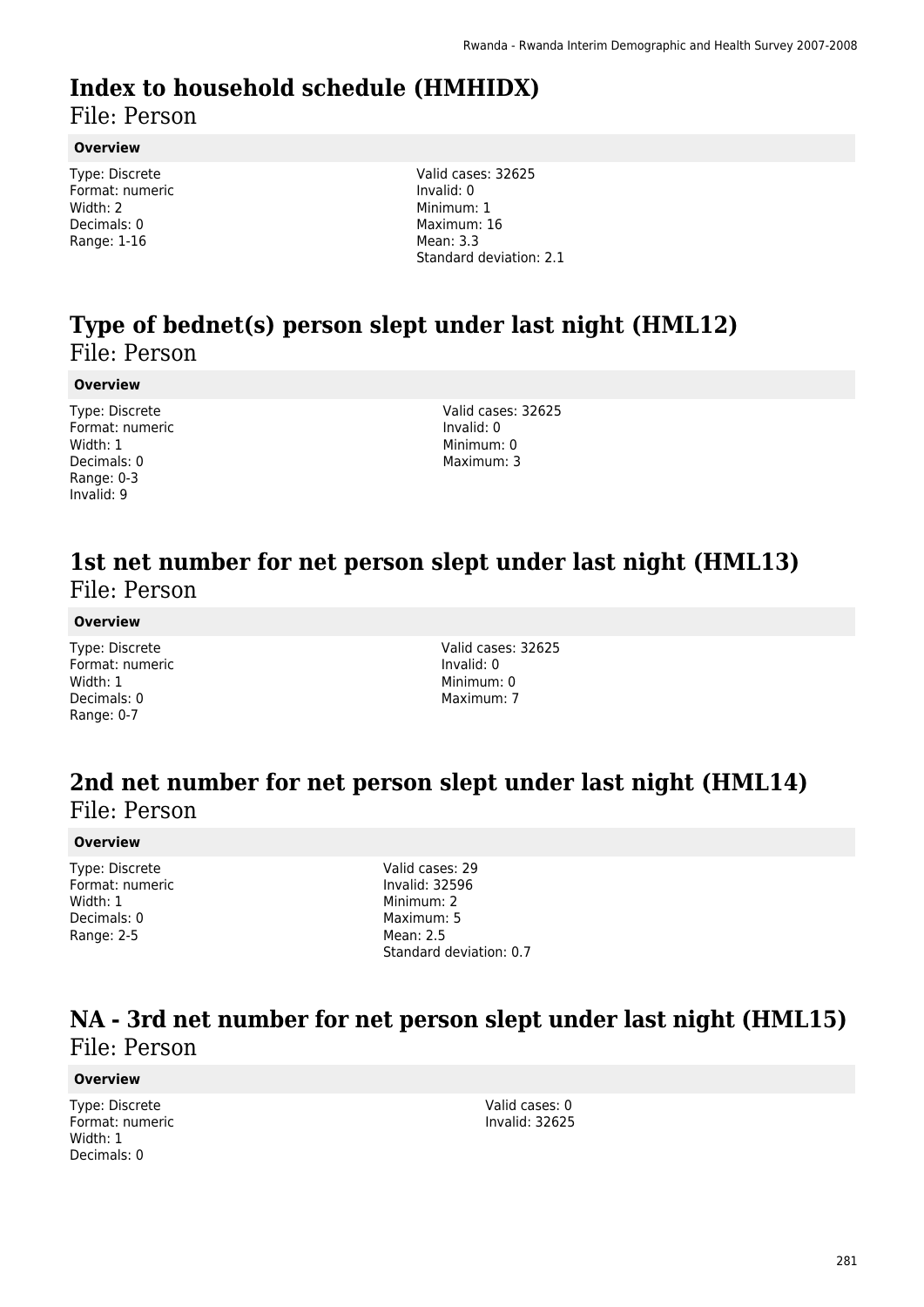# **Index to household schedule (HMHIDX)**

File: Person

### **Overview**

Type: Discrete Format: numeric Width: 2 Decimals: 0 Range: 1-16

Valid cases: 32625 Invalid: 0 Minimum: 1 Maximum: 16 Mean: 3.3 Standard deviation: 2.1

### **Type of bednet(s) person slept under last night (HML12)**  File: Person

#### **Overview**

Type: Discrete Format: numeric Width: 1 Decimals: 0 Range: 0-3 Invalid: 9

Valid cases: 32625 Invalid: 0 Minimum: 0 Maximum: 3

### **1st net number for net person slept under last night (HML13)**  File: Person

### **Overview**

Type: Discrete Format: numeric Width: 1 Decimals: 0 Range: 0-7

Valid cases: 32625 Invalid: 0 Minimum: 0 Maximum: 7

### **2nd net number for net person slept under last night (HML14)**  File: Person

### **Overview**

Type: Discrete Format: numeric Width: 1 Decimals: 0 Range: 2-5

Valid cases: 29 Invalid: 32596 Minimum: 2 Maximum: 5 Mean: 2.5 Standard deviation: 0.7

### **NA - 3rd net number for net person slept under last night (HML15)**  File: Person

### **Overview**

Type: Discrete Format: numeric Width: 1 Decimals: 0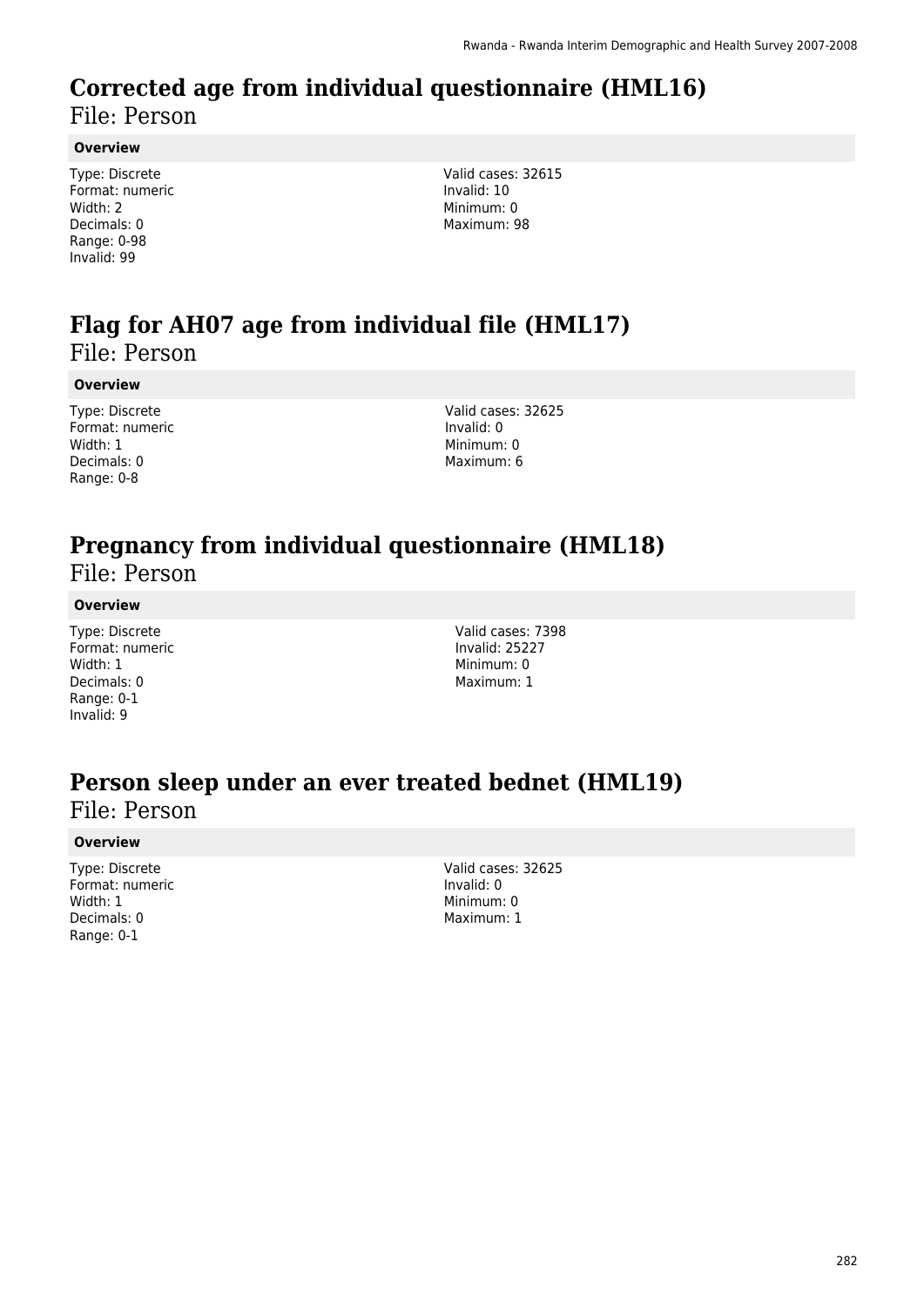### **Corrected age from individual questionnaire (HML16)**  File: Person

#### **Overview**

Type: Discrete Format: numeric Width: 2 Decimals: 0 Range: 0-98 Invalid: 99

Valid cases: 32615 Invalid: 10 Minimum: 0 Maximum: 98

### **Flag for AH07 age from individual file (HML17)**  File: Person

#### **Overview**

Type: Discrete Format: numeric Width: 1 Decimals: 0 Range: 0-8

Valid cases: 32625 Invalid: 0 Minimum: 0 Maximum: 6

### **Pregnancy from individual questionnaire (HML18)**  File: Person

#### **Overview**

Type: Discrete Format: numeric Width: 1 Decimals: 0 Range: 0-1 Invalid: 9

Valid cases: 7398 Invalid: 25227 Minimum: 0 Maximum: 1

### **Person sleep under an ever treated bednet (HML19)**  File: Person

#### **Overview**

Type: Discrete Format: numeric Width: 1 Decimals: 0 Range: 0-1

Valid cases: 32625 Invalid: 0 Minimum: 0 Maximum: 1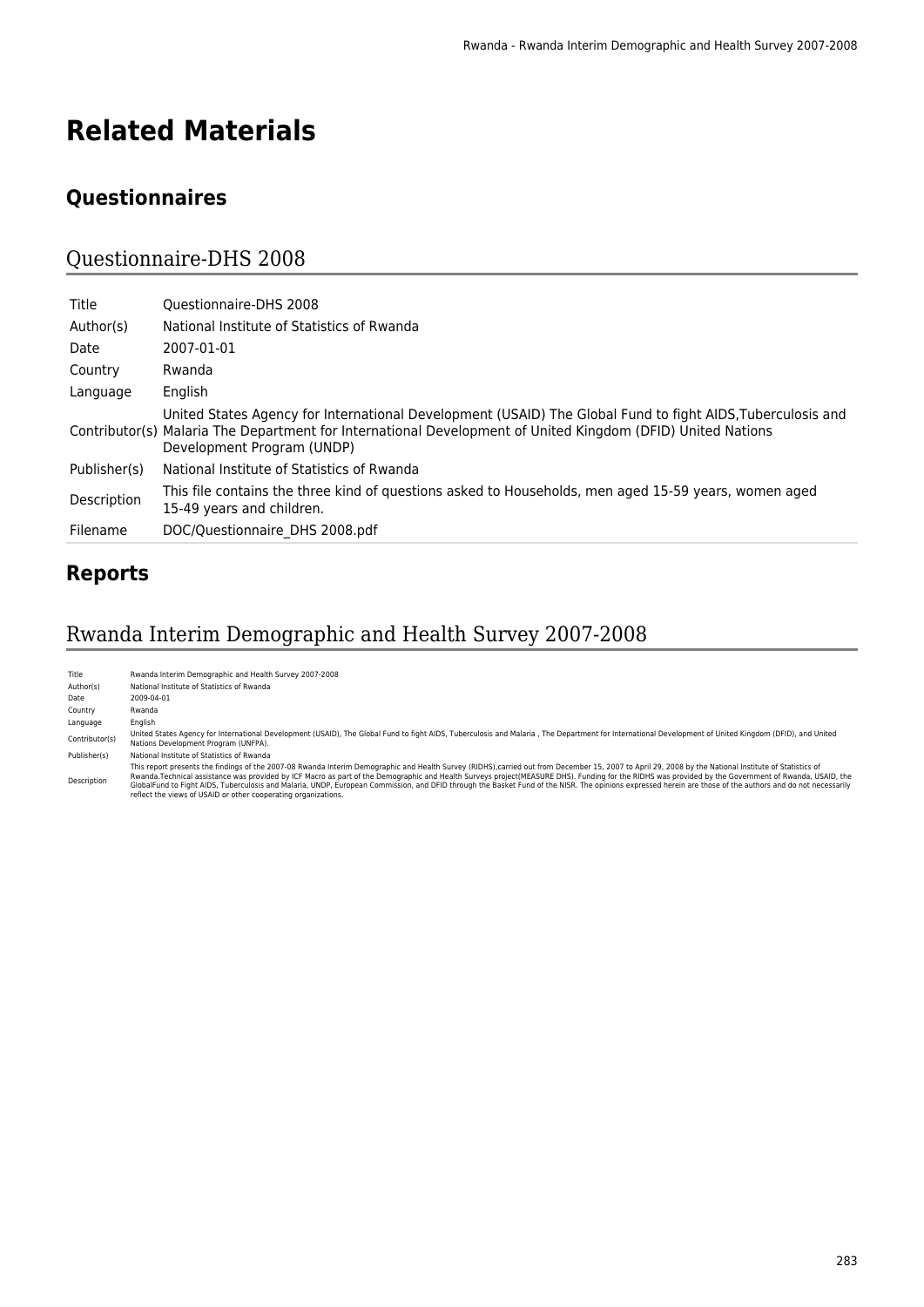# **Related Materials**

### **Questionnaires**

### Questionnaire-DHS 2008

| Title        | Ouestionnaire-DHS 2008                                                                                                                                                                                                                                  |
|--------------|---------------------------------------------------------------------------------------------------------------------------------------------------------------------------------------------------------------------------------------------------------|
| Author(s)    | National Institute of Statistics of Rwanda                                                                                                                                                                                                              |
| Date         | 2007-01-01                                                                                                                                                                                                                                              |
| Country      | Rwanda                                                                                                                                                                                                                                                  |
| Language     | English                                                                                                                                                                                                                                                 |
|              | United States Agency for International Development (USAID) The Global Fund to fight AIDS, Tuberculosis and<br>Contributor(s) Malaria The Department for International Development of United Kingdom (DFID) United Nations<br>Development Program (UNDP) |
| Publisher(s) | National Institute of Statistics of Rwanda                                                                                                                                                                                                              |
| Description  | This file contains the three kind of questions asked to Households, men aged 15-59 years, women aged<br>15-49 years and children.                                                                                                                       |
| Filename     | DOC/Questionnaire DHS 2008.pdf                                                                                                                                                                                                                          |

### **Reports**

### Rwanda Interim Demographic and Health Survey 2007-2008

| Title          | Rwanda Interim Demographic and Health Survey 2007-2008                                                                                                                                                                                                                                                                                                                                                                                                                                                                                                                                                                                                                                         |
|----------------|------------------------------------------------------------------------------------------------------------------------------------------------------------------------------------------------------------------------------------------------------------------------------------------------------------------------------------------------------------------------------------------------------------------------------------------------------------------------------------------------------------------------------------------------------------------------------------------------------------------------------------------------------------------------------------------------|
| Author(s)      | National Institute of Statistics of Rwanda                                                                                                                                                                                                                                                                                                                                                                                                                                                                                                                                                                                                                                                     |
| Date           | 2009-04-01                                                                                                                                                                                                                                                                                                                                                                                                                                                                                                                                                                                                                                                                                     |
| Country        | Rwanda                                                                                                                                                                                                                                                                                                                                                                                                                                                                                                                                                                                                                                                                                         |
| Language       | Enalish                                                                                                                                                                                                                                                                                                                                                                                                                                                                                                                                                                                                                                                                                        |
| Contributor(s) | United States Agency for International Development (USAID). The Global Fund to fight AIDS. Tuberculosis and Malaria, The Department for International Development of United Kingdom (DFID), and United<br>Nations Development Program (UNFPA).                                                                                                                                                                                                                                                                                                                                                                                                                                                 |
| Publisher(s)   | National Institute of Statistics of Rwanda                                                                                                                                                                                                                                                                                                                                                                                                                                                                                                                                                                                                                                                     |
| Description    | This report presents the findings of the 2007-08 Rwanda Interim Demographic and Health Survey (RIDHS), carried out from December 15, 2007 to April 29, 2008 by the National Institute of Statistics of<br>Rwanda.Technical assistance was provided by ICF Macro as part of the Demographic and Health Surveys project(MEASURE DHS). Funding for the RIDHS was provided by the Government of Rwanda, USAID, the<br>GlobalFund to Fight AIDS, Tuberculosis and Malaria, UNDP, European Commission, and DFID through the Basket Fund of the NISR. The opinions expressed herein are those of the authors and do not necessarily<br>reflect the views of USAID or other cooperating organizations. |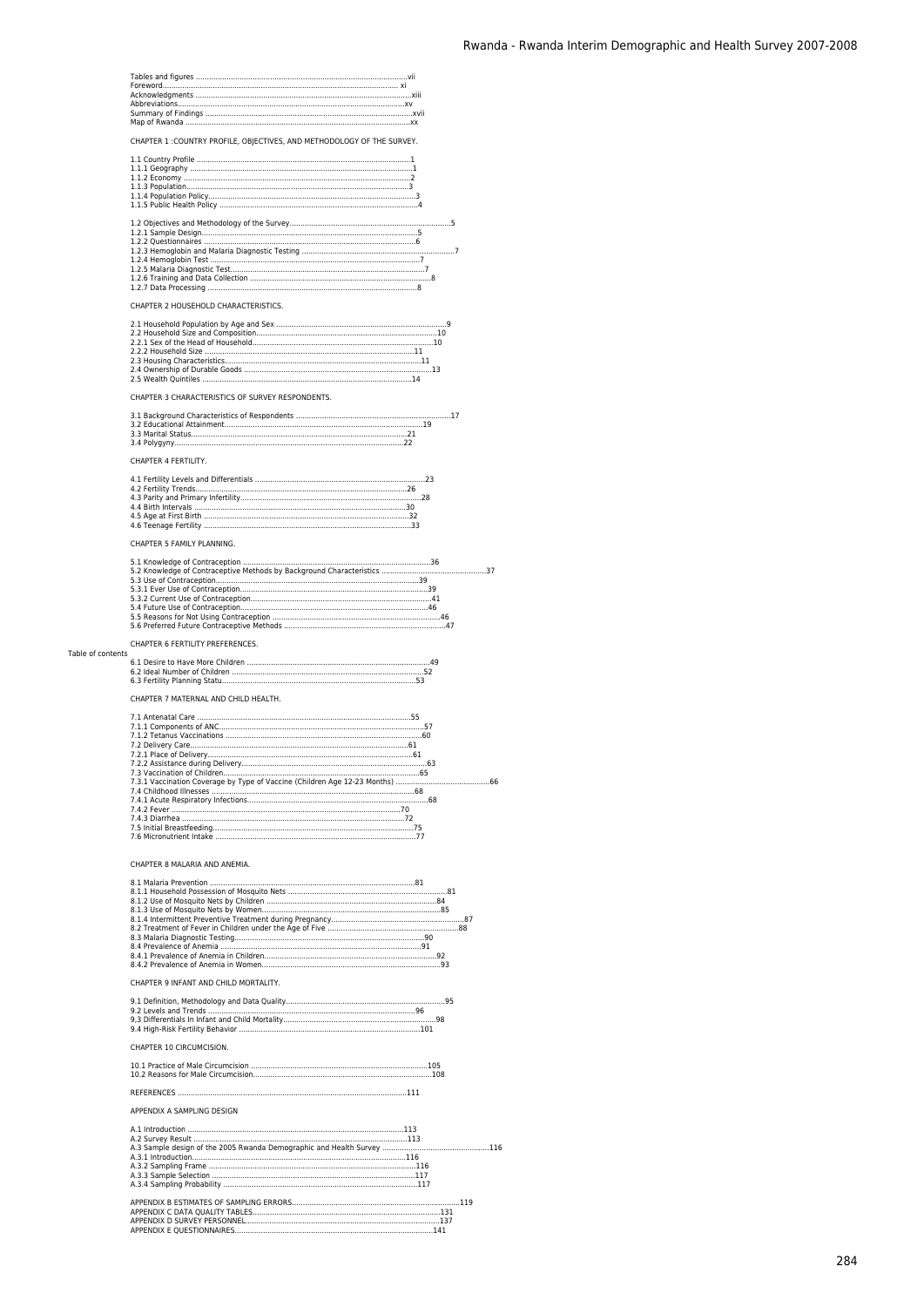|                   | CHAPTER 1 : COUNTRY PROFILE, OBJECTIVES, AND METHODOLOGY OF THE SURVEY. |      |
|-------------------|-------------------------------------------------------------------------|------|
|                   |                                                                         |      |
|                   |                                                                         |      |
|                   |                                                                         |      |
|                   |                                                                         |      |
|                   |                                                                         |      |
|                   |                                                                         |      |
|                   |                                                                         |      |
|                   |                                                                         |      |
|                   |                                                                         |      |
|                   |                                                                         |      |
|                   |                                                                         |      |
|                   | CHAPTER 2 HOUSEHOLD CHARACTERISTICS.                                    |      |
|                   |                                                                         |      |
|                   |                                                                         |      |
|                   |                                                                         |      |
|                   |                                                                         |      |
|                   |                                                                         |      |
|                   | CHAPTER 3 CHARACTERISTICS OF SURVEY RESPONDENTS.                        |      |
|                   |                                                                         |      |
|                   |                                                                         |      |
|                   |                                                                         |      |
|                   |                                                                         |      |
|                   | CHAPTER 4 FERTILITY.                                                    |      |
|                   |                                                                         |      |
|                   |                                                                         |      |
|                   |                                                                         |      |
|                   |                                                                         |      |
|                   |                                                                         |      |
|                   | CHAPTER 5 FAMILY PLANNING.                                              |      |
|                   |                                                                         |      |
|                   |                                                                         |      |
|                   |                                                                         |      |
|                   |                                                                         |      |
|                   |                                                                         |      |
|                   | CHAPTER 6 FERTILITY PREFERENCES.                                        |      |
| Table of contents |                                                                         |      |
|                   |                                                                         |      |
|                   |                                                                         |      |
|                   | CHAPTER 7 MATERNAL AND CHILD HEALTH.                                    |      |
|                   |                                                                         |      |
|                   |                                                                         |      |
|                   |                                                                         |      |
|                   |                                                                         | . 61 |
|                   |                                                                         |      |
|                   |                                                                         |      |
|                   |                                                                         |      |
|                   |                                                                         |      |
|                   |                                                                         |      |
|                   |                                                                         |      |
|                   |                                                                         |      |
|                   | CHAPTER 8 MALARIA AND ANEMIA.                                           |      |
|                   |                                                                         |      |
|                   |                                                                         |      |
|                   |                                                                         |      |
|                   |                                                                         |      |
|                   |                                                                         |      |
|                   |                                                                         |      |
|                   |                                                                         |      |
|                   | CHAPTER 9 INFANT AND CHILD MORTALITY.                                   |      |
|                   |                                                                         |      |
|                   |                                                                         |      |
|                   |                                                                         |      |
|                   |                                                                         |      |
|                   | CHAPTER 10 CIRCUMCISION.                                                |      |
|                   |                                                                         |      |
|                   |                                                                         |      |
|                   | APPENDIX A SAMPLING DESIGN                                              |      |
|                   |                                                                         |      |
|                   |                                                                         |      |
|                   |                                                                         |      |
|                   |                                                                         |      |
|                   | A 3 4 Sampling Probability                                              | 117  |

| CHAPTER 7 MATERNAL AND CHILD HEALTH.                                                      |  |
|-------------------------------------------------------------------------------------------|--|
|                                                                                           |  |
|                                                                                           |  |
|                                                                                           |  |
|                                                                                           |  |
|                                                                                           |  |
|                                                                                           |  |
|                                                                                           |  |
|                                                                                           |  |
|                                                                                           |  |
|                                                                                           |  |
|                                                                                           |  |
|                                                                                           |  |
|                                                                                           |  |
| 7 C Missouristical Intelie<br>그 사람들은 아이들은 아이들은 아이들의 사람들을 하고 있었다. 그 사람들은 어떻게 하지 않아 보고 있었다. |  |

| CHAPTER 9 INFANT AND CHILD MORTALITY. |  |
|---------------------------------------|--|
|                                       |  |
| CHAPTER 10 CIRCUMCISION.              |  |
|                                       |  |
|                                       |  |
| APPENDIX A SAMPLING DESIGN            |  |
|                                       |  |
|                                       |  |